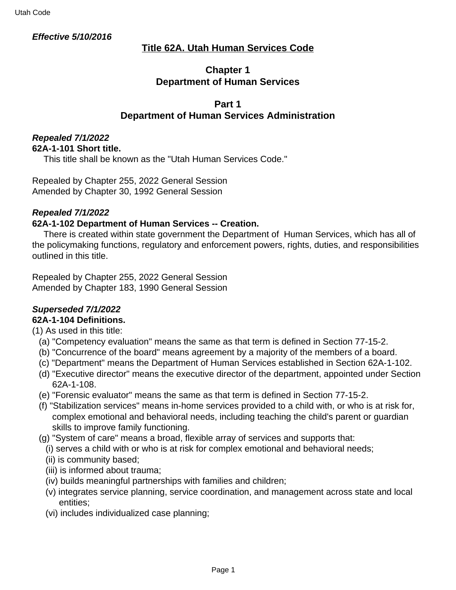## **Effective 5/10/2016**

## **Title 62A. Utah Human Services Code**

## **Chapter 1 Department of Human Services**

## **Part 1 Department of Human Services Administration**

### **Repealed 7/1/2022 62A-1-101 Short title.**

This title shall be known as the "Utah Human Services Code."

Repealed by Chapter 255, 2022 General Session Amended by Chapter 30, 1992 General Session

### **Repealed 7/1/2022**

## **62A-1-102 Department of Human Services -- Creation.**

 There is created within state government the Department of Human Services, which has all of the policymaking functions, regulatory and enforcement powers, rights, duties, and responsibilities outlined in this title.

Repealed by Chapter 255, 2022 General Session Amended by Chapter 183, 1990 General Session

#### **Superseded 7/1/2022 62A-1-104 Definitions.**

(1) As used in this title:

- (a) "Competency evaluation" means the same as that term is defined in Section 77-15-2.
- (b) "Concurrence of the board" means agreement by a majority of the members of a board.
- (c) "Department" means the Department of Human Services established in Section 62A-1-102.
- (d) "Executive director" means the executive director of the department, appointed under Section 62A-1-108.
- (e) "Forensic evaluator" means the same as that term is defined in Section 77-15-2.
- (f) "Stabilization services" means in-home services provided to a child with, or who is at risk for, complex emotional and behavioral needs, including teaching the child's parent or guardian skills to improve family functioning.
- (g) "System of care" means a broad, flexible array of services and supports that:
- (i) serves a child with or who is at risk for complex emotional and behavioral needs;
- (ii) is community based;
- (iii) is informed about trauma;
- (iv) builds meaningful partnerships with families and children;
- (v) integrates service planning, service coordination, and management across state and local entities;
- (vi) includes individualized case planning;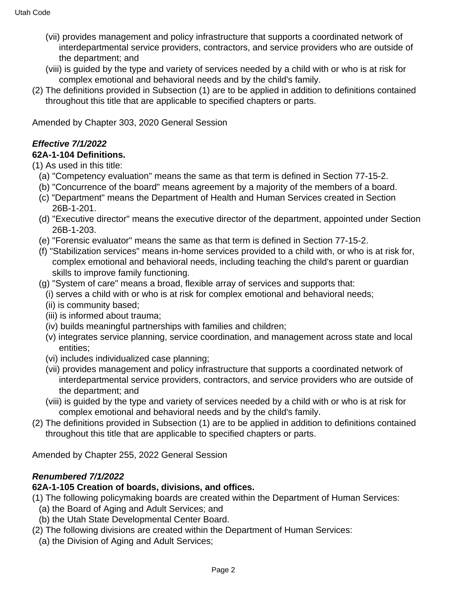- (vii) provides management and policy infrastructure that supports a coordinated network of interdepartmental service providers, contractors, and service providers who are outside of the department; and
- (viii) is guided by the type and variety of services needed by a child with or who is at risk for complex emotional and behavioral needs and by the child's family.
- (2) The definitions provided in Subsection (1) are to be applied in addition to definitions contained throughout this title that are applicable to specified chapters or parts.

Amended by Chapter 303, 2020 General Session

# **Effective 7/1/2022**

## **62A-1-104 Definitions.**

(1) As used in this title:

- (a) "Competency evaluation" means the same as that term is defined in Section 77-15-2.
- (b) "Concurrence of the board" means agreement by a majority of the members of a board.
- (c) "Department" means the Department of Health and Human Services created in Section 26B-1-201.
- (d) "Executive director" means the executive director of the department, appointed under Section 26B-1-203.
- (e) "Forensic evaluator" means the same as that term is defined in Section 77-15-2.
- (f) "Stabilization services" means in-home services provided to a child with, or who is at risk for, complex emotional and behavioral needs, including teaching the child's parent or guardian skills to improve family functioning.
- (g) "System of care" means a broad, flexible array of services and supports that:
	- (i) serves a child with or who is at risk for complex emotional and behavioral needs;
	- (ii) is community based;
	- (iii) is informed about trauma;
	- (iv) builds meaningful partnerships with families and children;
	- (v) integrates service planning, service coordination, and management across state and local entities;
	- (vi) includes individualized case planning;
	- (vii) provides management and policy infrastructure that supports a coordinated network of interdepartmental service providers, contractors, and service providers who are outside of the department; and
	- (viii) is guided by the type and variety of services needed by a child with or who is at risk for complex emotional and behavioral needs and by the child's family.
- (2) The definitions provided in Subsection (1) are to be applied in addition to definitions contained throughout this title that are applicable to specified chapters or parts.

Amended by Chapter 255, 2022 General Session

# **Renumbered 7/1/2022**

## **62A-1-105 Creation of boards, divisions, and offices.**

- (1) The following policymaking boards are created within the Department of Human Services:
	- (a) the Board of Aging and Adult Services; and
	- (b) the Utah State Developmental Center Board.
- (2) The following divisions are created within the Department of Human Services:
	- (a) the Division of Aging and Adult Services;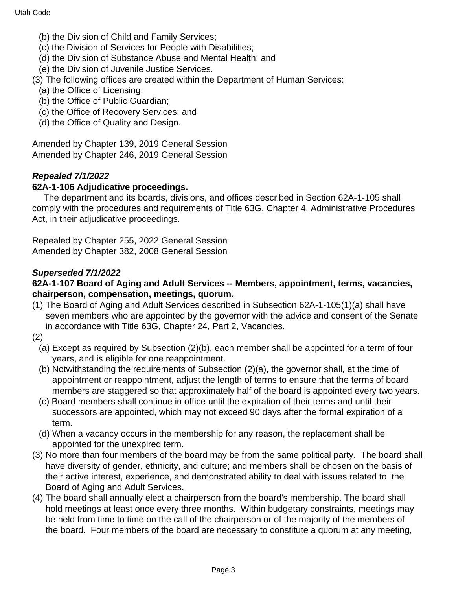- (b) the Division of Child and Family Services;
- (c) the Division of Services for People with Disabilities;
- (d) the Division of Substance Abuse and Mental Health; and
- (e) the Division of Juvenile Justice Services.
- (3) The following offices are created within the Department of Human Services:
	- (a) the Office of Licensing;
	- (b) the Office of Public Guardian;
	- (c) the Office of Recovery Services; and
	- (d) the Office of Quality and Design.

Amended by Chapter 139, 2019 General Session Amended by Chapter 246, 2019 General Session

#### **Repealed 7/1/2022**

#### **62A-1-106 Adjudicative proceedings.**

 The department and its boards, divisions, and offices described in Section 62A-1-105 shall comply with the procedures and requirements of Title 63G, Chapter 4, Administrative Procedures Act, in their adjudicative proceedings.

Repealed by Chapter 255, 2022 General Session Amended by Chapter 382, 2008 General Session

#### **Superseded 7/1/2022**

#### **62A-1-107 Board of Aging and Adult Services -- Members, appointment, terms, vacancies, chairperson, compensation, meetings, quorum.**

- (1) The Board of Aging and Adult Services described in Subsection 62A-1-105(1)(a) shall have seven members who are appointed by the governor with the advice and consent of the Senate in accordance with Title 63G, Chapter 24, Part 2, Vacancies.
- (2)
	- (a) Except as required by Subsection (2)(b), each member shall be appointed for a term of four years, and is eligible for one reappointment.
	- (b) Notwithstanding the requirements of Subsection (2)(a), the governor shall, at the time of appointment or reappointment, adjust the length of terms to ensure that the terms of board members are staggered so that approximately half of the board is appointed every two years.
	- (c) Board members shall continue in office until the expiration of their terms and until their successors are appointed, which may not exceed 90 days after the formal expiration of a term.
	- (d) When a vacancy occurs in the membership for any reason, the replacement shall be appointed for the unexpired term.
- (3) No more than four members of the board may be from the same political party. The board shall have diversity of gender, ethnicity, and culture; and members shall be chosen on the basis of their active interest, experience, and demonstrated ability to deal with issues related to the Board of Aging and Adult Services.
- (4) The board shall annually elect a chairperson from the board's membership. The board shall hold meetings at least once every three months. Within budgetary constraints, meetings may be held from time to time on the call of the chairperson or of the majority of the members of the board. Four members of the board are necessary to constitute a quorum at any meeting,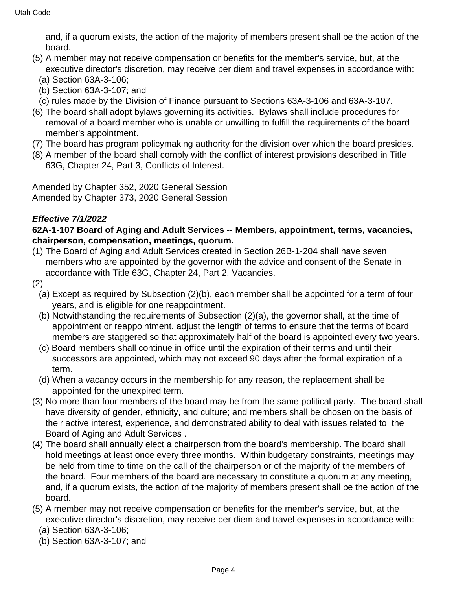and, if a quorum exists, the action of the majority of members present shall be the action of the board.

- (5) A member may not receive compensation or benefits for the member's service, but, at the executive director's discretion, may receive per diem and travel expenses in accordance with:
	- (a) Section 63A-3-106;
	- (b) Section 63A-3-107; and
	- (c) rules made by the Division of Finance pursuant to Sections 63A-3-106 and 63A-3-107.
- (6) The board shall adopt bylaws governing its activities. Bylaws shall include procedures for removal of a board member who is unable or unwilling to fulfill the requirements of the board member's appointment.
- (7) The board has program policymaking authority for the division over which the board presides.
- (8) A member of the board shall comply with the conflict of interest provisions described in Title 63G, Chapter 24, Part 3, Conflicts of Interest.

Amended by Chapter 352, 2020 General Session Amended by Chapter 373, 2020 General Session

### **Effective 7/1/2022**

**62A-1-107 Board of Aging and Adult Services -- Members, appointment, terms, vacancies, chairperson, compensation, meetings, quorum.**

- (1) The Board of Aging and Adult Services created in Section 26B-1-204 shall have seven members who are appointed by the governor with the advice and consent of the Senate in accordance with Title 63G, Chapter 24, Part 2, Vacancies.
- (2)
	- (a) Except as required by Subsection (2)(b), each member shall be appointed for a term of four years, and is eligible for one reappointment.
	- (b) Notwithstanding the requirements of Subsection (2)(a), the governor shall, at the time of appointment or reappointment, adjust the length of terms to ensure that the terms of board members are staggered so that approximately half of the board is appointed every two years.
	- (c) Board members shall continue in office until the expiration of their terms and until their successors are appointed, which may not exceed 90 days after the formal expiration of a term.
	- (d) When a vacancy occurs in the membership for any reason, the replacement shall be appointed for the unexpired term.
- (3) No more than four members of the board may be from the same political party. The board shall have diversity of gender, ethnicity, and culture; and members shall be chosen on the basis of their active interest, experience, and demonstrated ability to deal with issues related to the Board of Aging and Adult Services .
- (4) The board shall annually elect a chairperson from the board's membership. The board shall hold meetings at least once every three months. Within budgetary constraints, meetings may be held from time to time on the call of the chairperson or of the majority of the members of the board. Four members of the board are necessary to constitute a quorum at any meeting, and, if a quorum exists, the action of the majority of members present shall be the action of the board.
- (5) A member may not receive compensation or benefits for the member's service, but, at the executive director's discretion, may receive per diem and travel expenses in accordance with:
	- (a) Section 63A-3-106;
	- (b) Section 63A-3-107; and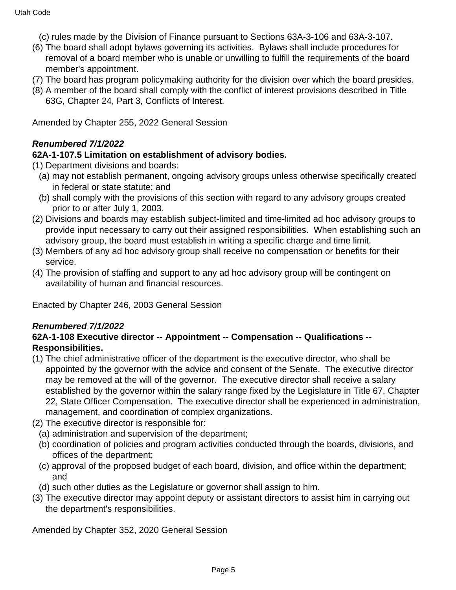(c) rules made by the Division of Finance pursuant to Sections 63A-3-106 and 63A-3-107.

- (6) The board shall adopt bylaws governing its activities. Bylaws shall include procedures for removal of a board member who is unable or unwilling to fulfill the requirements of the board member's appointment.
- (7) The board has program policymaking authority for the division over which the board presides.
- (8) A member of the board shall comply with the conflict of interest provisions described in Title 63G, Chapter 24, Part 3, Conflicts of Interest.

Amended by Chapter 255, 2022 General Session

## **Renumbered 7/1/2022**

### **62A-1-107.5 Limitation on establishment of advisory bodies.**

- (1) Department divisions and boards:
	- (a) may not establish permanent, ongoing advisory groups unless otherwise specifically created in federal or state statute; and
	- (b) shall comply with the provisions of this section with regard to any advisory groups created prior to or after July 1, 2003.
- (2) Divisions and boards may establish subject-limited and time-limited ad hoc advisory groups to provide input necessary to carry out their assigned responsibilities. When establishing such an advisory group, the board must establish in writing a specific charge and time limit.
- (3) Members of any ad hoc advisory group shall receive no compensation or benefits for their service.
- (4) The provision of staffing and support to any ad hoc advisory group will be contingent on availability of human and financial resources.

Enacted by Chapter 246, 2003 General Session

#### **Renumbered 7/1/2022**

### **62A-1-108 Executive director -- Appointment -- Compensation -- Qualifications -- Responsibilities.**

- (1) The chief administrative officer of the department is the executive director, who shall be appointed by the governor with the advice and consent of the Senate. The executive director may be removed at the will of the governor. The executive director shall receive a salary established by the governor within the salary range fixed by the Legislature in Title 67, Chapter 22, State Officer Compensation. The executive director shall be experienced in administration, management, and coordination of complex organizations.
- (2) The executive director is responsible for:
	- (a) administration and supervision of the department;
	- (b) coordination of policies and program activities conducted through the boards, divisions, and offices of the department;
	- (c) approval of the proposed budget of each board, division, and office within the department; and
	- (d) such other duties as the Legislature or governor shall assign to him.
- (3) The executive director may appoint deputy or assistant directors to assist him in carrying out the department's responsibilities.

Amended by Chapter 352, 2020 General Session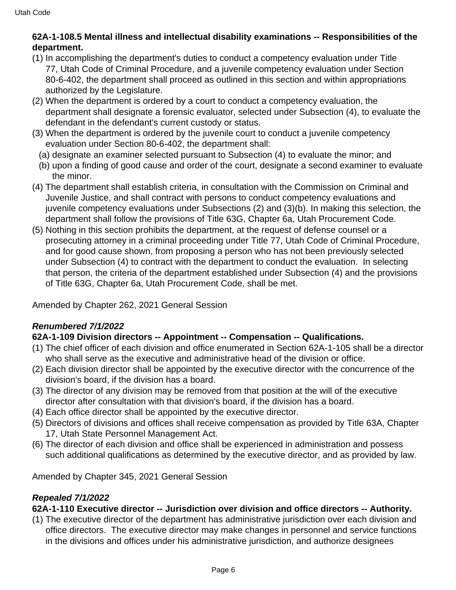## **62A-1-108.5 Mental illness and intellectual disability examinations -- Responsibilities of the department.**

- (1) In accomplishing the department's duties to conduct a competency evaluation under Title 77, Utah Code of Criminal Procedure, and a juvenile competency evaluation under Section 80-6-402, the department shall proceed as outlined in this section and within appropriations authorized by the Legislature.
- (2) When the department is ordered by a court to conduct a competency evaluation, the department shall designate a forensic evaluator, selected under Subsection (4), to evaluate the defendant in the defendant's current custody or status.
- (3) When the department is ordered by the juvenile court to conduct a juvenile competency evaluation under Section 80-6-402, the department shall:
	- (a) designate an examiner selected pursuant to Subsection (4) to evaluate the minor; and
	- (b) upon a finding of good cause and order of the court, designate a second examiner to evaluate the minor.
- (4) The department shall establish criteria, in consultation with the Commission on Criminal and Juvenile Justice, and shall contract with persons to conduct competency evaluations and juvenile competency evaluations under Subsections (2) and (3)(b). In making this selection, the department shall follow the provisions of Title 63G, Chapter 6a, Utah Procurement Code.
- (5) Nothing in this section prohibits the department, at the request of defense counsel or a prosecuting attorney in a criminal proceeding under Title 77, Utah Code of Criminal Procedure, and for good cause shown, from proposing a person who has not been previously selected under Subsection (4) to contract with the department to conduct the evaluation. In selecting that person, the criteria of the department established under Subsection (4) and the provisions of Title 63G, Chapter 6a, Utah Procurement Code, shall be met.

Amended by Chapter 262, 2021 General Session

# **Renumbered 7/1/2022**

## **62A-1-109 Division directors -- Appointment -- Compensation -- Qualifications.**

- (1) The chief officer of each division and office enumerated in Section 62A-1-105 shall be a director who shall serve as the executive and administrative head of the division or office.
- (2) Each division director shall be appointed by the executive director with the concurrence of the division's board, if the division has a board.
- (3) The director of any division may be removed from that position at the will of the executive director after consultation with that division's board, if the division has a board.
- (4) Each office director shall be appointed by the executive director.
- (5) Directors of divisions and offices shall receive compensation as provided by Title 63A, Chapter 17, Utah State Personnel Management Act.
- (6) The director of each division and office shall be experienced in administration and possess such additional qualifications as determined by the executive director, and as provided by law.

Amended by Chapter 345, 2021 General Session

# **Repealed 7/1/2022**

# **62A-1-110 Executive director -- Jurisdiction over division and office directors -- Authority.**

(1) The executive director of the department has administrative jurisdiction over each division and office directors. The executive director may make changes in personnel and service functions in the divisions and offices under his administrative jurisdiction, and authorize designees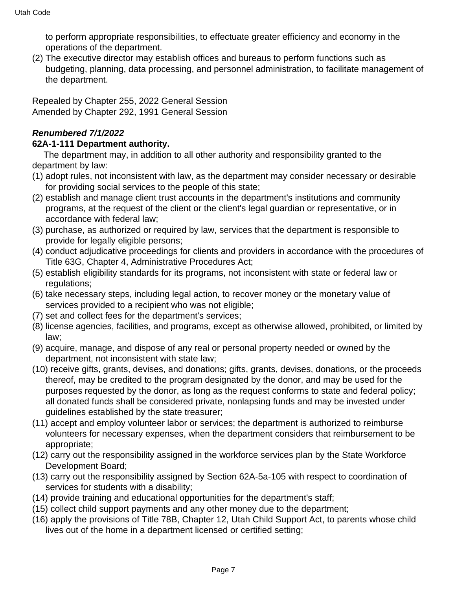to perform appropriate responsibilities, to effectuate greater efficiency and economy in the operations of the department.

(2) The executive director may establish offices and bureaus to perform functions such as budgeting, planning, data processing, and personnel administration, to facilitate management of the department.

Repealed by Chapter 255, 2022 General Session Amended by Chapter 292, 1991 General Session

## **Renumbered 7/1/2022**

#### **62A-1-111 Department authority.**

 The department may, in addition to all other authority and responsibility granted to the department by law:

- (1) adopt rules, not inconsistent with law, as the department may consider necessary or desirable for providing social services to the people of this state;
- (2) establish and manage client trust accounts in the department's institutions and community programs, at the request of the client or the client's legal guardian or representative, or in accordance with federal law;
- (3) purchase, as authorized or required by law, services that the department is responsible to provide for legally eligible persons;
- (4) conduct adjudicative proceedings for clients and providers in accordance with the procedures of Title 63G, Chapter 4, Administrative Procedures Act;
- (5) establish eligibility standards for its programs, not inconsistent with state or federal law or regulations;
- (6) take necessary steps, including legal action, to recover money or the monetary value of services provided to a recipient who was not eligible;
- (7) set and collect fees for the department's services;
- (8) license agencies, facilities, and programs, except as otherwise allowed, prohibited, or limited by law;
- (9) acquire, manage, and dispose of any real or personal property needed or owned by the department, not inconsistent with state law;
- (10) receive gifts, grants, devises, and donations; gifts, grants, devises, donations, or the proceeds thereof, may be credited to the program designated by the donor, and may be used for the purposes requested by the donor, as long as the request conforms to state and federal policy; all donated funds shall be considered private, nonlapsing funds and may be invested under guidelines established by the state treasurer;
- (11) accept and employ volunteer labor or services; the department is authorized to reimburse volunteers for necessary expenses, when the department considers that reimbursement to be appropriate;
- (12) carry out the responsibility assigned in the workforce services plan by the State Workforce Development Board;
- (13) carry out the responsibility assigned by Section 62A-5a-105 with respect to coordination of services for students with a disability;
- (14) provide training and educational opportunities for the department's staff;
- (15) collect child support payments and any other money due to the department;
- (16) apply the provisions of Title 78B, Chapter 12, Utah Child Support Act, to parents whose child lives out of the home in a department licensed or certified setting;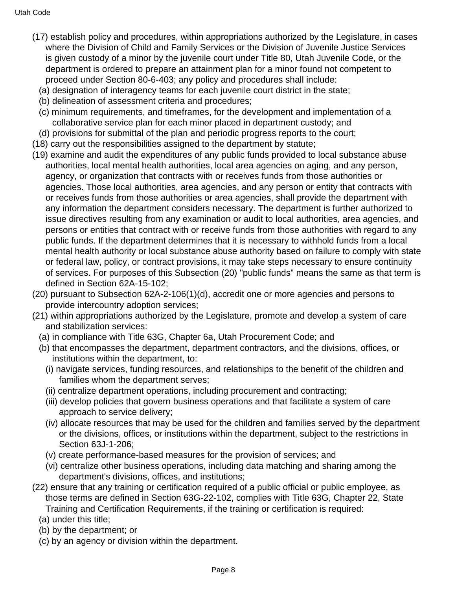- (17) establish policy and procedures, within appropriations authorized by the Legislature, in cases where the Division of Child and Family Services or the Division of Juvenile Justice Services is given custody of a minor by the juvenile court under Title 80, Utah Juvenile Code, or the department is ordered to prepare an attainment plan for a minor found not competent to proceed under Section 80-6-403; any policy and procedures shall include:
	- (a) designation of interagency teams for each juvenile court district in the state;
	- (b) delineation of assessment criteria and procedures;
	- (c) minimum requirements, and timeframes, for the development and implementation of a collaborative service plan for each minor placed in department custody; and
	- (d) provisions for submittal of the plan and periodic progress reports to the court;
- (18) carry out the responsibilities assigned to the department by statute;
- (19) examine and audit the expenditures of any public funds provided to local substance abuse authorities, local mental health authorities, local area agencies on aging, and any person, agency, or organization that contracts with or receives funds from those authorities or agencies. Those local authorities, area agencies, and any person or entity that contracts with or receives funds from those authorities or area agencies, shall provide the department with any information the department considers necessary. The department is further authorized to issue directives resulting from any examination or audit to local authorities, area agencies, and persons or entities that contract with or receive funds from those authorities with regard to any public funds. If the department determines that it is necessary to withhold funds from a local mental health authority or local substance abuse authority based on failure to comply with state or federal law, policy, or contract provisions, it may take steps necessary to ensure continuity of services. For purposes of this Subsection (20) "public funds" means the same as that term is defined in Section 62A-15-102;
- (20) pursuant to Subsection 62A-2-106(1)(d), accredit one or more agencies and persons to provide intercountry adoption services;
- (21) within appropriations authorized by the Legislature, promote and develop a system of care and stabilization services:
	- (a) in compliance with Title 63G, Chapter 6a, Utah Procurement Code; and
	- (b) that encompasses the department, department contractors, and the divisions, offices, or institutions within the department, to:
		- (i) navigate services, funding resources, and relationships to the benefit of the children and families whom the department serves;
		- (ii) centralize department operations, including procurement and contracting;
		- (iii) develop policies that govern business operations and that facilitate a system of care approach to service delivery;
		- (iv) allocate resources that may be used for the children and families served by the department or the divisions, offices, or institutions within the department, subject to the restrictions in Section 63J-1-206;
		- (v) create performance-based measures for the provision of services; and
		- (vi) centralize other business operations, including data matching and sharing among the department's divisions, offices, and institutions;
- (22) ensure that any training or certification required of a public official or public employee, as those terms are defined in Section 63G-22-102, complies with Title 63G, Chapter 22, State Training and Certification Requirements, if the training or certification is required:
	- (a) under this title;
	- (b) by the department; or
	- (c) by an agency or division within the department.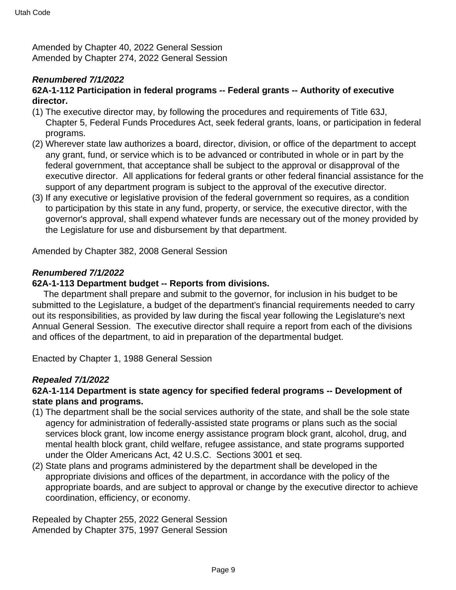Amended by Chapter 40, 2022 General Session Amended by Chapter 274, 2022 General Session

## **Renumbered 7/1/2022**

## **62A-1-112 Participation in federal programs -- Federal grants -- Authority of executive director.**

- (1) The executive director may, by following the procedures and requirements of Title 63J, Chapter 5, Federal Funds Procedures Act, seek federal grants, loans, or participation in federal programs.
- (2) Wherever state law authorizes a board, director, division, or office of the department to accept any grant, fund, or service which is to be advanced or contributed in whole or in part by the federal government, that acceptance shall be subject to the approval or disapproval of the executive director. All applications for federal grants or other federal financial assistance for the support of any department program is subject to the approval of the executive director.
- (3) If any executive or legislative provision of the federal government so requires, as a condition to participation by this state in any fund, property, or service, the executive director, with the governor's approval, shall expend whatever funds are necessary out of the money provided by the Legislature for use and disbursement by that department.

Amended by Chapter 382, 2008 General Session

### **Renumbered 7/1/2022**

#### **62A-1-113 Department budget -- Reports from divisions.**

 The department shall prepare and submit to the governor, for inclusion in his budget to be submitted to the Legislature, a budget of the department's financial requirements needed to carry out its responsibilities, as provided by law during the fiscal year following the Legislature's next Annual General Session. The executive director shall require a report from each of the divisions and offices of the department, to aid in preparation of the departmental budget.

Enacted by Chapter 1, 1988 General Session

## **Repealed 7/1/2022**

### **62A-1-114 Department is state agency for specified federal programs -- Development of state plans and programs.**

- (1) The department shall be the social services authority of the state, and shall be the sole state agency for administration of federally-assisted state programs or plans such as the social services block grant, low income energy assistance program block grant, alcohol, drug, and mental health block grant, child welfare, refugee assistance, and state programs supported under the Older Americans Act, 42 U.S.C. Sections 3001 et seq.
- (2) State plans and programs administered by the department shall be developed in the appropriate divisions and offices of the department, in accordance with the policy of the appropriate boards, and are subject to approval or change by the executive director to achieve coordination, efficiency, or economy.

Repealed by Chapter 255, 2022 General Session Amended by Chapter 375, 1997 General Session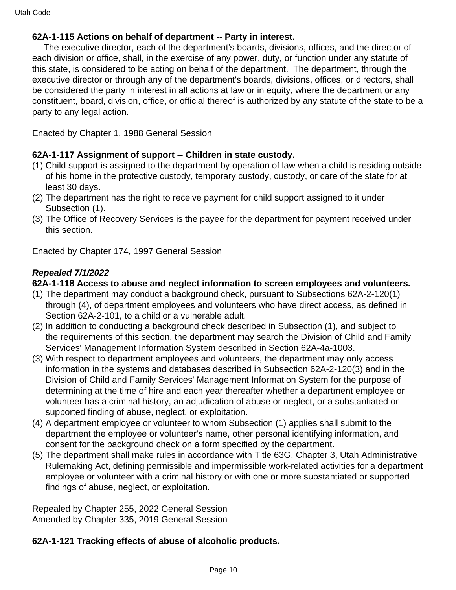#### **62A-1-115 Actions on behalf of department -- Party in interest.**

 The executive director, each of the department's boards, divisions, offices, and the director of each division or office, shall, in the exercise of any power, duty, or function under any statute of this state, is considered to be acting on behalf of the department. The department, through the executive director or through any of the department's boards, divisions, offices, or directors, shall be considered the party in interest in all actions at law or in equity, where the department or any constituent, board, division, office, or official thereof is authorized by any statute of the state to be a party to any legal action.

Enacted by Chapter 1, 1988 General Session

#### **62A-1-117 Assignment of support -- Children in state custody.**

- (1) Child support is assigned to the department by operation of law when a child is residing outside of his home in the protective custody, temporary custody, custody, or care of the state for at least 30 days.
- (2) The department has the right to receive payment for child support assigned to it under Subsection (1).
- (3) The Office of Recovery Services is the payee for the department for payment received under this section.

Enacted by Chapter 174, 1997 General Session

### **Repealed 7/1/2022**

#### **62A-1-118 Access to abuse and neglect information to screen employees and volunteers.**

- (1) The department may conduct a background check, pursuant to Subsections 62A-2-120(1) through (4), of department employees and volunteers who have direct access, as defined in Section 62A-2-101, to a child or a vulnerable adult.
- (2) In addition to conducting a background check described in Subsection (1), and subject to the requirements of this section, the department may search the Division of Child and Family Services' Management Information System described in Section 62A-4a-1003.
- (3) With respect to department employees and volunteers, the department may only access information in the systems and databases described in Subsection 62A-2-120(3) and in the Division of Child and Family Services' Management Information System for the purpose of determining at the time of hire and each year thereafter whether a department employee or volunteer has a criminal history, an adjudication of abuse or neglect, or a substantiated or supported finding of abuse, neglect, or exploitation.
- (4) A department employee or volunteer to whom Subsection (1) applies shall submit to the department the employee or volunteer's name, other personal identifying information, and consent for the background check on a form specified by the department.
- (5) The department shall make rules in accordance with Title 63G, Chapter 3, Utah Administrative Rulemaking Act, defining permissible and impermissible work-related activities for a department employee or volunteer with a criminal history or with one or more substantiated or supported findings of abuse, neglect, or exploitation.

Repealed by Chapter 255, 2022 General Session Amended by Chapter 335, 2019 General Session

#### **62A-1-121 Tracking effects of abuse of alcoholic products.**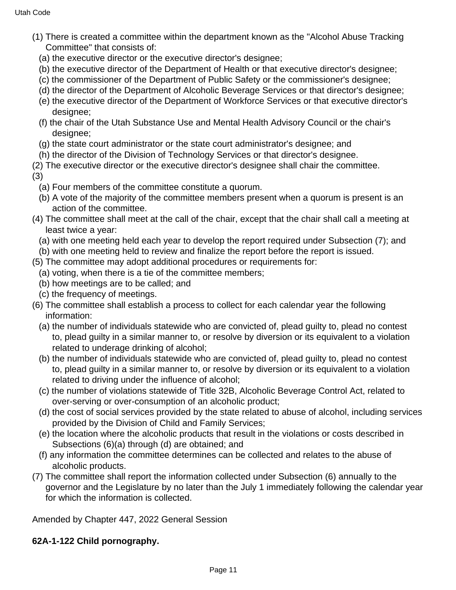- (1) There is created a committee within the department known as the "Alcohol Abuse Tracking Committee" that consists of:
	- (a) the executive director or the executive director's designee;
	- (b) the executive director of the Department of Health or that executive director's designee;
	- (c) the commissioner of the Department of Public Safety or the commissioner's designee;
	- (d) the director of the Department of Alcoholic Beverage Services or that director's designee;
	- (e) the executive director of the Department of Workforce Services or that executive director's designee;
	- (f) the chair of the Utah Substance Use and Mental Health Advisory Council or the chair's designee;
	- (g) the state court administrator or the state court administrator's designee; and
	- (h) the director of the Division of Technology Services or that director's designee.
- (2) The executive director or the executive director's designee shall chair the committee.
- (3)
	- (a) Four members of the committee constitute a quorum.
	- (b) A vote of the majority of the committee members present when a quorum is present is an action of the committee.
- (4) The committee shall meet at the call of the chair, except that the chair shall call a meeting at least twice a year:
	- (a) with one meeting held each year to develop the report required under Subsection (7); and
	- (b) with one meeting held to review and finalize the report before the report is issued.
- (5) The committee may adopt additional procedures or requirements for:
	- (a) voting, when there is a tie of the committee members;
	- (b) how meetings are to be called; and
	- (c) the frequency of meetings.
- (6) The committee shall establish a process to collect for each calendar year the following information:
	- (a) the number of individuals statewide who are convicted of, plead guilty to, plead no contest to, plead guilty in a similar manner to, or resolve by diversion or its equivalent to a violation related to underage drinking of alcohol;
	- (b) the number of individuals statewide who are convicted of, plead guilty to, plead no contest to, plead guilty in a similar manner to, or resolve by diversion or its equivalent to a violation related to driving under the influence of alcohol;
	- (c) the number of violations statewide of Title 32B, Alcoholic Beverage Control Act, related to over-serving or over-consumption of an alcoholic product;
	- (d) the cost of social services provided by the state related to abuse of alcohol, including services provided by the Division of Child and Family Services;
	- (e) the location where the alcoholic products that result in the violations or costs described in Subsections (6)(a) through (d) are obtained; and
	- (f) any information the committee determines can be collected and relates to the abuse of alcoholic products.
- (7) The committee shall report the information collected under Subsection (6) annually to the governor and the Legislature by no later than the July 1 immediately following the calendar year for which the information is collected.

Amended by Chapter 447, 2022 General Session

## **62A-1-122 Child pornography.**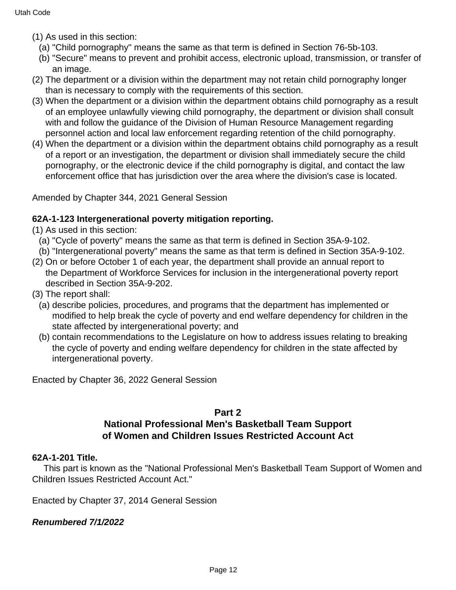- (1) As used in this section:
	- (a) "Child pornography" means the same as that term is defined in Section 76-5b-103.
	- (b) "Secure" means to prevent and prohibit access, electronic upload, transmission, or transfer of an image.
- (2) The department or a division within the department may not retain child pornography longer than is necessary to comply with the requirements of this section.
- (3) When the department or a division within the department obtains child pornography as a result of an employee unlawfully viewing child pornography, the department or division shall consult with and follow the guidance of the Division of Human Resource Management regarding personnel action and local law enforcement regarding retention of the child pornography.
- (4) When the department or a division within the department obtains child pornography as a result of a report or an investigation, the department or division shall immediately secure the child pornography, or the electronic device if the child pornography is digital, and contact the law enforcement office that has jurisdiction over the area where the division's case is located.

Amended by Chapter 344, 2021 General Session

### **62A-1-123 Intergenerational poverty mitigation reporting.**

(1) As used in this section:

- (a) "Cycle of poverty" means the same as that term is defined in Section 35A-9-102.
- (b) "Intergenerational poverty" means the same as that term is defined in Section 35A-9-102.
- (2) On or before October 1 of each year, the department shall provide an annual report to the Department of Workforce Services for inclusion in the intergenerational poverty report described in Section 35A-9-202.
- (3) The report shall:
	- (a) describe policies, procedures, and programs that the department has implemented or modified to help break the cycle of poverty and end welfare dependency for children in the state affected by intergenerational poverty; and
	- (b) contain recommendations to the Legislature on how to address issues relating to breaking the cycle of poverty and ending welfare dependency for children in the state affected by intergenerational poverty.

Enacted by Chapter 36, 2022 General Session

#### **Part 2**

## **National Professional Men's Basketball Team Support of Women and Children Issues Restricted Account Act**

#### **62A-1-201 Title.**

 This part is known as the "National Professional Men's Basketball Team Support of Women and Children Issues Restricted Account Act."

Enacted by Chapter 37, 2014 General Session

#### **Renumbered 7/1/2022**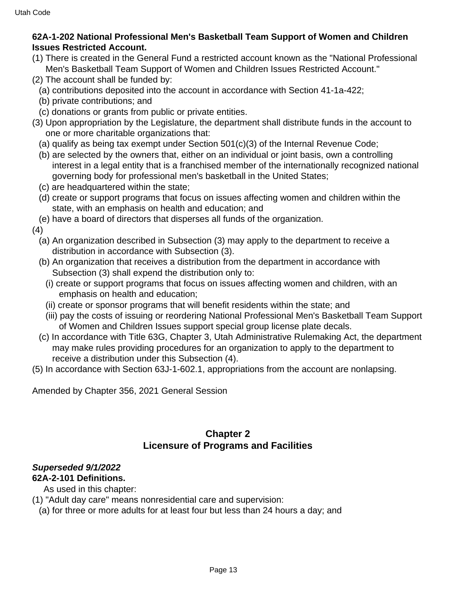## **62A-1-202 National Professional Men's Basketball Team Support of Women and Children Issues Restricted Account.**

- (1) There is created in the General Fund a restricted account known as the "National Professional Men's Basketball Team Support of Women and Children Issues Restricted Account."
- (2) The account shall be funded by:
	- (a) contributions deposited into the account in accordance with Section 41-1a-422;
	- (b) private contributions; and
	- (c) donations or grants from public or private entities.
- (3) Upon appropriation by the Legislature, the department shall distribute funds in the account to one or more charitable organizations that:
	- (a) qualify as being tax exempt under Section 501(c)(3) of the Internal Revenue Code;
	- (b) are selected by the owners that, either on an individual or joint basis, own a controlling interest in a legal entity that is a franchised member of the internationally recognized national governing body for professional men's basketball in the United States;
	- (c) are headquartered within the state;
	- (d) create or support programs that focus on issues affecting women and children within the state, with an emphasis on health and education; and
	- (e) have a board of directors that disperses all funds of the organization.
- (4)
	- (a) An organization described in Subsection (3) may apply to the department to receive a distribution in accordance with Subsection (3).
	- (b) An organization that receives a distribution from the department in accordance with Subsection (3) shall expend the distribution only to:
		- (i) create or support programs that focus on issues affecting women and children, with an emphasis on health and education;
		- (ii) create or sponsor programs that will benefit residents within the state; and
		- (iii) pay the costs of issuing or reordering National Professional Men's Basketball Team Support of Women and Children Issues support special group license plate decals.
	- (c) In accordance with Title 63G, Chapter 3, Utah Administrative Rulemaking Act, the department may make rules providing procedures for an organization to apply to the department to receive a distribution under this Subsection (4).
- (5) In accordance with Section 63J-1-602.1, appropriations from the account are nonlapsing.

Amended by Chapter 356, 2021 General Session

## **Chapter 2 Licensure of Programs and Facilities**

## **Superseded 9/1/2022**

**62A-2-101 Definitions.**

As used in this chapter:

- (1) "Adult day care" means nonresidential care and supervision:
	- (a) for three or more adults for at least four but less than 24 hours a day; and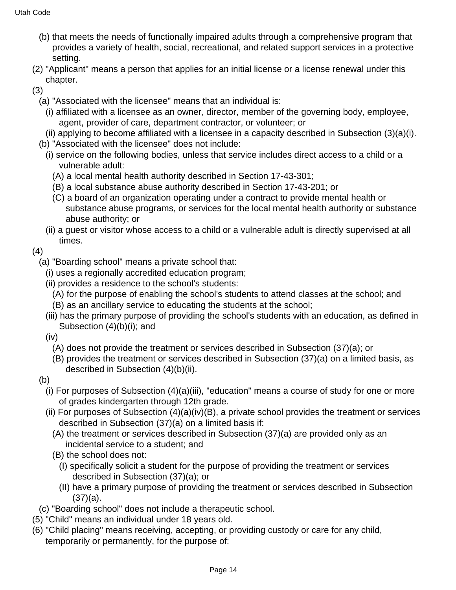- (b) that meets the needs of functionally impaired adults through a comprehensive program that provides a variety of health, social, recreational, and related support services in a protective setting.
- (2) "Applicant" means a person that applies for an initial license or a license renewal under this chapter.
- (3)
	- (a) "Associated with the licensee" means that an individual is:
		- (i) affiliated with a licensee as an owner, director, member of the governing body, employee, agent, provider of care, department contractor, or volunteer; or
	- (ii) applying to become affiliated with a licensee in a capacity described in Subsection (3)(a)(i).
	- (b) "Associated with the licensee" does not include:
		- (i) service on the following bodies, unless that service includes direct access to a child or a vulnerable adult:
			- (A) a local mental health authority described in Section 17-43-301;
			- (B) a local substance abuse authority described in Section 17-43-201; or
			- (C) a board of an organization operating under a contract to provide mental health or substance abuse programs, or services for the local mental health authority or substance abuse authority; or
		- (ii) a guest or visitor whose access to a child or a vulnerable adult is directly supervised at all times.

(4)

- (a) "Boarding school" means a private school that:
	- (i) uses a regionally accredited education program;
	- (ii) provides a residence to the school's students:
		- (A) for the purpose of enabling the school's students to attend classes at the school; and
		- (B) as an ancillary service to educating the students at the school;
	- (iii) has the primary purpose of providing the school's students with an education, as defined in Subsection (4)(b)(i); and
	- (iv)
		- (A) does not provide the treatment or services described in Subsection (37)(a); or
		- (B) provides the treatment or services described in Subsection (37)(a) on a limited basis, as described in Subsection (4)(b)(ii).
- (b)
	- (i) For purposes of Subsection (4)(a)(iii), "education" means a course of study for one or more of grades kindergarten through 12th grade.
	- (ii) For purposes of Subsection  $(4)(a)(iv)(B)$ , a private school provides the treatment or services described in Subsection (37)(a) on a limited basis if:
		- (A) the treatment or services described in Subsection (37)(a) are provided only as an incidental service to a student; and
		- (B) the school does not:
			- (I) specifically solicit a student for the purpose of providing the treatment or services described in Subsection (37)(a); or
			- (II) have a primary purpose of providing the treatment or services described in Subsection  $(37)(a)$ .
- (c) "Boarding school" does not include a therapeutic school.
- (5) "Child" means an individual under 18 years old.
- (6) "Child placing" means receiving, accepting, or providing custody or care for any child, temporarily or permanently, for the purpose of: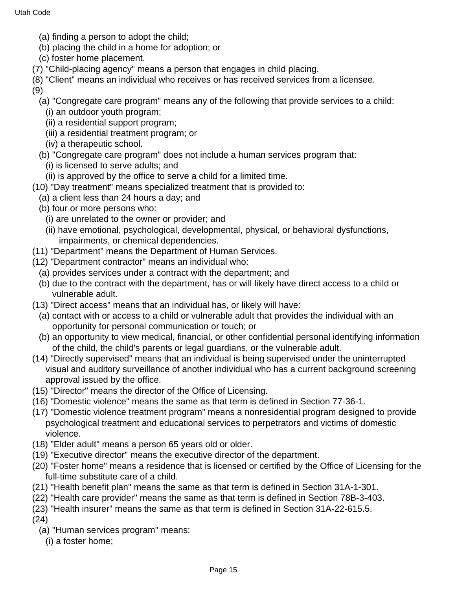- (a) finding a person to adopt the child;
- (b) placing the child in a home for adoption; or
- (c) foster home placement.
- (7) "Child-placing agency" means a person that engages in child placing.
- (8) "Client" means an individual who receives or has received services from a licensee.
- (9)
	- (a) "Congregate care program" means any of the following that provide services to a child:
		- (i) an outdoor youth program;
		- (ii) a residential support program;
		- (iii) a residential treatment program; or
		- (iv) a therapeutic school.
	- (b) "Congregate care program" does not include a human services program that:
		- (i) is licensed to serve adults; and
		- (ii) is approved by the office to serve a child for a limited time.
- (10) "Day treatment" means specialized treatment that is provided to:
	- (a) a client less than 24 hours a day; and
	- (b) four or more persons who:
		- (i) are unrelated to the owner or provider; and
		- (ii) have emotional, psychological, developmental, physical, or behavioral dysfunctions, impairments, or chemical dependencies.
- (11) "Department" means the Department of Human Services.
- (12) "Department contractor" means an individual who:
	- (a) provides services under a contract with the department; and
	- (b) due to the contract with the department, has or will likely have direct access to a child or vulnerable adult.
- (13) "Direct access" means that an individual has, or likely will have:
	- (a) contact with or access to a child or vulnerable adult that provides the individual with an opportunity for personal communication or touch; or
	- (b) an opportunity to view medical, financial, or other confidential personal identifying information of the child, the child's parents or legal guardians, or the vulnerable adult.
- (14) "Directly supervised" means that an individual is being supervised under the uninterrupted visual and auditory surveillance of another individual who has a current background screening approval issued by the office.
- (15) "Director" means the director of the Office of Licensing.
- (16) "Domestic violence" means the same as that term is defined in Section 77-36-1.
- (17) "Domestic violence treatment program" means a nonresidential program designed to provide psychological treatment and educational services to perpetrators and victims of domestic violence.
- (18) "Elder adult" means a person 65 years old or older.
- (19) "Executive director" means the executive director of the department.
- (20) "Foster home" means a residence that is licensed or certified by the Office of Licensing for the full-time substitute care of a child.
- (21) "Health benefit plan" means the same as that term is defined in Section 31A-1-301.
- (22) "Health care provider" means the same as that term is defined in Section 78B-3-403.
- (23) "Health insurer" means the same as that term is defined in Section 31A-22-615.5.
- (24)
	- (a) "Human services program" means:
		- (i) a foster home;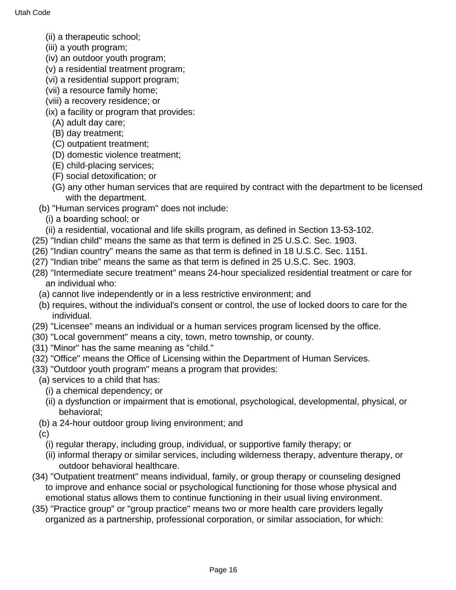- (ii) a therapeutic school;
- (iii) a youth program;
- (iv) an outdoor youth program;
- (v) a residential treatment program;
- (vi) a residential support program;
- (vii) a resource family home;
- (viii) a recovery residence; or
- (ix) a facility or program that provides:
	- (A) adult day care;
	- (B) day treatment;
	- (C) outpatient treatment;
	- (D) domestic violence treatment;
	- (E) child-placing services;
	- (F) social detoxification; or
	- (G) any other human services that are required by contract with the department to be licensed with the department.
- (b) "Human services program" does not include:
	- (i) a boarding school; or
	- (ii) a residential, vocational and life skills program, as defined in Section 13-53-102.
- (25) "Indian child" means the same as that term is defined in 25 U.S.C. Sec. 1903.
- (26) "Indian country" means the same as that term is defined in 18 U.S.C. Sec. 1151.
- (27) "Indian tribe" means the same as that term is defined in 25 U.S.C. Sec. 1903.
- (28) "Intermediate secure treatment" means 24-hour specialized residential treatment or care for an individual who:
	- (a) cannot live independently or in a less restrictive environment; and
	- (b) requires, without the individual's consent or control, the use of locked doors to care for the individual.
- (29) "Licensee" means an individual or a human services program licensed by the office.
- (30) "Local government" means a city, town, metro township, or county.
- (31) "Minor" has the same meaning as "child."
- (32) "Office" means the Office of Licensing within the Department of Human Services.
- (33) "Outdoor youth program" means a program that provides:
	- (a) services to a child that has:
		- (i) a chemical dependency; or
		- (ii) a dysfunction or impairment that is emotional, psychological, developmental, physical, or behavioral;
	- (b) a 24-hour outdoor group living environment; and
	- (c)
		- (i) regular therapy, including group, individual, or supportive family therapy; or
		- (ii) informal therapy or similar services, including wilderness therapy, adventure therapy, or outdoor behavioral healthcare.
- (34) "Outpatient treatment" means individual, family, or group therapy or counseling designed to improve and enhance social or psychological functioning for those whose physical and emotional status allows them to continue functioning in their usual living environment.
- (35) "Practice group" or "group practice" means two or more health care providers legally organized as a partnership, professional corporation, or similar association, for which: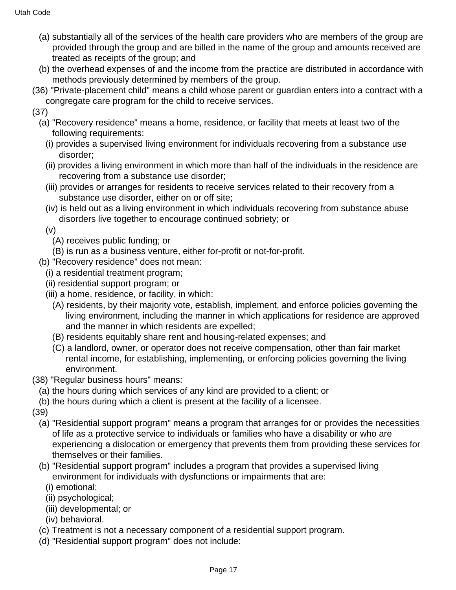- (a) substantially all of the services of the health care providers who are members of the group are provided through the group and are billed in the name of the group and amounts received are treated as receipts of the group; and
- (b) the overhead expenses of and the income from the practice are distributed in accordance with methods previously determined by members of the group.
- (36) "Private-placement child" means a child whose parent or guardian enters into a contract with a congregate care program for the child to receive services.
- (37)
	- (a) "Recovery residence" means a home, residence, or facility that meets at least two of the following requirements:
		- (i) provides a supervised living environment for individuals recovering from a substance use disorder;
		- (ii) provides a living environment in which more than half of the individuals in the residence are recovering from a substance use disorder;
		- (iii) provides or arranges for residents to receive services related to their recovery from a substance use disorder, either on or off site;
		- (iv) is held out as a living environment in which individuals recovering from substance abuse disorders live together to encourage continued sobriety; or
		- (v)
			- (A) receives public funding; or
			- (B) is run as a business venture, either for-profit or not-for-profit.
	- (b) "Recovery residence" does not mean:
		- (i) a residential treatment program;
		- (ii) residential support program; or
		- (iii) a home, residence, or facility, in which:
			- (A) residents, by their majority vote, establish, implement, and enforce policies governing the living environment, including the manner in which applications for residence are approved and the manner in which residents are expelled;
			- (B) residents equitably share rent and housing-related expenses; and
			- (C) a landlord, owner, or operator does not receive compensation, other than fair market rental income, for establishing, implementing, or enforcing policies governing the living environment.
- (38) "Regular business hours" means:
	- (a) the hours during which services of any kind are provided to a client; or
	- (b) the hours during which a client is present at the facility of a licensee.
- (39)
	- (a) "Residential support program" means a program that arranges for or provides the necessities of life as a protective service to individuals or families who have a disability or who are experiencing a dislocation or emergency that prevents them from providing these services for themselves or their families.
	- (b) "Residential support program" includes a program that provides a supervised living environment for individuals with dysfunctions or impairments that are:
		- (i) emotional;
		- (ii) psychological;
		- (iii) developmental; or
		- (iv) behavioral.
	- (c) Treatment is not a necessary component of a residential support program.
	- (d) "Residential support program" does not include: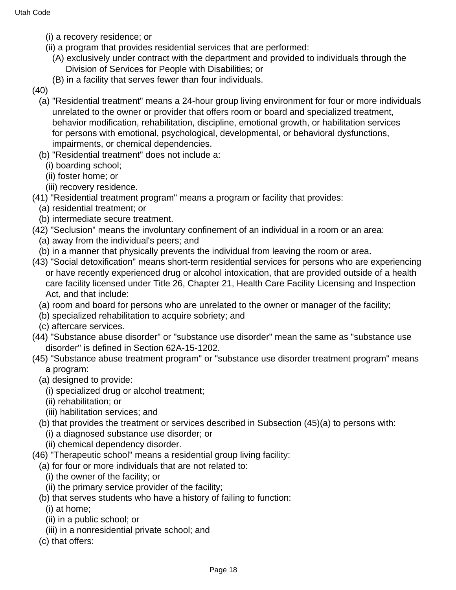- (i) a recovery residence; or
- (ii) a program that provides residential services that are performed:
- (A) exclusively under contract with the department and provided to individuals through the Division of Services for People with Disabilities; or
- (B) in a facility that serves fewer than four individuals.
- (40)
	- (a) "Residential treatment" means a 24-hour group living environment for four or more individuals unrelated to the owner or provider that offers room or board and specialized treatment, behavior modification, rehabilitation, discipline, emotional growth, or habilitation services for persons with emotional, psychological, developmental, or behavioral dysfunctions, impairments, or chemical dependencies.
	- (b) "Residential treatment" does not include a:
		- (i) boarding school;
		- (ii) foster home; or
		- (iii) recovery residence.
- (41) "Residential treatment program" means a program or facility that provides:
	- (a) residential treatment; or
	- (b) intermediate secure treatment.
- (42) "Seclusion" means the involuntary confinement of an individual in a room or an area:
	- (a) away from the individual's peers; and
	- (b) in a manner that physically prevents the individual from leaving the room or area.
- (43) "Social detoxification" means short-term residential services for persons who are experiencing or have recently experienced drug or alcohol intoxication, that are provided outside of a health care facility licensed under Title 26, Chapter 21, Health Care Facility Licensing and Inspection Act, and that include:
	- (a) room and board for persons who are unrelated to the owner or manager of the facility;
	- (b) specialized rehabilitation to acquire sobriety; and
	- (c) aftercare services.
- (44) "Substance abuse disorder" or "substance use disorder" mean the same as "substance use disorder" is defined in Section 62A-15-1202.
- (45) "Substance abuse treatment program" or "substance use disorder treatment program" means a program:
	- (a) designed to provide:
		- (i) specialized drug or alcohol treatment;
		- (ii) rehabilitation; or
		- (iii) habilitation services; and
	- (b) that provides the treatment or services described in Subsection (45)(a) to persons with:
		- (i) a diagnosed substance use disorder; or
		- (ii) chemical dependency disorder.
- (46) "Therapeutic school" means a residential group living facility:
	- (a) for four or more individuals that are not related to:
		- (i) the owner of the facility; or
		- (ii) the primary service provider of the facility;
	- (b) that serves students who have a history of failing to function:
		- (i) at home;
		- (ii) in a public school; or
		- (iii) in a nonresidential private school; and
	- (c) that offers: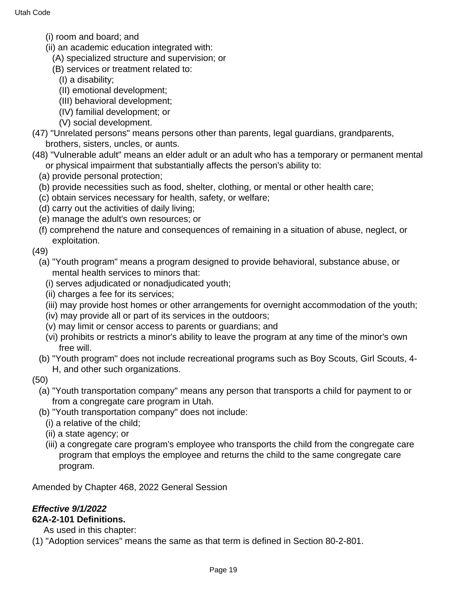- (i) room and board; and
- (ii) an academic education integrated with:
	- (A) specialized structure and supervision; or
	- (B) services or treatment related to:
		- (I) a disability;
		- (II) emotional development;
		- (III) behavioral development;
		- (IV) familial development; or
		- (V) social development.
- (47) "Unrelated persons" means persons other than parents, legal guardians, grandparents, brothers, sisters, uncles, or aunts.
- (48) "Vulnerable adult" means an elder adult or an adult who has a temporary or permanent mental or physical impairment that substantially affects the person's ability to:
	- (a) provide personal protection;
	- (b) provide necessities such as food, shelter, clothing, or mental or other health care;
	- (c) obtain services necessary for health, safety, or welfare;
	- (d) carry out the activities of daily living;
	- (e) manage the adult's own resources; or
	- (f) comprehend the nature and consequences of remaining in a situation of abuse, neglect, or exploitation.

(49)

- (a) "Youth program" means a program designed to provide behavioral, substance abuse, or mental health services to minors that:
	- (i) serves adjudicated or nonadjudicated youth;
	- (ii) charges a fee for its services;
	- (iii) may provide host homes or other arrangements for overnight accommodation of the youth;
	- (iv) may provide all or part of its services in the outdoors;
	- (v) may limit or censor access to parents or guardians; and
	- (vi) prohibits or restricts a minor's ability to leave the program at any time of the minor's own free will.
- (b) "Youth program" does not include recreational programs such as Boy Scouts, Girl Scouts, 4- H, and other such organizations.
- (50)
	- (a) "Youth transportation company" means any person that transports a child for payment to or from a congregate care program in Utah.
	- (b) "Youth transportation company" does not include:
		- (i) a relative of the child;
		- (ii) a state agency; or
		- (iii) a congregate care program's employee who transports the child from the congregate care program that employs the employee and returns the child to the same congregate care program.

Amended by Chapter 468, 2022 General Session

# **Effective 9/1/2022**

## **62A-2-101 Definitions.**

As used in this chapter:

(1) "Adoption services" means the same as that term is defined in Section 80-2-801.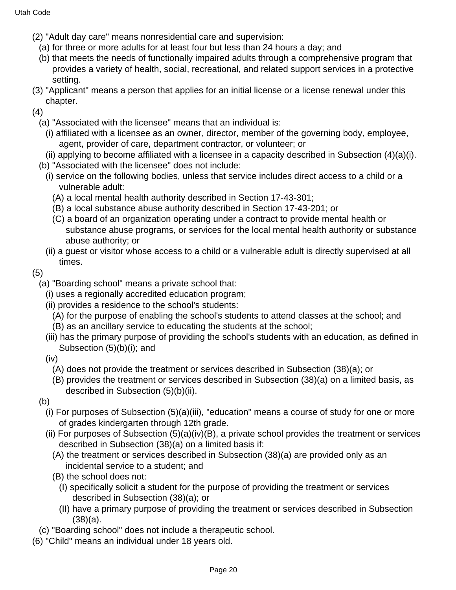- (2) "Adult day care" means nonresidential care and supervision:
	- (a) for three or more adults for at least four but less than 24 hours a day; and
	- (b) that meets the needs of functionally impaired adults through a comprehensive program that provides a variety of health, social, recreational, and related support services in a protective setting.
- (3) "Applicant" means a person that applies for an initial license or a license renewal under this chapter.
- (4)
	- (a) "Associated with the licensee" means that an individual is:
		- (i) affiliated with a licensee as an owner, director, member of the governing body, employee, agent, provider of care, department contractor, or volunteer; or
		- (ii) applying to become affiliated with a licensee in a capacity described in Subsection (4)(a)(i).
	- (b) "Associated with the licensee" does not include:
		- (i) service on the following bodies, unless that service includes direct access to a child or a vulnerable adult:
			- (A) a local mental health authority described in Section 17-43-301;
			- (B) a local substance abuse authority described in Section 17-43-201; or
			- (C) a board of an organization operating under a contract to provide mental health or substance abuse programs, or services for the local mental health authority or substance abuse authority; or
		- (ii) a guest or visitor whose access to a child or a vulnerable adult is directly supervised at all times.

(5)

- (a) "Boarding school" means a private school that:
	- (i) uses a regionally accredited education program;
	- (ii) provides a residence to the school's students:
		- (A) for the purpose of enabling the school's students to attend classes at the school; and
		- (B) as an ancillary service to educating the students at the school;
	- (iii) has the primary purpose of providing the school's students with an education, as defined in Subsection (5)(b)(i); and
	- (iv)
		- (A) does not provide the treatment or services described in Subsection (38)(a); or
		- (B) provides the treatment or services described in Subsection (38)(a) on a limited basis, as described in Subsection (5)(b)(ii).
- (b)
	- (i) For purposes of Subsection (5)(a)(iii), "education" means a course of study for one or more of grades kindergarten through 12th grade.
	- (ii) For purposes of Subsection  $(5)(a)(iv)(B)$ , a private school provides the treatment or services described in Subsection (38)(a) on a limited basis if:
		- (A) the treatment or services described in Subsection (38)(a) are provided only as an incidental service to a student; and
		- (B) the school does not:
			- (I) specifically solicit a student for the purpose of providing the treatment or services described in Subsection (38)(a); or
			- (II) have a primary purpose of providing the treatment or services described in Subsection (38)(a).
- (c) "Boarding school" does not include a therapeutic school.
- (6) "Child" means an individual under 18 years old.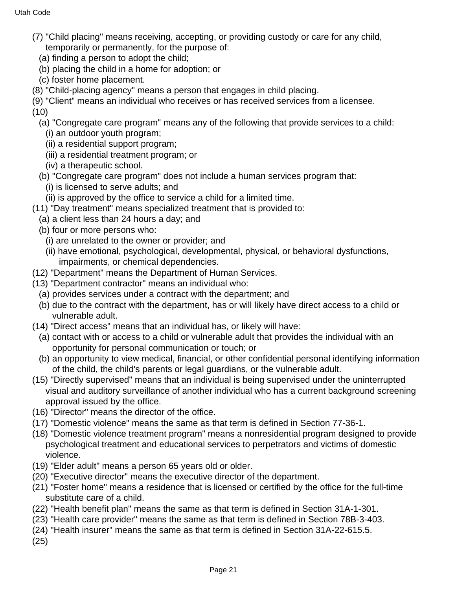- (7) "Child placing" means receiving, accepting, or providing custody or care for any child, temporarily or permanently, for the purpose of:
	- (a) finding a person to adopt the child;
	- (b) placing the child in a home for adoption; or
	- (c) foster home placement.
- (8) "Child-placing agency" means a person that engages in child placing.
- (9) "Client" means an individual who receives or has received services from a licensee.

(10)

- (a) "Congregate care program" means any of the following that provide services to a child:
	- (i) an outdoor youth program;
	- (ii) a residential support program;
	- (iii) a residential treatment program; or
	- (iv) a therapeutic school.
- (b) "Congregate care program" does not include a human services program that:
	- (i) is licensed to serve adults; and
- (ii) is approved by the office to service a child for a limited time.
- (11) "Day treatment" means specialized treatment that is provided to:
- (a) a client less than 24 hours a day; and
- (b) four or more persons who:
	- (i) are unrelated to the owner or provider; and
	- (ii) have emotional, psychological, developmental, physical, or behavioral dysfunctions, impairments, or chemical dependencies.
- (12) "Department" means the Department of Human Services.
- (13) "Department contractor" means an individual who:
	- (a) provides services under a contract with the department; and
	- (b) due to the contract with the department, has or will likely have direct access to a child or vulnerable adult.
- (14) "Direct access" means that an individual has, or likely will have:
	- (a) contact with or access to a child or vulnerable adult that provides the individual with an opportunity for personal communication or touch; or
	- (b) an opportunity to view medical, financial, or other confidential personal identifying information of the child, the child's parents or legal guardians, or the vulnerable adult.
- (15) "Directly supervised" means that an individual is being supervised under the uninterrupted visual and auditory surveillance of another individual who has a current background screening approval issued by the office.
- (16) "Director" means the director of the office.
- (17) "Domestic violence" means the same as that term is defined in Section 77-36-1.
- (18) "Domestic violence treatment program" means a nonresidential program designed to provide psychological treatment and educational services to perpetrators and victims of domestic violence.
- (19) "Elder adult" means a person 65 years old or older.
- (20) "Executive director" means the executive director of the department.
- (21) "Foster home" means a residence that is licensed or certified by the office for the full-time substitute care of a child.
- (22) "Health benefit plan" means the same as that term is defined in Section 31A-1-301.
- (23) "Health care provider" means the same as that term is defined in Section 78B-3-403.
- (24) "Health insurer" means the same as that term is defined in Section 31A-22-615.5.
- (25)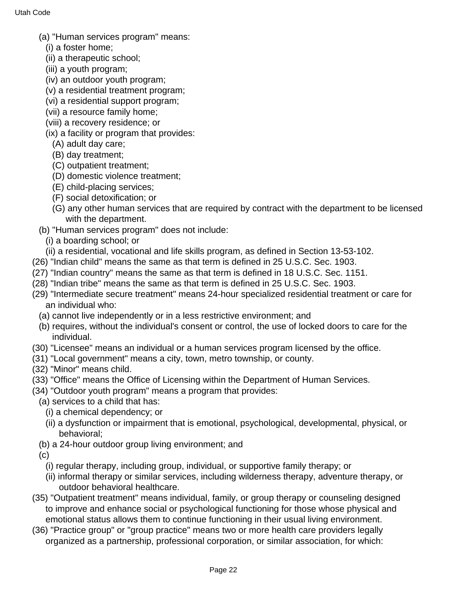- (a) "Human services program" means:
	- (i) a foster home;
	- (ii) a therapeutic school;
	- (iii) a youth program;
	- (iv) an outdoor youth program;
	- (v) a residential treatment program;
	- (vi) a residential support program;
	- (vii) a resource family home;
	- (viii) a recovery residence; or
	- (ix) a facility or program that provides:
		- (A) adult day care;
		- (B) day treatment;
		- (C) outpatient treatment;
		- (D) domestic violence treatment;
		- (E) child-placing services;
		- (F) social detoxification; or
		- (G) any other human services that are required by contract with the department to be licensed with the department.
- (b) "Human services program" does not include:
	- (i) a boarding school; or
	- (ii) a residential, vocational and life skills program, as defined in Section 13-53-102.
- (26) "Indian child" means the same as that term is defined in 25 U.S.C. Sec. 1903.
- (27) "Indian country" means the same as that term is defined in 18 U.S.C. Sec. 1151.
- (28) "Indian tribe" means the same as that term is defined in 25 U.S.C. Sec. 1903.
- (29) "Intermediate secure treatment" means 24-hour specialized residential treatment or care for an individual who:
	- (a) cannot live independently or in a less restrictive environment; and
	- (b) requires, without the individual's consent or control, the use of locked doors to care for the individual.
- (30) "Licensee" means an individual or a human services program licensed by the office.
- (31) "Local government" means a city, town, metro township, or county.
- (32) "Minor" means child.
- (33) "Office" means the Office of Licensing within the Department of Human Services.
- (34) "Outdoor youth program" means a program that provides:
	- (a) services to a child that has:
		- (i) a chemical dependency; or
		- (ii) a dysfunction or impairment that is emotional, psychological, developmental, physical, or behavioral;
	- (b) a 24-hour outdoor group living environment; and
	- (c)
		- (i) regular therapy, including group, individual, or supportive family therapy; or
		- (ii) informal therapy or similar services, including wilderness therapy, adventure therapy, or outdoor behavioral healthcare.
- (35) "Outpatient treatment" means individual, family, or group therapy or counseling designed to improve and enhance social or psychological functioning for those whose physical and emotional status allows them to continue functioning in their usual living environment.
- (36) "Practice group" or "group practice" means two or more health care providers legally organized as a partnership, professional corporation, or similar association, for which: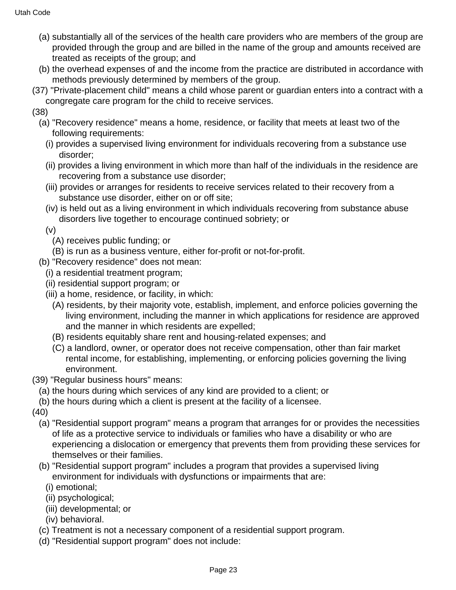- (a) substantially all of the services of the health care providers who are members of the group are provided through the group and are billed in the name of the group and amounts received are treated as receipts of the group; and
- (b) the overhead expenses of and the income from the practice are distributed in accordance with methods previously determined by members of the group.
- (37) "Private-placement child" means a child whose parent or guardian enters into a contract with a congregate care program for the child to receive services.
- (38)
	- (a) "Recovery residence" means a home, residence, or facility that meets at least two of the following requirements:
		- (i) provides a supervised living environment for individuals recovering from a substance use disorder;
		- (ii) provides a living environment in which more than half of the individuals in the residence are recovering from a substance use disorder;
		- (iii) provides or arranges for residents to receive services related to their recovery from a substance use disorder, either on or off site;
		- (iv) is held out as a living environment in which individuals recovering from substance abuse disorders live together to encourage continued sobriety; or
		- (v)
			- (A) receives public funding; or
			- (B) is run as a business venture, either for-profit or not-for-profit.
	- (b) "Recovery residence" does not mean:
		- (i) a residential treatment program;
		- (ii) residential support program; or
		- (iii) a home, residence, or facility, in which:
			- (A) residents, by their majority vote, establish, implement, and enforce policies governing the living environment, including the manner in which applications for residence are approved and the manner in which residents are expelled;
			- (B) residents equitably share rent and housing-related expenses; and
			- (C) a landlord, owner, or operator does not receive compensation, other than fair market rental income, for establishing, implementing, or enforcing policies governing the living environment.
- (39) "Regular business hours" means:
	- (a) the hours during which services of any kind are provided to a client; or
	- (b) the hours during which a client is present at the facility of a licensee.
- (40)
	- (a) "Residential support program" means a program that arranges for or provides the necessities of life as a protective service to individuals or families who have a disability or who are experiencing a dislocation or emergency that prevents them from providing these services for themselves or their families.
	- (b) "Residential support program" includes a program that provides a supervised living environment for individuals with dysfunctions or impairments that are:
		- (i) emotional;
		- (ii) psychological;
		- (iii) developmental; or
		- (iv) behavioral.
	- (c) Treatment is not a necessary component of a residential support program.
	- (d) "Residential support program" does not include: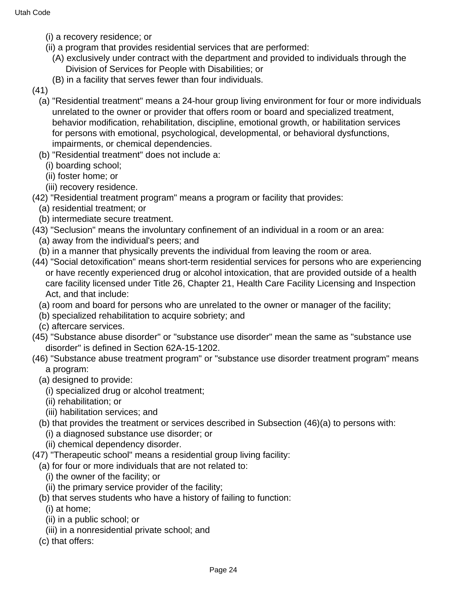- (i) a recovery residence; or
- (ii) a program that provides residential services that are performed:
- (A) exclusively under contract with the department and provided to individuals through the Division of Services for People with Disabilities; or
- (B) in a facility that serves fewer than four individuals.
- (41)
	- (a) "Residential treatment" means a 24-hour group living environment for four or more individuals unrelated to the owner or provider that offers room or board and specialized treatment, behavior modification, rehabilitation, discipline, emotional growth, or habilitation services for persons with emotional, psychological, developmental, or behavioral dysfunctions, impairments, or chemical dependencies.
	- (b) "Residential treatment" does not include a:
		- (i) boarding school;
		- (ii) foster home; or
		- (iii) recovery residence.
- (42) "Residential treatment program" means a program or facility that provides:
	- (a) residential treatment; or
	- (b) intermediate secure treatment.
- (43) "Seclusion" means the involuntary confinement of an individual in a room or an area:
	- (a) away from the individual's peers; and
	- (b) in a manner that physically prevents the individual from leaving the room or area.
- (44) "Social detoxification" means short-term residential services for persons who are experiencing or have recently experienced drug or alcohol intoxication, that are provided outside of a health care facility licensed under Title 26, Chapter 21, Health Care Facility Licensing and Inspection Act, and that include:
	- (a) room and board for persons who are unrelated to the owner or manager of the facility;
	- (b) specialized rehabilitation to acquire sobriety; and
	- (c) aftercare services.
- (45) "Substance abuse disorder" or "substance use disorder" mean the same as "substance use disorder" is defined in Section 62A-15-1202.
- (46) "Substance abuse treatment program" or "substance use disorder treatment program" means a program:
	- (a) designed to provide:
		- (i) specialized drug or alcohol treatment;
		- (ii) rehabilitation; or
		- (iii) habilitation services; and
	- (b) that provides the treatment or services described in Subsection (46)(a) to persons with:
		- (i) a diagnosed substance use disorder; or
		- (ii) chemical dependency disorder.
- (47) "Therapeutic school" means a residential group living facility:
	- (a) for four or more individuals that are not related to:
		- (i) the owner of the facility; or
		- (ii) the primary service provider of the facility;
	- (b) that serves students who have a history of failing to function:
		- (i) at home;
		- (ii) in a public school; or
		- (iii) in a nonresidential private school; and
	- (c) that offers: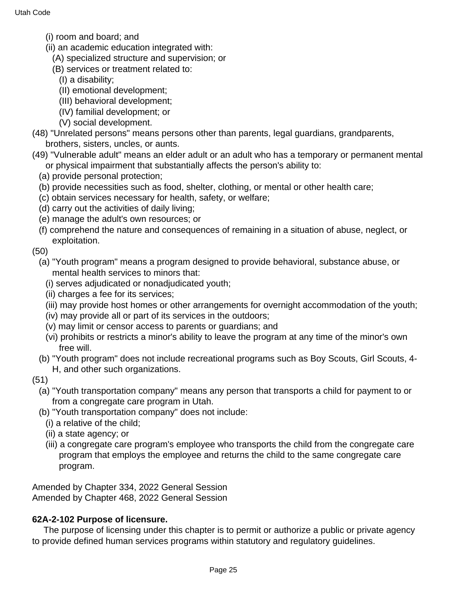- (i) room and board; and
- (ii) an academic education integrated with:
	- (A) specialized structure and supervision; or
	- (B) services or treatment related to:
		- (I) a disability;
		- (II) emotional development;
		- (III) behavioral development;
		- (IV) familial development; or
		- (V) social development.
- (48) "Unrelated persons" means persons other than parents, legal guardians, grandparents, brothers, sisters, uncles, or aunts.
- (49) "Vulnerable adult" means an elder adult or an adult who has a temporary or permanent mental or physical impairment that substantially affects the person's ability to:
	- (a) provide personal protection;
	- (b) provide necessities such as food, shelter, clothing, or mental or other health care;
	- (c) obtain services necessary for health, safety, or welfare;
	- (d) carry out the activities of daily living;
	- (e) manage the adult's own resources; or
	- (f) comprehend the nature and consequences of remaining in a situation of abuse, neglect, or exploitation.

(50)

- (a) "Youth program" means a program designed to provide behavioral, substance abuse, or mental health services to minors that:
	- (i) serves adjudicated or nonadjudicated youth;
	- (ii) charges a fee for its services;
	- (iii) may provide host homes or other arrangements for overnight accommodation of the youth;
	- (iv) may provide all or part of its services in the outdoors;
	- (v) may limit or censor access to parents or guardians; and
	- (vi) prohibits or restricts a minor's ability to leave the program at any time of the minor's own free will.
- (b) "Youth program" does not include recreational programs such as Boy Scouts, Girl Scouts, 4- H, and other such organizations.

(51)

- (a) "Youth transportation company" means any person that transports a child for payment to or from a congregate care program in Utah.
- (b) "Youth transportation company" does not include:
	- (i) a relative of the child;
	- (ii) a state agency; or
	- (iii) a congregate care program's employee who transports the child from the congregate care program that employs the employee and returns the child to the same congregate care program.

Amended by Chapter 334, 2022 General Session Amended by Chapter 468, 2022 General Session

## **62A-2-102 Purpose of licensure.**

 The purpose of licensing under this chapter is to permit or authorize a public or private agency to provide defined human services programs within statutory and regulatory guidelines.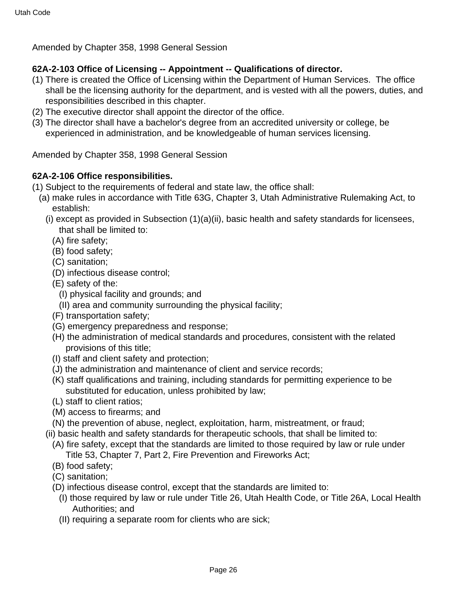Amended by Chapter 358, 1998 General Session

#### **62A-2-103 Office of Licensing -- Appointment -- Qualifications of director.**

- (1) There is created the Office of Licensing within the Department of Human Services. The office shall be the licensing authority for the department, and is vested with all the powers, duties, and responsibilities described in this chapter.
- (2) The executive director shall appoint the director of the office.
- (3) The director shall have a bachelor's degree from an accredited university or college, be experienced in administration, and be knowledgeable of human services licensing.

Amended by Chapter 358, 1998 General Session

### **62A-2-106 Office responsibilities.**

- (1) Subject to the requirements of federal and state law, the office shall:
	- (a) make rules in accordance with Title 63G, Chapter 3, Utah Administrative Rulemaking Act, to establish:
		- (i) except as provided in Subsection (1)(a)(ii), basic health and safety standards for licensees, that shall be limited to:
			- (A) fire safety;
			- (B) food safety;
			- (C) sanitation;
			- (D) infectious disease control;
			- (E) safety of the:
				- (I) physical facility and grounds; and
				- (II) area and community surrounding the physical facility;
			- (F) transportation safety;
			- (G) emergency preparedness and response;
			- (H) the administration of medical standards and procedures, consistent with the related provisions of this title;
			- (I) staff and client safety and protection;
			- (J) the administration and maintenance of client and service records;
			- (K) staff qualifications and training, including standards for permitting experience to be substituted for education, unless prohibited by law;
			- (L) staff to client ratios;
			- (M) access to firearms; and
			- (N) the prevention of abuse, neglect, exploitation, harm, mistreatment, or fraud;
		- (ii) basic health and safety standards for therapeutic schools, that shall be limited to:
			- (A) fire safety, except that the standards are limited to those required by law or rule under Title 53, Chapter 7, Part 2, Fire Prevention and Fireworks Act;
			- (B) food safety;
			- (C) sanitation;
			- (D) infectious disease control, except that the standards are limited to:
				- (I) those required by law or rule under Title 26, Utah Health Code, or Title 26A, Local Health Authorities; and
				- (II) requiring a separate room for clients who are sick;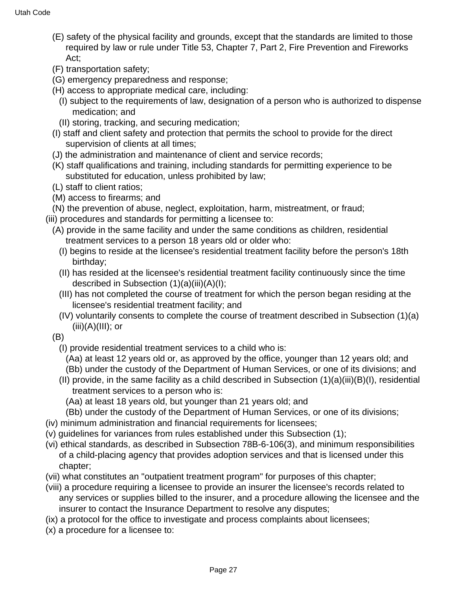- (E) safety of the physical facility and grounds, except that the standards are limited to those required by law or rule under Title 53, Chapter 7, Part 2, Fire Prevention and Fireworks Act;
- (F) transportation safety;
- (G) emergency preparedness and response;
- (H) access to appropriate medical care, including:
	- (I) subject to the requirements of law, designation of a person who is authorized to dispense medication; and
	- (II) storing, tracking, and securing medication;
- (I) staff and client safety and protection that permits the school to provide for the direct supervision of clients at all times;
- (J) the administration and maintenance of client and service records;
- (K) staff qualifications and training, including standards for permitting experience to be substituted for education, unless prohibited by law;
- (L) staff to client ratios;
- (M) access to firearms; and
- (N) the prevention of abuse, neglect, exploitation, harm, mistreatment, or fraud;
- (iii) procedures and standards for permitting a licensee to:
	- (A) provide in the same facility and under the same conditions as children, residential treatment services to a person 18 years old or older who:
		- (I) begins to reside at the licensee's residential treatment facility before the person's 18th birthday;
		- (II) has resided at the licensee's residential treatment facility continuously since the time described in Subsection (1)(a)(iii)(A)(I);
		- (III) has not completed the course of treatment for which the person began residing at the licensee's residential treatment facility; and
		- (IV) voluntarily consents to complete the course of treatment described in Subsection (1)(a)  $(iii)(A)(III);$  or
	- (B)
		- (I) provide residential treatment services to a child who is:
			- (Aa) at least 12 years old or, as approved by the office, younger than 12 years old; and
			- (Bb) under the custody of the Department of Human Services, or one of its divisions; and
		- (II) provide, in the same facility as a child described in Subsection  $(1)(a)(iii)(B)(I)$ , residential treatment services to a person who is:
			- (Aa) at least 18 years old, but younger than 21 years old; and
			- (Bb) under the custody of the Department of Human Services, or one of its divisions;
- (iv) minimum administration and financial requirements for licensees;
- (v) guidelines for variances from rules established under this Subsection (1);
- (vi) ethical standards, as described in Subsection 78B-6-106(3), and minimum responsibilities of a child-placing agency that provides adoption services and that is licensed under this chapter;
- (vii) what constitutes an "outpatient treatment program" for purposes of this chapter;
- (viii) a procedure requiring a licensee to provide an insurer the licensee's records related to any services or supplies billed to the insurer, and a procedure allowing the licensee and the insurer to contact the Insurance Department to resolve any disputes;
- (ix) a protocol for the office to investigate and process complaints about licensees;
- (x) a procedure for a licensee to: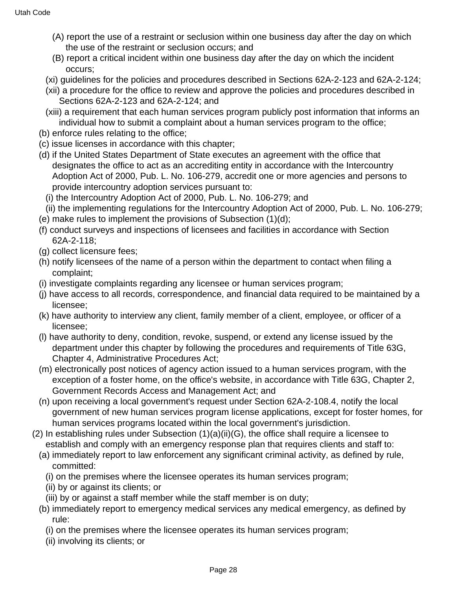- (A) report the use of a restraint or seclusion within one business day after the day on which the use of the restraint or seclusion occurs; and
- (B) report a critical incident within one business day after the day on which the incident occurs;
- (xi) guidelines for the policies and procedures described in Sections 62A-2-123 and 62A-2-124;
- (xii) a procedure for the office to review and approve the policies and procedures described in Sections 62A-2-123 and 62A-2-124; and
- (xiii) a requirement that each human services program publicly post information that informs an individual how to submit a complaint about a human services program to the office;
- (b) enforce rules relating to the office;
- (c) issue licenses in accordance with this chapter;
- (d) if the United States Department of State executes an agreement with the office that designates the office to act as an accrediting entity in accordance with the Intercountry Adoption Act of 2000, Pub. L. No. 106-279, accredit one or more agencies and persons to provide intercountry adoption services pursuant to:
	- (i) the Intercountry Adoption Act of 2000, Pub. L. No. 106-279; and
- (ii) the implementing regulations for the Intercountry Adoption Act of 2000, Pub. L. No. 106-279;
- (e) make rules to implement the provisions of Subsection (1)(d);
- (f) conduct surveys and inspections of licensees and facilities in accordance with Section 62A-2-118;
- (g) collect licensure fees;
- (h) notify licensees of the name of a person within the department to contact when filing a complaint;
- (i) investigate complaints regarding any licensee or human services program;
- (j) have access to all records, correspondence, and financial data required to be maintained by a licensee;
- (k) have authority to interview any client, family member of a client, employee, or officer of a licensee;
- (l) have authority to deny, condition, revoke, suspend, or extend any license issued by the department under this chapter by following the procedures and requirements of Title 63G, Chapter 4, Administrative Procedures Act;
- (m) electronically post notices of agency action issued to a human services program, with the exception of a foster home, on the office's website, in accordance with Title 63G, Chapter 2, Government Records Access and Management Act; and
- (n) upon receiving a local government's request under Section 62A-2-108.4, notify the local government of new human services program license applications, except for foster homes, for human services programs located within the local government's jurisdiction.
- (2) In establishing rules under Subsection (1)(a)(ii)(G), the office shall require a licensee to establish and comply with an emergency response plan that requires clients and staff to:
	- (a) immediately report to law enforcement any significant criminal activity, as defined by rule, committed:
		- (i) on the premises where the licensee operates its human services program;
		- (ii) by or against its clients; or
		- (iii) by or against a staff member while the staff member is on duty;
	- (b) immediately report to emergency medical services any medical emergency, as defined by rule:
		- (i) on the premises where the licensee operates its human services program;
		- (ii) involving its clients; or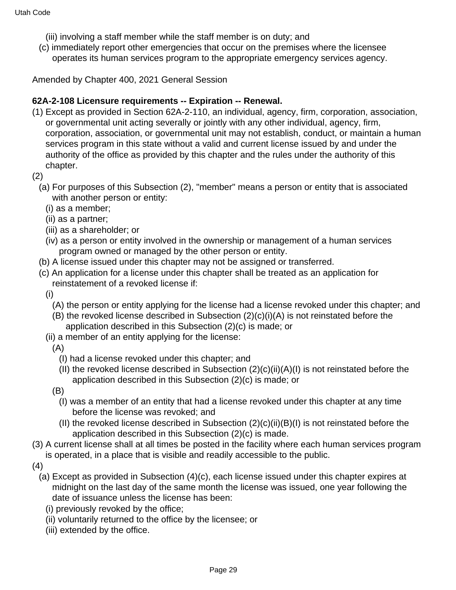- (iii) involving a staff member while the staff member is on duty; and
- (c) immediately report other emergencies that occur on the premises where the licensee operates its human services program to the appropriate emergency services agency.

Amended by Chapter 400, 2021 General Session

#### **62A-2-108 Licensure requirements -- Expiration -- Renewal.**

- (1) Except as provided in Section 62A-2-110, an individual, agency, firm, corporation, association, or governmental unit acting severally or jointly with any other individual, agency, firm, corporation, association, or governmental unit may not establish, conduct, or maintain a human services program in this state without a valid and current license issued by and under the authority of the office as provided by this chapter and the rules under the authority of this chapter.
- (2)
	- (a) For purposes of this Subsection (2), "member" means a person or entity that is associated with another person or entity:
		- (i) as a member;
		- (ii) as a partner;
		- (iii) as a shareholder; or
		- (iv) as a person or entity involved in the ownership or management of a human services program owned or managed by the other person or entity.
	- (b) A license issued under this chapter may not be assigned or transferred.
	- (c) An application for a license under this chapter shall be treated as an application for reinstatement of a revoked license if:
		- (i)
			- (A) the person or entity applying for the license had a license revoked under this chapter; and
		- (B) the revoked license described in Subsection (2)(c)(i)(A) is not reinstated before the application described in this Subsection (2)(c) is made; or
		- (ii) a member of an entity applying for the license:
			- (A)
				- (I) had a license revoked under this chapter; and
				- (II) the revoked license described in Subsection (2)(c)(ii)(A)(I) is not reinstated before the application described in this Subsection (2)(c) is made; or
			- (B)
				- (I) was a member of an entity that had a license revoked under this chapter at any time before the license was revoked; and
				- (II) the revoked license described in Subsection (2)(c)(ii)(B)(I) is not reinstated before the application described in this Subsection (2)(c) is made.
- (3) A current license shall at all times be posted in the facility where each human services program is operated, in a place that is visible and readily accessible to the public.
- (4)
	- (a) Except as provided in Subsection (4)(c), each license issued under this chapter expires at midnight on the last day of the same month the license was issued, one year following the date of issuance unless the license has been:
		- (i) previously revoked by the office;
		- (ii) voluntarily returned to the office by the licensee; or
		- (iii) extended by the office.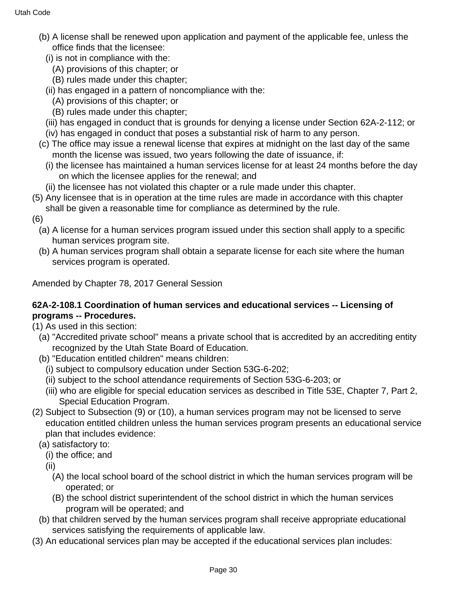- (b) A license shall be renewed upon application and payment of the applicable fee, unless the office finds that the licensee:
	- (i) is not in compliance with the:
		- (A) provisions of this chapter; or
		- (B) rules made under this chapter;
	- (ii) has engaged in a pattern of noncompliance with the:
		- (A) provisions of this chapter; or
		- (B) rules made under this chapter;
	- (iii) has engaged in conduct that is grounds for denying a license under Section 62A-2-112; or
	- (iv) has engaged in conduct that poses a substantial risk of harm to any person.
- (c) The office may issue a renewal license that expires at midnight on the last day of the same month the license was issued, two years following the date of issuance, if:
	- (i) the licensee has maintained a human services license for at least 24 months before the day on which the licensee applies for the renewal; and
	- (ii) the licensee has not violated this chapter or a rule made under this chapter.
- (5) Any licensee that is in operation at the time rules are made in accordance with this chapter shall be given a reasonable time for compliance as determined by the rule.
- (6)
	- (a) A license for a human services program issued under this section shall apply to a specific human services program site.
	- (b) A human services program shall obtain a separate license for each site where the human services program is operated.

Amended by Chapter 78, 2017 General Session

## **62A-2-108.1 Coordination of human services and educational services -- Licensing of programs -- Procedures.**

(1) As used in this section:

- (a) "Accredited private school" means a private school that is accredited by an accrediting entity recognized by the Utah State Board of Education.
- (b) "Education entitled children" means children:
	- (i) subject to compulsory education under Section 53G-6-202;
	- (ii) subject to the school attendance requirements of Section 53G-6-203; or
	- (iii) who are eligible for special education services as described in Title 53E, Chapter 7, Part 2, Special Education Program.
- (2) Subject to Subsection (9) or (10), a human services program may not be licensed to serve education entitled children unless the human services program presents an educational service plan that includes evidence:
	- (a) satisfactory to:
		- (i) the office; and
		- (ii)
			- (A) the local school board of the school district in which the human services program will be operated; or
			- (B) the school district superintendent of the school district in which the human services program will be operated; and
	- (b) that children served by the human services program shall receive appropriate educational services satisfying the requirements of applicable law.
- (3) An educational services plan may be accepted if the educational services plan includes: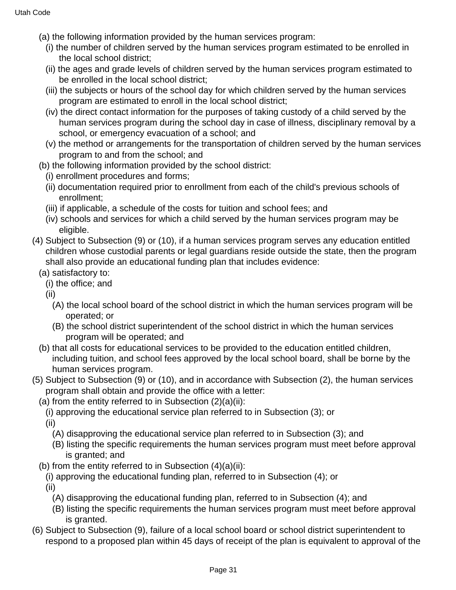- (a) the following information provided by the human services program:
	- (i) the number of children served by the human services program estimated to be enrolled in the local school district;
	- (ii) the ages and grade levels of children served by the human services program estimated to be enrolled in the local school district;
	- (iii) the subjects or hours of the school day for which children served by the human services program are estimated to enroll in the local school district;
	- (iv) the direct contact information for the purposes of taking custody of a child served by the human services program during the school day in case of illness, disciplinary removal by a school, or emergency evacuation of a school; and
	- (v) the method or arrangements for the transportation of children served by the human services program to and from the school; and
- (b) the following information provided by the school district:
	- (i) enrollment procedures and forms;
	- (ii) documentation required prior to enrollment from each of the child's previous schools of enrollment;
	- (iii) if applicable, a schedule of the costs for tuition and school fees; and
	- (iv) schools and services for which a child served by the human services program may be eligible.
- (4) Subject to Subsection (9) or (10), if a human services program serves any education entitled children whose custodial parents or legal guardians reside outside the state, then the program shall also provide an educational funding plan that includes evidence:
	- (a) satisfactory to:
		- (i) the office; and
		- (ii)
			- (A) the local school board of the school district in which the human services program will be operated; or
			- (B) the school district superintendent of the school district in which the human services program will be operated; and
	- (b) that all costs for educational services to be provided to the education entitled children, including tuition, and school fees approved by the local school board, shall be borne by the human services program.
- (5) Subject to Subsection (9) or (10), and in accordance with Subsection (2), the human services program shall obtain and provide the office with a letter:
	- (a) from the entity referred to in Subsection  $(2)(a)(ii)$ :
		- (i) approving the educational service plan referred to in Subsection (3); or
		- (ii)
			- (A) disapproving the educational service plan referred to in Subsection (3); and
			- (B) listing the specific requirements the human services program must meet before approval is granted; and
	- (b) from the entity referred to in Subsection  $(4)(a)(ii)$ :
	- (i) approving the educational funding plan, referred to in Subsection (4); or (ii)
		- (A) disapproving the educational funding plan, referred to in Subsection (4); and
		- (B) listing the specific requirements the human services program must meet before approval is granted.
- (6) Subject to Subsection (9), failure of a local school board or school district superintendent to respond to a proposed plan within 45 days of receipt of the plan is equivalent to approval of the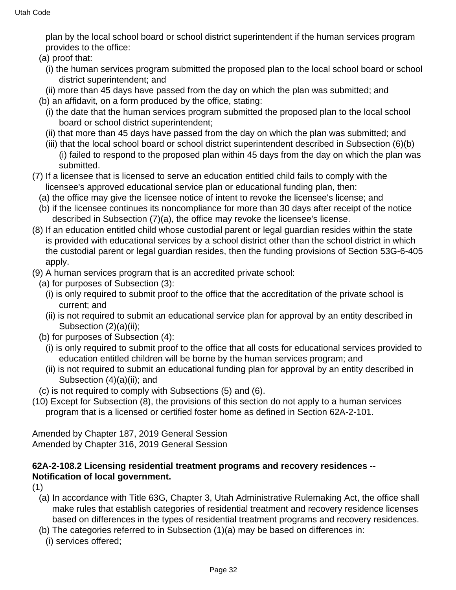plan by the local school board or school district superintendent if the human services program provides to the office:

- (a) proof that:
	- (i) the human services program submitted the proposed plan to the local school board or school district superintendent; and
	- (ii) more than 45 days have passed from the day on which the plan was submitted; and
- (b) an affidavit, on a form produced by the office, stating:
	- (i) the date that the human services program submitted the proposed plan to the local school board or school district superintendent;
	- (ii) that more than 45 days have passed from the day on which the plan was submitted; and
	- (iii) that the local school board or school district superintendent described in Subsection (6)(b) (i) failed to respond to the proposed plan within 45 days from the day on which the plan was submitted.
- (7) If a licensee that is licensed to serve an education entitled child fails to comply with the licensee's approved educational service plan or educational funding plan, then:
	- (a) the office may give the licensee notice of intent to revoke the licensee's license; and
	- (b) if the licensee continues its noncompliance for more than 30 days after receipt of the notice described in Subsection (7)(a), the office may revoke the licensee's license.
- (8) If an education entitled child whose custodial parent or legal guardian resides within the state is provided with educational services by a school district other than the school district in which the custodial parent or legal guardian resides, then the funding provisions of Section 53G-6-405 apply.
- (9) A human services program that is an accredited private school:
	- (a) for purposes of Subsection (3):
		- (i) is only required to submit proof to the office that the accreditation of the private school is current; and
		- (ii) is not required to submit an educational service plan for approval by an entity described in Subsection (2)(a)(ii);
	- (b) for purposes of Subsection (4):
		- (i) is only required to submit proof to the office that all costs for educational services provided to education entitled children will be borne by the human services program; and
		- (ii) is not required to submit an educational funding plan for approval by an entity described in Subsection (4)(a)(ii); and
	- (c) is not required to comply with Subsections (5) and (6).
- (10) Except for Subsection (8), the provisions of this section do not apply to a human services program that is a licensed or certified foster home as defined in Section 62A-2-101.

Amended by Chapter 187, 2019 General Session Amended by Chapter 316, 2019 General Session

## **62A-2-108.2 Licensing residential treatment programs and recovery residences -- Notification of local government.**

(1)

- (a) In accordance with Title 63G, Chapter 3, Utah Administrative Rulemaking Act, the office shall make rules that establish categories of residential treatment and recovery residence licenses based on differences in the types of residential treatment programs and recovery residences.
- (b) The categories referred to in Subsection (1)(a) may be based on differences in:
	- (i) services offered;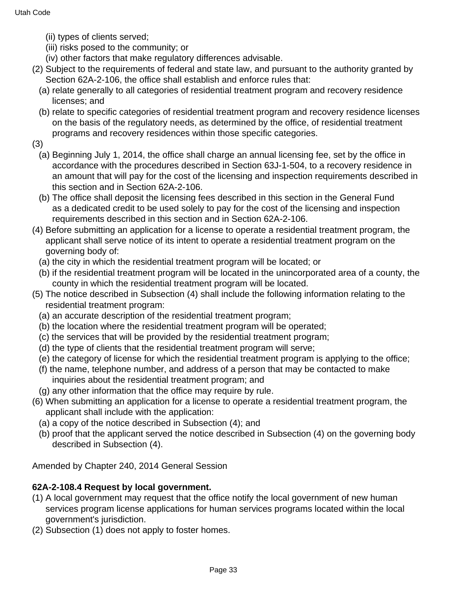- (ii) types of clients served;
- (iii) risks posed to the community; or
- (iv) other factors that make regulatory differences advisable.
- (2) Subject to the requirements of federal and state law, and pursuant to the authority granted by Section 62A-2-106, the office shall establish and enforce rules that:
	- (a) relate generally to all categories of residential treatment program and recovery residence licenses; and
	- (b) relate to specific categories of residential treatment program and recovery residence licenses on the basis of the regulatory needs, as determined by the office, of residential treatment programs and recovery residences within those specific categories.
- (3)
	- (a) Beginning July 1, 2014, the office shall charge an annual licensing fee, set by the office in accordance with the procedures described in Section 63J-1-504, to a recovery residence in an amount that will pay for the cost of the licensing and inspection requirements described in this section and in Section 62A-2-106.
	- (b) The office shall deposit the licensing fees described in this section in the General Fund as a dedicated credit to be used solely to pay for the cost of the licensing and inspection requirements described in this section and in Section 62A-2-106.
- (4) Before submitting an application for a license to operate a residential treatment program, the applicant shall serve notice of its intent to operate a residential treatment program on the governing body of:
	- (a) the city in which the residential treatment program will be located; or
	- (b) if the residential treatment program will be located in the unincorporated area of a county, the county in which the residential treatment program will be located.
- (5) The notice described in Subsection (4) shall include the following information relating to the residential treatment program:
	- (a) an accurate description of the residential treatment program;
	- (b) the location where the residential treatment program will be operated;
	- (c) the services that will be provided by the residential treatment program;
	- (d) the type of clients that the residential treatment program will serve;
	- (e) the category of license for which the residential treatment program is applying to the office;
	- (f) the name, telephone number, and address of a person that may be contacted to make inquiries about the residential treatment program; and
	- (g) any other information that the office may require by rule.
- (6) When submitting an application for a license to operate a residential treatment program, the applicant shall include with the application:
	- (a) a copy of the notice described in Subsection (4); and
	- (b) proof that the applicant served the notice described in Subsection (4) on the governing body described in Subsection (4).

Amended by Chapter 240, 2014 General Session

## **62A-2-108.4 Request by local government.**

- (1) A local government may request that the office notify the local government of new human services program license applications for human services programs located within the local government's jurisdiction.
- (2) Subsection (1) does not apply to foster homes.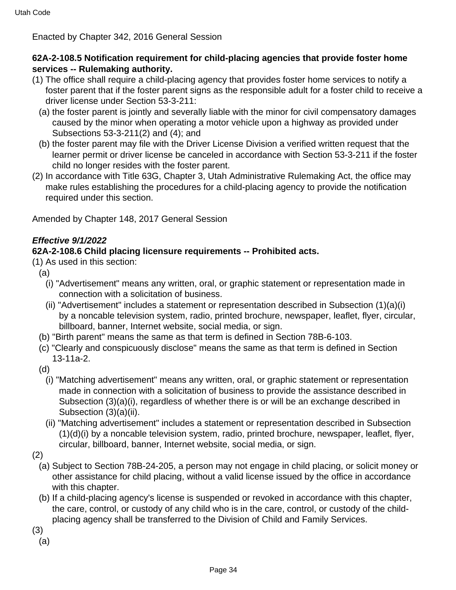Enacted by Chapter 342, 2016 General Session

## **62A-2-108.5 Notification requirement for child-placing agencies that provide foster home services -- Rulemaking authority.**

- (1) The office shall require a child-placing agency that provides foster home services to notify a foster parent that if the foster parent signs as the responsible adult for a foster child to receive a driver license under Section 53-3-211:
	- (a) the foster parent is jointly and severally liable with the minor for civil compensatory damages caused by the minor when operating a motor vehicle upon a highway as provided under Subsections 53-3-211(2) and (4); and
	- (b) the foster parent may file with the Driver License Division a verified written request that the learner permit or driver license be canceled in accordance with Section 53-3-211 if the foster child no longer resides with the foster parent.
- (2) In accordance with Title 63G, Chapter 3, Utah Administrative Rulemaking Act, the office may make rules establishing the procedures for a child-placing agency to provide the notification required under this section.

Amended by Chapter 148, 2017 General Session

## **Effective 9/1/2022**

## **62A-2-108.6 Child placing licensure requirements -- Prohibited acts.**

(1) As used in this section:

- (a)
	- (i) "Advertisement" means any written, oral, or graphic statement or representation made in connection with a solicitation of business.
	- (ii) "Advertisement" includes a statement or representation described in Subsection (1)(a)(i) by a noncable television system, radio, printed brochure, newspaper, leaflet, flyer, circular, billboard, banner, Internet website, social media, or sign.
- (b) "Birth parent" means the same as that term is defined in Section 78B-6-103.
- (c) "Clearly and conspicuously disclose" means the same as that term is defined in Section 13-11a-2.
- (d)
	- (i) "Matching advertisement" means any written, oral, or graphic statement or representation made in connection with a solicitation of business to provide the assistance described in Subsection (3)(a)(i), regardless of whether there is or will be an exchange described in Subsection (3)(a)(ii).
	- (ii) "Matching advertisement" includes a statement or representation described in Subsection (1)(d)(i) by a noncable television system, radio, printed brochure, newspaper, leaflet, flyer, circular, billboard, banner, Internet website, social media, or sign.
- (2)
	- (a) Subject to Section 78B-24-205, a person may not engage in child placing, or solicit money or other assistance for child placing, without a valid license issued by the office in accordance with this chapter.
	- (b) If a child-placing agency's license is suspended or revoked in accordance with this chapter, the care, control, or custody of any child who is in the care, control, or custody of the childplacing agency shall be transferred to the Division of Child and Family Services.
- (3)
	- (a)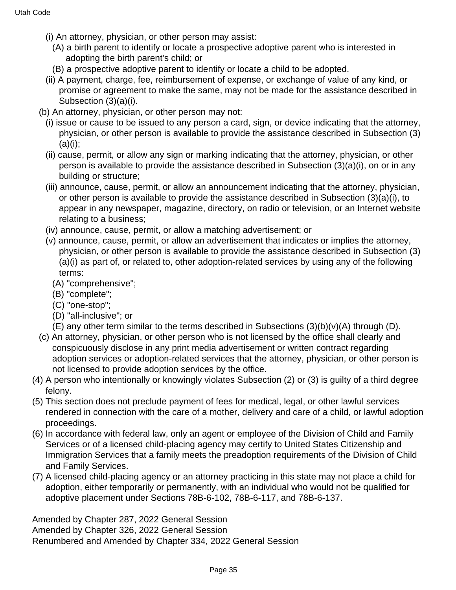- (i) An attorney, physician, or other person may assist:
	- (A) a birth parent to identify or locate a prospective adoptive parent who is interested in adopting the birth parent's child; or
	- (B) a prospective adoptive parent to identify or locate a child to be adopted.
- (ii) A payment, charge, fee, reimbursement of expense, or exchange of value of any kind, or promise or agreement to make the same, may not be made for the assistance described in Subsection (3)(a)(i).
- (b) An attorney, physician, or other person may not:
	- (i) issue or cause to be issued to any person a card, sign, or device indicating that the attorney, physician, or other person is available to provide the assistance described in Subsection (3)  $(a)(i)$ ;
	- (ii) cause, permit, or allow any sign or marking indicating that the attorney, physician, or other person is available to provide the assistance described in Subsection (3)(a)(i), on or in any building or structure;
	- (iii) announce, cause, permit, or allow an announcement indicating that the attorney, physician, or other person is available to provide the assistance described in Subsection (3)(a)(i), to appear in any newspaper, magazine, directory, on radio or television, or an Internet website relating to a business;
	- (iv) announce, cause, permit, or allow a matching advertisement; or
	- (v) announce, cause, permit, or allow an advertisement that indicates or implies the attorney, physician, or other person is available to provide the assistance described in Subsection (3) (a)(i) as part of, or related to, other adoption-related services by using any of the following terms:
		- (A) "comprehensive";
		- (B) "complete";
		- (C) "one-stop";
		- (D) "all-inclusive"; or
		- (E) any other term similar to the terms described in Subsections  $(3)(b)(v)(A)$  through (D).
- (c) An attorney, physician, or other person who is not licensed by the office shall clearly and conspicuously disclose in any print media advertisement or written contract regarding adoption services or adoption-related services that the attorney, physician, or other person is not licensed to provide adoption services by the office.
- (4) A person who intentionally or knowingly violates Subsection (2) or (3) is guilty of a third degree felony.
- (5) This section does not preclude payment of fees for medical, legal, or other lawful services rendered in connection with the care of a mother, delivery and care of a child, or lawful adoption proceedings.
- (6) In accordance with federal law, only an agent or employee of the Division of Child and Family Services or of a licensed child-placing agency may certify to United States Citizenship and Immigration Services that a family meets the preadoption requirements of the Division of Child and Family Services.
- (7) A licensed child-placing agency or an attorney practicing in this state may not place a child for adoption, either temporarily or permanently, with an individual who would not be qualified for adoptive placement under Sections 78B-6-102, 78B-6-117, and 78B-6-137.

Amended by Chapter 287, 2022 General Session Amended by Chapter 326, 2022 General Session Renumbered and Amended by Chapter 334, 2022 General Session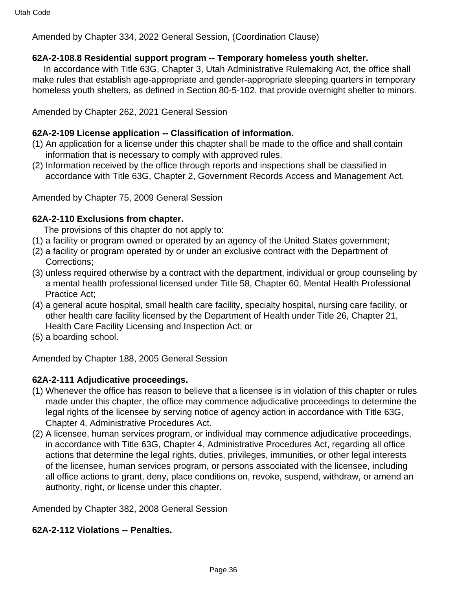Amended by Chapter 334, 2022 General Session, (Coordination Clause)

#### **62A-2-108.8 Residential support program -- Temporary homeless youth shelter.**

 In accordance with Title 63G, Chapter 3, Utah Administrative Rulemaking Act, the office shall make rules that establish age-appropriate and gender-appropriate sleeping quarters in temporary homeless youth shelters, as defined in Section 80-5-102, that provide overnight shelter to minors.

Amended by Chapter 262, 2021 General Session

#### **62A-2-109 License application -- Classification of information.**

- (1) An application for a license under this chapter shall be made to the office and shall contain information that is necessary to comply with approved rules.
- (2) Information received by the office through reports and inspections shall be classified in accordance with Title 63G, Chapter 2, Government Records Access and Management Act.

Amended by Chapter 75, 2009 General Session

### **62A-2-110 Exclusions from chapter.**

The provisions of this chapter do not apply to:

- (1) a facility or program owned or operated by an agency of the United States government;
- (2) a facility or program operated by or under an exclusive contract with the Department of Corrections;
- (3) unless required otherwise by a contract with the department, individual or group counseling by a mental health professional licensed under Title 58, Chapter 60, Mental Health Professional Practice Act;
- (4) a general acute hospital, small health care facility, specialty hospital, nursing care facility, or other health care facility licensed by the Department of Health under Title 26, Chapter 21, Health Care Facility Licensing and Inspection Act; or
- (5) a boarding school.

Amended by Chapter 188, 2005 General Session

## **62A-2-111 Adjudicative proceedings.**

- (1) Whenever the office has reason to believe that a licensee is in violation of this chapter or rules made under this chapter, the office may commence adjudicative proceedings to determine the legal rights of the licensee by serving notice of agency action in accordance with Title 63G, Chapter 4, Administrative Procedures Act.
- (2) A licensee, human services program, or individual may commence adjudicative proceedings, in accordance with Title 63G, Chapter 4, Administrative Procedures Act, regarding all office actions that determine the legal rights, duties, privileges, immunities, or other legal interests of the licensee, human services program, or persons associated with the licensee, including all office actions to grant, deny, place conditions on, revoke, suspend, withdraw, or amend an authority, right, or license under this chapter.

Amended by Chapter 382, 2008 General Session

#### **62A-2-112 Violations -- Penalties.**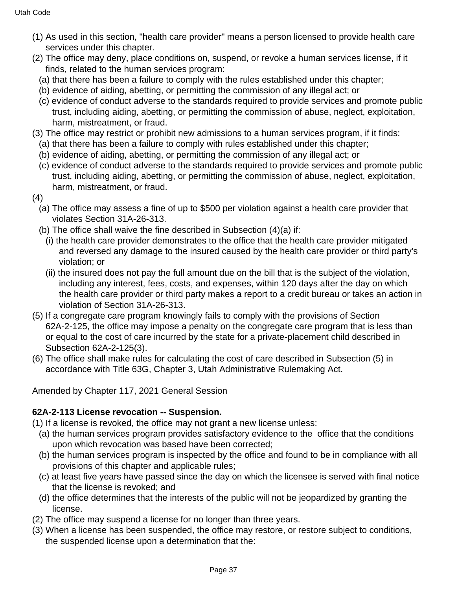- (1) As used in this section, "health care provider" means a person licensed to provide health care services under this chapter.
- (2) The office may deny, place conditions on, suspend, or revoke a human services license, if it finds, related to the human services program:
	- (a) that there has been a failure to comply with the rules established under this chapter;
	- (b) evidence of aiding, abetting, or permitting the commission of any illegal act; or
	- (c) evidence of conduct adverse to the standards required to provide services and promote public trust, including aiding, abetting, or permitting the commission of abuse, neglect, exploitation, harm, mistreatment, or fraud.
- (3) The office may restrict or prohibit new admissions to a human services program, if it finds:
	- (a) that there has been a failure to comply with rules established under this chapter;
	- (b) evidence of aiding, abetting, or permitting the commission of any illegal act; or
	- (c) evidence of conduct adverse to the standards required to provide services and promote public trust, including aiding, abetting, or permitting the commission of abuse, neglect, exploitation, harm, mistreatment, or fraud.
- (4)
	- (a) The office may assess a fine of up to \$500 per violation against a health care provider that violates Section 31A-26-313.
	- (b) The office shall waive the fine described in Subsection (4)(a) if:
		- (i) the health care provider demonstrates to the office that the health care provider mitigated and reversed any damage to the insured caused by the health care provider or third party's violation; or
		- (ii) the insured does not pay the full amount due on the bill that is the subject of the violation, including any interest, fees, costs, and expenses, within 120 days after the day on which the health care provider or third party makes a report to a credit bureau or takes an action in violation of Section 31A-26-313.
- (5) If a congregate care program knowingly fails to comply with the provisions of Section 62A-2-125, the office may impose a penalty on the congregate care program that is less than or equal to the cost of care incurred by the state for a private-placement child described in Subsection 62A-2-125(3).
- (6) The office shall make rules for calculating the cost of care described in Subsection (5) in accordance with Title 63G, Chapter 3, Utah Administrative Rulemaking Act.

Amended by Chapter 117, 2021 General Session

#### **62A-2-113 License revocation -- Suspension.**

- (1) If a license is revoked, the office may not grant a new license unless:
	- (a) the human services program provides satisfactory evidence to the office that the conditions upon which revocation was based have been corrected;
	- (b) the human services program is inspected by the office and found to be in compliance with all provisions of this chapter and applicable rules;
	- (c) at least five years have passed since the day on which the licensee is served with final notice that the license is revoked; and
	- (d) the office determines that the interests of the public will not be jeopardized by granting the license.
- (2) The office may suspend a license for no longer than three years.
- (3) When a license has been suspended, the office may restore, or restore subject to conditions, the suspended license upon a determination that the: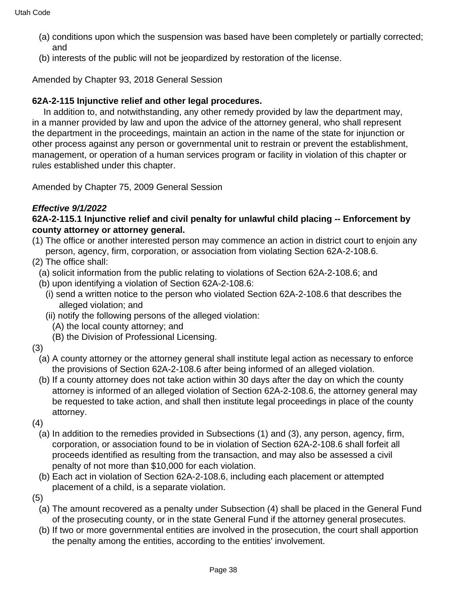- (a) conditions upon which the suspension was based have been completely or partially corrected; and
- (b) interests of the public will not be jeopardized by restoration of the license.

Amended by Chapter 93, 2018 General Session

# **62A-2-115 Injunctive relief and other legal procedures.**

 In addition to, and notwithstanding, any other remedy provided by law the department may, in a manner provided by law and upon the advice of the attorney general, who shall represent the department in the proceedings, maintain an action in the name of the state for injunction or other process against any person or governmental unit to restrain or prevent the establishment, management, or operation of a human services program or facility in violation of this chapter or rules established under this chapter.

Amended by Chapter 75, 2009 General Session

# **Effective 9/1/2022**

## **62A-2-115.1 Injunctive relief and civil penalty for unlawful child placing -- Enforcement by county attorney or attorney general.**

- (1) The office or another interested person may commence an action in district court to enjoin any person, agency, firm, corporation, or association from violating Section 62A-2-108.6.
- (2) The office shall:
	- (a) solicit information from the public relating to violations of Section 62A-2-108.6; and
	- (b) upon identifying a violation of Section 62A-2-108.6:
		- (i) send a written notice to the person who violated Section 62A-2-108.6 that describes the alleged violation; and
		- (ii) notify the following persons of the alleged violation:
			- (A) the local county attorney; and
			- (B) the Division of Professional Licensing.
- (3)
	- (a) A county attorney or the attorney general shall institute legal action as necessary to enforce the provisions of Section 62A-2-108.6 after being informed of an alleged violation.
	- (b) If a county attorney does not take action within 30 days after the day on which the county attorney is informed of an alleged violation of Section 62A-2-108.6, the attorney general may be requested to take action, and shall then institute legal proceedings in place of the county attorney.
- (4)
	- (a) In addition to the remedies provided in Subsections (1) and (3), any person, agency, firm, corporation, or association found to be in violation of Section 62A-2-108.6 shall forfeit all proceeds identified as resulting from the transaction, and may also be assessed a civil penalty of not more than \$10,000 for each violation.
	- (b) Each act in violation of Section 62A-2-108.6, including each placement or attempted placement of a child, is a separate violation.
- (5)
	- (a) The amount recovered as a penalty under Subsection (4) shall be placed in the General Fund of the prosecuting county, or in the state General Fund if the attorney general prosecutes.
	- (b) If two or more governmental entities are involved in the prosecution, the court shall apportion the penalty among the entities, according to the entities' involvement.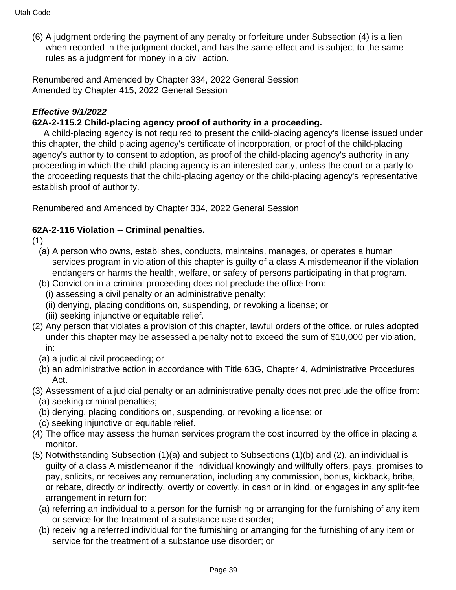(6) A judgment ordering the payment of any penalty or forfeiture under Subsection (4) is a lien when recorded in the judgment docket, and has the same effect and is subject to the same rules as a judgment for money in a civil action.

Renumbered and Amended by Chapter 334, 2022 General Session Amended by Chapter 415, 2022 General Session

### **Effective 9/1/2022**

#### **62A-2-115.2 Child-placing agency proof of authority in a proceeding.**

 A child-placing agency is not required to present the child-placing agency's license issued under this chapter, the child placing agency's certificate of incorporation, or proof of the child-placing agency's authority to consent to adoption, as proof of the child-placing agency's authority in any proceeding in which the child-placing agency is an interested party, unless the court or a party to the proceeding requests that the child-placing agency or the child-placing agency's representative establish proof of authority.

Renumbered and Amended by Chapter 334, 2022 General Session

#### **62A-2-116 Violation -- Criminal penalties.**

(1)

- (a) A person who owns, establishes, conducts, maintains, manages, or operates a human services program in violation of this chapter is guilty of a class A misdemeanor if the violation endangers or harms the health, welfare, or safety of persons participating in that program.
- (b) Conviction in a criminal proceeding does not preclude the office from:
	- (i) assessing a civil penalty or an administrative penalty;
	- (ii) denying, placing conditions on, suspending, or revoking a license; or
	- (iii) seeking injunctive or equitable relief.
- (2) Any person that violates a provision of this chapter, lawful orders of the office, or rules adopted under this chapter may be assessed a penalty not to exceed the sum of \$10,000 per violation, in:
	- (a) a judicial civil proceeding; or
	- (b) an administrative action in accordance with Title 63G, Chapter 4, Administrative Procedures Act.
- (3) Assessment of a judicial penalty or an administrative penalty does not preclude the office from: (a) seeking criminal penalties;
	- (b) denying, placing conditions on, suspending, or revoking a license; or
	- (c) seeking injunctive or equitable relief.
- (4) The office may assess the human services program the cost incurred by the office in placing a monitor.
- (5) Notwithstanding Subsection (1)(a) and subject to Subsections (1)(b) and (2), an individual is guilty of a class A misdemeanor if the individual knowingly and willfully offers, pays, promises to pay, solicits, or receives any remuneration, including any commission, bonus, kickback, bribe, or rebate, directly or indirectly, overtly or covertly, in cash or in kind, or engages in any split-fee arrangement in return for:
	- (a) referring an individual to a person for the furnishing or arranging for the furnishing of any item or service for the treatment of a substance use disorder;
	- (b) receiving a referred individual for the furnishing or arranging for the furnishing of any item or service for the treatment of a substance use disorder; or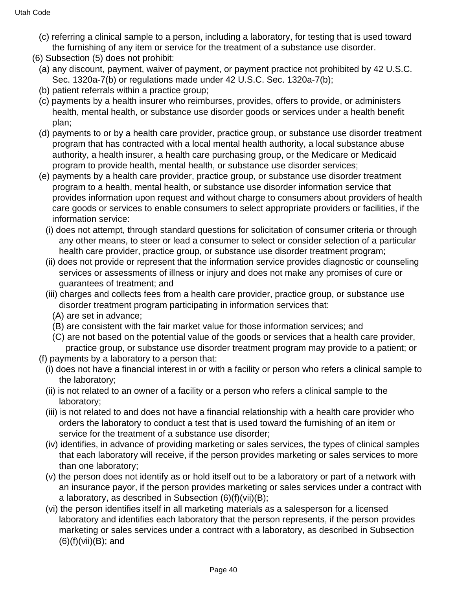- (c) referring a clinical sample to a person, including a laboratory, for testing that is used toward the furnishing of any item or service for the treatment of a substance use disorder.
- (6) Subsection (5) does not prohibit:
	- (a) any discount, payment, waiver of payment, or payment practice not prohibited by 42 U.S.C. Sec. 1320a-7(b) or regulations made under 42 U.S.C. Sec. 1320a-7(b);
	- (b) patient referrals within a practice group;
	- (c) payments by a health insurer who reimburses, provides, offers to provide, or administers health, mental health, or substance use disorder goods or services under a health benefit plan;
	- (d) payments to or by a health care provider, practice group, or substance use disorder treatment program that has contracted with a local mental health authority, a local substance abuse authority, a health insurer, a health care purchasing group, or the Medicare or Medicaid program to provide health, mental health, or substance use disorder services;
	- (e) payments by a health care provider, practice group, or substance use disorder treatment program to a health, mental health, or substance use disorder information service that provides information upon request and without charge to consumers about providers of health care goods or services to enable consumers to select appropriate providers or facilities, if the information service:
		- (i) does not attempt, through standard questions for solicitation of consumer criteria or through any other means, to steer or lead a consumer to select or consider selection of a particular health care provider, practice group, or substance use disorder treatment program;
		- (ii) does not provide or represent that the information service provides diagnostic or counseling services or assessments of illness or injury and does not make any promises of cure or guarantees of treatment; and
		- (iii) charges and collects fees from a health care provider, practice group, or substance use disorder treatment program participating in information services that:
			- (A) are set in advance;
			- (B) are consistent with the fair market value for those information services; and
			- (C) are not based on the potential value of the goods or services that a health care provider, practice group, or substance use disorder treatment program may provide to a patient; or
	- (f) payments by a laboratory to a person that:
		- (i) does not have a financial interest in or with a facility or person who refers a clinical sample to the laboratory;
		- (ii) is not related to an owner of a facility or a person who refers a clinical sample to the laboratory;
		- (iii) is not related to and does not have a financial relationship with a health care provider who orders the laboratory to conduct a test that is used toward the furnishing of an item or service for the treatment of a substance use disorder;
		- (iv) identifies, in advance of providing marketing or sales services, the types of clinical samples that each laboratory will receive, if the person provides marketing or sales services to more than one laboratory;
		- (v) the person does not identify as or hold itself out to be a laboratory or part of a network with an insurance payor, if the person provides marketing or sales services under a contract with a laboratory, as described in Subsection (6)(f)(vii)(B);
		- (vi) the person identifies itself in all marketing materials as a salesperson for a licensed laboratory and identifies each laboratory that the person represents, if the person provides marketing or sales services under a contract with a laboratory, as described in Subsection (6)(f)(vii)(B); and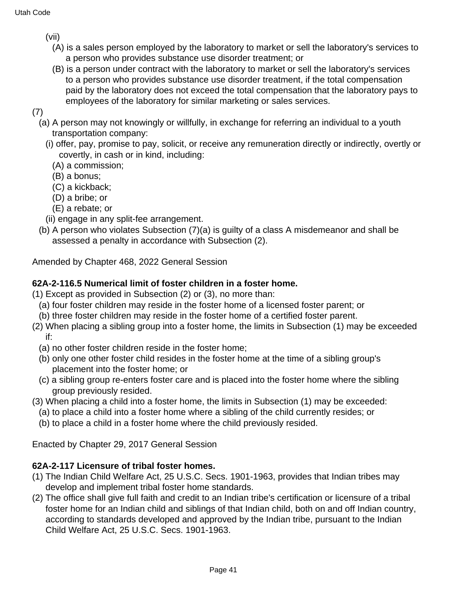(vii)

- (A) is a sales person employed by the laboratory to market or sell the laboratory's services to a person who provides substance use disorder treatment; or
- (B) is a person under contract with the laboratory to market or sell the laboratory's services to a person who provides substance use disorder treatment, if the total compensation paid by the laboratory does not exceed the total compensation that the laboratory pays to employees of the laboratory for similar marketing or sales services.
- (7)
	- (a) A person may not knowingly or willfully, in exchange for referring an individual to a youth transportation company:
		- (i) offer, pay, promise to pay, solicit, or receive any remuneration directly or indirectly, overtly or covertly, in cash or in kind, including:
			- (A) a commission;
			- (B) a bonus;
			- (C) a kickback;
			- (D) a bribe; or
			- (E) a rebate; or
		- (ii) engage in any split-fee arrangement.
	- (b) A person who violates Subsection (7)(a) is guilty of a class A misdemeanor and shall be assessed a penalty in accordance with Subsection (2).

Amended by Chapter 468, 2022 General Session

### **62A-2-116.5 Numerical limit of foster children in a foster home.**

(1) Except as provided in Subsection (2) or (3), no more than:

- (a) four foster children may reside in the foster home of a licensed foster parent; or
- (b) three foster children may reside in the foster home of a certified foster parent.
- (2) When placing a sibling group into a foster home, the limits in Subsection (1) may be exceeded if:
	- (a) no other foster children reside in the foster home;
	- (b) only one other foster child resides in the foster home at the time of a sibling group's placement into the foster home; or
	- (c) a sibling group re-enters foster care and is placed into the foster home where the sibling group previously resided.
- (3) When placing a child into a foster home, the limits in Subsection (1) may be exceeded:
	- (a) to place a child into a foster home where a sibling of the child currently resides; or
	- (b) to place a child in a foster home where the child previously resided.

Enacted by Chapter 29, 2017 General Session

## **62A-2-117 Licensure of tribal foster homes.**

- (1) The Indian Child Welfare Act, 25 U.S.C. Secs. 1901-1963, provides that Indian tribes may develop and implement tribal foster home standards.
- (2) The office shall give full faith and credit to an Indian tribe's certification or licensure of a tribal foster home for an Indian child and siblings of that Indian child, both on and off Indian country, according to standards developed and approved by the Indian tribe, pursuant to the Indian Child Welfare Act, 25 U.S.C. Secs. 1901-1963.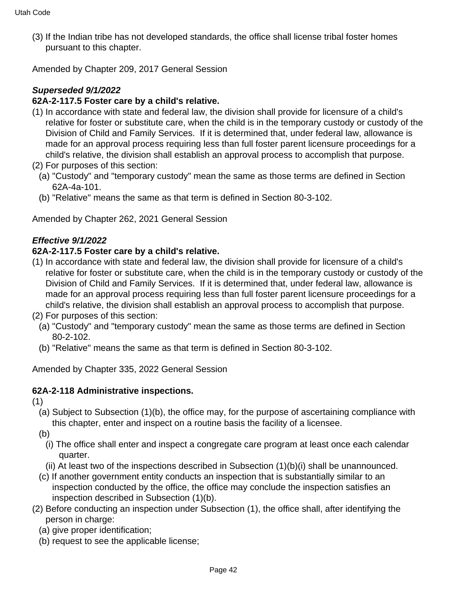(3) If the Indian tribe has not developed standards, the office shall license tribal foster homes pursuant to this chapter.

Amended by Chapter 209, 2017 General Session

#### **Superseded 9/1/2022**

#### **62A-2-117.5 Foster care by a child's relative.**

- (1) In accordance with state and federal law, the division shall provide for licensure of a child's relative for foster or substitute care, when the child is in the temporary custody or custody of the Division of Child and Family Services. If it is determined that, under federal law, allowance is made for an approval process requiring less than full foster parent licensure proceedings for a child's relative, the division shall establish an approval process to accomplish that purpose.
- (2) For purposes of this section:
	- (a) "Custody" and "temporary custody" mean the same as those terms are defined in Section 62A-4a-101.
	- (b) "Relative" means the same as that term is defined in Section 80-3-102.

Amended by Chapter 262, 2021 General Session

#### **Effective 9/1/2022**

#### **62A-2-117.5 Foster care by a child's relative.**

- (1) In accordance with state and federal law, the division shall provide for licensure of a child's relative for foster or substitute care, when the child is in the temporary custody or custody of the Division of Child and Family Services. If it is determined that, under federal law, allowance is made for an approval process requiring less than full foster parent licensure proceedings for a child's relative, the division shall establish an approval process to accomplish that purpose.
- (2) For purposes of this section:
	- (a) "Custody" and "temporary custody" mean the same as those terms are defined in Section 80-2-102.
	- (b) "Relative" means the same as that term is defined in Section 80-3-102.

Amended by Chapter 335, 2022 General Session

#### **62A-2-118 Administrative inspections.**

(1)

(a) Subject to Subsection (1)(b), the office may, for the purpose of ascertaining compliance with this chapter, enter and inspect on a routine basis the facility of a licensee.

(b)

- (i) The office shall enter and inspect a congregate care program at least once each calendar quarter.
- (ii) At least two of the inspections described in Subsection (1)(b)(i) shall be unannounced.
- (c) If another government entity conducts an inspection that is substantially similar to an inspection conducted by the office, the office may conclude the inspection satisfies an inspection described in Subsection (1)(b).
- (2) Before conducting an inspection under Subsection (1), the office shall, after identifying the person in charge:
	- (a) give proper identification;
	- (b) request to see the applicable license;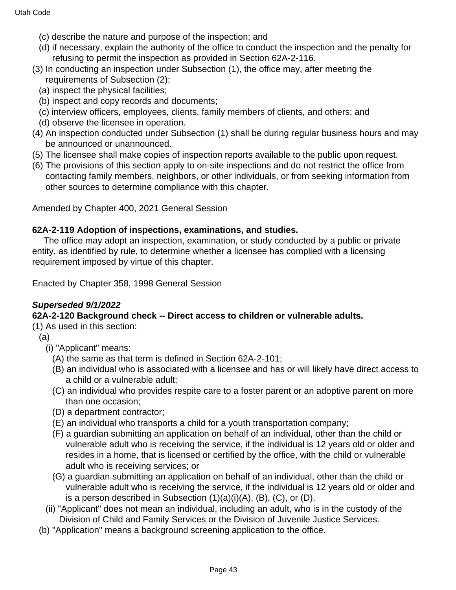- (c) describe the nature and purpose of the inspection; and
- (d) if necessary, explain the authority of the office to conduct the inspection and the penalty for refusing to permit the inspection as provided in Section 62A-2-116.
- (3) In conducting an inspection under Subsection (1), the office may, after meeting the requirements of Subsection (2):
	- (a) inspect the physical facilities;
	- (b) inspect and copy records and documents;
	- (c) interview officers, employees, clients, family members of clients, and others; and
	- (d) observe the licensee in operation.
- (4) An inspection conducted under Subsection (1) shall be during regular business hours and may be announced or unannounced.
- (5) The licensee shall make copies of inspection reports available to the public upon request.
- (6) The provisions of this section apply to on-site inspections and do not restrict the office from contacting family members, neighbors, or other individuals, or from seeking information from other sources to determine compliance with this chapter.

Amended by Chapter 400, 2021 General Session

#### **62A-2-119 Adoption of inspections, examinations, and studies.**

 The office may adopt an inspection, examination, or study conducted by a public or private entity, as identified by rule, to determine whether a licensee has complied with a licensing requirement imposed by virtue of this chapter.

Enacted by Chapter 358, 1998 General Session

#### **Superseded 9/1/2022**

#### **62A-2-120 Background check -- Direct access to children or vulnerable adults.**

(1) As used in this section:

- (a)
	- (i) "Applicant" means:
		- (A) the same as that term is defined in Section 62A-2-101;
		- (B) an individual who is associated with a licensee and has or will likely have direct access to a child or a vulnerable adult;
		- (C) an individual who provides respite care to a foster parent or an adoptive parent on more than one occasion;
		- (D) a department contractor;
		- (E) an individual who transports a child for a youth transportation company;
		- (F) a guardian submitting an application on behalf of an individual, other than the child or vulnerable adult who is receiving the service, if the individual is 12 years old or older and resides in a home, that is licensed or certified by the office, with the child or vulnerable adult who is receiving services; or
		- (G) a guardian submitting an application on behalf of an individual, other than the child or vulnerable adult who is receiving the service, if the individual is 12 years old or older and is a person described in Subsection  $(1)(a)(i)(A)$ ,  $(B)$ ,  $(C)$ , or  $(D)$ .
	- (ii) "Applicant" does not mean an individual, including an adult, who is in the custody of the Division of Child and Family Services or the Division of Juvenile Justice Services.
- (b) "Application" means a background screening application to the office.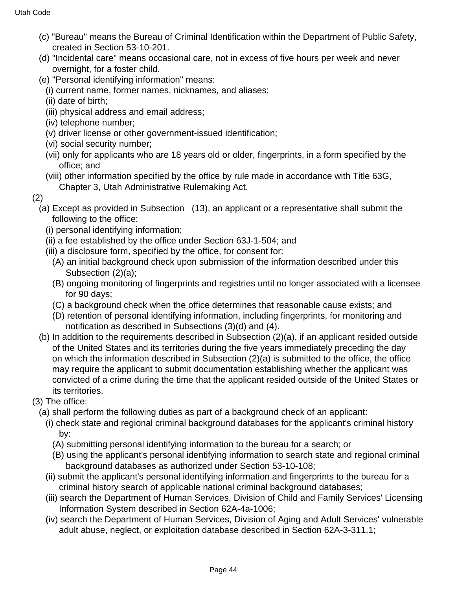- (c) "Bureau" means the Bureau of Criminal Identification within the Department of Public Safety, created in Section 53-10-201.
- (d) "Incidental care" means occasional care, not in excess of five hours per week and never overnight, for a foster child.
- (e) "Personal identifying information" means:
	- (i) current name, former names, nicknames, and aliases;
	- (ii) date of birth;
	- (iii) physical address and email address;
	- (iv) telephone number;
	- (v) driver license or other government-issued identification;
	- (vi) social security number;
	- (vii) only for applicants who are 18 years old or older, fingerprints, in a form specified by the office; and
	- (viii) other information specified by the office by rule made in accordance with Title 63G, Chapter 3, Utah Administrative Rulemaking Act.
- (2)
	- (a) Except as provided in Subsection (13), an applicant or a representative shall submit the following to the office:
		- (i) personal identifying information;
		- (ii) a fee established by the office under Section 63J-1-504; and
		- (iii) a disclosure form, specified by the office, for consent for:
			- (A) an initial background check upon submission of the information described under this Subsection (2)(a);
			- (B) ongoing monitoring of fingerprints and registries until no longer associated with a licensee for 90 days;
			- (C) a background check when the office determines that reasonable cause exists; and
			- (D) retention of personal identifying information, including fingerprints, for monitoring and notification as described in Subsections (3)(d) and (4).
	- (b) In addition to the requirements described in Subsection (2)(a), if an applicant resided outside of the United States and its territories during the five years immediately preceding the day on which the information described in Subsection (2)(a) is submitted to the office, the office may require the applicant to submit documentation establishing whether the applicant was convicted of a crime during the time that the applicant resided outside of the United States or its territories.
- (3) The office:
	- (a) shall perform the following duties as part of a background check of an applicant:
		- (i) check state and regional criminal background databases for the applicant's criminal history by:
			- (A) submitting personal identifying information to the bureau for a search; or
			- (B) using the applicant's personal identifying information to search state and regional criminal background databases as authorized under Section 53-10-108;
		- (ii) submit the applicant's personal identifying information and fingerprints to the bureau for a criminal history search of applicable national criminal background databases;
		- (iii) search the Department of Human Services, Division of Child and Family Services' Licensing Information System described in Section 62A-4a-1006;
		- (iv) search the Department of Human Services, Division of Aging and Adult Services' vulnerable adult abuse, neglect, or exploitation database described in Section 62A-3-311.1;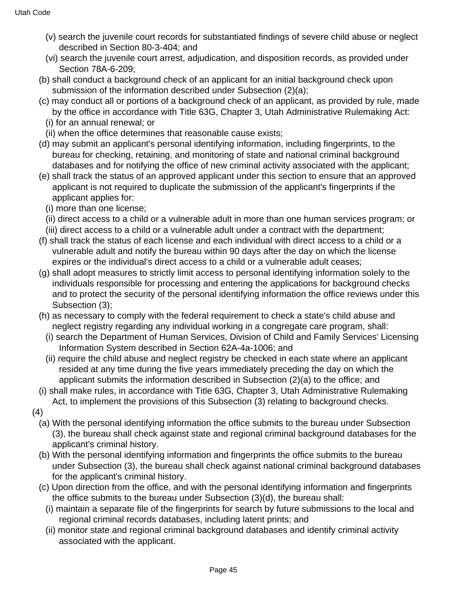- (v) search the juvenile court records for substantiated findings of severe child abuse or neglect described in Section 80-3-404; and
- (vi) search the juvenile court arrest, adjudication, and disposition records, as provided under Section 78A-6-209;
- (b) shall conduct a background check of an applicant for an initial background check upon submission of the information described under Subsection (2)(a);
- (c) may conduct all or portions of a background check of an applicant, as provided by rule, made by the office in accordance with Title 63G, Chapter 3, Utah Administrative Rulemaking Act: (i) for an annual renewal; or
- (ii) when the office determines that reasonable cause exists;
- (d) may submit an applicant's personal identifying information, including fingerprints, to the bureau for checking, retaining, and monitoring of state and national criminal background databases and for notifying the office of new criminal activity associated with the applicant;
- (e) shall track the status of an approved applicant under this section to ensure that an approved applicant is not required to duplicate the submission of the applicant's fingerprints if the applicant applies for:
	- (i) more than one license;
	- (ii) direct access to a child or a vulnerable adult in more than one human services program; or
	- (iii) direct access to a child or a vulnerable adult under a contract with the department;
- (f) shall track the status of each license and each individual with direct access to a child or a vulnerable adult and notify the bureau within 90 days after the day on which the license expires or the individual's direct access to a child or a vulnerable adult ceases;
- (g) shall adopt measures to strictly limit access to personal identifying information solely to the individuals responsible for processing and entering the applications for background checks and to protect the security of the personal identifying information the office reviews under this Subsection (3);
- (h) as necessary to comply with the federal requirement to check a state's child abuse and neglect registry regarding any individual working in a congregate care program, shall:
	- (i) search the Department of Human Services, Division of Child and Family Services' Licensing Information System described in Section 62A-4a-1006; and
	- (ii) require the child abuse and neglect registry be checked in each state where an applicant resided at any time during the five years immediately preceding the day on which the applicant submits the information described in Subsection (2)(a) to the office; and
- (i) shall make rules, in accordance with Title 63G, Chapter 3, Utah Administrative Rulemaking Act, to implement the provisions of this Subsection (3) relating to background checks.
- (4)
	- (a) With the personal identifying information the office submits to the bureau under Subsection (3), the bureau shall check against state and regional criminal background databases for the applicant's criminal history.
	- (b) With the personal identifying information and fingerprints the office submits to the bureau under Subsection (3), the bureau shall check against national criminal background databases for the applicant's criminal history.
	- (c) Upon direction from the office, and with the personal identifying information and fingerprints the office submits to the bureau under Subsection (3)(d), the bureau shall:
		- (i) maintain a separate file of the fingerprints for search by future submissions to the local and regional criminal records databases, including latent prints; and
		- (ii) monitor state and regional criminal background databases and identify criminal activity associated with the applicant.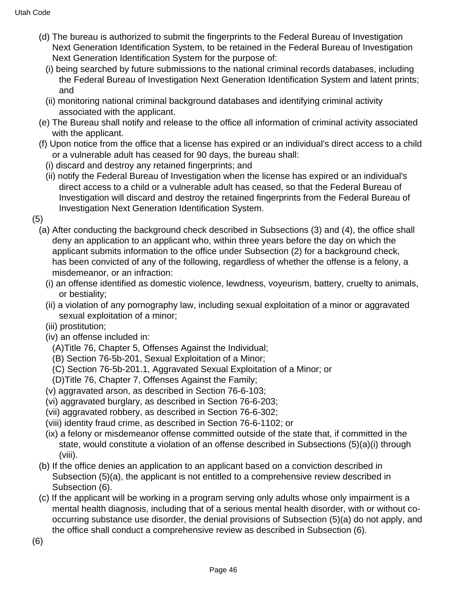- (d) The bureau is authorized to submit the fingerprints to the Federal Bureau of Investigation Next Generation Identification System, to be retained in the Federal Bureau of Investigation Next Generation Identification System for the purpose of:
	- (i) being searched by future submissions to the national criminal records databases, including the Federal Bureau of Investigation Next Generation Identification System and latent prints; and
	- (ii) monitoring national criminal background databases and identifying criminal activity associated with the applicant.
- (e) The Bureau shall notify and release to the office all information of criminal activity associated with the applicant.
- (f) Upon notice from the office that a license has expired or an individual's direct access to a child or a vulnerable adult has ceased for 90 days, the bureau shall:
	- (i) discard and destroy any retained fingerprints; and
	- (ii) notify the Federal Bureau of Investigation when the license has expired or an individual's direct access to a child or a vulnerable adult has ceased, so that the Federal Bureau of Investigation will discard and destroy the retained fingerprints from the Federal Bureau of Investigation Next Generation Identification System.
- (5)
	- (a) After conducting the background check described in Subsections (3) and (4), the office shall deny an application to an applicant who, within three years before the day on which the applicant submits information to the office under Subsection (2) for a background check, has been convicted of any of the following, regardless of whether the offense is a felony, a misdemeanor, or an infraction:
		- (i) an offense identified as domestic violence, lewdness, voyeurism, battery, cruelty to animals, or bestiality;
		- (ii) a violation of any pornography law, including sexual exploitation of a minor or aggravated sexual exploitation of a minor;
		- (iii) prostitution;
		- (iv) an offense included in:
			- (A)Title 76, Chapter 5, Offenses Against the Individual;
			- (B) Section 76-5b-201, Sexual Exploitation of a Minor;
			- (C) Section 76-5b-201.1, Aggravated Sexual Exploitation of a Minor; or
			- (D)Title 76, Chapter 7, Offenses Against the Family;
		- (v) aggravated arson, as described in Section 76-6-103;
		- (vi) aggravated burglary, as described in Section 76-6-203;
		- (vii) aggravated robbery, as described in Section 76-6-302;
		- (viii) identity fraud crime, as described in Section 76-6-1102; or
		- (ix) a felony or misdemeanor offense committed outside of the state that, if committed in the state, would constitute a violation of an offense described in Subsections (5)(a)(i) through (viii).
	- (b) If the office denies an application to an applicant based on a conviction described in Subsection (5)(a), the applicant is not entitled to a comprehensive review described in Subsection (6).
	- (c) If the applicant will be working in a program serving only adults whose only impairment is a mental health diagnosis, including that of a serious mental health disorder, with or without cooccurring substance use disorder, the denial provisions of Subsection (5)(a) do not apply, and the office shall conduct a comprehensive review as described in Subsection (6).

(6)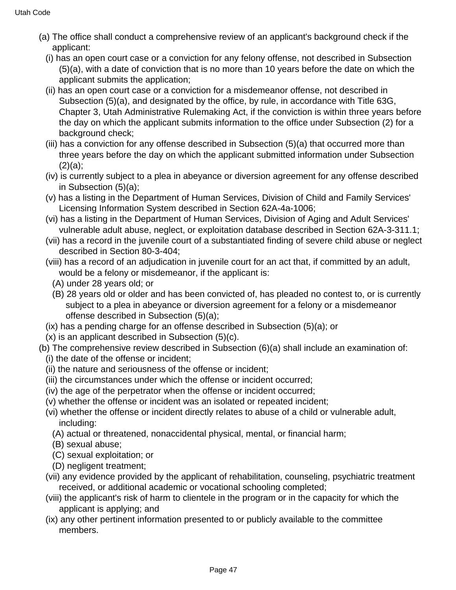- (a) The office shall conduct a comprehensive review of an applicant's background check if the applicant:
	- (i) has an open court case or a conviction for any felony offense, not described in Subsection (5)(a), with a date of conviction that is no more than 10 years before the date on which the applicant submits the application;
	- (ii) has an open court case or a conviction for a misdemeanor offense, not described in Subsection (5)(a), and designated by the office, by rule, in accordance with Title 63G, Chapter 3, Utah Administrative Rulemaking Act, if the conviction is within three years before the day on which the applicant submits information to the office under Subsection (2) for a background check;
	- (iii) has a conviction for any offense described in Subsection (5)(a) that occurred more than three years before the day on which the applicant submitted information under Subsection  $(2)(a)$ ;
	- (iv) is currently subject to a plea in abeyance or diversion agreement for any offense described in Subsection (5)(a);
	- (v) has a listing in the Department of Human Services, Division of Child and Family Services' Licensing Information System described in Section 62A-4a-1006;
	- (vi) has a listing in the Department of Human Services, Division of Aging and Adult Services' vulnerable adult abuse, neglect, or exploitation database described in Section 62A-3-311.1;
	- (vii) has a record in the juvenile court of a substantiated finding of severe child abuse or neglect described in Section 80-3-404;
	- (viii) has a record of an adjudication in juvenile court for an act that, if committed by an adult, would be a felony or misdemeanor, if the applicant is:
		- (A) under 28 years old; or
		- (B) 28 years old or older and has been convicted of, has pleaded no contest to, or is currently subject to a plea in abeyance or diversion agreement for a felony or a misdemeanor offense described in Subsection (5)(a);
	- (ix) has a pending charge for an offense described in Subsection (5)(a); or
	- (x) is an applicant described in Subsection (5)(c).
- (b) The comprehensive review described in Subsection (6)(a) shall include an examination of:
	- (i) the date of the offense or incident;
	- (ii) the nature and seriousness of the offense or incident;
	- (iii) the circumstances under which the offense or incident occurred;
	- (iv) the age of the perpetrator when the offense or incident occurred;
	- (v) whether the offense or incident was an isolated or repeated incident;
	- (vi) whether the offense or incident directly relates to abuse of a child or vulnerable adult, including:
		- (A) actual or threatened, nonaccidental physical, mental, or financial harm;
		- (B) sexual abuse;
		- (C) sexual exploitation; or
		- (D) negligent treatment;
	- (vii) any evidence provided by the applicant of rehabilitation, counseling, psychiatric treatment received, or additional academic or vocational schooling completed;
	- (viii) the applicant's risk of harm to clientele in the program or in the capacity for which the applicant is applying; and
	- (ix) any other pertinent information presented to or publicly available to the committee members.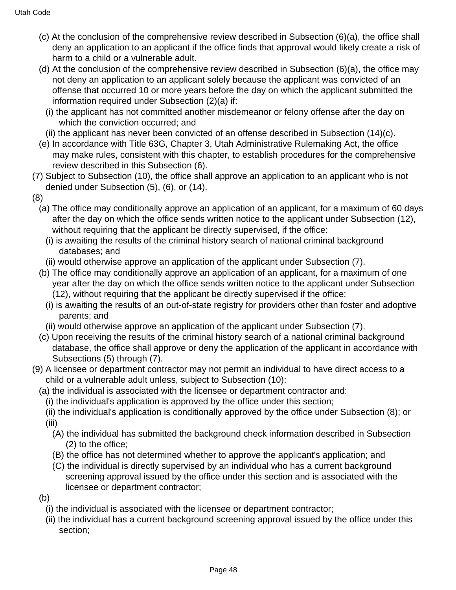- (c) At the conclusion of the comprehensive review described in Subsection (6)(a), the office shall deny an application to an applicant if the office finds that approval would likely create a risk of harm to a child or a vulnerable adult.
- (d) At the conclusion of the comprehensive review described in Subsection (6)(a), the office may not deny an application to an applicant solely because the applicant was convicted of an offense that occurred 10 or more years before the day on which the applicant submitted the information required under Subsection (2)(a) if:
	- (i) the applicant has not committed another misdemeanor or felony offense after the day on which the conviction occurred; and
- (ii) the applicant has never been convicted of an offense described in Subsection (14)(c).
- (e) In accordance with Title 63G, Chapter 3, Utah Administrative Rulemaking Act, the office may make rules, consistent with this chapter, to establish procedures for the comprehensive review described in this Subsection (6).
- (7) Subject to Subsection (10), the office shall approve an application to an applicant who is not denied under Subsection (5), (6), or (14).
- (8)
	- (a) The office may conditionally approve an application of an applicant, for a maximum of 60 days after the day on which the office sends written notice to the applicant under Subsection (12), without requiring that the applicant be directly supervised, if the office:
		- (i) is awaiting the results of the criminal history search of national criminal background databases; and
		- (ii) would otherwise approve an application of the applicant under Subsection (7).
	- (b) The office may conditionally approve an application of an applicant, for a maximum of one year after the day on which the office sends written notice to the applicant under Subsection (12), without requiring that the applicant be directly supervised if the office:
		- (i) is awaiting the results of an out-of-state registry for providers other than foster and adoptive parents; and
		- (ii) would otherwise approve an application of the applicant under Subsection (7).
	- (c) Upon receiving the results of the criminal history search of a national criminal background database, the office shall approve or deny the application of the applicant in accordance with Subsections (5) through (7).
- (9) A licensee or department contractor may not permit an individual to have direct access to a child or a vulnerable adult unless, subject to Subsection (10):
	- (a) the individual is associated with the licensee or department contractor and:
		- (i) the individual's application is approved by the office under this section;
		- (ii) the individual's application is conditionally approved by the office under Subsection (8); or (iii)
			- (A) the individual has submitted the background check information described in Subsection (2) to the office;
			- (B) the office has not determined whether to approve the applicant's application; and
			- (C) the individual is directly supervised by an individual who has a current background screening approval issued by the office under this section and is associated with the licensee or department contractor;
	- (b)
		- (i) the individual is associated with the licensee or department contractor;
		- (ii) the individual has a current background screening approval issued by the office under this section;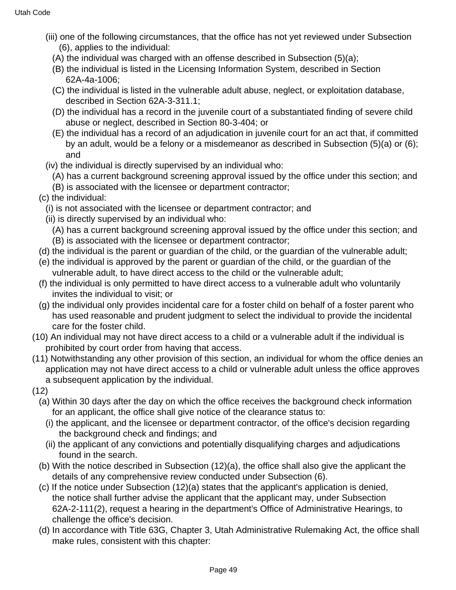- (iii) one of the following circumstances, that the office has not yet reviewed under Subsection (6), applies to the individual:
	- (A) the individual was charged with an offense described in Subsection (5)(a);
	- (B) the individual is listed in the Licensing Information System, described in Section 62A-4a-1006;
	- (C) the individual is listed in the vulnerable adult abuse, neglect, or exploitation database, described in Section 62A-3-311.1;
	- (D) the individual has a record in the juvenile court of a substantiated finding of severe child abuse or neglect, described in Section 80-3-404; or
	- (E) the individual has a record of an adjudication in juvenile court for an act that, if committed by an adult, would be a felony or a misdemeanor as described in Subsection (5)(a) or (6); and
- (iv) the individual is directly supervised by an individual who:
	- (A) has a current background screening approval issued by the office under this section; and
	- (B) is associated with the licensee or department contractor;
- (c) the individual:
	- (i) is not associated with the licensee or department contractor; and
	- (ii) is directly supervised by an individual who:
		- (A) has a current background screening approval issued by the office under this section; and
		- (B) is associated with the licensee or department contractor;
- (d) the individual is the parent or guardian of the child, or the guardian of the vulnerable adult;
- (e) the individual is approved by the parent or guardian of the child, or the guardian of the vulnerable adult, to have direct access to the child or the vulnerable adult;
- (f) the individual is only permitted to have direct access to a vulnerable adult who voluntarily invites the individual to visit; or
- (g) the individual only provides incidental care for a foster child on behalf of a foster parent who has used reasonable and prudent judgment to select the individual to provide the incidental care for the foster child.
- (10) An individual may not have direct access to a child or a vulnerable adult if the individual is prohibited by court order from having that access.
- (11) Notwithstanding any other provision of this section, an individual for whom the office denies an application may not have direct access to a child or vulnerable adult unless the office approves a subsequent application by the individual.
- (12)
	- (a) Within 30 days after the day on which the office receives the background check information for an applicant, the office shall give notice of the clearance status to:
		- (i) the applicant, and the licensee or department contractor, of the office's decision regarding the background check and findings; and
		- (ii) the applicant of any convictions and potentially disqualifying charges and adjudications found in the search.
	- (b) With the notice described in Subsection (12)(a), the office shall also give the applicant the details of any comprehensive review conducted under Subsection (6).
	- (c) If the notice under Subsection (12)(a) states that the applicant's application is denied, the notice shall further advise the applicant that the applicant may, under Subsection 62A-2-111(2), request a hearing in the department's Office of Administrative Hearings, to challenge the office's decision.
	- (d) In accordance with Title 63G, Chapter 3, Utah Administrative Rulemaking Act, the office shall make rules, consistent with this chapter: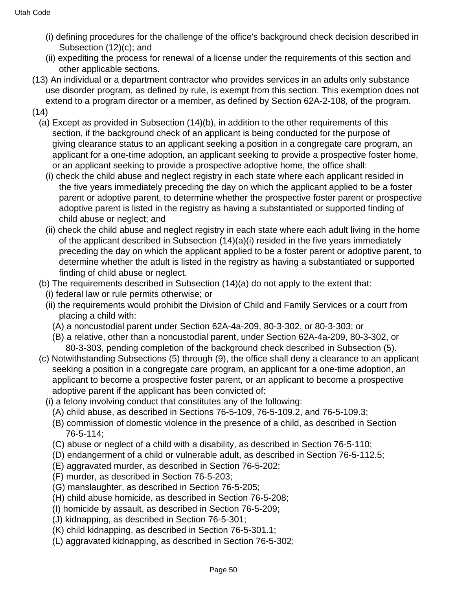- (i) defining procedures for the challenge of the office's background check decision described in Subsection (12)(c); and
- (ii) expediting the process for renewal of a license under the requirements of this section and other applicable sections.
- (13) An individual or a department contractor who provides services in an adults only substance use disorder program, as defined by rule, is exempt from this section. This exemption does not extend to a program director or a member, as defined by Section 62A-2-108, of the program.
- (14)
	- (a) Except as provided in Subsection (14)(b), in addition to the other requirements of this section, if the background check of an applicant is being conducted for the purpose of giving clearance status to an applicant seeking a position in a congregate care program, an applicant for a one-time adoption, an applicant seeking to provide a prospective foster home, or an applicant seeking to provide a prospective adoptive home, the office shall:
		- (i) check the child abuse and neglect registry in each state where each applicant resided in the five years immediately preceding the day on which the applicant applied to be a foster parent or adoptive parent, to determine whether the prospective foster parent or prospective adoptive parent is listed in the registry as having a substantiated or supported finding of child abuse or neglect; and
		- (ii) check the child abuse and neglect registry in each state where each adult living in the home of the applicant described in Subsection (14)(a)(i) resided in the five years immediately preceding the day on which the applicant applied to be a foster parent or adoptive parent, to determine whether the adult is listed in the registry as having a substantiated or supported finding of child abuse or neglect.
	- (b) The requirements described in Subsection (14)(a) do not apply to the extent that:
		- (i) federal law or rule permits otherwise; or
		- (ii) the requirements would prohibit the Division of Child and Family Services or a court from placing a child with:
			- (A) a noncustodial parent under Section 62A-4a-209, 80-3-302, or 80-3-303; or
			- (B) a relative, other than a noncustodial parent, under Section 62A-4a-209, 80-3-302, or 80-3-303, pending completion of the background check described in Subsection (5).
	- (c) Notwithstanding Subsections (5) through (9), the office shall deny a clearance to an applicant seeking a position in a congregate care program, an applicant for a one-time adoption, an applicant to become a prospective foster parent, or an applicant to become a prospective adoptive parent if the applicant has been convicted of:
		- (i) a felony involving conduct that constitutes any of the following:
			- (A) child abuse, as described in Sections 76-5-109, 76-5-109.2, and 76-5-109.3;
			- (B) commission of domestic violence in the presence of a child, as described in Section 76-5-114;
			- (C) abuse or neglect of a child with a disability, as described in Section 76-5-110;
			- (D) endangerment of a child or vulnerable adult, as described in Section 76-5-112.5;
			- (E) aggravated murder, as described in Section 76-5-202;
			- (F) murder, as described in Section 76-5-203;
			- (G) manslaughter, as described in Section 76-5-205;
			- (H) child abuse homicide, as described in Section 76-5-208;
			- (I) homicide by assault, as described in Section 76-5-209;
			- (J) kidnapping, as described in Section 76-5-301;
			- (K) child kidnapping, as described in Section 76-5-301.1;
			- (L) aggravated kidnapping, as described in Section 76-5-302;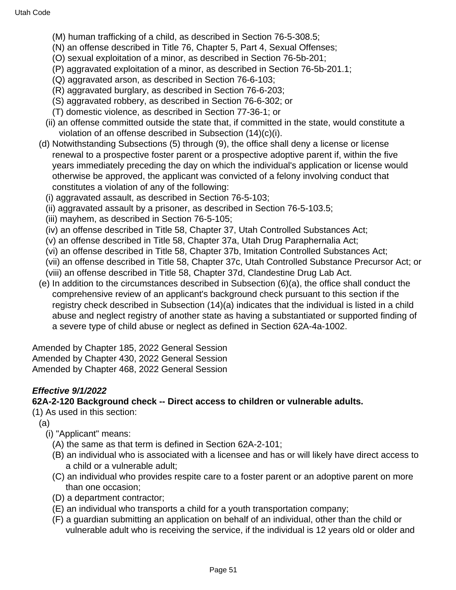- (M) human trafficking of a child, as described in Section 76-5-308.5;
- (N) an offense described in Title 76, Chapter 5, Part 4, Sexual Offenses;
- (O) sexual exploitation of a minor, as described in Section 76-5b-201;
- (P) aggravated exploitation of a minor, as described in Section 76-5b-201.1;
- (Q) aggravated arson, as described in Section 76-6-103;
- (R) aggravated burglary, as described in Section 76-6-203;
- (S) aggravated robbery, as described in Section 76-6-302; or
- (T) domestic violence, as described in Section 77-36-1; or
- (ii) an offense committed outside the state that, if committed in the state, would constitute a violation of an offense described in Subsection (14)(c)(i).
- (d) Notwithstanding Subsections (5) through (9), the office shall deny a license or license renewal to a prospective foster parent or a prospective adoptive parent if, within the five years immediately preceding the day on which the individual's application or license would otherwise be approved, the applicant was convicted of a felony involving conduct that constitutes a violation of any of the following:
	- (i) aggravated assault, as described in Section 76-5-103;
	- (ii) aggravated assault by a prisoner, as described in Section 76-5-103.5;
	- (iii) mayhem, as described in Section 76-5-105;
	- (iv) an offense described in Title 58, Chapter 37, Utah Controlled Substances Act;
	- (v) an offense described in Title 58, Chapter 37a, Utah Drug Paraphernalia Act;
	- (vi) an offense described in Title 58, Chapter 37b, Imitation Controlled Substances Act;
	- (vii) an offense described in Title 58, Chapter 37c, Utah Controlled Substance Precursor Act; or (viii) an offense described in Title 58, Chapter 37d, Clandestine Drug Lab Act.
- (e) In addition to the circumstances described in Subsection (6)(a), the office shall conduct the comprehensive review of an applicant's background check pursuant to this section if the registry check described in Subsection (14)(a) indicates that the individual is listed in a child abuse and neglect registry of another state as having a substantiated or supported finding of a severe type of child abuse or neglect as defined in Section 62A-4a-1002.

Amended by Chapter 185, 2022 General Session Amended by Chapter 430, 2022 General Session Amended by Chapter 468, 2022 General Session

## **Effective 9/1/2022**

#### **62A-2-120 Background check -- Direct access to children or vulnerable adults.**

- (1) As used in this section:
	- (a)
		- (i) "Applicant" means:
			- (A) the same as that term is defined in Section 62A-2-101;
			- (B) an individual who is associated with a licensee and has or will likely have direct access to a child or a vulnerable adult;
			- (C) an individual who provides respite care to a foster parent or an adoptive parent on more than one occasion;
			- (D) a department contractor;
			- (E) an individual who transports a child for a youth transportation company;
			- (F) a guardian submitting an application on behalf of an individual, other than the child or vulnerable adult who is receiving the service, if the individual is 12 years old or older and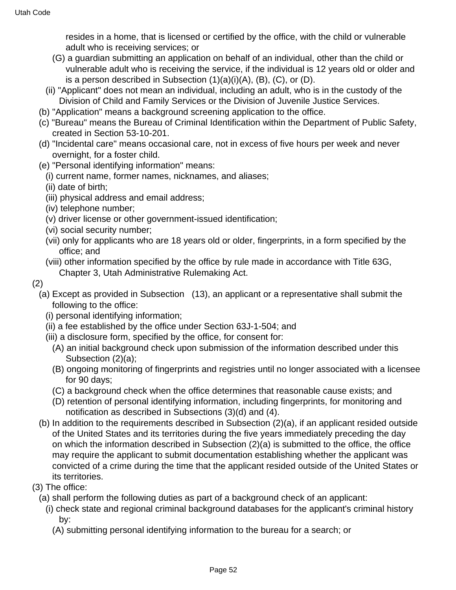resides in a home, that is licensed or certified by the office, with the child or vulnerable adult who is receiving services; or

- (G) a guardian submitting an application on behalf of an individual, other than the child or vulnerable adult who is receiving the service, if the individual is 12 years old or older and is a person described in Subsection  $(1)(a)(i)(A)$ ,  $(B)$ ,  $(C)$ , or  $(D)$ .
- (ii) "Applicant" does not mean an individual, including an adult, who is in the custody of the Division of Child and Family Services or the Division of Juvenile Justice Services.
- (b) "Application" means a background screening application to the office.
- (c) "Bureau" means the Bureau of Criminal Identification within the Department of Public Safety, created in Section 53-10-201.
- (d) "Incidental care" means occasional care, not in excess of five hours per week and never overnight, for a foster child.
- (e) "Personal identifying information" means:
	- (i) current name, former names, nicknames, and aliases;
	- (ii) date of birth;
	- (iii) physical address and email address;
	- (iv) telephone number;
	- (v) driver license or other government-issued identification;
	- (vi) social security number;
	- (vii) only for applicants who are 18 years old or older, fingerprints, in a form specified by the office; and
	- (viii) other information specified by the office by rule made in accordance with Title 63G, Chapter 3, Utah Administrative Rulemaking Act.
- (2)
	- (a) Except as provided in Subsection (13), an applicant or a representative shall submit the following to the office:
		- (i) personal identifying information;
		- (ii) a fee established by the office under Section 63J-1-504; and
		- (iii) a disclosure form, specified by the office, for consent for:
			- (A) an initial background check upon submission of the information described under this Subsection (2)(a);
			- (B) ongoing monitoring of fingerprints and registries until no longer associated with a licensee for 90 days;
			- (C) a background check when the office determines that reasonable cause exists; and
			- (D) retention of personal identifying information, including fingerprints, for monitoring and notification as described in Subsections (3)(d) and (4).
	- (b) In addition to the requirements described in Subsection (2)(a), if an applicant resided outside of the United States and its territories during the five years immediately preceding the day on which the information described in Subsection (2)(a) is submitted to the office, the office may require the applicant to submit documentation establishing whether the applicant was convicted of a crime during the time that the applicant resided outside of the United States or its territories.
- (3) The office:
	- (a) shall perform the following duties as part of a background check of an applicant:
		- (i) check state and regional criminal background databases for the applicant's criminal history by:
			- (A) submitting personal identifying information to the bureau for a search; or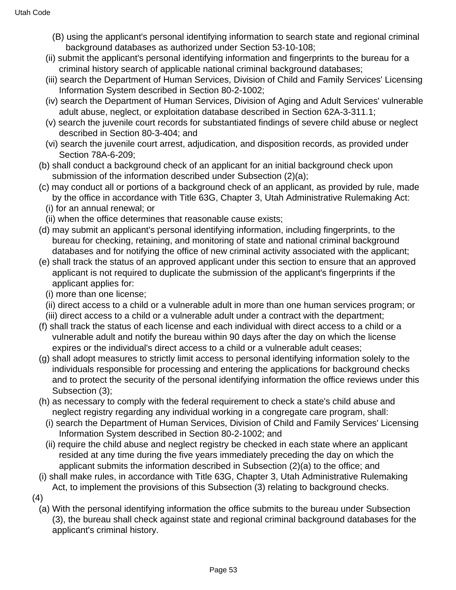- (B) using the applicant's personal identifying information to search state and regional criminal background databases as authorized under Section 53-10-108;
- (ii) submit the applicant's personal identifying information and fingerprints to the bureau for a criminal history search of applicable national criminal background databases;
- (iii) search the Department of Human Services, Division of Child and Family Services' Licensing Information System described in Section 80-2-1002;
- (iv) search the Department of Human Services, Division of Aging and Adult Services' vulnerable adult abuse, neglect, or exploitation database described in Section 62A-3-311.1;
- (v) search the juvenile court records for substantiated findings of severe child abuse or neglect described in Section 80-3-404; and
- (vi) search the juvenile court arrest, adjudication, and disposition records, as provided under Section 78A-6-209;
- (b) shall conduct a background check of an applicant for an initial background check upon submission of the information described under Subsection (2)(a);
- (c) may conduct all or portions of a background check of an applicant, as provided by rule, made by the office in accordance with Title 63G, Chapter 3, Utah Administrative Rulemaking Act:
	- (i) for an annual renewal; or
	- (ii) when the office determines that reasonable cause exists;
- (d) may submit an applicant's personal identifying information, including fingerprints, to the bureau for checking, retaining, and monitoring of state and national criminal background databases and for notifying the office of new criminal activity associated with the applicant;
- (e) shall track the status of an approved applicant under this section to ensure that an approved applicant is not required to duplicate the submission of the applicant's fingerprints if the applicant applies for:
	- (i) more than one license;
	- (ii) direct access to a child or a vulnerable adult in more than one human services program; or
- (iii) direct access to a child or a vulnerable adult under a contract with the department;
- (f) shall track the status of each license and each individual with direct access to a child or a vulnerable adult and notify the bureau within 90 days after the day on which the license expires or the individual's direct access to a child or a vulnerable adult ceases;
- (g) shall adopt measures to strictly limit access to personal identifying information solely to the individuals responsible for processing and entering the applications for background checks and to protect the security of the personal identifying information the office reviews under this Subsection (3);
- (h) as necessary to comply with the federal requirement to check a state's child abuse and neglect registry regarding any individual working in a congregate care program, shall:
	- (i) search the Department of Human Services, Division of Child and Family Services' Licensing Information System described in Section 80-2-1002; and
	- (ii) require the child abuse and neglect registry be checked in each state where an applicant resided at any time during the five years immediately preceding the day on which the applicant submits the information described in Subsection (2)(a) to the office; and
- (i) shall make rules, in accordance with Title 63G, Chapter 3, Utah Administrative Rulemaking Act, to implement the provisions of this Subsection (3) relating to background checks.
- (4)
	- (a) With the personal identifying information the office submits to the bureau under Subsection (3), the bureau shall check against state and regional criminal background databases for the applicant's criminal history.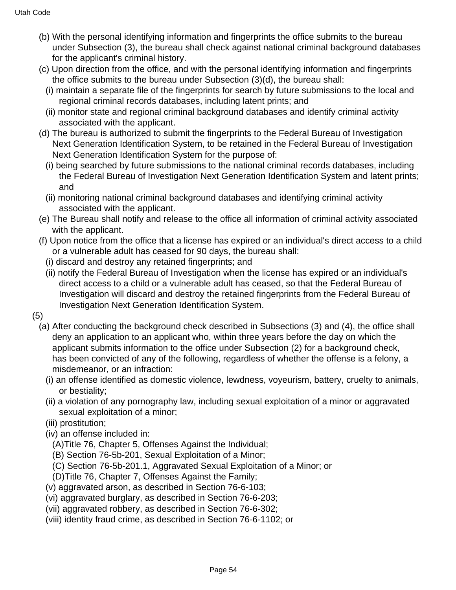- (b) With the personal identifying information and fingerprints the office submits to the bureau under Subsection (3), the bureau shall check against national criminal background databases for the applicant's criminal history.
- (c) Upon direction from the office, and with the personal identifying information and fingerprints the office submits to the bureau under Subsection (3)(d), the bureau shall:
	- (i) maintain a separate file of the fingerprints for search by future submissions to the local and regional criminal records databases, including latent prints; and
	- (ii) monitor state and regional criminal background databases and identify criminal activity associated with the applicant.
- (d) The bureau is authorized to submit the fingerprints to the Federal Bureau of Investigation Next Generation Identification System, to be retained in the Federal Bureau of Investigation Next Generation Identification System for the purpose of:
	- (i) being searched by future submissions to the national criminal records databases, including the Federal Bureau of Investigation Next Generation Identification System and latent prints; and
	- (ii) monitoring national criminal background databases and identifying criminal activity associated with the applicant.
- (e) The Bureau shall notify and release to the office all information of criminal activity associated with the applicant.
- (f) Upon notice from the office that a license has expired or an individual's direct access to a child or a vulnerable adult has ceased for 90 days, the bureau shall:
	- (i) discard and destroy any retained fingerprints; and
	- (ii) notify the Federal Bureau of Investigation when the license has expired or an individual's direct access to a child or a vulnerable adult has ceased, so that the Federal Bureau of Investigation will discard and destroy the retained fingerprints from the Federal Bureau of Investigation Next Generation Identification System.
- (5)
	- (a) After conducting the background check described in Subsections (3) and (4), the office shall deny an application to an applicant who, within three years before the day on which the applicant submits information to the office under Subsection (2) for a background check, has been convicted of any of the following, regardless of whether the offense is a felony, a misdemeanor, or an infraction:
		- (i) an offense identified as domestic violence, lewdness, voyeurism, battery, cruelty to animals, or bestiality;
		- (ii) a violation of any pornography law, including sexual exploitation of a minor or aggravated sexual exploitation of a minor;
		- (iii) prostitution;
		- (iv) an offense included in:
			- (A)Title 76, Chapter 5, Offenses Against the Individual;
			- (B) Section 76-5b-201, Sexual Exploitation of a Minor;
			- (C) Section 76-5b-201.1, Aggravated Sexual Exploitation of a Minor; or
			- (D)Title 76, Chapter 7, Offenses Against the Family;
		- (v) aggravated arson, as described in Section 76-6-103;
		- (vi) aggravated burglary, as described in Section 76-6-203;
		- (vii) aggravated robbery, as described in Section 76-6-302;
		- (viii) identity fraud crime, as described in Section 76-6-1102; or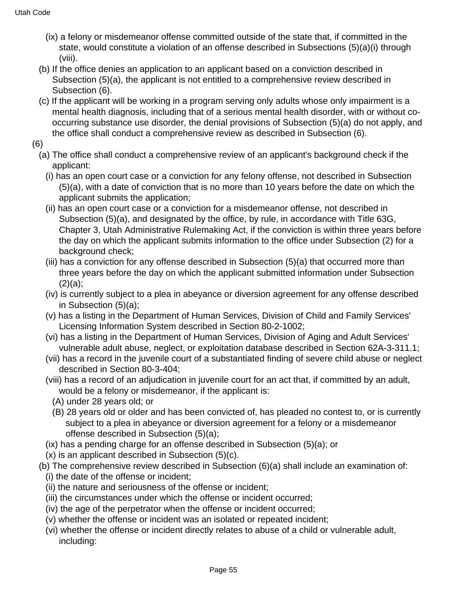- (ix) a felony or misdemeanor offense committed outside of the state that, if committed in the state, would constitute a violation of an offense described in Subsections (5)(a)(i) through (viii).
- (b) If the office denies an application to an applicant based on a conviction described in Subsection (5)(a), the applicant is not entitled to a comprehensive review described in Subsection (6).
- (c) If the applicant will be working in a program serving only adults whose only impairment is a mental health diagnosis, including that of a serious mental health disorder, with or without cooccurring substance use disorder, the denial provisions of Subsection (5)(a) do not apply, and the office shall conduct a comprehensive review as described in Subsection (6).
- (6)
	- (a) The office shall conduct a comprehensive review of an applicant's background check if the applicant:
		- (i) has an open court case or a conviction for any felony offense, not described in Subsection (5)(a), with a date of conviction that is no more than 10 years before the date on which the applicant submits the application;
		- (ii) has an open court case or a conviction for a misdemeanor offense, not described in Subsection (5)(a), and designated by the office, by rule, in accordance with Title 63G, Chapter 3, Utah Administrative Rulemaking Act, if the conviction is within three years before the day on which the applicant submits information to the office under Subsection (2) for a background check;
		- (iii) has a conviction for any offense described in Subsection (5)(a) that occurred more than three years before the day on which the applicant submitted information under Subsection  $(2)(a)$ ;
		- (iv) is currently subject to a plea in abeyance or diversion agreement for any offense described in Subsection (5)(a);
		- (v) has a listing in the Department of Human Services, Division of Child and Family Services' Licensing Information System described in Section 80-2-1002;
		- (vi) has a listing in the Department of Human Services, Division of Aging and Adult Services' vulnerable adult abuse, neglect, or exploitation database described in Section 62A-3-311.1;
		- (vii) has a record in the juvenile court of a substantiated finding of severe child abuse or neglect described in Section 80-3-404;
		- (viii) has a record of an adjudication in juvenile court for an act that, if committed by an adult, would be a felony or misdemeanor, if the applicant is:
			- (A) under 28 years old; or
			- (B) 28 years old or older and has been convicted of, has pleaded no contest to, or is currently subject to a plea in abeyance or diversion agreement for a felony or a misdemeanor offense described in Subsection (5)(a);
		- (ix) has a pending charge for an offense described in Subsection (5)(a); or
		- (x) is an applicant described in Subsection (5)(c).
	- (b) The comprehensive review described in Subsection (6)(a) shall include an examination of:
		- (i) the date of the offense or incident;
		- (ii) the nature and seriousness of the offense or incident;
		- (iii) the circumstances under which the offense or incident occurred;
		- (iv) the age of the perpetrator when the offense or incident occurred;
		- (v) whether the offense or incident was an isolated or repeated incident;
		- (vi) whether the offense or incident directly relates to abuse of a child or vulnerable adult, including: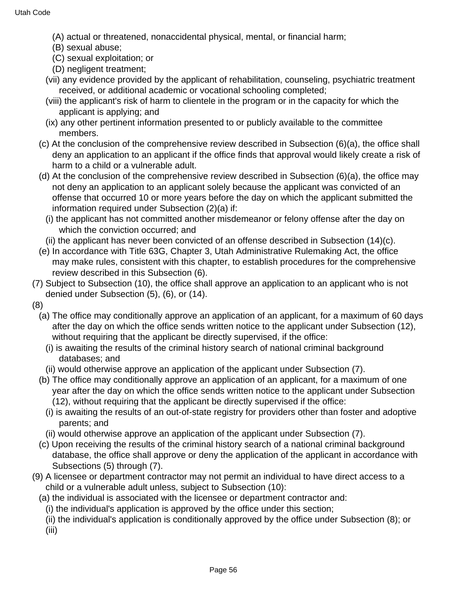- (A) actual or threatened, nonaccidental physical, mental, or financial harm;
- (B) sexual abuse;
- (C) sexual exploitation; or
- (D) negligent treatment;
- (vii) any evidence provided by the applicant of rehabilitation, counseling, psychiatric treatment received, or additional academic or vocational schooling completed;
- (viii) the applicant's risk of harm to clientele in the program or in the capacity for which the applicant is applying; and
- (ix) any other pertinent information presented to or publicly available to the committee members.
- (c) At the conclusion of the comprehensive review described in Subsection (6)(a), the office shall deny an application to an applicant if the office finds that approval would likely create a risk of harm to a child or a vulnerable adult.
- (d) At the conclusion of the comprehensive review described in Subsection (6)(a), the office may not deny an application to an applicant solely because the applicant was convicted of an offense that occurred 10 or more years before the day on which the applicant submitted the information required under Subsection (2)(a) if:
	- (i) the applicant has not committed another misdemeanor or felony offense after the day on which the conviction occurred; and
	- (ii) the applicant has never been convicted of an offense described in Subsection (14)(c).
- (e) In accordance with Title 63G, Chapter 3, Utah Administrative Rulemaking Act, the office may make rules, consistent with this chapter, to establish procedures for the comprehensive review described in this Subsection (6).
- (7) Subject to Subsection (10), the office shall approve an application to an applicant who is not denied under Subsection (5), (6), or (14).
- (8)
	- (a) The office may conditionally approve an application of an applicant, for a maximum of 60 days after the day on which the office sends written notice to the applicant under Subsection (12), without requiring that the applicant be directly supervised, if the office:
		- (i) is awaiting the results of the criminal history search of national criminal background databases; and
	- (ii) would otherwise approve an application of the applicant under Subsection (7).
	- (b) The office may conditionally approve an application of an applicant, for a maximum of one year after the day on which the office sends written notice to the applicant under Subsection (12), without requiring that the applicant be directly supervised if the office:
		- (i) is awaiting the results of an out-of-state registry for providers other than foster and adoptive parents; and
		- (ii) would otherwise approve an application of the applicant under Subsection (7).
	- (c) Upon receiving the results of the criminal history search of a national criminal background database, the office shall approve or deny the application of the applicant in accordance with Subsections (5) through (7).
- (9) A licensee or department contractor may not permit an individual to have direct access to a child or a vulnerable adult unless, subject to Subsection (10):
	- (a) the individual is associated with the licensee or department contractor and:
		- (i) the individual's application is approved by the office under this section;
		- (ii) the individual's application is conditionally approved by the office under Subsection (8); or (iii)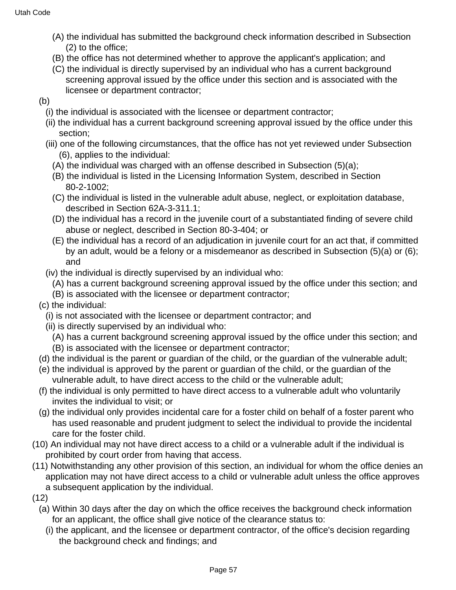- (A) the individual has submitted the background check information described in Subsection (2) to the office;
- (B) the office has not determined whether to approve the applicant's application; and
- (C) the individual is directly supervised by an individual who has a current background screening approval issued by the office under this section and is associated with the licensee or department contractor;
- (b)
	- (i) the individual is associated with the licensee or department contractor;
	- (ii) the individual has a current background screening approval issued by the office under this section;
	- (iii) one of the following circumstances, that the office has not yet reviewed under Subsection (6), applies to the individual:
		- (A) the individual was charged with an offense described in Subsection (5)(a);
		- (B) the individual is listed in the Licensing Information System, described in Section 80-2-1002;
		- (C) the individual is listed in the vulnerable adult abuse, neglect, or exploitation database, described in Section 62A-3-311.1;
		- (D) the individual has a record in the juvenile court of a substantiated finding of severe child abuse or neglect, described in Section 80-3-404; or
		- (E) the individual has a record of an adjudication in juvenile court for an act that, if committed by an adult, would be a felony or a misdemeanor as described in Subsection (5)(a) or (6); and
	- (iv) the individual is directly supervised by an individual who:
		- (A) has a current background screening approval issued by the office under this section; and
		- (B) is associated with the licensee or department contractor;
- (c) the individual:
	- (i) is not associated with the licensee or department contractor; and
	- (ii) is directly supervised by an individual who:
		- (A) has a current background screening approval issued by the office under this section; and
		- (B) is associated with the licensee or department contractor;
- (d) the individual is the parent or guardian of the child, or the guardian of the vulnerable adult;
- (e) the individual is approved by the parent or guardian of the child, or the guardian of the vulnerable adult, to have direct access to the child or the vulnerable adult;
- (f) the individual is only permitted to have direct access to a vulnerable adult who voluntarily invites the individual to visit; or
- (g) the individual only provides incidental care for a foster child on behalf of a foster parent who has used reasonable and prudent judgment to select the individual to provide the incidental care for the foster child.
- (10) An individual may not have direct access to a child or a vulnerable adult if the individual is prohibited by court order from having that access.
- (11) Notwithstanding any other provision of this section, an individual for whom the office denies an application may not have direct access to a child or vulnerable adult unless the office approves a subsequent application by the individual.
- (12)
	- (a) Within 30 days after the day on which the office receives the background check information for an applicant, the office shall give notice of the clearance status to:
		- (i) the applicant, and the licensee or department contractor, of the office's decision regarding the background check and findings; and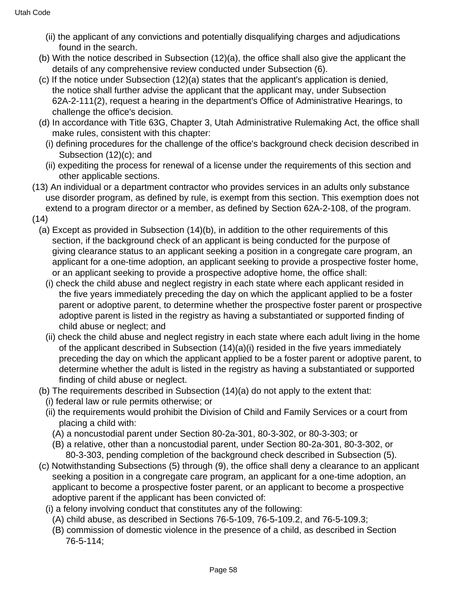- (ii) the applicant of any convictions and potentially disqualifying charges and adjudications found in the search.
- (b) With the notice described in Subsection (12)(a), the office shall also give the applicant the details of any comprehensive review conducted under Subsection (6).
- (c) If the notice under Subsection (12)(a) states that the applicant's application is denied, the notice shall further advise the applicant that the applicant may, under Subsection 62A-2-111(2), request a hearing in the department's Office of Administrative Hearings, to challenge the office's decision.
- (d) In accordance with Title 63G, Chapter 3, Utah Administrative Rulemaking Act, the office shall make rules, consistent with this chapter:
	- (i) defining procedures for the challenge of the office's background check decision described in Subsection (12)(c); and
	- (ii) expediting the process for renewal of a license under the requirements of this section and other applicable sections.
- (13) An individual or a department contractor who provides services in an adults only substance use disorder program, as defined by rule, is exempt from this section. This exemption does not extend to a program director or a member, as defined by Section 62A-2-108, of the program.
- (14)
	- (a) Except as provided in Subsection (14)(b), in addition to the other requirements of this section, if the background check of an applicant is being conducted for the purpose of giving clearance status to an applicant seeking a position in a congregate care program, an applicant for a one-time adoption, an applicant seeking to provide a prospective foster home, or an applicant seeking to provide a prospective adoptive home, the office shall:
		- (i) check the child abuse and neglect registry in each state where each applicant resided in the five years immediately preceding the day on which the applicant applied to be a foster parent or adoptive parent, to determine whether the prospective foster parent or prospective adoptive parent is listed in the registry as having a substantiated or supported finding of child abuse or neglect; and
		- (ii) check the child abuse and neglect registry in each state where each adult living in the home of the applicant described in Subsection (14)(a)(i) resided in the five years immediately preceding the day on which the applicant applied to be a foster parent or adoptive parent, to determine whether the adult is listed in the registry as having a substantiated or supported finding of child abuse or neglect.
	- (b) The requirements described in Subsection (14)(a) do not apply to the extent that:
		- (i) federal law or rule permits otherwise; or
		- (ii) the requirements would prohibit the Division of Child and Family Services or a court from placing a child with:
			- (A) a noncustodial parent under Section 80-2a-301, 80-3-302, or 80-3-303; or
			- (B) a relative, other than a noncustodial parent, under Section 80-2a-301, 80-3-302, or 80-3-303, pending completion of the background check described in Subsection (5).
	- (c) Notwithstanding Subsections (5) through (9), the office shall deny a clearance to an applicant seeking a position in a congregate care program, an applicant for a one-time adoption, an applicant to become a prospective foster parent, or an applicant to become a prospective adoptive parent if the applicant has been convicted of:
		- (i) a felony involving conduct that constitutes any of the following:
			- (A) child abuse, as described in Sections 76-5-109, 76-5-109.2, and 76-5-109.3;
			- (B) commission of domestic violence in the presence of a child, as described in Section 76-5-114;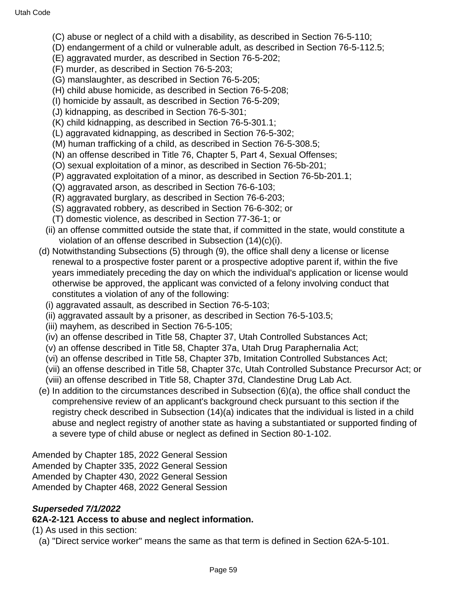- (C) abuse or neglect of a child with a disability, as described in Section 76-5-110;
- (D) endangerment of a child or vulnerable adult, as described in Section 76-5-112.5;
- (E) aggravated murder, as described in Section 76-5-202;
- (F) murder, as described in Section 76-5-203;
- (G) manslaughter, as described in Section 76-5-205;
- (H) child abuse homicide, as described in Section 76-5-208;
- (I) homicide by assault, as described in Section 76-5-209;
- (J) kidnapping, as described in Section 76-5-301;
- (K) child kidnapping, as described in Section 76-5-301.1;
- (L) aggravated kidnapping, as described in Section 76-5-302;
- (M) human trafficking of a child, as described in Section 76-5-308.5;
- (N) an offense described in Title 76, Chapter 5, Part 4, Sexual Offenses;
- (O) sexual exploitation of a minor, as described in Section 76-5b-201;
- (P) aggravated exploitation of a minor, as described in Section 76-5b-201.1;
- (Q) aggravated arson, as described in Section 76-6-103;
- (R) aggravated burglary, as described in Section 76-6-203;
- (S) aggravated robbery, as described in Section 76-6-302; or
- (T) domestic violence, as described in Section 77-36-1; or
- (ii) an offense committed outside the state that, if committed in the state, would constitute a violation of an offense described in Subsection (14)(c)(i).
- (d) Notwithstanding Subsections (5) through (9), the office shall deny a license or license renewal to a prospective foster parent or a prospective adoptive parent if, within the five years immediately preceding the day on which the individual's application or license would otherwise be approved, the applicant was convicted of a felony involving conduct that constitutes a violation of any of the following:
	- (i) aggravated assault, as described in Section 76-5-103;
	- (ii) aggravated assault by a prisoner, as described in Section 76-5-103.5;
	- (iii) mayhem, as described in Section 76-5-105;
	- (iv) an offense described in Title 58, Chapter 37, Utah Controlled Substances Act;
	- (v) an offense described in Title 58, Chapter 37a, Utah Drug Paraphernalia Act;
	- (vi) an offense described in Title 58, Chapter 37b, Imitation Controlled Substances Act;
	- (vii) an offense described in Title 58, Chapter 37c, Utah Controlled Substance Precursor Act; or
	- (viii) an offense described in Title 58, Chapter 37d, Clandestine Drug Lab Act.
- (e) In addition to the circumstances described in Subsection (6)(a), the office shall conduct the comprehensive review of an applicant's background check pursuant to this section if the registry check described in Subsection (14)(a) indicates that the individual is listed in a child abuse and neglect registry of another state as having a substantiated or supported finding of a severe type of child abuse or neglect as defined in Section 80-1-102.

Amended by Chapter 185, 2022 General Session Amended by Chapter 335, 2022 General Session Amended by Chapter 430, 2022 General Session Amended by Chapter 468, 2022 General Session

#### **Superseded 7/1/2022**

#### **62A-2-121 Access to abuse and neglect information.**

(1) As used in this section:

(a) "Direct service worker" means the same as that term is defined in Section 62A-5-101.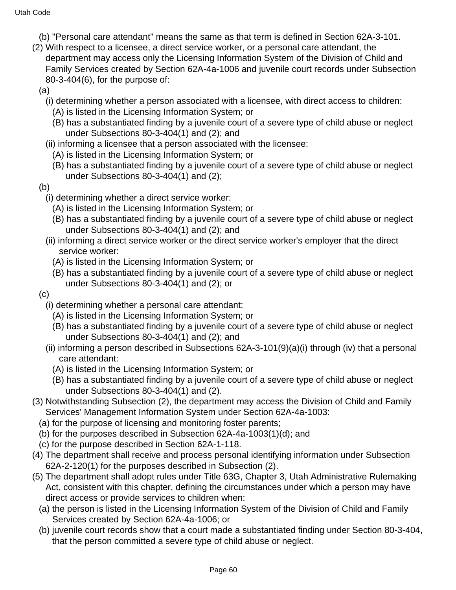- (b) "Personal care attendant" means the same as that term is defined in Section 62A-3-101.
- (2) With respect to a licensee, a direct service worker, or a personal care attendant, the department may access only the Licensing Information System of the Division of Child and Family Services created by Section 62A-4a-1006 and juvenile court records under Subsection 80-3-404(6), for the purpose of:
	- (a)
		- (i) determining whether a person associated with a licensee, with direct access to children:
			- (A) is listed in the Licensing Information System; or
			- (B) has a substantiated finding by a juvenile court of a severe type of child abuse or neglect under Subsections 80-3-404(1) and (2); and
		- (ii) informing a licensee that a person associated with the licensee:
			- (A) is listed in the Licensing Information System; or
			- (B) has a substantiated finding by a juvenile court of a severe type of child abuse or neglect under Subsections 80-3-404(1) and (2);
	- (b)
		- (i) determining whether a direct service worker:
			- (A) is listed in the Licensing Information System; or
			- (B) has a substantiated finding by a juvenile court of a severe type of child abuse or neglect under Subsections 80-3-404(1) and (2); and
		- (ii) informing a direct service worker or the direct service worker's employer that the direct service worker:
			- (A) is listed in the Licensing Information System; or
			- (B) has a substantiated finding by a juvenile court of a severe type of child abuse or neglect under Subsections 80-3-404(1) and (2); or
	- (c)
		- (i) determining whether a personal care attendant:
			- (A) is listed in the Licensing Information System; or
			- (B) has a substantiated finding by a juvenile court of a severe type of child abuse or neglect under Subsections 80-3-404(1) and (2); and
		- (ii) informing a person described in Subsections 62A-3-101(9)(a)(i) through (iv) that a personal care attendant:
			- (A) is listed in the Licensing Information System; or
			- (B) has a substantiated finding by a juvenile court of a severe type of child abuse or neglect under Subsections 80-3-404(1) and (2).
- (3) Notwithstanding Subsection (2), the department may access the Division of Child and Family Services' Management Information System under Section 62A-4a-1003:
	- (a) for the purpose of licensing and monitoring foster parents;
	- (b) for the purposes described in Subsection 62A-4a-1003(1)(d); and
	- (c) for the purpose described in Section 62A-1-118.
- (4) The department shall receive and process personal identifying information under Subsection 62A-2-120(1) for the purposes described in Subsection (2).
- (5) The department shall adopt rules under Title 63G, Chapter 3, Utah Administrative Rulemaking Act, consistent with this chapter, defining the circumstances under which a person may have direct access or provide services to children when:
	- (a) the person is listed in the Licensing Information System of the Division of Child and Family Services created by Section 62A-4a-1006; or
	- (b) juvenile court records show that a court made a substantiated finding under Section 80-3-404, that the person committed a severe type of child abuse or neglect.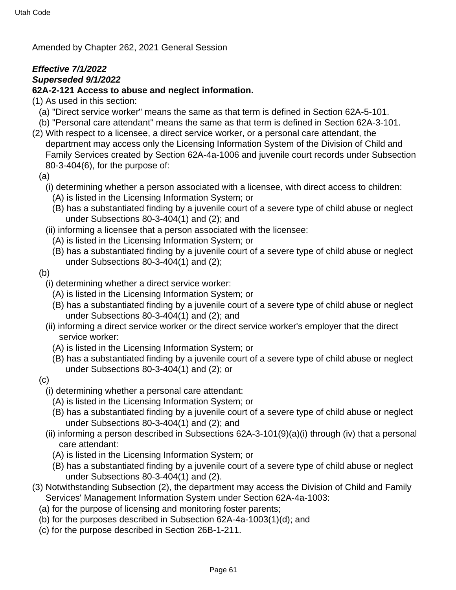Amended by Chapter 262, 2021 General Session

## **Effective 7/1/2022**

#### **Superseded 9/1/2022**

#### **62A-2-121 Access to abuse and neglect information.**

- (1) As used in this section:
	- (a) "Direct service worker" means the same as that term is defined in Section 62A-5-101.
	- (b) "Personal care attendant" means the same as that term is defined in Section 62A-3-101.
- (2) With respect to a licensee, a direct service worker, or a personal care attendant, the department may access only the Licensing Information System of the Division of Child and Family Services created by Section 62A-4a-1006 and juvenile court records under Subsection 80-3-404(6), for the purpose of:
	- (a)
		- (i) determining whether a person associated with a licensee, with direct access to children:
			- (A) is listed in the Licensing Information System; or
			- (B) has a substantiated finding by a juvenile court of a severe type of child abuse or neglect under Subsections 80-3-404(1) and (2); and
		- (ii) informing a licensee that a person associated with the licensee:
			- (A) is listed in the Licensing Information System; or
			- (B) has a substantiated finding by a juvenile court of a severe type of child abuse or neglect under Subsections 80-3-404(1) and (2);

```
(b)
```
- (i) determining whether a direct service worker:
	- (A) is listed in the Licensing Information System; or
	- (B) has a substantiated finding by a juvenile court of a severe type of child abuse or neglect under Subsections 80-3-404(1) and (2); and
- (ii) informing a direct service worker or the direct service worker's employer that the direct service worker:
	- (A) is listed in the Licensing Information System; or
	- (B) has a substantiated finding by a juvenile court of a severe type of child abuse or neglect under Subsections 80-3-404(1) and (2); or
- (c)
	- (i) determining whether a personal care attendant:
		- (A) is listed in the Licensing Information System; or
		- (B) has a substantiated finding by a juvenile court of a severe type of child abuse or neglect under Subsections 80-3-404(1) and (2); and
	- (ii) informing a person described in Subsections 62A-3-101(9)(a)(i) through (iv) that a personal care attendant:
		- (A) is listed in the Licensing Information System; or
		- (B) has a substantiated finding by a juvenile court of a severe type of child abuse or neglect under Subsections 80-3-404(1) and (2).
- (3) Notwithstanding Subsection (2), the department may access the Division of Child and Family Services' Management Information System under Section 62A-4a-1003:
	- (a) for the purpose of licensing and monitoring foster parents;
	- (b) for the purposes described in Subsection 62A-4a-1003(1)(d); and
	- (c) for the purpose described in Section 26B-1-211.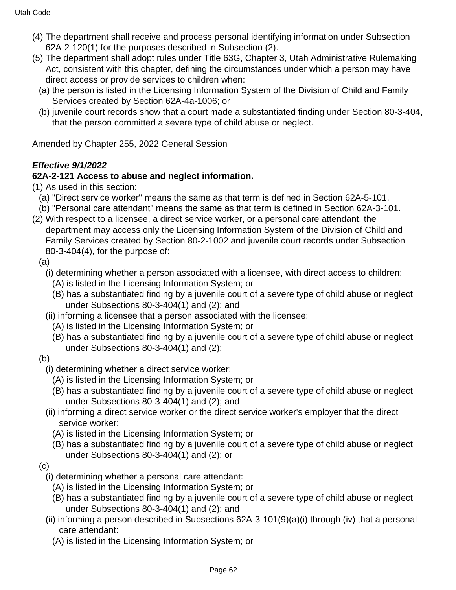- (4) The department shall receive and process personal identifying information under Subsection 62A-2-120(1) for the purposes described in Subsection (2).
- (5) The department shall adopt rules under Title 63G, Chapter 3, Utah Administrative Rulemaking Act, consistent with this chapter, defining the circumstances under which a person may have direct access or provide services to children when:
	- (a) the person is listed in the Licensing Information System of the Division of Child and Family Services created by Section 62A-4a-1006; or
	- (b) juvenile court records show that a court made a substantiated finding under Section 80-3-404, that the person committed a severe type of child abuse or neglect.

Amended by Chapter 255, 2022 General Session

# **Effective 9/1/2022**

# **62A-2-121 Access to abuse and neglect information.**

(1) As used in this section:

- (a) "Direct service worker" means the same as that term is defined in Section 62A-5-101.
- (b) "Personal care attendant" means the same as that term is defined in Section 62A-3-101.
- (2) With respect to a licensee, a direct service worker, or a personal care attendant, the department may access only the Licensing Information System of the Division of Child and Family Services created by Section 80-2-1002 and juvenile court records under Subsection 80-3-404(4), for the purpose of:

(a)

- (i) determining whether a person associated with a licensee, with direct access to children:
	- (A) is listed in the Licensing Information System; or
	- (B) has a substantiated finding by a juvenile court of a severe type of child abuse or neglect under Subsections 80-3-404(1) and (2); and
- (ii) informing a licensee that a person associated with the licensee:
	- (A) is listed in the Licensing Information System; or
	- (B) has a substantiated finding by a juvenile court of a severe type of child abuse or neglect under Subsections 80-3-404(1) and (2);
- (b)
	- (i) determining whether a direct service worker:
		- (A) is listed in the Licensing Information System; or
		- (B) has a substantiated finding by a juvenile court of a severe type of child abuse or neglect under Subsections 80-3-404(1) and (2); and
	- (ii) informing a direct service worker or the direct service worker's employer that the direct service worker:
		- (A) is listed in the Licensing Information System; or
		- (B) has a substantiated finding by a juvenile court of a severe type of child abuse or neglect under Subsections 80-3-404(1) and (2); or
- (c)
	- (i) determining whether a personal care attendant:
		- (A) is listed in the Licensing Information System; or
		- (B) has a substantiated finding by a juvenile court of a severe type of child abuse or neglect under Subsections 80-3-404(1) and (2); and
	- (ii) informing a person described in Subsections 62A-3-101(9)(a)(i) through (iv) that a personal care attendant:
		- (A) is listed in the Licensing Information System; or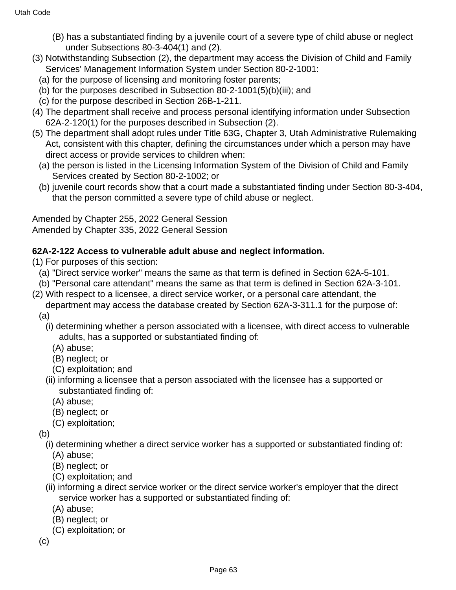- (B) has a substantiated finding by a juvenile court of a severe type of child abuse or neglect under Subsections 80-3-404(1) and (2).
- (3) Notwithstanding Subsection (2), the department may access the Division of Child and Family Services' Management Information System under Section 80-2-1001:
	- (a) for the purpose of licensing and monitoring foster parents;
	- (b) for the purposes described in Subsection 80-2-1001(5)(b)(iii); and
	- (c) for the purpose described in Section 26B-1-211.
- (4) The department shall receive and process personal identifying information under Subsection 62A-2-120(1) for the purposes described in Subsection (2).
- (5) The department shall adopt rules under Title 63G, Chapter 3, Utah Administrative Rulemaking Act, consistent with this chapter, defining the circumstances under which a person may have direct access or provide services to children when:
	- (a) the person is listed in the Licensing Information System of the Division of Child and Family Services created by Section 80-2-1002; or
	- (b) juvenile court records show that a court made a substantiated finding under Section 80-3-404, that the person committed a severe type of child abuse or neglect.

Amended by Chapter 255, 2022 General Session Amended by Chapter 335, 2022 General Session

### **62A-2-122 Access to vulnerable adult abuse and neglect information.**

- (1) For purposes of this section:
	- (a) "Direct service worker" means the same as that term is defined in Section 62A-5-101.
	- (b) "Personal care attendant" means the same as that term is defined in Section 62A-3-101.
- (2) With respect to a licensee, a direct service worker, or a personal care attendant, the department may access the database created by Section 62A-3-311.1 for the purpose of:
	- (a)
		- (i) determining whether a person associated with a licensee, with direct access to vulnerable adults, has a supported or substantiated finding of:
			- (A) abuse;
			- (B) neglect; or
			- (C) exploitation; and
		- (ii) informing a licensee that a person associated with the licensee has a supported or substantiated finding of:
			- (A) abuse;
			- (B) neglect; or
			- (C) exploitation;
	- (b)
		- (i) determining whether a direct service worker has a supported or substantiated finding of: (A) abuse;
			- (B) neglect; or
			- (C) exploitation; and
		- (ii) informing a direct service worker or the direct service worker's employer that the direct service worker has a supported or substantiated finding of:
			- (A) abuse;
			- (B) neglect; or
			- (C) exploitation; or
	- (c)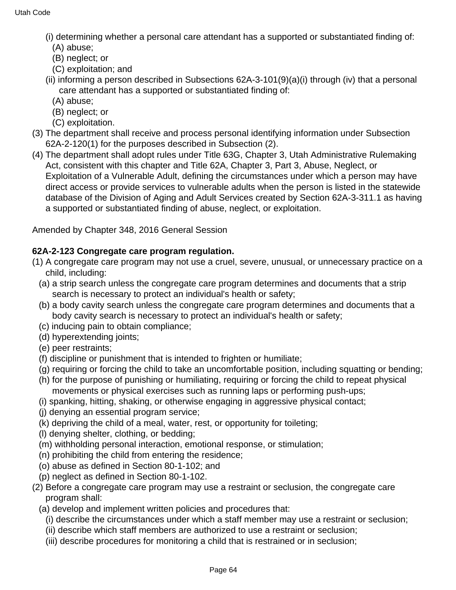- (i) determining whether a personal care attendant has a supported or substantiated finding of: (A) abuse;
	-
	- (B) neglect; or (C) exploitation; and
- (ii) informing a person described in Subsections  $62A-3-101(9)(a)(i)$  through (iv) that a personal care attendant has a supported or substantiated finding of:
	- (A) abuse;
	- (B) neglect; or
	- (C) exploitation.
- (3) The department shall receive and process personal identifying information under Subsection 62A-2-120(1) for the purposes described in Subsection (2).
- (4) The department shall adopt rules under Title 63G, Chapter 3, Utah Administrative Rulemaking Act, consistent with this chapter and Title 62A, Chapter 3, Part 3, Abuse, Neglect, or Exploitation of a Vulnerable Adult, defining the circumstances under which a person may have direct access or provide services to vulnerable adults when the person is listed in the statewide database of the Division of Aging and Adult Services created by Section 62A-3-311.1 as having a supported or substantiated finding of abuse, neglect, or exploitation.

Amended by Chapter 348, 2016 General Session

### **62A-2-123 Congregate care program regulation.**

- (1) A congregate care program may not use a cruel, severe, unusual, or unnecessary practice on a child, including:
	- (a) a strip search unless the congregate care program determines and documents that a strip search is necessary to protect an individual's health or safety;
	- (b) a body cavity search unless the congregate care program determines and documents that a body cavity search is necessary to protect an individual's health or safety;
	- (c) inducing pain to obtain compliance;
	- (d) hyperextending joints;
	- (e) peer restraints;
	- (f) discipline or punishment that is intended to frighten or humiliate;
	- (g) requiring or forcing the child to take an uncomfortable position, including squatting or bending;
	- (h) for the purpose of punishing or humiliating, requiring or forcing the child to repeat physical movements or physical exercises such as running laps or performing push-ups;
	- (i) spanking, hitting, shaking, or otherwise engaging in aggressive physical contact;
	- (j) denying an essential program service;
	- (k) depriving the child of a meal, water, rest, or opportunity for toileting;
	- (l) denying shelter, clothing, or bedding;
	- (m) withholding personal interaction, emotional response, or stimulation;
	- (n) prohibiting the child from entering the residence;
	- (o) abuse as defined in Section 80-1-102; and
	- (p) neglect as defined in Section 80-1-102.
- (2) Before a congregate care program may use a restraint or seclusion, the congregate care program shall:
	- (a) develop and implement written policies and procedures that:
		- (i) describe the circumstances under which a staff member may use a restraint or seclusion;
		- (ii) describe which staff members are authorized to use a restraint or seclusion;
		- (iii) describe procedures for monitoring a child that is restrained or in seclusion;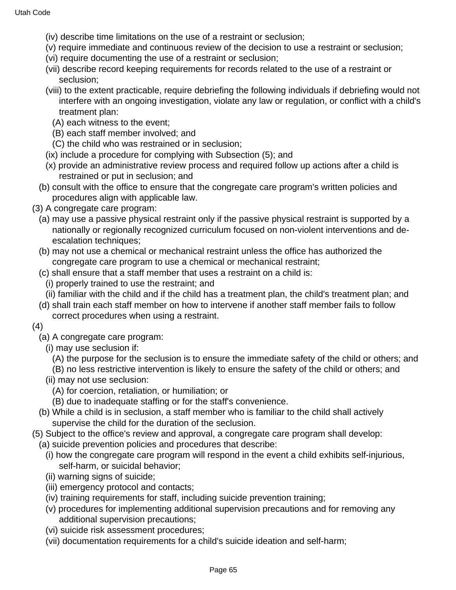- (iv) describe time limitations on the use of a restraint or seclusion;
- (v) require immediate and continuous review of the decision to use a restraint or seclusion;
- (vi) require documenting the use of a restraint or seclusion;
- (vii) describe record keeping requirements for records related to the use of a restraint or seclusion;
- (viii) to the extent practicable, require debriefing the following individuals if debriefing would not interfere with an ongoing investigation, violate any law or regulation, or conflict with a child's treatment plan:
	- (A) each witness to the event;
	- (B) each staff member involved; and
- (C) the child who was restrained or in seclusion;
- (ix) include a procedure for complying with Subsection (5); and
- (x) provide an administrative review process and required follow up actions after a child is restrained or put in seclusion; and
- (b) consult with the office to ensure that the congregate care program's written policies and procedures align with applicable law.
- (3) A congregate care program:
	- (a) may use a passive physical restraint only if the passive physical restraint is supported by a nationally or regionally recognized curriculum focused on non-violent interventions and deescalation techniques;
	- (b) may not use a chemical or mechanical restraint unless the office has authorized the congregate care program to use a chemical or mechanical restraint;
	- (c) shall ensure that a staff member that uses a restraint on a child is:
		- (i) properly trained to use the restraint; and
	- (ii) familiar with the child and if the child has a treatment plan, the child's treatment plan; and
	- (d) shall train each staff member on how to intervene if another staff member fails to follow correct procedures when using a restraint.
- (4)
	- (a) A congregate care program:
		- (i) may use seclusion if:
			- (A) the purpose for the seclusion is to ensure the immediate safety of the child or others; and
			- (B) no less restrictive intervention is likely to ensure the safety of the child or others; and
		- (ii) may not use seclusion:
			- (A) for coercion, retaliation, or humiliation; or
			- (B) due to inadequate staffing or for the staff's convenience.
	- (b) While a child is in seclusion, a staff member who is familiar to the child shall actively supervise the child for the duration of the seclusion.
- (5) Subject to the office's review and approval, a congregate care program shall develop:
	- (a) suicide prevention policies and procedures that describe:
		- (i) how the congregate care program will respond in the event a child exhibits self-injurious, self-harm, or suicidal behavior;
		- (ii) warning signs of suicide;
		- (iii) emergency protocol and contacts;
		- (iv) training requirements for staff, including suicide prevention training;
		- (v) procedures for implementing additional supervision precautions and for removing any additional supervision precautions;
		- (vi) suicide risk assessment procedures;
		- (vii) documentation requirements for a child's suicide ideation and self-harm;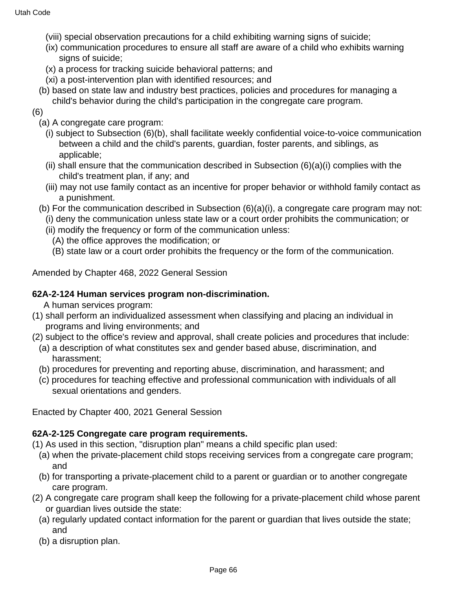- (viii) special observation precautions for a child exhibiting warning signs of suicide;
- (ix) communication procedures to ensure all staff are aware of a child who exhibits warning signs of suicide;
- (x) a process for tracking suicide behavioral patterns; and
- (xi) a post-intervention plan with identified resources; and
- (b) based on state law and industry best practices, policies and procedures for managing a child's behavior during the child's participation in the congregate care program.

(6)

- (a) A congregate care program:
	- (i) subject to Subsection (6)(b), shall facilitate weekly confidential voice-to-voice communication between a child and the child's parents, guardian, foster parents, and siblings, as applicable;
	- (ii) shall ensure that the communication described in Subsection  $(6)(a)(i)$  complies with the child's treatment plan, if any; and
	- (iii) may not use family contact as an incentive for proper behavior or withhold family contact as a punishment.
- (b) For the communication described in Subsection (6)(a)(i), a congregate care program may not:
	- (i) deny the communication unless state law or a court order prohibits the communication; or
	- (ii) modify the frequency or form of the communication unless:
		- (A) the office approves the modification; or
		- (B) state law or a court order prohibits the frequency or the form of the communication.

Amended by Chapter 468, 2022 General Session

#### **62A-2-124 Human services program non-discrimination.**

A human services program:

- (1) shall perform an individualized assessment when classifying and placing an individual in programs and living environments; and
- (2) subject to the office's review and approval, shall create policies and procedures that include:
	- (a) a description of what constitutes sex and gender based abuse, discrimination, and harassment;
	- (b) procedures for preventing and reporting abuse, discrimination, and harassment; and
	- (c) procedures for teaching effective and professional communication with individuals of all sexual orientations and genders.

Enacted by Chapter 400, 2021 General Session

#### **62A-2-125 Congregate care program requirements.**

(1) As used in this section, "disruption plan" means a child specific plan used:

- (a) when the private-placement child stops receiving services from a congregate care program; and
- (b) for transporting a private-placement child to a parent or guardian or to another congregate care program.
- (2) A congregate care program shall keep the following for a private-placement child whose parent or guardian lives outside the state:
	- (a) regularly updated contact information for the parent or guardian that lives outside the state; and
	- (b) a disruption plan.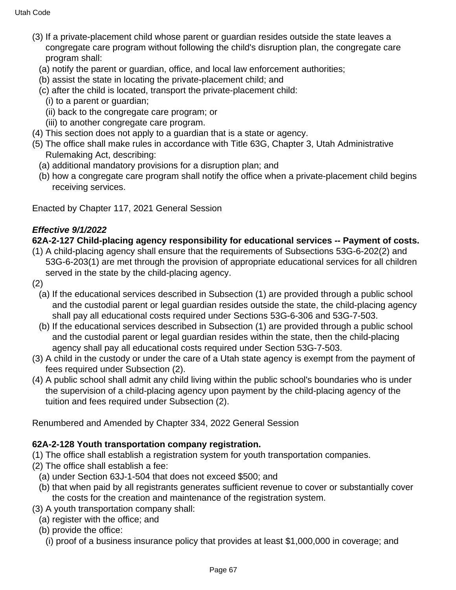- (3) If a private-placement child whose parent or guardian resides outside the state leaves a congregate care program without following the child's disruption plan, the congregate care program shall:
	- (a) notify the parent or guardian, office, and local law enforcement authorities;
	- (b) assist the state in locating the private-placement child; and
	- (c) after the child is located, transport the private-placement child:
		- (i) to a parent or guardian;
		- (ii) back to the congregate care program; or
		- (iii) to another congregate care program.
- (4) This section does not apply to a guardian that is a state or agency.
- (5) The office shall make rules in accordance with Title 63G, Chapter 3, Utah Administrative Rulemaking Act, describing:
	- (a) additional mandatory provisions for a disruption plan; and
	- (b) how a congregate care program shall notify the office when a private-placement child begins receiving services.

Enacted by Chapter 117, 2021 General Session

## **Effective 9/1/2022**

## **62A-2-127 Child-placing agency responsibility for educational services -- Payment of costs.**

- (1) A child-placing agency shall ensure that the requirements of Subsections 53G-6-202(2) and 53G-6-203(1) are met through the provision of appropriate educational services for all children served in the state by the child-placing agency.
- (2)
	- (a) If the educational services described in Subsection (1) are provided through a public school and the custodial parent or legal guardian resides outside the state, the child-placing agency shall pay all educational costs required under Sections 53G-6-306 and 53G-7-503.
	- (b) If the educational services described in Subsection (1) are provided through a public school and the custodial parent or legal guardian resides within the state, then the child-placing agency shall pay all educational costs required under Section 53G-7-503.
- (3) A child in the custody or under the care of a Utah state agency is exempt from the payment of fees required under Subsection (2).
- (4) A public school shall admit any child living within the public school's boundaries who is under the supervision of a child-placing agency upon payment by the child-placing agency of the tuition and fees required under Subsection (2).

Renumbered and Amended by Chapter 334, 2022 General Session

#### **62A-2-128 Youth transportation company registration.**

- (1) The office shall establish a registration system for youth transportation companies.
- (2) The office shall establish a fee:
- (a) under Section 63J-1-504 that does not exceed \$500; and
- (b) that when paid by all registrants generates sufficient revenue to cover or substantially cover the costs for the creation and maintenance of the registration system.
- (3) A youth transportation company shall:
	- (a) register with the office; and
	- (b) provide the office:
	- (i) proof of a business insurance policy that provides at least \$1,000,000 in coverage; and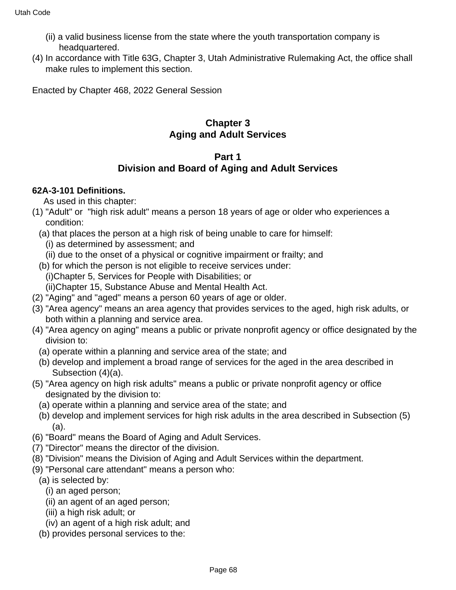- (ii) a valid business license from the state where the youth transportation company is headquartered.
- (4) In accordance with Title 63G, Chapter 3, Utah Administrative Rulemaking Act, the office shall make rules to implement this section.

Enacted by Chapter 468, 2022 General Session

## **Chapter 3 Aging and Adult Services**

## **Part 1**

# **Division and Board of Aging and Adult Services**

#### **62A-3-101 Definitions.**

As used in this chapter:

- (1) "Adult" or "high risk adult" means a person 18 years of age or older who experiences a condition:
	- (a) that places the person at a high risk of being unable to care for himself:
		- (i) as determined by assessment; and
		- (ii) due to the onset of a physical or cognitive impairment or frailty; and
	- (b) for which the person is not eligible to receive services under:
		- (i)Chapter 5, Services for People with Disabilities; or
		- (ii)Chapter 15, Substance Abuse and Mental Health Act.
- (2) "Aging" and "aged" means a person 60 years of age or older.
- (3) "Area agency" means an area agency that provides services to the aged, high risk adults, or both within a planning and service area.
- (4) "Area agency on aging" means a public or private nonprofit agency or office designated by the division to:
	- (a) operate within a planning and service area of the state; and
	- (b) develop and implement a broad range of services for the aged in the area described in Subsection (4)(a).
- (5) "Area agency on high risk adults" means a public or private nonprofit agency or office designated by the division to:
	- (a) operate within a planning and service area of the state; and
	- (b) develop and implement services for high risk adults in the area described in Subsection (5) (a).
- (6) "Board" means the Board of Aging and Adult Services.
- (7) "Director" means the director of the division.
- (8) "Division" means the Division of Aging and Adult Services within the department.
- (9) "Personal care attendant" means a person who:
	- (a) is selected by:
		- (i) an aged person;
		- (ii) an agent of an aged person;
		- (iii) a high risk adult; or
		- (iv) an agent of a high risk adult; and
	- (b) provides personal services to the: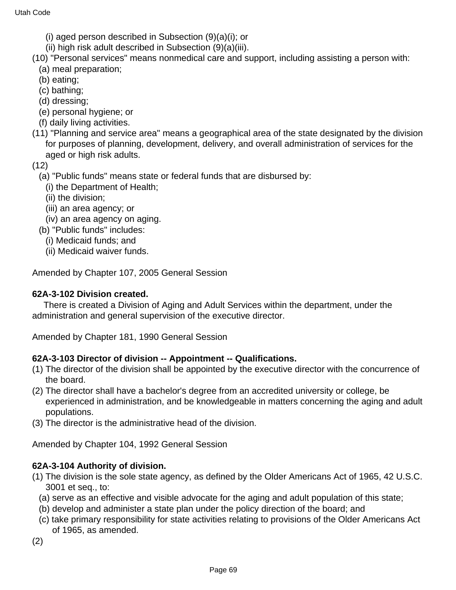- (i) aged person described in Subsection (9)(a)(i); or
- (ii) high risk adult described in Subsection (9)(a)(iii).

(10) "Personal services" means nonmedical care and support, including assisting a person with:

- (a) meal preparation;
- (b) eating;
- (c) bathing;
- (d) dressing;
- (e) personal hygiene; or
- (f) daily living activities.
- (11) "Planning and service area" means a geographical area of the state designated by the division for purposes of planning, development, delivery, and overall administration of services for the aged or high risk adults.
- (12)
	- (a) "Public funds" means state or federal funds that are disbursed by:
		- (i) the Department of Health;
		- (ii) the division;
		- (iii) an area agency; or
		- (iv) an area agency on aging.
	- (b) "Public funds" includes:
		- (i) Medicaid funds; and
		- (ii) Medicaid waiver funds.

Amended by Chapter 107, 2005 General Session

#### **62A-3-102 Division created.**

 There is created a Division of Aging and Adult Services within the department, under the administration and general supervision of the executive director.

Amended by Chapter 181, 1990 General Session

#### **62A-3-103 Director of division -- Appointment -- Qualifications.**

- (1) The director of the division shall be appointed by the executive director with the concurrence of the board.
- (2) The director shall have a bachelor's degree from an accredited university or college, be experienced in administration, and be knowledgeable in matters concerning the aging and adult populations.
- (3) The director is the administrative head of the division.

Amended by Chapter 104, 1992 General Session

## **62A-3-104 Authority of division.**

- (1) The division is the sole state agency, as defined by the Older Americans Act of 1965, 42 U.S.C. 3001 et seq., to:
	- (a) serve as an effective and visible advocate for the aging and adult population of this state;
	- (b) develop and administer a state plan under the policy direction of the board; and
	- (c) take primary responsibility for state activities relating to provisions of the Older Americans Act of 1965, as amended.
- (2)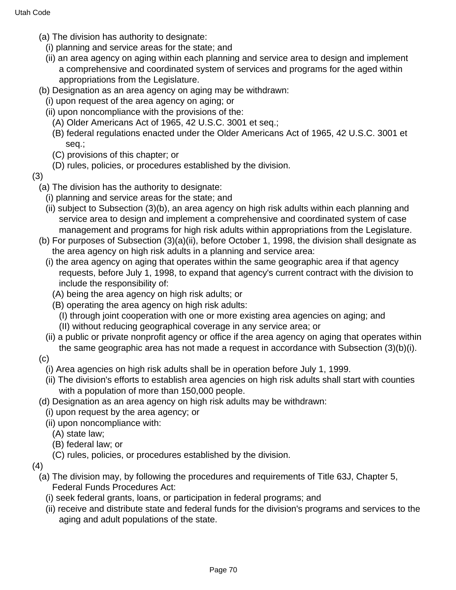- (a) The division has authority to designate:
	- (i) planning and service areas for the state; and
	- (ii) an area agency on aging within each planning and service area to design and implement a comprehensive and coordinated system of services and programs for the aged within appropriations from the Legislature.
- (b) Designation as an area agency on aging may be withdrawn:
	- (i) upon request of the area agency on aging; or
	- (ii) upon noncompliance with the provisions of the:
		- (A) Older Americans Act of 1965, 42 U.S.C. 3001 et seq.;
		- (B) federal regulations enacted under the Older Americans Act of 1965, 42 U.S.C. 3001 et seq.;
		- (C) provisions of this chapter; or
		- (D) rules, policies, or procedures established by the division.
- (3)
	- (a) The division has the authority to designate:
		- (i) planning and service areas for the state; and
		- (ii) subject to Subsection (3)(b), an area agency on high risk adults within each planning and service area to design and implement a comprehensive and coordinated system of case management and programs for high risk adults within appropriations from the Legislature.
	- (b) For purposes of Subsection (3)(a)(ii), before October 1, 1998, the division shall designate as the area agency on high risk adults in a planning and service area:
		- (i) the area agency on aging that operates within the same geographic area if that agency requests, before July 1, 1998, to expand that agency's current contract with the division to include the responsibility of:
			- (A) being the area agency on high risk adults; or
			- (B) operating the area agency on high risk adults:
				- (I) through joint cooperation with one or more existing area agencies on aging; and
				- (II) without reducing geographical coverage in any service area; or
		- (ii) a public or private nonprofit agency or office if the area agency on aging that operates within the same geographic area has not made a request in accordance with Subsection (3)(b)(i).
	- (c)
		- (i) Area agencies on high risk adults shall be in operation before July 1, 1999.
		- (ii) The division's efforts to establish area agencies on high risk adults shall start with counties with a population of more than 150,000 people.
	- (d) Designation as an area agency on high risk adults may be withdrawn:
		- (i) upon request by the area agency; or
		- (ii) upon noncompliance with:
			- (A) state law;
			- (B) federal law; or
			- (C) rules, policies, or procedures established by the division.
- (4)
	- (a) The division may, by following the procedures and requirements of Title 63J, Chapter 5, Federal Funds Procedures Act:
		- (i) seek federal grants, loans, or participation in federal programs; and
		- (ii) receive and distribute state and federal funds for the division's programs and services to the aging and adult populations of the state.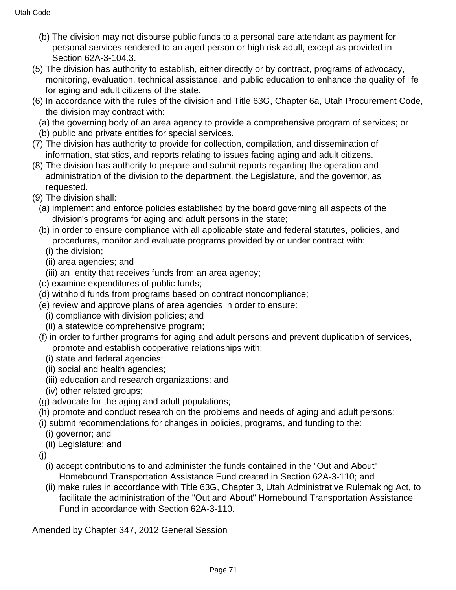- (b) The division may not disburse public funds to a personal care attendant as payment for personal services rendered to an aged person or high risk adult, except as provided in Section 62A-3-104.3.
- (5) The division has authority to establish, either directly or by contract, programs of advocacy, monitoring, evaluation, technical assistance, and public education to enhance the quality of life for aging and adult citizens of the state.
- (6) In accordance with the rules of the division and Title 63G, Chapter 6a, Utah Procurement Code, the division may contract with:
	- (a) the governing body of an area agency to provide a comprehensive program of services; or
	- (b) public and private entities for special services.
- (7) The division has authority to provide for collection, compilation, and dissemination of information, statistics, and reports relating to issues facing aging and adult citizens.
- (8) The division has authority to prepare and submit reports regarding the operation and administration of the division to the department, the Legislature, and the governor, as requested.
- (9) The division shall:
	- (a) implement and enforce policies established by the board governing all aspects of the division's programs for aging and adult persons in the state;
	- (b) in order to ensure compliance with all applicable state and federal statutes, policies, and procedures, monitor and evaluate programs provided by or under contract with: (i) the division;
		- (ii) area agencies; and
		- (iii) an entity that receives funds from an area agency;
	- (c) examine expenditures of public funds;
	- (d) withhold funds from programs based on contract noncompliance;
	- (e) review and approve plans of area agencies in order to ensure:
	- (i) compliance with division policies; and
	- (ii) a statewide comprehensive program;
	- (f) in order to further programs for aging and adult persons and prevent duplication of services, promote and establish cooperative relationships with:
		- (i) state and federal agencies;
		- (ii) social and health agencies;
		- (iii) education and research organizations; and
		- (iv) other related groups;
	- (g) advocate for the aging and adult populations;
	- (h) promote and conduct research on the problems and needs of aging and adult persons;
	- (i) submit recommendations for changes in policies, programs, and funding to the:
		- (i) governor; and
		- (ii) Legislature; and
	- (j)
		- (i) accept contributions to and administer the funds contained in the "Out and About" Homebound Transportation Assistance Fund created in Section 62A-3-110; and
		- (ii) make rules in accordance with Title 63G, Chapter 3, Utah Administrative Rulemaking Act, to facilitate the administration of the "Out and About" Homebound Transportation Assistance Fund in accordance with Section 62A-3-110.

Amended by Chapter 347, 2012 General Session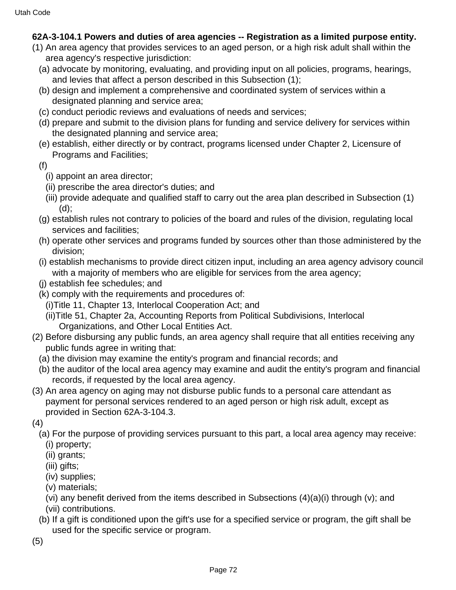#### **62A-3-104.1 Powers and duties of area agencies -- Registration as a limited purpose entity.**

- (1) An area agency that provides services to an aged person, or a high risk adult shall within the area agency's respective jurisdiction:
	- (a) advocate by monitoring, evaluating, and providing input on all policies, programs, hearings, and levies that affect a person described in this Subsection (1);
	- (b) design and implement a comprehensive and coordinated system of services within a designated planning and service area;
	- (c) conduct periodic reviews and evaluations of needs and services;
	- (d) prepare and submit to the division plans for funding and service delivery for services within the designated planning and service area;
	- (e) establish, either directly or by contract, programs licensed under Chapter 2, Licensure of Programs and Facilities;
	- (f)
		- (i) appoint an area director;
		- (ii) prescribe the area director's duties; and
		- (iii) provide adequate and qualified staff to carry out the area plan described in Subsection (1) (d);
	- (g) establish rules not contrary to policies of the board and rules of the division, regulating local services and facilities;
	- (h) operate other services and programs funded by sources other than those administered by the division;
	- (i) establish mechanisms to provide direct citizen input, including an area agency advisory council with a majority of members who are eligible for services from the area agency;
	- (j) establish fee schedules; and
	- (k) comply with the requirements and procedures of:
		- (i)Title 11, Chapter 13, Interlocal Cooperation Act; and
		- (ii)Title 51, Chapter 2a, Accounting Reports from Political Subdivisions, Interlocal Organizations, and Other Local Entities Act.
- (2) Before disbursing any public funds, an area agency shall require that all entities receiving any public funds agree in writing that:
	- (a) the division may examine the entity's program and financial records; and
	- (b) the auditor of the local area agency may examine and audit the entity's program and financial records, if requested by the local area agency.
- (3) An area agency on aging may not disburse public funds to a personal care attendant as payment for personal services rendered to an aged person or high risk adult, except as provided in Section 62A-3-104.3.
- (4)
	- (a) For the purpose of providing services pursuant to this part, a local area agency may receive: (i) property;
		- (ii) grants;
		- (iii) gifts;
		- (iv) supplies;
		- (v) materials;
		- (vi) any benefit derived from the items described in Subsections (4)(a)(i) through (v); and
		- (vii) contributions.
	- (b) If a gift is conditioned upon the gift's use for a specified service or program, the gift shall be used for the specific service or program.
- (5)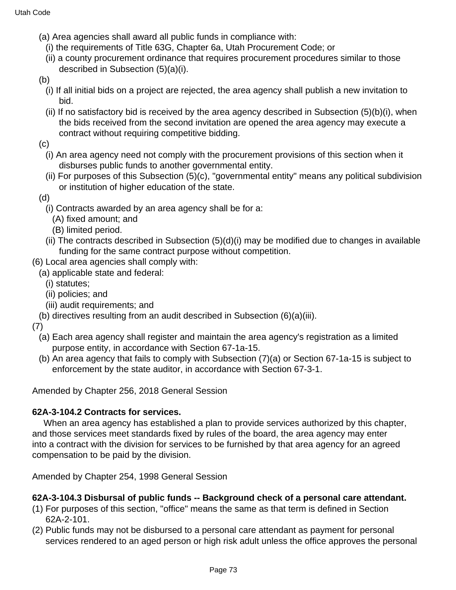- (a) Area agencies shall award all public funds in compliance with:
	- (i) the requirements of Title 63G, Chapter 6a, Utah Procurement Code; or
	- (ii) a county procurement ordinance that requires procurement procedures similar to those described in Subsection (5)(a)(i).
- (b)
	- (i) If all initial bids on a project are rejected, the area agency shall publish a new invitation to bid.
	- (ii) If no satisfactory bid is received by the area agency described in Subsection (5)(b)(i), when the bids received from the second invitation are opened the area agency may execute a contract without requiring competitive bidding.
- (c)
	- (i) An area agency need not comply with the procurement provisions of this section when it disburses public funds to another governmental entity.
	- (ii) For purposes of this Subsection (5)(c), "governmental entity" means any political subdivision or institution of higher education of the state.
- (d)
	- (i) Contracts awarded by an area agency shall be for a:
		- (A) fixed amount; and
		- (B) limited period.
	- (ii) The contracts described in Subsection (5)(d)(i) may be modified due to changes in available funding for the same contract purpose without competition.
- (6) Local area agencies shall comply with:
	- (a) applicable state and federal:
		- (i) statutes;
		- (ii) policies; and
		- (iii) audit requirements; and
	- (b) directives resulting from an audit described in Subsection (6)(a)(iii).
- (7)
	- (a) Each area agency shall register and maintain the area agency's registration as a limited purpose entity, in accordance with Section 67-1a-15.
	- (b) An area agency that fails to comply with Subsection (7)(a) or Section 67-1a-15 is subject to enforcement by the state auditor, in accordance with Section 67-3-1.

Amended by Chapter 256, 2018 General Session

### **62A-3-104.2 Contracts for services.**

 When an area agency has established a plan to provide services authorized by this chapter, and those services meet standards fixed by rules of the board, the area agency may enter into a contract with the division for services to be furnished by that area agency for an agreed compensation to be paid by the division.

Amended by Chapter 254, 1998 General Session

### **62A-3-104.3 Disbursal of public funds -- Background check of a personal care attendant.**

- (1) For purposes of this section, "office" means the same as that term is defined in Section 62A-2-101.
- (2) Public funds may not be disbursed to a personal care attendant as payment for personal services rendered to an aged person or high risk adult unless the office approves the personal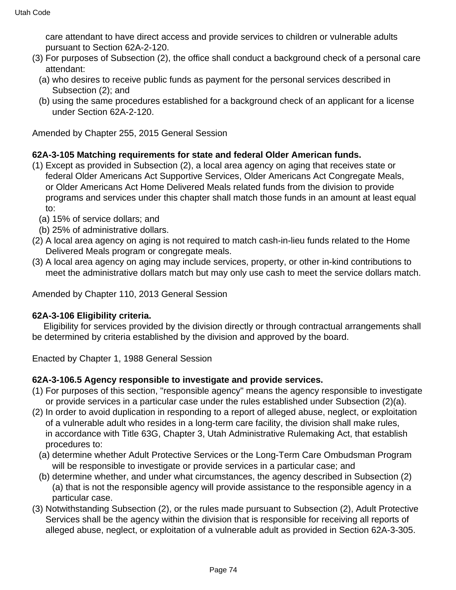care attendant to have direct access and provide services to children or vulnerable adults pursuant to Section 62A-2-120.

- (3) For purposes of Subsection (2), the office shall conduct a background check of a personal care attendant:
	- (a) who desires to receive public funds as payment for the personal services described in Subsection (2); and
	- (b) using the same procedures established for a background check of an applicant for a license under Section 62A-2-120.

Amended by Chapter 255, 2015 General Session

### **62A-3-105 Matching requirements for state and federal Older American funds.**

- (1) Except as provided in Subsection (2), a local area agency on aging that receives state or federal Older Americans Act Supportive Services, Older Americans Act Congregate Meals, or Older Americans Act Home Delivered Meals related funds from the division to provide programs and services under this chapter shall match those funds in an amount at least equal to:
	- (a) 15% of service dollars; and
	- (b) 25% of administrative dollars.
- (2) A local area agency on aging is not required to match cash-in-lieu funds related to the Home Delivered Meals program or congregate meals.
- (3) A local area agency on aging may include services, property, or other in-kind contributions to meet the administrative dollars match but may only use cash to meet the service dollars match.

Amended by Chapter 110, 2013 General Session

### **62A-3-106 Eligibility criteria.**

 Eligibility for services provided by the division directly or through contractual arrangements shall be determined by criteria established by the division and approved by the board.

Enacted by Chapter 1, 1988 General Session

### **62A-3-106.5 Agency responsible to investigate and provide services.**

- (1) For purposes of this section, "responsible agency" means the agency responsible to investigate or provide services in a particular case under the rules established under Subsection (2)(a).
- (2) In order to avoid duplication in responding to a report of alleged abuse, neglect, or exploitation of a vulnerable adult who resides in a long-term care facility, the division shall make rules, in accordance with Title 63G, Chapter 3, Utah Administrative Rulemaking Act, that establish procedures to:
	- (a) determine whether Adult Protective Services or the Long-Term Care Ombudsman Program will be responsible to investigate or provide services in a particular case; and
	- (b) determine whether, and under what circumstances, the agency described in Subsection (2) (a) that is not the responsible agency will provide assistance to the responsible agency in a particular case.
- (3) Notwithstanding Subsection (2), or the rules made pursuant to Subsection (2), Adult Protective Services shall be the agency within the division that is responsible for receiving all reports of alleged abuse, neglect, or exploitation of a vulnerable adult as provided in Section 62A-3-305.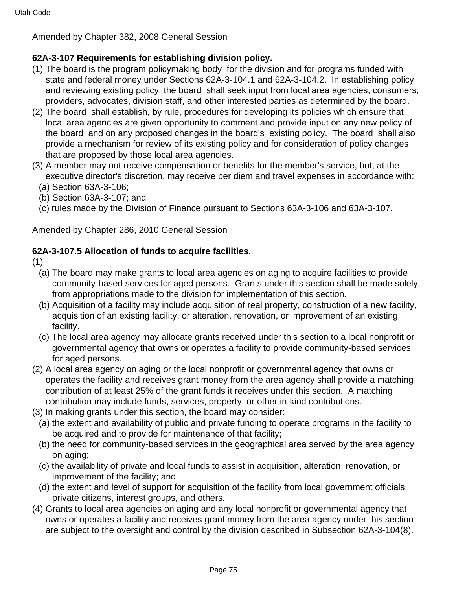Amended by Chapter 382, 2008 General Session

### **62A-3-107 Requirements for establishing division policy.**

- (1) The board is the program policymaking body for the division and for programs funded with state and federal money under Sections 62A-3-104.1 and 62A-3-104.2. In establishing policy and reviewing existing policy, the board shall seek input from local area agencies, consumers, providers, advocates, division staff, and other interested parties as determined by the board.
- (2) The board shall establish, by rule, procedures for developing its policies which ensure that local area agencies are given opportunity to comment and provide input on any new policy of the board and on any proposed changes in the board's existing policy. The board shall also provide a mechanism for review of its existing policy and for consideration of policy changes that are proposed by those local area agencies.
- (3) A member may not receive compensation or benefits for the member's service, but, at the executive director's discretion, may receive per diem and travel expenses in accordance with:
	- (a) Section 63A-3-106;
	- (b) Section 63A-3-107; and
	- (c) rules made by the Division of Finance pursuant to Sections 63A-3-106 and 63A-3-107.

Amended by Chapter 286, 2010 General Session

### **62A-3-107.5 Allocation of funds to acquire facilities.**

(1)

- (a) The board may make grants to local area agencies on aging to acquire facilities to provide community-based services for aged persons. Grants under this section shall be made solely from appropriations made to the division for implementation of this section.
- (b) Acquisition of a facility may include acquisition of real property, construction of a new facility, acquisition of an existing facility, or alteration, renovation, or improvement of an existing facility.
- (c) The local area agency may allocate grants received under this section to a local nonprofit or governmental agency that owns or operates a facility to provide community-based services for aged persons.
- (2) A local area agency on aging or the local nonprofit or governmental agency that owns or operates the facility and receives grant money from the area agency shall provide a matching contribution of at least 25% of the grant funds it receives under this section. A matching contribution may include funds, services, property, or other in-kind contributions.
- (3) In making grants under this section, the board may consider:
	- (a) the extent and availability of public and private funding to operate programs in the facility to be acquired and to provide for maintenance of that facility;
	- (b) the need for community-based services in the geographical area served by the area agency on aging;
	- (c) the availability of private and local funds to assist in acquisition, alteration, renovation, or improvement of the facility; and
	- (d) the extent and level of support for acquisition of the facility from local government officials, private citizens, interest groups, and others.
- (4) Grants to local area agencies on aging and any local nonprofit or governmental agency that owns or operates a facility and receives grant money from the area agency under this section are subject to the oversight and control by the division described in Subsection 62A-3-104(8).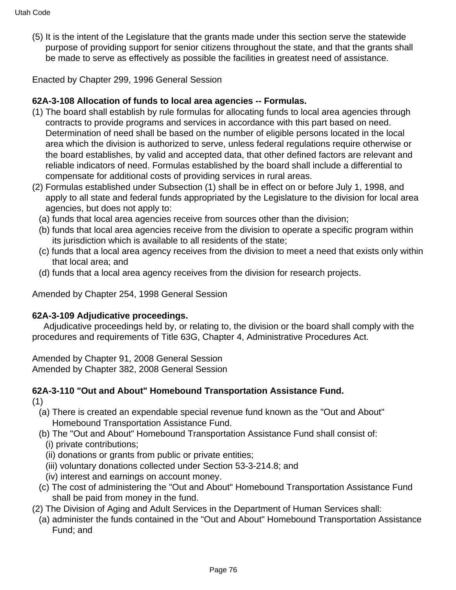(5) It is the intent of the Legislature that the grants made under this section serve the statewide purpose of providing support for senior citizens throughout the state, and that the grants shall be made to serve as effectively as possible the facilities in greatest need of assistance.

Enacted by Chapter 299, 1996 General Session

### **62A-3-108 Allocation of funds to local area agencies -- Formulas.**

- (1) The board shall establish by rule formulas for allocating funds to local area agencies through contracts to provide programs and services in accordance with this part based on need. Determination of need shall be based on the number of eligible persons located in the local area which the division is authorized to serve, unless federal regulations require otherwise or the board establishes, by valid and accepted data, that other defined factors are relevant and reliable indicators of need. Formulas established by the board shall include a differential to compensate for additional costs of providing services in rural areas.
- (2) Formulas established under Subsection (1) shall be in effect on or before July 1, 1998, and apply to all state and federal funds appropriated by the Legislature to the division for local area agencies, but does not apply to:
	- (a) funds that local area agencies receive from sources other than the division;
	- (b) funds that local area agencies receive from the division to operate a specific program within its jurisdiction which is available to all residents of the state;
	- (c) funds that a local area agency receives from the division to meet a need that exists only within that local area; and
	- (d) funds that a local area agency receives from the division for research projects.

Amended by Chapter 254, 1998 General Session

### **62A-3-109 Adjudicative proceedings.**

 Adjudicative proceedings held by, or relating to, the division or the board shall comply with the procedures and requirements of Title 63G, Chapter 4, Administrative Procedures Act.

Amended by Chapter 91, 2008 General Session Amended by Chapter 382, 2008 General Session

### **62A-3-110 "Out and About" Homebound Transportation Assistance Fund.** (1)

- (a) There is created an expendable special revenue fund known as the "Out and About" Homebound Transportation Assistance Fund.
- (b) The "Out and About" Homebound Transportation Assistance Fund shall consist of: (i) private contributions;
	- (ii) donations or grants from public or private entities;
	- (iii) voluntary donations collected under Section 53-3-214.8; and
	- (iv) interest and earnings on account money.
- (c) The cost of administering the "Out and About" Homebound Transportation Assistance Fund shall be paid from money in the fund.
- (2) The Division of Aging and Adult Services in the Department of Human Services shall:
	- (a) administer the funds contained in the "Out and About" Homebound Transportation Assistance Fund; and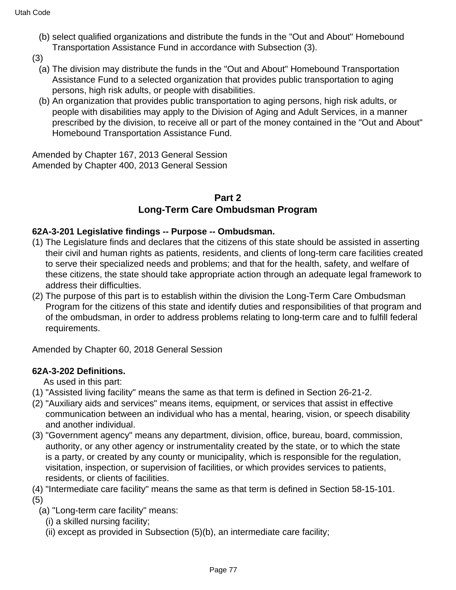- (b) select qualified organizations and distribute the funds in the "Out and About" Homebound Transportation Assistance Fund in accordance with Subsection (3).
- (3)
	- (a) The division may distribute the funds in the "Out and About" Homebound Transportation Assistance Fund to a selected organization that provides public transportation to aging persons, high risk adults, or people with disabilities.
	- (b) An organization that provides public transportation to aging persons, high risk adults, or people with disabilities may apply to the Division of Aging and Adult Services, in a manner prescribed by the division, to receive all or part of the money contained in the "Out and About" Homebound Transportation Assistance Fund.

Amended by Chapter 167, 2013 General Session Amended by Chapter 400, 2013 General Session

## **Part 2 Long-Term Care Ombudsman Program**

### **62A-3-201 Legislative findings -- Purpose -- Ombudsman.**

- (1) The Legislature finds and declares that the citizens of this state should be assisted in asserting their civil and human rights as patients, residents, and clients of long-term care facilities created to serve their specialized needs and problems; and that for the health, safety, and welfare of these citizens, the state should take appropriate action through an adequate legal framework to address their difficulties.
- (2) The purpose of this part is to establish within the division the Long-Term Care Ombudsman Program for the citizens of this state and identify duties and responsibilities of that program and of the ombudsman, in order to address problems relating to long-term care and to fulfill federal requirements.

Amended by Chapter 60, 2018 General Session

# **62A-3-202 Definitions.**

As used in this part:

- (1) "Assisted living facility" means the same as that term is defined in Section 26-21-2.
- (2) "Auxiliary aids and services" means items, equipment, or services that assist in effective communication between an individual who has a mental, hearing, vision, or speech disability and another individual.
- (3) "Government agency" means any department, division, office, bureau, board, commission, authority, or any other agency or instrumentality created by the state, or to which the state is a party, or created by any county or municipality, which is responsible for the regulation, visitation, inspection, or supervision of facilities, or which provides services to patients, residents, or clients of facilities.
- (4) "Intermediate care facility" means the same as that term is defined in Section 58-15-101. (5)
	- (a) "Long-term care facility" means:
		- (i) a skilled nursing facility;
		- (ii) except as provided in Subsection (5)(b), an intermediate care facility;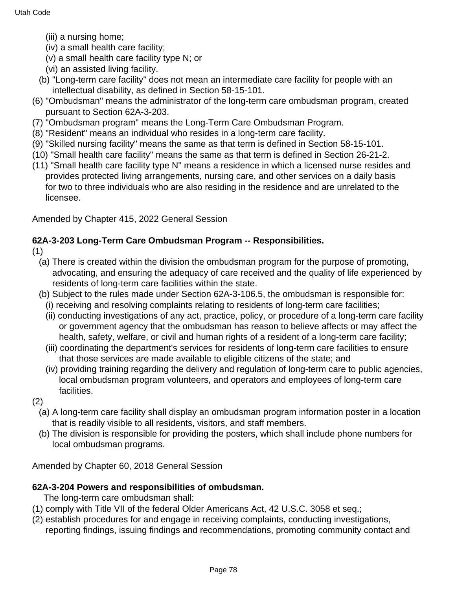- (iii) a nursing home;
- (iv) a small health care facility;
- (v) a small health care facility type N; or
- (vi) an assisted living facility.
- (b) "Long-term care facility" does not mean an intermediate care facility for people with an intellectual disability, as defined in Section 58-15-101.
- (6) "Ombudsman" means the administrator of the long-term care ombudsman program, created pursuant to Section 62A-3-203.
- (7) "Ombudsman program" means the Long-Term Care Ombudsman Program.
- (8) "Resident" means an individual who resides in a long-term care facility.
- (9) "Skilled nursing facility" means the same as that term is defined in Section 58-15-101.
- (10) "Small health care facility" means the same as that term is defined in Section 26-21-2.
- (11) "Small health care facility type N" means a residence in which a licensed nurse resides and provides protected living arrangements, nursing care, and other services on a daily basis for two to three individuals who are also residing in the residence and are unrelated to the licensee.

Amended by Chapter 415, 2022 General Session

### **62A-3-203 Long-Term Care Ombudsman Program -- Responsibilities.**

- (1)
	- (a) There is created within the division the ombudsman program for the purpose of promoting, advocating, and ensuring the adequacy of care received and the quality of life experienced by residents of long-term care facilities within the state.
	- (b) Subject to the rules made under Section 62A-3-106.5, the ombudsman is responsible for: (i) receiving and resolving complaints relating to residents of long-term care facilities;
		- (ii) conducting investigations of any act, practice, policy, or procedure of a long-term care facility or government agency that the ombudsman has reason to believe affects or may affect the health, safety, welfare, or civil and human rights of a resident of a long-term care facility;
		- (iii) coordinating the department's services for residents of long-term care facilities to ensure that those services are made available to eligible citizens of the state; and
		- (iv) providing training regarding the delivery and regulation of long-term care to public agencies, local ombudsman program volunteers, and operators and employees of long-term care facilities.
- (2)
	- (a) A long-term care facility shall display an ombudsman program information poster in a location that is readily visible to all residents, visitors, and staff members.
	- (b) The division is responsible for providing the posters, which shall include phone numbers for local ombudsman programs.

Amended by Chapter 60, 2018 General Session

### **62A-3-204 Powers and responsibilities of ombudsman.**

The long-term care ombudsman shall:

- (1) comply with Title VII of the federal Older Americans Act, 42 U.S.C. 3058 et seq.;
- (2) establish procedures for and engage in receiving complaints, conducting investigations, reporting findings, issuing findings and recommendations, promoting community contact and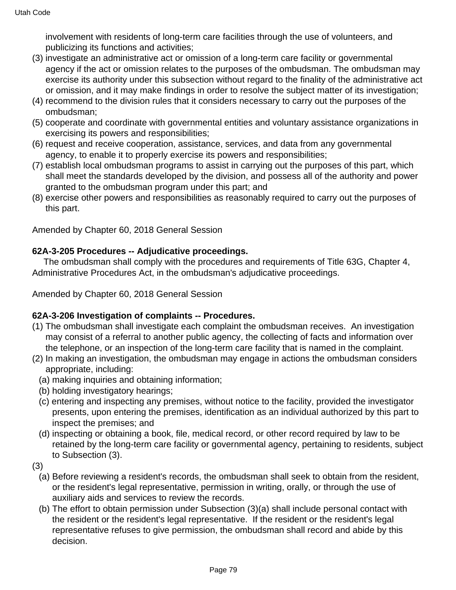involvement with residents of long-term care facilities through the use of volunteers, and publicizing its functions and activities;

- (3) investigate an administrative act or omission of a long-term care facility or governmental agency if the act or omission relates to the purposes of the ombudsman. The ombudsman may exercise its authority under this subsection without regard to the finality of the administrative act or omission, and it may make findings in order to resolve the subject matter of its investigation;
- (4) recommend to the division rules that it considers necessary to carry out the purposes of the ombudsman;
- (5) cooperate and coordinate with governmental entities and voluntary assistance organizations in exercising its powers and responsibilities;
- (6) request and receive cooperation, assistance, services, and data from any governmental agency, to enable it to properly exercise its powers and responsibilities;
- (7) establish local ombudsman programs to assist in carrying out the purposes of this part, which shall meet the standards developed by the division, and possess all of the authority and power granted to the ombudsman program under this part; and
- (8) exercise other powers and responsibilities as reasonably required to carry out the purposes of this part.

Amended by Chapter 60, 2018 General Session

### **62A-3-205 Procedures -- Adjudicative proceedings.**

 The ombudsman shall comply with the procedures and requirements of Title 63G, Chapter 4, Administrative Procedures Act, in the ombudsman's adjudicative proceedings.

Amended by Chapter 60, 2018 General Session

### **62A-3-206 Investigation of complaints -- Procedures.**

- (1) The ombudsman shall investigate each complaint the ombudsman receives. An investigation may consist of a referral to another public agency, the collecting of facts and information over the telephone, or an inspection of the long-term care facility that is named in the complaint.
- (2) In making an investigation, the ombudsman may engage in actions the ombudsman considers appropriate, including:
	- (a) making inquiries and obtaining information;
	- (b) holding investigatory hearings;
	- (c) entering and inspecting any premises, without notice to the facility, provided the investigator presents, upon entering the premises, identification as an individual authorized by this part to inspect the premises; and
	- (d) inspecting or obtaining a book, file, medical record, or other record required by law to be retained by the long-term care facility or governmental agency, pertaining to residents, subject to Subsection (3).

(3)

- (a) Before reviewing a resident's records, the ombudsman shall seek to obtain from the resident, or the resident's legal representative, permission in writing, orally, or through the use of auxiliary aids and services to review the records.
- (b) The effort to obtain permission under Subsection (3)(a) shall include personal contact with the resident or the resident's legal representative. If the resident or the resident's legal representative refuses to give permission, the ombudsman shall record and abide by this decision.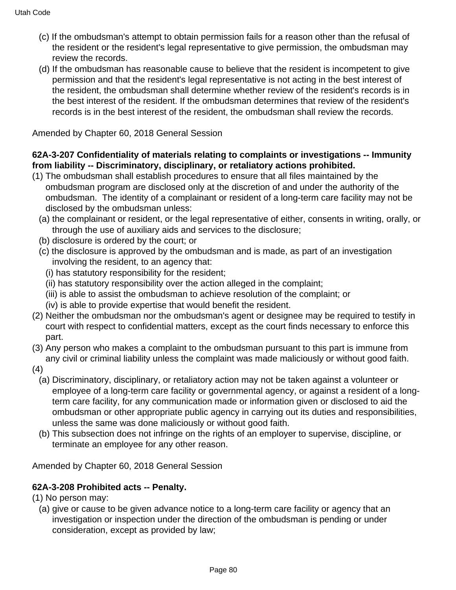- (c) If the ombudsman's attempt to obtain permission fails for a reason other than the refusal of the resident or the resident's legal representative to give permission, the ombudsman may review the records.
- (d) If the ombudsman has reasonable cause to believe that the resident is incompetent to give permission and that the resident's legal representative is not acting in the best interest of the resident, the ombudsman shall determine whether review of the resident's records is in the best interest of the resident. If the ombudsman determines that review of the resident's records is in the best interest of the resident, the ombudsman shall review the records.

Amended by Chapter 60, 2018 General Session

### **62A-3-207 Confidentiality of materials relating to complaints or investigations -- Immunity from liability -- Discriminatory, disciplinary, or retaliatory actions prohibited.**

- (1) The ombudsman shall establish procedures to ensure that all files maintained by the ombudsman program are disclosed only at the discretion of and under the authority of the ombudsman. The identity of a complainant or resident of a long-term care facility may not be disclosed by the ombudsman unless:
	- (a) the complainant or resident, or the legal representative of either, consents in writing, orally, or through the use of auxiliary aids and services to the disclosure;
	- (b) disclosure is ordered by the court; or
	- (c) the disclosure is approved by the ombudsman and is made, as part of an investigation involving the resident, to an agency that:
		- (i) has statutory responsibility for the resident;
		- (ii) has statutory responsibility over the action alleged in the complaint;
		- (iii) is able to assist the ombudsman to achieve resolution of the complaint; or
		- (iv) is able to provide expertise that would benefit the resident.
- (2) Neither the ombudsman nor the ombudsman's agent or designee may be required to testify in court with respect to confidential matters, except as the court finds necessary to enforce this part.
- (3) Any person who makes a complaint to the ombudsman pursuant to this part is immune from any civil or criminal liability unless the complaint was made maliciously or without good faith.
- (4)
	- (a) Discriminatory, disciplinary, or retaliatory action may not be taken against a volunteer or employee of a long-term care facility or governmental agency, or against a resident of a longterm care facility, for any communication made or information given or disclosed to aid the ombudsman or other appropriate public agency in carrying out its duties and responsibilities, unless the same was done maliciously or without good faith.
	- (b) This subsection does not infringe on the rights of an employer to supervise, discipline, or terminate an employee for any other reason.

Amended by Chapter 60, 2018 General Session

### **62A-3-208 Prohibited acts -- Penalty.**

- (1) No person may:
	- (a) give or cause to be given advance notice to a long-term care facility or agency that an investigation or inspection under the direction of the ombudsman is pending or under consideration, except as provided by law;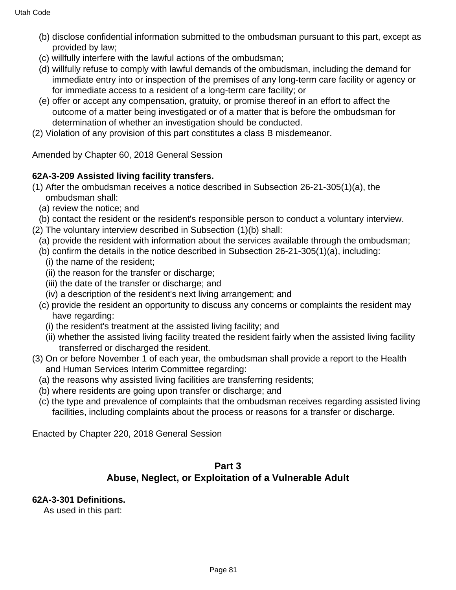- (b) disclose confidential information submitted to the ombudsman pursuant to this part, except as provided by law;
- (c) willfully interfere with the lawful actions of the ombudsman;
- (d) willfully refuse to comply with lawful demands of the ombudsman, including the demand for immediate entry into or inspection of the premises of any long-term care facility or agency or for immediate access to a resident of a long-term care facility; or
- (e) offer or accept any compensation, gratuity, or promise thereof in an effort to affect the outcome of a matter being investigated or of a matter that is before the ombudsman for determination of whether an investigation should be conducted.
- (2) Violation of any provision of this part constitutes a class B misdemeanor.

Amended by Chapter 60, 2018 General Session

### **62A-3-209 Assisted living facility transfers.**

- (1) After the ombudsman receives a notice described in Subsection 26-21-305(1)(a), the ombudsman shall:
	- (a) review the notice; and
- (b) contact the resident or the resident's responsible person to conduct a voluntary interview.
- (2) The voluntary interview described in Subsection (1)(b) shall:
	- (a) provide the resident with information about the services available through the ombudsman;
	- (b) confirm the details in the notice described in Subsection 26-21-305(1)(a), including: (i) the name of the resident;
		- (ii) the reason for the transfer or discharge;
		- (iii) the date of the transfer or discharge; and
	- (iv) a description of the resident's next living arrangement; and
	- (c) provide the resident an opportunity to discuss any concerns or complaints the resident may have regarding:
		- (i) the resident's treatment at the assisted living facility; and
		- (ii) whether the assisted living facility treated the resident fairly when the assisted living facility transferred or discharged the resident.
- (3) On or before November 1 of each year, the ombudsman shall provide a report to the Health and Human Services Interim Committee regarding:
	- (a) the reasons why assisted living facilities are transferring residents;
	- (b) where residents are going upon transfer or discharge; and
	- (c) the type and prevalence of complaints that the ombudsman receives regarding assisted living facilities, including complaints about the process or reasons for a transfer or discharge.

Enacted by Chapter 220, 2018 General Session

### **Part 3 Abuse, Neglect, or Exploitation of a Vulnerable Adult**

### **62A-3-301 Definitions.**

As used in this part: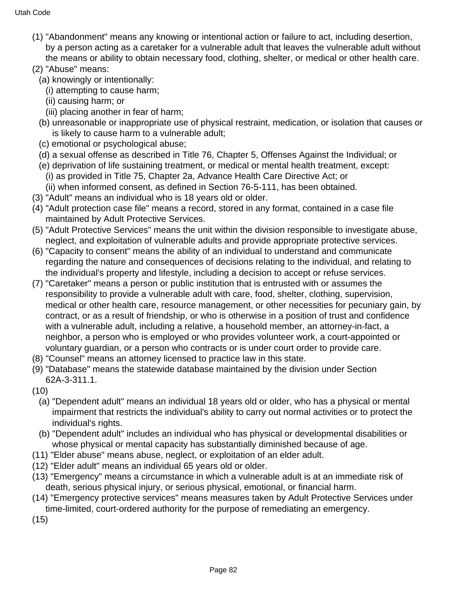- (1) "Abandonment" means any knowing or intentional action or failure to act, including desertion, by a person acting as a caretaker for a vulnerable adult that leaves the vulnerable adult without the means or ability to obtain necessary food, clothing, shelter, or medical or other health care.
- (2) "Abuse" means:
	- (a) knowingly or intentionally:
		- (i) attempting to cause harm;
		- (ii) causing harm; or
		- (iii) placing another in fear of harm;
	- (b) unreasonable or inappropriate use of physical restraint, medication, or isolation that causes or is likely to cause harm to a vulnerable adult;
	- (c) emotional or psychological abuse;
	- (d) a sexual offense as described in Title 76, Chapter 5, Offenses Against the Individual; or
	- (e) deprivation of life sustaining treatment, or medical or mental health treatment, except: (i) as provided in Title 75, Chapter 2a, Advance Health Care Directive Act; or (ii) when informed consent, as defined in Section 76-5-111, has been obtained.
- (3) "Adult" means an individual who is 18 years old or older.
- (4) "Adult protection case file" means a record, stored in any format, contained in a case file maintained by Adult Protective Services.
- (5) "Adult Protective Services" means the unit within the division responsible to investigate abuse, neglect, and exploitation of vulnerable adults and provide appropriate protective services.
- (6) "Capacity to consent" means the ability of an individual to understand and communicate regarding the nature and consequences of decisions relating to the individual, and relating to the individual's property and lifestyle, including a decision to accept or refuse services.
- (7) "Caretaker" means a person or public institution that is entrusted with or assumes the responsibility to provide a vulnerable adult with care, food, shelter, clothing, supervision, medical or other health care, resource management, or other necessities for pecuniary gain, by contract, or as a result of friendship, or who is otherwise in a position of trust and confidence with a vulnerable adult, including a relative, a household member, an attorney-in-fact, a neighbor, a person who is employed or who provides volunteer work, a court-appointed or voluntary guardian, or a person who contracts or is under court order to provide care.
- (8) "Counsel" means an attorney licensed to practice law in this state.
- (9) "Database" means the statewide database maintained by the division under Section 62A-3-311.1.
- (10)
	- (a) "Dependent adult" means an individual 18 years old or older, who has a physical or mental impairment that restricts the individual's ability to carry out normal activities or to protect the individual's rights.
	- (b) "Dependent adult" includes an individual who has physical or developmental disabilities or whose physical or mental capacity has substantially diminished because of age.
- (11) "Elder abuse" means abuse, neglect, or exploitation of an elder adult.
- (12) "Elder adult" means an individual 65 years old or older.
- (13) "Emergency" means a circumstance in which a vulnerable adult is at an immediate risk of death, serious physical injury, or serious physical, emotional, or financial harm.
- (14) "Emergency protective services" means measures taken by Adult Protective Services under time-limited, court-ordered authority for the purpose of remediating an emergency.
- (15)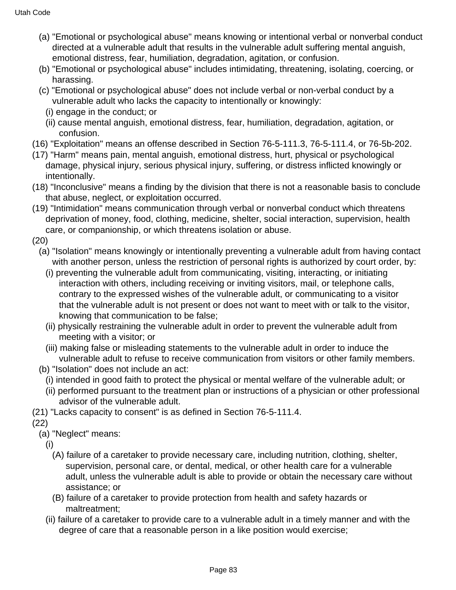- (a) "Emotional or psychological abuse" means knowing or intentional verbal or nonverbal conduct directed at a vulnerable adult that results in the vulnerable adult suffering mental anguish, emotional distress, fear, humiliation, degradation, agitation, or confusion.
- (b) "Emotional or psychological abuse" includes intimidating, threatening, isolating, coercing, or harassing.
- (c) "Emotional or psychological abuse" does not include verbal or non-verbal conduct by a vulnerable adult who lacks the capacity to intentionally or knowingly:
	- (i) engage in the conduct; or
	- (ii) cause mental anguish, emotional distress, fear, humiliation, degradation, agitation, or confusion.
- (16) "Exploitation" means an offense described in Section 76-5-111.3, 76-5-111.4, or 76-5b-202.
- (17) "Harm" means pain, mental anguish, emotional distress, hurt, physical or psychological damage, physical injury, serious physical injury, suffering, or distress inflicted knowingly or intentionally.
- (18) "Inconclusive" means a finding by the division that there is not a reasonable basis to conclude that abuse, neglect, or exploitation occurred.
- (19) "Intimidation" means communication through verbal or nonverbal conduct which threatens deprivation of money, food, clothing, medicine, shelter, social interaction, supervision, health care, or companionship, or which threatens isolation or abuse.
- (20)
	- (a) "Isolation" means knowingly or intentionally preventing a vulnerable adult from having contact with another person, unless the restriction of personal rights is authorized by court order, by:
		- (i) preventing the vulnerable adult from communicating, visiting, interacting, or initiating interaction with others, including receiving or inviting visitors, mail, or telephone calls, contrary to the expressed wishes of the vulnerable adult, or communicating to a visitor that the vulnerable adult is not present or does not want to meet with or talk to the visitor, knowing that communication to be false;
		- (ii) physically restraining the vulnerable adult in order to prevent the vulnerable adult from meeting with a visitor; or
		- (iii) making false or misleading statements to the vulnerable adult in order to induce the vulnerable adult to refuse to receive communication from visitors or other family members.
	- (b) "Isolation" does not include an act:
		- (i) intended in good faith to protect the physical or mental welfare of the vulnerable adult; or
		- (ii) performed pursuant to the treatment plan or instructions of a physician or other professional advisor of the vulnerable adult.
- (21) "Lacks capacity to consent" is as defined in Section 76-5-111.4.
- (22)
	- (a) "Neglect" means:
		- (i)
			- (A) failure of a caretaker to provide necessary care, including nutrition, clothing, shelter, supervision, personal care, or dental, medical, or other health care for a vulnerable adult, unless the vulnerable adult is able to provide or obtain the necessary care without assistance; or
			- (B) failure of a caretaker to provide protection from health and safety hazards or maltreatment;
		- (ii) failure of a caretaker to provide care to a vulnerable adult in a timely manner and with the degree of care that a reasonable person in a like position would exercise;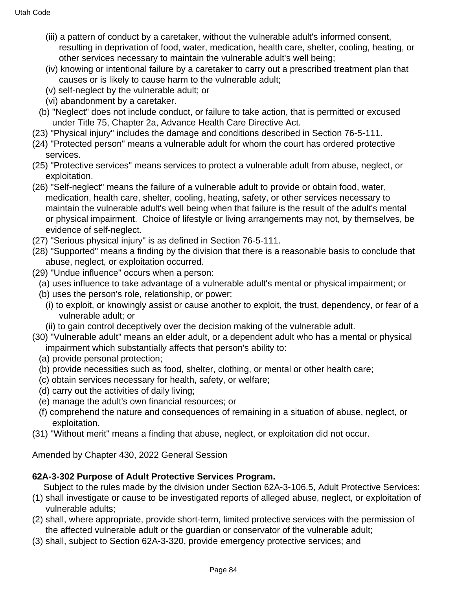- (iii) a pattern of conduct by a caretaker, without the vulnerable adult's informed consent, resulting in deprivation of food, water, medication, health care, shelter, cooling, heating, or other services necessary to maintain the vulnerable adult's well being;
- (iv) knowing or intentional failure by a caretaker to carry out a prescribed treatment plan that causes or is likely to cause harm to the vulnerable adult;
- (v) self-neglect by the vulnerable adult; or
- (vi) abandonment by a caretaker.
- (b) "Neglect" does not include conduct, or failure to take action, that is permitted or excused under Title 75, Chapter 2a, Advance Health Care Directive Act.
- (23) "Physical injury" includes the damage and conditions described in Section 76-5-111.
- (24) "Protected person" means a vulnerable adult for whom the court has ordered protective services.
- (25) "Protective services" means services to protect a vulnerable adult from abuse, neglect, or exploitation.
- (26) "Self-neglect" means the failure of a vulnerable adult to provide or obtain food, water, medication, health care, shelter, cooling, heating, safety, or other services necessary to maintain the vulnerable adult's well being when that failure is the result of the adult's mental or physical impairment. Choice of lifestyle or living arrangements may not, by themselves, be evidence of self-neglect.
- (27) "Serious physical injury" is as defined in Section 76-5-111.
- (28) "Supported" means a finding by the division that there is a reasonable basis to conclude that abuse, neglect, or exploitation occurred.
- (29) "Undue influence" occurs when a person:
	- (a) uses influence to take advantage of a vulnerable adult's mental or physical impairment; or
	- (b) uses the person's role, relationship, or power:
		- (i) to exploit, or knowingly assist or cause another to exploit, the trust, dependency, or fear of a vulnerable adult; or
	- (ii) to gain control deceptively over the decision making of the vulnerable adult.
- (30) "Vulnerable adult" means an elder adult, or a dependent adult who has a mental or physical impairment which substantially affects that person's ability to:
	- (a) provide personal protection;
	- (b) provide necessities such as food, shelter, clothing, or mental or other health care;
	- (c) obtain services necessary for health, safety, or welfare;
	- (d) carry out the activities of daily living;
	- (e) manage the adult's own financial resources; or
	- (f) comprehend the nature and consequences of remaining in a situation of abuse, neglect, or exploitation.
- (31) "Without merit" means a finding that abuse, neglect, or exploitation did not occur.

Amended by Chapter 430, 2022 General Session

# **62A-3-302 Purpose of Adult Protective Services Program.**

Subject to the rules made by the division under Section 62A-3-106.5, Adult Protective Services:

- (1) shall investigate or cause to be investigated reports of alleged abuse, neglect, or exploitation of vulnerable adults;
- (2) shall, where appropriate, provide short-term, limited protective services with the permission of the affected vulnerable adult or the guardian or conservator of the vulnerable adult;
- (3) shall, subject to Section 62A-3-320, provide emergency protective services; and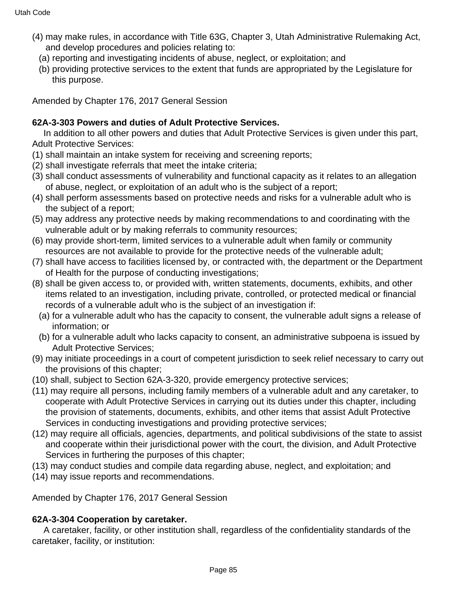- (4) may make rules, in accordance with Title 63G, Chapter 3, Utah Administrative Rulemaking Act, and develop procedures and policies relating to:
	- (a) reporting and investigating incidents of abuse, neglect, or exploitation; and
	- (b) providing protective services to the extent that funds are appropriated by the Legislature for this purpose.

Amended by Chapter 176, 2017 General Session

# **62A-3-303 Powers and duties of Adult Protective Services.**

 In addition to all other powers and duties that Adult Protective Services is given under this part, Adult Protective Services:

- (1) shall maintain an intake system for receiving and screening reports;
- (2) shall investigate referrals that meet the intake criteria;
- (3) shall conduct assessments of vulnerability and functional capacity as it relates to an allegation of abuse, neglect, or exploitation of an adult who is the subject of a report;
- (4) shall perform assessments based on protective needs and risks for a vulnerable adult who is the subject of a report;
- (5) may address any protective needs by making recommendations to and coordinating with the vulnerable adult or by making referrals to community resources;
- (6) may provide short-term, limited services to a vulnerable adult when family or community resources are not available to provide for the protective needs of the vulnerable adult;
- (7) shall have access to facilities licensed by, or contracted with, the department or the Department of Health for the purpose of conducting investigations;
- (8) shall be given access to, or provided with, written statements, documents, exhibits, and other items related to an investigation, including private, controlled, or protected medical or financial records of a vulnerable adult who is the subject of an investigation if:
	- (a) for a vulnerable adult who has the capacity to consent, the vulnerable adult signs a release of information; or
	- (b) for a vulnerable adult who lacks capacity to consent, an administrative subpoena is issued by Adult Protective Services;
- (9) may initiate proceedings in a court of competent jurisdiction to seek relief necessary to carry out the provisions of this chapter;
- (10) shall, subject to Section 62A-3-320, provide emergency protective services;
- (11) may require all persons, including family members of a vulnerable adult and any caretaker, to cooperate with Adult Protective Services in carrying out its duties under this chapter, including the provision of statements, documents, exhibits, and other items that assist Adult Protective Services in conducting investigations and providing protective services;
- (12) may require all officials, agencies, departments, and political subdivisions of the state to assist and cooperate within their jurisdictional power with the court, the division, and Adult Protective Services in furthering the purposes of this chapter;
- (13) may conduct studies and compile data regarding abuse, neglect, and exploitation; and
- (14) may issue reports and recommendations.

Amended by Chapter 176, 2017 General Session

# **62A-3-304 Cooperation by caretaker.**

 A caretaker, facility, or other institution shall, regardless of the confidentiality standards of the caretaker, facility, or institution: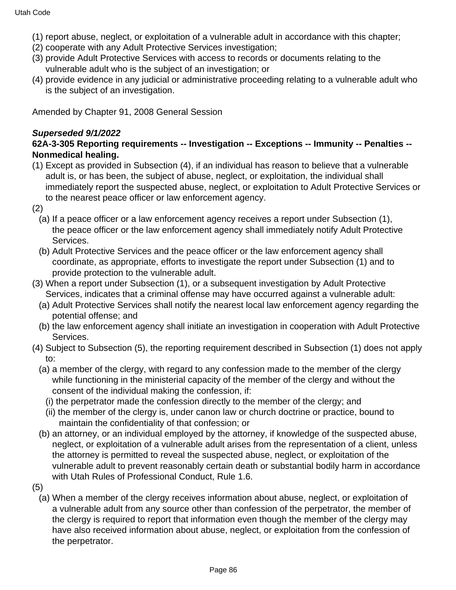- (1) report abuse, neglect, or exploitation of a vulnerable adult in accordance with this chapter;
- (2) cooperate with any Adult Protective Services investigation;
- (3) provide Adult Protective Services with access to records or documents relating to the vulnerable adult who is the subject of an investigation; or
- (4) provide evidence in any judicial or administrative proceeding relating to a vulnerable adult who is the subject of an investigation.

Amended by Chapter 91, 2008 General Session

### **Superseded 9/1/2022**

**62A-3-305 Reporting requirements -- Investigation -- Exceptions -- Immunity -- Penalties -- Nonmedical healing.**

- (1) Except as provided in Subsection (4), if an individual has reason to believe that a vulnerable adult is, or has been, the subject of abuse, neglect, or exploitation, the individual shall immediately report the suspected abuse, neglect, or exploitation to Adult Protective Services or to the nearest peace officer or law enforcement agency.
- (2)
	- (a) If a peace officer or a law enforcement agency receives a report under Subsection (1), the peace officer or the law enforcement agency shall immediately notify Adult Protective Services.
	- (b) Adult Protective Services and the peace officer or the law enforcement agency shall coordinate, as appropriate, efforts to investigate the report under Subsection (1) and to provide protection to the vulnerable adult.
- (3) When a report under Subsection (1), or a subsequent investigation by Adult Protective Services, indicates that a criminal offense may have occurred against a vulnerable adult:
	- (a) Adult Protective Services shall notify the nearest local law enforcement agency regarding the potential offense; and
	- (b) the law enforcement agency shall initiate an investigation in cooperation with Adult Protective Services.
- (4) Subject to Subsection (5), the reporting requirement described in Subsection (1) does not apply to:
	- (a) a member of the clergy, with regard to any confession made to the member of the clergy while functioning in the ministerial capacity of the member of the clergy and without the consent of the individual making the confession, if:
		- (i) the perpetrator made the confession directly to the member of the clergy; and
		- (ii) the member of the clergy is, under canon law or church doctrine or practice, bound to maintain the confidentiality of that confession; or
	- (b) an attorney, or an individual employed by the attorney, if knowledge of the suspected abuse, neglect, or exploitation of a vulnerable adult arises from the representation of a client, unless the attorney is permitted to reveal the suspected abuse, neglect, or exploitation of the vulnerable adult to prevent reasonably certain death or substantial bodily harm in accordance with Utah Rules of Professional Conduct, Rule 1.6.
- (5)
	- (a) When a member of the clergy receives information about abuse, neglect, or exploitation of a vulnerable adult from any source other than confession of the perpetrator, the member of the clergy is required to report that information even though the member of the clergy may have also received information about abuse, neglect, or exploitation from the confession of the perpetrator.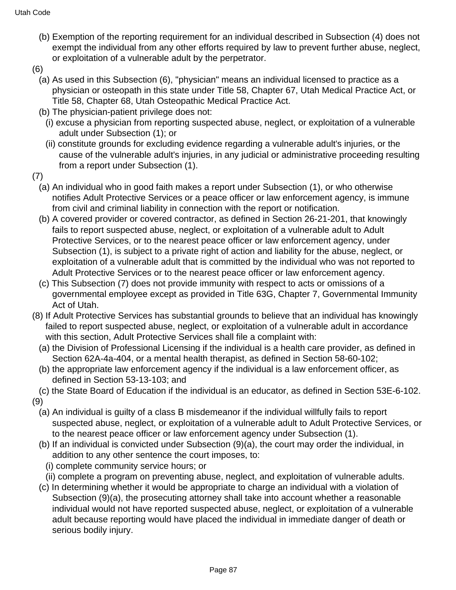- (b) Exemption of the reporting requirement for an individual described in Subsection (4) does not exempt the individual from any other efforts required by law to prevent further abuse, neglect, or exploitation of a vulnerable adult by the perpetrator.
- (6)
	- (a) As used in this Subsection (6), "physician" means an individual licensed to practice as a physician or osteopath in this state under Title 58, Chapter 67, Utah Medical Practice Act, or Title 58, Chapter 68, Utah Osteopathic Medical Practice Act.
	- (b) The physician-patient privilege does not:
		- (i) excuse a physician from reporting suspected abuse, neglect, or exploitation of a vulnerable adult under Subsection (1); or
		- (ii) constitute grounds for excluding evidence regarding a vulnerable adult's injuries, or the cause of the vulnerable adult's injuries, in any judicial or administrative proceeding resulting from a report under Subsection (1).
- (7)
	- (a) An individual who in good faith makes a report under Subsection (1), or who otherwise notifies Adult Protective Services or a peace officer or law enforcement agency, is immune from civil and criminal liability in connection with the report or notification.
	- (b) A covered provider or covered contractor, as defined in Section 26-21-201, that knowingly fails to report suspected abuse, neglect, or exploitation of a vulnerable adult to Adult Protective Services, or to the nearest peace officer or law enforcement agency, under Subsection (1), is subject to a private right of action and liability for the abuse, neglect, or exploitation of a vulnerable adult that is committed by the individual who was not reported to Adult Protective Services or to the nearest peace officer or law enforcement agency.
	- (c) This Subsection (7) does not provide immunity with respect to acts or omissions of a governmental employee except as provided in Title 63G, Chapter 7, Governmental Immunity Act of Utah.
- (8) If Adult Protective Services has substantial grounds to believe that an individual has knowingly failed to report suspected abuse, neglect, or exploitation of a vulnerable adult in accordance with this section, Adult Protective Services shall file a complaint with:
	- (a) the Division of Professional Licensing if the individual is a health care provider, as defined in Section 62A-4a-404, or a mental health therapist, as defined in Section 58-60-102;
	- (b) the appropriate law enforcement agency if the individual is a law enforcement officer, as defined in Section 53-13-103; and
- (c) the State Board of Education if the individual is an educator, as defined in Section 53E-6-102. (9)
	- (a) An individual is guilty of a class B misdemeanor if the individual willfully fails to report suspected abuse, neglect, or exploitation of a vulnerable adult to Adult Protective Services, or to the nearest peace officer or law enforcement agency under Subsection (1).
	- (b) If an individual is convicted under Subsection (9)(a), the court may order the individual, in addition to any other sentence the court imposes, to:
		- (i) complete community service hours; or
	- (ii) complete a program on preventing abuse, neglect, and exploitation of vulnerable adults.
	- (c) In determining whether it would be appropriate to charge an individual with a violation of Subsection (9)(a), the prosecuting attorney shall take into account whether a reasonable individual would not have reported suspected abuse, neglect, or exploitation of a vulnerable adult because reporting would have placed the individual in immediate danger of death or serious bodily injury.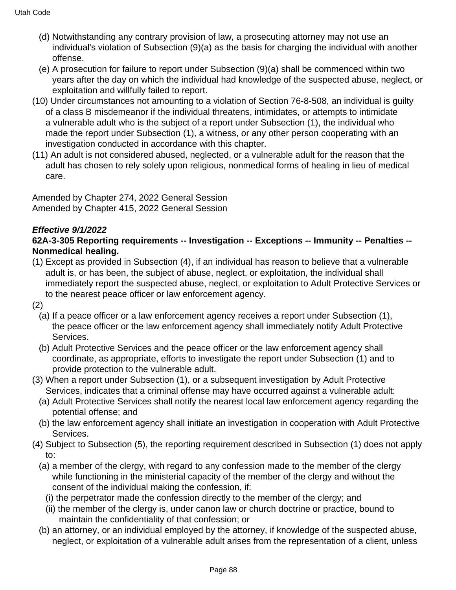- (d) Notwithstanding any contrary provision of law, a prosecuting attorney may not use an individual's violation of Subsection (9)(a) as the basis for charging the individual with another offense.
- (e) A prosecution for failure to report under Subsection (9)(a) shall be commenced within two years after the day on which the individual had knowledge of the suspected abuse, neglect, or exploitation and willfully failed to report.
- (10) Under circumstances not amounting to a violation of Section 76-8-508, an individual is guilty of a class B misdemeanor if the individual threatens, intimidates, or attempts to intimidate a vulnerable adult who is the subject of a report under Subsection (1), the individual who made the report under Subsection (1), a witness, or any other person cooperating with an investigation conducted in accordance with this chapter.
- (11) An adult is not considered abused, neglected, or a vulnerable adult for the reason that the adult has chosen to rely solely upon religious, nonmedical forms of healing in lieu of medical care.

Amended by Chapter 274, 2022 General Session Amended by Chapter 415, 2022 General Session

# **Effective 9/1/2022**

## **62A-3-305 Reporting requirements -- Investigation -- Exceptions -- Immunity -- Penalties -- Nonmedical healing.**

- (1) Except as provided in Subsection (4), if an individual has reason to believe that a vulnerable adult is, or has been, the subject of abuse, neglect, or exploitation, the individual shall immediately report the suspected abuse, neglect, or exploitation to Adult Protective Services or to the nearest peace officer or law enforcement agency.
- (2)
	- (a) If a peace officer or a law enforcement agency receives a report under Subsection (1), the peace officer or the law enforcement agency shall immediately notify Adult Protective Services.
	- (b) Adult Protective Services and the peace officer or the law enforcement agency shall coordinate, as appropriate, efforts to investigate the report under Subsection (1) and to provide protection to the vulnerable adult.
- (3) When a report under Subsection (1), or a subsequent investigation by Adult Protective Services, indicates that a criminal offense may have occurred against a vulnerable adult:
	- (a) Adult Protective Services shall notify the nearest local law enforcement agency regarding the potential offense; and
	- (b) the law enforcement agency shall initiate an investigation in cooperation with Adult Protective Services.
- (4) Subject to Subsection (5), the reporting requirement described in Subsection (1) does not apply to:
	- (a) a member of the clergy, with regard to any confession made to the member of the clergy while functioning in the ministerial capacity of the member of the clergy and without the consent of the individual making the confession, if:
		- (i) the perpetrator made the confession directly to the member of the clergy; and
		- (ii) the member of the clergy is, under canon law or church doctrine or practice, bound to maintain the confidentiality of that confession; or
	- (b) an attorney, or an individual employed by the attorney, if knowledge of the suspected abuse, neglect, or exploitation of a vulnerable adult arises from the representation of a client, unless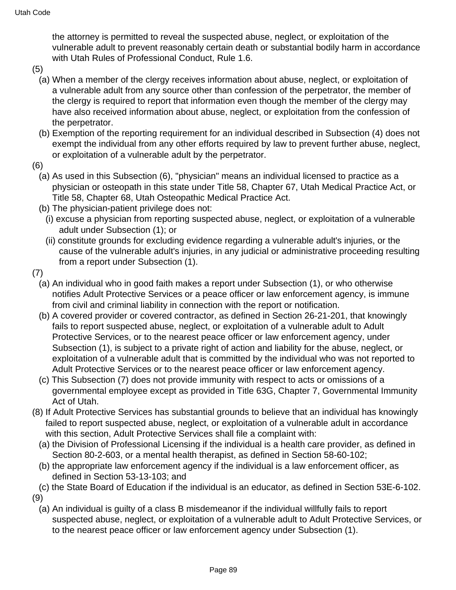the attorney is permitted to reveal the suspected abuse, neglect, or exploitation of the vulnerable adult to prevent reasonably certain death or substantial bodily harm in accordance with Utah Rules of Professional Conduct, Rule 1.6.

- (5)
	- (a) When a member of the clergy receives information about abuse, neglect, or exploitation of a vulnerable adult from any source other than confession of the perpetrator, the member of the clergy is required to report that information even though the member of the clergy may have also received information about abuse, neglect, or exploitation from the confession of the perpetrator.
	- (b) Exemption of the reporting requirement for an individual described in Subsection (4) does not exempt the individual from any other efforts required by law to prevent further abuse, neglect, or exploitation of a vulnerable adult by the perpetrator.
- (6)
	- (a) As used in this Subsection (6), "physician" means an individual licensed to practice as a physician or osteopath in this state under Title 58, Chapter 67, Utah Medical Practice Act, or Title 58, Chapter 68, Utah Osteopathic Medical Practice Act.
	- (b) The physician-patient privilege does not:
		- (i) excuse a physician from reporting suspected abuse, neglect, or exploitation of a vulnerable adult under Subsection (1); or
		- (ii) constitute grounds for excluding evidence regarding a vulnerable adult's injuries, or the cause of the vulnerable adult's injuries, in any judicial or administrative proceeding resulting from a report under Subsection (1).
- (7)
	- (a) An individual who in good faith makes a report under Subsection (1), or who otherwise notifies Adult Protective Services or a peace officer or law enforcement agency, is immune from civil and criminal liability in connection with the report or notification.
	- (b) A covered provider or covered contractor, as defined in Section 26-21-201, that knowingly fails to report suspected abuse, neglect, or exploitation of a vulnerable adult to Adult Protective Services, or to the nearest peace officer or law enforcement agency, under Subsection (1), is subject to a private right of action and liability for the abuse, neglect, or exploitation of a vulnerable adult that is committed by the individual who was not reported to Adult Protective Services or to the nearest peace officer or law enforcement agency.
	- (c) This Subsection (7) does not provide immunity with respect to acts or omissions of a governmental employee except as provided in Title 63G, Chapter 7, Governmental Immunity Act of Utah.
- (8) If Adult Protective Services has substantial grounds to believe that an individual has knowingly failed to report suspected abuse, neglect, or exploitation of a vulnerable adult in accordance with this section, Adult Protective Services shall file a complaint with:
	- (a) the Division of Professional Licensing if the individual is a health care provider, as defined in Section 80-2-603, or a mental health therapist, as defined in Section 58-60-102;
	- (b) the appropriate law enforcement agency if the individual is a law enforcement officer, as defined in Section 53-13-103; and
- (c) the State Board of Education if the individual is an educator, as defined in Section 53E-6-102. (9)
	- (a) An individual is guilty of a class B misdemeanor if the individual willfully fails to report suspected abuse, neglect, or exploitation of a vulnerable adult to Adult Protective Services, or to the nearest peace officer or law enforcement agency under Subsection (1).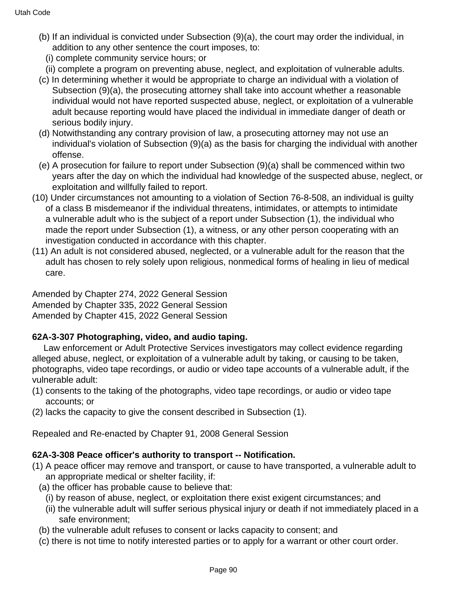- (b) If an individual is convicted under Subsection (9)(a), the court may order the individual, in addition to any other sentence the court imposes, to:
	- (i) complete community service hours; or
	- (ii) complete a program on preventing abuse, neglect, and exploitation of vulnerable adults.
- (c) In determining whether it would be appropriate to charge an individual with a violation of Subsection (9)(a), the prosecuting attorney shall take into account whether a reasonable individual would not have reported suspected abuse, neglect, or exploitation of a vulnerable adult because reporting would have placed the individual in immediate danger of death or serious bodily injury.
- (d) Notwithstanding any contrary provision of law, a prosecuting attorney may not use an individual's violation of Subsection (9)(a) as the basis for charging the individual with another offense.
- (e) A prosecution for failure to report under Subsection (9)(a) shall be commenced within two years after the day on which the individual had knowledge of the suspected abuse, neglect, or exploitation and willfully failed to report.
- (10) Under circumstances not amounting to a violation of Section 76-8-508, an individual is guilty of a class B misdemeanor if the individual threatens, intimidates, or attempts to intimidate a vulnerable adult who is the subject of a report under Subsection (1), the individual who made the report under Subsection (1), a witness, or any other person cooperating with an investigation conducted in accordance with this chapter.
- (11) An adult is not considered abused, neglected, or a vulnerable adult for the reason that the adult has chosen to rely solely upon religious, nonmedical forms of healing in lieu of medical care.

Amended by Chapter 274, 2022 General Session Amended by Chapter 335, 2022 General Session Amended by Chapter 415, 2022 General Session

### **62A-3-307 Photographing, video, and audio taping.**

 Law enforcement or Adult Protective Services investigators may collect evidence regarding alleged abuse, neglect, or exploitation of a vulnerable adult by taking, or causing to be taken, photographs, video tape recordings, or audio or video tape accounts of a vulnerable adult, if the vulnerable adult:

- (1) consents to the taking of the photographs, video tape recordings, or audio or video tape accounts; or
- (2) lacks the capacity to give the consent described in Subsection (1).

Repealed and Re-enacted by Chapter 91, 2008 General Session

### **62A-3-308 Peace officer's authority to transport -- Notification.**

- (1) A peace officer may remove and transport, or cause to have transported, a vulnerable adult to an appropriate medical or shelter facility, if:
	- (a) the officer has probable cause to believe that:
		- (i) by reason of abuse, neglect, or exploitation there exist exigent circumstances; and
		- (ii) the vulnerable adult will suffer serious physical injury or death if not immediately placed in a safe environment;
	- (b) the vulnerable adult refuses to consent or lacks capacity to consent; and
	- (c) there is not time to notify interested parties or to apply for a warrant or other court order.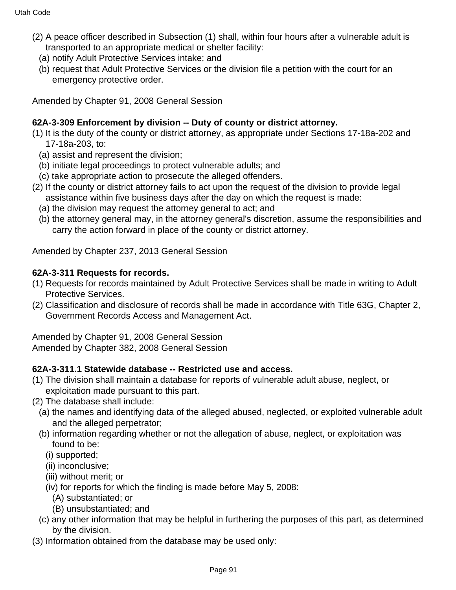- (2) A peace officer described in Subsection (1) shall, within four hours after a vulnerable adult is transported to an appropriate medical or shelter facility:
	- (a) notify Adult Protective Services intake; and
	- (b) request that Adult Protective Services or the division file a petition with the court for an emergency protective order.

Amended by Chapter 91, 2008 General Session

# **62A-3-309 Enforcement by division -- Duty of county or district attorney.**

- (1) It is the duty of the county or district attorney, as appropriate under Sections 17-18a-202 and 17-18a-203, to:
	- (a) assist and represent the division;
	- (b) initiate legal proceedings to protect vulnerable adults; and
	- (c) take appropriate action to prosecute the alleged offenders.
- (2) If the county or district attorney fails to act upon the request of the division to provide legal assistance within five business days after the day on which the request is made:
	- (a) the division may request the attorney general to act; and
	- (b) the attorney general may, in the attorney general's discretion, assume the responsibilities and carry the action forward in place of the county or district attorney.

Amended by Chapter 237, 2013 General Session

# **62A-3-311 Requests for records.**

- (1) Requests for records maintained by Adult Protective Services shall be made in writing to Adult Protective Services.
- (2) Classification and disclosure of records shall be made in accordance with Title 63G, Chapter 2, Government Records Access and Management Act.

Amended by Chapter 91, 2008 General Session Amended by Chapter 382, 2008 General Session

# **62A-3-311.1 Statewide database -- Restricted use and access.**

- (1) The division shall maintain a database for reports of vulnerable adult abuse, neglect, or exploitation made pursuant to this part.
- (2) The database shall include:
	- (a) the names and identifying data of the alleged abused, neglected, or exploited vulnerable adult and the alleged perpetrator;
	- (b) information regarding whether or not the allegation of abuse, neglect, or exploitation was found to be:
		- (i) supported;
		- (ii) inconclusive;
		- (iii) without merit; or
		- (iv) for reports for which the finding is made before May 5, 2008:
			- (A) substantiated; or
			- (B) unsubstantiated; and
	- (c) any other information that may be helpful in furthering the purposes of this part, as determined by the division.
- (3) Information obtained from the database may be used only: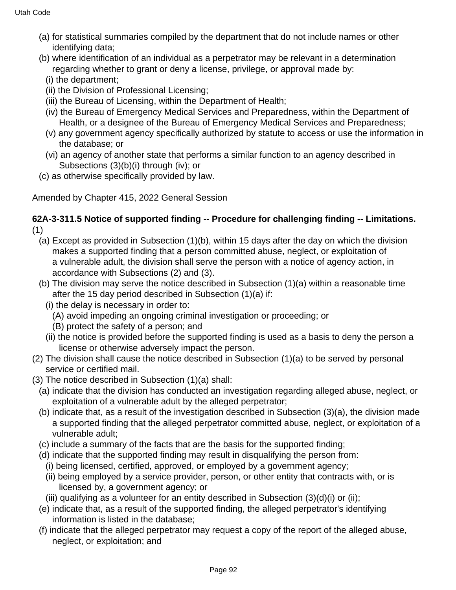- (a) for statistical summaries compiled by the department that do not include names or other identifying data;
- (b) where identification of an individual as a perpetrator may be relevant in a determination regarding whether to grant or deny a license, privilege, or approval made by:
	- (i) the department;
	- (ii) the Division of Professional Licensing;
	- (iii) the Bureau of Licensing, within the Department of Health;
	- (iv) the Bureau of Emergency Medical Services and Preparedness, within the Department of Health, or a designee of the Bureau of Emergency Medical Services and Preparedness;
	- (v) any government agency specifically authorized by statute to access or use the information in the database; or
	- (vi) an agency of another state that performs a similar function to an agency described in Subsections (3)(b)(i) through (iv); or
- (c) as otherwise specifically provided by law.

Amended by Chapter 415, 2022 General Session

### **62A-3-311.5 Notice of supported finding -- Procedure for challenging finding -- Limitations.** (1)

- (a) Except as provided in Subsection (1)(b), within 15 days after the day on which the division makes a supported finding that a person committed abuse, neglect, or exploitation of a vulnerable adult, the division shall serve the person with a notice of agency action, in accordance with Subsections (2) and (3).
- (b) The division may serve the notice described in Subsection (1)(a) within a reasonable time after the 15 day period described in Subsection (1)(a) if:
	- (i) the delay is necessary in order to:
		- (A) avoid impeding an ongoing criminal investigation or proceeding; or
		- (B) protect the safety of a person; and
	- (ii) the notice is provided before the supported finding is used as a basis to deny the person a license or otherwise adversely impact the person.
- (2) The division shall cause the notice described in Subsection (1)(a) to be served by personal service or certified mail.
- (3) The notice described in Subsection (1)(a) shall:
	- (a) indicate that the division has conducted an investigation regarding alleged abuse, neglect, or exploitation of a vulnerable adult by the alleged perpetrator;
	- (b) indicate that, as a result of the investigation described in Subsection (3)(a), the division made a supported finding that the alleged perpetrator committed abuse, neglect, or exploitation of a vulnerable adult;
	- (c) include a summary of the facts that are the basis for the supported finding;
	- (d) indicate that the supported finding may result in disqualifying the person from:
	- (i) being licensed, certified, approved, or employed by a government agency;
	- (ii) being employed by a service provider, person, or other entity that contracts with, or is licensed by, a government agency; or
	- (iii) qualifying as a volunteer for an entity described in Subsection  $(3)(d)(i)$  or (ii);
	- (e) indicate that, as a result of the supported finding, the alleged perpetrator's identifying information is listed in the database;
	- (f) indicate that the alleged perpetrator may request a copy of the report of the alleged abuse, neglect, or exploitation; and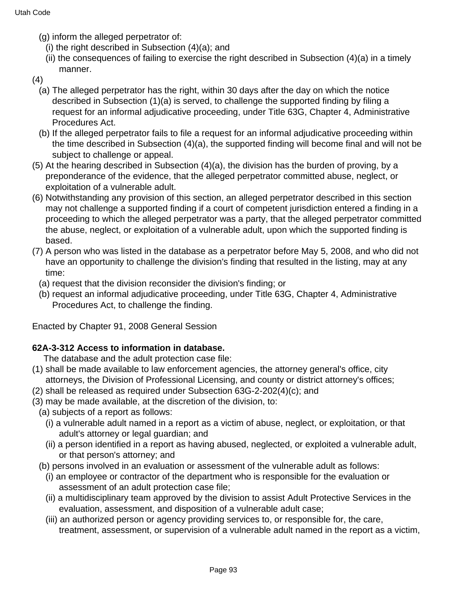- (g) inform the alleged perpetrator of:
	- (i) the right described in Subsection (4)(a); and
	- (ii) the consequences of failing to exercise the right described in Subsection  $(4)(a)$  in a timely manner.
- (4)
	- (a) The alleged perpetrator has the right, within 30 days after the day on which the notice described in Subsection (1)(a) is served, to challenge the supported finding by filing a request for an informal adjudicative proceeding, under Title 63G, Chapter 4, Administrative Procedures Act.
	- (b) If the alleged perpetrator fails to file a request for an informal adjudicative proceeding within the time described in Subsection (4)(a), the supported finding will become final and will not be subject to challenge or appeal.
- (5) At the hearing described in Subsection (4)(a), the division has the burden of proving, by a preponderance of the evidence, that the alleged perpetrator committed abuse, neglect, or exploitation of a vulnerable adult.
- (6) Notwithstanding any provision of this section, an alleged perpetrator described in this section may not challenge a supported finding if a court of competent jurisdiction entered a finding in a proceeding to which the alleged perpetrator was a party, that the alleged perpetrator committed the abuse, neglect, or exploitation of a vulnerable adult, upon which the supported finding is based.
- (7) A person who was listed in the database as a perpetrator before May 5, 2008, and who did not have an opportunity to challenge the division's finding that resulted in the listing, may at any time:
	- (a) request that the division reconsider the division's finding; or
	- (b) request an informal adjudicative proceeding, under Title 63G, Chapter 4, Administrative Procedures Act, to challenge the finding.

Enacted by Chapter 91, 2008 General Session

# **62A-3-312 Access to information in database.**

The database and the adult protection case file:

- (1) shall be made available to law enforcement agencies, the attorney general's office, city attorneys, the Division of Professional Licensing, and county or district attorney's offices;
- (2) shall be released as required under Subsection 63G-2-202(4)(c); and
- (3) may be made available, at the discretion of the division, to:
	- (a) subjects of a report as follows:
		- (i) a vulnerable adult named in a report as a victim of abuse, neglect, or exploitation, or that adult's attorney or legal guardian; and
		- (ii) a person identified in a report as having abused, neglected, or exploited a vulnerable adult, or that person's attorney; and
	- (b) persons involved in an evaluation or assessment of the vulnerable adult as follows:
		- (i) an employee or contractor of the department who is responsible for the evaluation or assessment of an adult protection case file;
		- (ii) a multidisciplinary team approved by the division to assist Adult Protective Services in the evaluation, assessment, and disposition of a vulnerable adult case;
		- (iii) an authorized person or agency providing services to, or responsible for, the care, treatment, assessment, or supervision of a vulnerable adult named in the report as a victim,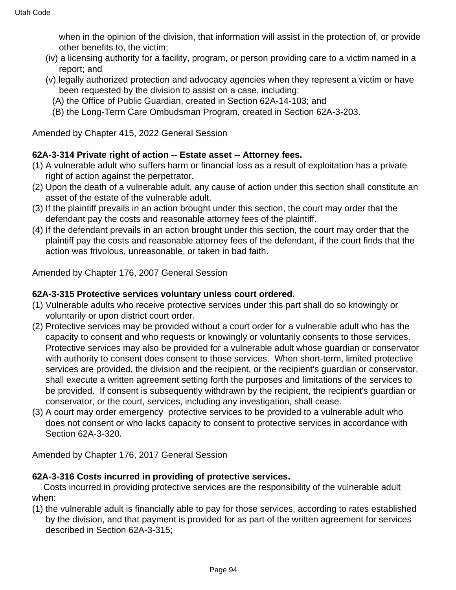when in the opinion of the division, that information will assist in the protection of, or provide other benefits to, the victim;

- (iv) a licensing authority for a facility, program, or person providing care to a victim named in a report; and
- (v) legally authorized protection and advocacy agencies when they represent a victim or have been requested by the division to assist on a case, including:
	- (A) the Office of Public Guardian, created in Section 62A-14-103; and
	- (B) the Long-Term Care Ombudsman Program, created in Section 62A-3-203.

Amended by Chapter 415, 2022 General Session

### **62A-3-314 Private right of action -- Estate asset -- Attorney fees.**

- (1) A vulnerable adult who suffers harm or financial loss as a result of exploitation has a private right of action against the perpetrator.
- (2) Upon the death of a vulnerable adult, any cause of action under this section shall constitute an asset of the estate of the vulnerable adult.
- (3) If the plaintiff prevails in an action brought under this section, the court may order that the defendant pay the costs and reasonable attorney fees of the plaintiff.
- (4) If the defendant prevails in an action brought under this section, the court may order that the plaintiff pay the costs and reasonable attorney fees of the defendant, if the court finds that the action was frivolous, unreasonable, or taken in bad faith.

Amended by Chapter 176, 2007 General Session

### **62A-3-315 Protective services voluntary unless court ordered.**

- (1) Vulnerable adults who receive protective services under this part shall do so knowingly or voluntarily or upon district court order.
- (2) Protective services may be provided without a court order for a vulnerable adult who has the capacity to consent and who requests or knowingly or voluntarily consents to those services. Protective services may also be provided for a vulnerable adult whose guardian or conservator with authority to consent does consent to those services. When short-term, limited protective services are provided, the division and the recipient, or the recipient's guardian or conservator, shall execute a written agreement setting forth the purposes and limitations of the services to be provided. If consent is subsequently withdrawn by the recipient, the recipient's guardian or conservator, or the court, services, including any investigation, shall cease.
- (3) A court may order emergency protective services to be provided to a vulnerable adult who does not consent or who lacks capacity to consent to protective services in accordance with Section 62A-3-320.

Amended by Chapter 176, 2017 General Session

### **62A-3-316 Costs incurred in providing of protective services.**

 Costs incurred in providing protective services are the responsibility of the vulnerable adult when:

(1) the vulnerable adult is financially able to pay for those services, according to rates established by the division, and that payment is provided for as part of the written agreement for services described in Section 62A-3-315;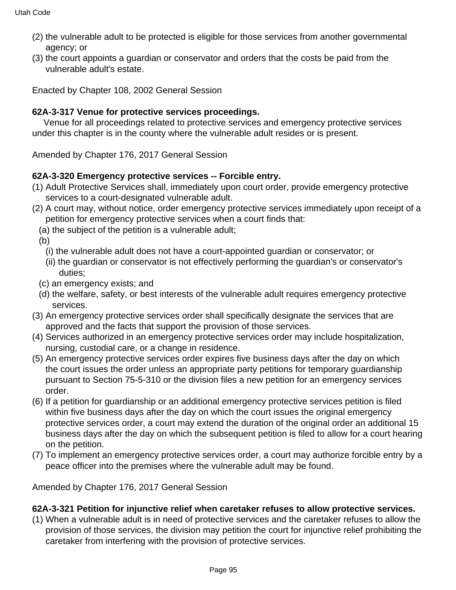- (2) the vulnerable adult to be protected is eligible for those services from another governmental agency; or
- (3) the court appoints a guardian or conservator and orders that the costs be paid from the vulnerable adult's estate.

Enacted by Chapter 108, 2002 General Session

# **62A-3-317 Venue for protective services proceedings.**

 Venue for all proceedings related to protective services and emergency protective services under this chapter is in the county where the vulnerable adult resides or is present.

Amended by Chapter 176, 2017 General Session

# **62A-3-320 Emergency protective services -- Forcible entry.**

- (1) Adult Protective Services shall, immediately upon court order, provide emergency protective services to a court-designated vulnerable adult.
- (2) A court may, without notice, order emergency protective services immediately upon receipt of a petition for emergency protective services when a court finds that:
	- (a) the subject of the petition is a vulnerable adult;

(b)

- (i) the vulnerable adult does not have a court-appointed guardian or conservator; or
- (ii) the guardian or conservator is not effectively performing the guardian's or conservator's duties;
- (c) an emergency exists; and
- (d) the welfare, safety, or best interests of the vulnerable adult requires emergency protective services.
- (3) An emergency protective services order shall specifically designate the services that are approved and the facts that support the provision of those services.
- (4) Services authorized in an emergency protective services order may include hospitalization, nursing, custodial care, or a change in residence.
- (5) An emergency protective services order expires five business days after the day on which the court issues the order unless an appropriate party petitions for temporary guardianship pursuant to Section 75-5-310 or the division files a new petition for an emergency services order.
- (6) If a petition for guardianship or an additional emergency protective services petition is filed within five business days after the day on which the court issues the original emergency protective services order, a court may extend the duration of the original order an additional 15 business days after the day on which the subsequent petition is filed to allow for a court hearing on the petition.
- (7) To implement an emergency protective services order, a court may authorize forcible entry by a peace officer into the premises where the vulnerable adult may be found.

Amended by Chapter 176, 2017 General Session

### **62A-3-321 Petition for injunctive relief when caretaker refuses to allow protective services.**

(1) When a vulnerable adult is in need of protective services and the caretaker refuses to allow the provision of those services, the division may petition the court for injunctive relief prohibiting the caretaker from interfering with the provision of protective services.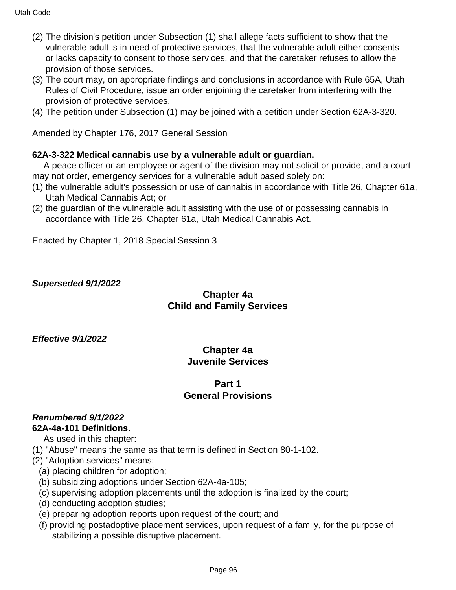- (2) The division's petition under Subsection (1) shall allege facts sufficient to show that the vulnerable adult is in need of protective services, that the vulnerable adult either consents or lacks capacity to consent to those services, and that the caretaker refuses to allow the provision of those services.
- (3) The court may, on appropriate findings and conclusions in accordance with Rule 65A, Utah Rules of Civil Procedure, issue an order enjoining the caretaker from interfering with the provision of protective services.
- (4) The petition under Subsection (1) may be joined with a petition under Section 62A-3-320.

Amended by Chapter 176, 2017 General Session

### **62A-3-322 Medical cannabis use by a vulnerable adult or guardian.**

 A peace officer or an employee or agent of the division may not solicit or provide, and a court may not order, emergency services for a vulnerable adult based solely on:

- (1) the vulnerable adult's possession or use of cannabis in accordance with Title 26, Chapter 61a, Utah Medical Cannabis Act; or
- (2) the guardian of the vulnerable adult assisting with the use of or possessing cannabis in accordance with Title 26, Chapter 61a, Utah Medical Cannabis Act.

Enacted by Chapter 1, 2018 Special Session 3

**Superseded 9/1/2022**

### **Chapter 4a Child and Family Services**

**Effective 9/1/2022**

### **Chapter 4a Juvenile Services**

# **Part 1 General Provisions**

# **Renumbered 9/1/2022**

**62A-4a-101 Definitions.** As used in this chapter:

- (1) "Abuse" means the same as that term is defined in Section 80-1-102.
- (2) "Adoption services" means:
	- (a) placing children for adoption;
	- (b) subsidizing adoptions under Section 62A-4a-105;
	- (c) supervising adoption placements until the adoption is finalized by the court;
	- (d) conducting adoption studies;
	- (e) preparing adoption reports upon request of the court; and
	- (f) providing postadoptive placement services, upon request of a family, for the purpose of stabilizing a possible disruptive placement.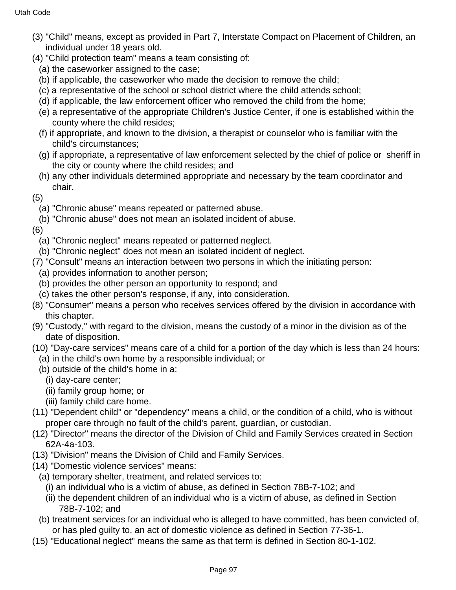- (3) "Child" means, except as provided in Part 7, Interstate Compact on Placement of Children, an individual under 18 years old.
- (4) "Child protection team" means a team consisting of:
	- (a) the caseworker assigned to the case;
	- (b) if applicable, the caseworker who made the decision to remove the child;
	- (c) a representative of the school or school district where the child attends school;
	- (d) if applicable, the law enforcement officer who removed the child from the home;
	- (e) a representative of the appropriate Children's Justice Center, if one is established within the county where the child resides;
	- (f) if appropriate, and known to the division, a therapist or counselor who is familiar with the child's circumstances;
	- (g) if appropriate, a representative of law enforcement selected by the chief of police or sheriff in the city or county where the child resides; and
	- (h) any other individuals determined appropriate and necessary by the team coordinator and chair.
- (5)
	- (a) "Chronic abuse" means repeated or patterned abuse.
- (b) "Chronic abuse" does not mean an isolated incident of abuse.
- (6)
	- (a) "Chronic neglect" means repeated or patterned neglect.
	- (b) "Chronic neglect" does not mean an isolated incident of neglect.
- (7) "Consult" means an interaction between two persons in which the initiating person:
	- (a) provides information to another person;
	- (b) provides the other person an opportunity to respond; and
	- (c) takes the other person's response, if any, into consideration.
- (8) "Consumer" means a person who receives services offered by the division in accordance with this chapter.
- (9) "Custody," with regard to the division, means the custody of a minor in the division as of the date of disposition.
- (10) "Day-care services" means care of a child for a portion of the day which is less than 24 hours:
	- (a) in the child's own home by a responsible individual; or
	- (b) outside of the child's home in a:
		- (i) day-care center;
		- (ii) family group home; or
		- (iii) family child care home.
- (11) "Dependent child" or "dependency" means a child, or the condition of a child, who is without proper care through no fault of the child's parent, guardian, or custodian.
- (12) "Director" means the director of the Division of Child and Family Services created in Section 62A-4a-103.
- (13) "Division" means the Division of Child and Family Services.
- (14) "Domestic violence services" means:
	- (a) temporary shelter, treatment, and related services to:
		- (i) an individual who is a victim of abuse, as defined in Section 78B-7-102; and
		- (ii) the dependent children of an individual who is a victim of abuse, as defined in Section 78B-7-102; and
	- (b) treatment services for an individual who is alleged to have committed, has been convicted of, or has pled guilty to, an act of domestic violence as defined in Section 77-36-1.
- (15) "Educational neglect" means the same as that term is defined in Section 80-1-102.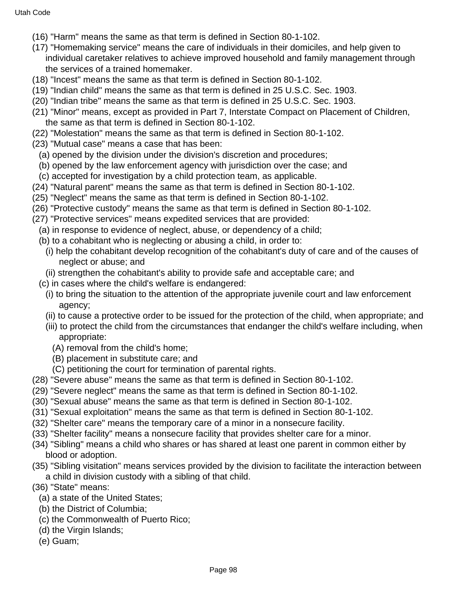- (16) "Harm" means the same as that term is defined in Section 80-1-102.
- (17) "Homemaking service" means the care of individuals in their domiciles, and help given to individual caretaker relatives to achieve improved household and family management through the services of a trained homemaker.
- (18) "Incest" means the same as that term is defined in Section 80-1-102.
- (19) "Indian child" means the same as that term is defined in 25 U.S.C. Sec. 1903.
- (20) "Indian tribe" means the same as that term is defined in 25 U.S.C. Sec. 1903.
- (21) "Minor" means, except as provided in Part 7, Interstate Compact on Placement of Children, the same as that term is defined in Section 80-1-102.
- (22) "Molestation" means the same as that term is defined in Section 80-1-102.
- (23) "Mutual case" means a case that has been:
	- (a) opened by the division under the division's discretion and procedures;
	- (b) opened by the law enforcement agency with jurisdiction over the case; and
- (c) accepted for investigation by a child protection team, as applicable.
- (24) "Natural parent" means the same as that term is defined in Section 80-1-102.
- (25) "Neglect" means the same as that term is defined in Section 80-1-102.
- (26) "Protective custody" means the same as that term is defined in Section 80-1-102.
- (27) "Protective services" means expedited services that are provided:
	- (a) in response to evidence of neglect, abuse, or dependency of a child;
	- (b) to a cohabitant who is neglecting or abusing a child, in order to:
		- (i) help the cohabitant develop recognition of the cohabitant's duty of care and of the causes of neglect or abuse; and
	- (ii) strengthen the cohabitant's ability to provide safe and acceptable care; and
	- (c) in cases where the child's welfare is endangered:
		- (i) to bring the situation to the attention of the appropriate juvenile court and law enforcement agency;
		- (ii) to cause a protective order to be issued for the protection of the child, when appropriate; and
		- (iii) to protect the child from the circumstances that endanger the child's welfare including, when appropriate:
			- (A) removal from the child's home;
			- (B) placement in substitute care; and
			- (C) petitioning the court for termination of parental rights.
- (28) "Severe abuse" means the same as that term is defined in Section 80-1-102.
- (29) "Severe neglect" means the same as that term is defined in Section 80-1-102.
- (30) "Sexual abuse" means the same as that term is defined in Section 80-1-102.
- (31) "Sexual exploitation" means the same as that term is defined in Section 80-1-102.
- (32) "Shelter care" means the temporary care of a minor in a nonsecure facility.
- (33) "Shelter facility" means a nonsecure facility that provides shelter care for a minor.
- (34) "Sibling" means a child who shares or has shared at least one parent in common either by blood or adoption.
- (35) "Sibling visitation" means services provided by the division to facilitate the interaction between a child in division custody with a sibling of that child.
- (36) "State" means:
	- (a) a state of the United States;
	- (b) the District of Columbia;
	- (c) the Commonwealth of Puerto Rico;
	- (d) the Virgin Islands;
	- (e) Guam;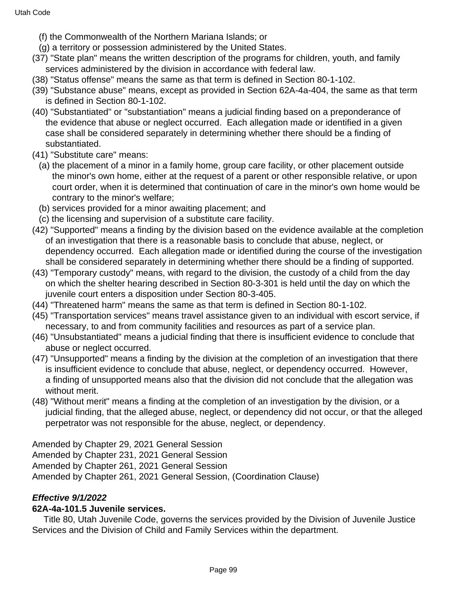- (f) the Commonwealth of the Northern Mariana Islands; or
- (g) a territory or possession administered by the United States.
- (37) "State plan" means the written description of the programs for children, youth, and family services administered by the division in accordance with federal law.
- (38) "Status offense" means the same as that term is defined in Section 80-1-102.
- (39) "Substance abuse" means, except as provided in Section 62A-4a-404, the same as that term is defined in Section 80-1-102.
- (40) "Substantiated" or "substantiation" means a judicial finding based on a preponderance of the evidence that abuse or neglect occurred. Each allegation made or identified in a given case shall be considered separately in determining whether there should be a finding of substantiated.
- (41) "Substitute care" means:
	- (a) the placement of a minor in a family home, group care facility, or other placement outside the minor's own home, either at the request of a parent or other responsible relative, or upon court order, when it is determined that continuation of care in the minor's own home would be contrary to the minor's welfare;
	- (b) services provided for a minor awaiting placement; and
	- (c) the licensing and supervision of a substitute care facility.
- (42) "Supported" means a finding by the division based on the evidence available at the completion of an investigation that there is a reasonable basis to conclude that abuse, neglect, or dependency occurred. Each allegation made or identified during the course of the investigation shall be considered separately in determining whether there should be a finding of supported.
- (43) "Temporary custody" means, with regard to the division, the custody of a child from the day on which the shelter hearing described in Section 80-3-301 is held until the day on which the juvenile court enters a disposition under Section 80-3-405.
- (44) "Threatened harm" means the same as that term is defined in Section 80-1-102.
- (45) "Transportation services" means travel assistance given to an individual with escort service, if necessary, to and from community facilities and resources as part of a service plan.
- (46) "Unsubstantiated" means a judicial finding that there is insufficient evidence to conclude that abuse or neglect occurred.
- (47) "Unsupported" means a finding by the division at the completion of an investigation that there is insufficient evidence to conclude that abuse, neglect, or dependency occurred. However, a finding of unsupported means also that the division did not conclude that the allegation was without merit.
- (48) "Without merit" means a finding at the completion of an investigation by the division, or a judicial finding, that the alleged abuse, neglect, or dependency did not occur, or that the alleged perpetrator was not responsible for the abuse, neglect, or dependency.

Amended by Chapter 29, 2021 General Session Amended by Chapter 231, 2021 General Session Amended by Chapter 261, 2021 General Session Amended by Chapter 261, 2021 General Session, (Coordination Clause)

### **Effective 9/1/2022**

### **62A-4a-101.5 Juvenile services.**

 Title 80, Utah Juvenile Code, governs the services provided by the Division of Juvenile Justice Services and the Division of Child and Family Services within the department.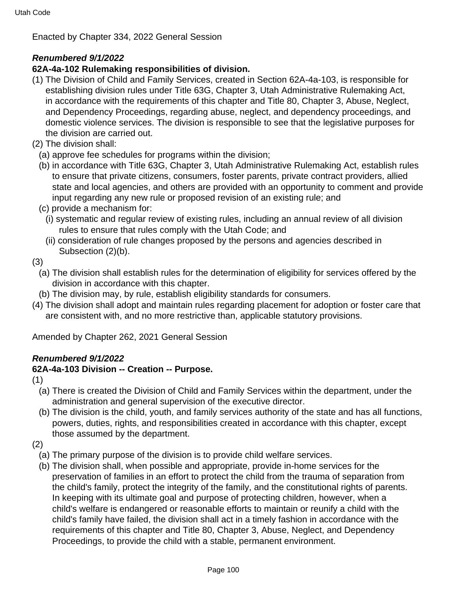Enacted by Chapter 334, 2022 General Session

# **Renumbered 9/1/2022**

### **62A-4a-102 Rulemaking responsibilities of division.**

- (1) The Division of Child and Family Services, created in Section 62A-4a-103, is responsible for establishing division rules under Title 63G, Chapter 3, Utah Administrative Rulemaking Act, in accordance with the requirements of this chapter and Title 80, Chapter 3, Abuse, Neglect, and Dependency Proceedings, regarding abuse, neglect, and dependency proceedings, and domestic violence services. The division is responsible to see that the legislative purposes for the division are carried out.
- (2) The division shall:
	- (a) approve fee schedules for programs within the division;
	- (b) in accordance with Title 63G, Chapter 3, Utah Administrative Rulemaking Act, establish rules to ensure that private citizens, consumers, foster parents, private contract providers, allied state and local agencies, and others are provided with an opportunity to comment and provide input regarding any new rule or proposed revision of an existing rule; and
	- (c) provide a mechanism for:
		- (i) systematic and regular review of existing rules, including an annual review of all division rules to ensure that rules comply with the Utah Code; and
		- (ii) consideration of rule changes proposed by the persons and agencies described in Subsection (2)(b).
- (3)
	- (a) The division shall establish rules for the determination of eligibility for services offered by the division in accordance with this chapter.
- (b) The division may, by rule, establish eligibility standards for consumers.
- (4) The division shall adopt and maintain rules regarding placement for adoption or foster care that are consistent with, and no more restrictive than, applicable statutory provisions.

Amended by Chapter 262, 2021 General Session

### **Renumbered 9/1/2022**

### **62A-4a-103 Division -- Creation -- Purpose.**

- (1)
	- (a) There is created the Division of Child and Family Services within the department, under the administration and general supervision of the executive director.
	- (b) The division is the child, youth, and family services authority of the state and has all functions, powers, duties, rights, and responsibilities created in accordance with this chapter, except those assumed by the department.
- (2)
	- (a) The primary purpose of the division is to provide child welfare services.
	- (b) The division shall, when possible and appropriate, provide in-home services for the preservation of families in an effort to protect the child from the trauma of separation from the child's family, protect the integrity of the family, and the constitutional rights of parents. In keeping with its ultimate goal and purpose of protecting children, however, when a child's welfare is endangered or reasonable efforts to maintain or reunify a child with the child's family have failed, the division shall act in a timely fashion in accordance with the requirements of this chapter and Title 80, Chapter 3, Abuse, Neglect, and Dependency Proceedings, to provide the child with a stable, permanent environment.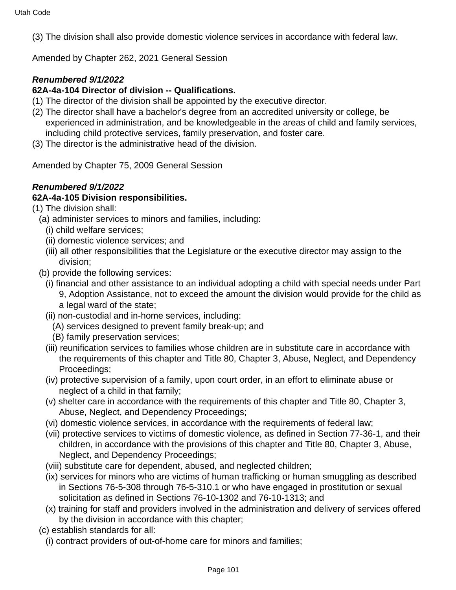(3) The division shall also provide domestic violence services in accordance with federal law.

Amended by Chapter 262, 2021 General Session

### **Renumbered 9/1/2022**

### **62A-4a-104 Director of division -- Qualifications.**

- (1) The director of the division shall be appointed by the executive director.
- (2) The director shall have a bachelor's degree from an accredited university or college, be experienced in administration, and be knowledgeable in the areas of child and family services, including child protective services, family preservation, and foster care.
- (3) The director is the administrative head of the division.

Amended by Chapter 75, 2009 General Session

### **Renumbered 9/1/2022**

### **62A-4a-105 Division responsibilities.**

- (1) The division shall:
	- (a) administer services to minors and families, including:
		- (i) child welfare services;
		- (ii) domestic violence services; and
		- (iii) all other responsibilities that the Legislature or the executive director may assign to the division;
	- (b) provide the following services:
		- (i) financial and other assistance to an individual adopting a child with special needs under Part 9, Adoption Assistance, not to exceed the amount the division would provide for the child as a legal ward of the state;
		- (ii) non-custodial and in-home services, including:
			- (A) services designed to prevent family break-up; and
			- (B) family preservation services;
		- (iii) reunification services to families whose children are in substitute care in accordance with the requirements of this chapter and Title 80, Chapter 3, Abuse, Neglect, and Dependency Proceedings;
		- (iv) protective supervision of a family, upon court order, in an effort to eliminate abuse or neglect of a child in that family;
		- (v) shelter care in accordance with the requirements of this chapter and Title 80, Chapter 3, Abuse, Neglect, and Dependency Proceedings;
		- (vi) domestic violence services, in accordance with the requirements of federal law;
		- (vii) protective services to victims of domestic violence, as defined in Section 77-36-1, and their children, in accordance with the provisions of this chapter and Title 80, Chapter 3, Abuse, Neglect, and Dependency Proceedings;
		- (viii) substitute care for dependent, abused, and neglected children;
		- (ix) services for minors who are victims of human trafficking or human smuggling as described in Sections 76-5-308 through 76-5-310.1 or who have engaged in prostitution or sexual solicitation as defined in Sections 76-10-1302 and 76-10-1313; and
		- (x) training for staff and providers involved in the administration and delivery of services offered by the division in accordance with this chapter;
	- (c) establish standards for all:
		- (i) contract providers of out-of-home care for minors and families;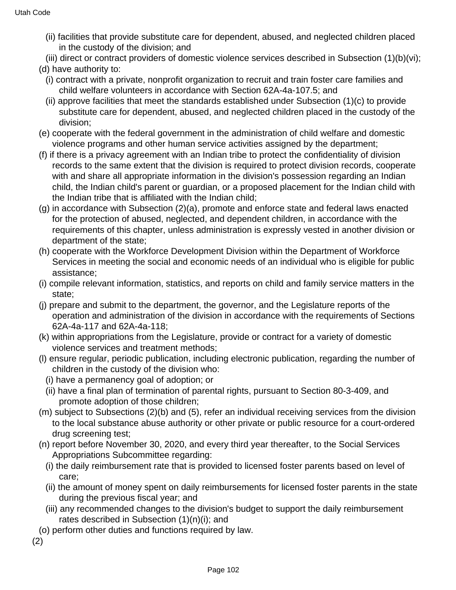- (ii) facilities that provide substitute care for dependent, abused, and neglected children placed in the custody of the division; and
- (iii) direct or contract providers of domestic violence services described in Subsection (1)(b)(vi);
- (d) have authority to:
	- (i) contract with a private, nonprofit organization to recruit and train foster care families and child welfare volunteers in accordance with Section 62A-4a-107.5; and
	- $(iii)$  approve facilities that meet the standards established under Subsection  $(1)(c)$  to provide substitute care for dependent, abused, and neglected children placed in the custody of the division;
- (e) cooperate with the federal government in the administration of child welfare and domestic violence programs and other human service activities assigned by the department;
- (f) if there is a privacy agreement with an Indian tribe to protect the confidentiality of division records to the same extent that the division is required to protect division records, cooperate with and share all appropriate information in the division's possession regarding an Indian child, the Indian child's parent or guardian, or a proposed placement for the Indian child with the Indian tribe that is affiliated with the Indian child;
- (g) in accordance with Subsection (2)(a), promote and enforce state and federal laws enacted for the protection of abused, neglected, and dependent children, in accordance with the requirements of this chapter, unless administration is expressly vested in another division or department of the state;
- (h) cooperate with the Workforce Development Division within the Department of Workforce Services in meeting the social and economic needs of an individual who is eligible for public assistance;
- (i) compile relevant information, statistics, and reports on child and family service matters in the state;
- (j) prepare and submit to the department, the governor, and the Legislature reports of the operation and administration of the division in accordance with the requirements of Sections 62A-4a-117 and 62A-4a-118;
- (k) within appropriations from the Legislature, provide or contract for a variety of domestic violence services and treatment methods;
- (l) ensure regular, periodic publication, including electronic publication, regarding the number of children in the custody of the division who:
	- (i) have a permanency goal of adoption; or
	- (ii) have a final plan of termination of parental rights, pursuant to Section 80-3-409, and promote adoption of those children;
- (m) subject to Subsections (2)(b) and (5), refer an individual receiving services from the division to the local substance abuse authority or other private or public resource for a court-ordered drug screening test;
- (n) report before November 30, 2020, and every third year thereafter, to the Social Services Appropriations Subcommittee regarding:
	- (i) the daily reimbursement rate that is provided to licensed foster parents based on level of care;
	- (ii) the amount of money spent on daily reimbursements for licensed foster parents in the state during the previous fiscal year; and
	- (iii) any recommended changes to the division's budget to support the daily reimbursement rates described in Subsection (1)(n)(i); and
- (o) perform other duties and functions required by law.

(2)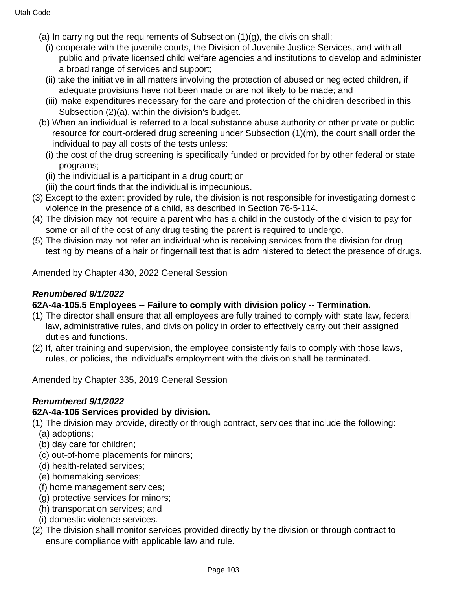- (a) In carrying out the requirements of Subsection  $(1)(g)$ , the division shall:
	- (i) cooperate with the juvenile courts, the Division of Juvenile Justice Services, and with all public and private licensed child welfare agencies and institutions to develop and administer a broad range of services and support;
	- (ii) take the initiative in all matters involving the protection of abused or neglected children, if adequate provisions have not been made or are not likely to be made; and
	- (iii) make expenditures necessary for the care and protection of the children described in this Subsection (2)(a), within the division's budget.
- (b) When an individual is referred to a local substance abuse authority or other private or public resource for court-ordered drug screening under Subsection (1)(m), the court shall order the individual to pay all costs of the tests unless:
	- (i) the cost of the drug screening is specifically funded or provided for by other federal or state programs;
	- (ii) the individual is a participant in a drug court; or
	- (iii) the court finds that the individual is impecunious.
- (3) Except to the extent provided by rule, the division is not responsible for investigating domestic violence in the presence of a child, as described in Section 76-5-114.
- (4) The division may not require a parent who has a child in the custody of the division to pay for some or all of the cost of any drug testing the parent is required to undergo.
- (5) The division may not refer an individual who is receiving services from the division for drug testing by means of a hair or fingernail test that is administered to detect the presence of drugs.

Amended by Chapter 430, 2022 General Session

### **Renumbered 9/1/2022**

### **62A-4a-105.5 Employees -- Failure to comply with division policy -- Termination.**

- (1) The director shall ensure that all employees are fully trained to comply with state law, federal law, administrative rules, and division policy in order to effectively carry out their assigned duties and functions.
- (2) If, after training and supervision, the employee consistently fails to comply with those laws, rules, or policies, the individual's employment with the division shall be terminated.

Amended by Chapter 335, 2019 General Session

### **Renumbered 9/1/2022**

### **62A-4a-106 Services provided by division.**

(1) The division may provide, directly or through contract, services that include the following:

- (a) adoptions;
- (b) day care for children;
- (c) out-of-home placements for minors;
- (d) health-related services;
- (e) homemaking services;
- (f) home management services;
- (g) protective services for minors;
- (h) transportation services; and
- (i) domestic violence services.
- (2) The division shall monitor services provided directly by the division or through contract to ensure compliance with applicable law and rule.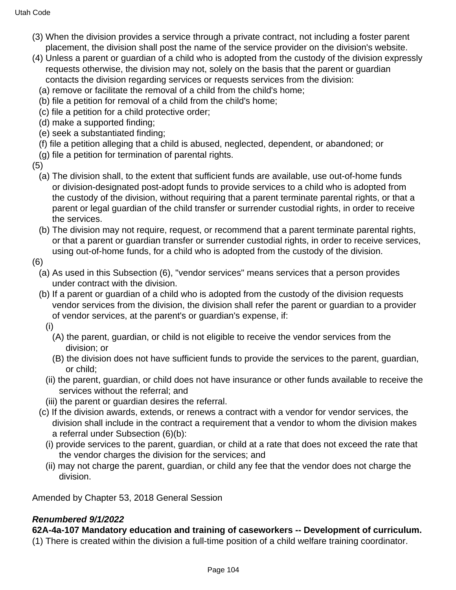- (3) When the division provides a service through a private contract, not including a foster parent placement, the division shall post the name of the service provider on the division's website.
- (4) Unless a parent or guardian of a child who is adopted from the custody of the division expressly requests otherwise, the division may not, solely on the basis that the parent or guardian contacts the division regarding services or requests services from the division:
	- (a) remove or facilitate the removal of a child from the child's home;
	- (b) file a petition for removal of a child from the child's home;
	- (c) file a petition for a child protective order;
	- (d) make a supported finding;
	- (e) seek a substantiated finding;
	- (f) file a petition alleging that a child is abused, neglected, dependent, or abandoned; or
	- (g) file a petition for termination of parental rights.
- (5)
	- (a) The division shall, to the extent that sufficient funds are available, use out-of-home funds or division-designated post-adopt funds to provide services to a child who is adopted from the custody of the division, without requiring that a parent terminate parental rights, or that a parent or legal guardian of the child transfer or surrender custodial rights, in order to receive the services.
	- (b) The division may not require, request, or recommend that a parent terminate parental rights, or that a parent or guardian transfer or surrender custodial rights, in order to receive services, using out-of-home funds, for a child who is adopted from the custody of the division.
- (6)
	- (a) As used in this Subsection (6), "vendor services" means services that a person provides under contract with the division.
	- (b) If a parent or guardian of a child who is adopted from the custody of the division requests vendor services from the division, the division shall refer the parent or guardian to a provider of vendor services, at the parent's or guardian's expense, if:
		- (i)
			- (A) the parent, guardian, or child is not eligible to receive the vendor services from the division; or
			- (B) the division does not have sufficient funds to provide the services to the parent, guardian, or child;
		- (ii) the parent, guardian, or child does not have insurance or other funds available to receive the services without the referral; and
		- (iii) the parent or guardian desires the referral.
	- (c) If the division awards, extends, or renews a contract with a vendor for vendor services, the division shall include in the contract a requirement that a vendor to whom the division makes a referral under Subsection (6)(b):
		- (i) provide services to the parent, guardian, or child at a rate that does not exceed the rate that the vendor charges the division for the services; and
		- (ii) may not charge the parent, guardian, or child any fee that the vendor does not charge the division.

Amended by Chapter 53, 2018 General Session

### **Renumbered 9/1/2022**

**62A-4a-107 Mandatory education and training of caseworkers -- Development of curriculum.**

(1) There is created within the division a full-time position of a child welfare training coordinator.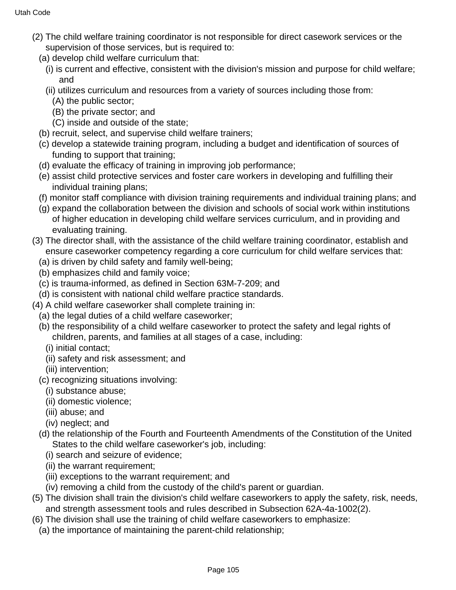- (2) The child welfare training coordinator is not responsible for direct casework services or the supervision of those services, but is required to:
	- (a) develop child welfare curriculum that:
		- (i) is current and effective, consistent with the division's mission and purpose for child welfare; and
		- (ii) utilizes curriculum and resources from a variety of sources including those from:
			- (A) the public sector;
			- (B) the private sector; and
			- (C) inside and outside of the state;
	- (b) recruit, select, and supervise child welfare trainers;
	- (c) develop a statewide training program, including a budget and identification of sources of funding to support that training;
	- (d) evaluate the efficacy of training in improving job performance;
	- (e) assist child protective services and foster care workers in developing and fulfilling their individual training plans;
	- (f) monitor staff compliance with division training requirements and individual training plans; and
	- (g) expand the collaboration between the division and schools of social work within institutions of higher education in developing child welfare services curriculum, and in providing and evaluating training.
- (3) The director shall, with the assistance of the child welfare training coordinator, establish and ensure caseworker competency regarding a core curriculum for child welfare services that:
	- (a) is driven by child safety and family well-being;
	- (b) emphasizes child and family voice;
	- (c) is trauma-informed, as defined in Section 63M-7-209; and
- (d) is consistent with national child welfare practice standards.
- (4) A child welfare caseworker shall complete training in:
- (a) the legal duties of a child welfare caseworker;
- (b) the responsibility of a child welfare caseworker to protect the safety and legal rights of children, parents, and families at all stages of a case, including:
	- (i) initial contact;
	- (ii) safety and risk assessment; and
	- (iii) intervention;
- (c) recognizing situations involving:
	- (i) substance abuse;
	- (ii) domestic violence;
	- (iii) abuse; and
	- (iv) neglect; and
- (d) the relationship of the Fourth and Fourteenth Amendments of the Constitution of the United States to the child welfare caseworker's job, including:
	- (i) search and seizure of evidence;
	- (ii) the warrant requirement;
	- (iii) exceptions to the warrant requirement; and
	- (iv) removing a child from the custody of the child's parent or guardian.
- (5) The division shall train the division's child welfare caseworkers to apply the safety, risk, needs, and strength assessment tools and rules described in Subsection 62A-4a-1002(2).
- (6) The division shall use the training of child welfare caseworkers to emphasize:
- (a) the importance of maintaining the parent-child relationship;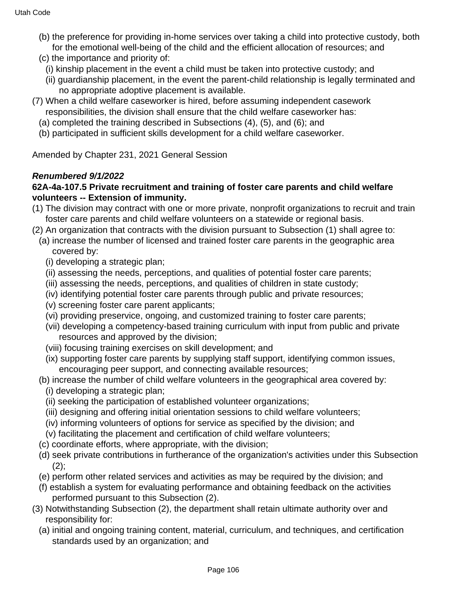- (b) the preference for providing in-home services over taking a child into protective custody, both for the emotional well-being of the child and the efficient allocation of resources; and
- (c) the importance and priority of:
	- (i) kinship placement in the event a child must be taken into protective custody; and
	- (ii) guardianship placement, in the event the parent-child relationship is legally terminated and no appropriate adoptive placement is available.
- (7) When a child welfare caseworker is hired, before assuming independent casework responsibilities, the division shall ensure that the child welfare caseworker has:
	- (a) completed the training described in Subsections (4), (5), and (6); and
	- (b) participated in sufficient skills development for a child welfare caseworker.

Amended by Chapter 231, 2021 General Session

# **Renumbered 9/1/2022**

## **62A-4a-107.5 Private recruitment and training of foster care parents and child welfare volunteers -- Extension of immunity.**

- (1) The division may contract with one or more private, nonprofit organizations to recruit and train foster care parents and child welfare volunteers on a statewide or regional basis.
- (2) An organization that contracts with the division pursuant to Subsection (1) shall agree to:
	- (a) increase the number of licensed and trained foster care parents in the geographic area covered by:
		- (i) developing a strategic plan;
		- (ii) assessing the needs, perceptions, and qualities of potential foster care parents;
		- (iii) assessing the needs, perceptions, and qualities of children in state custody;
		- (iv) identifying potential foster care parents through public and private resources;
		- (v) screening foster care parent applicants;
		- (vi) providing preservice, ongoing, and customized training to foster care parents;
		- (vii) developing a competency-based training curriculum with input from public and private resources and approved by the division;
		- (viii) focusing training exercises on skill development; and
		- (ix) supporting foster care parents by supplying staff support, identifying common issues, encouraging peer support, and connecting available resources;
	- (b) increase the number of child welfare volunteers in the geographical area covered by:
		- (i) developing a strategic plan;
		- (ii) seeking the participation of established volunteer organizations;
		- (iii) designing and offering initial orientation sessions to child welfare volunteers;
		- (iv) informing volunteers of options for service as specified by the division; and
		- (v) facilitating the placement and certification of child welfare volunteers;
	- (c) coordinate efforts, where appropriate, with the division;
	- (d) seek private contributions in furtherance of the organization's activities under this Subsection  $(2)$ ;
	- (e) perform other related services and activities as may be required by the division; and
	- (f) establish a system for evaluating performance and obtaining feedback on the activities performed pursuant to this Subsection (2).
- (3) Notwithstanding Subsection (2), the department shall retain ultimate authority over and responsibility for:
	- (a) initial and ongoing training content, material, curriculum, and techniques, and certification standards used by an organization; and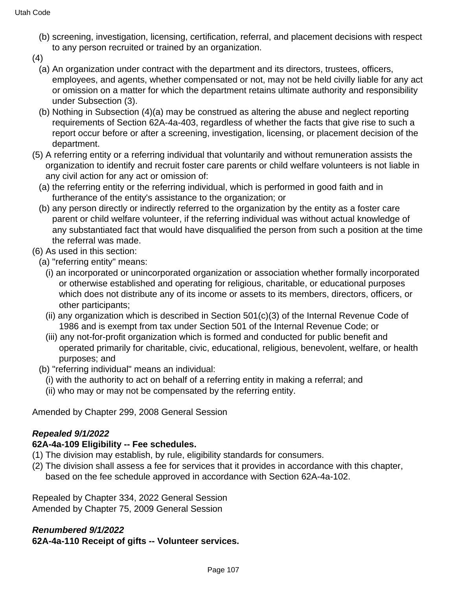- (b) screening, investigation, licensing, certification, referral, and placement decisions with respect to any person recruited or trained by an organization.
- (4)
	- (a) An organization under contract with the department and its directors, trustees, officers, employees, and agents, whether compensated or not, may not be held civilly liable for any act or omission on a matter for which the department retains ultimate authority and responsibility under Subsection (3).
	- (b) Nothing in Subsection (4)(a) may be construed as altering the abuse and neglect reporting requirements of Section 62A-4a-403, regardless of whether the facts that give rise to such a report occur before or after a screening, investigation, licensing, or placement decision of the department.
- (5) A referring entity or a referring individual that voluntarily and without remuneration assists the organization to identify and recruit foster care parents or child welfare volunteers is not liable in any civil action for any act or omission of:
	- (a) the referring entity or the referring individual, which is performed in good faith and in furtherance of the entity's assistance to the organization; or
	- (b) any person directly or indirectly referred to the organization by the entity as a foster care parent or child welfare volunteer, if the referring individual was without actual knowledge of any substantiated fact that would have disqualified the person from such a position at the time the referral was made.
- (6) As used in this section:
	- (a) "referring entity" means:
		- (i) an incorporated or unincorporated organization or association whether formally incorporated or otherwise established and operating for religious, charitable, or educational purposes which does not distribute any of its income or assets to its members, directors, officers, or other participants;
		- (ii) any organization which is described in Section 501(c)(3) of the Internal Revenue Code of 1986 and is exempt from tax under Section 501 of the Internal Revenue Code; or
		- (iii) any not-for-profit organization which is formed and conducted for public benefit and operated primarily for charitable, civic, educational, religious, benevolent, welfare, or health purposes; and
	- (b) "referring individual" means an individual:
		- (i) with the authority to act on behalf of a referring entity in making a referral; and
		- (ii) who may or may not be compensated by the referring entity.

Amended by Chapter 299, 2008 General Session

# **Repealed 9/1/2022**

# **62A-4a-109 Eligibility -- Fee schedules.**

- (1) The division may establish, by rule, eligibility standards for consumers.
- (2) The division shall assess a fee for services that it provides in accordance with this chapter, based on the fee schedule approved in accordance with Section 62A-4a-102.

Repealed by Chapter 334, 2022 General Session Amended by Chapter 75, 2009 General Session

# **Renumbered 9/1/2022**

**62A-4a-110 Receipt of gifts -- Volunteer services.**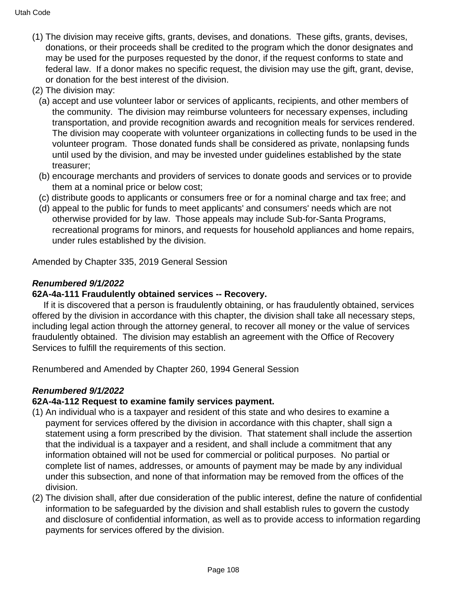- (1) The division may receive gifts, grants, devises, and donations. These gifts, grants, devises, donations, or their proceeds shall be credited to the program which the donor designates and may be used for the purposes requested by the donor, if the request conforms to state and federal law. If a donor makes no specific request, the division may use the gift, grant, devise, or donation for the best interest of the division.
- (2) The division may:
	- (a) accept and use volunteer labor or services of applicants, recipients, and other members of the community. The division may reimburse volunteers for necessary expenses, including transportation, and provide recognition awards and recognition meals for services rendered. The division may cooperate with volunteer organizations in collecting funds to be used in the volunteer program. Those donated funds shall be considered as private, nonlapsing funds until used by the division, and may be invested under guidelines established by the state treasurer;
	- (b) encourage merchants and providers of services to donate goods and services or to provide them at a nominal price or below cost;
	- (c) distribute goods to applicants or consumers free or for a nominal charge and tax free; and
	- (d) appeal to the public for funds to meet applicants' and consumers' needs which are not otherwise provided for by law. Those appeals may include Sub-for-Santa Programs, recreational programs for minors, and requests for household appliances and home repairs, under rules established by the division.

Amended by Chapter 335, 2019 General Session

### **Renumbered 9/1/2022**

### **62A-4a-111 Fraudulently obtained services -- Recovery.**

 If it is discovered that a person is fraudulently obtaining, or has fraudulently obtained, services offered by the division in accordance with this chapter, the division shall take all necessary steps, including legal action through the attorney general, to recover all money or the value of services fraudulently obtained. The division may establish an agreement with the Office of Recovery Services to fulfill the requirements of this section.

Renumbered and Amended by Chapter 260, 1994 General Session

### **Renumbered 9/1/2022**

### **62A-4a-112 Request to examine family services payment.**

- (1) An individual who is a taxpayer and resident of this state and who desires to examine a payment for services offered by the division in accordance with this chapter, shall sign a statement using a form prescribed by the division. That statement shall include the assertion that the individual is a taxpayer and a resident, and shall include a commitment that any information obtained will not be used for commercial or political purposes. No partial or complete list of names, addresses, or amounts of payment may be made by any individual under this subsection, and none of that information may be removed from the offices of the division.
- (2) The division shall, after due consideration of the public interest, define the nature of confidential information to be safeguarded by the division and shall establish rules to govern the custody and disclosure of confidential information, as well as to provide access to information regarding payments for services offered by the division.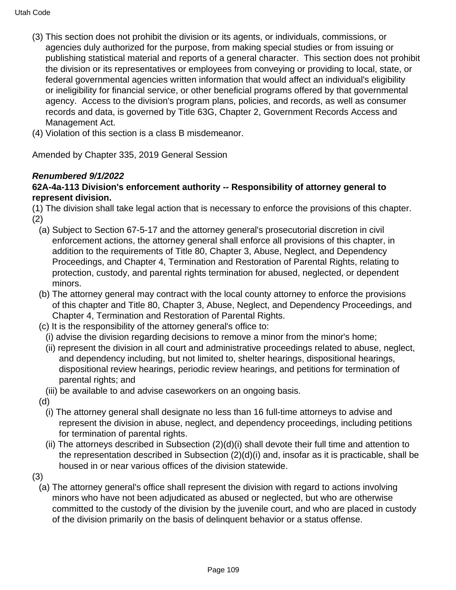- (3) This section does not prohibit the division or its agents, or individuals, commissions, or agencies duly authorized for the purpose, from making special studies or from issuing or publishing statistical material and reports of a general character. This section does not prohibit the division or its representatives or employees from conveying or providing to local, state, or federal governmental agencies written information that would affect an individual's eligibility or ineligibility for financial service, or other beneficial programs offered by that governmental agency. Access to the division's program plans, policies, and records, as well as consumer records and data, is governed by Title 63G, Chapter 2, Government Records Access and Management Act.
- (4) Violation of this section is a class B misdemeanor.

Amended by Chapter 335, 2019 General Session

## **Renumbered 9/1/2022**

## **62A-4a-113 Division's enforcement authority -- Responsibility of attorney general to represent division.**

- (1) The division shall take legal action that is necessary to enforce the provisions of this chapter. (2)
	- (a) Subject to Section 67-5-17 and the attorney general's prosecutorial discretion in civil enforcement actions, the attorney general shall enforce all provisions of this chapter, in addition to the requirements of Title 80, Chapter 3, Abuse, Neglect, and Dependency Proceedings, and Chapter 4, Termination and Restoration of Parental Rights, relating to protection, custody, and parental rights termination for abused, neglected, or dependent minors.
	- (b) The attorney general may contract with the local county attorney to enforce the provisions of this chapter and Title 80, Chapter 3, Abuse, Neglect, and Dependency Proceedings, and Chapter 4, Termination and Restoration of Parental Rights.
	- (c) It is the responsibility of the attorney general's office to:
		- (i) advise the division regarding decisions to remove a minor from the minor's home;
		- (ii) represent the division in all court and administrative proceedings related to abuse, neglect, and dependency including, but not limited to, shelter hearings, dispositional hearings, dispositional review hearings, periodic review hearings, and petitions for termination of parental rights; and
		- (iii) be available to and advise caseworkers on an ongoing basis.
	- (d)
		- (i) The attorney general shall designate no less than 16 full-time attorneys to advise and represent the division in abuse, neglect, and dependency proceedings, including petitions for termination of parental rights.
		- (ii) The attorneys described in Subsection (2)(d)(i) shall devote their full time and attention to the representation described in Subsection (2)(d)(i) and, insofar as it is practicable, shall be housed in or near various offices of the division statewide.
- (3)
	- (a) The attorney general's office shall represent the division with regard to actions involving minors who have not been adjudicated as abused or neglected, but who are otherwise committed to the custody of the division by the juvenile court, and who are placed in custody of the division primarily on the basis of delinquent behavior or a status offense.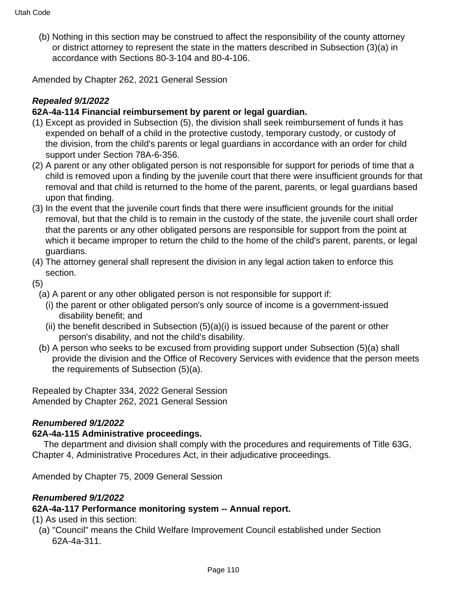(b) Nothing in this section may be construed to affect the responsibility of the county attorney or district attorney to represent the state in the matters described in Subsection (3)(a) in accordance with Sections 80-3-104 and 80-4-106.

Amended by Chapter 262, 2021 General Session

# **Repealed 9/1/2022**

## **62A-4a-114 Financial reimbursement by parent or legal guardian.**

- (1) Except as provided in Subsection (5), the division shall seek reimbursement of funds it has expended on behalf of a child in the protective custody, temporary custody, or custody of the division, from the child's parents or legal guardians in accordance with an order for child support under Section 78A-6-356.
- (2) A parent or any other obligated person is not responsible for support for periods of time that a child is removed upon a finding by the juvenile court that there were insufficient grounds for that removal and that child is returned to the home of the parent, parents, or legal guardians based upon that finding.
- (3) In the event that the juvenile court finds that there were insufficient grounds for the initial removal, but that the child is to remain in the custody of the state, the juvenile court shall order that the parents or any other obligated persons are responsible for support from the point at which it became improper to return the child to the home of the child's parent, parents, or legal guardians.
- (4) The attorney general shall represent the division in any legal action taken to enforce this section.
- (5)
	- (a) A parent or any other obligated person is not responsible for support if:
		- (i) the parent or other obligated person's only source of income is a government-issued disability benefit; and
		- (ii) the benefit described in Subsection  $(5)(a)(i)$  is issued because of the parent or other person's disability, and not the child's disability.
	- (b) A person who seeks to be excused from providing support under Subsection (5)(a) shall provide the division and the Office of Recovery Services with evidence that the person meets the requirements of Subsection (5)(a).

Repealed by Chapter 334, 2022 General Session Amended by Chapter 262, 2021 General Session

### **Renumbered 9/1/2022**

### **62A-4a-115 Administrative proceedings.**

 The department and division shall comply with the procedures and requirements of Title 63G, Chapter 4, Administrative Procedures Act, in their adjudicative proceedings.

Amended by Chapter 75, 2009 General Session

### **Renumbered 9/1/2022**

### **62A-4a-117 Performance monitoring system -- Annual report.**

(1) As used in this section:

(a) "Council" means the Child Welfare Improvement Council established under Section 62A-4a-311.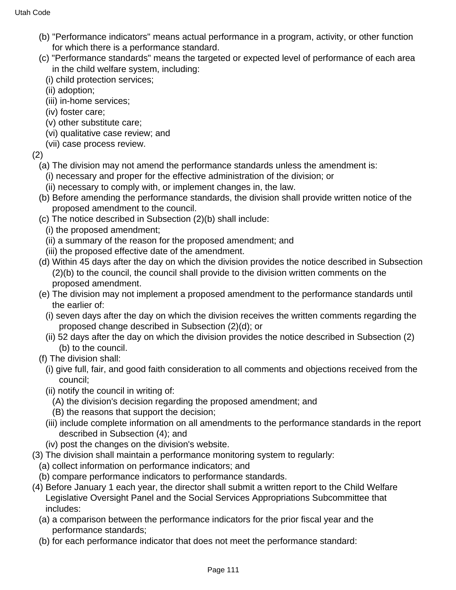- (b) "Performance indicators" means actual performance in a program, activity, or other function for which there is a performance standard.
- (c) "Performance standards" means the targeted or expected level of performance of each area in the child welfare system, including:
	- (i) child protection services;
	- (ii) adoption;
	- (iii) in-home services;
	- (iv) foster care;
	- (v) other substitute care;
	- (vi) qualitative case review; and
	- (vii) case process review.
- (2)
	- (a) The division may not amend the performance standards unless the amendment is:
		- (i) necessary and proper for the effective administration of the division; or
		- (ii) necessary to comply with, or implement changes in, the law.
	- (b) Before amending the performance standards, the division shall provide written notice of the proposed amendment to the council.
	- (c) The notice described in Subsection (2)(b) shall include:
		- (i) the proposed amendment;
		- (ii) a summary of the reason for the proposed amendment; and
		- (iii) the proposed effective date of the amendment.
	- (d) Within 45 days after the day on which the division provides the notice described in Subsection (2)(b) to the council, the council shall provide to the division written comments on the proposed amendment.
	- (e) The division may not implement a proposed amendment to the performance standards until the earlier of:
		- (i) seven days after the day on which the division receives the written comments regarding the proposed change described in Subsection (2)(d); or
		- (ii) 52 days after the day on which the division provides the notice described in Subsection (2) (b) to the council.
	- (f) The division shall:
		- (i) give full, fair, and good faith consideration to all comments and objections received from the council;
		- (ii) notify the council in writing of:
			- (A) the division's decision regarding the proposed amendment; and
			- (B) the reasons that support the decision;
		- (iii) include complete information on all amendments to the performance standards in the report described in Subsection (4); and
		- (iv) post the changes on the division's website.
- (3) The division shall maintain a performance monitoring system to regularly:
	- (a) collect information on performance indicators; and
	- (b) compare performance indicators to performance standards.
- (4) Before January 1 each year, the director shall submit a written report to the Child Welfare Legislative Oversight Panel and the Social Services Appropriations Subcommittee that includes:
	- (a) a comparison between the performance indicators for the prior fiscal year and the performance standards;
	- (b) for each performance indicator that does not meet the performance standard: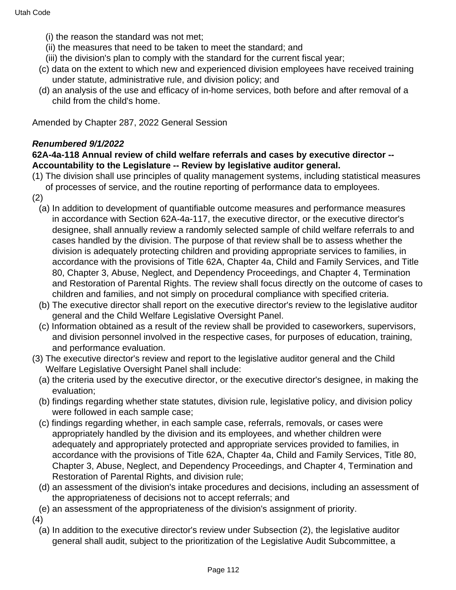- (i) the reason the standard was not met;
- (ii) the measures that need to be taken to meet the standard; and
- (iii) the division's plan to comply with the standard for the current fiscal year;
- (c) data on the extent to which new and experienced division employees have received training under statute, administrative rule, and division policy; and
- (d) an analysis of the use and efficacy of in-home services, both before and after removal of a child from the child's home.

Amended by Chapter 287, 2022 General Session

# **Renumbered 9/1/2022**

## **62A-4a-118 Annual review of child welfare referrals and cases by executive director -- Accountability to the Legislature -- Review by legislative auditor general.**

- (1) The division shall use principles of quality management systems, including statistical measures of processes of service, and the routine reporting of performance data to employees.
- (2)
	- (a) In addition to development of quantifiable outcome measures and performance measures in accordance with Section 62A-4a-117, the executive director, or the executive director's designee, shall annually review a randomly selected sample of child welfare referrals to and cases handled by the division. The purpose of that review shall be to assess whether the division is adequately protecting children and providing appropriate services to families, in accordance with the provisions of Title 62A, Chapter 4a, Child and Family Services, and Title 80, Chapter 3, Abuse, Neglect, and Dependency Proceedings, and Chapter 4, Termination and Restoration of Parental Rights. The review shall focus directly on the outcome of cases to children and families, and not simply on procedural compliance with specified criteria.
	- (b) The executive director shall report on the executive director's review to the legislative auditor general and the Child Welfare Legislative Oversight Panel.
	- (c) Information obtained as a result of the review shall be provided to caseworkers, supervisors, and division personnel involved in the respective cases, for purposes of education, training, and performance evaluation.
- (3) The executive director's review and report to the legislative auditor general and the Child Welfare Legislative Oversight Panel shall include:
	- (a) the criteria used by the executive director, or the executive director's designee, in making the evaluation;
	- (b) findings regarding whether state statutes, division rule, legislative policy, and division policy were followed in each sample case;
	- (c) findings regarding whether, in each sample case, referrals, removals, or cases were appropriately handled by the division and its employees, and whether children were adequately and appropriately protected and appropriate services provided to families, in accordance with the provisions of Title 62A, Chapter 4a, Child and Family Services, Title 80, Chapter 3, Abuse, Neglect, and Dependency Proceedings, and Chapter 4, Termination and Restoration of Parental Rights, and division rule;
	- (d) an assessment of the division's intake procedures and decisions, including an assessment of the appropriateness of decisions not to accept referrals; and
	- (e) an assessment of the appropriateness of the division's assignment of priority.
- (4)
	- (a) In addition to the executive director's review under Subsection (2), the legislative auditor general shall audit, subject to the prioritization of the Legislative Audit Subcommittee, a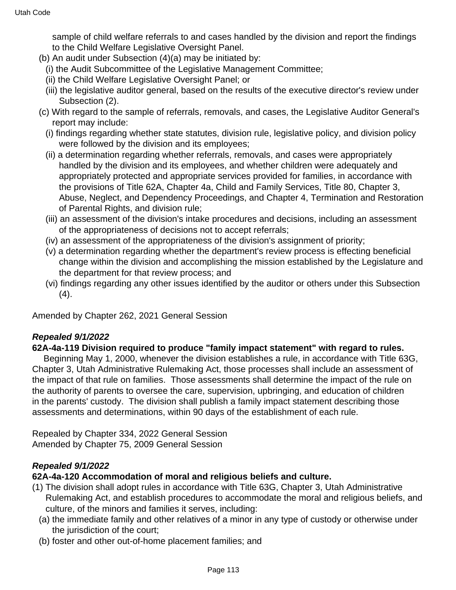sample of child welfare referrals to and cases handled by the division and report the findings to the Child Welfare Legislative Oversight Panel.

- (b) An audit under Subsection (4)(a) may be initiated by:
	- (i) the Audit Subcommittee of the Legislative Management Committee;
	- (ii) the Child Welfare Legislative Oversight Panel; or
	- (iii) the legislative auditor general, based on the results of the executive director's review under Subsection (2).
- (c) With regard to the sample of referrals, removals, and cases, the Legislative Auditor General's report may include:
	- (i) findings regarding whether state statutes, division rule, legislative policy, and division policy were followed by the division and its employees;
	- (ii) a determination regarding whether referrals, removals, and cases were appropriately handled by the division and its employees, and whether children were adequately and appropriately protected and appropriate services provided for families, in accordance with the provisions of Title 62A, Chapter 4a, Child and Family Services, Title 80, Chapter 3, Abuse, Neglect, and Dependency Proceedings, and Chapter 4, Termination and Restoration of Parental Rights, and division rule;
	- (iii) an assessment of the division's intake procedures and decisions, including an assessment of the appropriateness of decisions not to accept referrals;
	- (iv) an assessment of the appropriateness of the division's assignment of priority;
	- (v) a determination regarding whether the department's review process is effecting beneficial change within the division and accomplishing the mission established by the Legislature and the department for that review process; and
	- (vi) findings regarding any other issues identified by the auditor or others under this Subsection  $(4).$

Amended by Chapter 262, 2021 General Session

### **Repealed 9/1/2022**

### **62A-4a-119 Division required to produce "family impact statement" with regard to rules.**

 Beginning May 1, 2000, whenever the division establishes a rule, in accordance with Title 63G, Chapter 3, Utah Administrative Rulemaking Act, those processes shall include an assessment of the impact of that rule on families. Those assessments shall determine the impact of the rule on the authority of parents to oversee the care, supervision, upbringing, and education of children in the parents' custody. The division shall publish a family impact statement describing those assessments and determinations, within 90 days of the establishment of each rule.

Repealed by Chapter 334, 2022 General Session Amended by Chapter 75, 2009 General Session

# **Repealed 9/1/2022**

### **62A-4a-120 Accommodation of moral and religious beliefs and culture.**

- (1) The division shall adopt rules in accordance with Title 63G, Chapter 3, Utah Administrative Rulemaking Act, and establish procedures to accommodate the moral and religious beliefs, and culture, of the minors and families it serves, including:
	- (a) the immediate family and other relatives of a minor in any type of custody or otherwise under the jurisdiction of the court;
	- (b) foster and other out-of-home placement families; and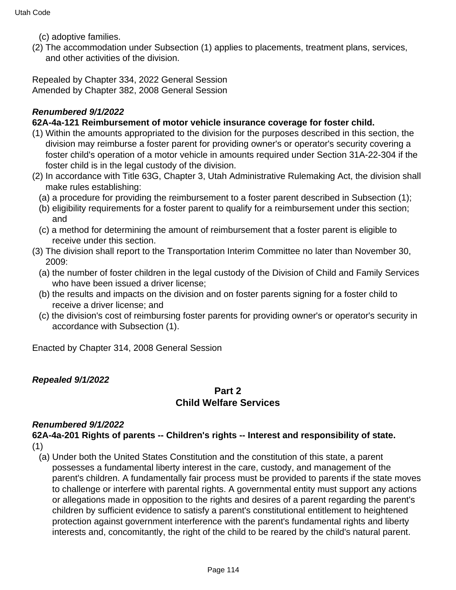(c) adoptive families.

(2) The accommodation under Subsection (1) applies to placements, treatment plans, services, and other activities of the division.

Repealed by Chapter 334, 2022 General Session Amended by Chapter 382, 2008 General Session

# **Renumbered 9/1/2022**

## **62A-4a-121 Reimbursement of motor vehicle insurance coverage for foster child.**

- (1) Within the amounts appropriated to the division for the purposes described in this section, the division may reimburse a foster parent for providing owner's or operator's security covering a foster child's operation of a motor vehicle in amounts required under Section 31A-22-304 if the foster child is in the legal custody of the division.
- (2) In accordance with Title 63G, Chapter 3, Utah Administrative Rulemaking Act, the division shall make rules establishing:
	- (a) a procedure for providing the reimbursement to a foster parent described in Subsection (1);
	- (b) eligibility requirements for a foster parent to qualify for a reimbursement under this section; and
	- (c) a method for determining the amount of reimbursement that a foster parent is eligible to receive under this section.
- (3) The division shall report to the Transportation Interim Committee no later than November 30, 2009:
	- (a) the number of foster children in the legal custody of the Division of Child and Family Services who have been issued a driver license;
	- (b) the results and impacts on the division and on foster parents signing for a foster child to receive a driver license; and
	- (c) the division's cost of reimbursing foster parents for providing owner's or operator's security in accordance with Subsection (1).

Enacted by Chapter 314, 2008 General Session

# **Repealed 9/1/2022**

# **Part 2 Child Welfare Services**

# **Renumbered 9/1/2022**

**62A-4a-201 Rights of parents -- Children's rights -- Interest and responsibility of state.** (1)

(a) Under both the United States Constitution and the constitution of this state, a parent possesses a fundamental liberty interest in the care, custody, and management of the parent's children. A fundamentally fair process must be provided to parents if the state moves to challenge or interfere with parental rights. A governmental entity must support any actions or allegations made in opposition to the rights and desires of a parent regarding the parent's children by sufficient evidence to satisfy a parent's constitutional entitlement to heightened protection against government interference with the parent's fundamental rights and liberty interests and, concomitantly, the right of the child to be reared by the child's natural parent.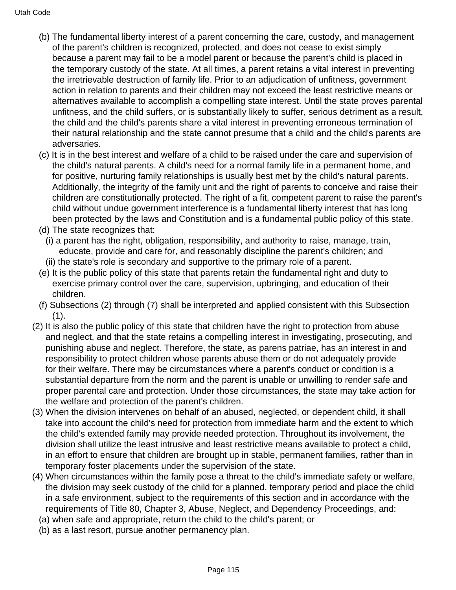- (b) The fundamental liberty interest of a parent concerning the care, custody, and management of the parent's children is recognized, protected, and does not cease to exist simply because a parent may fail to be a model parent or because the parent's child is placed in the temporary custody of the state. At all times, a parent retains a vital interest in preventing the irretrievable destruction of family life. Prior to an adjudication of unfitness, government action in relation to parents and their children may not exceed the least restrictive means or alternatives available to accomplish a compelling state interest. Until the state proves parental unfitness, and the child suffers, or is substantially likely to suffer, serious detriment as a result, the child and the child's parents share a vital interest in preventing erroneous termination of their natural relationship and the state cannot presume that a child and the child's parents are adversaries.
- (c) It is in the best interest and welfare of a child to be raised under the care and supervision of the child's natural parents. A child's need for a normal family life in a permanent home, and for positive, nurturing family relationships is usually best met by the child's natural parents. Additionally, the integrity of the family unit and the right of parents to conceive and raise their children are constitutionally protected. The right of a fit, competent parent to raise the parent's child without undue government interference is a fundamental liberty interest that has long been protected by the laws and Constitution and is a fundamental public policy of this state.
- (d) The state recognizes that:
	- (i) a parent has the right, obligation, responsibility, and authority to raise, manage, train, educate, provide and care for, and reasonably discipline the parent's children; and (ii) the state's role is secondary and supportive to the primary role of a parent.
- (e) It is the public policy of this state that parents retain the fundamental right and duty to exercise primary control over the care, supervision, upbringing, and education of their children.
- (f) Subsections (2) through (7) shall be interpreted and applied consistent with this Subsection  $(1).$
- (2) It is also the public policy of this state that children have the right to protection from abuse and neglect, and that the state retains a compelling interest in investigating, prosecuting, and punishing abuse and neglect. Therefore, the state, as parens patriae, has an interest in and responsibility to protect children whose parents abuse them or do not adequately provide for their welfare. There may be circumstances where a parent's conduct or condition is a substantial departure from the norm and the parent is unable or unwilling to render safe and proper parental care and protection. Under those circumstances, the state may take action for the welfare and protection of the parent's children.
- (3) When the division intervenes on behalf of an abused, neglected, or dependent child, it shall take into account the child's need for protection from immediate harm and the extent to which the child's extended family may provide needed protection. Throughout its involvement, the division shall utilize the least intrusive and least restrictive means available to protect a child, in an effort to ensure that children are brought up in stable, permanent families, rather than in temporary foster placements under the supervision of the state.
- (4) When circumstances within the family pose a threat to the child's immediate safety or welfare, the division may seek custody of the child for a planned, temporary period and place the child in a safe environment, subject to the requirements of this section and in accordance with the requirements of Title 80, Chapter 3, Abuse, Neglect, and Dependency Proceedings, and:
	- (a) when safe and appropriate, return the child to the child's parent; or
	- (b) as a last resort, pursue another permanency plan.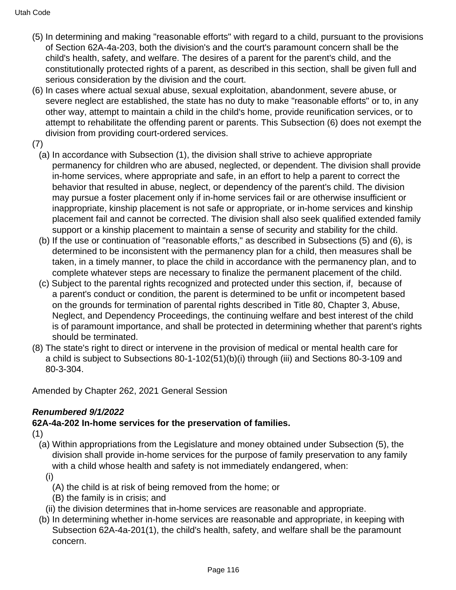- (5) In determining and making "reasonable efforts" with regard to a child, pursuant to the provisions of Section 62A-4a-203, both the division's and the court's paramount concern shall be the child's health, safety, and welfare. The desires of a parent for the parent's child, and the constitutionally protected rights of a parent, as described in this section, shall be given full and serious consideration by the division and the court.
- (6) In cases where actual sexual abuse, sexual exploitation, abandonment, severe abuse, or severe neglect are established, the state has no duty to make "reasonable efforts" or to, in any other way, attempt to maintain a child in the child's home, provide reunification services, or to attempt to rehabilitate the offending parent or parents. This Subsection (6) does not exempt the division from providing court-ordered services.
- (7)
	- (a) In accordance with Subsection (1), the division shall strive to achieve appropriate permanency for children who are abused, neglected, or dependent. The division shall provide in-home services, where appropriate and safe, in an effort to help a parent to correct the behavior that resulted in abuse, neglect, or dependency of the parent's child. The division may pursue a foster placement only if in-home services fail or are otherwise insufficient or inappropriate, kinship placement is not safe or appropriate, or in-home services and kinship placement fail and cannot be corrected. The division shall also seek qualified extended family support or a kinship placement to maintain a sense of security and stability for the child.
	- (b) If the use or continuation of "reasonable efforts," as described in Subsections (5) and (6), is determined to be inconsistent with the permanency plan for a child, then measures shall be taken, in a timely manner, to place the child in accordance with the permanency plan, and to complete whatever steps are necessary to finalize the permanent placement of the child.
	- (c) Subject to the parental rights recognized and protected under this section, if, because of a parent's conduct or condition, the parent is determined to be unfit or incompetent based on the grounds for termination of parental rights described in Title 80, Chapter 3, Abuse, Neglect, and Dependency Proceedings, the continuing welfare and best interest of the child is of paramount importance, and shall be protected in determining whether that parent's rights should be terminated.
- (8) The state's right to direct or intervene in the provision of medical or mental health care for a child is subject to Subsections 80-1-102(51)(b)(i) through (iii) and Sections 80-3-109 and 80-3-304.

Amended by Chapter 262, 2021 General Session

# **Renumbered 9/1/2022**

# **62A-4a-202 In-home services for the preservation of families.**

(1)

- (a) Within appropriations from the Legislature and money obtained under Subsection (5), the division shall provide in-home services for the purpose of family preservation to any family with a child whose health and safety is not immediately endangered, when:
	- (i)
		- (A) the child is at risk of being removed from the home; or
		- (B) the family is in crisis; and
- (ii) the division determines that in-home services are reasonable and appropriate.
- (b) In determining whether in-home services are reasonable and appropriate, in keeping with Subsection 62A-4a-201(1), the child's health, safety, and welfare shall be the paramount concern.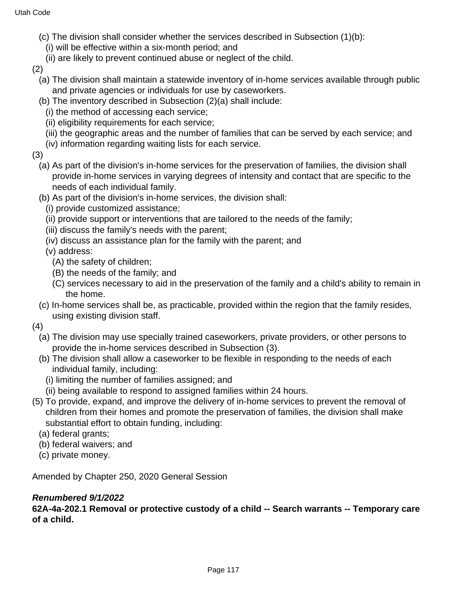- (c) The division shall consider whether the services described in Subsection (1)(b):
	- (i) will be effective within a six-month period; and
	- (ii) are likely to prevent continued abuse or neglect of the child.

(2)

- (a) The division shall maintain a statewide inventory of in-home services available through public and private agencies or individuals for use by caseworkers.
- (b) The inventory described in Subsection (2)(a) shall include:
	- (i) the method of accessing each service;
	- (ii) eligibility requirements for each service;
	- (iii) the geographic areas and the number of families that can be served by each service; and
	- (iv) information regarding waiting lists for each service.
- (3)
	- (a) As part of the division's in-home services for the preservation of families, the division shall provide in-home services in varying degrees of intensity and contact that are specific to the needs of each individual family.
	- (b) As part of the division's in-home services, the division shall:
		- (i) provide customized assistance;
		- (ii) provide support or interventions that are tailored to the needs of the family;
		- (iii) discuss the family's needs with the parent;
		- (iv) discuss an assistance plan for the family with the parent; and
		- (v) address:
			- (A) the safety of children;
			- (B) the needs of the family; and
			- (C) services necessary to aid in the preservation of the family and a child's ability to remain in the home.
	- (c) In-home services shall be, as practicable, provided within the region that the family resides, using existing division staff.
- (4)
	- (a) The division may use specially trained caseworkers, private providers, or other persons to provide the in-home services described in Subsection (3).
	- (b) The division shall allow a caseworker to be flexible in responding to the needs of each individual family, including:
		- (i) limiting the number of families assigned; and
		- (ii) being available to respond to assigned families within 24 hours.
- (5) To provide, expand, and improve the delivery of in-home services to prevent the removal of children from their homes and promote the preservation of families, the division shall make substantial effort to obtain funding, including:
	- (a) federal grants;
	- (b) federal waivers; and
	- (c) private money.

Amended by Chapter 250, 2020 General Session

# **Renumbered 9/1/2022**

**62A-4a-202.1 Removal or protective custody of a child -- Search warrants -- Temporary care of a child.**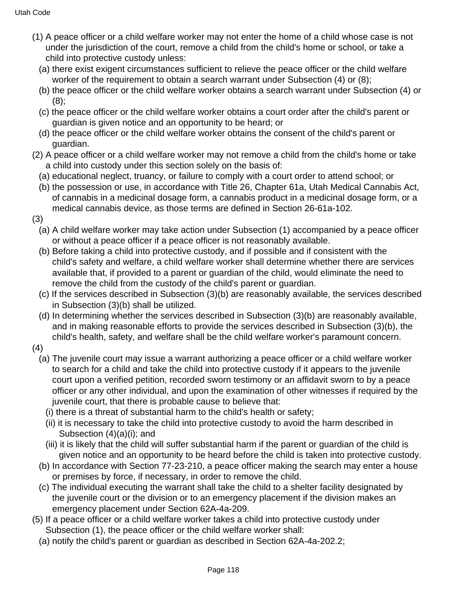- (1) A peace officer or a child welfare worker may not enter the home of a child whose case is not under the jurisdiction of the court, remove a child from the child's home or school, or take a child into protective custody unless:
	- (a) there exist exigent circumstances sufficient to relieve the peace officer or the child welfare worker of the requirement to obtain a search warrant under Subsection (4) or (8);
	- (b) the peace officer or the child welfare worker obtains a search warrant under Subsection (4) or  $(8)$ :
	- (c) the peace officer or the child welfare worker obtains a court order after the child's parent or guardian is given notice and an opportunity to be heard; or
	- (d) the peace officer or the child welfare worker obtains the consent of the child's parent or guardian.
- (2) A peace officer or a child welfare worker may not remove a child from the child's home or take a child into custody under this section solely on the basis of:
	- (a) educational neglect, truancy, or failure to comply with a court order to attend school; or
	- (b) the possession or use, in accordance with Title 26, Chapter 61a, Utah Medical Cannabis Act, of cannabis in a medicinal dosage form, a cannabis product in a medicinal dosage form, or a medical cannabis device, as those terms are defined in Section 26-61a-102.
- (3)
	- (a) A child welfare worker may take action under Subsection (1) accompanied by a peace officer or without a peace officer if a peace officer is not reasonably available.
	- (b) Before taking a child into protective custody, and if possible and if consistent with the child's safety and welfare, a child welfare worker shall determine whether there are services available that, if provided to a parent or guardian of the child, would eliminate the need to remove the child from the custody of the child's parent or guardian.
	- (c) If the services described in Subsection (3)(b) are reasonably available, the services described in Subsection (3)(b) shall be utilized.
	- (d) In determining whether the services described in Subsection (3)(b) are reasonably available, and in making reasonable efforts to provide the services described in Subsection (3)(b), the child's health, safety, and welfare shall be the child welfare worker's paramount concern.
- (4)
	- (a) The juvenile court may issue a warrant authorizing a peace officer or a child welfare worker to search for a child and take the child into protective custody if it appears to the juvenile court upon a verified petition, recorded sworn testimony or an affidavit sworn to by a peace officer or any other individual, and upon the examination of other witnesses if required by the juvenile court, that there is probable cause to believe that:
		- (i) there is a threat of substantial harm to the child's health or safety;
		- (ii) it is necessary to take the child into protective custody to avoid the harm described in Subsection (4)(a)(i); and
		- (iii) it is likely that the child will suffer substantial harm if the parent or guardian of the child is given notice and an opportunity to be heard before the child is taken into protective custody.
	- (b) In accordance with Section 77-23-210, a peace officer making the search may enter a house or premises by force, if necessary, in order to remove the child.
	- (c) The individual executing the warrant shall take the child to a shelter facility designated by the juvenile court or the division or to an emergency placement if the division makes an emergency placement under Section 62A-4a-209.
- (5) If a peace officer or a child welfare worker takes a child into protective custody under Subsection (1), the peace officer or the child welfare worker shall:
	- (a) notify the child's parent or guardian as described in Section 62A-4a-202.2;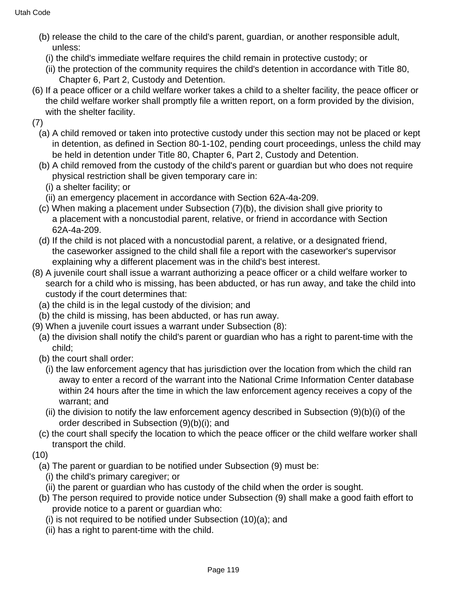- (b) release the child to the care of the child's parent, guardian, or another responsible adult, unless:
	- (i) the child's immediate welfare requires the child remain in protective custody; or
	- (ii) the protection of the community requires the child's detention in accordance with Title 80, Chapter 6, Part 2, Custody and Detention.
- (6) If a peace officer or a child welfare worker takes a child to a shelter facility, the peace officer or the child welfare worker shall promptly file a written report, on a form provided by the division, with the shelter facility.
- (7)
	- (a) A child removed or taken into protective custody under this section may not be placed or kept in detention, as defined in Section 80-1-102, pending court proceedings, unless the child may be held in detention under Title 80, Chapter 6, Part 2, Custody and Detention.
	- (b) A child removed from the custody of the child's parent or guardian but who does not require physical restriction shall be given temporary care in:
		- (i) a shelter facility; or
		- (ii) an emergency placement in accordance with Section 62A-4a-209.
	- (c) When making a placement under Subsection (7)(b), the division shall give priority to a placement with a noncustodial parent, relative, or friend in accordance with Section 62A-4a-209.
	- (d) If the child is not placed with a noncustodial parent, a relative, or a designated friend, the caseworker assigned to the child shall file a report with the caseworker's supervisor explaining why a different placement was in the child's best interest.
- (8) A juvenile court shall issue a warrant authorizing a peace officer or a child welfare worker to search for a child who is missing, has been abducted, or has run away, and take the child into custody if the court determines that:
	- (a) the child is in the legal custody of the division; and
	- (b) the child is missing, has been abducted, or has run away.
- (9) When a juvenile court issues a warrant under Subsection (8):
	- (a) the division shall notify the child's parent or guardian who has a right to parent-time with the child;
	- (b) the court shall order:
		- (i) the law enforcement agency that has jurisdiction over the location from which the child ran away to enter a record of the warrant into the National Crime Information Center database within 24 hours after the time in which the law enforcement agency receives a copy of the warrant; and
		- (ii) the division to notify the law enforcement agency described in Subsection (9)(b)(i) of the order described in Subsection (9)(b)(i); and
	- (c) the court shall specify the location to which the peace officer or the child welfare worker shall transport the child.
- (10)
	- (a) The parent or guardian to be notified under Subsection (9) must be:
		- (i) the child's primary caregiver; or
		- (ii) the parent or guardian who has custody of the child when the order is sought.
	- (b) The person required to provide notice under Subsection (9) shall make a good faith effort to provide notice to a parent or guardian who:
		- (i) is not required to be notified under Subsection (10)(a); and
		- (ii) has a right to parent-time with the child.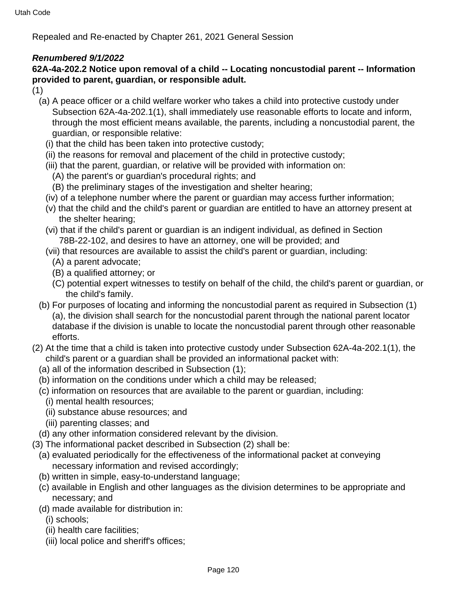Repealed and Re-enacted by Chapter 261, 2021 General Session

# **Renumbered 9/1/2022**

**62A-4a-202.2 Notice upon removal of a child -- Locating noncustodial parent -- Information provided to parent, guardian, or responsible adult.**

- (1)
	- (a) A peace officer or a child welfare worker who takes a child into protective custody under Subsection 62A-4a-202.1(1), shall immediately use reasonable efforts to locate and inform, through the most efficient means available, the parents, including a noncustodial parent, the guardian, or responsible relative:
		- (i) that the child has been taken into protective custody;
		- (ii) the reasons for removal and placement of the child in protective custody;
		- (iii) that the parent, guardian, or relative will be provided with information on:
			- (A) the parent's or guardian's procedural rights; and
			- (B) the preliminary stages of the investigation and shelter hearing;
		- (iv) of a telephone number where the parent or guardian may access further information;
		- (v) that the child and the child's parent or guardian are entitled to have an attorney present at the shelter hearing;
		- (vi) that if the child's parent or guardian is an indigent individual, as defined in Section 78B-22-102, and desires to have an attorney, one will be provided; and
		- (vii) that resources are available to assist the child's parent or guardian, including:
			- (A) a parent advocate;
			- (B) a qualified attorney; or
			- (C) potential expert witnesses to testify on behalf of the child, the child's parent or guardian, or the child's family.
	- (b) For purposes of locating and informing the noncustodial parent as required in Subsection (1) (a), the division shall search for the noncustodial parent through the national parent locator database if the division is unable to locate the noncustodial parent through other reasonable efforts.
- (2) At the time that a child is taken into protective custody under Subsection 62A-4a-202.1(1), the child's parent or a guardian shall be provided an informational packet with:
	- (a) all of the information described in Subsection (1);
	- (b) information on the conditions under which a child may be released;
	- (c) information on resources that are available to the parent or guardian, including:
		- (i) mental health resources;
		- (ii) substance abuse resources; and
		- (iii) parenting classes; and
	- (d) any other information considered relevant by the division.
- (3) The informational packet described in Subsection (2) shall be:
	- (a) evaluated periodically for the effectiveness of the informational packet at conveying necessary information and revised accordingly;
	- (b) written in simple, easy-to-understand language;
	- (c) available in English and other languages as the division determines to be appropriate and necessary; and
	- (d) made available for distribution in:
		- (i) schools;
		- (ii) health care facilities;
		- (iii) local police and sheriff's offices;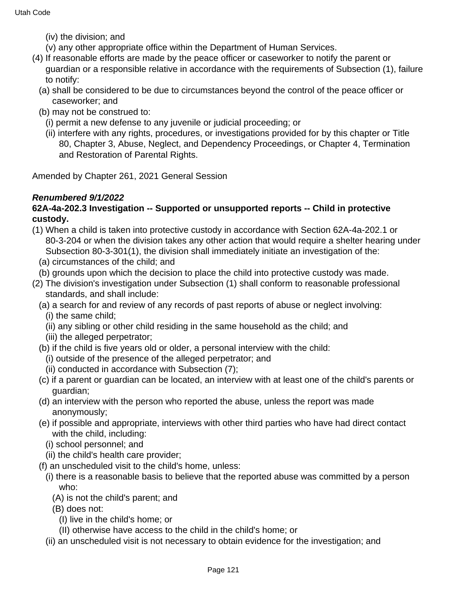- (iv) the division; and
- (v) any other appropriate office within the Department of Human Services.
- (4) If reasonable efforts are made by the peace officer or caseworker to notify the parent or guardian or a responsible relative in accordance with the requirements of Subsection (1), failure to notify:
	- (a) shall be considered to be due to circumstances beyond the control of the peace officer or caseworker; and
	- (b) may not be construed to:
		- (i) permit a new defense to any juvenile or judicial proceeding; or
		- (ii) interfere with any rights, procedures, or investigations provided for by this chapter or Title 80, Chapter 3, Abuse, Neglect, and Dependency Proceedings, or Chapter 4, Termination and Restoration of Parental Rights.

Amended by Chapter 261, 2021 General Session

# **Renumbered 9/1/2022**

## **62A-4a-202.3 Investigation -- Supported or unsupported reports -- Child in protective custody.**

- (1) When a child is taken into protective custody in accordance with Section 62A-4a-202.1 or 80-3-204 or when the division takes any other action that would require a shelter hearing under Subsection 80-3-301(1), the division shall immediately initiate an investigation of the:
	- (a) circumstances of the child; and
	- (b) grounds upon which the decision to place the child into protective custody was made.
- (2) The division's investigation under Subsection (1) shall conform to reasonable professional standards, and shall include:
	- (a) a search for and review of any records of past reports of abuse or neglect involving:
		- (i) the same child;
		- (ii) any sibling or other child residing in the same household as the child; and
		- (iii) the alleged perpetrator;
	- (b) if the child is five years old or older, a personal interview with the child:
		- (i) outside of the presence of the alleged perpetrator; and
		- (ii) conducted in accordance with Subsection (7);
	- (c) if a parent or guardian can be located, an interview with at least one of the child's parents or guardian;
	- (d) an interview with the person who reported the abuse, unless the report was made anonymously;
	- (e) if possible and appropriate, interviews with other third parties who have had direct contact with the child, including:
		- (i) school personnel; and
		- (ii) the child's health care provider;
	- (f) an unscheduled visit to the child's home, unless:
		- (i) there is a reasonable basis to believe that the reported abuse was committed by a person who:
			- (A) is not the child's parent; and
			- (B) does not:
				- (I) live in the child's home; or
			- (II) otherwise have access to the child in the child's home; or
		- (ii) an unscheduled visit is not necessary to obtain evidence for the investigation; and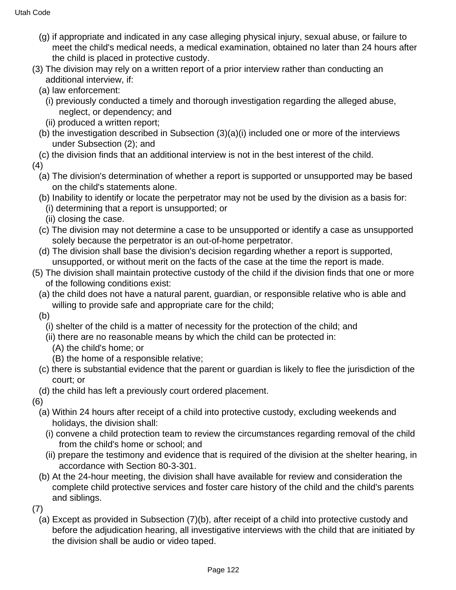- (g) if appropriate and indicated in any case alleging physical injury, sexual abuse, or failure to meet the child's medical needs, a medical examination, obtained no later than 24 hours after the child is placed in protective custody.
- (3) The division may rely on a written report of a prior interview rather than conducting an additional interview, if:
	- (a) law enforcement:
		- (i) previously conducted a timely and thorough investigation regarding the alleged abuse, neglect, or dependency; and
		- (ii) produced a written report;
	- (b) the investigation described in Subsection (3)(a)(i) included one or more of the interviews under Subsection (2); and
	- (c) the division finds that an additional interview is not in the best interest of the child.
- (4)
	- (a) The division's determination of whether a report is supported or unsupported may be based on the child's statements alone.
	- (b) Inability to identify or locate the perpetrator may not be used by the division as a basis for: (i) determining that a report is unsupported; or
		- (ii) closing the case.
	- (c) The division may not determine a case to be unsupported or identify a case as unsupported solely because the perpetrator is an out-of-home perpetrator.
	- (d) The division shall base the division's decision regarding whether a report is supported, unsupported, or without merit on the facts of the case at the time the report is made.
- (5) The division shall maintain protective custody of the child if the division finds that one or more of the following conditions exist:
	- (a) the child does not have a natural parent, guardian, or responsible relative who is able and willing to provide safe and appropriate care for the child;
	- (b)
		- (i) shelter of the child is a matter of necessity for the protection of the child; and
		- (ii) there are no reasonable means by which the child can be protected in:
			- (A) the child's home; or
			- (B) the home of a responsible relative;
	- (c) there is substantial evidence that the parent or guardian is likely to flee the jurisdiction of the court; or
	- (d) the child has left a previously court ordered placement.
- (6)
	- (a) Within 24 hours after receipt of a child into protective custody, excluding weekends and holidays, the division shall:
		- (i) convene a child protection team to review the circumstances regarding removal of the child from the child's home or school; and
		- (ii) prepare the testimony and evidence that is required of the division at the shelter hearing, in accordance with Section 80-3-301.
	- (b) At the 24-hour meeting, the division shall have available for review and consideration the complete child protective services and foster care history of the child and the child's parents and siblings.
- (7)
	- (a) Except as provided in Subsection (7)(b), after receipt of a child into protective custody and before the adjudication hearing, all investigative interviews with the child that are initiated by the division shall be audio or video taped.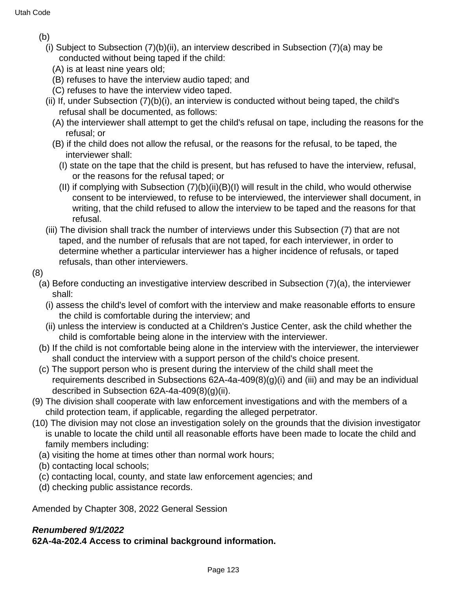- (b)
	- (i) Subject to Subsection (7)(b)(ii), an interview described in Subsection (7)(a) may be conducted without being taped if the child:
		- (A) is at least nine years old;
		- (B) refuses to have the interview audio taped; and
		- (C) refuses to have the interview video taped.
	- (ii) If, under Subsection (7)(b)(i), an interview is conducted without being taped, the child's refusal shall be documented, as follows:
		- (A) the interviewer shall attempt to get the child's refusal on tape, including the reasons for the refusal; or
		- (B) if the child does not allow the refusal, or the reasons for the refusal, to be taped, the interviewer shall:
			- (I) state on the tape that the child is present, but has refused to have the interview, refusal, or the reasons for the refusal taped; or
			- (II) if complying with Subsection  $(7)(b)(ii)(B)(I)$  will result in the child, who would otherwise consent to be interviewed, to refuse to be interviewed, the interviewer shall document, in writing, that the child refused to allow the interview to be taped and the reasons for that refusal.
	- (iii) The division shall track the number of interviews under this Subsection (7) that are not taped, and the number of refusals that are not taped, for each interviewer, in order to determine whether a particular interviewer has a higher incidence of refusals, or taped refusals, than other interviewers.
- (8)
	- (a) Before conducting an investigative interview described in Subsection (7)(a), the interviewer shall:
		- (i) assess the child's level of comfort with the interview and make reasonable efforts to ensure the child is comfortable during the interview; and
		- (ii) unless the interview is conducted at a Children's Justice Center, ask the child whether the child is comfortable being alone in the interview with the interviewer.
	- (b) If the child is not comfortable being alone in the interview with the interviewer, the interviewer shall conduct the interview with a support person of the child's choice present.
	- (c) The support person who is present during the interview of the child shall meet the requirements described in Subsections 62A-4a-409(8)(g)(i) and (iii) and may be an individual described in Subsection 62A-4a-409(8)(g)(ii).
- (9) The division shall cooperate with law enforcement investigations and with the members of a child protection team, if applicable, regarding the alleged perpetrator.
- (10) The division may not close an investigation solely on the grounds that the division investigator is unable to locate the child until all reasonable efforts have been made to locate the child and family members including:
	- (a) visiting the home at times other than normal work hours;
	- (b) contacting local schools;
	- (c) contacting local, county, and state law enforcement agencies; and
	- (d) checking public assistance records.

Amended by Chapter 308, 2022 General Session

# **Renumbered 9/1/2022 62A-4a-202.4 Access to criminal background information.**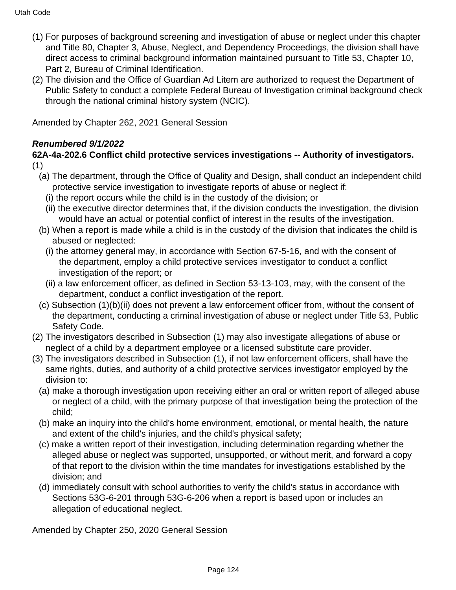- (1) For purposes of background screening and investigation of abuse or neglect under this chapter and Title 80, Chapter 3, Abuse, Neglect, and Dependency Proceedings, the division shall have direct access to criminal background information maintained pursuant to Title 53, Chapter 10, Part 2, Bureau of Criminal Identification.
- (2) The division and the Office of Guardian Ad Litem are authorized to request the Department of Public Safety to conduct a complete Federal Bureau of Investigation criminal background check through the national criminal history system (NCIC).

Amended by Chapter 262, 2021 General Session

# **Renumbered 9/1/2022**

**62A-4a-202.6 Conflict child protective services investigations -- Authority of investigators.** (1)

- (a) The department, through the Office of Quality and Design, shall conduct an independent child protective service investigation to investigate reports of abuse or neglect if:
	- (i) the report occurs while the child is in the custody of the division; or
	- (ii) the executive director determines that, if the division conducts the investigation, the division would have an actual or potential conflict of interest in the results of the investigation.
- (b) When a report is made while a child is in the custody of the division that indicates the child is abused or neglected:
	- (i) the attorney general may, in accordance with Section 67-5-16, and with the consent of the department, employ a child protective services investigator to conduct a conflict investigation of the report; or
	- (ii) a law enforcement officer, as defined in Section 53-13-103, may, with the consent of the department, conduct a conflict investigation of the report.
- (c) Subsection (1)(b)(ii) does not prevent a law enforcement officer from, without the consent of the department, conducting a criminal investigation of abuse or neglect under Title 53, Public Safety Code.
- (2) The investigators described in Subsection (1) may also investigate allegations of abuse or neglect of a child by a department employee or a licensed substitute care provider.
- (3) The investigators described in Subsection (1), if not law enforcement officers, shall have the same rights, duties, and authority of a child protective services investigator employed by the division to:
	- (a) make a thorough investigation upon receiving either an oral or written report of alleged abuse or neglect of a child, with the primary purpose of that investigation being the protection of the child;
	- (b) make an inquiry into the child's home environment, emotional, or mental health, the nature and extent of the child's injuries, and the child's physical safety;
	- (c) make a written report of their investigation, including determination regarding whether the alleged abuse or neglect was supported, unsupported, or without merit, and forward a copy of that report to the division within the time mandates for investigations established by the division; and
	- (d) immediately consult with school authorities to verify the child's status in accordance with Sections 53G-6-201 through 53G-6-206 when a report is based upon or includes an allegation of educational neglect.

Amended by Chapter 250, 2020 General Session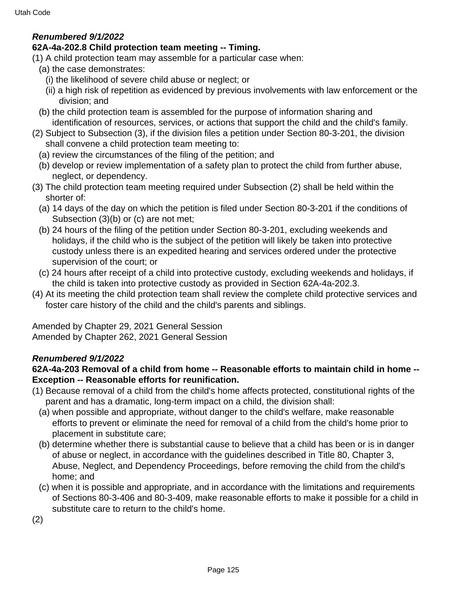# **Renumbered 9/1/2022**

## **62A-4a-202.8 Child protection team meeting -- Timing.**

- (1) A child protection team may assemble for a particular case when:
	- (a) the case demonstrates:
		- (i) the likelihood of severe child abuse or neglect; or
		- (ii) a high risk of repetition as evidenced by previous involvements with law enforcement or the division; and
	- (b) the child protection team is assembled for the purpose of information sharing and identification of resources, services, or actions that support the child and the child's family.
- (2) Subject to Subsection (3), if the division files a petition under Section 80-3-201, the division shall convene a child protection team meeting to:
	- (a) review the circumstances of the filing of the petition; and
	- (b) develop or review implementation of a safety plan to protect the child from further abuse, neglect, or dependency.
- (3) The child protection team meeting required under Subsection (2) shall be held within the shorter of:
	- (a) 14 days of the day on which the petition is filed under Section 80-3-201 if the conditions of Subsection (3)(b) or (c) are not met;
	- (b) 24 hours of the filing of the petition under Section 80-3-201, excluding weekends and holidays, if the child who is the subject of the petition will likely be taken into protective custody unless there is an expedited hearing and services ordered under the protective supervision of the court; or
	- (c) 24 hours after receipt of a child into protective custody, excluding weekends and holidays, if the child is taken into protective custody as provided in Section 62A-4a-202.3.
- (4) At its meeting the child protection team shall review the complete child protective services and foster care history of the child and the child's parents and siblings.

Amended by Chapter 29, 2021 General Session Amended by Chapter 262, 2021 General Session

# **Renumbered 9/1/2022**

# **62A-4a-203 Removal of a child from home -- Reasonable efforts to maintain child in home -- Exception -- Reasonable efforts for reunification.**

- (1) Because removal of a child from the child's home affects protected, constitutional rights of the parent and has a dramatic, long-term impact on a child, the division shall:
	- (a) when possible and appropriate, without danger to the child's welfare, make reasonable efforts to prevent or eliminate the need for removal of a child from the child's home prior to placement in substitute care;
	- (b) determine whether there is substantial cause to believe that a child has been or is in danger of abuse or neglect, in accordance with the guidelines described in Title 80, Chapter 3, Abuse, Neglect, and Dependency Proceedings, before removing the child from the child's home; and
	- (c) when it is possible and appropriate, and in accordance with the limitations and requirements of Sections 80-3-406 and 80-3-409, make reasonable efforts to make it possible for a child in substitute care to return to the child's home.

(2)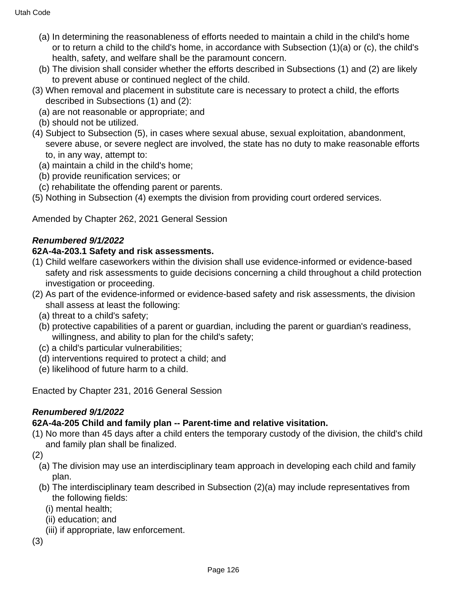- (a) In determining the reasonableness of efforts needed to maintain a child in the child's home or to return a child to the child's home, in accordance with Subsection (1)(a) or (c), the child's health, safety, and welfare shall be the paramount concern.
- (b) The division shall consider whether the efforts described in Subsections (1) and (2) are likely to prevent abuse or continued neglect of the child.
- (3) When removal and placement in substitute care is necessary to protect a child, the efforts described in Subsections (1) and (2):
	- (a) are not reasonable or appropriate; and
	- (b) should not be utilized.
- (4) Subject to Subsection (5), in cases where sexual abuse, sexual exploitation, abandonment, severe abuse, or severe neglect are involved, the state has no duty to make reasonable efforts to, in any way, attempt to:
	- (a) maintain a child in the child's home;
	- (b) provide reunification services; or
	- (c) rehabilitate the offending parent or parents.
- (5) Nothing in Subsection (4) exempts the division from providing court ordered services.

Amended by Chapter 262, 2021 General Session

# **Renumbered 9/1/2022**

# **62A-4a-203.1 Safety and risk assessments.**

- (1) Child welfare caseworkers within the division shall use evidence-informed or evidence-based safety and risk assessments to guide decisions concerning a child throughout a child protection investigation or proceeding.
- (2) As part of the evidence-informed or evidence-based safety and risk assessments, the division shall assess at least the following:
	- (a) threat to a child's safety;
	- (b) protective capabilities of a parent or guardian, including the parent or guardian's readiness, willingness, and ability to plan for the child's safety;
	- (c) a child's particular vulnerabilities;
	- (d) interventions required to protect a child; and
	- (e) likelihood of future harm to a child.

Enacted by Chapter 231, 2016 General Session

# **Renumbered 9/1/2022**

# **62A-4a-205 Child and family plan -- Parent-time and relative visitation.**

- (1) No more than 45 days after a child enters the temporary custody of the division, the child's child and family plan shall be finalized.
- (2)
	- (a) The division may use an interdisciplinary team approach in developing each child and family plan.
	- (b) The interdisciplinary team described in Subsection (2)(a) may include representatives from the following fields:
		- (i) mental health;
		- (ii) education; and
		- (iii) if appropriate, law enforcement.

(3)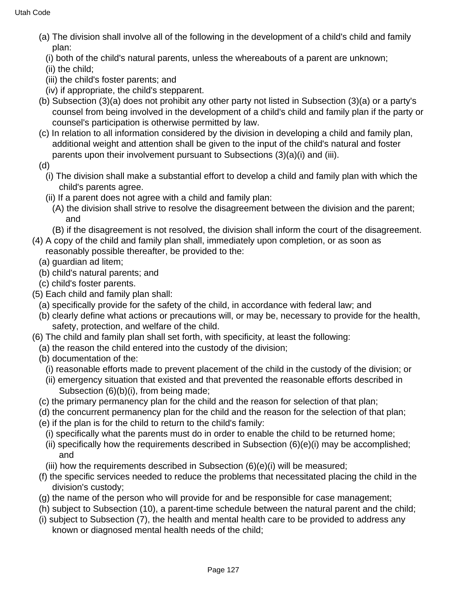- (a) The division shall involve all of the following in the development of a child's child and family plan:
	- (i) both of the child's natural parents, unless the whereabouts of a parent are unknown;
	- (ii) the child;
	- (iii) the child's foster parents; and
	- (iv) if appropriate, the child's stepparent.
- (b) Subsection (3)(a) does not prohibit any other party not listed in Subsection (3)(a) or a party's counsel from being involved in the development of a child's child and family plan if the party or counsel's participation is otherwise permitted by law.
- (c) In relation to all information considered by the division in developing a child and family plan, additional weight and attention shall be given to the input of the child's natural and foster parents upon their involvement pursuant to Subsections (3)(a)(i) and (iii).
- (d)
	- (i) The division shall make a substantial effort to develop a child and family plan with which the child's parents agree.
	- (ii) If a parent does not agree with a child and family plan:
		- (A) the division shall strive to resolve the disagreement between the division and the parent; and
		- (B) if the disagreement is not resolved, the division shall inform the court of the disagreement.
- (4) A copy of the child and family plan shall, immediately upon completion, or as soon as
	- reasonably possible thereafter, be provided to the:
	- (a) guardian ad litem;
	- (b) child's natural parents; and
	- (c) child's foster parents.
- (5) Each child and family plan shall:
	- (a) specifically provide for the safety of the child, in accordance with federal law; and
	- (b) clearly define what actions or precautions will, or may be, necessary to provide for the health, safety, protection, and welfare of the child.
- (6) The child and family plan shall set forth, with specificity, at least the following:
	- (a) the reason the child entered into the custody of the division;
	- (b) documentation of the:
		- (i) reasonable efforts made to prevent placement of the child in the custody of the division; or
	- (ii) emergency situation that existed and that prevented the reasonable efforts described in Subsection (6)(b)(i), from being made;
	- (c) the primary permanency plan for the child and the reason for selection of that plan;
	- (d) the concurrent permanency plan for the child and the reason for the selection of that plan;
	- (e) if the plan is for the child to return to the child's family:
		- (i) specifically what the parents must do in order to enable the child to be returned home;
		- (ii) specifically how the requirements described in Subsection  $(6)(e)(i)$  may be accomplished; and
		- (iii) how the requirements described in Subsection  $(6)(e)(i)$  will be measured;
	- (f) the specific services needed to reduce the problems that necessitated placing the child in the division's custody;
	- (g) the name of the person who will provide for and be responsible for case management;
	- (h) subject to Subsection (10), a parent-time schedule between the natural parent and the child;
	- (i) subject to Subsection (7), the health and mental health care to be provided to address any known or diagnosed mental health needs of the child;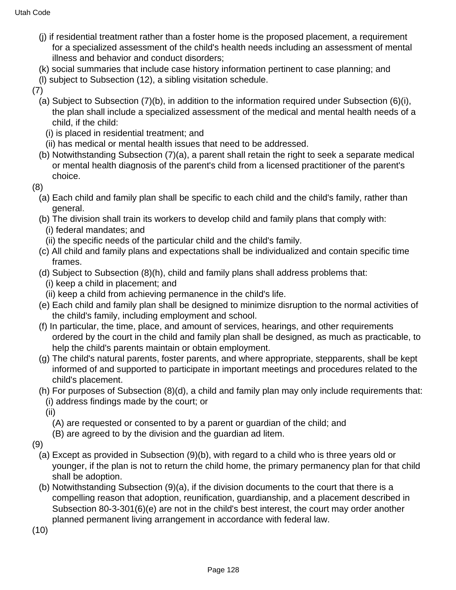- (j) if residential treatment rather than a foster home is the proposed placement, a requirement for a specialized assessment of the child's health needs including an assessment of mental illness and behavior and conduct disorders;
- (k) social summaries that include case history information pertinent to case planning; and
- (l) subject to Subsection (12), a sibling visitation schedule.
- (7)
	- (a) Subject to Subsection (7)(b), in addition to the information required under Subsection (6)(i), the plan shall include a specialized assessment of the medical and mental health needs of a child, if the child:
		- (i) is placed in residential treatment; and
	- (ii) has medical or mental health issues that need to be addressed.
	- (b) Notwithstanding Subsection (7)(a), a parent shall retain the right to seek a separate medical or mental health diagnosis of the parent's child from a licensed practitioner of the parent's choice.
- (8)
	- (a) Each child and family plan shall be specific to each child and the child's family, rather than general.
	- (b) The division shall train its workers to develop child and family plans that comply with: (i) federal mandates; and
		- (ii) the specific needs of the particular child and the child's family.
	- (c) All child and family plans and expectations shall be individualized and contain specific time frames.
	- (d) Subject to Subsection (8)(h), child and family plans shall address problems that:
		- (i) keep a child in placement; and
	- (ii) keep a child from achieving permanence in the child's life.
	- (e) Each child and family plan shall be designed to minimize disruption to the normal activities of the child's family, including employment and school.
	- (f) In particular, the time, place, and amount of services, hearings, and other requirements ordered by the court in the child and family plan shall be designed, as much as practicable, to help the child's parents maintain or obtain employment.
	- (g) The child's natural parents, foster parents, and where appropriate, stepparents, shall be kept informed of and supported to participate in important meetings and procedures related to the child's placement.
	- (h) For purposes of Subsection (8)(d), a child and family plan may only include requirements that:
		- (i) address findings made by the court; or
		- (ii)
			- (A) are requested or consented to by a parent or guardian of the child; and
			- (B) are agreed to by the division and the guardian ad litem.
- (9)
	- (a) Except as provided in Subsection (9)(b), with regard to a child who is three years old or younger, if the plan is not to return the child home, the primary permanency plan for that child shall be adoption.
	- (b) Notwithstanding Subsection (9)(a), if the division documents to the court that there is a compelling reason that adoption, reunification, guardianship, and a placement described in Subsection 80-3-301(6)(e) are not in the child's best interest, the court may order another planned permanent living arrangement in accordance with federal law.

(10)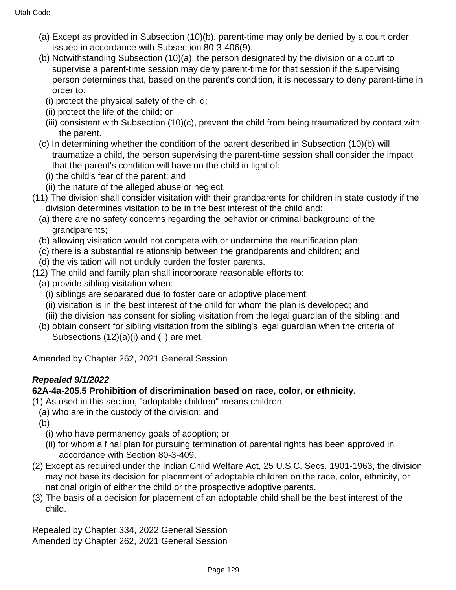- (a) Except as provided in Subsection (10)(b), parent-time may only be denied by a court order issued in accordance with Subsection 80-3-406(9).
- (b) Notwithstanding Subsection (10)(a), the person designated by the division or a court to supervise a parent-time session may deny parent-time for that session if the supervising person determines that, based on the parent's condition, it is necessary to deny parent-time in order to:
	- (i) protect the physical safety of the child;
	- (ii) protect the life of the child; or
	- (iii) consistent with Subsection (10)(c), prevent the child from being traumatized by contact with the parent.
- (c) In determining whether the condition of the parent described in Subsection (10)(b) will traumatize a child, the person supervising the parent-time session shall consider the impact that the parent's condition will have on the child in light of:
	- (i) the child's fear of the parent; and
	- (ii) the nature of the alleged abuse or neglect.
- (11) The division shall consider visitation with their grandparents for children in state custody if the division determines visitation to be in the best interest of the child and:
	- (a) there are no safety concerns regarding the behavior or criminal background of the grandparents;
	- (b) allowing visitation would not compete with or undermine the reunification plan;
	- (c) there is a substantial relationship between the grandparents and children; and
	- (d) the visitation will not unduly burden the foster parents.
- (12) The child and family plan shall incorporate reasonable efforts to:
	- (a) provide sibling visitation when:
		- (i) siblings are separated due to foster care or adoptive placement;
		- (ii) visitation is in the best interest of the child for whom the plan is developed; and
		- (iii) the division has consent for sibling visitation from the legal guardian of the sibling; and
	- (b) obtain consent for sibling visitation from the sibling's legal guardian when the criteria of Subsections (12)(a)(i) and (ii) are met.

Amended by Chapter 262, 2021 General Session

# **Repealed 9/1/2022**

# **62A-4a-205.5 Prohibition of discrimination based on race, color, or ethnicity.**

- (1) As used in this section, "adoptable children" means children:
	- (a) who are in the custody of the division; and
	- (b)
		- (i) who have permanency goals of adoption; or
		- (ii) for whom a final plan for pursuing termination of parental rights has been approved in accordance with Section 80-3-409.
- (2) Except as required under the Indian Child Welfare Act, 25 U.S.C. Secs. 1901-1963, the division may not base its decision for placement of adoptable children on the race, color, ethnicity, or national origin of either the child or the prospective adoptive parents.
- (3) The basis of a decision for placement of an adoptable child shall be the best interest of the child.

Repealed by Chapter 334, 2022 General Session Amended by Chapter 262, 2021 General Session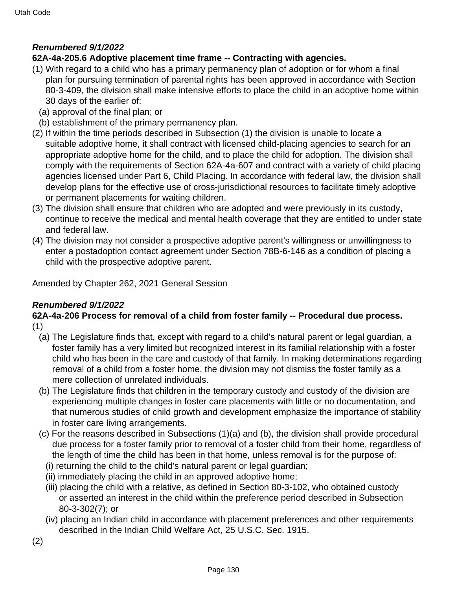# **Renumbered 9/1/2022**

# **62A-4a-205.6 Adoptive placement time frame -- Contracting with agencies.**

- (1) With regard to a child who has a primary permanency plan of adoption or for whom a final plan for pursuing termination of parental rights has been approved in accordance with Section 80-3-409, the division shall make intensive efforts to place the child in an adoptive home within 30 days of the earlier of:
	- (a) approval of the final plan; or
- (b) establishment of the primary permanency plan.
- (2) If within the time periods described in Subsection (1) the division is unable to locate a suitable adoptive home, it shall contract with licensed child-placing agencies to search for an appropriate adoptive home for the child, and to place the child for adoption. The division shall comply with the requirements of Section 62A-4a-607 and contract with a variety of child placing agencies licensed under Part 6, Child Placing. In accordance with federal law, the division shall develop plans for the effective use of cross-jurisdictional resources to facilitate timely adoptive or permanent placements for waiting children.
- (3) The division shall ensure that children who are adopted and were previously in its custody, continue to receive the medical and mental health coverage that they are entitled to under state and federal law.
- (4) The division may not consider a prospective adoptive parent's willingness or unwillingness to enter a postadoption contact agreement under Section 78B-6-146 as a condition of placing a child with the prospective adoptive parent.

Amended by Chapter 262, 2021 General Session

# **Renumbered 9/1/2022**

# **62A-4a-206 Process for removal of a child from foster family -- Procedural due process.** (1)

- (a) The Legislature finds that, except with regard to a child's natural parent or legal guardian, a foster family has a very limited but recognized interest in its familial relationship with a foster child who has been in the care and custody of that family. In making determinations regarding removal of a child from a foster home, the division may not dismiss the foster family as a mere collection of unrelated individuals.
- (b) The Legislature finds that children in the temporary custody and custody of the division are experiencing multiple changes in foster care placements with little or no documentation, and that numerous studies of child growth and development emphasize the importance of stability in foster care living arrangements.
- (c) For the reasons described in Subsections (1)(a) and (b), the division shall provide procedural due process for a foster family prior to removal of a foster child from their home, regardless of the length of time the child has been in that home, unless removal is for the purpose of:
	- (i) returning the child to the child's natural parent or legal guardian;
	- (ii) immediately placing the child in an approved adoptive home;
	- (iii) placing the child with a relative, as defined in Section 80-3-102, who obtained custody or asserted an interest in the child within the preference period described in Subsection 80-3-302(7); or
	- (iv) placing an Indian child in accordance with placement preferences and other requirements described in the Indian Child Welfare Act, 25 U.S.C. Sec. 1915.
- (2)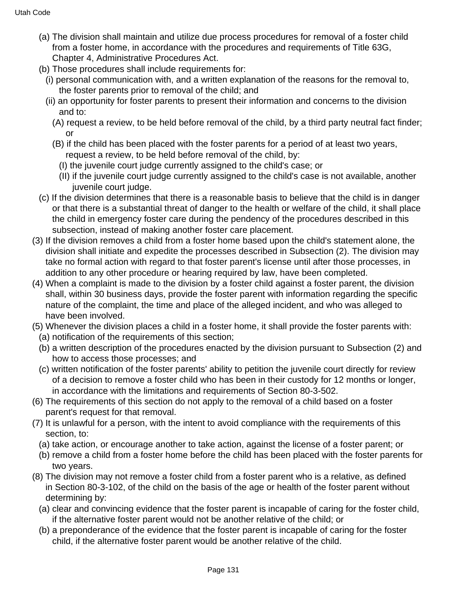- (a) The division shall maintain and utilize due process procedures for removal of a foster child from a foster home, in accordance with the procedures and requirements of Title 63G, Chapter 4, Administrative Procedures Act.
- (b) Those procedures shall include requirements for:
	- (i) personal communication with, and a written explanation of the reasons for the removal to, the foster parents prior to removal of the child; and
	- (ii) an opportunity for foster parents to present their information and concerns to the division and to:
		- (A) request a review, to be held before removal of the child, by a third party neutral fact finder; or
		- (B) if the child has been placed with the foster parents for a period of at least two years, request a review, to be held before removal of the child, by:
			- (I) the juvenile court judge currently assigned to the child's case; or
			- (II) if the juvenile court judge currently assigned to the child's case is not available, another juvenile court judge.
- (c) If the division determines that there is a reasonable basis to believe that the child is in danger or that there is a substantial threat of danger to the health or welfare of the child, it shall place the child in emergency foster care during the pendency of the procedures described in this subsection, instead of making another foster care placement.
- (3) If the division removes a child from a foster home based upon the child's statement alone, the division shall initiate and expedite the processes described in Subsection (2). The division may take no formal action with regard to that foster parent's license until after those processes, in addition to any other procedure or hearing required by law, have been completed.
- (4) When a complaint is made to the division by a foster child against a foster parent, the division shall, within 30 business days, provide the foster parent with information regarding the specific nature of the complaint, the time and place of the alleged incident, and who was alleged to have been involved.
- (5) Whenever the division places a child in a foster home, it shall provide the foster parents with:
	- (a) notification of the requirements of this section;
	- (b) a written description of the procedures enacted by the division pursuant to Subsection (2) and how to access those processes; and
	- (c) written notification of the foster parents' ability to petition the juvenile court directly for review of a decision to remove a foster child who has been in their custody for 12 months or longer, in accordance with the limitations and requirements of Section 80-3-502.
- (6) The requirements of this section do not apply to the removal of a child based on a foster parent's request for that removal.
- (7) It is unlawful for a person, with the intent to avoid compliance with the requirements of this section, to:
	- (a) take action, or encourage another to take action, against the license of a foster parent; or
	- (b) remove a child from a foster home before the child has been placed with the foster parents for two years.
- (8) The division may not remove a foster child from a foster parent who is a relative, as defined in Section 80-3-102, of the child on the basis of the age or health of the foster parent without determining by:
	- (a) clear and convincing evidence that the foster parent is incapable of caring for the foster child, if the alternative foster parent would not be another relative of the child; or
	- (b) a preponderance of the evidence that the foster parent is incapable of caring for the foster child, if the alternative foster parent would be another relative of the child.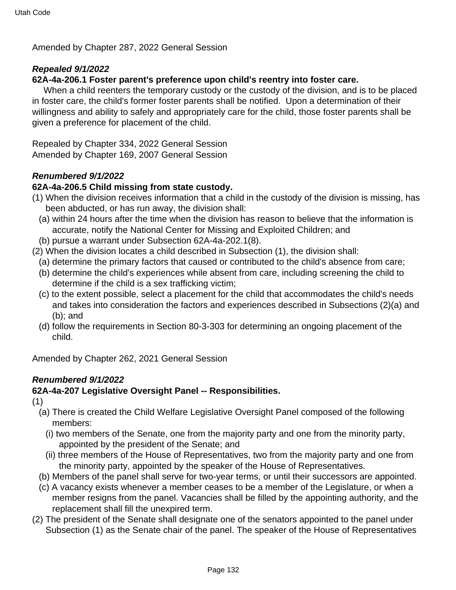Amended by Chapter 287, 2022 General Session

### **Repealed 9/1/2022**

#### **62A-4a-206.1 Foster parent's preference upon child's reentry into foster care.**

 When a child reenters the temporary custody or the custody of the division, and is to be placed in foster care, the child's former foster parents shall be notified. Upon a determination of their willingness and ability to safely and appropriately care for the child, those foster parents shall be given a preference for placement of the child.

Repealed by Chapter 334, 2022 General Session Amended by Chapter 169, 2007 General Session

### **Renumbered 9/1/2022**

#### **62A-4a-206.5 Child missing from state custody.**

- (1) When the division receives information that a child in the custody of the division is missing, has been abducted, or has run away, the division shall:
	- (a) within 24 hours after the time when the division has reason to believe that the information is accurate, notify the National Center for Missing and Exploited Children; and
- (b) pursue a warrant under Subsection 62A-4a-202.1(8).
- (2) When the division locates a child described in Subsection (1), the division shall:
	- (a) determine the primary factors that caused or contributed to the child's absence from care;
	- (b) determine the child's experiences while absent from care, including screening the child to determine if the child is a sex trafficking victim;
	- (c) to the extent possible, select a placement for the child that accommodates the child's needs and takes into consideration the factors and experiences described in Subsections (2)(a) and (b); and
	- (d) follow the requirements in Section 80-3-303 for determining an ongoing placement of the child.

Amended by Chapter 262, 2021 General Session

### **Renumbered 9/1/2022**

### **62A-4a-207 Legislative Oversight Panel -- Responsibilities.**

(1)

- (a) There is created the Child Welfare Legislative Oversight Panel composed of the following members:
	- (i) two members of the Senate, one from the majority party and one from the minority party, appointed by the president of the Senate; and
	- (ii) three members of the House of Representatives, two from the majority party and one from the minority party, appointed by the speaker of the House of Representatives.
- (b) Members of the panel shall serve for two-year terms, or until their successors are appointed.
- (c) A vacancy exists whenever a member ceases to be a member of the Legislature, or when a member resigns from the panel. Vacancies shall be filled by the appointing authority, and the replacement shall fill the unexpired term.
- (2) The president of the Senate shall designate one of the senators appointed to the panel under Subsection (1) as the Senate chair of the panel. The speaker of the House of Representatives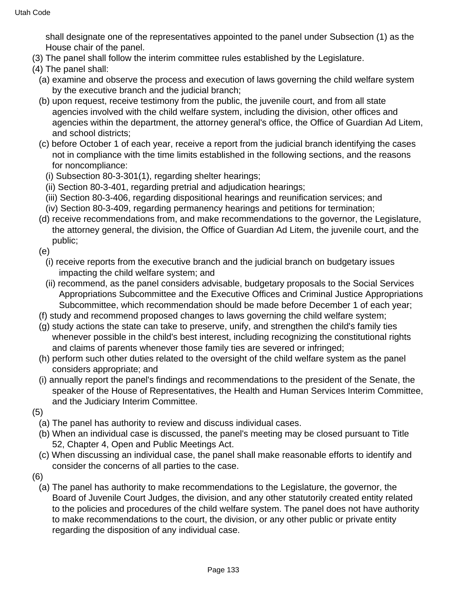shall designate one of the representatives appointed to the panel under Subsection (1) as the House chair of the panel.

- (3) The panel shall follow the interim committee rules established by the Legislature.
- (4) The panel shall:
	- (a) examine and observe the process and execution of laws governing the child welfare system by the executive branch and the judicial branch;
	- (b) upon request, receive testimony from the public, the juvenile court, and from all state agencies involved with the child welfare system, including the division, other offices and agencies within the department, the attorney general's office, the Office of Guardian Ad Litem, and school districts;
	- (c) before October 1 of each year, receive a report from the judicial branch identifying the cases not in compliance with the time limits established in the following sections, and the reasons for noncompliance:
		- (i) Subsection 80-3-301(1), regarding shelter hearings;
		- (ii) Section 80-3-401, regarding pretrial and adjudication hearings;
		- (iii) Section 80-3-406, regarding dispositional hearings and reunification services; and
		- (iv) Section 80-3-409, regarding permanency hearings and petitions for termination;
	- (d) receive recommendations from, and make recommendations to the governor, the Legislature, the attorney general, the division, the Office of Guardian Ad Litem, the juvenile court, and the public;
	- (e)
		- (i) receive reports from the executive branch and the judicial branch on budgetary issues impacting the child welfare system; and
		- (ii) recommend, as the panel considers advisable, budgetary proposals to the Social Services Appropriations Subcommittee and the Executive Offices and Criminal Justice Appropriations Subcommittee, which recommendation should be made before December 1 of each year;
	- (f) study and recommend proposed changes to laws governing the child welfare system;
	- (g) study actions the state can take to preserve, unify, and strengthen the child's family ties whenever possible in the child's best interest, including recognizing the constitutional rights and claims of parents whenever those family ties are severed or infringed;
	- (h) perform such other duties related to the oversight of the child welfare system as the panel considers appropriate; and
	- (i) annually report the panel's findings and recommendations to the president of the Senate, the speaker of the House of Representatives, the Health and Human Services Interim Committee, and the Judiciary Interim Committee.
- (5)
	- (a) The panel has authority to review and discuss individual cases.
	- (b) When an individual case is discussed, the panel's meeting may be closed pursuant to Title 52, Chapter 4, Open and Public Meetings Act.
	- (c) When discussing an individual case, the panel shall make reasonable efforts to identify and consider the concerns of all parties to the case.
- (6)
	- (a) The panel has authority to make recommendations to the Legislature, the governor, the Board of Juvenile Court Judges, the division, and any other statutorily created entity related to the policies and procedures of the child welfare system. The panel does not have authority to make recommendations to the court, the division, or any other public or private entity regarding the disposition of any individual case.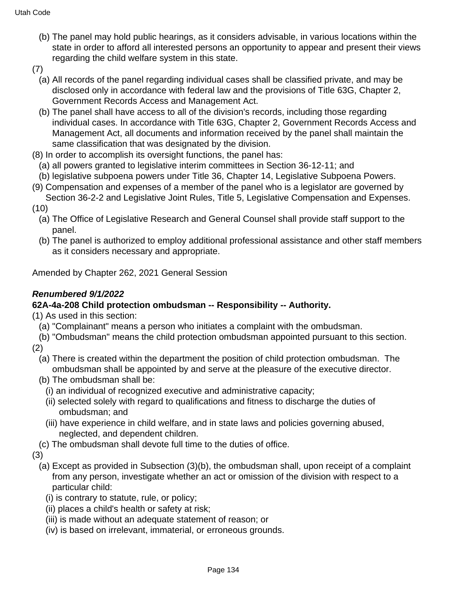- (b) The panel may hold public hearings, as it considers advisable, in various locations within the state in order to afford all interested persons an opportunity to appear and present their views regarding the child welfare system in this state.
- (7)
	- (a) All records of the panel regarding individual cases shall be classified private, and may be disclosed only in accordance with federal law and the provisions of Title 63G, Chapter 2, Government Records Access and Management Act.
	- (b) The panel shall have access to all of the division's records, including those regarding individual cases. In accordance with Title 63G, Chapter 2, Government Records Access and Management Act, all documents and information received by the panel shall maintain the same classification that was designated by the division.
- (8) In order to accomplish its oversight functions, the panel has:
	- (a) all powers granted to legislative interim committees in Section 36-12-11; and
	- (b) legislative subpoena powers under Title 36, Chapter 14, Legislative Subpoena Powers.
- (9) Compensation and expenses of a member of the panel who is a legislator are governed by Section 36-2-2 and Legislative Joint Rules, Title 5, Legislative Compensation and Expenses.
- (10)
	- (a) The Office of Legislative Research and General Counsel shall provide staff support to the panel.
	- (b) The panel is authorized to employ additional professional assistance and other staff members as it considers necessary and appropriate.

Amended by Chapter 262, 2021 General Session

# **Renumbered 9/1/2022**

# **62A-4a-208 Child protection ombudsman -- Responsibility -- Authority.**

(1) As used in this section:

- (a) "Complainant" means a person who initiates a complaint with the ombudsman.
- (b) "Ombudsman" means the child protection ombudsman appointed pursuant to this section. (2)
	- (a) There is created within the department the position of child protection ombudsman. The ombudsman shall be appointed by and serve at the pleasure of the executive director.
	- (b) The ombudsman shall be:
		- (i) an individual of recognized executive and administrative capacity;
		- (ii) selected solely with regard to qualifications and fitness to discharge the duties of ombudsman; and
		- (iii) have experience in child welfare, and in state laws and policies governing abused, neglected, and dependent children.
	- (c) The ombudsman shall devote full time to the duties of office.
- (3)
	- (a) Except as provided in Subsection (3)(b), the ombudsman shall, upon receipt of a complaint from any person, investigate whether an act or omission of the division with respect to a particular child:
		- (i) is contrary to statute, rule, or policy;
		- (ii) places a child's health or safety at risk;
		- (iii) is made without an adequate statement of reason; or
		- (iv) is based on irrelevant, immaterial, or erroneous grounds.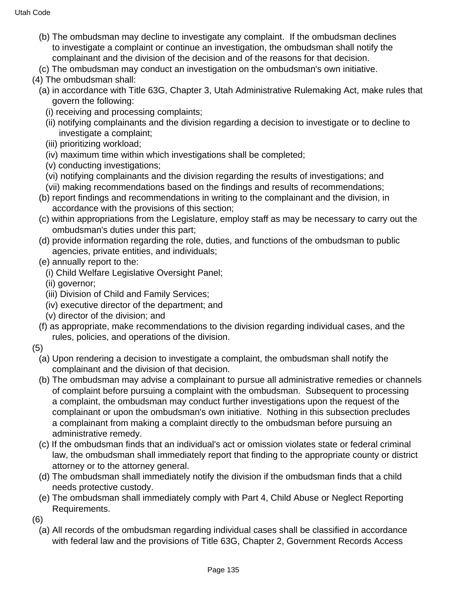- (b) The ombudsman may decline to investigate any complaint. If the ombudsman declines to investigate a complaint or continue an investigation, the ombudsman shall notify the complainant and the division of the decision and of the reasons for that decision.
- (c) The ombudsman may conduct an investigation on the ombudsman's own initiative.
- (4) The ombudsman shall:
	- (a) in accordance with Title 63G, Chapter 3, Utah Administrative Rulemaking Act, make rules that govern the following:
		- (i) receiving and processing complaints;
		- (ii) notifying complainants and the division regarding a decision to investigate or to decline to investigate a complaint;
		- (iii) prioritizing workload;
		- (iv) maximum time within which investigations shall be completed;
		- (v) conducting investigations;
		- (vi) notifying complainants and the division regarding the results of investigations; and
		- (vii) making recommendations based on the findings and results of recommendations;
	- (b) report findings and recommendations in writing to the complainant and the division, in accordance with the provisions of this section;
	- (c) within appropriations from the Legislature, employ staff as may be necessary to carry out the ombudsman's duties under this part;
	- (d) provide information regarding the role, duties, and functions of the ombudsman to public agencies, private entities, and individuals;
	- (e) annually report to the:
		- (i) Child Welfare Legislative Oversight Panel;
		- (ii) governor;
		- (iii) Division of Child and Family Services;
		- (iv) executive director of the department; and
		- (v) director of the division; and
	- (f) as appropriate, make recommendations to the division regarding individual cases, and the rules, policies, and operations of the division.
- (5)
	- (a) Upon rendering a decision to investigate a complaint, the ombudsman shall notify the complainant and the division of that decision.
	- (b) The ombudsman may advise a complainant to pursue all administrative remedies or channels of complaint before pursuing a complaint with the ombudsman. Subsequent to processing a complaint, the ombudsman may conduct further investigations upon the request of the complainant or upon the ombudsman's own initiative. Nothing in this subsection precludes a complainant from making a complaint directly to the ombudsman before pursuing an administrative remedy.
	- (c) If the ombudsman finds that an individual's act or omission violates state or federal criminal law, the ombudsman shall immediately report that finding to the appropriate county or district attorney or to the attorney general.
	- (d) The ombudsman shall immediately notify the division if the ombudsman finds that a child needs protective custody.
	- (e) The ombudsman shall immediately comply with Part 4, Child Abuse or Neglect Reporting Requirements.
- (6)
	- (a) All records of the ombudsman regarding individual cases shall be classified in accordance with federal law and the provisions of Title 63G, Chapter 2, Government Records Access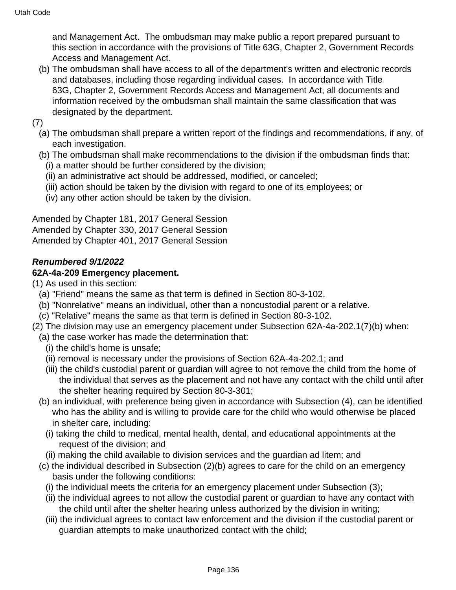and Management Act. The ombudsman may make public a report prepared pursuant to this section in accordance with the provisions of Title 63G, Chapter 2, Government Records Access and Management Act.

(b) The ombudsman shall have access to all of the department's written and electronic records and databases, including those regarding individual cases. In accordance with Title 63G, Chapter 2, Government Records Access and Management Act, all documents and information received by the ombudsman shall maintain the same classification that was designated by the department.

(7)

- (a) The ombudsman shall prepare a written report of the findings and recommendations, if any, of each investigation.
- (b) The ombudsman shall make recommendations to the division if the ombudsman finds that: (i) a matter should be further considered by the division;
	- (ii) an administrative act should be addressed, modified, or canceled;
	- (iii) action should be taken by the division with regard to one of its employees; or
	- (iv) any other action should be taken by the division.

Amended by Chapter 181, 2017 General Session Amended by Chapter 330, 2017 General Session Amended by Chapter 401, 2017 General Session

## **Renumbered 9/1/2022**

### **62A-4a-209 Emergency placement.**

(1) As used in this section:

- (a) "Friend" means the same as that term is defined in Section 80-3-102.
- (b) "Nonrelative" means an individual, other than a noncustodial parent or a relative.
- (c) "Relative" means the same as that term is defined in Section 80-3-102.
- (2) The division may use an emergency placement under Subsection 62A-4a-202.1(7)(b) when:
	- (a) the case worker has made the determination that:
		- (i) the child's home is unsafe;
		- (ii) removal is necessary under the provisions of Section 62A-4a-202.1; and
		- (iii) the child's custodial parent or guardian will agree to not remove the child from the home of the individual that serves as the placement and not have any contact with the child until after the shelter hearing required by Section 80-3-301;
	- (b) an individual, with preference being given in accordance with Subsection (4), can be identified who has the ability and is willing to provide care for the child who would otherwise be placed in shelter care, including:
		- (i) taking the child to medical, mental health, dental, and educational appointments at the request of the division; and
		- (ii) making the child available to division services and the guardian ad litem; and
	- (c) the individual described in Subsection (2)(b) agrees to care for the child on an emergency basis under the following conditions:
		- (i) the individual meets the criteria for an emergency placement under Subsection (3);
		- (ii) the individual agrees to not allow the custodial parent or guardian to have any contact with the child until after the shelter hearing unless authorized by the division in writing;
		- (iii) the individual agrees to contact law enforcement and the division if the custodial parent or guardian attempts to make unauthorized contact with the child;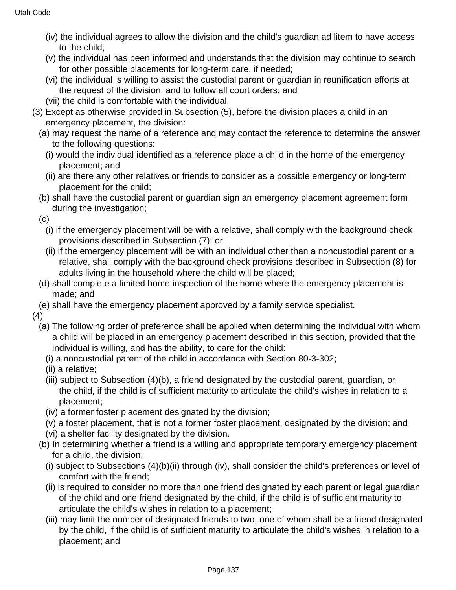- (iv) the individual agrees to allow the division and the child's guardian ad litem to have access to the child;
- (v) the individual has been informed and understands that the division may continue to search for other possible placements for long-term care, if needed;
- (vi) the individual is willing to assist the custodial parent or guardian in reunification efforts at the request of the division, and to follow all court orders; and
- (vii) the child is comfortable with the individual.
- (3) Except as otherwise provided in Subsection (5), before the division places a child in an emergency placement, the division:
	- (a) may request the name of a reference and may contact the reference to determine the answer to the following questions:
		- (i) would the individual identified as a reference place a child in the home of the emergency placement; and
		- (ii) are there any other relatives or friends to consider as a possible emergency or long-term placement for the child;
	- (b) shall have the custodial parent or guardian sign an emergency placement agreement form during the investigation;
	- (c)
		- (i) if the emergency placement will be with a relative, shall comply with the background check provisions described in Subsection (7); or
		- (ii) if the emergency placement will be with an individual other than a noncustodial parent or a relative, shall comply with the background check provisions described in Subsection (8) for adults living in the household where the child will be placed;
	- (d) shall complete a limited home inspection of the home where the emergency placement is made; and
	- (e) shall have the emergency placement approved by a family service specialist.

(4)

- (a) The following order of preference shall be applied when determining the individual with whom a child will be placed in an emergency placement described in this section, provided that the individual is willing, and has the ability, to care for the child:
	- (i) a noncustodial parent of the child in accordance with Section 80-3-302;
	- (ii) a relative;
	- (iii) subject to Subsection (4)(b), a friend designated by the custodial parent, guardian, or the child, if the child is of sufficient maturity to articulate the child's wishes in relation to a placement;
	- (iv) a former foster placement designated by the division;
	- (v) a foster placement, that is not a former foster placement, designated by the division; and
	- (vi) a shelter facility designated by the division.
- (b) In determining whether a friend is a willing and appropriate temporary emergency placement for a child, the division:
	- (i) subject to Subsections (4)(b)(ii) through (iv), shall consider the child's preferences or level of comfort with the friend;
	- (ii) is required to consider no more than one friend designated by each parent or legal guardian of the child and one friend designated by the child, if the child is of sufficient maturity to articulate the child's wishes in relation to a placement;
	- (iii) may limit the number of designated friends to two, one of whom shall be a friend designated by the child, if the child is of sufficient maturity to articulate the child's wishes in relation to a placement; and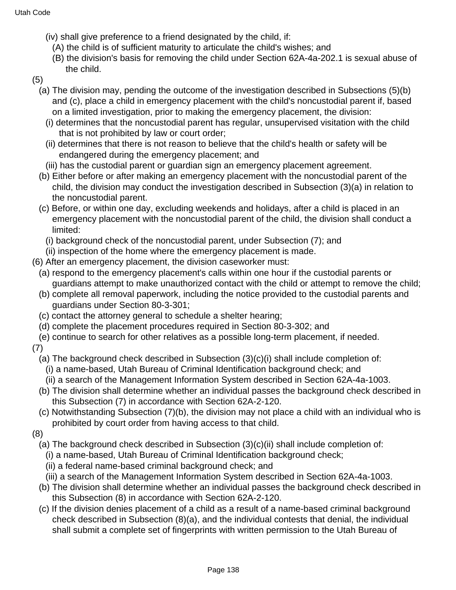- (iv) shall give preference to a friend designated by the child, if:
	- (A) the child is of sufficient maturity to articulate the child's wishes; and
	- (B) the division's basis for removing the child under Section 62A-4a-202.1 is sexual abuse of the child.
- (5)
	- (a) The division may, pending the outcome of the investigation described in Subsections (5)(b) and (c), place a child in emergency placement with the child's noncustodial parent if, based on a limited investigation, prior to making the emergency placement, the division:
		- (i) determines that the noncustodial parent has regular, unsupervised visitation with the child that is not prohibited by law or court order;
		- (ii) determines that there is not reason to believe that the child's health or safety will be endangered during the emergency placement; and
		- (iii) has the custodial parent or guardian sign an emergency placement agreement.
	- (b) Either before or after making an emergency placement with the noncustodial parent of the child, the division may conduct the investigation described in Subsection (3)(a) in relation to the noncustodial parent.
	- (c) Before, or within one day, excluding weekends and holidays, after a child is placed in an emergency placement with the noncustodial parent of the child, the division shall conduct a limited:
		- (i) background check of the noncustodial parent, under Subsection (7); and
		- (ii) inspection of the home where the emergency placement is made.
- (6) After an emergency placement, the division caseworker must:
	- (a) respond to the emergency placement's calls within one hour if the custodial parents or guardians attempt to make unauthorized contact with the child or attempt to remove the child;
	- (b) complete all removal paperwork, including the notice provided to the custodial parents and guardians under Section 80-3-301;
	- (c) contact the attorney general to schedule a shelter hearing;
	- (d) complete the placement procedures required in Section 80-3-302; and
	- (e) continue to search for other relatives as a possible long-term placement, if needed.
- (7)
	- (a) The background check described in Subsection (3)(c)(i) shall include completion of:
		- (i) a name-based, Utah Bureau of Criminal Identification background check; and
	- (ii) a search of the Management Information System described in Section 62A-4a-1003.
	- (b) The division shall determine whether an individual passes the background check described in this Subsection (7) in accordance with Section 62A-2-120.
	- (c) Notwithstanding Subsection (7)(b), the division may not place a child with an individual who is prohibited by court order from having access to that child.
- (8)
	- (a) The background check described in Subsection  $(3)(c)(ii)$  shall include completion of:
		- (i) a name-based, Utah Bureau of Criminal Identification background check;
		- (ii) a federal name-based criminal background check; and
		- (iii) a search of the Management Information System described in Section 62A-4a-1003.
	- (b) The division shall determine whether an individual passes the background check described in this Subsection (8) in accordance with Section 62A-2-120.
	- (c) If the division denies placement of a child as a result of a name-based criminal background check described in Subsection (8)(a), and the individual contests that denial, the individual shall submit a complete set of fingerprints with written permission to the Utah Bureau of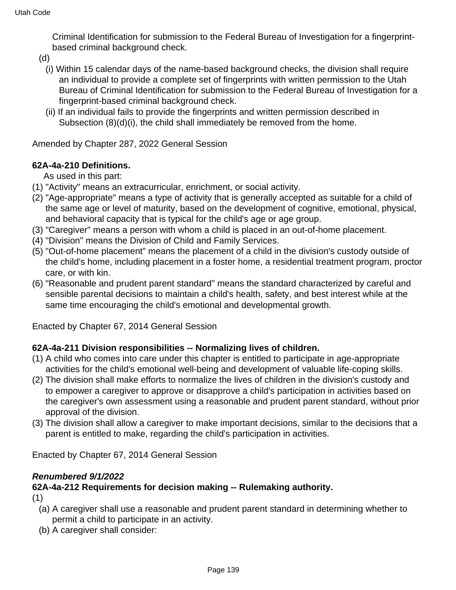Criminal Identification for submission to the Federal Bureau of Investigation for a fingerprintbased criminal background check.

(d)

- (i) Within 15 calendar days of the name-based background checks, the division shall require an individual to provide a complete set of fingerprints with written permission to the Utah Bureau of Criminal Identification for submission to the Federal Bureau of Investigation for a fingerprint-based criminal background check.
- (ii) If an individual fails to provide the fingerprints and written permission described in Subsection (8)(d)(i), the child shall immediately be removed from the home.

Amended by Chapter 287, 2022 General Session

# **62A-4a-210 Definitions.**

As used in this part:

- (1) "Activity" means an extracurricular, enrichment, or social activity.
- (2) "Age-appropriate" means a type of activity that is generally accepted as suitable for a child of the same age or level of maturity, based on the development of cognitive, emotional, physical, and behavioral capacity that is typical for the child's age or age group.
- (3) "Caregiver" means a person with whom a child is placed in an out-of-home placement.
- (4) "Division" means the Division of Child and Family Services.
- (5) "Out-of-home placement" means the placement of a child in the division's custody outside of the child's home, including placement in a foster home, a residential treatment program, proctor care, or with kin.
- (6) "Reasonable and prudent parent standard" means the standard characterized by careful and sensible parental decisions to maintain a child's health, safety, and best interest while at the same time encouraging the child's emotional and developmental growth.

Enacted by Chapter 67, 2014 General Session

# **62A-4a-211 Division responsibilities -- Normalizing lives of children.**

- (1) A child who comes into care under this chapter is entitled to participate in age-appropriate activities for the child's emotional well-being and development of valuable life-coping skills.
- (2) The division shall make efforts to normalize the lives of children in the division's custody and to empower a caregiver to approve or disapprove a child's participation in activities based on the caregiver's own assessment using a reasonable and prudent parent standard, without prior approval of the division.
- (3) The division shall allow a caregiver to make important decisions, similar to the decisions that a parent is entitled to make, regarding the child's participation in activities.

Enacted by Chapter 67, 2014 General Session

### **Renumbered 9/1/2022**

### **62A-4a-212 Requirements for decision making -- Rulemaking authority.**

(1)

- (a) A caregiver shall use a reasonable and prudent parent standard in determining whether to permit a child to participate in an activity.
- (b) A caregiver shall consider: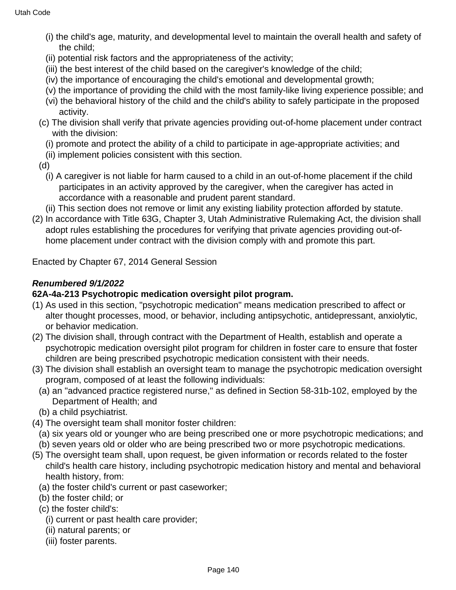- (i) the child's age, maturity, and developmental level to maintain the overall health and safety of the child;
- (ii) potential risk factors and the appropriateness of the activity;
- (iii) the best interest of the child based on the caregiver's knowledge of the child;
- (iv) the importance of encouraging the child's emotional and developmental growth;
- (v) the importance of providing the child with the most family-like living experience possible; and
- (vi) the behavioral history of the child and the child's ability to safely participate in the proposed activity.
- (c) The division shall verify that private agencies providing out-of-home placement under contract with the division:
	- (i) promote and protect the ability of a child to participate in age-appropriate activities; and
	- (ii) implement policies consistent with this section.
- (d)
	- (i) A caregiver is not liable for harm caused to a child in an out-of-home placement if the child participates in an activity approved by the caregiver, when the caregiver has acted in accordance with a reasonable and prudent parent standard.
- (ii) This section does not remove or limit any existing liability protection afforded by statute.
- (2) In accordance with Title 63G, Chapter 3, Utah Administrative Rulemaking Act, the division shall adopt rules establishing the procedures for verifying that private agencies providing out-ofhome placement under contract with the division comply with and promote this part.

Enacted by Chapter 67, 2014 General Session

# **Renumbered 9/1/2022**

# **62A-4a-213 Psychotropic medication oversight pilot program.**

- (1) As used in this section, "psychotropic medication" means medication prescribed to affect or alter thought processes, mood, or behavior, including antipsychotic, antidepressant, anxiolytic, or behavior medication.
- (2) The division shall, through contract with the Department of Health, establish and operate a psychotropic medication oversight pilot program for children in foster care to ensure that foster children are being prescribed psychotropic medication consistent with their needs.
- (3) The division shall establish an oversight team to manage the psychotropic medication oversight program, composed of at least the following individuals:
	- (a) an "advanced practice registered nurse," as defined in Section 58-31b-102, employed by the Department of Health; and
	- (b) a child psychiatrist.
- (4) The oversight team shall monitor foster children:
	- (a) six years old or younger who are being prescribed one or more psychotropic medications; and
- (b) seven years old or older who are being prescribed two or more psychotropic medications.
- (5) The oversight team shall, upon request, be given information or records related to the foster child's health care history, including psychotropic medication history and mental and behavioral health history, from:
	- (a) the foster child's current or past caseworker;
	- (b) the foster child; or
	- (c) the foster child's:
		- (i) current or past health care provider;
		- (ii) natural parents; or
		- (iii) foster parents.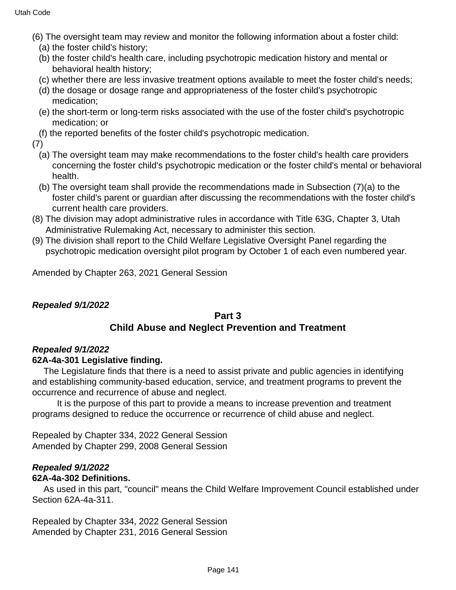- (6) The oversight team may review and monitor the following information about a foster child:
	- (a) the foster child's history;
	- (b) the foster child's health care, including psychotropic medication history and mental or behavioral health history;
	- (c) whether there are less invasive treatment options available to meet the foster child's needs;
	- (d) the dosage or dosage range and appropriateness of the foster child's psychotropic medication;
	- (e) the short-term or long-term risks associated with the use of the foster child's psychotropic medication; or
	- (f) the reported benefits of the foster child's psychotropic medication.
- (7)
	- (a) The oversight team may make recommendations to the foster child's health care providers concerning the foster child's psychotropic medication or the foster child's mental or behavioral health.
	- (b) The oversight team shall provide the recommendations made in Subsection (7)(a) to the foster child's parent or guardian after discussing the recommendations with the foster child's current health care providers.
- (8) The division may adopt administrative rules in accordance with Title 63G, Chapter 3, Utah Administrative Rulemaking Act, necessary to administer this section.
- (9) The division shall report to the Child Welfare Legislative Oversight Panel regarding the psychotropic medication oversight pilot program by October 1 of each even numbered year.

Amended by Chapter 263, 2021 General Session

# **Repealed 9/1/2022**

# **Part 3 Child Abuse and Neglect Prevention and Treatment**

# **Repealed 9/1/2022**

# **62A-4a-301 Legislative finding.**

 The Legislature finds that there is a need to assist private and public agencies in identifying and establishing community-based education, service, and treatment programs to prevent the occurrence and recurrence of abuse and neglect.

 It is the purpose of this part to provide a means to increase prevention and treatment programs designed to reduce the occurrence or recurrence of child abuse and neglect.

Repealed by Chapter 334, 2022 General Session Amended by Chapter 299, 2008 General Session

# **Repealed 9/1/2022**

# **62A-4a-302 Definitions.**

 As used in this part, "council" means the Child Welfare Improvement Council established under Section 62A-4a-311.

Repealed by Chapter 334, 2022 General Session Amended by Chapter 231, 2016 General Session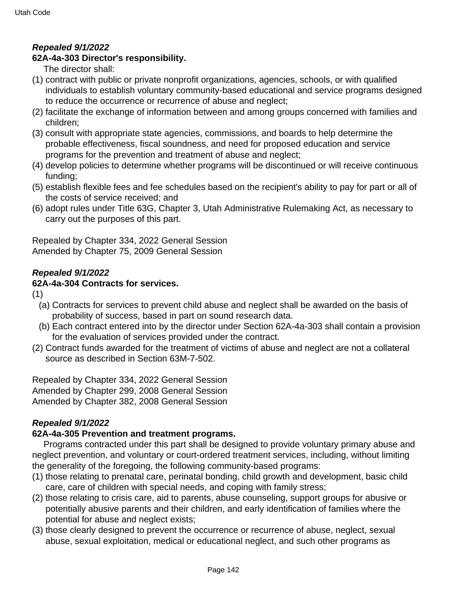# **Repealed 9/1/2022**

# **62A-4a-303 Director's responsibility.**

The director shall:

- (1) contract with public or private nonprofit organizations, agencies, schools, or with qualified individuals to establish voluntary community-based educational and service programs designed to reduce the occurrence or recurrence of abuse and neglect;
- (2) facilitate the exchange of information between and among groups concerned with families and children;
- (3) consult with appropriate state agencies, commissions, and boards to help determine the probable effectiveness, fiscal soundness, and need for proposed education and service programs for the prevention and treatment of abuse and neglect;
- (4) develop policies to determine whether programs will be discontinued or will receive continuous funding;
- (5) establish flexible fees and fee schedules based on the recipient's ability to pay for part or all of the costs of service received; and
- (6) adopt rules under Title 63G, Chapter 3, Utah Administrative Rulemaking Act, as necessary to carry out the purposes of this part.

Repealed by Chapter 334, 2022 General Session Amended by Chapter 75, 2009 General Session

# **Repealed 9/1/2022**

# **62A-4a-304 Contracts for services.**

(1)

- (a) Contracts for services to prevent child abuse and neglect shall be awarded on the basis of probability of success, based in part on sound research data.
- (b) Each contract entered into by the director under Section 62A-4a-303 shall contain a provision for the evaluation of services provided under the contract.
- (2) Contract funds awarded for the treatment of victims of abuse and neglect are not a collateral source as described in Section 63M-7-502.

Repealed by Chapter 334, 2022 General Session Amended by Chapter 299, 2008 General Session Amended by Chapter 382, 2008 General Session

# **Repealed 9/1/2022**

# **62A-4a-305 Prevention and treatment programs.**

 Programs contracted under this part shall be designed to provide voluntary primary abuse and neglect prevention, and voluntary or court-ordered treatment services, including, without limiting the generality of the foregoing, the following community-based programs:

- (1) those relating to prenatal care, perinatal bonding, child growth and development, basic child care, care of children with special needs, and coping with family stress;
- (2) those relating to crisis care, aid to parents, abuse counseling, support groups for abusive or potentially abusive parents and their children, and early identification of families where the potential for abuse and neglect exists;
- (3) those clearly designed to prevent the occurrence or recurrence of abuse, neglect, sexual abuse, sexual exploitation, medical or educational neglect, and such other programs as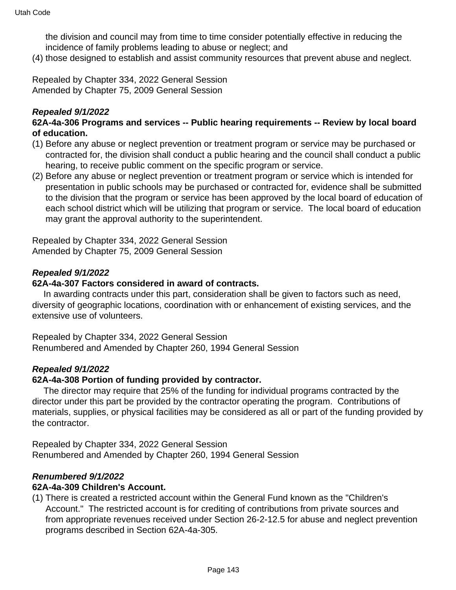the division and council may from time to time consider potentially effective in reducing the incidence of family problems leading to abuse or neglect; and

(4) those designed to establish and assist community resources that prevent abuse and neglect.

Repealed by Chapter 334, 2022 General Session Amended by Chapter 75, 2009 General Session

## **Repealed 9/1/2022**

## **62A-4a-306 Programs and services -- Public hearing requirements -- Review by local board of education.**

- (1) Before any abuse or neglect prevention or treatment program or service may be purchased or contracted for, the division shall conduct a public hearing and the council shall conduct a public hearing, to receive public comment on the specific program or service.
- (2) Before any abuse or neglect prevention or treatment program or service which is intended for presentation in public schools may be purchased or contracted for, evidence shall be submitted to the division that the program or service has been approved by the local board of education of each school district which will be utilizing that program or service. The local board of education may grant the approval authority to the superintendent.

Repealed by Chapter 334, 2022 General Session Amended by Chapter 75, 2009 General Session

## **Repealed 9/1/2022**

#### **62A-4a-307 Factors considered in award of contracts.**

 In awarding contracts under this part, consideration shall be given to factors such as need, diversity of geographic locations, coordination with or enhancement of existing services, and the extensive use of volunteers.

Repealed by Chapter 334, 2022 General Session Renumbered and Amended by Chapter 260, 1994 General Session

### **Repealed 9/1/2022**

### **62A-4a-308 Portion of funding provided by contractor.**

 The director may require that 25% of the funding for individual programs contracted by the director under this part be provided by the contractor operating the program. Contributions of materials, supplies, or physical facilities may be considered as all or part of the funding provided by the contractor.

Repealed by Chapter 334, 2022 General Session Renumbered and Amended by Chapter 260, 1994 General Session

### **Renumbered 9/1/2022**

# **62A-4a-309 Children's Account.**

(1) There is created a restricted account within the General Fund known as the "Children's Account." The restricted account is for crediting of contributions from private sources and from appropriate revenues received under Section 26-2-12.5 for abuse and neglect prevention programs described in Section 62A-4a-305.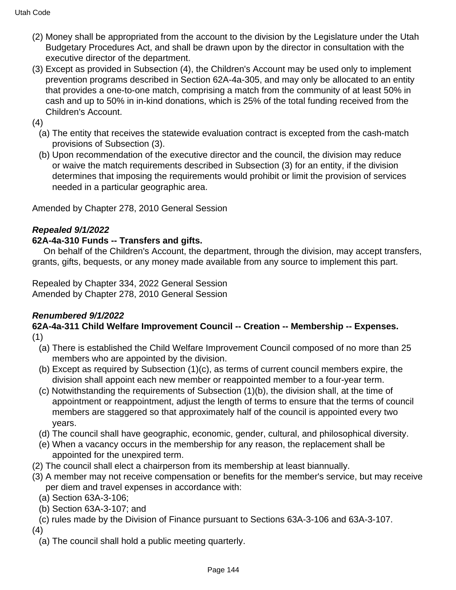- (2) Money shall be appropriated from the account to the division by the Legislature under the Utah Budgetary Procedures Act, and shall be drawn upon by the director in consultation with the executive director of the department.
- (3) Except as provided in Subsection (4), the Children's Account may be used only to implement prevention programs described in Section 62A-4a-305, and may only be allocated to an entity that provides a one-to-one match, comprising a match from the community of at least 50% in cash and up to 50% in in-kind donations, which is 25% of the total funding received from the Children's Account.

(4)

- (a) The entity that receives the statewide evaluation contract is excepted from the cash-match provisions of Subsection (3).
- (b) Upon recommendation of the executive director and the council, the division may reduce or waive the match requirements described in Subsection (3) for an entity, if the division determines that imposing the requirements would prohibit or limit the provision of services needed in a particular geographic area.

Amended by Chapter 278, 2010 General Session

## **Repealed 9/1/2022**

## **62A-4a-310 Funds -- Transfers and gifts.**

 On behalf of the Children's Account, the department, through the division, may accept transfers, grants, gifts, bequests, or any money made available from any source to implement this part.

Repealed by Chapter 334, 2022 General Session Amended by Chapter 278, 2010 General Session

# **Renumbered 9/1/2022**

# **62A-4a-311 Child Welfare Improvement Council -- Creation -- Membership -- Expenses.** (1)

- (a) There is established the Child Welfare Improvement Council composed of no more than 25 members who are appointed by the division.
- (b) Except as required by Subsection (1)(c), as terms of current council members expire, the division shall appoint each new member or reappointed member to a four-year term.
- (c) Notwithstanding the requirements of Subsection (1)(b), the division shall, at the time of appointment or reappointment, adjust the length of terms to ensure that the terms of council members are staggered so that approximately half of the council is appointed every two years.
- (d) The council shall have geographic, economic, gender, cultural, and philosophical diversity.
- (e) When a vacancy occurs in the membership for any reason, the replacement shall be appointed for the unexpired term.
- (2) The council shall elect a chairperson from its membership at least biannually.
- (3) A member may not receive compensation or benefits for the member's service, but may receive per diem and travel expenses in accordance with:
	- (a) Section 63A-3-106;
	- (b) Section 63A-3-107; and
- (c) rules made by the Division of Finance pursuant to Sections 63A-3-106 and 63A-3-107. (4)
	- (a) The council shall hold a public meeting quarterly.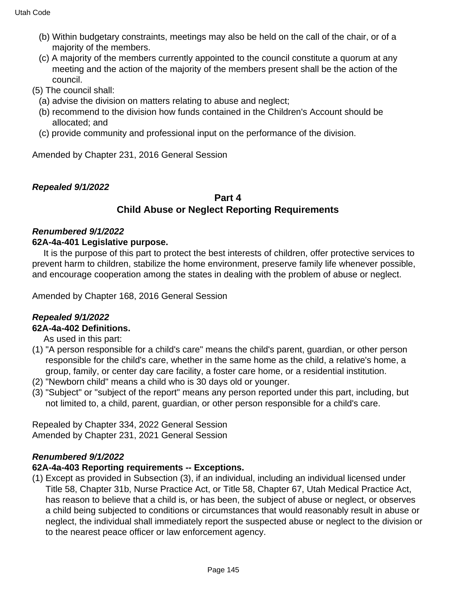- (b) Within budgetary constraints, meetings may also be held on the call of the chair, or of a majority of the members.
- (c) A majority of the members currently appointed to the council constitute a quorum at any meeting and the action of the majority of the members present shall be the action of the council.
- (5) The council shall:
	- (a) advise the division on matters relating to abuse and neglect;
	- (b) recommend to the division how funds contained in the Children's Account should be allocated; and
	- (c) provide community and professional input on the performance of the division.

Amended by Chapter 231, 2016 General Session

#### **Repealed 9/1/2022**

### **Part 4 Child Abuse or Neglect Reporting Requirements**

#### **Renumbered 9/1/2022**

### **62A-4a-401 Legislative purpose.**

 It is the purpose of this part to protect the best interests of children, offer protective services to prevent harm to children, stabilize the home environment, preserve family life whenever possible, and encourage cooperation among the states in dealing with the problem of abuse or neglect.

Amended by Chapter 168, 2016 General Session

#### **Repealed 9/1/2022 62A-4a-402 Definitions.**

As used in this part:

- (1) "A person responsible for a child's care" means the child's parent, guardian, or other person responsible for the child's care, whether in the same home as the child, a relative's home, a group, family, or center day care facility, a foster care home, or a residential institution.
- (2) "Newborn child" means a child who is 30 days old or younger.
- (3) "Subject" or "subject of the report" means any person reported under this part, including, but not limited to, a child, parent, guardian, or other person responsible for a child's care.

Repealed by Chapter 334, 2022 General Session Amended by Chapter 231, 2021 General Session

### **Renumbered 9/1/2022**

#### **62A-4a-403 Reporting requirements -- Exceptions.**

(1) Except as provided in Subsection (3), if an individual, including an individual licensed under Title 58, Chapter 31b, Nurse Practice Act, or Title 58, Chapter 67, Utah Medical Practice Act, has reason to believe that a child is, or has been, the subject of abuse or neglect, or observes a child being subjected to conditions or circumstances that would reasonably result in abuse or neglect, the individual shall immediately report the suspected abuse or neglect to the division or to the nearest peace officer or law enforcement agency.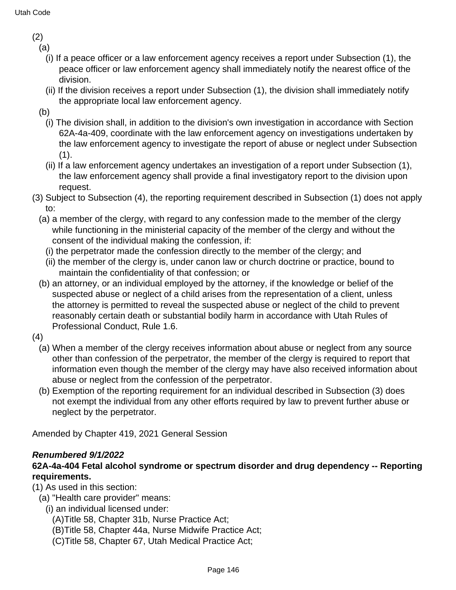(2)

(a)

- (i) If a peace officer or a law enforcement agency receives a report under Subsection (1), the peace officer or law enforcement agency shall immediately notify the nearest office of the division.
- (ii) If the division receives a report under Subsection (1), the division shall immediately notify the appropriate local law enforcement agency.
- (b)
	- (i) The division shall, in addition to the division's own investigation in accordance with Section 62A-4a-409, coordinate with the law enforcement agency on investigations undertaken by the law enforcement agency to investigate the report of abuse or neglect under Subsection  $(1).$
	- (ii) If a law enforcement agency undertakes an investigation of a report under Subsection (1), the law enforcement agency shall provide a final investigatory report to the division upon request.
- (3) Subject to Subsection (4), the reporting requirement described in Subsection (1) does not apply to:
	- (a) a member of the clergy, with regard to any confession made to the member of the clergy while functioning in the ministerial capacity of the member of the clergy and without the consent of the individual making the confession, if:
		- (i) the perpetrator made the confession directly to the member of the clergy; and
		- (ii) the member of the clergy is, under canon law or church doctrine or practice, bound to maintain the confidentiality of that confession; or
	- (b) an attorney, or an individual employed by the attorney, if the knowledge or belief of the suspected abuse or neglect of a child arises from the representation of a client, unless the attorney is permitted to reveal the suspected abuse or neglect of the child to prevent reasonably certain death or substantial bodily harm in accordance with Utah Rules of Professional Conduct, Rule 1.6.
- (4)
	- (a) When a member of the clergy receives information about abuse or neglect from any source other than confession of the perpetrator, the member of the clergy is required to report that information even though the member of the clergy may have also received information about abuse or neglect from the confession of the perpetrator.
	- (b) Exemption of the reporting requirement for an individual described in Subsection (3) does not exempt the individual from any other efforts required by law to prevent further abuse or neglect by the perpetrator.

Amended by Chapter 419, 2021 General Session

# **Renumbered 9/1/2022**

# **62A-4a-404 Fetal alcohol syndrome or spectrum disorder and drug dependency -- Reporting requirements.**

- (1) As used in this section:
	- (a) "Health care provider" means:
		- (i) an individual licensed under:
			- (A)Title 58, Chapter 31b, Nurse Practice Act;
			- (B)Title 58, Chapter 44a, Nurse Midwife Practice Act;
			- (C)Title 58, Chapter 67, Utah Medical Practice Act;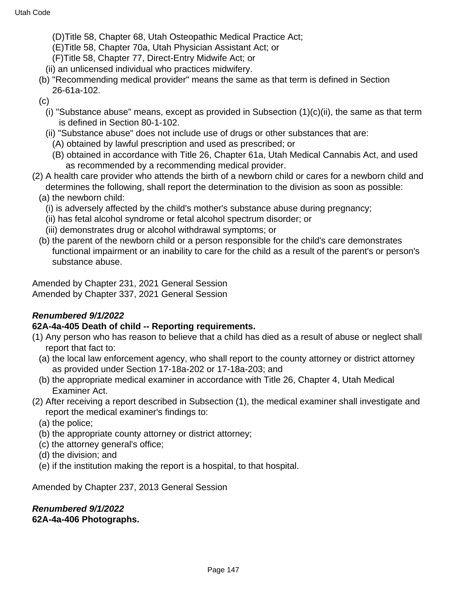- (D)Title 58, Chapter 68, Utah Osteopathic Medical Practice Act;
- (E)Title 58, Chapter 70a, Utah Physician Assistant Act; or
- (F)Title 58, Chapter 77, Direct-Entry Midwife Act; or
- (ii) an unlicensed individual who practices midwifery.
- (b) "Recommending medical provider" means the same as that term is defined in Section 26-61a-102.

 $(c)$ 

- (i) "Substance abuse" means, except as provided in Subsection  $(1)(c)(ii)$ , the same as that term is defined in Section 80-1-102.
- (ii) "Substance abuse" does not include use of drugs or other substances that are:
	- (A) obtained by lawful prescription and used as prescribed; or
	- (B) obtained in accordance with Title 26, Chapter 61a, Utah Medical Cannabis Act, and used as recommended by a recommending medical provider.
- (2) A health care provider who attends the birth of a newborn child or cares for a newborn child and determines the following, shall report the determination to the division as soon as possible:
	- (a) the newborn child:
		- (i) is adversely affected by the child's mother's substance abuse during pregnancy;
		- (ii) has fetal alcohol syndrome or fetal alcohol spectrum disorder; or
		- (iii) demonstrates drug or alcohol withdrawal symptoms; or
	- (b) the parent of the newborn child or a person responsible for the child's care demonstrates functional impairment or an inability to care for the child as a result of the parent's or person's substance abuse.

Amended by Chapter 231, 2021 General Session Amended by Chapter 337, 2021 General Session

### **Renumbered 9/1/2022**

### **62A-4a-405 Death of child -- Reporting requirements.**

- (1) Any person who has reason to believe that a child has died as a result of abuse or neglect shall report that fact to:
	- (a) the local law enforcement agency, who shall report to the county attorney or district attorney as provided under Section 17-18a-202 or 17-18a-203; and
	- (b) the appropriate medical examiner in accordance with Title 26, Chapter 4, Utah Medical Examiner Act.
- (2) After receiving a report described in Subsection (1), the medical examiner shall investigate and report the medical examiner's findings to:
	- (a) the police;
	- (b) the appropriate county attorney or district attorney;
	- (c) the attorney general's office;
	- (d) the division; and
	- (e) if the institution making the report is a hospital, to that hospital.

Amended by Chapter 237, 2013 General Session

**Renumbered 9/1/2022 62A-4a-406 Photographs.**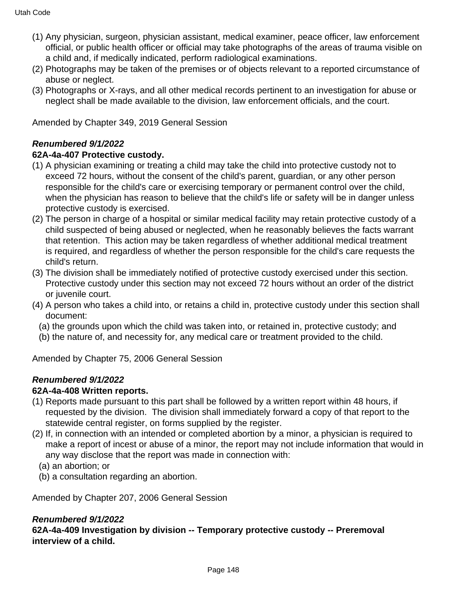- (1) Any physician, surgeon, physician assistant, medical examiner, peace officer, law enforcement official, or public health officer or official may take photographs of the areas of trauma visible on a child and, if medically indicated, perform radiological examinations.
- (2) Photographs may be taken of the premises or of objects relevant to a reported circumstance of abuse or neglect.
- (3) Photographs or X-rays, and all other medical records pertinent to an investigation for abuse or neglect shall be made available to the division, law enforcement officials, and the court.

Amended by Chapter 349, 2019 General Session

### **Renumbered 9/1/2022**

### **62A-4a-407 Protective custody.**

- (1) A physician examining or treating a child may take the child into protective custody not to exceed 72 hours, without the consent of the child's parent, guardian, or any other person responsible for the child's care or exercising temporary or permanent control over the child, when the physician has reason to believe that the child's life or safety will be in danger unless protective custody is exercised.
- (2) The person in charge of a hospital or similar medical facility may retain protective custody of a child suspected of being abused or neglected, when he reasonably believes the facts warrant that retention. This action may be taken regardless of whether additional medical treatment is required, and regardless of whether the person responsible for the child's care requests the child's return.
- (3) The division shall be immediately notified of protective custody exercised under this section. Protective custody under this section may not exceed 72 hours without an order of the district or juvenile court.
- (4) A person who takes a child into, or retains a child in, protective custody under this section shall document:
	- (a) the grounds upon which the child was taken into, or retained in, protective custody; and
	- (b) the nature of, and necessity for, any medical care or treatment provided to the child.

Amended by Chapter 75, 2006 General Session

# **Renumbered 9/1/2022**

### **62A-4a-408 Written reports.**

- (1) Reports made pursuant to this part shall be followed by a written report within 48 hours, if requested by the division. The division shall immediately forward a copy of that report to the statewide central register, on forms supplied by the register.
- (2) If, in connection with an intended or completed abortion by a minor, a physician is required to make a report of incest or abuse of a minor, the report may not include information that would in any way disclose that the report was made in connection with:

(a) an abortion; or

(b) a consultation regarding an abortion.

Amended by Chapter 207, 2006 General Session

### **Renumbered 9/1/2022**

**62A-4a-409 Investigation by division -- Temporary protective custody -- Preremoval interview of a child.**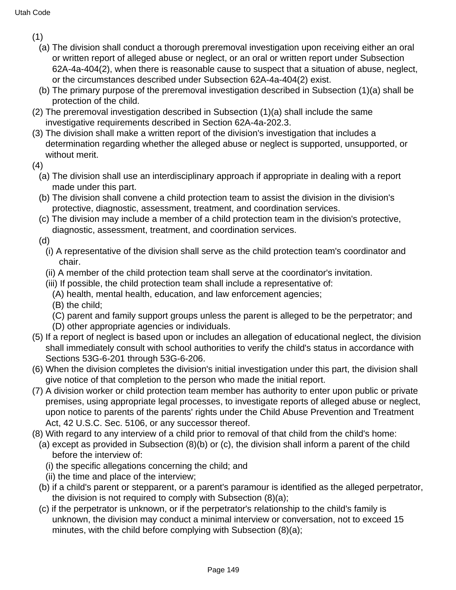(1)

- (a) The division shall conduct a thorough preremoval investigation upon receiving either an oral or written report of alleged abuse or neglect, or an oral or written report under Subsection 62A-4a-404(2), when there is reasonable cause to suspect that a situation of abuse, neglect, or the circumstances described under Subsection 62A-4a-404(2) exist.
- (b) The primary purpose of the preremoval investigation described in Subsection (1)(a) shall be protection of the child.
- (2) The preremoval investigation described in Subsection (1)(a) shall include the same investigative requirements described in Section 62A-4a-202.3.
- (3) The division shall make a written report of the division's investigation that includes a determination regarding whether the alleged abuse or neglect is supported, unsupported, or without merit.
- (4)
	- (a) The division shall use an interdisciplinary approach if appropriate in dealing with a report made under this part.
	- (b) The division shall convene a child protection team to assist the division in the division's protective, diagnostic, assessment, treatment, and coordination services.
	- (c) The division may include a member of a child protection team in the division's protective, diagnostic, assessment, treatment, and coordination services.
	- (d)
		- (i) A representative of the division shall serve as the child protection team's coordinator and chair.
		- (ii) A member of the child protection team shall serve at the coordinator's invitation.
		- (iii) If possible, the child protection team shall include a representative of:
			- (A) health, mental health, education, and law enforcement agencies;
			- (B) the child;
			- (C) parent and family support groups unless the parent is alleged to be the perpetrator; and
			- (D) other appropriate agencies or individuals.
- (5) If a report of neglect is based upon or includes an allegation of educational neglect, the division shall immediately consult with school authorities to verify the child's status in accordance with Sections 53G-6-201 through 53G-6-206.
- (6) When the division completes the division's initial investigation under this part, the division shall give notice of that completion to the person who made the initial report.
- (7) A division worker or child protection team member has authority to enter upon public or private premises, using appropriate legal processes, to investigate reports of alleged abuse or neglect, upon notice to parents of the parents' rights under the Child Abuse Prevention and Treatment Act, 42 U.S.C. Sec. 5106, or any successor thereof.
- (8) With regard to any interview of a child prior to removal of that child from the child's home:
	- (a) except as provided in Subsection (8)(b) or (c), the division shall inform a parent of the child before the interview of:
		- (i) the specific allegations concerning the child; and
		- (ii) the time and place of the interview;
	- (b) if a child's parent or stepparent, or a parent's paramour is identified as the alleged perpetrator, the division is not required to comply with Subsection (8)(a);
	- (c) if the perpetrator is unknown, or if the perpetrator's relationship to the child's family is unknown, the division may conduct a minimal interview or conversation, not to exceed 15 minutes, with the child before complying with Subsection (8)(a);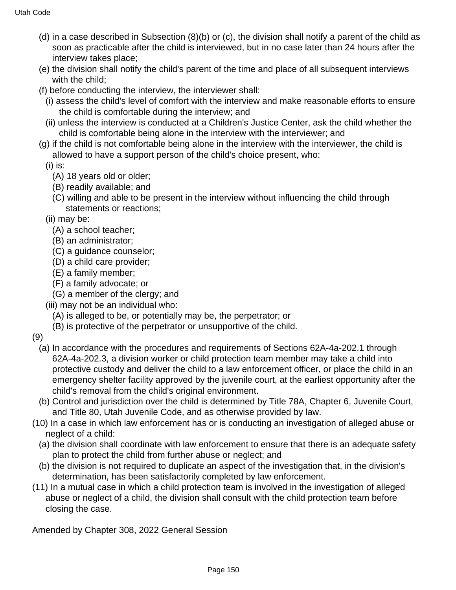- (d) in a case described in Subsection (8)(b) or (c), the division shall notify a parent of the child as soon as practicable after the child is interviewed, but in no case later than 24 hours after the interview takes place;
- (e) the division shall notify the child's parent of the time and place of all subsequent interviews with the child;
- (f) before conducting the interview, the interviewer shall:
	- (i) assess the child's level of comfort with the interview and make reasonable efforts to ensure the child is comfortable during the interview; and
	- (ii) unless the interview is conducted at a Children's Justice Center, ask the child whether the child is comfortable being alone in the interview with the interviewer; and
- (g) if the child is not comfortable being alone in the interview with the interviewer, the child is allowed to have a support person of the child's choice present, who:

(i) is:

- (A) 18 years old or older;
- (B) readily available; and
- (C) willing and able to be present in the interview without influencing the child through statements or reactions;
- (ii) may be:
	- (A) a school teacher;
	- (B) an administrator;
	- (C) a guidance counselor;
	- (D) a child care provider;
	- (E) a family member;
	- (F) a family advocate; or
	- (G) a member of the clergy; and
- (iii) may not be an individual who:
	- (A) is alleged to be, or potentially may be, the perpetrator; or
	- (B) is protective of the perpetrator or unsupportive of the child.

(9)

- (a) In accordance with the procedures and requirements of Sections 62A-4a-202.1 through 62A-4a-202.3, a division worker or child protection team member may take a child into protective custody and deliver the child to a law enforcement officer, or place the child in an emergency shelter facility approved by the juvenile court, at the earliest opportunity after the child's removal from the child's original environment.
- (b) Control and jurisdiction over the child is determined by Title 78A, Chapter 6, Juvenile Court, and Title 80, Utah Juvenile Code, and as otherwise provided by law.
- (10) In a case in which law enforcement has or is conducting an investigation of alleged abuse or neglect of a child:
	- (a) the division shall coordinate with law enforcement to ensure that there is an adequate safety plan to protect the child from further abuse or neglect; and
	- (b) the division is not required to duplicate an aspect of the investigation that, in the division's determination, has been satisfactorily completed by law enforcement.
- (11) In a mutual case in which a child protection team is involved in the investigation of alleged abuse or neglect of a child, the division shall consult with the child protection team before closing the case.

Amended by Chapter 308, 2022 General Session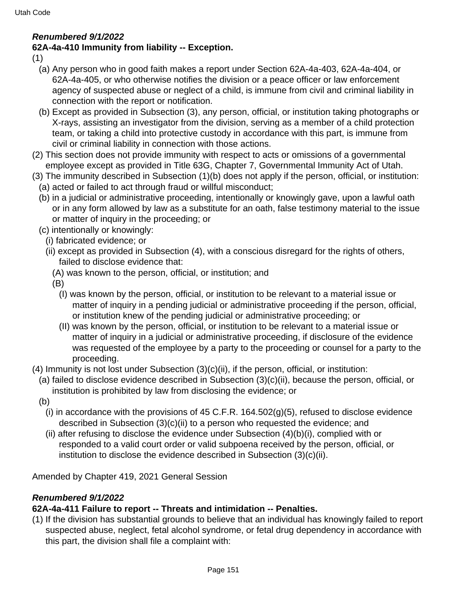# **Renumbered 9/1/2022**

### **62A-4a-410 Immunity from liability -- Exception.**

- (1)
	- (a) Any person who in good faith makes a report under Section 62A-4a-403, 62A-4a-404, or 62A-4a-405, or who otherwise notifies the division or a peace officer or law enforcement agency of suspected abuse or neglect of a child, is immune from civil and criminal liability in connection with the report or notification.
	- (b) Except as provided in Subsection (3), any person, official, or institution taking photographs or X-rays, assisting an investigator from the division, serving as a member of a child protection team, or taking a child into protective custody in accordance with this part, is immune from civil or criminal liability in connection with those actions.
- (2) This section does not provide immunity with respect to acts or omissions of a governmental employee except as provided in Title 63G, Chapter 7, Governmental Immunity Act of Utah.
- (3) The immunity described in Subsection (1)(b) does not apply if the person, official, or institution:
- (a) acted or failed to act through fraud or willful misconduct;
- (b) in a judicial or administrative proceeding, intentionally or knowingly gave, upon a lawful oath or in any form allowed by law as a substitute for an oath, false testimony material to the issue or matter of inquiry in the proceeding; or
- (c) intentionally or knowingly:
	- (i) fabricated evidence; or
	- (ii) except as provided in Subsection (4), with a conscious disregard for the rights of others, failed to disclose evidence that:
		- (A) was known to the person, official, or institution; and
		- (B)
			- (I) was known by the person, official, or institution to be relevant to a material issue or matter of inquiry in a pending judicial or administrative proceeding if the person, official, or institution knew of the pending judicial or administrative proceeding; or
			- (II) was known by the person, official, or institution to be relevant to a material issue or matter of inquiry in a judicial or administrative proceeding, if disclosure of the evidence was requested of the employee by a party to the proceeding or counsel for a party to the proceeding.
- (4) Immunity is not lost under Subsection (3)(c)(ii), if the person, official, or institution:
	- (a) failed to disclose evidence described in Subsection (3)(c)(ii), because the person, official, or institution is prohibited by law from disclosing the evidence; or
	- (b)
		- (i) in accordance with the provisions of 45 C.F.R.  $164.502(g)(5)$ , refused to disclose evidence described in Subsection (3)(c)(ii) to a person who requested the evidence; and
		- (ii) after refusing to disclose the evidence under Subsection  $(4)(b)(i)$ , complied with or responded to a valid court order or valid subpoena received by the person, official, or institution to disclose the evidence described in Subsection (3)(c)(ii).

Amended by Chapter 419, 2021 General Session

### **Renumbered 9/1/2022**

### **62A-4a-411 Failure to report -- Threats and intimidation -- Penalties.**

(1) If the division has substantial grounds to believe that an individual has knowingly failed to report suspected abuse, neglect, fetal alcohol syndrome, or fetal drug dependency in accordance with this part, the division shall file a complaint with: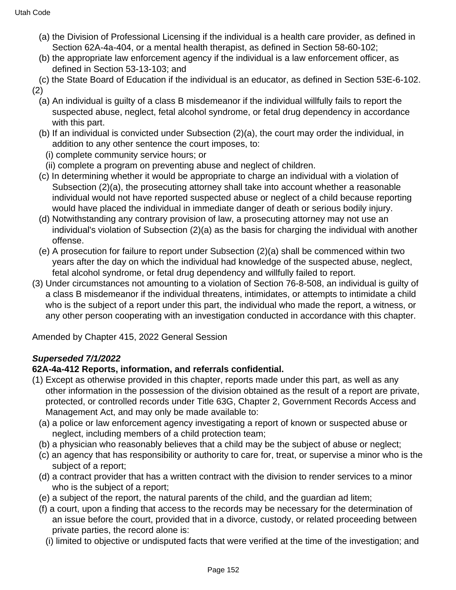- (a) the Division of Professional Licensing if the individual is a health care provider, as defined in Section 62A-4a-404, or a mental health therapist, as defined in Section 58-60-102;
- (b) the appropriate law enforcement agency if the individual is a law enforcement officer, as defined in Section 53-13-103; and
- (c) the State Board of Education if the individual is an educator, as defined in Section 53E-6-102. (2)
	- (a) An individual is guilty of a class B misdemeanor if the individual willfully fails to report the suspected abuse, neglect, fetal alcohol syndrome, or fetal drug dependency in accordance with this part.
	- (b) If an individual is convicted under Subsection (2)(a), the court may order the individual, in addition to any other sentence the court imposes, to:
		- (i) complete community service hours; or
		- (ii) complete a program on preventing abuse and neglect of children.
	- (c) In determining whether it would be appropriate to charge an individual with a violation of Subsection (2)(a), the prosecuting attorney shall take into account whether a reasonable individual would not have reported suspected abuse or neglect of a child because reporting would have placed the individual in immediate danger of death or serious bodily injury.
	- (d) Notwithstanding any contrary provision of law, a prosecuting attorney may not use an individual's violation of Subsection (2)(a) as the basis for charging the individual with another offense.
	- (e) A prosecution for failure to report under Subsection (2)(a) shall be commenced within two years after the day on which the individual had knowledge of the suspected abuse, neglect, fetal alcohol syndrome, or fetal drug dependency and willfully failed to report.
- (3) Under circumstances not amounting to a violation of Section 76-8-508, an individual is guilty of a class B misdemeanor if the individual threatens, intimidates, or attempts to intimidate a child who is the subject of a report under this part, the individual who made the report, a witness, or any other person cooperating with an investigation conducted in accordance with this chapter.

Amended by Chapter 415, 2022 General Session

# **Superseded 7/1/2022**

# **62A-4a-412 Reports, information, and referrals confidential.**

- (1) Except as otherwise provided in this chapter, reports made under this part, as well as any other information in the possession of the division obtained as the result of a report are private, protected, or controlled records under Title 63G, Chapter 2, Government Records Access and Management Act, and may only be made available to:
	- (a) a police or law enforcement agency investigating a report of known or suspected abuse or neglect, including members of a child protection team;
	- (b) a physician who reasonably believes that a child may be the subject of abuse or neglect;
	- (c) an agency that has responsibility or authority to care for, treat, or supervise a minor who is the subject of a report;
	- (d) a contract provider that has a written contract with the division to render services to a minor who is the subject of a report;
	- (e) a subject of the report, the natural parents of the child, and the guardian ad litem;
	- (f) a court, upon a finding that access to the records may be necessary for the determination of an issue before the court, provided that in a divorce, custody, or related proceeding between private parties, the record alone is:
		- (i) limited to objective or undisputed facts that were verified at the time of the investigation; and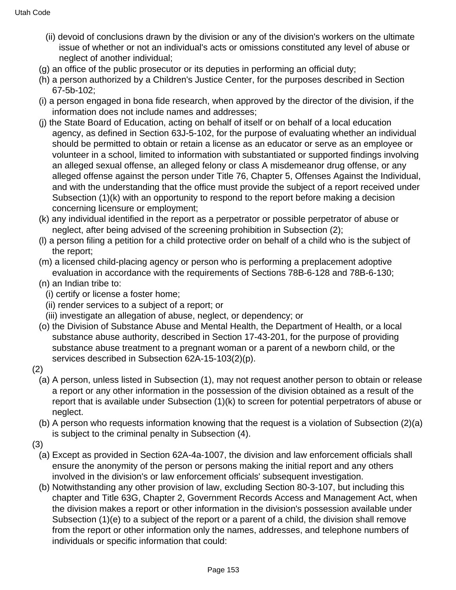- (ii) devoid of conclusions drawn by the division or any of the division's workers on the ultimate issue of whether or not an individual's acts or omissions constituted any level of abuse or neglect of another individual;
- (g) an office of the public prosecutor or its deputies in performing an official duty;
- (h) a person authorized by a Children's Justice Center, for the purposes described in Section 67-5b-102;
- (i) a person engaged in bona fide research, when approved by the director of the division, if the information does not include names and addresses;
- (j) the State Board of Education, acting on behalf of itself or on behalf of a local education agency, as defined in Section 63J-5-102, for the purpose of evaluating whether an individual should be permitted to obtain or retain a license as an educator or serve as an employee or volunteer in a school, limited to information with substantiated or supported findings involving an alleged sexual offense, an alleged felony or class A misdemeanor drug offense, or any alleged offense against the person under Title 76, Chapter 5, Offenses Against the Individual, and with the understanding that the office must provide the subject of a report received under Subsection (1)(k) with an opportunity to respond to the report before making a decision concerning licensure or employment;
- (k) any individual identified in the report as a perpetrator or possible perpetrator of abuse or neglect, after being advised of the screening prohibition in Subsection (2);
- (l) a person filing a petition for a child protective order on behalf of a child who is the subject of the report;
- (m) a licensed child-placing agency or person who is performing a preplacement adoptive evaluation in accordance with the requirements of Sections 78B-6-128 and 78B-6-130;
- (n) an Indian tribe to:
	- (i) certify or license a foster home;
	- (ii) render services to a subject of a report; or
	- (iii) investigate an allegation of abuse, neglect, or dependency; or
- (o) the Division of Substance Abuse and Mental Health, the Department of Health, or a local substance abuse authority, described in Section 17-43-201, for the purpose of providing substance abuse treatment to a pregnant woman or a parent of a newborn child, or the services described in Subsection 62A-15-103(2)(p).
- (2)
	- (a) A person, unless listed in Subsection (1), may not request another person to obtain or release a report or any other information in the possession of the division obtained as a result of the report that is available under Subsection (1)(k) to screen for potential perpetrators of abuse or neglect.
	- (b) A person who requests information knowing that the request is a violation of Subsection (2)(a) is subject to the criminal penalty in Subsection (4).
- (3)
	- (a) Except as provided in Section 62A-4a-1007, the division and law enforcement officials shall ensure the anonymity of the person or persons making the initial report and any others involved in the division's or law enforcement officials' subsequent investigation.
	- (b) Notwithstanding any other provision of law, excluding Section 80-3-107, but including this chapter and Title 63G, Chapter 2, Government Records Access and Management Act, when the division makes a report or other information in the division's possession available under Subsection (1)(e) to a subject of the report or a parent of a child, the division shall remove from the report or other information only the names, addresses, and telephone numbers of individuals or specific information that could: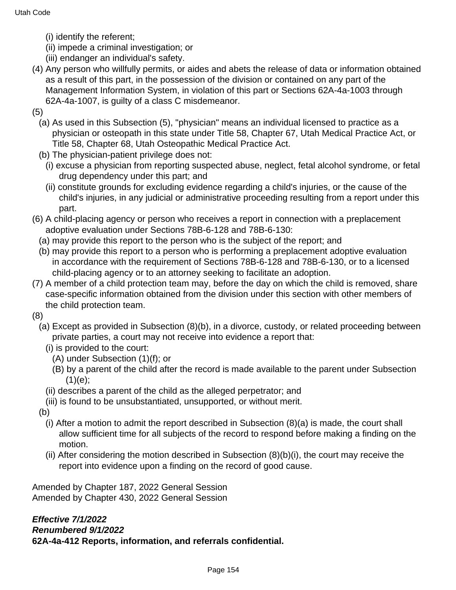- (i) identify the referent;
- (ii) impede a criminal investigation; or
- (iii) endanger an individual's safety.
- (4) Any person who willfully permits, or aides and abets the release of data or information obtained as a result of this part, in the possession of the division or contained on any part of the Management Information System, in violation of this part or Sections 62A-4a-1003 through 62A-4a-1007, is guilty of a class C misdemeanor.
- (5)
	- (a) As used in this Subsection (5), "physician" means an individual licensed to practice as a physician or osteopath in this state under Title 58, Chapter 67, Utah Medical Practice Act, or Title 58, Chapter 68, Utah Osteopathic Medical Practice Act.
	- (b) The physician-patient privilege does not:
		- (i) excuse a physician from reporting suspected abuse, neglect, fetal alcohol syndrome, or fetal drug dependency under this part; and
		- (ii) constitute grounds for excluding evidence regarding a child's injuries, or the cause of the child's injuries, in any judicial or administrative proceeding resulting from a report under this part.
- (6) A child-placing agency or person who receives a report in connection with a preplacement adoptive evaluation under Sections 78B-6-128 and 78B-6-130:
	- (a) may provide this report to the person who is the subject of the report; and
	- (b) may provide this report to a person who is performing a preplacement adoptive evaluation in accordance with the requirement of Sections 78B-6-128 and 78B-6-130, or to a licensed child-placing agency or to an attorney seeking to facilitate an adoption.
- (7) A member of a child protection team may, before the day on which the child is removed, share case-specific information obtained from the division under this section with other members of the child protection team.
- (8)
	- (a) Except as provided in Subsection (8)(b), in a divorce, custody, or related proceeding between private parties, a court may not receive into evidence a report that:
		- (i) is provided to the court:
			- (A) under Subsection (1)(f); or
			- (B) by a parent of the child after the record is made available to the parent under Subsection  $(1)(e);$
		- (ii) describes a parent of the child as the alleged perpetrator; and
		- (iii) is found to be unsubstantiated, unsupported, or without merit.
	- (b)
		- (i) After a motion to admit the report described in Subsection (8)(a) is made, the court shall allow sufficient time for all subjects of the record to respond before making a finding on the motion.
		- (ii) After considering the motion described in Subsection (8)(b)(i), the court may receive the report into evidence upon a finding on the record of good cause.

Amended by Chapter 187, 2022 General Session Amended by Chapter 430, 2022 General Session

# **Effective 7/1/2022 Renumbered 9/1/2022 62A-4a-412 Reports, information, and referrals confidential.**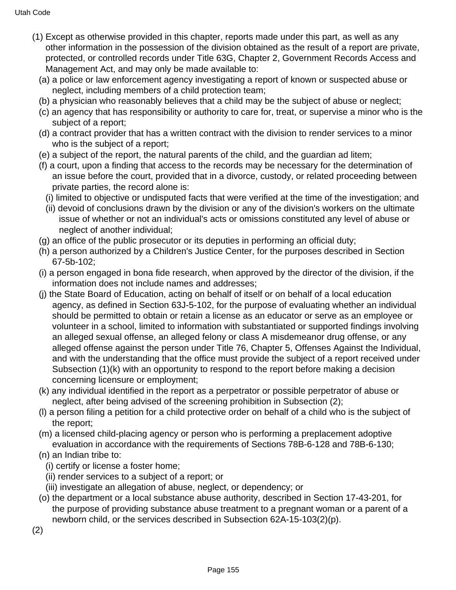- (1) Except as otherwise provided in this chapter, reports made under this part, as well as any other information in the possession of the division obtained as the result of a report are private, protected, or controlled records under Title 63G, Chapter 2, Government Records Access and Management Act, and may only be made available to:
	- (a) a police or law enforcement agency investigating a report of known or suspected abuse or neglect, including members of a child protection team;
	- (b) a physician who reasonably believes that a child may be the subject of abuse or neglect;
	- (c) an agency that has responsibility or authority to care for, treat, or supervise a minor who is the subject of a report;
	- (d) a contract provider that has a written contract with the division to render services to a minor who is the subject of a report;
	- (e) a subject of the report, the natural parents of the child, and the guardian ad litem;
	- (f) a court, upon a finding that access to the records may be necessary for the determination of an issue before the court, provided that in a divorce, custody, or related proceeding between private parties, the record alone is:
		- (i) limited to objective or undisputed facts that were verified at the time of the investigation; and
		- (ii) devoid of conclusions drawn by the division or any of the division's workers on the ultimate issue of whether or not an individual's acts or omissions constituted any level of abuse or neglect of another individual;
	- (g) an office of the public prosecutor or its deputies in performing an official duty;
	- (h) a person authorized by a Children's Justice Center, for the purposes described in Section 67-5b-102;
	- (i) a person engaged in bona fide research, when approved by the director of the division, if the information does not include names and addresses;
	- (j) the State Board of Education, acting on behalf of itself or on behalf of a local education agency, as defined in Section 63J-5-102, for the purpose of evaluating whether an individual should be permitted to obtain or retain a license as an educator or serve as an employee or volunteer in a school, limited to information with substantiated or supported findings involving an alleged sexual offense, an alleged felony or class A misdemeanor drug offense, or any alleged offense against the person under Title 76, Chapter 5, Offenses Against the Individual, and with the understanding that the office must provide the subject of a report received under Subsection (1)(k) with an opportunity to respond to the report before making a decision concerning licensure or employment;
	- (k) any individual identified in the report as a perpetrator or possible perpetrator of abuse or neglect, after being advised of the screening prohibition in Subsection (2);
	- (l) a person filing a petition for a child protective order on behalf of a child who is the subject of the report;
	- (m) a licensed child-placing agency or person who is performing a preplacement adoptive evaluation in accordance with the requirements of Sections 78B-6-128 and 78B-6-130;
	- (n) an Indian tribe to:
		- (i) certify or license a foster home;
		- (ii) render services to a subject of a report; or
		- (iii) investigate an allegation of abuse, neglect, or dependency; or
	- (o) the department or a local substance abuse authority, described in Section 17-43-201, for the purpose of providing substance abuse treatment to a pregnant woman or a parent of a newborn child, or the services described in Subsection 62A-15-103(2)(p).
- (2)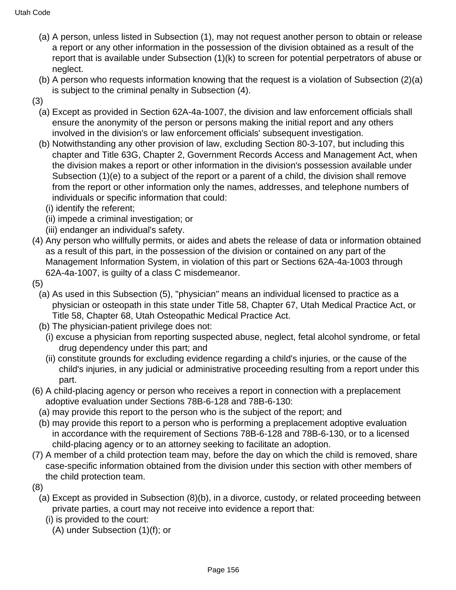- (a) A person, unless listed in Subsection (1), may not request another person to obtain or release a report or any other information in the possession of the division obtained as a result of the report that is available under Subsection (1)(k) to screen for potential perpetrators of abuse or neglect.
- (b) A person who requests information knowing that the request is a violation of Subsection (2)(a) is subject to the criminal penalty in Subsection (4).
- (3)
	- (a) Except as provided in Section 62A-4a-1007, the division and law enforcement officials shall ensure the anonymity of the person or persons making the initial report and any others involved in the division's or law enforcement officials' subsequent investigation.
	- (b) Notwithstanding any other provision of law, excluding Section 80-3-107, but including this chapter and Title 63G, Chapter 2, Government Records Access and Management Act, when the division makes a report or other information in the division's possession available under Subsection (1)(e) to a subject of the report or a parent of a child, the division shall remove from the report or other information only the names, addresses, and telephone numbers of individuals or specific information that could:
		- (i) identify the referent;
		- (ii) impede a criminal investigation; or
		- (iii) endanger an individual's safety.
- (4) Any person who willfully permits, or aides and abets the release of data or information obtained as a result of this part, in the possession of the division or contained on any part of the Management Information System, in violation of this part or Sections 62A-4a-1003 through 62A-4a-1007, is guilty of a class C misdemeanor.
- (5)
	- (a) As used in this Subsection (5), "physician" means an individual licensed to practice as a physician or osteopath in this state under Title 58, Chapter 67, Utah Medical Practice Act, or Title 58, Chapter 68, Utah Osteopathic Medical Practice Act.
	- (b) The physician-patient privilege does not:
		- (i) excuse a physician from reporting suspected abuse, neglect, fetal alcohol syndrome, or fetal drug dependency under this part; and
		- (ii) constitute grounds for excluding evidence regarding a child's injuries, or the cause of the child's injuries, in any judicial or administrative proceeding resulting from a report under this part.
- (6) A child-placing agency or person who receives a report in connection with a preplacement adoptive evaluation under Sections 78B-6-128 and 78B-6-130:
	- (a) may provide this report to the person who is the subject of the report; and
	- (b) may provide this report to a person who is performing a preplacement adoptive evaluation in accordance with the requirement of Sections 78B-6-128 and 78B-6-130, or to a licensed child-placing agency or to an attorney seeking to facilitate an adoption.
- (7) A member of a child protection team may, before the day on which the child is removed, share case-specific information obtained from the division under this section with other members of the child protection team.
- (8)
	- (a) Except as provided in Subsection (8)(b), in a divorce, custody, or related proceeding between private parties, a court may not receive into evidence a report that:
		- (i) is provided to the court:
			- (A) under Subsection (1)(f); or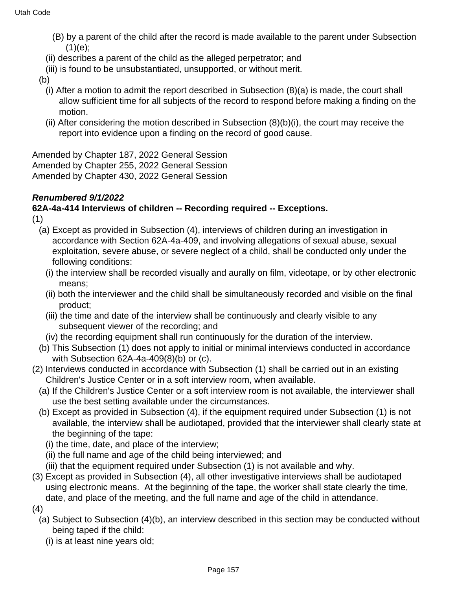- (B) by a parent of the child after the record is made available to the parent under Subsection  $(1)(e)$ ;
- (ii) describes a parent of the child as the alleged perpetrator; and
- (iii) is found to be unsubstantiated, unsupported, or without merit.

(b)

- (i) After a motion to admit the report described in Subsection (8)(a) is made, the court shall allow sufficient time for all subjects of the record to respond before making a finding on the motion.
- (ii) After considering the motion described in Subsection (8)(b)(i), the court may receive the report into evidence upon a finding on the record of good cause.

Amended by Chapter 187, 2022 General Session Amended by Chapter 255, 2022 General Session Amended by Chapter 430, 2022 General Session

# **Renumbered 9/1/2022**

# **62A-4a-414 Interviews of children -- Recording required -- Exceptions.**

- (1)
	- (a) Except as provided in Subsection (4), interviews of children during an investigation in accordance with Section 62A-4a-409, and involving allegations of sexual abuse, sexual exploitation, severe abuse, or severe neglect of a child, shall be conducted only under the following conditions:
		- (i) the interview shall be recorded visually and aurally on film, videotape, or by other electronic means;
		- (ii) both the interviewer and the child shall be simultaneously recorded and visible on the final product;
		- (iii) the time and date of the interview shall be continuously and clearly visible to any subsequent viewer of the recording; and
		- (iv) the recording equipment shall run continuously for the duration of the interview.
	- (b) This Subsection (1) does not apply to initial or minimal interviews conducted in accordance with Subsection 62A-4a-409(8)(b) or (c).
- (2) Interviews conducted in accordance with Subsection (1) shall be carried out in an existing Children's Justice Center or in a soft interview room, when available.
	- (a) If the Children's Justice Center or a soft interview room is not available, the interviewer shall use the best setting available under the circumstances.
	- (b) Except as provided in Subsection (4), if the equipment required under Subsection (1) is not available, the interview shall be audiotaped, provided that the interviewer shall clearly state at the beginning of the tape:
		- (i) the time, date, and place of the interview;
		- (ii) the full name and age of the child being interviewed; and
		- (iii) that the equipment required under Subsection (1) is not available and why.
- (3) Except as provided in Subsection (4), all other investigative interviews shall be audiotaped using electronic means. At the beginning of the tape, the worker shall state clearly the time, date, and place of the meeting, and the full name and age of the child in attendance.
- (4)
	- (a) Subject to Subsection (4)(b), an interview described in this section may be conducted without being taped if the child:
		- (i) is at least nine years old;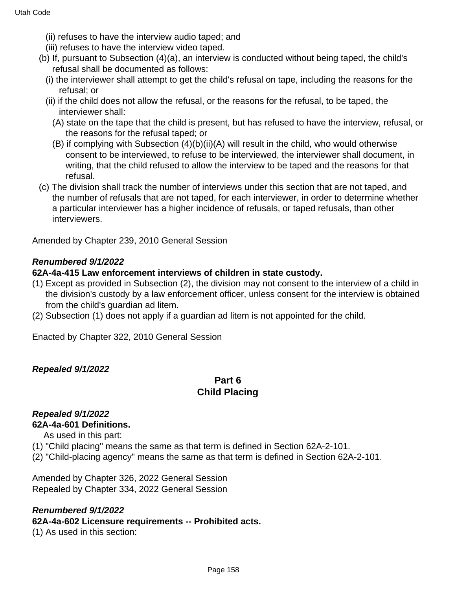- (ii) refuses to have the interview audio taped; and
- (iii) refuses to have the interview video taped.
- (b) If, pursuant to Subsection (4)(a), an interview is conducted without being taped, the child's refusal shall be documented as follows:
	- (i) the interviewer shall attempt to get the child's refusal on tape, including the reasons for the refusal; or
	- (ii) if the child does not allow the refusal, or the reasons for the refusal, to be taped, the interviewer shall:
		- (A) state on the tape that the child is present, but has refused to have the interview, refusal, or the reasons for the refusal taped; or
		- (B) if complying with Subsection (4)(b)(ii)(A) will result in the child, who would otherwise consent to be interviewed, to refuse to be interviewed, the interviewer shall document, in writing, that the child refused to allow the interview to be taped and the reasons for that refusal.
- (c) The division shall track the number of interviews under this section that are not taped, and the number of refusals that are not taped, for each interviewer, in order to determine whether a particular interviewer has a higher incidence of refusals, or taped refusals, than other interviewers.

Amended by Chapter 239, 2010 General Session

#### **Renumbered 9/1/2022**

#### **62A-4a-415 Law enforcement interviews of children in state custody.**

- (1) Except as provided in Subsection (2), the division may not consent to the interview of a child in the division's custody by a law enforcement officer, unless consent for the interview is obtained from the child's guardian ad litem.
- (2) Subsection (1) does not apply if a guardian ad litem is not appointed for the child.

Enacted by Chapter 322, 2010 General Session

#### **Repealed 9/1/2022**

# **Part 6 Child Placing**

#### **Repealed 9/1/2022 62A-4a-601 Definitions.**

As used in this part:

- (1) "Child placing" means the same as that term is defined in Section 62A-2-101.
- (2) "Child-placing agency" means the same as that term is defined in Section 62A-2-101.

Amended by Chapter 326, 2022 General Session Repealed by Chapter 334, 2022 General Session

#### **Renumbered 9/1/2022**

**62A-4a-602 Licensure requirements -- Prohibited acts.**

(1) As used in this section: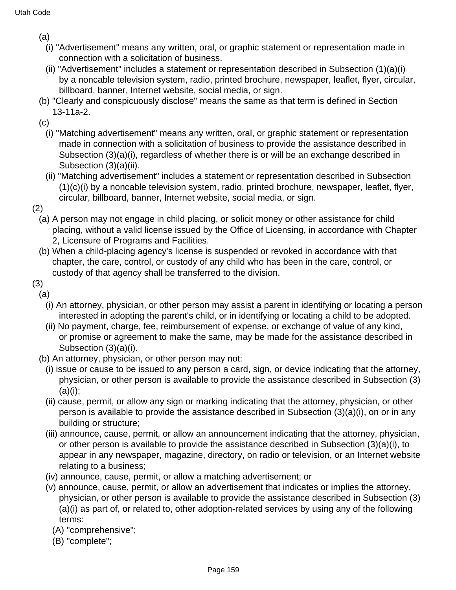(a)

- (i) "Advertisement" means any written, oral, or graphic statement or representation made in connection with a solicitation of business.
- (ii) "Advertisement" includes a statement or representation described in Subsection  $(1)(a)(i)$ by a noncable television system, radio, printed brochure, newspaper, leaflet, flyer, circular, billboard, banner, Internet website, social media, or sign.
- (b) "Clearly and conspicuously disclose" means the same as that term is defined in Section 13-11a-2.
- (c)
	- (i) "Matching advertisement" means any written, oral, or graphic statement or representation made in connection with a solicitation of business to provide the assistance described in Subsection (3)(a)(i), regardless of whether there is or will be an exchange described in Subsection (3)(a)(ii).
	- (ii) "Matching advertisement" includes a statement or representation described in Subsection (1)(c)(i) by a noncable television system, radio, printed brochure, newspaper, leaflet, flyer, circular, billboard, banner, Internet website, social media, or sign.
- (2)
	- (a) A person may not engage in child placing, or solicit money or other assistance for child placing, without a valid license issued by the Office of Licensing, in accordance with Chapter 2, Licensure of Programs and Facilities.
	- (b) When a child-placing agency's license is suspended or revoked in accordance with that chapter, the care, control, or custody of any child who has been in the care, control, or custody of that agency shall be transferred to the division.
- (3)
	- (a)
		- (i) An attorney, physician, or other person may assist a parent in identifying or locating a person interested in adopting the parent's child, or in identifying or locating a child to be adopted.
		- (ii) No payment, charge, fee, reimbursement of expense, or exchange of value of any kind, or promise or agreement to make the same, may be made for the assistance described in Subsection (3)(a)(i).
	- (b) An attorney, physician, or other person may not:
		- (i) issue or cause to be issued to any person a card, sign, or device indicating that the attorney, physician, or other person is available to provide the assistance described in Subsection (3)  $(a)(i)$ ;
		- (ii) cause, permit, or allow any sign or marking indicating that the attorney, physician, or other person is available to provide the assistance described in Subsection (3)(a)(i), on or in any building or structure;
		- (iii) announce, cause, permit, or allow an announcement indicating that the attorney, physician, or other person is available to provide the assistance described in Subsection (3)(a)(i), to appear in any newspaper, magazine, directory, on radio or television, or an Internet website relating to a business;
		- (iv) announce, cause, permit, or allow a matching advertisement; or
		- (v) announce, cause, permit, or allow an advertisement that indicates or implies the attorney, physician, or other person is available to provide the assistance described in Subsection (3) (a)(i) as part of, or related to, other adoption-related services by using any of the following terms:
			- (A) "comprehensive";
			- (B) "complete";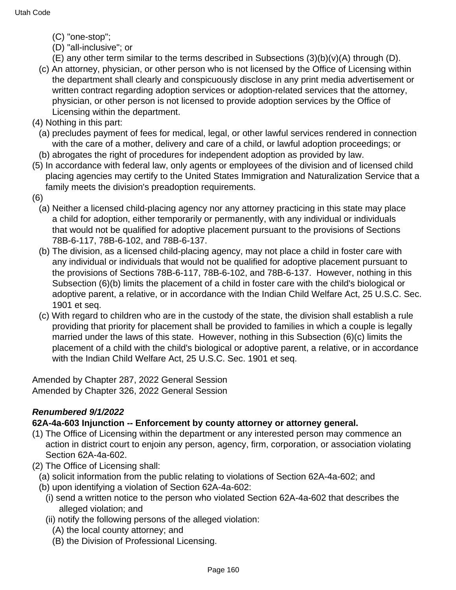- (C) "one-stop";
- (D) "all-inclusive"; or
- $(E)$  any other term similar to the terms described in Subsections  $(3)(b)(v)(A)$  through  $(D)$ .
- (c) An attorney, physician, or other person who is not licensed by the Office of Licensing within the department shall clearly and conspicuously disclose in any print media advertisement or written contract regarding adoption services or adoption-related services that the attorney, physician, or other person is not licensed to provide adoption services by the Office of Licensing within the department.
- (4) Nothing in this part:
	- (a) precludes payment of fees for medical, legal, or other lawful services rendered in connection with the care of a mother, delivery and care of a child, or lawful adoption proceedings; or
	- (b) abrogates the right of procedures for independent adoption as provided by law.
- (5) In accordance with federal law, only agents or employees of the division and of licensed child placing agencies may certify to the United States Immigration and Naturalization Service that a family meets the division's preadoption requirements.
- (6)
	- (a) Neither a licensed child-placing agency nor any attorney practicing in this state may place a child for adoption, either temporarily or permanently, with any individual or individuals that would not be qualified for adoptive placement pursuant to the provisions of Sections 78B-6-117, 78B-6-102, and 78B-6-137.
	- (b) The division, as a licensed child-placing agency, may not place a child in foster care with any individual or individuals that would not be qualified for adoptive placement pursuant to the provisions of Sections 78B-6-117, 78B-6-102, and 78B-6-137. However, nothing in this Subsection (6)(b) limits the placement of a child in foster care with the child's biological or adoptive parent, a relative, or in accordance with the Indian Child Welfare Act, 25 U.S.C. Sec. 1901 et seq.
	- (c) With regard to children who are in the custody of the state, the division shall establish a rule providing that priority for placement shall be provided to families in which a couple is legally married under the laws of this state. However, nothing in this Subsection (6)(c) limits the placement of a child with the child's biological or adoptive parent, a relative, or in accordance with the Indian Child Welfare Act, 25 U.S.C. Sec. 1901 et seq.

Amended by Chapter 287, 2022 General Session Amended by Chapter 326, 2022 General Session

# **Renumbered 9/1/2022**

# **62A-4a-603 Injunction -- Enforcement by county attorney or attorney general.**

- (1) The Office of Licensing within the department or any interested person may commence an action in district court to enjoin any person, agency, firm, corporation, or association violating Section 62A-4a-602.
- (2) The Office of Licensing shall:
	- (a) solicit information from the public relating to violations of Section 62A-4a-602; and
	- (b) upon identifying a violation of Section 62A-4a-602:
		- (i) send a written notice to the person who violated Section 62A-4a-602 that describes the alleged violation; and
		- (ii) notify the following persons of the alleged violation:
			- (A) the local county attorney; and
			- (B) the Division of Professional Licensing.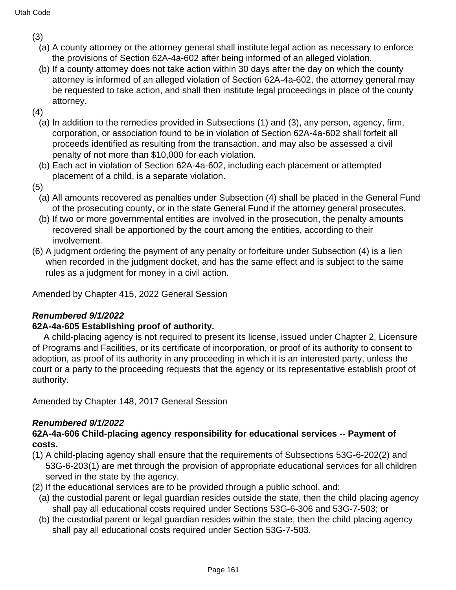(3)

- (a) A county attorney or the attorney general shall institute legal action as necessary to enforce the provisions of Section 62A-4a-602 after being informed of an alleged violation.
- (b) If a county attorney does not take action within 30 days after the day on which the county attorney is informed of an alleged violation of Section 62A-4a-602, the attorney general may be requested to take action, and shall then institute legal proceedings in place of the county attorney.
- (4)
	- (a) In addition to the remedies provided in Subsections (1) and (3), any person, agency, firm, corporation, or association found to be in violation of Section 62A-4a-602 shall forfeit all proceeds identified as resulting from the transaction, and may also be assessed a civil penalty of not more than \$10,000 for each violation.
	- (b) Each act in violation of Section 62A-4a-602, including each placement or attempted placement of a child, is a separate violation.
- (5)
	- (a) All amounts recovered as penalties under Subsection (4) shall be placed in the General Fund of the prosecuting county, or in the state General Fund if the attorney general prosecutes.
	- (b) If two or more governmental entities are involved in the prosecution, the penalty amounts recovered shall be apportioned by the court among the entities, according to their involvement.
- (6) A judgment ordering the payment of any penalty or forfeiture under Subsection (4) is a lien when recorded in the judgment docket, and has the same effect and is subject to the same rules as a judgment for money in a civil action.

Amended by Chapter 415, 2022 General Session

# **Renumbered 9/1/2022**

### **62A-4a-605 Establishing proof of authority.**

 A child-placing agency is not required to present its license, issued under Chapter 2, Licensure of Programs and Facilities, or its certificate of incorporation, or proof of its authority to consent to adoption, as proof of its authority in any proceeding in which it is an interested party, unless the court or a party to the proceeding requests that the agency or its representative establish proof of authority.

Amended by Chapter 148, 2017 General Session

# **Renumbered 9/1/2022**

### **62A-4a-606 Child-placing agency responsibility for educational services -- Payment of costs.**

- (1) A child-placing agency shall ensure that the requirements of Subsections 53G-6-202(2) and 53G-6-203(1) are met through the provision of appropriate educational services for all children served in the state by the agency.
- (2) If the educational services are to be provided through a public school, and:
	- (a) the custodial parent or legal guardian resides outside the state, then the child placing agency shall pay all educational costs required under Sections 53G-6-306 and 53G-7-503; or
	- (b) the custodial parent or legal guardian resides within the state, then the child placing agency shall pay all educational costs required under Section 53G-7-503.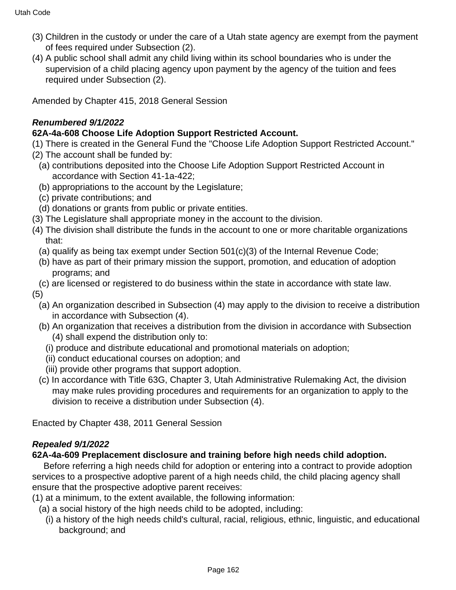- (3) Children in the custody or under the care of a Utah state agency are exempt from the payment of fees required under Subsection (2).
- (4) A public school shall admit any child living within its school boundaries who is under the supervision of a child placing agency upon payment by the agency of the tuition and fees required under Subsection (2).

Amended by Chapter 415, 2018 General Session

# **Renumbered 9/1/2022**

# **62A-4a-608 Choose Life Adoption Support Restricted Account.**

- (1) There is created in the General Fund the "Choose Life Adoption Support Restricted Account."
- (2) The account shall be funded by:
	- (a) contributions deposited into the Choose Life Adoption Support Restricted Account in accordance with Section 41-1a-422;
	- (b) appropriations to the account by the Legislature;
	- (c) private contributions; and
	- (d) donations or grants from public or private entities.
- (3) The Legislature shall appropriate money in the account to the division.
- (4) The division shall distribute the funds in the account to one or more charitable organizations that:
	- (a) qualify as being tax exempt under Section 501(c)(3) of the Internal Revenue Code;
	- (b) have as part of their primary mission the support, promotion, and education of adoption programs; and
- (c) are licensed or registered to do business within the state in accordance with state law.
- (5)
	- (a) An organization described in Subsection (4) may apply to the division to receive a distribution in accordance with Subsection (4).
	- (b) An organization that receives a distribution from the division in accordance with Subsection (4) shall expend the distribution only to:
		- (i) produce and distribute educational and promotional materials on adoption;
		- (ii) conduct educational courses on adoption; and
		- (iii) provide other programs that support adoption.
	- (c) In accordance with Title 63G, Chapter 3, Utah Administrative Rulemaking Act, the division may make rules providing procedures and requirements for an organization to apply to the division to receive a distribution under Subsection (4).

Enacted by Chapter 438, 2011 General Session

# **Repealed 9/1/2022**

# **62A-4a-609 Preplacement disclosure and training before high needs child adoption.**

 Before referring a high needs child for adoption or entering into a contract to provide adoption services to a prospective adoptive parent of a high needs child, the child placing agency shall ensure that the prospective adoptive parent receives:

- (1) at a minimum, to the extent available, the following information:
	- (a) a social history of the high needs child to be adopted, including:
		- (i) a history of the high needs child's cultural, racial, religious, ethnic, linguistic, and educational background; and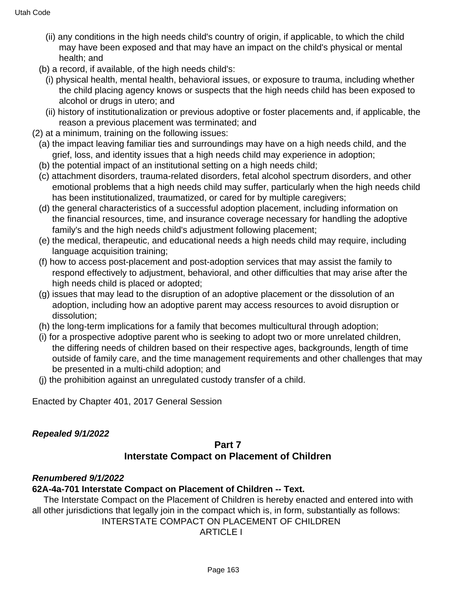- (ii) any conditions in the high needs child's country of origin, if applicable, to which the child may have been exposed and that may have an impact on the child's physical or mental health; and
- (b) a record, if available, of the high needs child's:
	- (i) physical health, mental health, behavioral issues, or exposure to trauma, including whether the child placing agency knows or suspects that the high needs child has been exposed to alcohol or drugs in utero; and
	- (ii) history of institutionalization or previous adoptive or foster placements and, if applicable, the reason a previous placement was terminated; and
- (2) at a minimum, training on the following issues:
	- (a) the impact leaving familiar ties and surroundings may have on a high needs child, and the grief, loss, and identity issues that a high needs child may experience in adoption;
	- (b) the potential impact of an institutional setting on a high needs child;
	- (c) attachment disorders, trauma-related disorders, fetal alcohol spectrum disorders, and other emotional problems that a high needs child may suffer, particularly when the high needs child has been institutionalized, traumatized, or cared for by multiple caregivers;
	- (d) the general characteristics of a successful adoption placement, including information on the financial resources, time, and insurance coverage necessary for handling the adoptive family's and the high needs child's adjustment following placement;
	- (e) the medical, therapeutic, and educational needs a high needs child may require, including language acquisition training;
	- (f) how to access post-placement and post-adoption services that may assist the family to respond effectively to adjustment, behavioral, and other difficulties that may arise after the high needs child is placed or adopted;
	- (g) issues that may lead to the disruption of an adoptive placement or the dissolution of an adoption, including how an adoptive parent may access resources to avoid disruption or dissolution;
	- (h) the long-term implications for a family that becomes multicultural through adoption;
	- (i) for a prospective adoptive parent who is seeking to adopt two or more unrelated children, the differing needs of children based on their respective ages, backgrounds, length of time outside of family care, and the time management requirements and other challenges that may be presented in a multi-child adoption; and
	- (j) the prohibition against an unregulated custody transfer of a child.

Enacted by Chapter 401, 2017 General Session

#### **Repealed 9/1/2022**

# **Part 7**

### **Interstate Compact on Placement of Children**

#### **Renumbered 9/1/2022**

#### **62A-4a-701 Interstate Compact on Placement of Children -- Text.**

 The Interstate Compact on the Placement of Children is hereby enacted and entered into with all other jurisdictions that legally join in the compact which is, in form, substantially as follows: INTERSTATE COMPACT ON PLACEMENT OF CHILDREN

ARTICLE I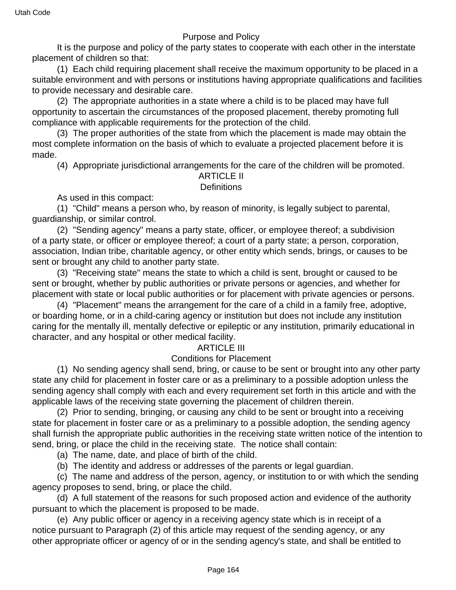### Purpose and Policy

 It is the purpose and policy of the party states to cooperate with each other in the interstate placement of children so that:

 (1) Each child requiring placement shall receive the maximum opportunity to be placed in a suitable environment and with persons or institutions having appropriate qualifications and facilities to provide necessary and desirable care.

 (2) The appropriate authorities in a state where a child is to be placed may have full opportunity to ascertain the circumstances of the proposed placement, thereby promoting full compliance with applicable requirements for the protection of the child.

 (3) The proper authorities of the state from which the placement is made may obtain the most complete information on the basis of which to evaluate a projected placement before it is made.

(4) Appropriate jurisdictional arrangements for the care of the children will be promoted.

### ARTICLE II

#### **Definitions**

As used in this compact:

 (1) "Child" means a person who, by reason of minority, is legally subject to parental, guardianship, or similar control.

 (2) "Sending agency" means a party state, officer, or employee thereof; a subdivision of a party state, or officer or employee thereof; a court of a party state; a person, corporation, association, Indian tribe, charitable agency, or other entity which sends, brings, or causes to be sent or brought any child to another party state.

 (3) "Receiving state" means the state to which a child is sent, brought or caused to be sent or brought, whether by public authorities or private persons or agencies, and whether for placement with state or local public authorities or for placement with private agencies or persons.

 (4) "Placement" means the arrangement for the care of a child in a family free, adoptive, or boarding home, or in a child-caring agency or institution but does not include any institution caring for the mentally ill, mentally defective or epileptic or any institution, primarily educational in character, and any hospital or other medical facility.

### ARTICLE III

### Conditions for Placement

 (1) No sending agency shall send, bring, or cause to be sent or brought into any other party state any child for placement in foster care or as a preliminary to a possible adoption unless the sending agency shall comply with each and every requirement set forth in this article and with the applicable laws of the receiving state governing the placement of children therein.

 (2) Prior to sending, bringing, or causing any child to be sent or brought into a receiving state for placement in foster care or as a preliminary to a possible adoption, the sending agency shall furnish the appropriate public authorities in the receiving state written notice of the intention to send, bring, or place the child in the receiving state. The notice shall contain:

(a) The name, date, and place of birth of the child.

(b) The identity and address or addresses of the parents or legal guardian.

 (c) The name and address of the person, agency, or institution to or with which the sending agency proposes to send, bring, or place the child.

 (d) A full statement of the reasons for such proposed action and evidence of the authority pursuant to which the placement is proposed to be made.

 (e) Any public officer or agency in a receiving agency state which is in receipt of a notice pursuant to Paragraph (2) of this article may request of the sending agency, or any other appropriate officer or agency of or in the sending agency's state, and shall be entitled to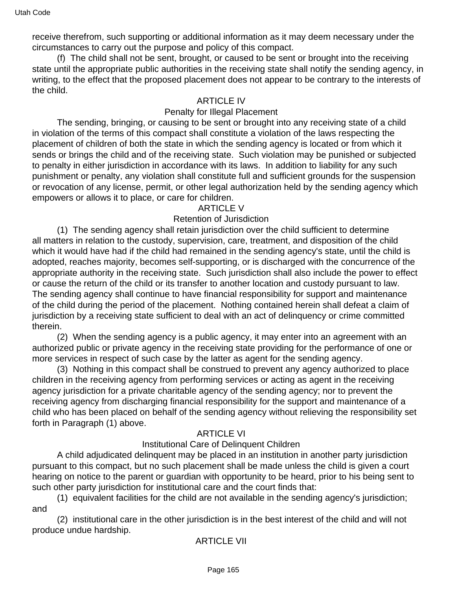receive therefrom, such supporting or additional information as it may deem necessary under the circumstances to carry out the purpose and policy of this compact.

 (f) The child shall not be sent, brought, or caused to be sent or brought into the receiving state until the appropriate public authorities in the receiving state shall notify the sending agency, in writing, to the effect that the proposed placement does not appear to be contrary to the interests of the child.

### **ARTICLE IV**

### Penalty for Illegal Placement

 The sending, bringing, or causing to be sent or brought into any receiving state of a child in violation of the terms of this compact shall constitute a violation of the laws respecting the placement of children of both the state in which the sending agency is located or from which it sends or brings the child and of the receiving state. Such violation may be punished or subjected to penalty in either jurisdiction in accordance with its laws. In addition to liability for any such punishment or penalty, any violation shall constitute full and sufficient grounds for the suspension or revocation of any license, permit, or other legal authorization held by the sending agency which empowers or allows it to place, or care for children.

### ARTICLE V

### Retention of Jurisdiction

 (1) The sending agency shall retain jurisdiction over the child sufficient to determine all matters in relation to the custody, supervision, care, treatment, and disposition of the child which it would have had if the child had remained in the sending agency's state, until the child is adopted, reaches majority, becomes self-supporting, or is discharged with the concurrence of the appropriate authority in the receiving state. Such jurisdiction shall also include the power to effect or cause the return of the child or its transfer to another location and custody pursuant to law. The sending agency shall continue to have financial responsibility for support and maintenance of the child during the period of the placement. Nothing contained herein shall defeat a claim of jurisdiction by a receiving state sufficient to deal with an act of delinquency or crime committed therein.

 (2) When the sending agency is a public agency, it may enter into an agreement with an authorized public or private agency in the receiving state providing for the performance of one or more services in respect of such case by the latter as agent for the sending agency.

 (3) Nothing in this compact shall be construed to prevent any agency authorized to place children in the receiving agency from performing services or acting as agent in the receiving agency jurisdiction for a private charitable agency of the sending agency; nor to prevent the receiving agency from discharging financial responsibility for the support and maintenance of a child who has been placed on behalf of the sending agency without relieving the responsibility set forth in Paragraph (1) above.

### ARTICLE VI

#### Institutional Care of Delinquent Children

 A child adjudicated delinquent may be placed in an institution in another party jurisdiction pursuant to this compact, but no such placement shall be made unless the child is given a court hearing on notice to the parent or guardian with opportunity to be heard, prior to his being sent to such other party jurisdiction for institutional care and the court finds that:

 (1) equivalent facilities for the child are not available in the sending agency's jurisdiction; and

 (2) institutional care in the other jurisdiction is in the best interest of the child and will not produce undue hardship.

#### ARTICLE VII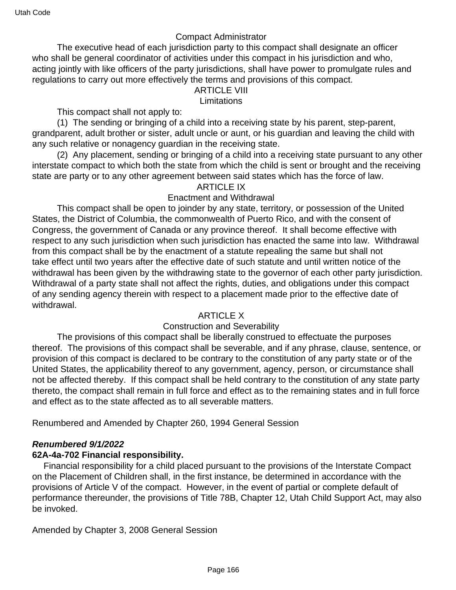### Compact Administrator

 The executive head of each jurisdiction party to this compact shall designate an officer who shall be general coordinator of activities under this compact in his jurisdiction and who, acting jointly with like officers of the party jurisdictions, shall have power to promulgate rules and regulations to carry out more effectively the terms and provisions of this compact.

#### ARTICLE VIII

#### Limitations

This compact shall not apply to:

 (1) The sending or bringing of a child into a receiving state by his parent, step-parent, grandparent, adult brother or sister, adult uncle or aunt, or his guardian and leaving the child with any such relative or nonagency guardian in the receiving state.

 (2) Any placement, sending or bringing of a child into a receiving state pursuant to any other interstate compact to which both the state from which the child is sent or brought and the receiving state are party or to any other agreement between said states which has the force of law.

#### ARTICLE IX

### Enactment and Withdrawal

 This compact shall be open to joinder by any state, territory, or possession of the United States, the District of Columbia, the commonwealth of Puerto Rico, and with the consent of Congress, the government of Canada or any province thereof. It shall become effective with respect to any such jurisdiction when such jurisdiction has enacted the same into law. Withdrawal from this compact shall be by the enactment of a statute repealing the same but shall not take effect until two years after the effective date of such statute and until written notice of the withdrawal has been given by the withdrawing state to the governor of each other party jurisdiction. Withdrawal of a party state shall not affect the rights, duties, and obligations under this compact of any sending agency therein with respect to a placement made prior to the effective date of withdrawal.

#### ARTICLE X

#### Construction and Severability

 The provisions of this compact shall be liberally construed to effectuate the purposes thereof. The provisions of this compact shall be severable, and if any phrase, clause, sentence, or provision of this compact is declared to be contrary to the constitution of any party state or of the United States, the applicability thereof to any government, agency, person, or circumstance shall not be affected thereby. If this compact shall be held contrary to the constitution of any state party thereto, the compact shall remain in full force and effect as to the remaining states and in full force and effect as to the state affected as to all severable matters.

Renumbered and Amended by Chapter 260, 1994 General Session

### **Renumbered 9/1/2022**

#### **62A-4a-702 Financial responsibility.**

 Financial responsibility for a child placed pursuant to the provisions of the Interstate Compact on the Placement of Children shall, in the first instance, be determined in accordance with the provisions of Article V of the compact. However, in the event of partial or complete default of performance thereunder, the provisions of Title 78B, Chapter 12, Utah Child Support Act, may also be invoked.

Amended by Chapter 3, 2008 General Session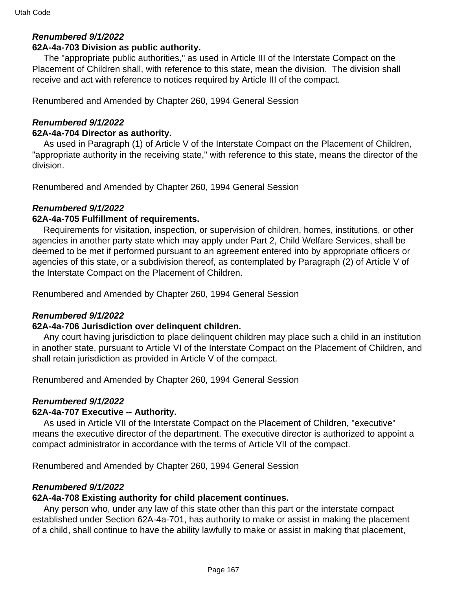### **Renumbered 9/1/2022**

#### **62A-4a-703 Division as public authority.**

 The "appropriate public authorities," as used in Article III of the Interstate Compact on the Placement of Children shall, with reference to this state, mean the division. The division shall receive and act with reference to notices required by Article III of the compact.

Renumbered and Amended by Chapter 260, 1994 General Session

#### **Renumbered 9/1/2022**

#### **62A-4a-704 Director as authority.**

 As used in Paragraph (1) of Article V of the Interstate Compact on the Placement of Children, "appropriate authority in the receiving state," with reference to this state, means the director of the division.

Renumbered and Amended by Chapter 260, 1994 General Session

#### **Renumbered 9/1/2022**

#### **62A-4a-705 Fulfillment of requirements.**

 Requirements for visitation, inspection, or supervision of children, homes, institutions, or other agencies in another party state which may apply under Part 2, Child Welfare Services, shall be deemed to be met if performed pursuant to an agreement entered into by appropriate officers or agencies of this state, or a subdivision thereof, as contemplated by Paragraph (2) of Article V of the Interstate Compact on the Placement of Children.

Renumbered and Amended by Chapter 260, 1994 General Session

#### **Renumbered 9/1/2022**

#### **62A-4a-706 Jurisdiction over delinquent children.**

 Any court having jurisdiction to place delinquent children may place such a child in an institution in another state, pursuant to Article VI of the Interstate Compact on the Placement of Children, and shall retain jurisdiction as provided in Article V of the compact.

Renumbered and Amended by Chapter 260, 1994 General Session

#### **Renumbered 9/1/2022**

#### **62A-4a-707 Executive -- Authority.**

 As used in Article VII of the Interstate Compact on the Placement of Children, "executive" means the executive director of the department. The executive director is authorized to appoint a compact administrator in accordance with the terms of Article VII of the compact.

Renumbered and Amended by Chapter 260, 1994 General Session

#### **Renumbered 9/1/2022**

### **62A-4a-708 Existing authority for child placement continues.**

 Any person who, under any law of this state other than this part or the interstate compact established under Section 62A-4a-701, has authority to make or assist in making the placement of a child, shall continue to have the ability lawfully to make or assist in making that placement,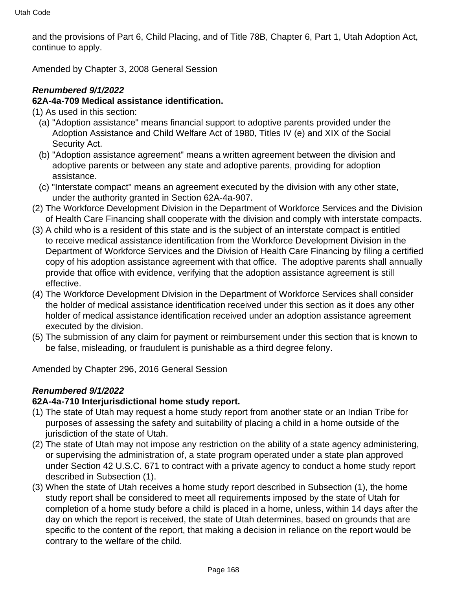and the provisions of Part 6, Child Placing, and of Title 78B, Chapter 6, Part 1, Utah Adoption Act, continue to apply.

Amended by Chapter 3, 2008 General Session

### **Renumbered 9/1/2022**

### **62A-4a-709 Medical assistance identification.**

(1) As used in this section:

- (a) "Adoption assistance" means financial support to adoptive parents provided under the Adoption Assistance and Child Welfare Act of 1980, Titles IV (e) and XIX of the Social Security Act.
- (b) "Adoption assistance agreement" means a written agreement between the division and adoptive parents or between any state and adoptive parents, providing for adoption assistance.
- (c) "Interstate compact" means an agreement executed by the division with any other state, under the authority granted in Section 62A-4a-907.
- (2) The Workforce Development Division in the Department of Workforce Services and the Division of Health Care Financing shall cooperate with the division and comply with interstate compacts.
- (3) A child who is a resident of this state and is the subject of an interstate compact is entitled to receive medical assistance identification from the Workforce Development Division in the Department of Workforce Services and the Division of Health Care Financing by filing a certified copy of his adoption assistance agreement with that office. The adoptive parents shall annually provide that office with evidence, verifying that the adoption assistance agreement is still effective.
- (4) The Workforce Development Division in the Department of Workforce Services shall consider the holder of medical assistance identification received under this section as it does any other holder of medical assistance identification received under an adoption assistance agreement executed by the division.
- (5) The submission of any claim for payment or reimbursement under this section that is known to be false, misleading, or fraudulent is punishable as a third degree felony.

Amended by Chapter 296, 2016 General Session

### **Renumbered 9/1/2022**

#### **62A-4a-710 Interjurisdictional home study report.**

- (1) The state of Utah may request a home study report from another state or an Indian Tribe for purposes of assessing the safety and suitability of placing a child in a home outside of the jurisdiction of the state of Utah.
- (2) The state of Utah may not impose any restriction on the ability of a state agency administering, or supervising the administration of, a state program operated under a state plan approved under Section 42 U.S.C. 671 to contract with a private agency to conduct a home study report described in Subsection (1).
- (3) When the state of Utah receives a home study report described in Subsection (1), the home study report shall be considered to meet all requirements imposed by the state of Utah for completion of a home study before a child is placed in a home, unless, within 14 days after the day on which the report is received, the state of Utah determines, based on grounds that are specific to the content of the report, that making a decision in reliance on the report would be contrary to the welfare of the child.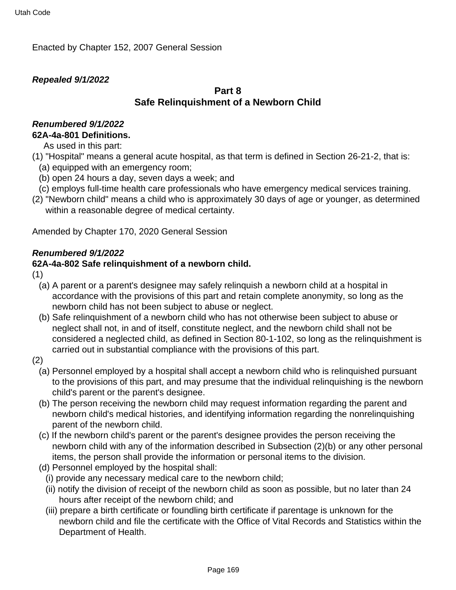Enacted by Chapter 152, 2007 General Session

### **Repealed 9/1/2022**

### **Part 8 Safe Relinquishment of a Newborn Child**

#### **Renumbered 9/1/2022 62A-4a-801 Definitions.**

As used in this part:

- (1) "Hospital" means a general acute hospital, as that term is defined in Section 26-21-2, that is:
	- (a) equipped with an emergency room;
	- (b) open 24 hours a day, seven days a week; and
	- (c) employs full-time health care professionals who have emergency medical services training.
- (2) "Newborn child" means a child who is approximately 30 days of age or younger, as determined within a reasonable degree of medical certainty.

Amended by Chapter 170, 2020 General Session

### **Renumbered 9/1/2022**

### **62A-4a-802 Safe relinquishment of a newborn child.**

(1)

- (a) A parent or a parent's designee may safely relinquish a newborn child at a hospital in accordance with the provisions of this part and retain complete anonymity, so long as the newborn child has not been subject to abuse or neglect.
- (b) Safe relinquishment of a newborn child who has not otherwise been subject to abuse or neglect shall not, in and of itself, constitute neglect, and the newborn child shall not be considered a neglected child, as defined in Section 80-1-102, so long as the relinquishment is carried out in substantial compliance with the provisions of this part.

(2)

- (a) Personnel employed by a hospital shall accept a newborn child who is relinquished pursuant to the provisions of this part, and may presume that the individual relinquishing is the newborn child's parent or the parent's designee.
- (b) The person receiving the newborn child may request information regarding the parent and newborn child's medical histories, and identifying information regarding the nonrelinquishing parent of the newborn child.
- (c) If the newborn child's parent or the parent's designee provides the person receiving the newborn child with any of the information described in Subsection (2)(b) or any other personal items, the person shall provide the information or personal items to the division.
- (d) Personnel employed by the hospital shall:
	- (i) provide any necessary medical care to the newborn child;
	- (ii) notify the division of receipt of the newborn child as soon as possible, but no later than 24 hours after receipt of the newborn child; and
	- (iii) prepare a birth certificate or foundling birth certificate if parentage is unknown for the newborn child and file the certificate with the Office of Vital Records and Statistics within the Department of Health.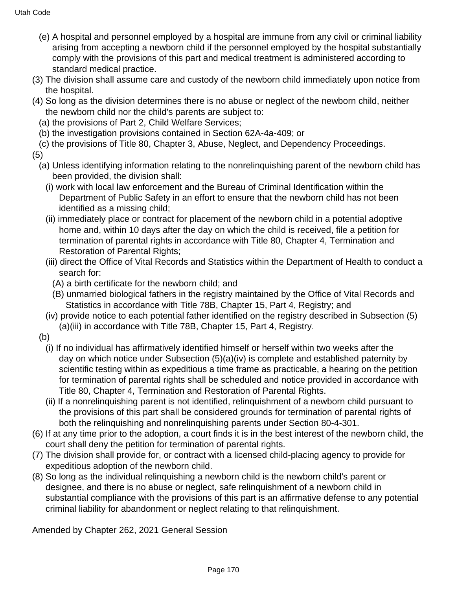- (e) A hospital and personnel employed by a hospital are immune from any civil or criminal liability arising from accepting a newborn child if the personnel employed by the hospital substantially comply with the provisions of this part and medical treatment is administered according to standard medical practice.
- (3) The division shall assume care and custody of the newborn child immediately upon notice from the hospital.
- (4) So long as the division determines there is no abuse or neglect of the newborn child, neither the newborn child nor the child's parents are subject to:
	- (a) the provisions of Part 2, Child Welfare Services;
	- (b) the investigation provisions contained in Section 62A-4a-409; or
	- (c) the provisions of Title 80, Chapter 3, Abuse, Neglect, and Dependency Proceedings.
- (5)
	- (a) Unless identifying information relating to the nonrelinquishing parent of the newborn child has been provided, the division shall:
		- (i) work with local law enforcement and the Bureau of Criminal Identification within the Department of Public Safety in an effort to ensure that the newborn child has not been identified as a missing child;
		- (ii) immediately place or contract for placement of the newborn child in a potential adoptive home and, within 10 days after the day on which the child is received, file a petition for termination of parental rights in accordance with Title 80, Chapter 4, Termination and Restoration of Parental Rights;
		- (iii) direct the Office of Vital Records and Statistics within the Department of Health to conduct a search for:
			- (A) a birth certificate for the newborn child; and
		- (B) unmarried biological fathers in the registry maintained by the Office of Vital Records and Statistics in accordance with Title 78B, Chapter 15, Part 4, Registry; and
		- (iv) provide notice to each potential father identified on the registry described in Subsection (5) (a)(iii) in accordance with Title 78B, Chapter 15, Part 4, Registry.
	- (b)
		- (i) If no individual has affirmatively identified himself or herself within two weeks after the day on which notice under Subsection (5)(a)(iv) is complete and established paternity by scientific testing within as expeditious a time frame as practicable, a hearing on the petition for termination of parental rights shall be scheduled and notice provided in accordance with Title 80, Chapter 4, Termination and Restoration of Parental Rights.
		- (ii) If a nonrelinquishing parent is not identified, relinquishment of a newborn child pursuant to the provisions of this part shall be considered grounds for termination of parental rights of both the relinquishing and nonrelinquishing parents under Section 80-4-301.
- (6) If at any time prior to the adoption, a court finds it is in the best interest of the newborn child, the court shall deny the petition for termination of parental rights.
- (7) The division shall provide for, or contract with a licensed child-placing agency to provide for expeditious adoption of the newborn child.
- (8) So long as the individual relinquishing a newborn child is the newborn child's parent or designee, and there is no abuse or neglect, safe relinquishment of a newborn child in substantial compliance with the provisions of this part is an affirmative defense to any potential criminal liability for abandonment or neglect relating to that relinquishment.

Amended by Chapter 262, 2021 General Session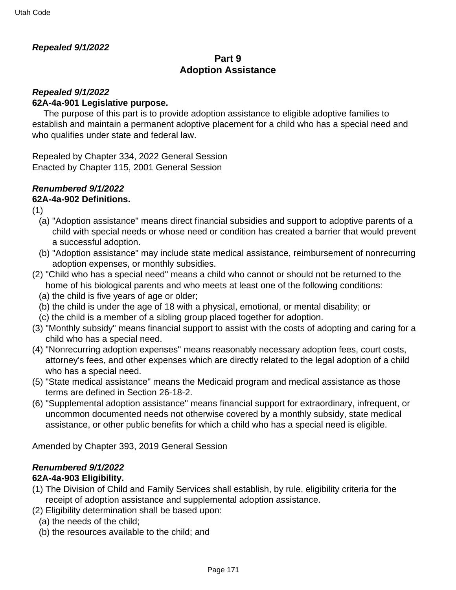#### **Repealed 9/1/2022**

# **Part 9 Adoption Assistance**

#### **Repealed 9/1/2022**

#### **62A-4a-901 Legislative purpose.**

 The purpose of this part is to provide adoption assistance to eligible adoptive families to establish and maintain a permanent adoptive placement for a child who has a special need and who qualifies under state and federal law.

Repealed by Chapter 334, 2022 General Session Enacted by Chapter 115, 2001 General Session

#### **Renumbered 9/1/2022 62A-4a-902 Definitions.**

(1)

- (a) "Adoption assistance" means direct financial subsidies and support to adoptive parents of a child with special needs or whose need or condition has created a barrier that would prevent a successful adoption.
- (b) "Adoption assistance" may include state medical assistance, reimbursement of nonrecurring adoption expenses, or monthly subsidies.
- (2) "Child who has a special need" means a child who cannot or should not be returned to the home of his biological parents and who meets at least one of the following conditions:
	- (a) the child is five years of age or older;
	- (b) the child is under the age of 18 with a physical, emotional, or mental disability; or
	- (c) the child is a member of a sibling group placed together for adoption.
- (3) "Monthly subsidy" means financial support to assist with the costs of adopting and caring for a child who has a special need.
- (4) "Nonrecurring adoption expenses" means reasonably necessary adoption fees, court costs, attorney's fees, and other expenses which are directly related to the legal adoption of a child who has a special need.
- (5) "State medical assistance" means the Medicaid program and medical assistance as those terms are defined in Section 26-18-2.
- (6) "Supplemental adoption assistance" means financial support for extraordinary, infrequent, or uncommon documented needs not otherwise covered by a monthly subsidy, state medical assistance, or other public benefits for which a child who has a special need is eligible.

Amended by Chapter 393, 2019 General Session

### **Renumbered 9/1/2022**

#### **62A-4a-903 Eligibility.**

- (1) The Division of Child and Family Services shall establish, by rule, eligibility criteria for the receipt of adoption assistance and supplemental adoption assistance.
- (2) Eligibility determination shall be based upon:
	- (a) the needs of the child;
	- (b) the resources available to the child; and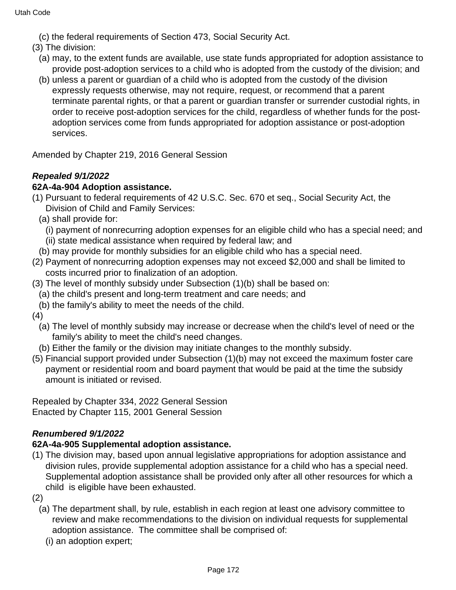(c) the federal requirements of Section 473, Social Security Act.

- (3) The division:
	- (a) may, to the extent funds are available, use state funds appropriated for adoption assistance to provide post-adoption services to a child who is adopted from the custody of the division; and
	- (b) unless a parent or guardian of a child who is adopted from the custody of the division expressly requests otherwise, may not require, request, or recommend that a parent terminate parental rights, or that a parent or guardian transfer or surrender custodial rights, in order to receive post-adoption services for the child, regardless of whether funds for the postadoption services come from funds appropriated for adoption assistance or post-adoption services.

Amended by Chapter 219, 2016 General Session

### **Repealed 9/1/2022**

### **62A-4a-904 Adoption assistance.**

- (1) Pursuant to federal requirements of 42 U.S.C. Sec. 670 et seq., Social Security Act, the Division of Child and Family Services:
	- (a) shall provide for:
		- (i) payment of nonrecurring adoption expenses for an eligible child who has a special need; and
		- (ii) state medical assistance when required by federal law; and
	- (b) may provide for monthly subsidies for an eligible child who has a special need.
- (2) Payment of nonrecurring adoption expenses may not exceed \$2,000 and shall be limited to costs incurred prior to finalization of an adoption.
- (3) The level of monthly subsidy under Subsection (1)(b) shall be based on:
	- (a) the child's present and long-term treatment and care needs; and
	- (b) the family's ability to meet the needs of the child.
- (4)
	- (a) The level of monthly subsidy may increase or decrease when the child's level of need or the family's ability to meet the child's need changes.
- (b) Either the family or the division may initiate changes to the monthly subsidy.
- (5) Financial support provided under Subsection (1)(b) may not exceed the maximum foster care payment or residential room and board payment that would be paid at the time the subsidy amount is initiated or revised.

Repealed by Chapter 334, 2022 General Session Enacted by Chapter 115, 2001 General Session

### **Renumbered 9/1/2022**

### **62A-4a-905 Supplemental adoption assistance.**

- (1) The division may, based upon annual legislative appropriations for adoption assistance and division rules, provide supplemental adoption assistance for a child who has a special need. Supplemental adoption assistance shall be provided only after all other resources for which a child is eligible have been exhausted.
- (2)
	- (a) The department shall, by rule, establish in each region at least one advisory committee to review and make recommendations to the division on individual requests for supplemental adoption assistance. The committee shall be comprised of:
		- (i) an adoption expert;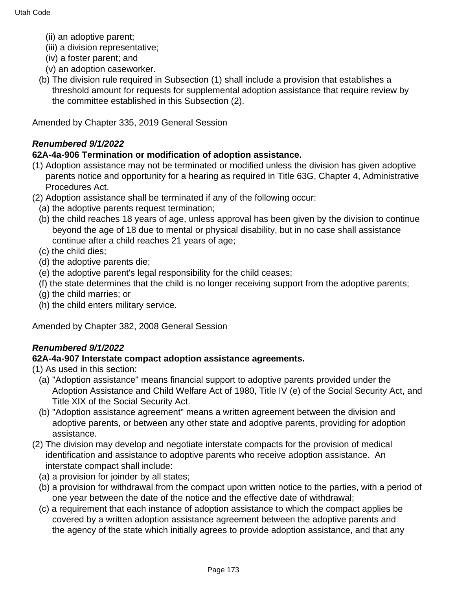- (ii) an adoptive parent;
- (iii) a division representative;
- (iv) a foster parent; and
- (v) an adoption caseworker.
- (b) The division rule required in Subsection (1) shall include a provision that establishes a threshold amount for requests for supplemental adoption assistance that require review by the committee established in this Subsection (2).

Amended by Chapter 335, 2019 General Session

### **Renumbered 9/1/2022**

#### **62A-4a-906 Termination or modification of adoption assistance.**

- (1) Adoption assistance may not be terminated or modified unless the division has given adoptive parents notice and opportunity for a hearing as required in Title 63G, Chapter 4, Administrative Procedures Act.
- (2) Adoption assistance shall be terminated if any of the following occur:
	- (a) the adoptive parents request termination;
	- (b) the child reaches 18 years of age, unless approval has been given by the division to continue beyond the age of 18 due to mental or physical disability, but in no case shall assistance continue after a child reaches 21 years of age;
	- (c) the child dies;
	- (d) the adoptive parents die;
	- (e) the adoptive parent's legal responsibility for the child ceases;
	- (f) the state determines that the child is no longer receiving support from the adoptive parents;
	- (g) the child marries; or
	- (h) the child enters military service.

Amended by Chapter 382, 2008 General Session

### **Renumbered 9/1/2022**

#### **62A-4a-907 Interstate compact adoption assistance agreements.**

(1) As used in this section:

- (a) "Adoption assistance" means financial support to adoptive parents provided under the Adoption Assistance and Child Welfare Act of 1980, Title IV (e) of the Social Security Act, and Title XIX of the Social Security Act.
- (b) "Adoption assistance agreement" means a written agreement between the division and adoptive parents, or between any other state and adoptive parents, providing for adoption assistance.
- (2) The division may develop and negotiate interstate compacts for the provision of medical identification and assistance to adoptive parents who receive adoption assistance. An interstate compact shall include:
	- (a) a provision for joinder by all states;
	- (b) a provision for withdrawal from the compact upon written notice to the parties, with a period of one year between the date of the notice and the effective date of withdrawal;
	- (c) a requirement that each instance of adoption assistance to which the compact applies be covered by a written adoption assistance agreement between the adoptive parents and the agency of the state which initially agrees to provide adoption assistance, and that any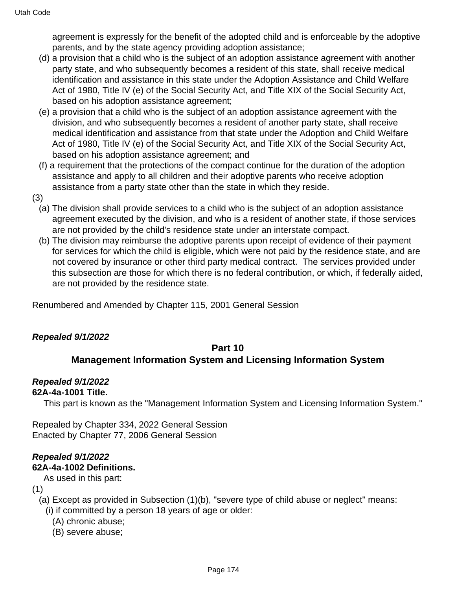agreement is expressly for the benefit of the adopted child and is enforceable by the adoptive parents, and by the state agency providing adoption assistance;

- (d) a provision that a child who is the subject of an adoption assistance agreement with another party state, and who subsequently becomes a resident of this state, shall receive medical identification and assistance in this state under the Adoption Assistance and Child Welfare Act of 1980, Title IV (e) of the Social Security Act, and Title XIX of the Social Security Act, based on his adoption assistance agreement;
- (e) a provision that a child who is the subject of an adoption assistance agreement with the division, and who subsequently becomes a resident of another party state, shall receive medical identification and assistance from that state under the Adoption and Child Welfare Act of 1980, Title IV (e) of the Social Security Act, and Title XIX of the Social Security Act, based on his adoption assistance agreement; and
- (f) a requirement that the protections of the compact continue for the duration of the adoption assistance and apply to all children and their adoptive parents who receive adoption assistance from a party state other than the state in which they reside.
- (3)
	- (a) The division shall provide services to a child who is the subject of an adoption assistance agreement executed by the division, and who is a resident of another state, if those services are not provided by the child's residence state under an interstate compact.
	- (b) The division may reimburse the adoptive parents upon receipt of evidence of their payment for services for which the child is eligible, which were not paid by the residence state, and are not covered by insurance or other third party medical contract. The services provided under this subsection are those for which there is no federal contribution, or which, if federally aided, are not provided by the residence state.

Renumbered and Amended by Chapter 115, 2001 General Session

### **Repealed 9/1/2022**

# **Part 10**

# **Management Information System and Licensing Information System**

### **Repealed 9/1/2022**

### **62A-4a-1001 Title.**

This part is known as the "Management Information System and Licensing Information System."

Repealed by Chapter 334, 2022 General Session Enacted by Chapter 77, 2006 General Session

#### **Repealed 9/1/2022 62A-4a-1002 Definitions.**

As used in this part:

(1)

- (a) Except as provided in Subsection (1)(b), "severe type of child abuse or neglect" means:
	- (i) if committed by a person 18 years of age or older:
		- (A) chronic abuse;
		- (B) severe abuse;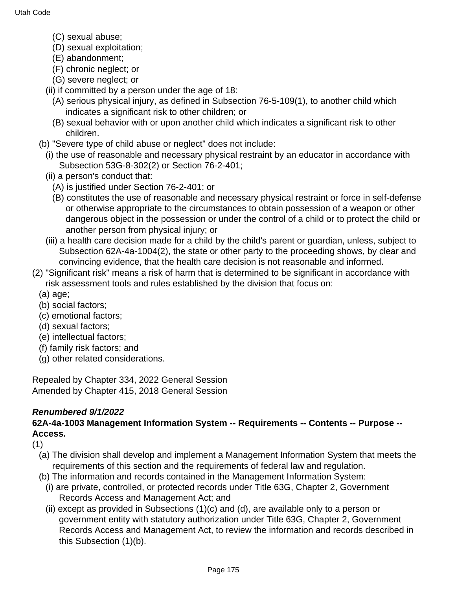- (C) sexual abuse;
- (D) sexual exploitation;
- (E) abandonment;
- (F) chronic neglect; or
- (G) severe neglect; or
- (ii) if committed by a person under the age of 18:
	- (A) serious physical injury, as defined in Subsection 76-5-109(1), to another child which indicates a significant risk to other children; or
	- (B) sexual behavior with or upon another child which indicates a significant risk to other children.
- (b) "Severe type of child abuse or neglect" does not include:
- (i) the use of reasonable and necessary physical restraint by an educator in accordance with Subsection 53G-8-302(2) or Section 76-2-401;
- (ii) a person's conduct that:
	- (A) is justified under Section 76-2-401; or
	- (B) constitutes the use of reasonable and necessary physical restraint or force in self-defense or otherwise appropriate to the circumstances to obtain possession of a weapon or other dangerous object in the possession or under the control of a child or to protect the child or another person from physical injury; or
- (iii) a health care decision made for a child by the child's parent or guardian, unless, subject to Subsection 62A-4a-1004(2), the state or other party to the proceeding shows, by clear and convincing evidence, that the health care decision is not reasonable and informed.
- (2) "Significant risk" means a risk of harm that is determined to be significant in accordance with risk assessment tools and rules established by the division that focus on:
	- (a) age;
	- (b) social factors;
	- (c) emotional factors;
	- (d) sexual factors;
	- (e) intellectual factors;
	- (f) family risk factors; and
	- (g) other related considerations.

Repealed by Chapter 334, 2022 General Session Amended by Chapter 415, 2018 General Session

# **Renumbered 9/1/2022**

### **62A-4a-1003 Management Information System -- Requirements -- Contents -- Purpose -- Access.**

- (1)
	- (a) The division shall develop and implement a Management Information System that meets the requirements of this section and the requirements of federal law and regulation.
	- (b) The information and records contained in the Management Information System:
		- (i) are private, controlled, or protected records under Title 63G, Chapter 2, Government Records Access and Management Act; and
		- (ii) except as provided in Subsections (1)(c) and (d), are available only to a person or government entity with statutory authorization under Title 63G, Chapter 2, Government Records Access and Management Act, to review the information and records described in this Subsection (1)(b).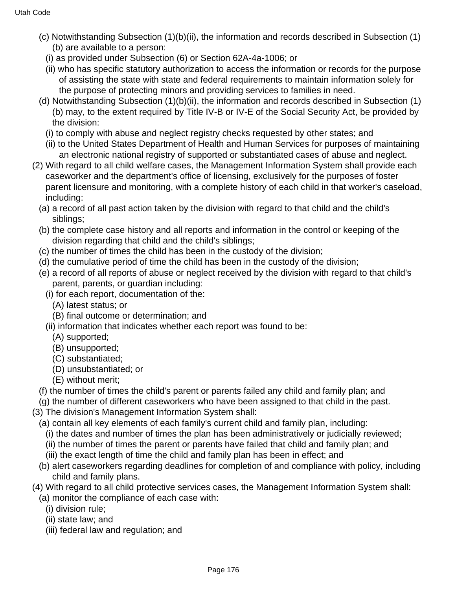- (c) Notwithstanding Subsection (1)(b)(ii), the information and records described in Subsection (1) (b) are available to a person:
	- (i) as provided under Subsection (6) or Section 62A-4a-1006; or
	- (ii) who has specific statutory authorization to access the information or records for the purpose of assisting the state with state and federal requirements to maintain information solely for the purpose of protecting minors and providing services to families in need.
- (d) Notwithstanding Subsection (1)(b)(ii), the information and records described in Subsection (1) (b) may, to the extent required by Title IV-B or IV-E of the Social Security Act, be provided by the division:
	- (i) to comply with abuse and neglect registry checks requested by other states; and
	- (ii) to the United States Department of Health and Human Services for purposes of maintaining an electronic national registry of supported or substantiated cases of abuse and neglect.
- (2) With regard to all child welfare cases, the Management Information System shall provide each caseworker and the department's office of licensing, exclusively for the purposes of foster parent licensure and monitoring, with a complete history of each child in that worker's caseload, including:
	- (a) a record of all past action taken by the division with regard to that child and the child's siblings;
	- (b) the complete case history and all reports and information in the control or keeping of the division regarding that child and the child's siblings;
	- (c) the number of times the child has been in the custody of the division;
	- (d) the cumulative period of time the child has been in the custody of the division;
	- (e) a record of all reports of abuse or neglect received by the division with regard to that child's parent, parents, or guardian including:
		- (i) for each report, documentation of the:
			- (A) latest status; or
			- (B) final outcome or determination; and
		- (ii) information that indicates whether each report was found to be:
			- (A) supported;
			- (B) unsupported;
			- (C) substantiated;
			- (D) unsubstantiated; or
			- (E) without merit;
	- (f) the number of times the child's parent or parents failed any child and family plan; and
	- (g) the number of different caseworkers who have been assigned to that child in the past.
- (3) The division's Management Information System shall:
	- (a) contain all key elements of each family's current child and family plan, including:
		- (i) the dates and number of times the plan has been administratively or judicially reviewed;
		- (ii) the number of times the parent or parents have failed that child and family plan; and
		- (iii) the exact length of time the child and family plan has been in effect; and
	- (b) alert caseworkers regarding deadlines for completion of and compliance with policy, including child and family plans.
- (4) With regard to all child protective services cases, the Management Information System shall:
	- (a) monitor the compliance of each case with:
		- (i) division rule;
		- (ii) state law; and
		- (iii) federal law and regulation; and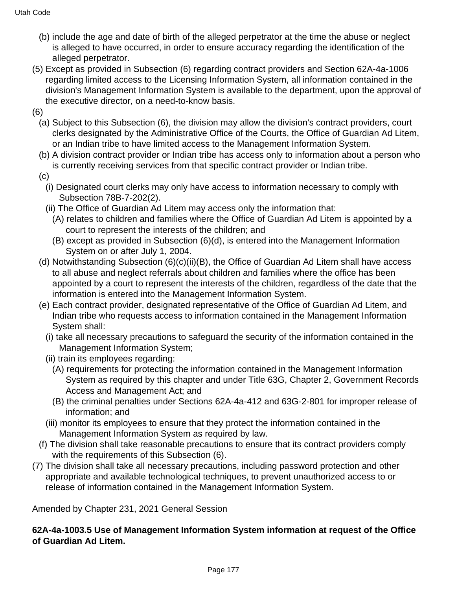- (b) include the age and date of birth of the alleged perpetrator at the time the abuse or neglect is alleged to have occurred, in order to ensure accuracy regarding the identification of the alleged perpetrator.
- (5) Except as provided in Subsection (6) regarding contract providers and Section 62A-4a-1006 regarding limited access to the Licensing Information System, all information contained in the division's Management Information System is available to the department, upon the approval of the executive director, on a need-to-know basis.
- (6)
	- (a) Subject to this Subsection (6), the division may allow the division's contract providers, court clerks designated by the Administrative Office of the Courts, the Office of Guardian Ad Litem, or an Indian tribe to have limited access to the Management Information System.
	- (b) A division contract provider or Indian tribe has access only to information about a person who is currently receiving services from that specific contract provider or Indian tribe.
	- (c)
		- (i) Designated court clerks may only have access to information necessary to comply with Subsection 78B-7-202(2).
		- (ii) The Office of Guardian Ad Litem may access only the information that:
			- (A) relates to children and families where the Office of Guardian Ad Litem is appointed by a court to represent the interests of the children; and
			- (B) except as provided in Subsection (6)(d), is entered into the Management Information System on or after July 1, 2004.
	- (d) Notwithstanding Subsection (6)(c)(ii)(B), the Office of Guardian Ad Litem shall have access to all abuse and neglect referrals about children and families where the office has been appointed by a court to represent the interests of the children, regardless of the date that the information is entered into the Management Information System.
	- (e) Each contract provider, designated representative of the Office of Guardian Ad Litem, and Indian tribe who requests access to information contained in the Management Information System shall:
		- (i) take all necessary precautions to safeguard the security of the information contained in the Management Information System;
		- (ii) train its employees regarding:
			- (A) requirements for protecting the information contained in the Management Information System as required by this chapter and under Title 63G, Chapter 2, Government Records Access and Management Act; and
			- (B) the criminal penalties under Sections 62A-4a-412 and 63G-2-801 for improper release of information; and
		- (iii) monitor its employees to ensure that they protect the information contained in the Management Information System as required by law.
	- (f) The division shall take reasonable precautions to ensure that its contract providers comply with the requirements of this Subsection (6).
- (7) The division shall take all necessary precautions, including password protection and other appropriate and available technological techniques, to prevent unauthorized access to or release of information contained in the Management Information System.

Amended by Chapter 231, 2021 General Session

### **62A-4a-1003.5 Use of Management Information System information at request of the Office of Guardian Ad Litem.**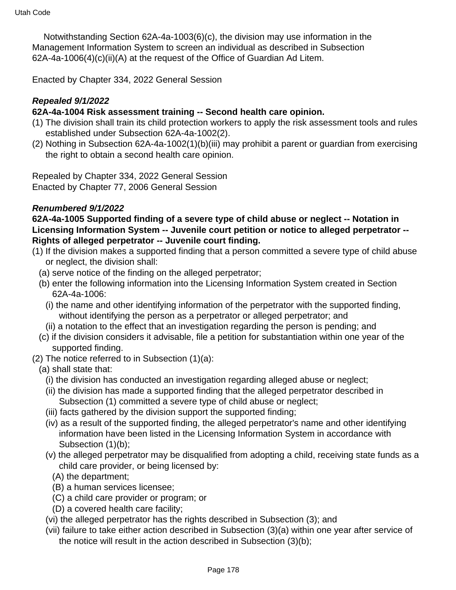Notwithstanding Section 62A-4a-1003(6)(c), the division may use information in the Management Information System to screen an individual as described in Subsection 62A-4a-1006(4)(c)(ii)(A) at the request of the Office of Guardian Ad Litem.

Enacted by Chapter 334, 2022 General Session

### **Repealed 9/1/2022**

#### **62A-4a-1004 Risk assessment training -- Second health care opinion.**

- (1) The division shall train its child protection workers to apply the risk assessment tools and rules established under Subsection 62A-4a-1002(2).
- (2) Nothing in Subsection 62A-4a-1002(1)(b)(iii) may prohibit a parent or guardian from exercising the right to obtain a second health care opinion.

Repealed by Chapter 334, 2022 General Session Enacted by Chapter 77, 2006 General Session

### **Renumbered 9/1/2022**

**62A-4a-1005 Supported finding of a severe type of child abuse or neglect -- Notation in Licensing Information System -- Juvenile court petition or notice to alleged perpetrator -- Rights of alleged perpetrator -- Juvenile court finding.**

- (1) If the division makes a supported finding that a person committed a severe type of child abuse or neglect, the division shall:
	- (a) serve notice of the finding on the alleged perpetrator;
	- (b) enter the following information into the Licensing Information System created in Section 62A-4a-1006:
		- (i) the name and other identifying information of the perpetrator with the supported finding, without identifying the person as a perpetrator or alleged perpetrator; and
		- (ii) a notation to the effect that an investigation regarding the person is pending; and
	- (c) if the division considers it advisable, file a petition for substantiation within one year of the supported finding.
- (2) The notice referred to in Subsection  $(1)(a)$ :
	- (a) shall state that:
		- (i) the division has conducted an investigation regarding alleged abuse or neglect;
		- (ii) the division has made a supported finding that the alleged perpetrator described in Subsection (1) committed a severe type of child abuse or neglect;
		- (iii) facts gathered by the division support the supported finding;
		- (iv) as a result of the supported finding, the alleged perpetrator's name and other identifying information have been listed in the Licensing Information System in accordance with Subsection (1)(b);
		- (v) the alleged perpetrator may be disqualified from adopting a child, receiving state funds as a child care provider, or being licensed by:
			- (A) the department;
			- (B) a human services licensee;
			- (C) a child care provider or program; or
			- (D) a covered health care facility;
		- (vi) the alleged perpetrator has the rights described in Subsection (3); and
		- (vii) failure to take either action described in Subsection (3)(a) within one year after service of the notice will result in the action described in Subsection (3)(b);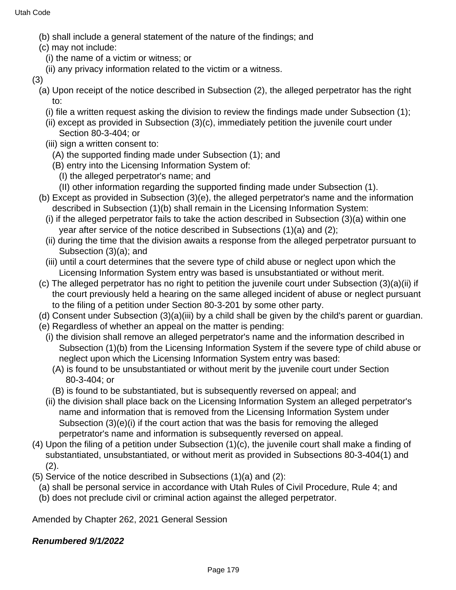- (b) shall include a general statement of the nature of the findings; and
- (c) may not include:
	- (i) the name of a victim or witness; or
	- (ii) any privacy information related to the victim or a witness.

(3)

- (a) Upon receipt of the notice described in Subsection (2), the alleged perpetrator has the right to:
	- (i) file a written request asking the division to review the findings made under Subsection (1);
	- (ii) except as provided in Subsection (3)(c), immediately petition the juvenile court under Section 80-3-404; or
	- (iii) sign a written consent to:
		- (A) the supported finding made under Subsection (1); and
		- (B) entry into the Licensing Information System of:
			- (I) the alleged perpetrator's name; and
			- (II) other information regarding the supported finding made under Subsection (1).
- (b) Except as provided in Subsection (3)(e), the alleged perpetrator's name and the information described in Subsection (1)(b) shall remain in the Licensing Information System:
	- (i) if the alleged perpetrator fails to take the action described in Subsection (3)(a) within one year after service of the notice described in Subsections (1)(a) and (2);
	- (ii) during the time that the division awaits a response from the alleged perpetrator pursuant to Subsection (3)(a); and
	- (iii) until a court determines that the severe type of child abuse or neglect upon which the Licensing Information System entry was based is unsubstantiated or without merit.
- (c) The alleged perpetrator has no right to petition the juvenile court under Subsection (3)(a)(ii) if the court previously held a hearing on the same alleged incident of abuse or neglect pursuant to the filing of a petition under Section 80-3-201 by some other party.
- (d) Consent under Subsection (3)(a)(iii) by a child shall be given by the child's parent or guardian.
- (e) Regardless of whether an appeal on the matter is pending:
	- (i) the division shall remove an alleged perpetrator's name and the information described in Subsection (1)(b) from the Licensing Information System if the severe type of child abuse or neglect upon which the Licensing Information System entry was based:
		- (A) is found to be unsubstantiated or without merit by the juvenile court under Section 80-3-404; or
		- (B) is found to be substantiated, but is subsequently reversed on appeal; and
	- (ii) the division shall place back on the Licensing Information System an alleged perpetrator's name and information that is removed from the Licensing Information System under Subsection  $(3)(e)(i)$  if the court action that was the basis for removing the alleged perpetrator's name and information is subsequently reversed on appeal.
- (4) Upon the filing of a petition under Subsection (1)(c), the juvenile court shall make a finding of substantiated, unsubstantiated, or without merit as provided in Subsections 80-3-404(1) and  $(2).$
- (5) Service of the notice described in Subsections (1)(a) and (2):
	- (a) shall be personal service in accordance with Utah Rules of Civil Procedure, Rule 4; and
	- (b) does not preclude civil or criminal action against the alleged perpetrator.

Amended by Chapter 262, 2021 General Session

# **Renumbered 9/1/2022**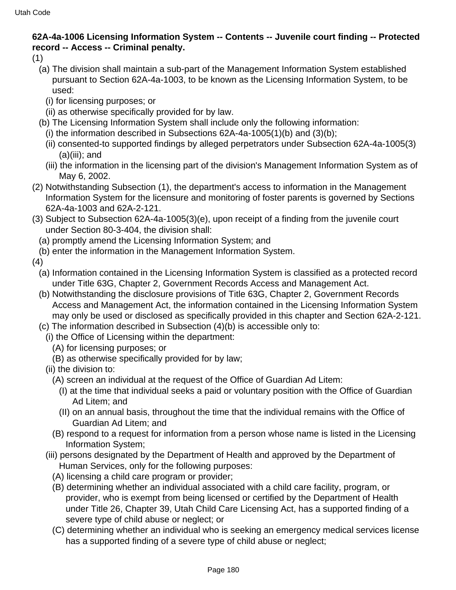# **62A-4a-1006 Licensing Information System -- Contents -- Juvenile court finding -- Protected record -- Access -- Criminal penalty.**

(1)

- (a) The division shall maintain a sub-part of the Management Information System established pursuant to Section 62A-4a-1003, to be known as the Licensing Information System, to be used:
	- (i) for licensing purposes; or
	- (ii) as otherwise specifically provided for by law.
- (b) The Licensing Information System shall include only the following information:
	- (i) the information described in Subsections  $62A-4a-1005(1)(b)$  and  $(3)(b)$ ;
	- (ii) consented-to supported findings by alleged perpetrators under Subsection 62A-4a-1005(3) (a)(iii); and
	- (iii) the information in the licensing part of the division's Management Information System as of May 6, 2002.
- (2) Notwithstanding Subsection (1), the department's access to information in the Management Information System for the licensure and monitoring of foster parents is governed by Sections 62A-4a-1003 and 62A-2-121.
- (3) Subject to Subsection 62A-4a-1005(3)(e), upon receipt of a finding from the juvenile court under Section 80-3-404, the division shall:
	- (a) promptly amend the Licensing Information System; and
	- (b) enter the information in the Management Information System.
- (4)
	- (a) Information contained in the Licensing Information System is classified as a protected record under Title 63G, Chapter 2, Government Records Access and Management Act.
	- (b) Notwithstanding the disclosure provisions of Title 63G, Chapter 2, Government Records Access and Management Act, the information contained in the Licensing Information System may only be used or disclosed as specifically provided in this chapter and Section 62A-2-121.
	- (c) The information described in Subsection (4)(b) is accessible only to:
		- (i) the Office of Licensing within the department:
			- (A) for licensing purposes; or
			- (B) as otherwise specifically provided for by law;
		- (ii) the division to:
			- (A) screen an individual at the request of the Office of Guardian Ad Litem:
				- (I) at the time that individual seeks a paid or voluntary position with the Office of Guardian Ad Litem; and
				- (II) on an annual basis, throughout the time that the individual remains with the Office of Guardian Ad Litem; and
			- (B) respond to a request for information from a person whose name is listed in the Licensing Information System;
		- (iii) persons designated by the Department of Health and approved by the Department of Human Services, only for the following purposes:
			- (A) licensing a child care program or provider;
			- (B) determining whether an individual associated with a child care facility, program, or provider, who is exempt from being licensed or certified by the Department of Health under Title 26, Chapter 39, Utah Child Care Licensing Act, has a supported finding of a severe type of child abuse or neglect; or
			- (C) determining whether an individual who is seeking an emergency medical services license has a supported finding of a severe type of child abuse or neglect;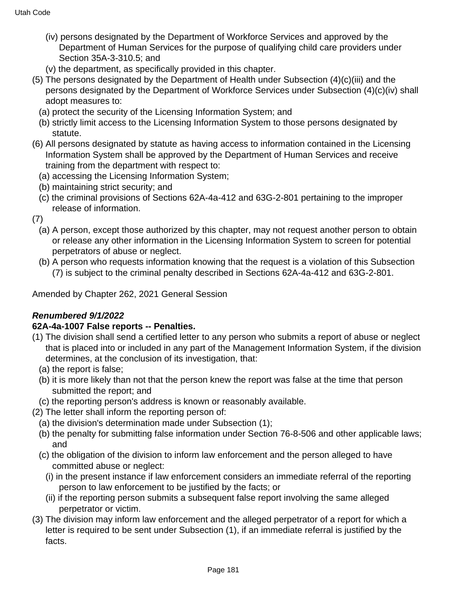- (iv) persons designated by the Department of Workforce Services and approved by the Department of Human Services for the purpose of qualifying child care providers under Section 35A-3-310.5; and
- (v) the department, as specifically provided in this chapter.
- (5) The persons designated by the Department of Health under Subsection (4)(c)(iii) and the persons designated by the Department of Workforce Services under Subsection (4)(c)(iv) shall adopt measures to:
	- (a) protect the security of the Licensing Information System; and
	- (b) strictly limit access to the Licensing Information System to those persons designated by statute.
- (6) All persons designated by statute as having access to information contained in the Licensing Information System shall be approved by the Department of Human Services and receive training from the department with respect to:
	- (a) accessing the Licensing Information System;
	- (b) maintaining strict security; and
	- (c) the criminal provisions of Sections 62A-4a-412 and 63G-2-801 pertaining to the improper release of information.
- (7)
	- (a) A person, except those authorized by this chapter, may not request another person to obtain or release any other information in the Licensing Information System to screen for potential perpetrators of abuse or neglect.
	- (b) A person who requests information knowing that the request is a violation of this Subsection (7) is subject to the criminal penalty described in Sections 62A-4a-412 and 63G-2-801.

Amended by Chapter 262, 2021 General Session

## **Renumbered 9/1/2022**

#### **62A-4a-1007 False reports -- Penalties.**

- (1) The division shall send a certified letter to any person who submits a report of abuse or neglect that is placed into or included in any part of the Management Information System, if the division determines, at the conclusion of its investigation, that:
	- (a) the report is false;
	- (b) it is more likely than not that the person knew the report was false at the time that person submitted the report; and
	- (c) the reporting person's address is known or reasonably available.
- (2) The letter shall inform the reporting person of:
	- (a) the division's determination made under Subsection (1);
	- (b) the penalty for submitting false information under Section 76-8-506 and other applicable laws; and
	- (c) the obligation of the division to inform law enforcement and the person alleged to have committed abuse or neglect:
		- (i) in the present instance if law enforcement considers an immediate referral of the reporting person to law enforcement to be justified by the facts; or
		- (ii) if the reporting person submits a subsequent false report involving the same alleged perpetrator or victim.
- (3) The division may inform law enforcement and the alleged perpetrator of a report for which a letter is required to be sent under Subsection (1), if an immediate referral is justified by the facts.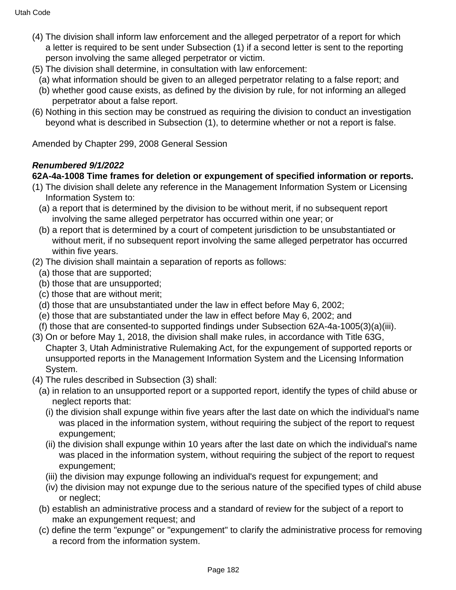- (4) The division shall inform law enforcement and the alleged perpetrator of a report for which a letter is required to be sent under Subsection (1) if a second letter is sent to the reporting person involving the same alleged perpetrator or victim.
- (5) The division shall determine, in consultation with law enforcement:
	- (a) what information should be given to an alleged perpetrator relating to a false report; and
	- (b) whether good cause exists, as defined by the division by rule, for not informing an alleged perpetrator about a false report.
- (6) Nothing in this section may be construed as requiring the division to conduct an investigation beyond what is described in Subsection (1), to determine whether or not a report is false.

Amended by Chapter 299, 2008 General Session

# **Renumbered 9/1/2022**

# **62A-4a-1008 Time frames for deletion or expungement of specified information or reports.**

- (1) The division shall delete any reference in the Management Information System or Licensing Information System to:
	- (a) a report that is determined by the division to be without merit, if no subsequent report involving the same alleged perpetrator has occurred within one year; or
	- (b) a report that is determined by a court of competent jurisdiction to be unsubstantiated or without merit, if no subsequent report involving the same alleged perpetrator has occurred within five years.
- (2) The division shall maintain a separation of reports as follows:
	- (a) those that are supported;
	- (b) those that are unsupported;
	- (c) those that are without merit;
	- (d) those that are unsubstantiated under the law in effect before May 6, 2002;
	- (e) those that are substantiated under the law in effect before May 6, 2002; and
	- (f) those that are consented-to supported findings under Subsection 62A-4a-1005(3)(a)(iii).
- (3) On or before May 1, 2018, the division shall make rules, in accordance with Title 63G, Chapter 3, Utah Administrative Rulemaking Act, for the expungement of supported reports or unsupported reports in the Management Information System and the Licensing Information System.
- (4) The rules described in Subsection (3) shall:
	- (a) in relation to an unsupported report or a supported report, identify the types of child abuse or neglect reports that:
		- (i) the division shall expunge within five years after the last date on which the individual's name was placed in the information system, without requiring the subject of the report to request expungement;
		- (ii) the division shall expunge within 10 years after the last date on which the individual's name was placed in the information system, without requiring the subject of the report to request expungement;
		- (iii) the division may expunge following an individual's request for expungement; and
		- (iv) the division may not expunge due to the serious nature of the specified types of child abuse or neglect;
	- (b) establish an administrative process and a standard of review for the subject of a report to make an expungement request; and
	- (c) define the term "expunge" or "expungement" to clarify the administrative process for removing a record from the information system.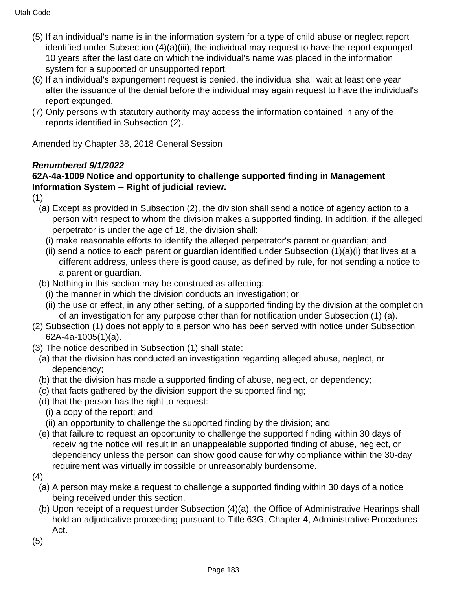- (5) If an individual's name is in the information system for a type of child abuse or neglect report identified under Subsection (4)(a)(iii), the individual may request to have the report expunged 10 years after the last date on which the individual's name was placed in the information system for a supported or unsupported report.
- (6) If an individual's expungement request is denied, the individual shall wait at least one year after the issuance of the denial before the individual may again request to have the individual's report expunged.
- (7) Only persons with statutory authority may access the information contained in any of the reports identified in Subsection (2).

Amended by Chapter 38, 2018 General Session

## **Renumbered 9/1/2022**

## **62A-4a-1009 Notice and opportunity to challenge supported finding in Management Information System -- Right of judicial review.**

- (1)
	- (a) Except as provided in Subsection (2), the division shall send a notice of agency action to a person with respect to whom the division makes a supported finding. In addition, if the alleged perpetrator is under the age of 18, the division shall:
		- (i) make reasonable efforts to identify the alleged perpetrator's parent or guardian; and
		- (ii) send a notice to each parent or guardian identified under Subsection (1)(a)(i) that lives at a different address, unless there is good cause, as defined by rule, for not sending a notice to a parent or guardian.
	- (b) Nothing in this section may be construed as affecting:
		- (i) the manner in which the division conducts an investigation; or
		- (ii) the use or effect, in any other setting, of a supported finding by the division at the completion of an investigation for any purpose other than for notification under Subsection (1) (a).
- (2) Subsection (1) does not apply to a person who has been served with notice under Subsection 62A-4a-1005(1)(a).
- (3) The notice described in Subsection (1) shall state:
	- (a) that the division has conducted an investigation regarding alleged abuse, neglect, or dependency;
	- (b) that the division has made a supported finding of abuse, neglect, or dependency;
	- (c) that facts gathered by the division support the supported finding;
	- (d) that the person has the right to request:
		- (i) a copy of the report; and
		- (ii) an opportunity to challenge the supported finding by the division; and
	- (e) that failure to request an opportunity to challenge the supported finding within 30 days of receiving the notice will result in an unappealable supported finding of abuse, neglect, or dependency unless the person can show good cause for why compliance within the 30-day requirement was virtually impossible or unreasonably burdensome.
- (4)
	- (a) A person may make a request to challenge a supported finding within 30 days of a notice being received under this section.
	- (b) Upon receipt of a request under Subsection (4)(a), the Office of Administrative Hearings shall hold an adjudicative proceeding pursuant to Title 63G, Chapter 4, Administrative Procedures Act.
- (5)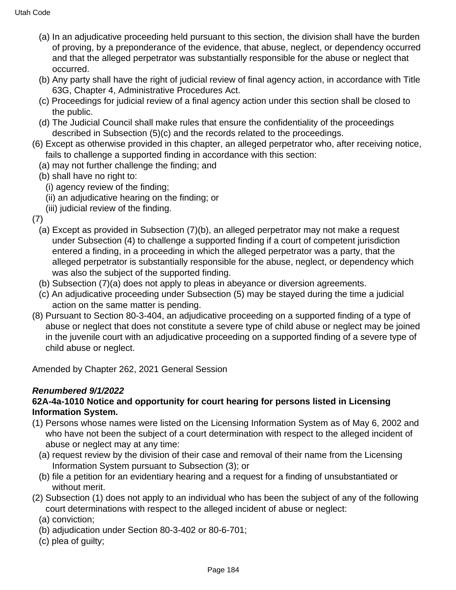- (a) In an adjudicative proceeding held pursuant to this section, the division shall have the burden of proving, by a preponderance of the evidence, that abuse, neglect, or dependency occurred and that the alleged perpetrator was substantially responsible for the abuse or neglect that occurred.
- (b) Any party shall have the right of judicial review of final agency action, in accordance with Title 63G, Chapter 4, Administrative Procedures Act.
- (c) Proceedings for judicial review of a final agency action under this section shall be closed to the public.
- (d) The Judicial Council shall make rules that ensure the confidentiality of the proceedings described in Subsection (5)(c) and the records related to the proceedings.
- (6) Except as otherwise provided in this chapter, an alleged perpetrator who, after receiving notice, fails to challenge a supported finding in accordance with this section:
	- (a) may not further challenge the finding; and
	- (b) shall have no right to:
		- (i) agency review of the finding;
		- (ii) an adjudicative hearing on the finding; or
	- (iii) judicial review of the finding.
- (7)
	- (a) Except as provided in Subsection (7)(b), an alleged perpetrator may not make a request under Subsection (4) to challenge a supported finding if a court of competent jurisdiction entered a finding, in a proceeding in which the alleged perpetrator was a party, that the alleged perpetrator is substantially responsible for the abuse, neglect, or dependency which was also the subject of the supported finding.
	- (b) Subsection (7)(a) does not apply to pleas in abeyance or diversion agreements.
	- (c) An adjudicative proceeding under Subsection (5) may be stayed during the time a judicial action on the same matter is pending.
- (8) Pursuant to Section 80-3-404, an adjudicative proceeding on a supported finding of a type of abuse or neglect that does not constitute a severe type of child abuse or neglect may be joined in the juvenile court with an adjudicative proceeding on a supported finding of a severe type of child abuse or neglect.

Amended by Chapter 262, 2021 General Session

## **Renumbered 9/1/2022**

## **62A-4a-1010 Notice and opportunity for court hearing for persons listed in Licensing Information System.**

- (1) Persons whose names were listed on the Licensing Information System as of May 6, 2002 and who have not been the subject of a court determination with respect to the alleged incident of abuse or neglect may at any time:
	- (a) request review by the division of their case and removal of their name from the Licensing Information System pursuant to Subsection (3); or
	- (b) file a petition for an evidentiary hearing and a request for a finding of unsubstantiated or without merit.
- (2) Subsection (1) does not apply to an individual who has been the subject of any of the following court determinations with respect to the alleged incident of abuse or neglect:
	- (a) conviction;
	- (b) adjudication under Section 80-3-402 or 80-6-701;
	- (c) plea of guilty;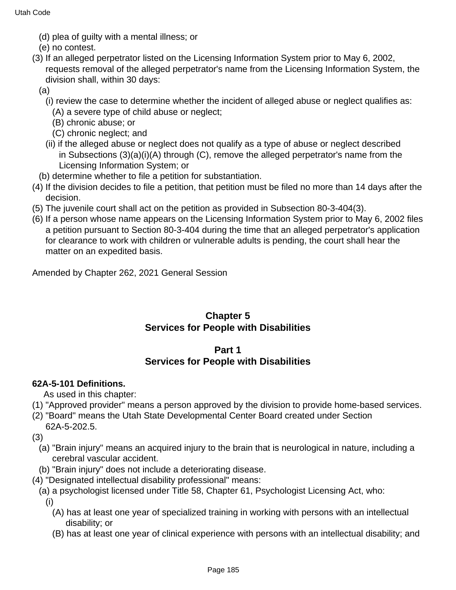- (d) plea of guilty with a mental illness; or
- (e) no contest.
- (3) If an alleged perpetrator listed on the Licensing Information System prior to May 6, 2002, requests removal of the alleged perpetrator's name from the Licensing Information System, the division shall, within 30 days:
	- (a)
		- (i) review the case to determine whether the incident of alleged abuse or neglect qualifies as:
		- (A) a severe type of child abuse or neglect;
		- (B) chronic abuse; or
		- (C) chronic neglect; and
		- (ii) if the alleged abuse or neglect does not qualify as a type of abuse or neglect described in Subsections (3)(a)(i)(A) through (C), remove the alleged perpetrator's name from the Licensing Information System; or
	- (b) determine whether to file a petition for substantiation.
- (4) If the division decides to file a petition, that petition must be filed no more than 14 days after the decision.
- (5) The juvenile court shall act on the petition as provided in Subsection 80-3-404(3).
- (6) If a person whose name appears on the Licensing Information System prior to May 6, 2002 files a petition pursuant to Section 80-3-404 during the time that an alleged perpetrator's application for clearance to work with children or vulnerable adults is pending, the court shall hear the matter on an expedited basis.

Amended by Chapter 262, 2021 General Session

# **Chapter 5 Services for People with Disabilities**

# **Part 1**

# **Services for People with Disabilities**

# **62A-5-101 Definitions.**

As used in this chapter:

- (1) "Approved provider" means a person approved by the division to provide home-based services.
- (2) "Board" means the Utah State Developmental Center Board created under Section 62A-5-202.5.
- (3)
	- (a) "Brain injury" means an acquired injury to the brain that is neurological in nature, including a cerebral vascular accident.
- (b) "Brain injury" does not include a deteriorating disease.
- (4) "Designated intellectual disability professional" means:
	- (a) a psychologist licensed under Title 58, Chapter 61, Psychologist Licensing Act, who: (i)
		- (A) has at least one year of specialized training in working with persons with an intellectual disability; or
		- (B) has at least one year of clinical experience with persons with an intellectual disability; and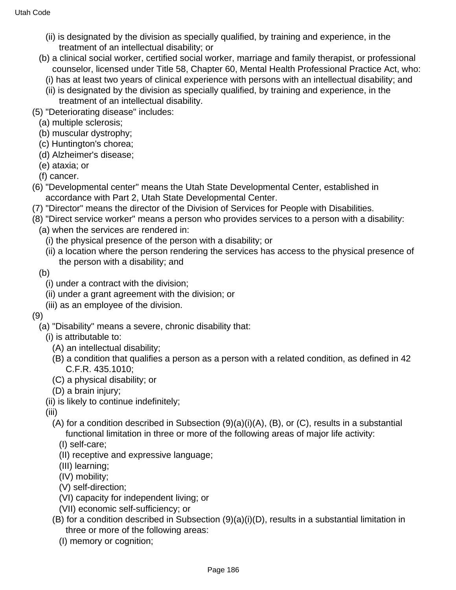- (ii) is designated by the division as specially qualified, by training and experience, in the treatment of an intellectual disability; or
- (b) a clinical social worker, certified social worker, marriage and family therapist, or professional counselor, licensed under Title 58, Chapter 60, Mental Health Professional Practice Act, who:
	- (i) has at least two years of clinical experience with persons with an intellectual disability; and
	- (ii) is designated by the division as specially qualified, by training and experience, in the treatment of an intellectual disability.
- (5) "Deteriorating disease" includes:
	- (a) multiple sclerosis;
	- (b) muscular dystrophy;
	- (c) Huntington's chorea;
	- (d) Alzheimer's disease;
	- (e) ataxia; or
	- (f) cancer.
- (6) "Developmental center" means the Utah State Developmental Center, established in accordance with Part 2, Utah State Developmental Center.
- (7) "Director" means the director of the Division of Services for People with Disabilities.
- (8) "Direct service worker" means a person who provides services to a person with a disability:
- (a) when the services are rendered in:
	- (i) the physical presence of the person with a disability; or
	- (ii) a location where the person rendering the services has access to the physical presence of the person with a disability; and
- (b)
	- (i) under a contract with the division;
	- (ii) under a grant agreement with the division; or
	- (iii) as an employee of the division.
- (9)
	- (a) "Disability" means a severe, chronic disability that:
		- (i) is attributable to:
			- (A) an intellectual disability;
			- (B) a condition that qualifies a person as a person with a related condition, as defined in 42 C.F.R. 435.1010;
			- (C) a physical disability; or
			- (D) a brain injury;
		- (ii) is likely to continue indefinitely;

(iii)

- (A) for a condition described in Subsection  $(9)(a)(i)(A)$ ,  $(B)$ , or  $(C)$ , results in a substantial functional limitation in three or more of the following areas of major life activity:
	- (I) self-care;
	- (II) receptive and expressive language;
	- (III) learning;
	- (IV) mobility;
	- (V) self-direction;
	- (VI) capacity for independent living; or
	- (VII) economic self-sufficiency; or
- (B) for a condition described in Subsection (9)(a)(i)(D), results in a substantial limitation in three or more of the following areas:
	- (I) memory or cognition;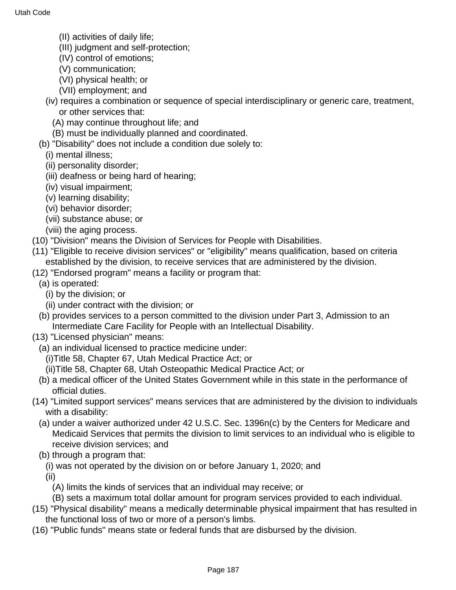- (II) activities of daily life;
- (III) judgment and self-protection;
- (IV) control of emotions;
- (V) communication;
- (VI) physical health; or
- (VII) employment; and
- (iv) requires a combination or sequence of special interdisciplinary or generic care, treatment, or other services that:
	- (A) may continue throughout life; and
	- (B) must be individually planned and coordinated.
- (b) "Disability" does not include a condition due solely to:
	- (i) mental illness;
	- (ii) personality disorder;
	- (iii) deafness or being hard of hearing;
	- (iv) visual impairment;
	- (v) learning disability;
	- (vi) behavior disorder;
	- (vii) substance abuse; or
	- (viii) the aging process.
- (10) "Division" means the Division of Services for People with Disabilities.
- (11) "Eligible to receive division services" or "eligibility" means qualification, based on criteria established by the division, to receive services that are administered by the division.
- (12) "Endorsed program" means a facility or program that:
	- (a) is operated:
		- (i) by the division; or
		- (ii) under contract with the division; or
	- (b) provides services to a person committed to the division under Part 3, Admission to an Intermediate Care Facility for People with an Intellectual Disability.
- (13) "Licensed physician" means:
	- (a) an individual licensed to practice medicine under:
		- (i)Title 58, Chapter 67, Utah Medical Practice Act; or
		- (ii)Title 58, Chapter 68, Utah Osteopathic Medical Practice Act; or
	- (b) a medical officer of the United States Government while in this state in the performance of official duties.
- (14) "Limited support services" means services that are administered by the division to individuals with a disability:
	- (a) under a waiver authorized under 42 U.S.C. Sec. 1396n(c) by the Centers for Medicare and Medicaid Services that permits the division to limit services to an individual who is eligible to receive division services; and
	- (b) through a program that:
		- (i) was not operated by the division on or before January 1, 2020; and (ii)
			- (A) limits the kinds of services that an individual may receive; or
			- (B) sets a maximum total dollar amount for program services provided to each individual.
- (15) "Physical disability" means a medically determinable physical impairment that has resulted in the functional loss of two or more of a person's limbs.
- (16) "Public funds" means state or federal funds that are disbursed by the division.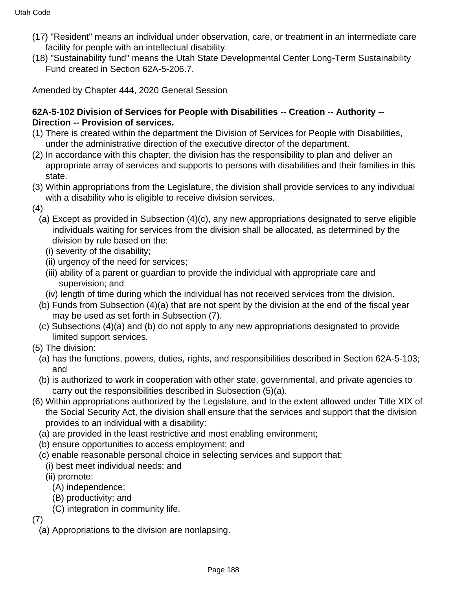- (17) "Resident" means an individual under observation, care, or treatment in an intermediate care facility for people with an intellectual disability.
- (18) "Sustainability fund" means the Utah State Developmental Center Long-Term Sustainability Fund created in Section 62A-5-206.7.

Amended by Chapter 444, 2020 General Session

## **62A-5-102 Division of Services for People with Disabilities -- Creation -- Authority -- Direction -- Provision of services.**

- (1) There is created within the department the Division of Services for People with Disabilities, under the administrative direction of the executive director of the department.
- (2) In accordance with this chapter, the division has the responsibility to plan and deliver an appropriate array of services and supports to persons with disabilities and their families in this state.
- (3) Within appropriations from the Legislature, the division shall provide services to any individual with a disability who is eligible to receive division services.
- (4)
	- (a) Except as provided in Subsection (4)(c), any new appropriations designated to serve eligible individuals waiting for services from the division shall be allocated, as determined by the division by rule based on the:
		- (i) severity of the disability;
		- (ii) urgency of the need for services;
		- (iii) ability of a parent or guardian to provide the individual with appropriate care and supervision; and
		- (iv) length of time during which the individual has not received services from the division.
	- (b) Funds from Subsection (4)(a) that are not spent by the division at the end of the fiscal year may be used as set forth in Subsection (7).
	- (c) Subsections (4)(a) and (b) do not apply to any new appropriations designated to provide limited support services.
- (5) The division:
	- (a) has the functions, powers, duties, rights, and responsibilities described in Section 62A-5-103; and
	- (b) is authorized to work in cooperation with other state, governmental, and private agencies to carry out the responsibilities described in Subsection (5)(a).
- (6) Within appropriations authorized by the Legislature, and to the extent allowed under Title XIX of the Social Security Act, the division shall ensure that the services and support that the division provides to an individual with a disability:
	- (a) are provided in the least restrictive and most enabling environment;
	- (b) ensure opportunities to access employment; and
	- (c) enable reasonable personal choice in selecting services and support that:
	- (i) best meet individual needs; and
	- (ii) promote:
		- (A) independence;
		- (B) productivity; and
		- (C) integration in community life.

(7)

(a) Appropriations to the division are nonlapsing.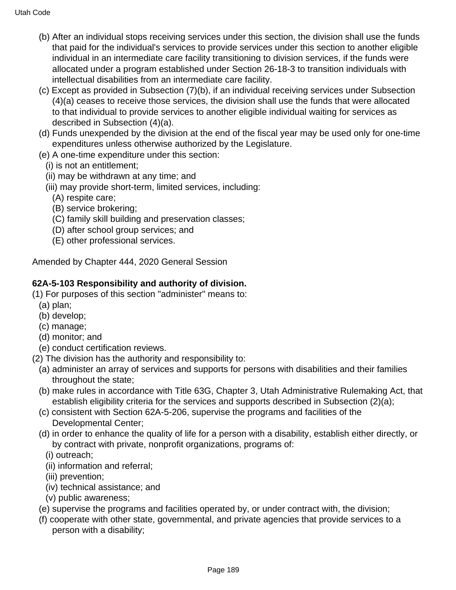- (b) After an individual stops receiving services under this section, the division shall use the funds that paid for the individual's services to provide services under this section to another eligible individual in an intermediate care facility transitioning to division services, if the funds were allocated under a program established under Section 26-18-3 to transition individuals with intellectual disabilities from an intermediate care facility.
- (c) Except as provided in Subsection (7)(b), if an individual receiving services under Subsection (4)(a) ceases to receive those services, the division shall use the funds that were allocated to that individual to provide services to another eligible individual waiting for services as described in Subsection (4)(a).
- (d) Funds unexpended by the division at the end of the fiscal year may be used only for one-time expenditures unless otherwise authorized by the Legislature.
- (e) A one-time expenditure under this section:
	- (i) is not an entitlement;
	- (ii) may be withdrawn at any time; and
	- (iii) may provide short-term, limited services, including:
		- (A) respite care;
		- (B) service brokering;
		- (C) family skill building and preservation classes;
		- (D) after school group services; and
		- (E) other professional services.

Amended by Chapter 444, 2020 General Session

## **62A-5-103 Responsibility and authority of division.**

(1) For purposes of this section "administer" means to:

- (a) plan;
- (b) develop;
- (c) manage;
- (d) monitor; and
- (e) conduct certification reviews.
- (2) The division has the authority and responsibility to:
	- (a) administer an array of services and supports for persons with disabilities and their families throughout the state;
	- (b) make rules in accordance with Title 63G, Chapter 3, Utah Administrative Rulemaking Act, that establish eligibility criteria for the services and supports described in Subsection (2)(a);
	- (c) consistent with Section 62A-5-206, supervise the programs and facilities of the Developmental Center;
	- (d) in order to enhance the quality of life for a person with a disability, establish either directly, or by contract with private, nonprofit organizations, programs of:
		- (i) outreach;
		- (ii) information and referral;
		- (iii) prevention;
		- (iv) technical assistance; and
		- (v) public awareness;
	- (e) supervise the programs and facilities operated by, or under contract with, the division;
	- (f) cooperate with other state, governmental, and private agencies that provide services to a person with a disability;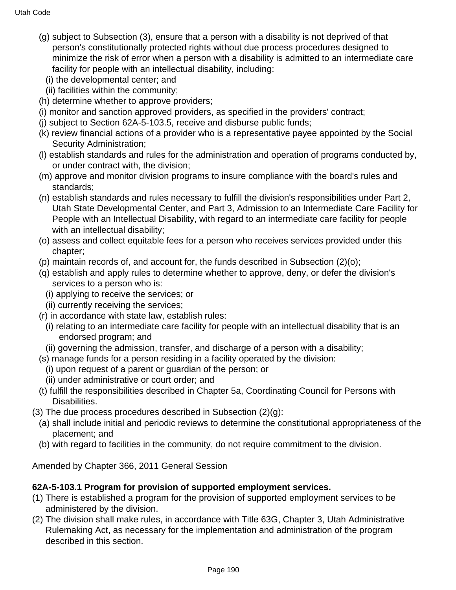- (g) subject to Subsection (3), ensure that a person with a disability is not deprived of that person's constitutionally protected rights without due process procedures designed to minimize the risk of error when a person with a disability is admitted to an intermediate care facility for people with an intellectual disability, including:
	- (i) the developmental center; and
	- (ii) facilities within the community;
- (h) determine whether to approve providers;
- (i) monitor and sanction approved providers, as specified in the providers' contract;
- (j) subject to Section 62A-5-103.5, receive and disburse public funds;
- (k) review financial actions of a provider who is a representative payee appointed by the Social Security Administration;
- (l) establish standards and rules for the administration and operation of programs conducted by, or under contract with, the division;
- (m) approve and monitor division programs to insure compliance with the board's rules and standards;
- (n) establish standards and rules necessary to fulfill the division's responsibilities under Part 2, Utah State Developmental Center, and Part 3, Admission to an Intermediate Care Facility for People with an Intellectual Disability, with regard to an intermediate care facility for people with an intellectual disability;
- (o) assess and collect equitable fees for a person who receives services provided under this chapter;
- (p) maintain records of, and account for, the funds described in Subsection (2)(o);
- (q) establish and apply rules to determine whether to approve, deny, or defer the division's services to a person who is:
	- (i) applying to receive the services; or
	- (ii) currently receiving the services;
- (r) in accordance with state law, establish rules:
	- (i) relating to an intermediate care facility for people with an intellectual disability that is an endorsed program; and
- (ii) governing the admission, transfer, and discharge of a person with a disability;
- (s) manage funds for a person residing in a facility operated by the division:
	- (i) upon request of a parent or guardian of the person; or
	- (ii) under administrative or court order; and
- (t) fulfill the responsibilities described in Chapter 5a, Coordinating Council for Persons with Disabilities.
- (3) The due process procedures described in Subsection (2)(g):
	- (a) shall include initial and periodic reviews to determine the constitutional appropriateness of the placement; and
	- (b) with regard to facilities in the community, do not require commitment to the division.

Amended by Chapter 366, 2011 General Session

# **62A-5-103.1 Program for provision of supported employment services.**

- (1) There is established a program for the provision of supported employment services to be administered by the division.
- (2) The division shall make rules, in accordance with Title 63G, Chapter 3, Utah Administrative Rulemaking Act, as necessary for the implementation and administration of the program described in this section.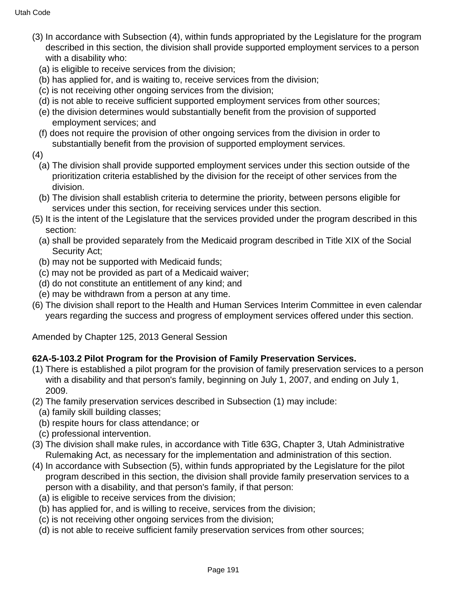- (3) In accordance with Subsection (4), within funds appropriated by the Legislature for the program described in this section, the division shall provide supported employment services to a person with a disability who:
	- (a) is eligible to receive services from the division;
	- (b) has applied for, and is waiting to, receive services from the division;
	- (c) is not receiving other ongoing services from the division;
	- (d) is not able to receive sufficient supported employment services from other sources;
	- (e) the division determines would substantially benefit from the provision of supported employment services; and
	- (f) does not require the provision of other ongoing services from the division in order to substantially benefit from the provision of supported employment services.
- (4)
	- (a) The division shall provide supported employment services under this section outside of the prioritization criteria established by the division for the receipt of other services from the division.
	- (b) The division shall establish criteria to determine the priority, between persons eligible for services under this section, for receiving services under this section.
- (5) It is the intent of the Legislature that the services provided under the program described in this section:
	- (a) shall be provided separately from the Medicaid program described in Title XIX of the Social Security Act;
	- (b) may not be supported with Medicaid funds;
	- (c) may not be provided as part of a Medicaid waiver;
	- (d) do not constitute an entitlement of any kind; and
	- (e) may be withdrawn from a person at any time.
- (6) The division shall report to the Health and Human Services Interim Committee in even calendar years regarding the success and progress of employment services offered under this section.

Amended by Chapter 125, 2013 General Session

## **62A-5-103.2 Pilot Program for the Provision of Family Preservation Services.**

- (1) There is established a pilot program for the provision of family preservation services to a person with a disability and that person's family, beginning on July 1, 2007, and ending on July 1, 2009.
- (2) The family preservation services described in Subsection (1) may include:
	- (a) family skill building classes;
	- (b) respite hours for class attendance; or
	- (c) professional intervention.
- (3) The division shall make rules, in accordance with Title 63G, Chapter 3, Utah Administrative Rulemaking Act, as necessary for the implementation and administration of this section.
- (4) In accordance with Subsection (5), within funds appropriated by the Legislature for the pilot program described in this section, the division shall provide family preservation services to a person with a disability, and that person's family, if that person:
	- (a) is eligible to receive services from the division;
	- (b) has applied for, and is willing to receive, services from the division;
	- (c) is not receiving other ongoing services from the division;
	- (d) is not able to receive sufficient family preservation services from other sources;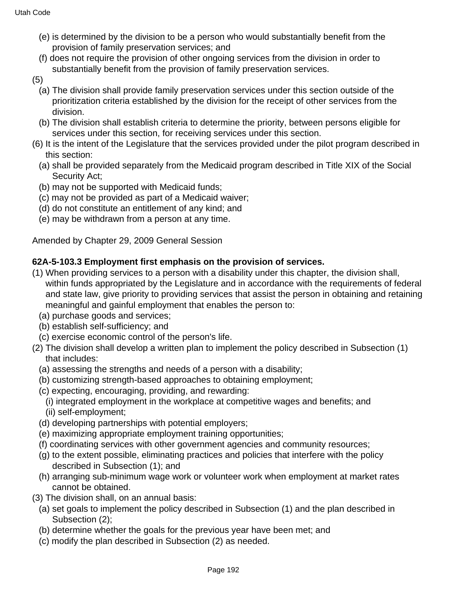- (e) is determined by the division to be a person who would substantially benefit from the provision of family preservation services; and
- (f) does not require the provision of other ongoing services from the division in order to substantially benefit from the provision of family preservation services.
- (5)
	- (a) The division shall provide family preservation services under this section outside of the prioritization criteria established by the division for the receipt of other services from the division.
	- (b) The division shall establish criteria to determine the priority, between persons eligible for services under this section, for receiving services under this section.
- (6) It is the intent of the Legislature that the services provided under the pilot program described in this section:
	- (a) shall be provided separately from the Medicaid program described in Title XIX of the Social Security Act;
	- (b) may not be supported with Medicaid funds;
	- (c) may not be provided as part of a Medicaid waiver;
	- (d) do not constitute an entitlement of any kind; and
	- (e) may be withdrawn from a person at any time.

Amended by Chapter 29, 2009 General Session

## **62A-5-103.3 Employment first emphasis on the provision of services.**

- (1) When providing services to a person with a disability under this chapter, the division shall, within funds appropriated by the Legislature and in accordance with the requirements of federal and state law, give priority to providing services that assist the person in obtaining and retaining meaningful and gainful employment that enables the person to:
	- (a) purchase goods and services;
	- (b) establish self-sufficiency; and
	- (c) exercise economic control of the person's life.
- (2) The division shall develop a written plan to implement the policy described in Subsection (1) that includes:
	- (a) assessing the strengths and needs of a person with a disability;
	- (b) customizing strength-based approaches to obtaining employment;
	- (c) expecting, encouraging, providing, and rewarding:
		- (i) integrated employment in the workplace at competitive wages and benefits; and (ii) self-employment;
	- (d) developing partnerships with potential employers;
	- (e) maximizing appropriate employment training opportunities;
	- (f) coordinating services with other government agencies and community resources;
	- (g) to the extent possible, eliminating practices and policies that interfere with the policy described in Subsection (1); and
	- (h) arranging sub-minimum wage work or volunteer work when employment at market rates cannot be obtained.
- (3) The division shall, on an annual basis:
	- (a) set goals to implement the policy described in Subsection (1) and the plan described in Subsection (2);
	- (b) determine whether the goals for the previous year have been met; and
	- (c) modify the plan described in Subsection (2) as needed.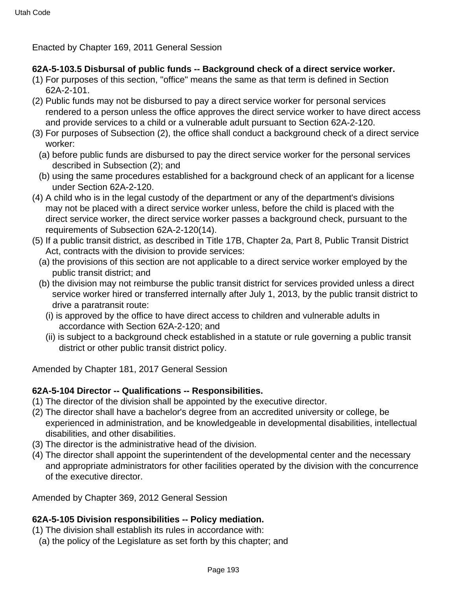Enacted by Chapter 169, 2011 General Session

#### **62A-5-103.5 Disbursal of public funds -- Background check of a direct service worker.**

- (1) For purposes of this section, "office" means the same as that term is defined in Section 62A-2-101.
- (2) Public funds may not be disbursed to pay a direct service worker for personal services rendered to a person unless the office approves the direct service worker to have direct access and provide services to a child or a vulnerable adult pursuant to Section 62A-2-120.
- (3) For purposes of Subsection (2), the office shall conduct a background check of a direct service worker:
	- (a) before public funds are disbursed to pay the direct service worker for the personal services described in Subsection (2); and
	- (b) using the same procedures established for a background check of an applicant for a license under Section 62A-2-120.
- (4) A child who is in the legal custody of the department or any of the department's divisions may not be placed with a direct service worker unless, before the child is placed with the direct service worker, the direct service worker passes a background check, pursuant to the requirements of Subsection 62A-2-120(14).
- (5) If a public transit district, as described in Title 17B, Chapter 2a, Part 8, Public Transit District Act, contracts with the division to provide services:
	- (a) the provisions of this section are not applicable to a direct service worker employed by the public transit district; and
	- (b) the division may not reimburse the public transit district for services provided unless a direct service worker hired or transferred internally after July 1, 2013, by the public transit district to drive a paratransit route:
		- (i) is approved by the office to have direct access to children and vulnerable adults in accordance with Section 62A-2-120; and
		- (ii) is subject to a background check established in a statute or rule governing a public transit district or other public transit district policy.

Amended by Chapter 181, 2017 General Session

#### **62A-5-104 Director -- Qualifications -- Responsibilities.**

- (1) The director of the division shall be appointed by the executive director.
- (2) The director shall have a bachelor's degree from an accredited university or college, be experienced in administration, and be knowledgeable in developmental disabilities, intellectual disabilities, and other disabilities.
- (3) The director is the administrative head of the division.
- (4) The director shall appoint the superintendent of the developmental center and the necessary and appropriate administrators for other facilities operated by the division with the concurrence of the executive director.

Amended by Chapter 369, 2012 General Session

#### **62A-5-105 Division responsibilities -- Policy mediation.**

- (1) The division shall establish its rules in accordance with:
	- (a) the policy of the Legislature as set forth by this chapter; and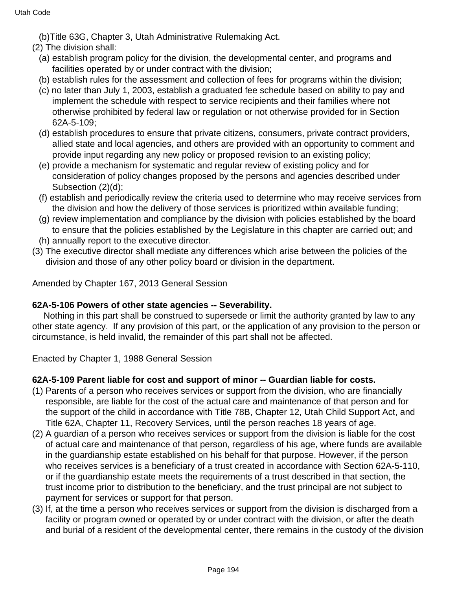(b)Title 63G, Chapter 3, Utah Administrative Rulemaking Act.

- (2) The division shall:
	- (a) establish program policy for the division, the developmental center, and programs and facilities operated by or under contract with the division;
	- (b) establish rules for the assessment and collection of fees for programs within the division;
	- (c) no later than July 1, 2003, establish a graduated fee schedule based on ability to pay and implement the schedule with respect to service recipients and their families where not otherwise prohibited by federal law or regulation or not otherwise provided for in Section 62A-5-109;
	- (d) establish procedures to ensure that private citizens, consumers, private contract providers, allied state and local agencies, and others are provided with an opportunity to comment and provide input regarding any new policy or proposed revision to an existing policy;
	- (e) provide a mechanism for systematic and regular review of existing policy and for consideration of policy changes proposed by the persons and agencies described under Subsection (2)(d);
	- (f) establish and periodically review the criteria used to determine who may receive services from the division and how the delivery of those services is prioritized within available funding;
	- (g) review implementation and compliance by the division with policies established by the board to ensure that the policies established by the Legislature in this chapter are carried out; and
	- (h) annually report to the executive director.
- (3) The executive director shall mediate any differences which arise between the policies of the division and those of any other policy board or division in the department.

Amended by Chapter 167, 2013 General Session

#### **62A-5-106 Powers of other state agencies -- Severability.**

 Nothing in this part shall be construed to supersede or limit the authority granted by law to any other state agency. If any provision of this part, or the application of any provision to the person or circumstance, is held invalid, the remainder of this part shall not be affected.

Enacted by Chapter 1, 1988 General Session

## **62A-5-109 Parent liable for cost and support of minor -- Guardian liable for costs.**

- (1) Parents of a person who receives services or support from the division, who are financially responsible, are liable for the cost of the actual care and maintenance of that person and for the support of the child in accordance with Title 78B, Chapter 12, Utah Child Support Act, and Title 62A, Chapter 11, Recovery Services, until the person reaches 18 years of age.
- (2) A guardian of a person who receives services or support from the division is liable for the cost of actual care and maintenance of that person, regardless of his age, where funds are available in the guardianship estate established on his behalf for that purpose. However, if the person who receives services is a beneficiary of a trust created in accordance with Section 62A-5-110, or if the guardianship estate meets the requirements of a trust described in that section, the trust income prior to distribution to the beneficiary, and the trust principal are not subject to payment for services or support for that person.
- (3) If, at the time a person who receives services or support from the division is discharged from a facility or program owned or operated by or under contract with the division, or after the death and burial of a resident of the developmental center, there remains in the custody of the division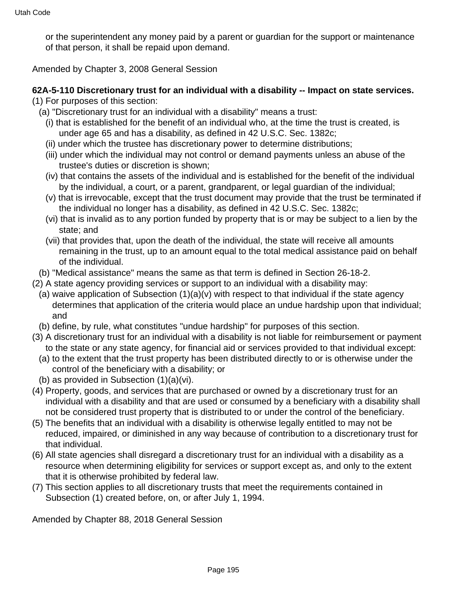or the superintendent any money paid by a parent or guardian for the support or maintenance of that person, it shall be repaid upon demand.

Amended by Chapter 3, 2008 General Session

## **62A-5-110 Discretionary trust for an individual with a disability -- Impact on state services.**

(1) For purposes of this section:

- (a) "Discretionary trust for an individual with a disability" means a trust:
	- (i) that is established for the benefit of an individual who, at the time the trust is created, is under age 65 and has a disability, as defined in 42 U.S.C. Sec. 1382c;
	- (ii) under which the trustee has discretionary power to determine distributions;
	- (iii) under which the individual may not control or demand payments unless an abuse of the trustee's duties or discretion is shown;
	- (iv) that contains the assets of the individual and is established for the benefit of the individual by the individual, a court, or a parent, grandparent, or legal guardian of the individual;
	- (v) that is irrevocable, except that the trust document may provide that the trust be terminated if the individual no longer has a disability, as defined in 42 U.S.C. Sec. 1382c;
	- (vi) that is invalid as to any portion funded by property that is or may be subject to a lien by the state; and
	- (vii) that provides that, upon the death of the individual, the state will receive all amounts remaining in the trust, up to an amount equal to the total medical assistance paid on behalf of the individual.
- (b) "Medical assistance" means the same as that term is defined in Section 26-18-2.
- (2) A state agency providing services or support to an individual with a disability may:
	- (a) waive application of Subsection  $(1)(a)(v)$  with respect to that individual if the state agency determines that application of the criteria would place an undue hardship upon that individual; and
	- (b) define, by rule, what constitutes "undue hardship" for purposes of this section.
- (3) A discretionary trust for an individual with a disability is not liable for reimbursement or payment to the state or any state agency, for financial aid or services provided to that individual except:
	- (a) to the extent that the trust property has been distributed directly to or is otherwise under the control of the beneficiary with a disability; or
- (b) as provided in Subsection (1)(a)(vi).
- (4) Property, goods, and services that are purchased or owned by a discretionary trust for an individual with a disability and that are used or consumed by a beneficiary with a disability shall not be considered trust property that is distributed to or under the control of the beneficiary.
- (5) The benefits that an individual with a disability is otherwise legally entitled to may not be reduced, impaired, or diminished in any way because of contribution to a discretionary trust for that individual.
- (6) All state agencies shall disregard a discretionary trust for an individual with a disability as a resource when determining eligibility for services or support except as, and only to the extent that it is otherwise prohibited by federal law.
- (7) This section applies to all discretionary trusts that meet the requirements contained in Subsection (1) created before, on, or after July 1, 1994.

Amended by Chapter 88, 2018 General Session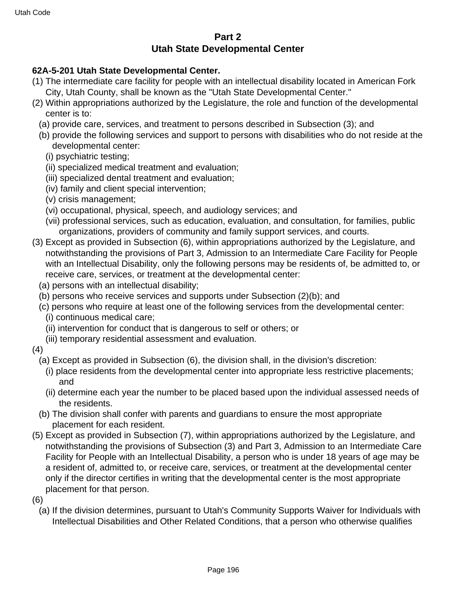# **Part 2 Utah State Developmental Center**

## **62A-5-201 Utah State Developmental Center.**

- (1) The intermediate care facility for people with an intellectual disability located in American Fork City, Utah County, shall be known as the "Utah State Developmental Center."
- (2) Within appropriations authorized by the Legislature, the role and function of the developmental center is to:
	- (a) provide care, services, and treatment to persons described in Subsection (3); and
	- (b) provide the following services and support to persons with disabilities who do not reside at the developmental center:
		- (i) psychiatric testing;
		- (ii) specialized medical treatment and evaluation;
		- (iii) specialized dental treatment and evaluation;
		- (iv) family and client special intervention;
		- (v) crisis management;
		- (vi) occupational, physical, speech, and audiology services; and
		- (vii) professional services, such as education, evaluation, and consultation, for families, public organizations, providers of community and family support services, and courts.
- (3) Except as provided in Subsection (6), within appropriations authorized by the Legislature, and notwithstanding the provisions of Part 3, Admission to an Intermediate Care Facility for People with an Intellectual Disability, only the following persons may be residents of, be admitted to, or receive care, services, or treatment at the developmental center:
	- (a) persons with an intellectual disability;
	- (b) persons who receive services and supports under Subsection (2)(b); and
	- (c) persons who require at least one of the following services from the developmental center: (i) continuous medical care;
		- (ii) intervention for conduct that is dangerous to self or others; or
		- (iii) temporary residential assessment and evaluation.
- (4)
	- (a) Except as provided in Subsection (6), the division shall, in the division's discretion:
		- (i) place residents from the developmental center into appropriate less restrictive placements; and
		- (ii) determine each year the number to be placed based upon the individual assessed needs of the residents.
	- (b) The division shall confer with parents and guardians to ensure the most appropriate placement for each resident.
- (5) Except as provided in Subsection (7), within appropriations authorized by the Legislature, and notwithstanding the provisions of Subsection (3) and Part 3, Admission to an Intermediate Care Facility for People with an Intellectual Disability, a person who is under 18 years of age may be a resident of, admitted to, or receive care, services, or treatment at the developmental center only if the director certifies in writing that the developmental center is the most appropriate placement for that person.
- (6)
	- (a) If the division determines, pursuant to Utah's Community Supports Waiver for Individuals with Intellectual Disabilities and Other Related Conditions, that a person who otherwise qualifies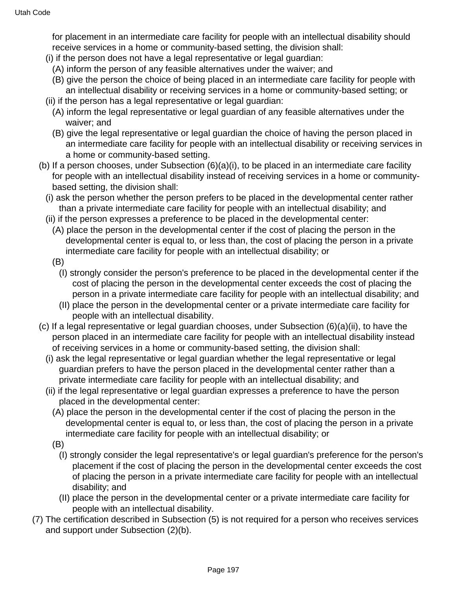for placement in an intermediate care facility for people with an intellectual disability should receive services in a home or community-based setting, the division shall:

- (i) if the person does not have a legal representative or legal guardian:
	- (A) inform the person of any feasible alternatives under the waiver; and
	- (B) give the person the choice of being placed in an intermediate care facility for people with an intellectual disability or receiving services in a home or community-based setting; or
- (ii) if the person has a legal representative or legal guardian:
	- (A) inform the legal representative or legal guardian of any feasible alternatives under the waiver; and
	- (B) give the legal representative or legal guardian the choice of having the person placed in an intermediate care facility for people with an intellectual disability or receiving services in a home or community-based setting.
- (b) If a person chooses, under Subsection (6)(a)(i), to be placed in an intermediate care facility for people with an intellectual disability instead of receiving services in a home or communitybased setting, the division shall:
	- (i) ask the person whether the person prefers to be placed in the developmental center rather than a private intermediate care facility for people with an intellectual disability; and
	- (ii) if the person expresses a preference to be placed in the developmental center:
		- (A) place the person in the developmental center if the cost of placing the person in the developmental center is equal to, or less than, the cost of placing the person in a private intermediate care facility for people with an intellectual disability; or
		- (B)
			- (I) strongly consider the person's preference to be placed in the developmental center if the cost of placing the person in the developmental center exceeds the cost of placing the person in a private intermediate care facility for people with an intellectual disability; and
			- (II) place the person in the developmental center or a private intermediate care facility for people with an intellectual disability.
- (c) If a legal representative or legal guardian chooses, under Subsection (6)(a)(ii), to have the person placed in an intermediate care facility for people with an intellectual disability instead of receiving services in a home or community-based setting, the division shall:
	- (i) ask the legal representative or legal guardian whether the legal representative or legal guardian prefers to have the person placed in the developmental center rather than a private intermediate care facility for people with an intellectual disability; and
	- (ii) if the legal representative or legal guardian expresses a preference to have the person placed in the developmental center:
		- (A) place the person in the developmental center if the cost of placing the person in the developmental center is equal to, or less than, the cost of placing the person in a private intermediate care facility for people with an intellectual disability; or
		- (B)
			- (I) strongly consider the legal representative's or legal guardian's preference for the person's placement if the cost of placing the person in the developmental center exceeds the cost of placing the person in a private intermediate care facility for people with an intellectual disability; and
			- (II) place the person in the developmental center or a private intermediate care facility for people with an intellectual disability.
- (7) The certification described in Subsection (5) is not required for a person who receives services and support under Subsection (2)(b).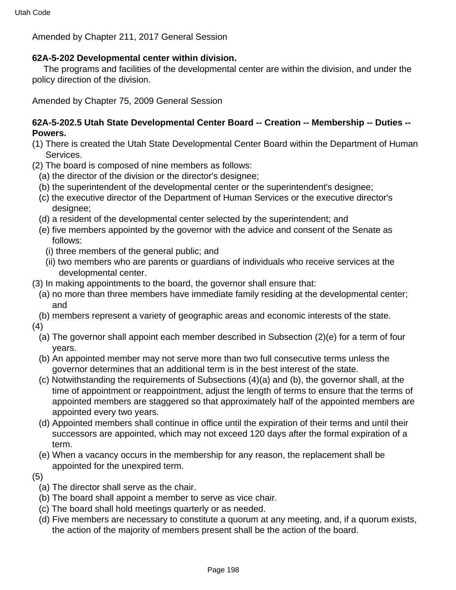Amended by Chapter 211, 2017 General Session

## **62A-5-202 Developmental center within division.**

 The programs and facilities of the developmental center are within the division, and under the policy direction of the division.

Amended by Chapter 75, 2009 General Session

## **62A-5-202.5 Utah State Developmental Center Board -- Creation -- Membership -- Duties -- Powers.**

- (1) There is created the Utah State Developmental Center Board within the Department of Human Services.
- (2) The board is composed of nine members as follows:
	- (a) the director of the division or the director's designee;
	- (b) the superintendent of the developmental center or the superintendent's designee;
	- (c) the executive director of the Department of Human Services or the executive director's designee;
	- (d) a resident of the developmental center selected by the superintendent; and
	- (e) five members appointed by the governor with the advice and consent of the Senate as follows:
		- (i) three members of the general public; and
		- (ii) two members who are parents or guardians of individuals who receive services at the developmental center.
- (3) In making appointments to the board, the governor shall ensure that:
	- (a) no more than three members have immediate family residing at the developmental center; and
	- (b) members represent a variety of geographic areas and economic interests of the state.
- (4)
	- (a) The governor shall appoint each member described in Subsection (2)(e) for a term of four years.
	- (b) An appointed member may not serve more than two full consecutive terms unless the governor determines that an additional term is in the best interest of the state.
	- (c) Notwithstanding the requirements of Subsections (4)(a) and (b), the governor shall, at the time of appointment or reappointment, adjust the length of terms to ensure that the terms of appointed members are staggered so that approximately half of the appointed members are appointed every two years.
	- (d) Appointed members shall continue in office until the expiration of their terms and until their successors are appointed, which may not exceed 120 days after the formal expiration of a term.
	- (e) When a vacancy occurs in the membership for any reason, the replacement shall be appointed for the unexpired term.
- (5)
	- (a) The director shall serve as the chair.
	- (b) The board shall appoint a member to serve as vice chair.
	- (c) The board shall hold meetings quarterly or as needed.
	- (d) Five members are necessary to constitute a quorum at any meeting, and, if a quorum exists, the action of the majority of members present shall be the action of the board.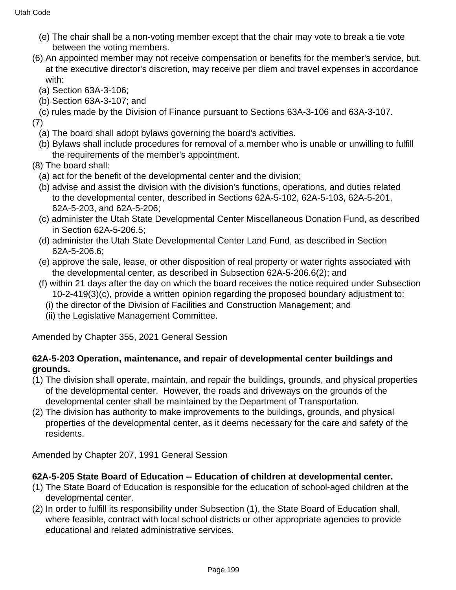- (e) The chair shall be a non-voting member except that the chair may vote to break a tie vote between the voting members.
- (6) An appointed member may not receive compensation or benefits for the member's service, but, at the executive director's discretion, may receive per diem and travel expenses in accordance with:
	- (a) Section 63A-3-106;
	- (b) Section 63A-3-107; and
- (c) rules made by the Division of Finance pursuant to Sections 63A-3-106 and 63A-3-107. (7)
	- (a) The board shall adopt bylaws governing the board's activities.
	- (b) Bylaws shall include procedures for removal of a member who is unable or unwilling to fulfill the requirements of the member's appointment.
- (8) The board shall:
	- (a) act for the benefit of the developmental center and the division;
	- (b) advise and assist the division with the division's functions, operations, and duties related to the developmental center, described in Sections 62A-5-102, 62A-5-103, 62A-5-201, 62A-5-203, and 62A-5-206;
	- (c) administer the Utah State Developmental Center Miscellaneous Donation Fund, as described in Section 62A-5-206.5;
	- (d) administer the Utah State Developmental Center Land Fund, as described in Section 62A-5-206.6;
	- (e) approve the sale, lease, or other disposition of real property or water rights associated with the developmental center, as described in Subsection 62A-5-206.6(2); and
	- (f) within 21 days after the day on which the board receives the notice required under Subsection 10-2-419(3)(c), provide a written opinion regarding the proposed boundary adjustment to:
		- (i) the director of the Division of Facilities and Construction Management; and
		- (ii) the Legislative Management Committee.

Amended by Chapter 355, 2021 General Session

## **62A-5-203 Operation, maintenance, and repair of developmental center buildings and grounds.**

- (1) The division shall operate, maintain, and repair the buildings, grounds, and physical properties of the developmental center. However, the roads and driveways on the grounds of the developmental center shall be maintained by the Department of Transportation.
- (2) The division has authority to make improvements to the buildings, grounds, and physical properties of the developmental center, as it deems necessary for the care and safety of the residents.

Amended by Chapter 207, 1991 General Session

## **62A-5-205 State Board of Education -- Education of children at developmental center.**

- (1) The State Board of Education is responsible for the education of school-aged children at the developmental center.
- (2) In order to fulfill its responsibility under Subsection (1), the State Board of Education shall, where feasible, contract with local school districts or other appropriate agencies to provide educational and related administrative services.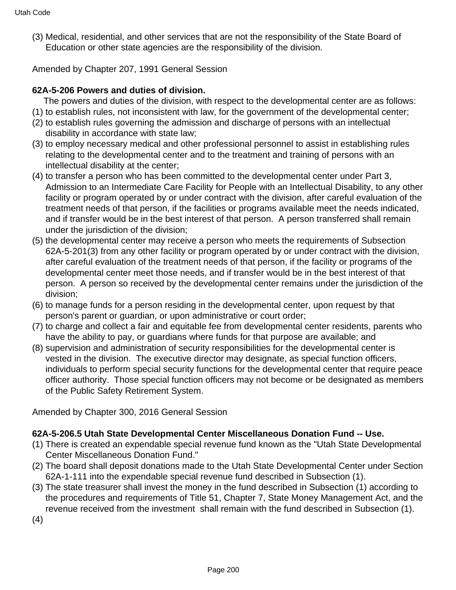(3) Medical, residential, and other services that are not the responsibility of the State Board of Education or other state agencies are the responsibility of the division.

Amended by Chapter 207, 1991 General Session

## **62A-5-206 Powers and duties of division.**

The powers and duties of the division, with respect to the developmental center are as follows:

- (1) to establish rules, not inconsistent with law, for the government of the developmental center;
- (2) to establish rules governing the admission and discharge of persons with an intellectual disability in accordance with state law;
- (3) to employ necessary medical and other professional personnel to assist in establishing rules relating to the developmental center and to the treatment and training of persons with an intellectual disability at the center;
- (4) to transfer a person who has been committed to the developmental center under Part 3, Admission to an Intermediate Care Facility for People with an Intellectual Disability, to any other facility or program operated by or under contract with the division, after careful evaluation of the treatment needs of that person, if the facilities or programs available meet the needs indicated, and if transfer would be in the best interest of that person. A person transferred shall remain under the jurisdiction of the division;
- (5) the developmental center may receive a person who meets the requirements of Subsection 62A-5-201(3) from any other facility or program operated by or under contract with the division, after careful evaluation of the treatment needs of that person, if the facility or programs of the developmental center meet those needs, and if transfer would be in the best interest of that person. A person so received by the developmental center remains under the jurisdiction of the division;
- (6) to manage funds for a person residing in the developmental center, upon request by that person's parent or guardian, or upon administrative or court order;
- (7) to charge and collect a fair and equitable fee from developmental center residents, parents who have the ability to pay, or guardians where funds for that purpose are available; and
- (8) supervision and administration of security responsibilities for the developmental center is vested in the division. The executive director may designate, as special function officers, individuals to perform special security functions for the developmental center that require peace officer authority. Those special function officers may not become or be designated as members of the Public Safety Retirement System.

Amended by Chapter 300, 2016 General Session

## **62A-5-206.5 Utah State Developmental Center Miscellaneous Donation Fund -- Use.**

- (1) There is created an expendable special revenue fund known as the "Utah State Developmental Center Miscellaneous Donation Fund."
- (2) The board shall deposit donations made to the Utah State Developmental Center under Section 62A-1-111 into the expendable special revenue fund described in Subsection (1).
- (3) The state treasurer shall invest the money in the fund described in Subsection (1) according to the procedures and requirements of Title 51, Chapter 7, State Money Management Act, and the revenue received from the investment shall remain with the fund described in Subsection (1).

(4)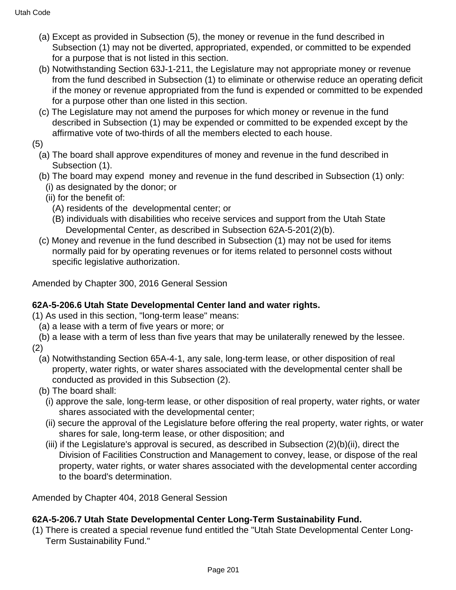- (a) Except as provided in Subsection (5), the money or revenue in the fund described in Subsection (1) may not be diverted, appropriated, expended, or committed to be expended for a purpose that is not listed in this section.
- (b) Notwithstanding Section 63J-1-211, the Legislature may not appropriate money or revenue from the fund described in Subsection (1) to eliminate or otherwise reduce an operating deficit if the money or revenue appropriated from the fund is expended or committed to be expended for a purpose other than one listed in this section.
- (c) The Legislature may not amend the purposes for which money or revenue in the fund described in Subsection (1) may be expended or committed to be expended except by the affirmative vote of two-thirds of all the members elected to each house.
- (5)
	- (a) The board shall approve expenditures of money and revenue in the fund described in Subsection (1).
	- (b) The board may expend money and revenue in the fund described in Subsection (1) only: (i) as designated by the donor; or
		- (ii) for the benefit of:
			- (A) residents of the developmental center; or
			- (B) individuals with disabilities who receive services and support from the Utah State Developmental Center, as described in Subsection 62A-5-201(2)(b).
	- (c) Money and revenue in the fund described in Subsection (1) may not be used for items normally paid for by operating revenues or for items related to personnel costs without specific legislative authorization.

Amended by Chapter 300, 2016 General Session

#### **62A-5-206.6 Utah State Developmental Center land and water rights.**

(1) As used in this section, "long-term lease" means:

- (a) a lease with a term of five years or more; or
- (b) a lease with a term of less than five years that may be unilaterally renewed by the lessee.
- (2)
	- (a) Notwithstanding Section 65A-4-1, any sale, long-term lease, or other disposition of real property, water rights, or water shares associated with the developmental center shall be conducted as provided in this Subsection (2).
	- (b) The board shall:
		- (i) approve the sale, long-term lease, or other disposition of real property, water rights, or water shares associated with the developmental center;
		- (ii) secure the approval of the Legislature before offering the real property, water rights, or water shares for sale, long-term lease, or other disposition; and
		- (iii) if the Legislature's approval is secured, as described in Subsection (2)(b)(ii), direct the Division of Facilities Construction and Management to convey, lease, or dispose of the real property, water rights, or water shares associated with the developmental center according to the board's determination.

Amended by Chapter 404, 2018 General Session

## **62A-5-206.7 Utah State Developmental Center Long-Term Sustainability Fund.**

(1) There is created a special revenue fund entitled the "Utah State Developmental Center Long-Term Sustainability Fund."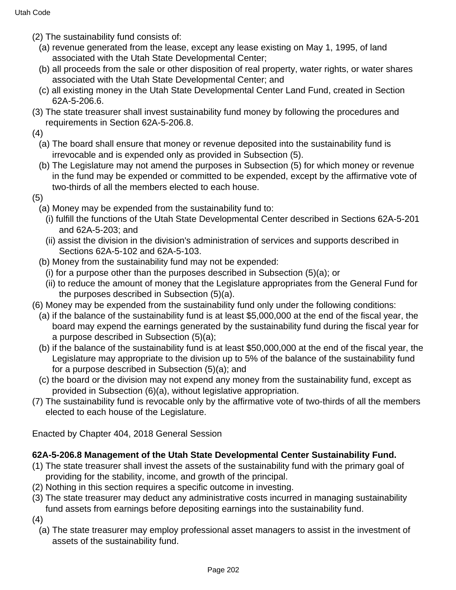- (2) The sustainability fund consists of:
	- (a) revenue generated from the lease, except any lease existing on May 1, 1995, of land associated with the Utah State Developmental Center;
	- (b) all proceeds from the sale or other disposition of real property, water rights, or water shares associated with the Utah State Developmental Center; and
	- (c) all existing money in the Utah State Developmental Center Land Fund, created in Section 62A-5-206.6.
- (3) The state treasurer shall invest sustainability fund money by following the procedures and requirements in Section 62A-5-206.8.
- (4)
	- (a) The board shall ensure that money or revenue deposited into the sustainability fund is irrevocable and is expended only as provided in Subsection (5).
	- (b) The Legislature may not amend the purposes in Subsection (5) for which money or revenue in the fund may be expended or committed to be expended, except by the affirmative vote of two-thirds of all the members elected to each house.
- (5)
	- (a) Money may be expended from the sustainability fund to:
		- (i) fulfill the functions of the Utah State Developmental Center described in Sections 62A-5-201 and 62A-5-203; and
		- (ii) assist the division in the division's administration of services and supports described in Sections 62A-5-102 and 62A-5-103.
	- (b) Money from the sustainability fund may not be expended:
		- (i) for a purpose other than the purposes described in Subsection (5)(a); or
		- (ii) to reduce the amount of money that the Legislature appropriates from the General Fund for the purposes described in Subsection (5)(a).
- (6) Money may be expended from the sustainability fund only under the following conditions:
	- (a) if the balance of the sustainability fund is at least \$5,000,000 at the end of the fiscal year, the board may expend the earnings generated by the sustainability fund during the fiscal year for a purpose described in Subsection (5)(a);
	- (b) if the balance of the sustainability fund is at least \$50,000,000 at the end of the fiscal year, the Legislature may appropriate to the division up to 5% of the balance of the sustainability fund for a purpose described in Subsection (5)(a); and
	- (c) the board or the division may not expend any money from the sustainability fund, except as provided in Subsection (6)(a), without legislative appropriation.
- (7) The sustainability fund is revocable only by the affirmative vote of two-thirds of all the members elected to each house of the Legislature.

Enacted by Chapter 404, 2018 General Session

#### **62A-5-206.8 Management of the Utah State Developmental Center Sustainability Fund.**

- (1) The state treasurer shall invest the assets of the sustainability fund with the primary goal of providing for the stability, income, and growth of the principal.
- (2) Nothing in this section requires a specific outcome in investing.
- (3) The state treasurer may deduct any administrative costs incurred in managing sustainability fund assets from earnings before depositing earnings into the sustainability fund.
- (4)
	- (a) The state treasurer may employ professional asset managers to assist in the investment of assets of the sustainability fund.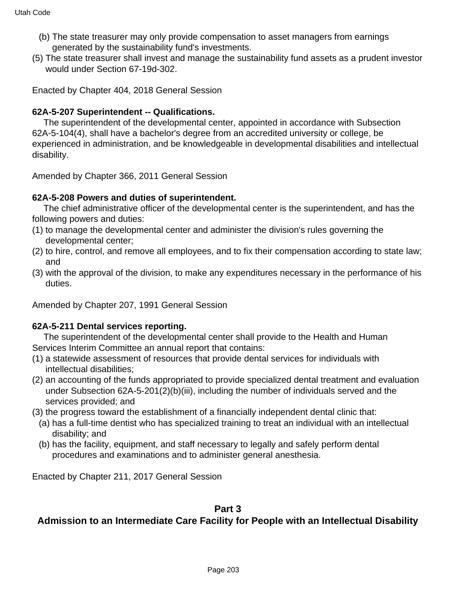- (b) The state treasurer may only provide compensation to asset managers from earnings generated by the sustainability fund's investments.
- (5) The state treasurer shall invest and manage the sustainability fund assets as a prudent investor would under Section 67-19d-302.

Enacted by Chapter 404, 2018 General Session

#### **62A-5-207 Superintendent -- Qualifications.**

 The superintendent of the developmental center, appointed in accordance with Subsection 62A-5-104(4), shall have a bachelor's degree from an accredited university or college, be experienced in administration, and be knowledgeable in developmental disabilities and intellectual disability.

Amended by Chapter 366, 2011 General Session

#### **62A-5-208 Powers and duties of superintendent.**

 The chief administrative officer of the developmental center is the superintendent, and has the following powers and duties:

- (1) to manage the developmental center and administer the division's rules governing the developmental center;
- (2) to hire, control, and remove all employees, and to fix their compensation according to state law; and
- (3) with the approval of the division, to make any expenditures necessary in the performance of his duties.

Amended by Chapter 207, 1991 General Session

#### **62A-5-211 Dental services reporting.**

 The superintendent of the developmental center shall provide to the Health and Human Services Interim Committee an annual report that contains:

- (1) a statewide assessment of resources that provide dental services for individuals with intellectual disabilities;
- (2) an accounting of the funds appropriated to provide specialized dental treatment and evaluation under Subsection 62A-5-201(2)(b)(iii), including the number of individuals served and the services provided; and
- (3) the progress toward the establishment of a financially independent dental clinic that:
	- (a) has a full-time dentist who has specialized training to treat an individual with an intellectual disability; and
	- (b) has the facility, equipment, and staff necessary to legally and safely perform dental procedures and examinations and to administer general anesthesia.

Enacted by Chapter 211, 2017 General Session

## **Part 3**

## **Admission to an Intermediate Care Facility for People with an Intellectual Disability**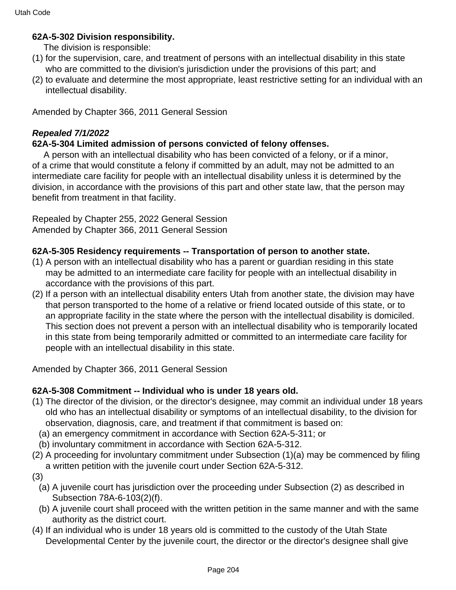## **62A-5-302 Division responsibility.**

The division is responsible:

- (1) for the supervision, care, and treatment of persons with an intellectual disability in this state who are committed to the division's jurisdiction under the provisions of this part; and
- (2) to evaluate and determine the most appropriate, least restrictive setting for an individual with an intellectual disability.

Amended by Chapter 366, 2011 General Session

## **Repealed 7/1/2022**

## **62A-5-304 Limited admission of persons convicted of felony offenses.**

 A person with an intellectual disability who has been convicted of a felony, or if a minor, of a crime that would constitute a felony if committed by an adult, may not be admitted to an intermediate care facility for people with an intellectual disability unless it is determined by the division, in accordance with the provisions of this part and other state law, that the person may benefit from treatment in that facility.

Repealed by Chapter 255, 2022 General Session Amended by Chapter 366, 2011 General Session

#### **62A-5-305 Residency requirements -- Transportation of person to another state.**

- (1) A person with an intellectual disability who has a parent or guardian residing in this state may be admitted to an intermediate care facility for people with an intellectual disability in accordance with the provisions of this part.
- (2) If a person with an intellectual disability enters Utah from another state, the division may have that person transported to the home of a relative or friend located outside of this state, or to an appropriate facility in the state where the person with the intellectual disability is domiciled. This section does not prevent a person with an intellectual disability who is temporarily located in this state from being temporarily admitted or committed to an intermediate care facility for people with an intellectual disability in this state.

Amended by Chapter 366, 2011 General Session

#### **62A-5-308 Commitment -- Individual who is under 18 years old.**

- (1) The director of the division, or the director's designee, may commit an individual under 18 years old who has an intellectual disability or symptoms of an intellectual disability, to the division for observation, diagnosis, care, and treatment if that commitment is based on:
	- (a) an emergency commitment in accordance with Section 62A-5-311; or
	- (b) involuntary commitment in accordance with Section 62A-5-312.
- (2) A proceeding for involuntary commitment under Subsection (1)(a) may be commenced by filing a written petition with the juvenile court under Section 62A-5-312.
- (3)
	- (a) A juvenile court has jurisdiction over the proceeding under Subsection (2) as described in Subsection 78A-6-103(2)(f).
	- (b) A juvenile court shall proceed with the written petition in the same manner and with the same authority as the district court.
- (4) If an individual who is under 18 years old is committed to the custody of the Utah State Developmental Center by the juvenile court, the director or the director's designee shall give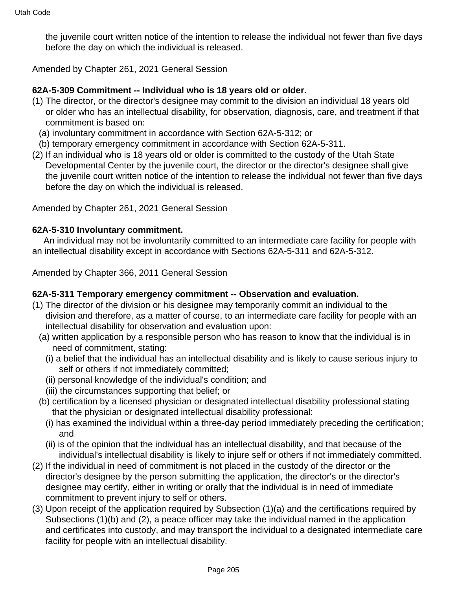the juvenile court written notice of the intention to release the individual not fewer than five days before the day on which the individual is released.

Amended by Chapter 261, 2021 General Session

## **62A-5-309 Commitment -- Individual who is 18 years old or older.**

- (1) The director, or the director's designee may commit to the division an individual 18 years old or older who has an intellectual disability, for observation, diagnosis, care, and treatment if that commitment is based on:
	- (a) involuntary commitment in accordance with Section 62A-5-312; or
- (b) temporary emergency commitment in accordance with Section 62A-5-311.
- (2) If an individual who is 18 years old or older is committed to the custody of the Utah State Developmental Center by the juvenile court, the director or the director's designee shall give the juvenile court written notice of the intention to release the individual not fewer than five days before the day on which the individual is released.

Amended by Chapter 261, 2021 General Session

## **62A-5-310 Involuntary commitment.**

 An individual may not be involuntarily committed to an intermediate care facility for people with an intellectual disability except in accordance with Sections 62A-5-311 and 62A-5-312.

Amended by Chapter 366, 2011 General Session

## **62A-5-311 Temporary emergency commitment -- Observation and evaluation.**

- (1) The director of the division or his designee may temporarily commit an individual to the division and therefore, as a matter of course, to an intermediate care facility for people with an intellectual disability for observation and evaluation upon:
	- (a) written application by a responsible person who has reason to know that the individual is in need of commitment, stating:
		- (i) a belief that the individual has an intellectual disability and is likely to cause serious injury to self or others if not immediately committed;
		- (ii) personal knowledge of the individual's condition; and
	- (iii) the circumstances supporting that belief; or
	- (b) certification by a licensed physician or designated intellectual disability professional stating that the physician or designated intellectual disability professional:
		- (i) has examined the individual within a three-day period immediately preceding the certification; and
		- (ii) is of the opinion that the individual has an intellectual disability, and that because of the individual's intellectual disability is likely to injure self or others if not immediately committed.
- (2) If the individual in need of commitment is not placed in the custody of the director or the director's designee by the person submitting the application, the director's or the director's designee may certify, either in writing or orally that the individual is in need of immediate commitment to prevent injury to self or others.
- (3) Upon receipt of the application required by Subsection (1)(a) and the certifications required by Subsections (1)(b) and (2), a peace officer may take the individual named in the application and certificates into custody, and may transport the individual to a designated intermediate care facility for people with an intellectual disability.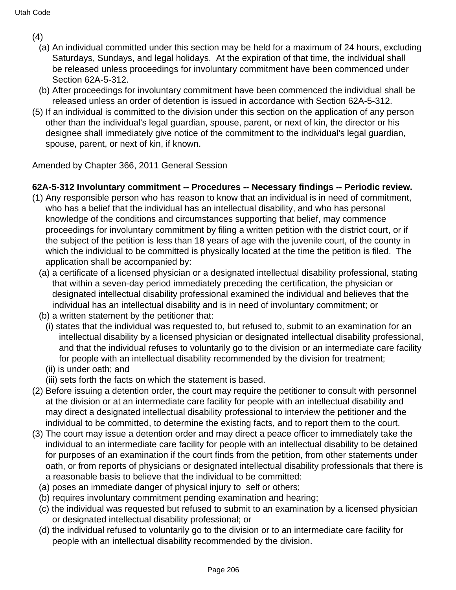(4)

- (a) An individual committed under this section may be held for a maximum of 24 hours, excluding Saturdays, Sundays, and legal holidays. At the expiration of that time, the individual shall be released unless proceedings for involuntary commitment have been commenced under Section 62A-5-312.
- (b) After proceedings for involuntary commitment have been commenced the individual shall be released unless an order of detention is issued in accordance with Section 62A-5-312.
- (5) If an individual is committed to the division under this section on the application of any person other than the individual's legal guardian, spouse, parent, or next of kin, the director or his designee shall immediately give notice of the commitment to the individual's legal guardian, spouse, parent, or next of kin, if known.

Amended by Chapter 366, 2011 General Session

# **62A-5-312 Involuntary commitment -- Procedures -- Necessary findings -- Periodic review.**

- (1) Any responsible person who has reason to know that an individual is in need of commitment, who has a belief that the individual has an intellectual disability, and who has personal knowledge of the conditions and circumstances supporting that belief, may commence proceedings for involuntary commitment by filing a written petition with the district court, or if the subject of the petition is less than 18 years of age with the juvenile court, of the county in which the individual to be committed is physically located at the time the petition is filed. The application shall be accompanied by:
	- (a) a certificate of a licensed physician or a designated intellectual disability professional, stating that within a seven-day period immediately preceding the certification, the physician or designated intellectual disability professional examined the individual and believes that the individual has an intellectual disability and is in need of involuntary commitment; or
	- (b) a written statement by the petitioner that:
		- (i) states that the individual was requested to, but refused to, submit to an examination for an intellectual disability by a licensed physician or designated intellectual disability professional, and that the individual refuses to voluntarily go to the division or an intermediate care facility for people with an intellectual disability recommended by the division for treatment;
		- (ii) is under oath; and
	- (iii) sets forth the facts on which the statement is based.
- (2) Before issuing a detention order, the court may require the petitioner to consult with personnel at the division or at an intermediate care facility for people with an intellectual disability and may direct a designated intellectual disability professional to interview the petitioner and the individual to be committed, to determine the existing facts, and to report them to the court.
- (3) The court may issue a detention order and may direct a peace officer to immediately take the individual to an intermediate care facility for people with an intellectual disability to be detained for purposes of an examination if the court finds from the petition, from other statements under oath, or from reports of physicians or designated intellectual disability professionals that there is a reasonable basis to believe that the individual to be committed:
	- (a) poses an immediate danger of physical injury to self or others;
	- (b) requires involuntary commitment pending examination and hearing;
	- (c) the individual was requested but refused to submit to an examination by a licensed physician or designated intellectual disability professional; or
	- (d) the individual refused to voluntarily go to the division or to an intermediate care facility for people with an intellectual disability recommended by the division.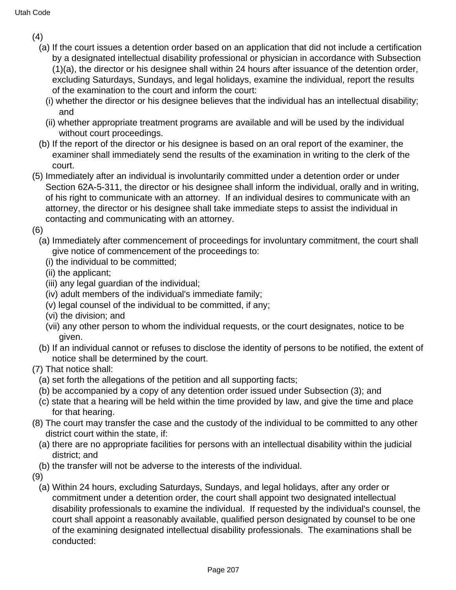(4)

- (a) If the court issues a detention order based on an application that did not include a certification by a designated intellectual disability professional or physician in accordance with Subsection (1)(a), the director or his designee shall within 24 hours after issuance of the detention order, excluding Saturdays, Sundays, and legal holidays, examine the individual, report the results of the examination to the court and inform the court:
	- (i) whether the director or his designee believes that the individual has an intellectual disability; and
	- (ii) whether appropriate treatment programs are available and will be used by the individual without court proceedings.
- (b) If the report of the director or his designee is based on an oral report of the examiner, the examiner shall immediately send the results of the examination in writing to the clerk of the court.
- (5) Immediately after an individual is involuntarily committed under a detention order or under Section 62A-5-311, the director or his designee shall inform the individual, orally and in writing, of his right to communicate with an attorney. If an individual desires to communicate with an attorney, the director or his designee shall take immediate steps to assist the individual in contacting and communicating with an attorney.

(6)

- (a) Immediately after commencement of proceedings for involuntary commitment, the court shall give notice of commencement of the proceedings to:
	- (i) the individual to be committed;
	- (ii) the applicant;
	- (iii) any legal guardian of the individual;
	- (iv) adult members of the individual's immediate family;
	- (v) legal counsel of the individual to be committed, if any;
	- (vi) the division; and
	- (vii) any other person to whom the individual requests, or the court designates, notice to be given.
- (b) If an individual cannot or refuses to disclose the identity of persons to be notified, the extent of notice shall be determined by the court.
- (7) That notice shall:
	- (a) set forth the allegations of the petition and all supporting facts;
	- (b) be accompanied by a copy of any detention order issued under Subsection (3); and
	- (c) state that a hearing will be held within the time provided by law, and give the time and place for that hearing.
- (8) The court may transfer the case and the custody of the individual to be committed to any other district court within the state, if:
	- (a) there are no appropriate facilities for persons with an intellectual disability within the judicial district; and
- (b) the transfer will not be adverse to the interests of the individual.
- (9)
	- (a) Within 24 hours, excluding Saturdays, Sundays, and legal holidays, after any order or commitment under a detention order, the court shall appoint two designated intellectual disability professionals to examine the individual. If requested by the individual's counsel, the court shall appoint a reasonably available, qualified person designated by counsel to be one of the examining designated intellectual disability professionals. The examinations shall be conducted: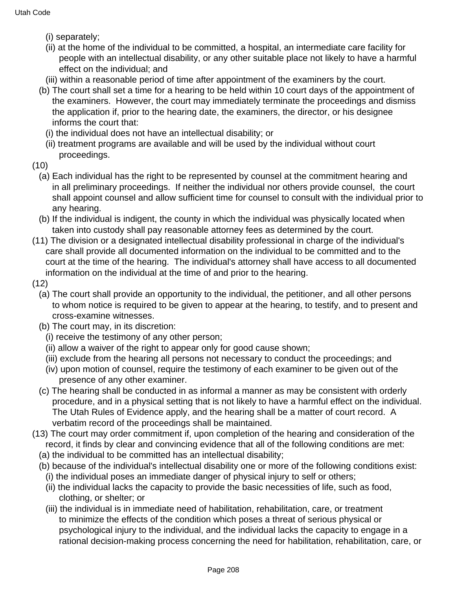- (i) separately;
- (ii) at the home of the individual to be committed, a hospital, an intermediate care facility for people with an intellectual disability, or any other suitable place not likely to have a harmful effect on the individual; and
- (iii) within a reasonable period of time after appointment of the examiners by the court.
- (b) The court shall set a time for a hearing to be held within 10 court days of the appointment of the examiners. However, the court may immediately terminate the proceedings and dismiss the application if, prior to the hearing date, the examiners, the director, or his designee informs the court that:
	- (i) the individual does not have an intellectual disability; or
	- (ii) treatment programs are available and will be used by the individual without court proceedings.
- (10)
	- (a) Each individual has the right to be represented by counsel at the commitment hearing and in all preliminary proceedings. If neither the individual nor others provide counsel, the court shall appoint counsel and allow sufficient time for counsel to consult with the individual prior to any hearing.
	- (b) If the individual is indigent, the county in which the individual was physically located when taken into custody shall pay reasonable attorney fees as determined by the court.
- (11) The division or a designated intellectual disability professional in charge of the individual's care shall provide all documented information on the individual to be committed and to the court at the time of the hearing. The individual's attorney shall have access to all documented information on the individual at the time of and prior to the hearing.
- (12)
	- (a) The court shall provide an opportunity to the individual, the petitioner, and all other persons to whom notice is required to be given to appear at the hearing, to testify, and to present and cross-examine witnesses.
	- (b) The court may, in its discretion:
		- (i) receive the testimony of any other person;
		- (ii) allow a waiver of the right to appear only for good cause shown;
		- (iii) exclude from the hearing all persons not necessary to conduct the proceedings; and
		- (iv) upon motion of counsel, require the testimony of each examiner to be given out of the presence of any other examiner.
	- (c) The hearing shall be conducted in as informal a manner as may be consistent with orderly procedure, and in a physical setting that is not likely to have a harmful effect on the individual. The Utah Rules of Evidence apply, and the hearing shall be a matter of court record. A verbatim record of the proceedings shall be maintained.
- (13) The court may order commitment if, upon completion of the hearing and consideration of the record, it finds by clear and convincing evidence that all of the following conditions are met:
	- (a) the individual to be committed has an intellectual disability;
	- (b) because of the individual's intellectual disability one or more of the following conditions exist: (i) the individual poses an immediate danger of physical injury to self or others;
		- (ii) the individual lacks the capacity to provide the basic necessities of life, such as food, clothing, or shelter; or
		- (iii) the individual is in immediate need of habilitation, rehabilitation, care, or treatment to minimize the effects of the condition which poses a threat of serious physical or psychological injury to the individual, and the individual lacks the capacity to engage in a rational decision-making process concerning the need for habilitation, rehabilitation, care, or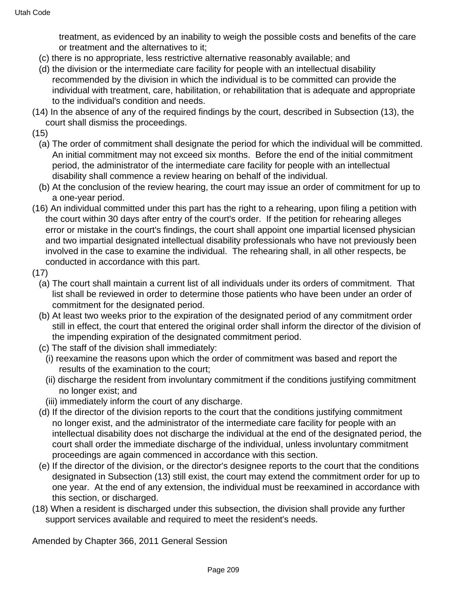treatment, as evidenced by an inability to weigh the possible costs and benefits of the care or treatment and the alternatives to it;

- (c) there is no appropriate, less restrictive alternative reasonably available; and
- (d) the division or the intermediate care facility for people with an intellectual disability recommended by the division in which the individual is to be committed can provide the individual with treatment, care, habilitation, or rehabilitation that is adequate and appropriate to the individual's condition and needs.
- (14) In the absence of any of the required findings by the court, described in Subsection (13), the court shall dismiss the proceedings.
- (15)
	- (a) The order of commitment shall designate the period for which the individual will be committed. An initial commitment may not exceed six months. Before the end of the initial commitment period, the administrator of the intermediate care facility for people with an intellectual disability shall commence a review hearing on behalf of the individual.
	- (b) At the conclusion of the review hearing, the court may issue an order of commitment for up to a one-year period.
- (16) An individual committed under this part has the right to a rehearing, upon filing a petition with the court within 30 days after entry of the court's order. If the petition for rehearing alleges error or mistake in the court's findings, the court shall appoint one impartial licensed physician and two impartial designated intellectual disability professionals who have not previously been involved in the case to examine the individual. The rehearing shall, in all other respects, be conducted in accordance with this part.
- (17)
	- (a) The court shall maintain a current list of all individuals under its orders of commitment. That list shall be reviewed in order to determine those patients who have been under an order of commitment for the designated period.
	- (b) At least two weeks prior to the expiration of the designated period of any commitment order still in effect, the court that entered the original order shall inform the director of the division of the impending expiration of the designated commitment period.
	- (c) The staff of the division shall immediately:
		- (i) reexamine the reasons upon which the order of commitment was based and report the results of the examination to the court;
		- (ii) discharge the resident from involuntary commitment if the conditions justifying commitment no longer exist; and
		- (iii) immediately inform the court of any discharge.
	- (d) If the director of the division reports to the court that the conditions justifying commitment no longer exist, and the administrator of the intermediate care facility for people with an intellectual disability does not discharge the individual at the end of the designated period, the court shall order the immediate discharge of the individual, unless involuntary commitment proceedings are again commenced in accordance with this section.
	- (e) If the director of the division, or the director's designee reports to the court that the conditions designated in Subsection (13) still exist, the court may extend the commitment order for up to one year. At the end of any extension, the individual must be reexamined in accordance with this section, or discharged.
- (18) When a resident is discharged under this subsection, the division shall provide any further support services available and required to meet the resident's needs.

Amended by Chapter 366, 2011 General Session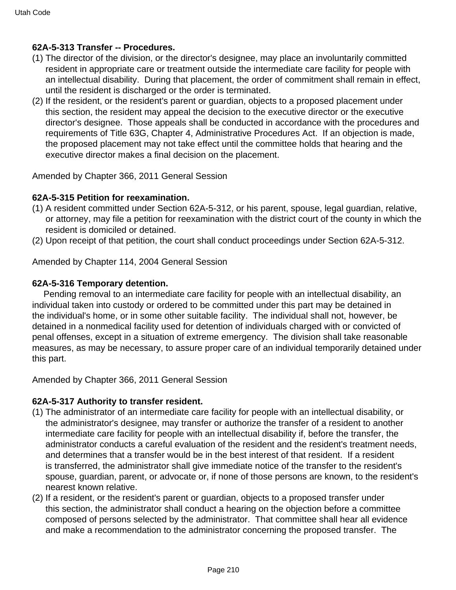## **62A-5-313 Transfer -- Procedures.**

- (1) The director of the division, or the director's designee, may place an involuntarily committed resident in appropriate care or treatment outside the intermediate care facility for people with an intellectual disability. During that placement, the order of commitment shall remain in effect, until the resident is discharged or the order is terminated.
- (2) If the resident, or the resident's parent or guardian, objects to a proposed placement under this section, the resident may appeal the decision to the executive director or the executive director's designee. Those appeals shall be conducted in accordance with the procedures and requirements of Title 63G, Chapter 4, Administrative Procedures Act. If an objection is made, the proposed placement may not take effect until the committee holds that hearing and the executive director makes a final decision on the placement.

Amended by Chapter 366, 2011 General Session

## **62A-5-315 Petition for reexamination.**

- (1) A resident committed under Section 62A-5-312, or his parent, spouse, legal guardian, relative, or attorney, may file a petition for reexamination with the district court of the county in which the resident is domiciled or detained.
- (2) Upon receipt of that petition, the court shall conduct proceedings under Section 62A-5-312.

Amended by Chapter 114, 2004 General Session

## **62A-5-316 Temporary detention.**

 Pending removal to an intermediate care facility for people with an intellectual disability, an individual taken into custody or ordered to be committed under this part may be detained in the individual's home, or in some other suitable facility. The individual shall not, however, be detained in a nonmedical facility used for detention of individuals charged with or convicted of penal offenses, except in a situation of extreme emergency. The division shall take reasonable measures, as may be necessary, to assure proper care of an individual temporarily detained under this part.

Amended by Chapter 366, 2011 General Session

#### **62A-5-317 Authority to transfer resident.**

- (1) The administrator of an intermediate care facility for people with an intellectual disability, or the administrator's designee, may transfer or authorize the transfer of a resident to another intermediate care facility for people with an intellectual disability if, before the transfer, the administrator conducts a careful evaluation of the resident and the resident's treatment needs, and determines that a transfer would be in the best interest of that resident. If a resident is transferred, the administrator shall give immediate notice of the transfer to the resident's spouse, guardian, parent, or advocate or, if none of those persons are known, to the resident's nearest known relative.
- (2) If a resident, or the resident's parent or guardian, objects to a proposed transfer under this section, the administrator shall conduct a hearing on the objection before a committee composed of persons selected by the administrator. That committee shall hear all evidence and make a recommendation to the administrator concerning the proposed transfer. The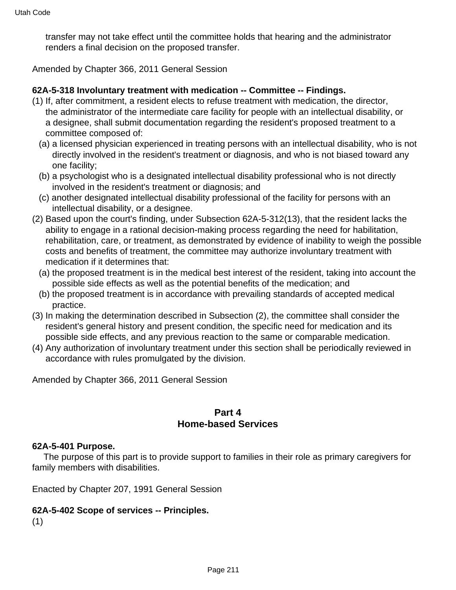transfer may not take effect until the committee holds that hearing and the administrator renders a final decision on the proposed transfer.

Amended by Chapter 366, 2011 General Session

#### **62A-5-318 Involuntary treatment with medication -- Committee -- Findings.**

- (1) If, after commitment, a resident elects to refuse treatment with medication, the director, the administrator of the intermediate care facility for people with an intellectual disability, or a designee, shall submit documentation regarding the resident's proposed treatment to a committee composed of:
	- (a) a licensed physician experienced in treating persons with an intellectual disability, who is not directly involved in the resident's treatment or diagnosis, and who is not biased toward any one facility;
	- (b) a psychologist who is a designated intellectual disability professional who is not directly involved in the resident's treatment or diagnosis; and
	- (c) another designated intellectual disability professional of the facility for persons with an intellectual disability, or a designee.
- (2) Based upon the court's finding, under Subsection 62A-5-312(13), that the resident lacks the ability to engage in a rational decision-making process regarding the need for habilitation, rehabilitation, care, or treatment, as demonstrated by evidence of inability to weigh the possible costs and benefits of treatment, the committee may authorize involuntary treatment with medication if it determines that:
	- (a) the proposed treatment is in the medical best interest of the resident, taking into account the possible side effects as well as the potential benefits of the medication; and
	- (b) the proposed treatment is in accordance with prevailing standards of accepted medical practice.
- (3) In making the determination described in Subsection (2), the committee shall consider the resident's general history and present condition, the specific need for medication and its possible side effects, and any previous reaction to the same or comparable medication.
- (4) Any authorization of involuntary treatment under this section shall be periodically reviewed in accordance with rules promulgated by the division.

Amended by Chapter 366, 2011 General Session

## **Part 4 Home-based Services**

#### **62A-5-401 Purpose.**

 The purpose of this part is to provide support to families in their role as primary caregivers for family members with disabilities.

Enacted by Chapter 207, 1991 General Session

#### **62A-5-402 Scope of services -- Principles.**

(1)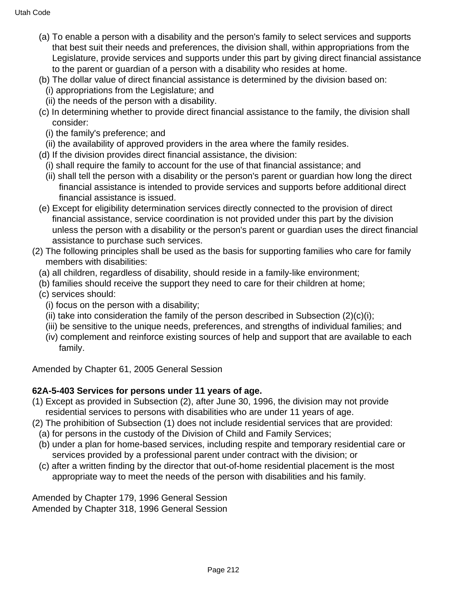- (a) To enable a person with a disability and the person's family to select services and supports that best suit their needs and preferences, the division shall, within appropriations from the Legislature, provide services and supports under this part by giving direct financial assistance to the parent or guardian of a person with a disability who resides at home.
- (b) The dollar value of direct financial assistance is determined by the division based on:
	- (i) appropriations from the Legislature; and
	- (ii) the needs of the person with a disability.
- (c) In determining whether to provide direct financial assistance to the family, the division shall consider:
	- (i) the family's preference; and
- (ii) the availability of approved providers in the area where the family resides.
- (d) If the division provides direct financial assistance, the division:
	- (i) shall require the family to account for the use of that financial assistance; and
	- (ii) shall tell the person with a disability or the person's parent or guardian how long the direct financial assistance is intended to provide services and supports before additional direct financial assistance is issued.
- (e) Except for eligibility determination services directly connected to the provision of direct financial assistance, service coordination is not provided under this part by the division unless the person with a disability or the person's parent or guardian uses the direct financial assistance to purchase such services.
- (2) The following principles shall be used as the basis for supporting families who care for family members with disabilities:
	- (a) all children, regardless of disability, should reside in a family-like environment;
	- (b) families should receive the support they need to care for their children at home;
	- (c) services should:
		- (i) focus on the person with a disability;
		- (ii) take into consideration the family of the person described in Subsection  $(2)(c)(i)$ ;
		- (iii) be sensitive to the unique needs, preferences, and strengths of individual families; and
		- (iv) complement and reinforce existing sources of help and support that are available to each family.

Amended by Chapter 61, 2005 General Session

# **62A-5-403 Services for persons under 11 years of age.**

- (1) Except as provided in Subsection (2), after June 30, 1996, the division may not provide residential services to persons with disabilities who are under 11 years of age.
- (2) The prohibition of Subsection (1) does not include residential services that are provided:
	- (a) for persons in the custody of the Division of Child and Family Services;
	- (b) under a plan for home-based services, including respite and temporary residential care or services provided by a professional parent under contract with the division; or
	- (c) after a written finding by the director that out-of-home residential placement is the most appropriate way to meet the needs of the person with disabilities and his family.

Amended by Chapter 179, 1996 General Session Amended by Chapter 318, 1996 General Session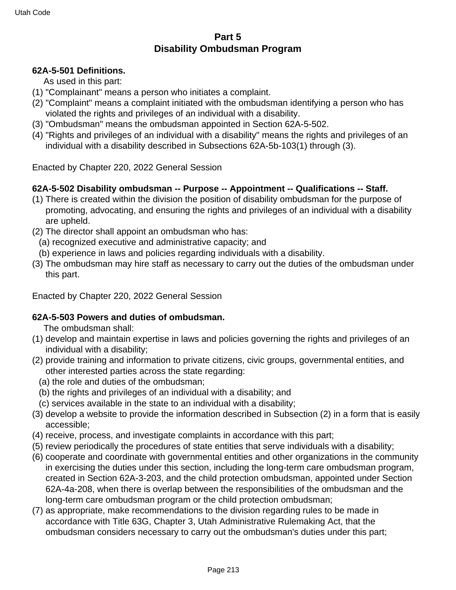# **Part 5 Disability Ombudsman Program**

#### **62A-5-501 Definitions.**

As used in this part:

- (1) "Complainant" means a person who initiates a complaint.
- (2) "Complaint" means a complaint initiated with the ombudsman identifying a person who has violated the rights and privileges of an individual with a disability.
- (3) "Ombudsman" means the ombudsman appointed in Section 62A-5-502.
- (4) "Rights and privileges of an individual with a disability" means the rights and privileges of an individual with a disability described in Subsections 62A-5b-103(1) through (3).

Enacted by Chapter 220, 2022 General Session

## **62A-5-502 Disability ombudsman -- Purpose -- Appointment -- Qualifications -- Staff.**

- (1) There is created within the division the position of disability ombudsman for the purpose of promoting, advocating, and ensuring the rights and privileges of an individual with a disability are upheld.
- (2) The director shall appoint an ombudsman who has:
	- (a) recognized executive and administrative capacity; and
	- (b) experience in laws and policies regarding individuals with a disability.
- (3) The ombudsman may hire staff as necessary to carry out the duties of the ombudsman under this part.

Enacted by Chapter 220, 2022 General Session

#### **62A-5-503 Powers and duties of ombudsman.**

The ombudsman shall:

- (1) develop and maintain expertise in laws and policies governing the rights and privileges of an individual with a disability;
- (2) provide training and information to private citizens, civic groups, governmental entities, and other interested parties across the state regarding:
	- (a) the role and duties of the ombudsman;
	- (b) the rights and privileges of an individual with a disability; and
	- (c) services available in the state to an individual with a disability;
- (3) develop a website to provide the information described in Subsection (2) in a form that is easily accessible;
- (4) receive, process, and investigate complaints in accordance with this part;
- (5) review periodically the procedures of state entities that serve individuals with a disability;
- (6) cooperate and coordinate with governmental entities and other organizations in the community in exercising the duties under this section, including the long-term care ombudsman program, created in Section 62A-3-203, and the child protection ombudsman, appointed under Section 62A-4a-208, when there is overlap between the responsibilities of the ombudsman and the long-term care ombudsman program or the child protection ombudsman;
- (7) as appropriate, make recommendations to the division regarding rules to be made in accordance with Title 63G, Chapter 3, Utah Administrative Rulemaking Act, that the ombudsman considers necessary to carry out the ombudsman's duties under this part;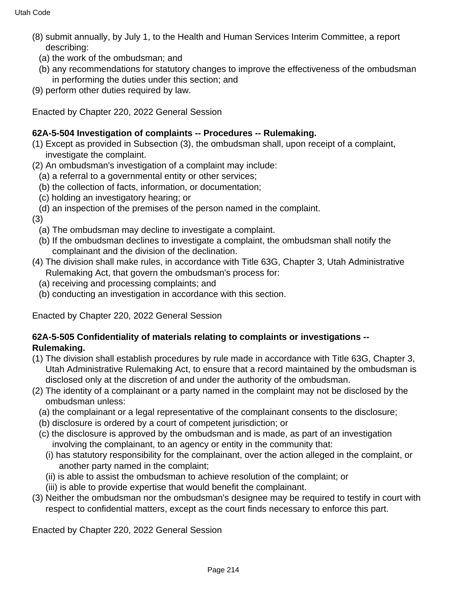- (8) submit annually, by July 1, to the Health and Human Services Interim Committee, a report describing:
	- (a) the work of the ombudsman; and
	- (b) any recommendations for statutory changes to improve the effectiveness of the ombudsman in performing the duties under this section; and
- (9) perform other duties required by law.

Enacted by Chapter 220, 2022 General Session

## **62A-5-504 Investigation of complaints -- Procedures -- Rulemaking.**

- (1) Except as provided in Subsection (3), the ombudsman shall, upon receipt of a complaint, investigate the complaint.
- (2) An ombudsman's investigation of a complaint may include:
	- (a) a referral to a governmental entity or other services;
	- (b) the collection of facts, information, or documentation;
	- (c) holding an investigatory hearing; or
- (d) an inspection of the premises of the person named in the complaint.

(3)

- (a) The ombudsman may decline to investigate a complaint.
- (b) If the ombudsman declines to investigate a complaint, the ombudsman shall notify the complainant and the division of the declination.
- (4) The division shall make rules, in accordance with Title 63G, Chapter 3, Utah Administrative Rulemaking Act, that govern the ombudsman's process for:
	- (a) receiving and processing complaints; and
	- (b) conducting an investigation in accordance with this section.

Enacted by Chapter 220, 2022 General Session

## **62A-5-505 Confidentiality of materials relating to complaints or investigations -- Rulemaking.**

- (1) The division shall establish procedures by rule made in accordance with Title 63G, Chapter 3, Utah Administrative Rulemaking Act, to ensure that a record maintained by the ombudsman is disclosed only at the discretion of and under the authority of the ombudsman.
- (2) The identity of a complainant or a party named in the complaint may not be disclosed by the ombudsman unless:
	- (a) the complainant or a legal representative of the complainant consents to the disclosure;
	- (b) disclosure is ordered by a court of competent jurisdiction; or
	- (c) the disclosure is approved by the ombudsman and is made, as part of an investigation involving the complainant, to an agency or entity in the community that:
		- (i) has statutory responsibility for the complainant, over the action alleged in the complaint, or another party named in the complaint;
		- (ii) is able to assist the ombudsman to achieve resolution of the complaint; or
		- (iii) is able to provide expertise that would benefit the complainant.
- (3) Neither the ombudsman nor the ombudsman's designee may be required to testify in court with respect to confidential matters, except as the court finds necessary to enforce this part.

Enacted by Chapter 220, 2022 General Session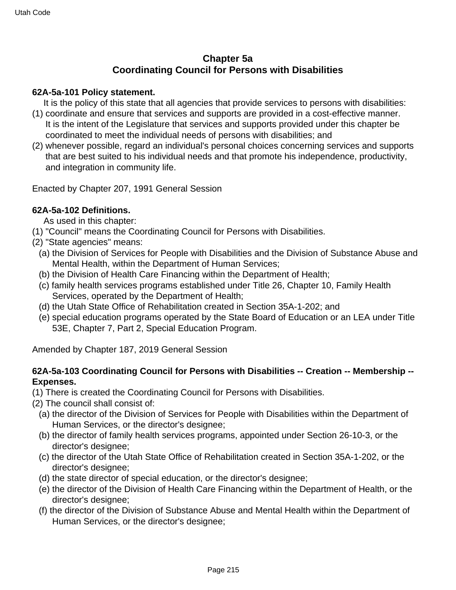# **Chapter 5a Coordinating Council for Persons with Disabilities**

#### **62A-5a-101 Policy statement.**

It is the policy of this state that all agencies that provide services to persons with disabilities:

- (1) coordinate and ensure that services and supports are provided in a cost-effective manner. It is the intent of the Legislature that services and supports provided under this chapter be coordinated to meet the individual needs of persons with disabilities; and
- (2) whenever possible, regard an individual's personal choices concerning services and supports that are best suited to his individual needs and that promote his independence, productivity, and integration in community life.

Enacted by Chapter 207, 1991 General Session

#### **62A-5a-102 Definitions.**

As used in this chapter:

- (1) "Council" means the Coordinating Council for Persons with Disabilities.
- (2) "State agencies" means:
	- (a) the Division of Services for People with Disabilities and the Division of Substance Abuse and Mental Health, within the Department of Human Services;
	- (b) the Division of Health Care Financing within the Department of Health;
	- (c) family health services programs established under Title 26, Chapter 10, Family Health Services, operated by the Department of Health;
	- (d) the Utah State Office of Rehabilitation created in Section 35A-1-202; and
	- (e) special education programs operated by the State Board of Education or an LEA under Title 53E, Chapter 7, Part 2, Special Education Program.

Amended by Chapter 187, 2019 General Session

## **62A-5a-103 Coordinating Council for Persons with Disabilities -- Creation -- Membership -- Expenses.**

- (1) There is created the Coordinating Council for Persons with Disabilities.
- (2) The council shall consist of:
	- (a) the director of the Division of Services for People with Disabilities within the Department of Human Services, or the director's designee;
	- (b) the director of family health services programs, appointed under Section 26-10-3, or the director's designee;
	- (c) the director of the Utah State Office of Rehabilitation created in Section 35A-1-202, or the director's designee;
	- (d) the state director of special education, or the director's designee;
	- (e) the director of the Division of Health Care Financing within the Department of Health, or the director's designee;
	- (f) the director of the Division of Substance Abuse and Mental Health within the Department of Human Services, or the director's designee;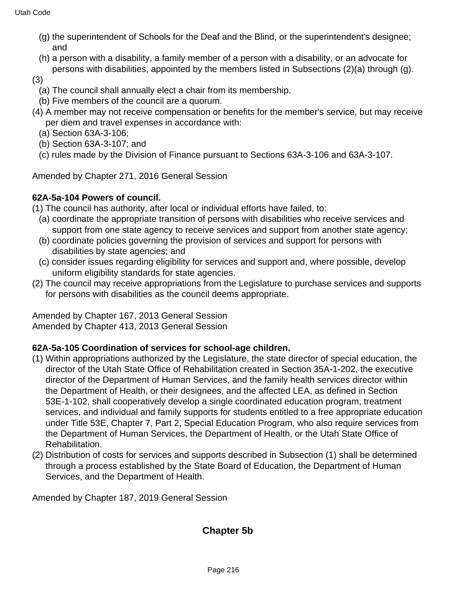- (g) the superintendent of Schools for the Deaf and the Blind, or the superintendent's designee; and
- (h) a person with a disability, a family member of a person with a disability, or an advocate for persons with disabilities, appointed by the members listed in Subsections (2)(a) through (g).

(3)

- (a) The council shall annually elect a chair from its membership.
- (b) Five members of the council are a quorum.
- (4) A member may not receive compensation or benefits for the member's service, but may receive per diem and travel expenses in accordance with:
	- (a) Section 63A-3-106;
	- (b) Section 63A-3-107; and
	- (c) rules made by the Division of Finance pursuant to Sections 63A-3-106 and 63A-3-107.

Amended by Chapter 271, 2016 General Session

## **62A-5a-104 Powers of council.**

- (1) The council has authority, after local or individual efforts have failed, to:
	- (a) coordinate the appropriate transition of persons with disabilities who receive services and support from one state agency to receive services and support from another state agency;
	- (b) coordinate policies governing the provision of services and support for persons with disabilities by state agencies; and
	- (c) consider issues regarding eligibility for services and support and, where possible, develop uniform eligibility standards for state agencies.
- (2) The council may receive appropriations from the Legislature to purchase services and supports for persons with disabilities as the council deems appropriate.

Amended by Chapter 167, 2013 General Session Amended by Chapter 413, 2013 General Session

# **62A-5a-105 Coordination of services for school-age children.**

- (1) Within appropriations authorized by the Legislature, the state director of special education, the director of the Utah State Office of Rehabilitation created in Section 35A-1-202, the executive director of the Department of Human Services, and the family health services director within the Department of Health, or their designees, and the affected LEA, as defined in Section 53E-1-102, shall cooperatively develop a single coordinated education program, treatment services, and individual and family supports for students entitled to a free appropriate education under Title 53E, Chapter 7, Part 2, Special Education Program, who also require services from the Department of Human Services, the Department of Health, or the Utah State Office of Rehabilitation.
- (2) Distribution of costs for services and supports described in Subsection (1) shall be determined through a process established by the State Board of Education, the Department of Human Services, and the Department of Health.

Amended by Chapter 187, 2019 General Session

# **Chapter 5b**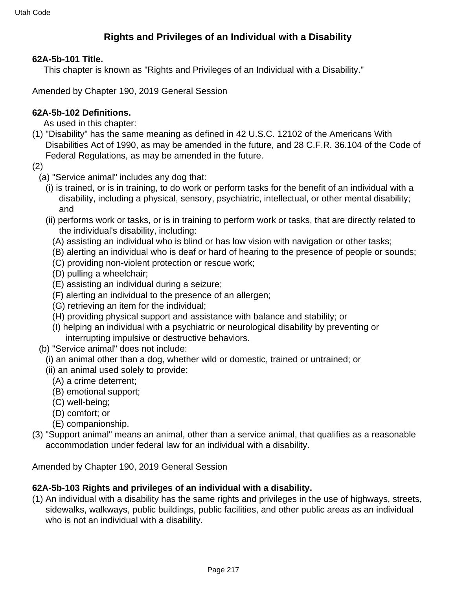## **Rights and Privileges of an Individual with a Disability**

#### **62A-5b-101 Title.**

This chapter is known as "Rights and Privileges of an Individual with a Disability."

Amended by Chapter 190, 2019 General Session

#### **62A-5b-102 Definitions.**

As used in this chapter:

- (1) "Disability" has the same meaning as defined in 42 U.S.C. 12102 of the Americans With Disabilities Act of 1990, as may be amended in the future, and 28 C.F.R. 36.104 of the Code of Federal Regulations, as may be amended in the future.
- (2)
	- (a) "Service animal" includes any dog that:
		- (i) is trained, or is in training, to do work or perform tasks for the benefit of an individual with a disability, including a physical, sensory, psychiatric, intellectual, or other mental disability; and
		- (ii) performs work or tasks, or is in training to perform work or tasks, that are directly related to the individual's disability, including:
			- (A) assisting an individual who is blind or has low vision with navigation or other tasks;
			- (B) alerting an individual who is deaf or hard of hearing to the presence of people or sounds;
			- (C) providing non-violent protection or rescue work;
			- (D) pulling a wheelchair;
			- (E) assisting an individual during a seizure;
			- (F) alerting an individual to the presence of an allergen;
			- (G) retrieving an item for the individual;
			- (H) providing physical support and assistance with balance and stability; or
			- (I) helping an individual with a psychiatric or neurological disability by preventing or interrupting impulsive or destructive behaviors.
	- (b) "Service animal" does not include:
		- (i) an animal other than a dog, whether wild or domestic, trained or untrained; or
		- (ii) an animal used solely to provide:
			- (A) a crime deterrent;
			- (B) emotional support;
			- (C) well-being;
			- (D) comfort; or
			- (E) companionship.
- (3) "Support animal" means an animal, other than a service animal, that qualifies as a reasonable accommodation under federal law for an individual with a disability.

Amended by Chapter 190, 2019 General Session

#### **62A-5b-103 Rights and privileges of an individual with a disability.**

(1) An individual with a disability has the same rights and privileges in the use of highways, streets, sidewalks, walkways, public buildings, public facilities, and other public areas as an individual who is not an individual with a disability.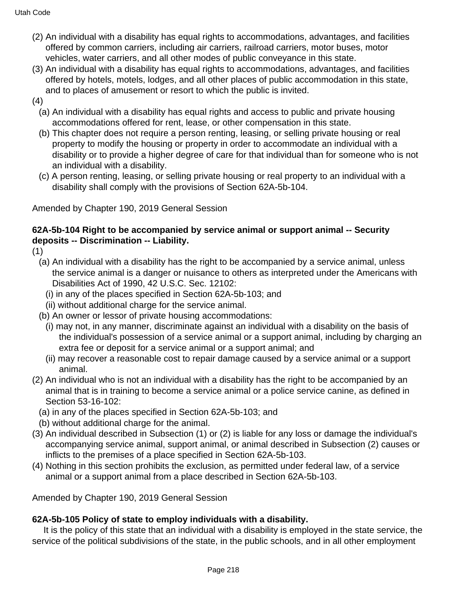- (2) An individual with a disability has equal rights to accommodations, advantages, and facilities offered by common carriers, including air carriers, railroad carriers, motor buses, motor vehicles, water carriers, and all other modes of public conveyance in this state.
- (3) An individual with a disability has equal rights to accommodations, advantages, and facilities offered by hotels, motels, lodges, and all other places of public accommodation in this state, and to places of amusement or resort to which the public is invited.
- (4)
	- (a) An individual with a disability has equal rights and access to public and private housing accommodations offered for rent, lease, or other compensation in this state.
	- (b) This chapter does not require a person renting, leasing, or selling private housing or real property to modify the housing or property in order to accommodate an individual with a disability or to provide a higher degree of care for that individual than for someone who is not an individual with a disability.
	- (c) A person renting, leasing, or selling private housing or real property to an individual with a disability shall comply with the provisions of Section 62A-5b-104.

Amended by Chapter 190, 2019 General Session

### **62A-5b-104 Right to be accompanied by service animal or support animal -- Security deposits -- Discrimination -- Liability.**

(1)

- (a) An individual with a disability has the right to be accompanied by a service animal, unless the service animal is a danger or nuisance to others as interpreted under the Americans with Disabilities Act of 1990, 42 U.S.C. Sec. 12102:
	- (i) in any of the places specified in Section 62A-5b-103; and
	- (ii) without additional charge for the service animal.
- (b) An owner or lessor of private housing accommodations:
	- (i) may not, in any manner, discriminate against an individual with a disability on the basis of the individual's possession of a service animal or a support animal, including by charging an extra fee or deposit for a service animal or a support animal; and
	- (ii) may recover a reasonable cost to repair damage caused by a service animal or a support animal.
- (2) An individual who is not an individual with a disability has the right to be accompanied by an animal that is in training to become a service animal or a police service canine, as defined in Section 53-16-102:
	- (a) in any of the places specified in Section 62A-5b-103; and
	- (b) without additional charge for the animal.
- (3) An individual described in Subsection (1) or (2) is liable for any loss or damage the individual's accompanying service animal, support animal, or animal described in Subsection (2) causes or inflicts to the premises of a place specified in Section 62A-5b-103.
- (4) Nothing in this section prohibits the exclusion, as permitted under federal law, of a service animal or a support animal from a place described in Section 62A-5b-103.

Amended by Chapter 190, 2019 General Session

## **62A-5b-105 Policy of state to employ individuals with a disability.**

 It is the policy of this state that an individual with a disability is employed in the state service, the service of the political subdivisions of the state, in the public schools, and in all other employment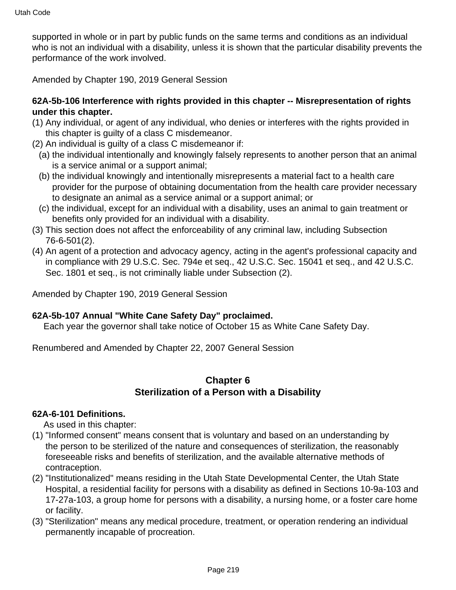supported in whole or in part by public funds on the same terms and conditions as an individual who is not an individual with a disability, unless it is shown that the particular disability prevents the performance of the work involved.

Amended by Chapter 190, 2019 General Session

#### **62A-5b-106 Interference with rights provided in this chapter -- Misrepresentation of rights under this chapter.**

- (1) Any individual, or agent of any individual, who denies or interferes with the rights provided in this chapter is guilty of a class C misdemeanor.
- (2) An individual is guilty of a class C misdemeanor if:
	- (a) the individual intentionally and knowingly falsely represents to another person that an animal is a service animal or a support animal;
	- (b) the individual knowingly and intentionally misrepresents a material fact to a health care provider for the purpose of obtaining documentation from the health care provider necessary to designate an animal as a service animal or a support animal; or
	- (c) the individual, except for an individual with a disability, uses an animal to gain treatment or benefits only provided for an individual with a disability.
- (3) This section does not affect the enforceability of any criminal law, including Subsection 76-6-501(2).
- (4) An agent of a protection and advocacy agency, acting in the agent's professional capacity and in compliance with 29 U.S.C. Sec. 794e et seq., 42 U.S.C. Sec. 15041 et seq., and 42 U.S.C. Sec. 1801 et seq., is not criminally liable under Subsection (2).

Amended by Chapter 190, 2019 General Session

#### **62A-5b-107 Annual "White Cane Safety Day" proclaimed.**

Each year the governor shall take notice of October 15 as White Cane Safety Day.

Renumbered and Amended by Chapter 22, 2007 General Session

#### **Chapter 6 Sterilization of a Person with a Disability**

#### **62A-6-101 Definitions.**

As used in this chapter:

- (1) "Informed consent" means consent that is voluntary and based on an understanding by the person to be sterilized of the nature and consequences of sterilization, the reasonably foreseeable risks and benefits of sterilization, and the available alternative methods of contraception.
- (2) "Institutionalized" means residing in the Utah State Developmental Center, the Utah State Hospital, a residential facility for persons with a disability as defined in Sections 10-9a-103 and 17-27a-103, a group home for persons with a disability, a nursing home, or a foster care home or facility.
- (3) "Sterilization" means any medical procedure, treatment, or operation rendering an individual permanently incapable of procreation.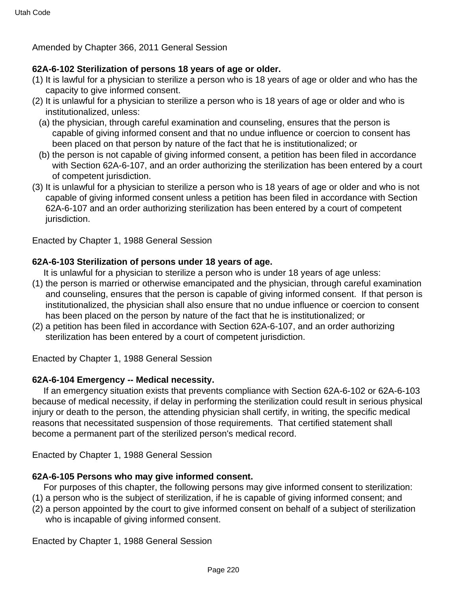Amended by Chapter 366, 2011 General Session

## **62A-6-102 Sterilization of persons 18 years of age or older.**

- (1) It is lawful for a physician to sterilize a person who is 18 years of age or older and who has the capacity to give informed consent.
- (2) It is unlawful for a physician to sterilize a person who is 18 years of age or older and who is institutionalized, unless:
	- (a) the physician, through careful examination and counseling, ensures that the person is capable of giving informed consent and that no undue influence or coercion to consent has been placed on that person by nature of the fact that he is institutionalized; or
	- (b) the person is not capable of giving informed consent, a petition has been filed in accordance with Section 62A-6-107, and an order authorizing the sterilization has been entered by a court of competent jurisdiction.
- (3) It is unlawful for a physician to sterilize a person who is 18 years of age or older and who is not capable of giving informed consent unless a petition has been filed in accordance with Section 62A-6-107 and an order authorizing sterilization has been entered by a court of competent jurisdiction.

Enacted by Chapter 1, 1988 General Session

## **62A-6-103 Sterilization of persons under 18 years of age.**

It is unlawful for a physician to sterilize a person who is under 18 years of age unless:

- (1) the person is married or otherwise emancipated and the physician, through careful examination and counseling, ensures that the person is capable of giving informed consent. If that person is institutionalized, the physician shall also ensure that no undue influence or coercion to consent has been placed on the person by nature of the fact that he is institutionalized; or
- (2) a petition has been filed in accordance with Section 62A-6-107, and an order authorizing sterilization has been entered by a court of competent jurisdiction.

Enacted by Chapter 1, 1988 General Session

## **62A-6-104 Emergency -- Medical necessity.**

 If an emergency situation exists that prevents compliance with Section 62A-6-102 or 62A-6-103 because of medical necessity, if delay in performing the sterilization could result in serious physical injury or death to the person, the attending physician shall certify, in writing, the specific medical reasons that necessitated suspension of those requirements. That certified statement shall become a permanent part of the sterilized person's medical record.

Enacted by Chapter 1, 1988 General Session

## **62A-6-105 Persons who may give informed consent.**

For purposes of this chapter, the following persons may give informed consent to sterilization:

- (1) a person who is the subject of sterilization, if he is capable of giving informed consent; and
- (2) a person appointed by the court to give informed consent on behalf of a subject of sterilization who is incapable of giving informed consent.

Enacted by Chapter 1, 1988 General Session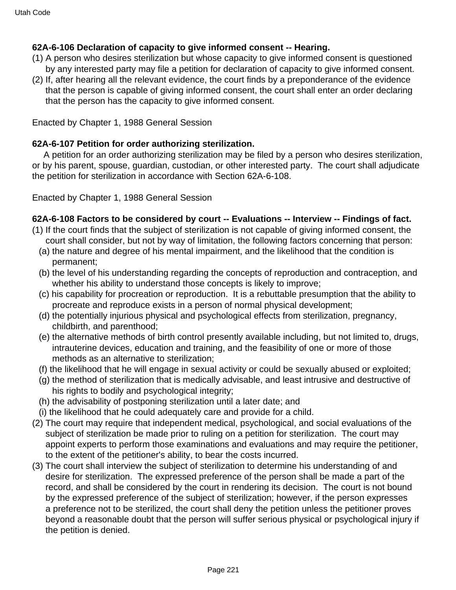#### **62A-6-106 Declaration of capacity to give informed consent -- Hearing.**

- (1) A person who desires sterilization but whose capacity to give informed consent is questioned by any interested party may file a petition for declaration of capacity to give informed consent.
- (2) If, after hearing all the relevant evidence, the court finds by a preponderance of the evidence that the person is capable of giving informed consent, the court shall enter an order declaring that the person has the capacity to give informed consent.

Enacted by Chapter 1, 1988 General Session

#### **62A-6-107 Petition for order authorizing sterilization.**

 A petition for an order authorizing sterilization may be filed by a person who desires sterilization, or by his parent, spouse, guardian, custodian, or other interested party. The court shall adjudicate the petition for sterilization in accordance with Section 62A-6-108.

Enacted by Chapter 1, 1988 General Session

#### **62A-6-108 Factors to be considered by court -- Evaluations -- Interview -- Findings of fact.**

- (1) If the court finds that the subject of sterilization is not capable of giving informed consent, the court shall consider, but not by way of limitation, the following factors concerning that person:
	- (a) the nature and degree of his mental impairment, and the likelihood that the condition is permanent;
	- (b) the level of his understanding regarding the concepts of reproduction and contraception, and whether his ability to understand those concepts is likely to improve;
	- (c) his capability for procreation or reproduction. It is a rebuttable presumption that the ability to procreate and reproduce exists in a person of normal physical development;
	- (d) the potentially injurious physical and psychological effects from sterilization, pregnancy, childbirth, and parenthood;
	- (e) the alternative methods of birth control presently available including, but not limited to, drugs, intrauterine devices, education and training, and the feasibility of one or more of those methods as an alternative to sterilization;
	- (f) the likelihood that he will engage in sexual activity or could be sexually abused or exploited;
	- (g) the method of sterilization that is medically advisable, and least intrusive and destructive of his rights to bodily and psychological integrity;
	- (h) the advisability of postponing sterilization until a later date; and
	- (i) the likelihood that he could adequately care and provide for a child.
- (2) The court may require that independent medical, psychological, and social evaluations of the subject of sterilization be made prior to ruling on a petition for sterilization. The court may appoint experts to perform those examinations and evaluations and may require the petitioner, to the extent of the petitioner's ability, to bear the costs incurred.
- (3) The court shall interview the subject of sterilization to determine his understanding of and desire for sterilization. The expressed preference of the person shall be made a part of the record, and shall be considered by the court in rendering its decision. The court is not bound by the expressed preference of the subject of sterilization; however, if the person expresses a preference not to be sterilized, the court shall deny the petition unless the petitioner proves beyond a reasonable doubt that the person will suffer serious physical or psychological injury if the petition is denied.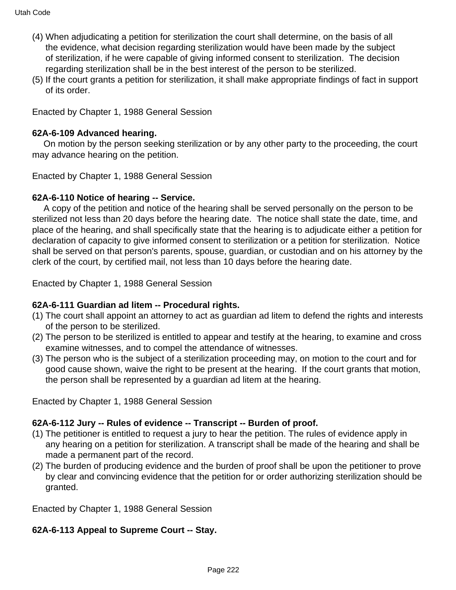- (4) When adjudicating a petition for sterilization the court shall determine, on the basis of all the evidence, what decision regarding sterilization would have been made by the subject of sterilization, if he were capable of giving informed consent to sterilization. The decision regarding sterilization shall be in the best interest of the person to be sterilized.
- (5) If the court grants a petition for sterilization, it shall make appropriate findings of fact in support of its order.

Enacted by Chapter 1, 1988 General Session

#### **62A-6-109 Advanced hearing.**

 On motion by the person seeking sterilization or by any other party to the proceeding, the court may advance hearing on the petition.

Enacted by Chapter 1, 1988 General Session

#### **62A-6-110 Notice of hearing -- Service.**

 A copy of the petition and notice of the hearing shall be served personally on the person to be sterilized not less than 20 days before the hearing date. The notice shall state the date, time, and place of the hearing, and shall specifically state that the hearing is to adjudicate either a petition for declaration of capacity to give informed consent to sterilization or a petition for sterilization. Notice shall be served on that person's parents, spouse, guardian, or custodian and on his attorney by the clerk of the court, by certified mail, not less than 10 days before the hearing date.

Enacted by Chapter 1, 1988 General Session

#### **62A-6-111 Guardian ad litem -- Procedural rights.**

- (1) The court shall appoint an attorney to act as guardian ad litem to defend the rights and interests of the person to be sterilized.
- (2) The person to be sterilized is entitled to appear and testify at the hearing, to examine and cross examine witnesses, and to compel the attendance of witnesses.
- (3) The person who is the subject of a sterilization proceeding may, on motion to the court and for good cause shown, waive the right to be present at the hearing. If the court grants that motion, the person shall be represented by a guardian ad litem at the hearing.

Enacted by Chapter 1, 1988 General Session

#### **62A-6-112 Jury -- Rules of evidence -- Transcript -- Burden of proof.**

- (1) The petitioner is entitled to request a jury to hear the petition. The rules of evidence apply in any hearing on a petition for sterilization. A transcript shall be made of the hearing and shall be made a permanent part of the record.
- (2) The burden of producing evidence and the burden of proof shall be upon the petitioner to prove by clear and convincing evidence that the petition for or order authorizing sterilization should be granted.

Enacted by Chapter 1, 1988 General Session

#### **62A-6-113 Appeal to Supreme Court -- Stay.**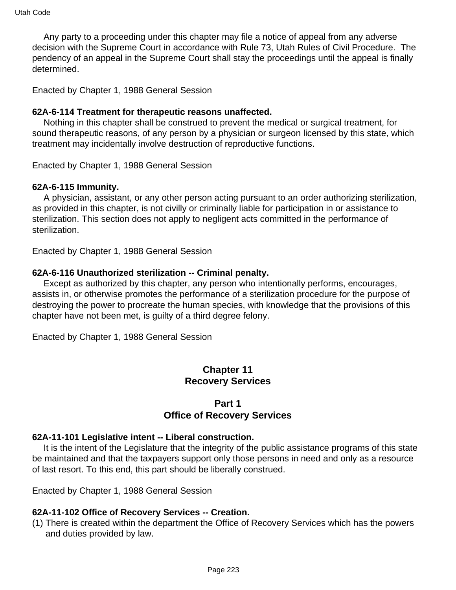Any party to a proceeding under this chapter may file a notice of appeal from any adverse decision with the Supreme Court in accordance with Rule 73, Utah Rules of Civil Procedure. The pendency of an appeal in the Supreme Court shall stay the proceedings until the appeal is finally determined.

Enacted by Chapter 1, 1988 General Session

#### **62A-6-114 Treatment for therapeutic reasons unaffected.**

 Nothing in this chapter shall be construed to prevent the medical or surgical treatment, for sound therapeutic reasons, of any person by a physician or surgeon licensed by this state, which treatment may incidentally involve destruction of reproductive functions.

Enacted by Chapter 1, 1988 General Session

#### **62A-6-115 Immunity.**

 A physician, assistant, or any other person acting pursuant to an order authorizing sterilization, as provided in this chapter, is not civilly or criminally liable for participation in or assistance to sterilization. This section does not apply to negligent acts committed in the performance of sterilization.

Enacted by Chapter 1, 1988 General Session

#### **62A-6-116 Unauthorized sterilization -- Criminal penalty.**

 Except as authorized by this chapter, any person who intentionally performs, encourages, assists in, or otherwise promotes the performance of a sterilization procedure for the purpose of destroying the power to procreate the human species, with knowledge that the provisions of this chapter have not been met, is guilty of a third degree felony.

Enacted by Chapter 1, 1988 General Session

#### **Chapter 11 Recovery Services**

#### **Part 1 Office of Recovery Services**

#### **62A-11-101 Legislative intent -- Liberal construction.**

 It is the intent of the Legislature that the integrity of the public assistance programs of this state be maintained and that the taxpayers support only those persons in need and only as a resource of last resort. To this end, this part should be liberally construed.

Enacted by Chapter 1, 1988 General Session

#### **62A-11-102 Office of Recovery Services -- Creation.**

(1) There is created within the department the Office of Recovery Services which has the powers and duties provided by law.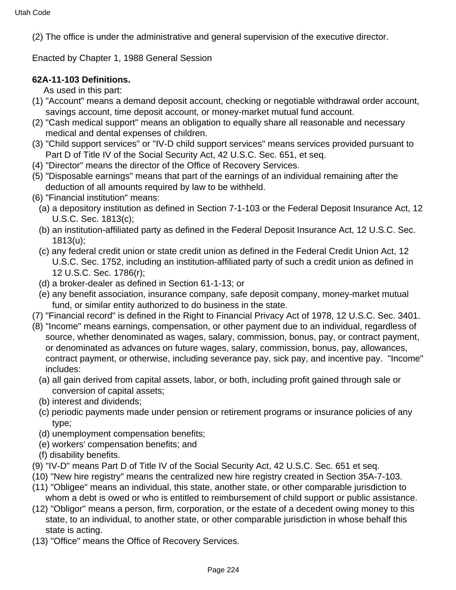(2) The office is under the administrative and general supervision of the executive director.

Enacted by Chapter 1, 1988 General Session

## **62A-11-103 Definitions.**

As used in this part:

- (1) "Account" means a demand deposit account, checking or negotiable withdrawal order account, savings account, time deposit account, or money-market mutual fund account.
- (2) "Cash medical support" means an obligation to equally share all reasonable and necessary medical and dental expenses of children.
- (3) "Child support services" or "IV-D child support services" means services provided pursuant to Part D of Title IV of the Social Security Act, 42 U.S.C. Sec. 651, et seq.
- (4) "Director" means the director of the Office of Recovery Services.
- (5) "Disposable earnings" means that part of the earnings of an individual remaining after the deduction of all amounts required by law to be withheld.
- (6) "Financial institution" means:
	- (a) a depository institution as defined in Section 7-1-103 or the Federal Deposit Insurance Act, 12 U.S.C. Sec. 1813(c);
	- (b) an institution-affiliated party as defined in the Federal Deposit Insurance Act, 12 U.S.C. Sec. 1813(u);
	- (c) any federal credit union or state credit union as defined in the Federal Credit Union Act, 12 U.S.C. Sec. 1752, including an institution-affiliated party of such a credit union as defined in 12 U.S.C. Sec. 1786(r);
	- (d) a broker-dealer as defined in Section 61-1-13; or
	- (e) any benefit association, insurance company, safe deposit company, money-market mutual fund, or similar entity authorized to do business in the state.
- (7) "Financial record" is defined in the Right to Financial Privacy Act of 1978, 12 U.S.C. Sec. 3401.
- (8) "Income" means earnings, compensation, or other payment due to an individual, regardless of source, whether denominated as wages, salary, commission, bonus, pay, or contract payment, or denominated as advances on future wages, salary, commission, bonus, pay, allowances, contract payment, or otherwise, including severance pay, sick pay, and incentive pay. "Income" includes:
	- (a) all gain derived from capital assets, labor, or both, including profit gained through sale or conversion of capital assets;
	- (b) interest and dividends;
	- (c) periodic payments made under pension or retirement programs or insurance policies of any type;
	- (d) unemployment compensation benefits;
	- (e) workers' compensation benefits; and
	- (f) disability benefits.
- (9) "IV-D" means Part D of Title IV of the Social Security Act, 42 U.S.C. Sec. 651 et seq.
- (10) "New hire registry" means the centralized new hire registry created in Section 35A-7-103.
- (11) "Obligee" means an individual, this state, another state, or other comparable jurisdiction to whom a debt is owed or who is entitled to reimbursement of child support or public assistance.
- (12) "Obligor" means a person, firm, corporation, or the estate of a decedent owing money to this state, to an individual, to another state, or other comparable jurisdiction in whose behalf this state is acting.
- (13) "Office" means the Office of Recovery Services.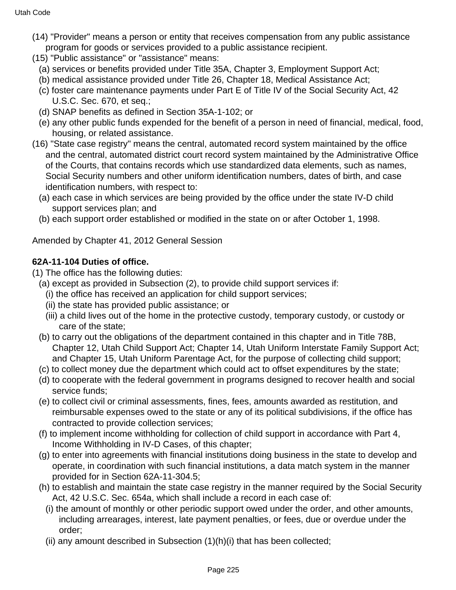- (14) "Provider" means a person or entity that receives compensation from any public assistance program for goods or services provided to a public assistance recipient.
- (15) "Public assistance" or "assistance" means:
	- (a) services or benefits provided under Title 35A, Chapter 3, Employment Support Act;
	- (b) medical assistance provided under Title 26, Chapter 18, Medical Assistance Act;
	- (c) foster care maintenance payments under Part E of Title IV of the Social Security Act, 42 U.S.C. Sec. 670, et seq.;
	- (d) SNAP benefits as defined in Section 35A-1-102; or
	- (e) any other public funds expended for the benefit of a person in need of financial, medical, food, housing, or related assistance.
- (16) "State case registry" means the central, automated record system maintained by the office and the central, automated district court record system maintained by the Administrative Office of the Courts, that contains records which use standardized data elements, such as names, Social Security numbers and other uniform identification numbers, dates of birth, and case identification numbers, with respect to:
	- (a) each case in which services are being provided by the office under the state IV-D child support services plan; and
	- (b) each support order established or modified in the state on or after October 1, 1998.

Amended by Chapter 41, 2012 General Session

# **62A-11-104 Duties of office.**

- (1) The office has the following duties:
	- (a) except as provided in Subsection (2), to provide child support services if:
		- (i) the office has received an application for child support services;
		- (ii) the state has provided public assistance; or
		- (iii) a child lives out of the home in the protective custody, temporary custody, or custody or care of the state;
	- (b) to carry out the obligations of the department contained in this chapter and in Title 78B, Chapter 12, Utah Child Support Act; Chapter 14, Utah Uniform Interstate Family Support Act; and Chapter 15, Utah Uniform Parentage Act, for the purpose of collecting child support;
	- (c) to collect money due the department which could act to offset expenditures by the state;
	- (d) to cooperate with the federal government in programs designed to recover health and social service funds;
	- (e) to collect civil or criminal assessments, fines, fees, amounts awarded as restitution, and reimbursable expenses owed to the state or any of its political subdivisions, if the office has contracted to provide collection services;
	- (f) to implement income withholding for collection of child support in accordance with Part 4, Income Withholding in IV-D Cases, of this chapter;
	- (g) to enter into agreements with financial institutions doing business in the state to develop and operate, in coordination with such financial institutions, a data match system in the manner provided for in Section 62A-11-304.5;
	- (h) to establish and maintain the state case registry in the manner required by the Social Security Act, 42 U.S.C. Sec. 654a, which shall include a record in each case of:
		- (i) the amount of monthly or other periodic support owed under the order, and other amounts, including arrearages, interest, late payment penalties, or fees, due or overdue under the order;
		- (ii) any amount described in Subsection (1)(h)(i) that has been collected;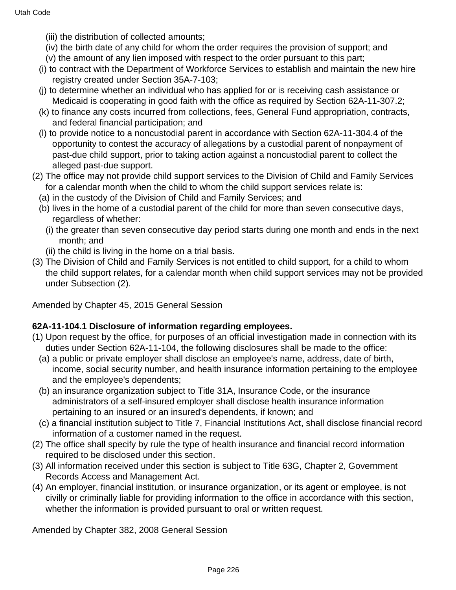- (iii) the distribution of collected amounts;
- (iv) the birth date of any child for whom the order requires the provision of support; and
- (v) the amount of any lien imposed with respect to the order pursuant to this part;
- (i) to contract with the Department of Workforce Services to establish and maintain the new hire registry created under Section 35A-7-103;
- (j) to determine whether an individual who has applied for or is receiving cash assistance or Medicaid is cooperating in good faith with the office as required by Section 62A-11-307.2;
- (k) to finance any costs incurred from collections, fees, General Fund appropriation, contracts, and federal financial participation; and
- (l) to provide notice to a noncustodial parent in accordance with Section 62A-11-304.4 of the opportunity to contest the accuracy of allegations by a custodial parent of nonpayment of past-due child support, prior to taking action against a noncustodial parent to collect the alleged past-due support.
- (2) The office may not provide child support services to the Division of Child and Family Services for a calendar month when the child to whom the child support services relate is:
	- (a) in the custody of the Division of Child and Family Services; and
	- (b) lives in the home of a custodial parent of the child for more than seven consecutive days, regardless of whether:
		- (i) the greater than seven consecutive day period starts during one month and ends in the next month; and
		- (ii) the child is living in the home on a trial basis.
- (3) The Division of Child and Family Services is not entitled to child support, for a child to whom the child support relates, for a calendar month when child support services may not be provided under Subsection (2).

Amended by Chapter 45, 2015 General Session

#### **62A-11-104.1 Disclosure of information regarding employees.**

- (1) Upon request by the office, for purposes of an official investigation made in connection with its duties under Section 62A-11-104, the following disclosures shall be made to the office:
	- (a) a public or private employer shall disclose an employee's name, address, date of birth, income, social security number, and health insurance information pertaining to the employee and the employee's dependents;
	- (b) an insurance organization subject to Title 31A, Insurance Code, or the insurance administrators of a self-insured employer shall disclose health insurance information pertaining to an insured or an insured's dependents, if known; and
	- (c) a financial institution subject to Title 7, Financial Institutions Act, shall disclose financial record information of a customer named in the request.
- (2) The office shall specify by rule the type of health insurance and financial record information required to be disclosed under this section.
- (3) All information received under this section is subject to Title 63G, Chapter 2, Government Records Access and Management Act.
- (4) An employer, financial institution, or insurance organization, or its agent or employee, is not civilly or criminally liable for providing information to the office in accordance with this section, whether the information is provided pursuant to oral or written request.

Amended by Chapter 382, 2008 General Session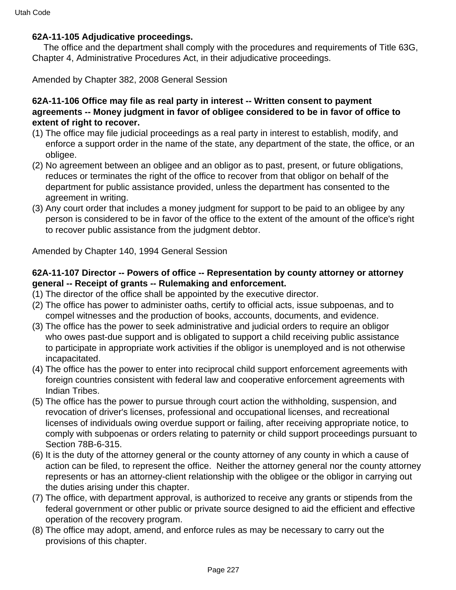#### **62A-11-105 Adjudicative proceedings.**

 The office and the department shall comply with the procedures and requirements of Title 63G, Chapter 4, Administrative Procedures Act, in their adjudicative proceedings.

Amended by Chapter 382, 2008 General Session

#### **62A-11-106 Office may file as real party in interest -- Written consent to payment agreements -- Money judgment in favor of obligee considered to be in favor of office to extent of right to recover.**

- (1) The office may file judicial proceedings as a real party in interest to establish, modify, and enforce a support order in the name of the state, any department of the state, the office, or an obligee.
- (2) No agreement between an obligee and an obligor as to past, present, or future obligations, reduces or terminates the right of the office to recover from that obligor on behalf of the department for public assistance provided, unless the department has consented to the agreement in writing.
- (3) Any court order that includes a money judgment for support to be paid to an obligee by any person is considered to be in favor of the office to the extent of the amount of the office's right to recover public assistance from the judgment debtor.

Amended by Chapter 140, 1994 General Session

#### **62A-11-107 Director -- Powers of office -- Representation by county attorney or attorney general -- Receipt of grants -- Rulemaking and enforcement.**

- (1) The director of the office shall be appointed by the executive director.
- (2) The office has power to administer oaths, certify to official acts, issue subpoenas, and to compel witnesses and the production of books, accounts, documents, and evidence.
- (3) The office has the power to seek administrative and judicial orders to require an obligor who owes past-due support and is obligated to support a child receiving public assistance to participate in appropriate work activities if the obligor is unemployed and is not otherwise incapacitated.
- (4) The office has the power to enter into reciprocal child support enforcement agreements with foreign countries consistent with federal law and cooperative enforcement agreements with Indian Tribes.
- (5) The office has the power to pursue through court action the withholding, suspension, and revocation of driver's licenses, professional and occupational licenses, and recreational licenses of individuals owing overdue support or failing, after receiving appropriate notice, to comply with subpoenas or orders relating to paternity or child support proceedings pursuant to Section 78B-6-315.
- (6) It is the duty of the attorney general or the county attorney of any county in which a cause of action can be filed, to represent the office. Neither the attorney general nor the county attorney represents or has an attorney-client relationship with the obligee or the obligor in carrying out the duties arising under this chapter.
- (7) The office, with department approval, is authorized to receive any grants or stipends from the federal government or other public or private source designed to aid the efficient and effective operation of the recovery program.
- (8) The office may adopt, amend, and enforce rules as may be necessary to carry out the provisions of this chapter.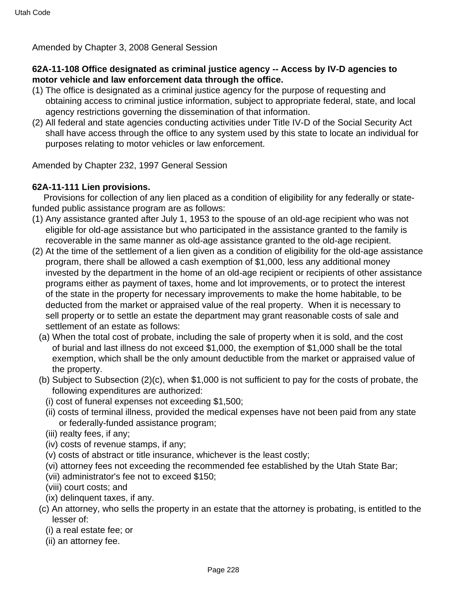Amended by Chapter 3, 2008 General Session

#### **62A-11-108 Office designated as criminal justice agency -- Access by IV-D agencies to motor vehicle and law enforcement data through the office.**

- (1) The office is designated as a criminal justice agency for the purpose of requesting and obtaining access to criminal justice information, subject to appropriate federal, state, and local agency restrictions governing the dissemination of that information.
- (2) All federal and state agencies conducting activities under Title IV-D of the Social Security Act shall have access through the office to any system used by this state to locate an individual for purposes relating to motor vehicles or law enforcement.

Amended by Chapter 232, 1997 General Session

#### **62A-11-111 Lien provisions.**

 Provisions for collection of any lien placed as a condition of eligibility for any federally or statefunded public assistance program are as follows:

- (1) Any assistance granted after July 1, 1953 to the spouse of an old-age recipient who was not eligible for old-age assistance but who participated in the assistance granted to the family is recoverable in the same manner as old-age assistance granted to the old-age recipient.
- (2) At the time of the settlement of a lien given as a condition of eligibility for the old-age assistance program, there shall be allowed a cash exemption of \$1,000, less any additional money invested by the department in the home of an old-age recipient or recipients of other assistance programs either as payment of taxes, home and lot improvements, or to protect the interest of the state in the property for necessary improvements to make the home habitable, to be deducted from the market or appraised value of the real property. When it is necessary to sell property or to settle an estate the department may grant reasonable costs of sale and settlement of an estate as follows:
	- (a) When the total cost of probate, including the sale of property when it is sold, and the cost of burial and last illness do not exceed \$1,000, the exemption of \$1,000 shall be the total exemption, which shall be the only amount deductible from the market or appraised value of the property.
	- (b) Subject to Subsection (2)(c), when \$1,000 is not sufficient to pay for the costs of probate, the following expenditures are authorized:
		- (i) cost of funeral expenses not exceeding \$1,500;
		- (ii) costs of terminal illness, provided the medical expenses have not been paid from any state or federally-funded assistance program;
		- (iii) realty fees, if any;
		- (iv) costs of revenue stamps, if any;
		- (v) costs of abstract or title insurance, whichever is the least costly;
		- (vi) attorney fees not exceeding the recommended fee established by the Utah State Bar;
		- (vii) administrator's fee not to exceed \$150;
		- (viii) court costs; and
		- (ix) delinquent taxes, if any.
	- (c) An attorney, who sells the property in an estate that the attorney is probating, is entitled to the lesser of:
		- (i) a real estate fee; or
		- (ii) an attorney fee.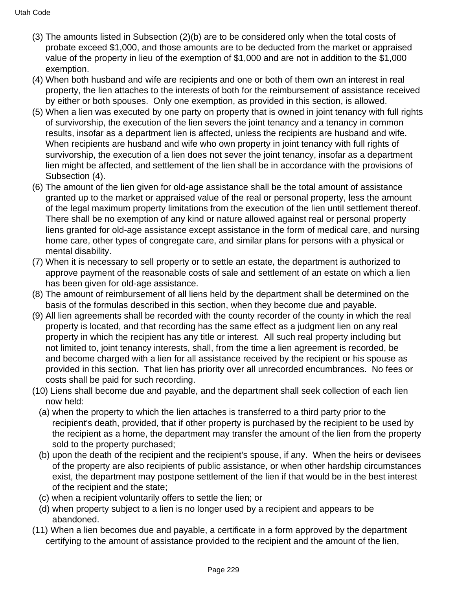- (3) The amounts listed in Subsection (2)(b) are to be considered only when the total costs of probate exceed \$1,000, and those amounts are to be deducted from the market or appraised value of the property in lieu of the exemption of \$1,000 and are not in addition to the \$1,000 exemption.
- (4) When both husband and wife are recipients and one or both of them own an interest in real property, the lien attaches to the interests of both for the reimbursement of assistance received by either or both spouses. Only one exemption, as provided in this section, is allowed.
- (5) When a lien was executed by one party on property that is owned in joint tenancy with full rights of survivorship, the execution of the lien severs the joint tenancy and a tenancy in common results, insofar as a department lien is affected, unless the recipients are husband and wife. When recipients are husband and wife who own property in joint tenancy with full rights of survivorship, the execution of a lien does not sever the joint tenancy, insofar as a department lien might be affected, and settlement of the lien shall be in accordance with the provisions of Subsection (4).
- (6) The amount of the lien given for old-age assistance shall be the total amount of assistance granted up to the market or appraised value of the real or personal property, less the amount of the legal maximum property limitations from the execution of the lien until settlement thereof. There shall be no exemption of any kind or nature allowed against real or personal property liens granted for old-age assistance except assistance in the form of medical care, and nursing home care, other types of congregate care, and similar plans for persons with a physical or mental disability.
- (7) When it is necessary to sell property or to settle an estate, the department is authorized to approve payment of the reasonable costs of sale and settlement of an estate on which a lien has been given for old-age assistance.
- (8) The amount of reimbursement of all liens held by the department shall be determined on the basis of the formulas described in this section, when they become due and payable.
- (9) All lien agreements shall be recorded with the county recorder of the county in which the real property is located, and that recording has the same effect as a judgment lien on any real property in which the recipient has any title or interest. All such real property including but not limited to, joint tenancy interests, shall, from the time a lien agreement is recorded, be and become charged with a lien for all assistance received by the recipient or his spouse as provided in this section. That lien has priority over all unrecorded encumbrances. No fees or costs shall be paid for such recording.
- (10) Liens shall become due and payable, and the department shall seek collection of each lien now held:
	- (a) when the property to which the lien attaches is transferred to a third party prior to the recipient's death, provided, that if other property is purchased by the recipient to be used by the recipient as a home, the department may transfer the amount of the lien from the property sold to the property purchased;
	- (b) upon the death of the recipient and the recipient's spouse, if any. When the heirs or devisees of the property are also recipients of public assistance, or when other hardship circumstances exist, the department may postpone settlement of the lien if that would be in the best interest of the recipient and the state;
	- (c) when a recipient voluntarily offers to settle the lien; or
	- (d) when property subject to a lien is no longer used by a recipient and appears to be abandoned.
- (11) When a lien becomes due and payable, a certificate in a form approved by the department certifying to the amount of assistance provided to the recipient and the amount of the lien,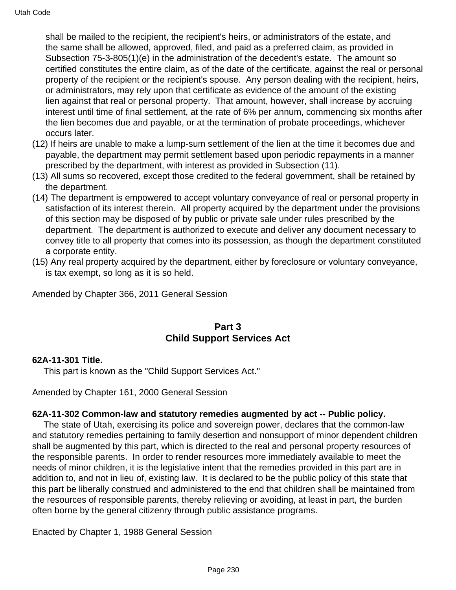shall be mailed to the recipient, the recipient's heirs, or administrators of the estate, and the same shall be allowed, approved, filed, and paid as a preferred claim, as provided in Subsection 75-3-805(1)(e) in the administration of the decedent's estate. The amount so certified constitutes the entire claim, as of the date of the certificate, against the real or personal property of the recipient or the recipient's spouse. Any person dealing with the recipient, heirs, or administrators, may rely upon that certificate as evidence of the amount of the existing lien against that real or personal property. That amount, however, shall increase by accruing interest until time of final settlement, at the rate of 6% per annum, commencing six months after the lien becomes due and payable, or at the termination of probate proceedings, whichever occurs later.

- (12) If heirs are unable to make a lump-sum settlement of the lien at the time it becomes due and payable, the department may permit settlement based upon periodic repayments in a manner prescribed by the department, with interest as provided in Subsection (11).
- (13) All sums so recovered, except those credited to the federal government, shall be retained by the department.
- (14) The department is empowered to accept voluntary conveyance of real or personal property in satisfaction of its interest therein. All property acquired by the department under the provisions of this section may be disposed of by public or private sale under rules prescribed by the department. The department is authorized to execute and deliver any document necessary to convey title to all property that comes into its possession, as though the department constituted a corporate entity.
- (15) Any real property acquired by the department, either by foreclosure or voluntary conveyance, is tax exempt, so long as it is so held.

Amended by Chapter 366, 2011 General Session

## **Part 3 Child Support Services Act**

#### **62A-11-301 Title.**

This part is known as the "Child Support Services Act."

Amended by Chapter 161, 2000 General Session

#### **62A-11-302 Common-law and statutory remedies augmented by act -- Public policy.**

 The state of Utah, exercising its police and sovereign power, declares that the common-law and statutory remedies pertaining to family desertion and nonsupport of minor dependent children shall be augmented by this part, which is directed to the real and personal property resources of the responsible parents. In order to render resources more immediately available to meet the needs of minor children, it is the legislative intent that the remedies provided in this part are in addition to, and not in lieu of, existing law. It is declared to be the public policy of this state that this part be liberally construed and administered to the end that children shall be maintained from the resources of responsible parents, thereby relieving or avoiding, at least in part, the burden often borne by the general citizenry through public assistance programs.

Enacted by Chapter 1, 1988 General Session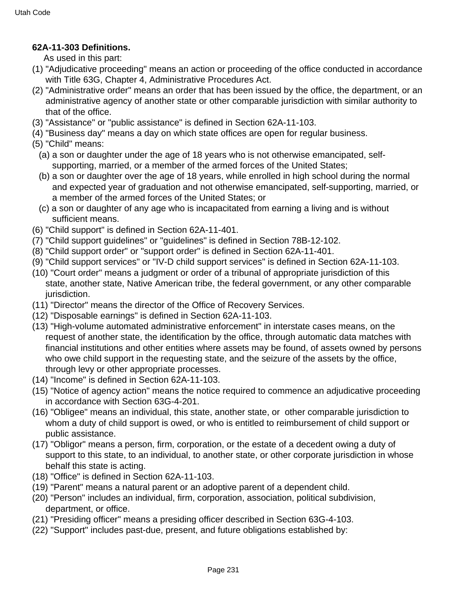#### **62A-11-303 Definitions.**

As used in this part:

- (1) "Adjudicative proceeding" means an action or proceeding of the office conducted in accordance with Title 63G, Chapter 4, Administrative Procedures Act.
- (2) "Administrative order" means an order that has been issued by the office, the department, or an administrative agency of another state or other comparable jurisdiction with similar authority to that of the office.
- (3) "Assistance" or "public assistance" is defined in Section 62A-11-103.
- (4) "Business day" means a day on which state offices are open for regular business.
- (5) "Child" means:
	- (a) a son or daughter under the age of 18 years who is not otherwise emancipated, selfsupporting, married, or a member of the armed forces of the United States;
	- (b) a son or daughter over the age of 18 years, while enrolled in high school during the normal and expected year of graduation and not otherwise emancipated, self-supporting, married, or a member of the armed forces of the United States; or
	- (c) a son or daughter of any age who is incapacitated from earning a living and is without sufficient means.
- (6) "Child support" is defined in Section 62A-11-401.
- (7) "Child support guidelines" or "guidelines" is defined in Section 78B-12-102.
- (8) "Child support order" or "support order" is defined in Section 62A-11-401.
- (9) "Child support services" or "IV-D child support services" is defined in Section 62A-11-103.
- (10) "Court order" means a judgment or order of a tribunal of appropriate jurisdiction of this state, another state, Native American tribe, the federal government, or any other comparable jurisdiction.
- (11) "Director" means the director of the Office of Recovery Services.
- (12) "Disposable earnings" is defined in Section 62A-11-103.
- (13) "High-volume automated administrative enforcement" in interstate cases means, on the request of another state, the identification by the office, through automatic data matches with financial institutions and other entities where assets may be found, of assets owned by persons who owe child support in the requesting state, and the seizure of the assets by the office, through levy or other appropriate processes.
- (14) "Income" is defined in Section 62A-11-103.
- (15) "Notice of agency action" means the notice required to commence an adjudicative proceeding in accordance with Section 63G-4-201.
- (16) "Obligee" means an individual, this state, another state, or other comparable jurisdiction to whom a duty of child support is owed, or who is entitled to reimbursement of child support or public assistance.
- (17) "Obligor" means a person, firm, corporation, or the estate of a decedent owing a duty of support to this state, to an individual, to another state, or other corporate jurisdiction in whose behalf this state is acting.
- (18) "Office" is defined in Section 62A-11-103.
- (19) "Parent" means a natural parent or an adoptive parent of a dependent child.
- (20) "Person" includes an individual, firm, corporation, association, political subdivision, department, or office.
- (21) "Presiding officer" means a presiding officer described in Section 63G-4-103.
- (22) "Support" includes past-due, present, and future obligations established by: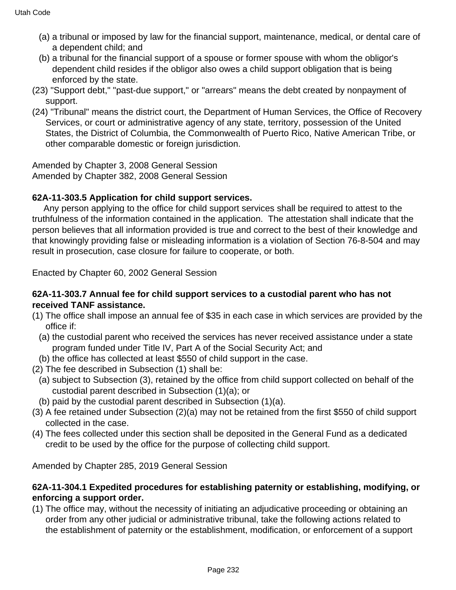- (a) a tribunal or imposed by law for the financial support, maintenance, medical, or dental care of a dependent child; and
- (b) a tribunal for the financial support of a spouse or former spouse with whom the obligor's dependent child resides if the obligor also owes a child support obligation that is being enforced by the state.
- (23) "Support debt," "past-due support," or "arrears" means the debt created by nonpayment of support.
- (24) "Tribunal" means the district court, the Department of Human Services, the Office of Recovery Services, or court or administrative agency of any state, territory, possession of the United States, the District of Columbia, the Commonwealth of Puerto Rico, Native American Tribe, or other comparable domestic or foreign jurisdiction.

Amended by Chapter 3, 2008 General Session Amended by Chapter 382, 2008 General Session

#### **62A-11-303.5 Application for child support services.**

 Any person applying to the office for child support services shall be required to attest to the truthfulness of the information contained in the application. The attestation shall indicate that the person believes that all information provided is true and correct to the best of their knowledge and that knowingly providing false or misleading information is a violation of Section 76-8-504 and may result in prosecution, case closure for failure to cooperate, or both.

Enacted by Chapter 60, 2002 General Session

#### **62A-11-303.7 Annual fee for child support services to a custodial parent who has not received TANF assistance.**

- (1) The office shall impose an annual fee of \$35 in each case in which services are provided by the office if:
	- (a) the custodial parent who received the services has never received assistance under a state program funded under Title IV, Part A of the Social Security Act; and
	- (b) the office has collected at least \$550 of child support in the case.
- (2) The fee described in Subsection (1) shall be:
	- (a) subject to Subsection (3), retained by the office from child support collected on behalf of the custodial parent described in Subsection (1)(a); or
- (b) paid by the custodial parent described in Subsection (1)(a).
- (3) A fee retained under Subsection (2)(a) may not be retained from the first \$550 of child support collected in the case.
- (4) The fees collected under this section shall be deposited in the General Fund as a dedicated credit to be used by the office for the purpose of collecting child support.

Amended by Chapter 285, 2019 General Session

#### **62A-11-304.1 Expedited procedures for establishing paternity or establishing, modifying, or enforcing a support order.**

(1) The office may, without the necessity of initiating an adjudicative proceeding or obtaining an order from any other judicial or administrative tribunal, take the following actions related to the establishment of paternity or the establishment, modification, or enforcement of a support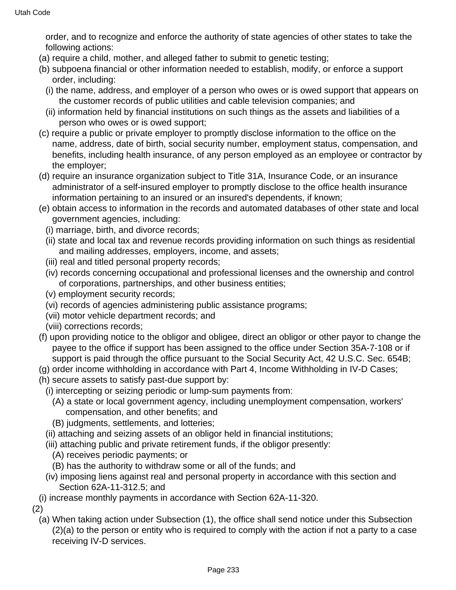order, and to recognize and enforce the authority of state agencies of other states to take the following actions:

- (a) require a child, mother, and alleged father to submit to genetic testing;
- (b) subpoena financial or other information needed to establish, modify, or enforce a support order, including:
	- (i) the name, address, and employer of a person who owes or is owed support that appears on the customer records of public utilities and cable television companies; and
	- (ii) information held by financial institutions on such things as the assets and liabilities of a person who owes or is owed support;
- (c) require a public or private employer to promptly disclose information to the office on the name, address, date of birth, social security number, employment status, compensation, and benefits, including health insurance, of any person employed as an employee or contractor by the employer;
- (d) require an insurance organization subject to Title 31A, Insurance Code, or an insurance administrator of a self-insured employer to promptly disclose to the office health insurance information pertaining to an insured or an insured's dependents, if known;
- (e) obtain access to information in the records and automated databases of other state and local government agencies, including:
	- (i) marriage, birth, and divorce records;
	- (ii) state and local tax and revenue records providing information on such things as residential and mailing addresses, employers, income, and assets;
	- (iii) real and titled personal property records;
	- (iv) records concerning occupational and professional licenses and the ownership and control of corporations, partnerships, and other business entities;
	- (v) employment security records;
	- (vi) records of agencies administering public assistance programs;
	- (vii) motor vehicle department records; and
	- (viii) corrections records;
- (f) upon providing notice to the obligor and obligee, direct an obligor or other payor to change the payee to the office if support has been assigned to the office under Section 35A-7-108 or if support is paid through the office pursuant to the Social Security Act, 42 U.S.C. Sec. 654B;
- (g) order income withholding in accordance with Part 4, Income Withholding in IV-D Cases;
- (h) secure assets to satisfy past-due support by:
- (i) intercepting or seizing periodic or lump-sum payments from:
	- (A) a state or local government agency, including unemployment compensation, workers' compensation, and other benefits; and
	- (B) judgments, settlements, and lotteries;
- (ii) attaching and seizing assets of an obligor held in financial institutions;
- (iii) attaching public and private retirement funds, if the obligor presently:
	- (A) receives periodic payments; or
	- (B) has the authority to withdraw some or all of the funds; and
- (iv) imposing liens against real and personal property in accordance with this section and Section 62A-11-312.5; and
- (i) increase monthly payments in accordance with Section 62A-11-320.

(2)

(a) When taking action under Subsection (1), the office shall send notice under this Subsection (2)(a) to the person or entity who is required to comply with the action if not a party to a case receiving IV-D services.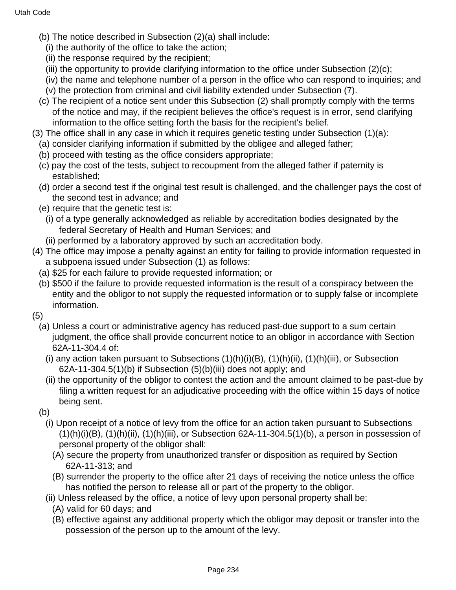- (b) The notice described in Subsection (2)(a) shall include:
	- (i) the authority of the office to take the action;
	- (ii) the response required by the recipient;
	- (iii) the opportunity to provide clarifying information to the office under Subsection  $(2)(c)$ ;
	- (iv) the name and telephone number of a person in the office who can respond to inquiries; and
	- (v) the protection from criminal and civil liability extended under Subsection (7).
- (c) The recipient of a notice sent under this Subsection (2) shall promptly comply with the terms of the notice and may, if the recipient believes the office's request is in error, send clarifying information to the office setting forth the basis for the recipient's belief.
- (3) The office shall in any case in which it requires genetic testing under Subsection (1)(a):
	- (a) consider clarifying information if submitted by the obligee and alleged father;
	- (b) proceed with testing as the office considers appropriate;
	- (c) pay the cost of the tests, subject to recoupment from the alleged father if paternity is established;
	- (d) order a second test if the original test result is challenged, and the challenger pays the cost of the second test in advance; and
	- (e) require that the genetic test is:
		- (i) of a type generally acknowledged as reliable by accreditation bodies designated by the federal Secretary of Health and Human Services; and
		- (ii) performed by a laboratory approved by such an accreditation body.
- (4) The office may impose a penalty against an entity for failing to provide information requested in a subpoena issued under Subsection (1) as follows:
	- (a) \$25 for each failure to provide requested information; or
	- (b) \$500 if the failure to provide requested information is the result of a conspiracy between the entity and the obligor to not supply the requested information or to supply false or incomplete information.
- (5)
	- (a) Unless a court or administrative agency has reduced past-due support to a sum certain judgment, the office shall provide concurrent notice to an obligor in accordance with Section 62A-11-304.4 of:
		- (i) any action taken pursuant to Subsections  $(1)(h)(i)(B)$ ,  $(1)(h)(ii)$ ,  $(1)(h)(iii)$ , or Subsection  $62A-11-304.5(1)(b)$  if Subsection  $(5)(b)(iii)$  does not apply; and
		- (ii) the opportunity of the obligor to contest the action and the amount claimed to be past-due by filing a written request for an adjudicative proceeding with the office within 15 days of notice being sent.
	- (b)
		- (i) Upon receipt of a notice of levy from the office for an action taken pursuant to Subsections  $(1)(h)(i)(B)$ ,  $(1)(h)(ii)$ ,  $(1)(h)(iii)$ , or Subsection 62A-11-304.5(1)(b), a person in possession of personal property of the obligor shall:
			- (A) secure the property from unauthorized transfer or disposition as required by Section 62A-11-313; and
			- (B) surrender the property to the office after 21 days of receiving the notice unless the office has notified the person to release all or part of the property to the obligor.
		- (ii) Unless released by the office, a notice of levy upon personal property shall be:
			- (A) valid for 60 days; and
			- (B) effective against any additional property which the obligor may deposit or transfer into the possession of the person up to the amount of the levy.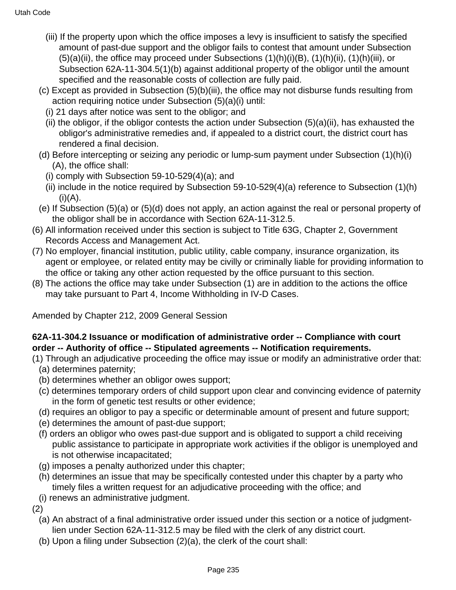- (iii) If the property upon which the office imposes a levy is insufficient to satisfy the specified amount of past-due support and the obligor fails to contest that amount under Subsection  $(5)(a)(ii)$ , the office may proceed under Subsections  $(1)(h)(i)(B)$ ,  $(1)(h)(ii)$ ,  $(1)(h)(iii)$ , or Subsection 62A-11-304.5(1)(b) against additional property of the obligor until the amount specified and the reasonable costs of collection are fully paid.
- (c) Except as provided in Subsection (5)(b)(iii), the office may not disburse funds resulting from action requiring notice under Subsection (5)(a)(i) until:
	- (i) 21 days after notice was sent to the obligor; and
	- (ii) the obligor, if the obligor contests the action under Subsection (5)(a)(ii), has exhausted the obligor's administrative remedies and, if appealed to a district court, the district court has rendered a final decision.
- (d) Before intercepting or seizing any periodic or lump-sum payment under Subsection (1)(h)(i) (A), the office shall:
	- (i) comply with Subsection  $59-10-529(4)(a)$ ; and
	- (ii) include in the notice required by Subsection 59-10-529(4)(a) reference to Subsection (1)(h)  $(i)(A)$ .
- (e) If Subsection (5)(a) or (5)(d) does not apply, an action against the real or personal property of the obligor shall be in accordance with Section 62A-11-312.5.
- (6) All information received under this section is subject to Title 63G, Chapter 2, Government Records Access and Management Act.
- (7) No employer, financial institution, public utility, cable company, insurance organization, its agent or employee, or related entity may be civilly or criminally liable for providing information to the office or taking any other action requested by the office pursuant to this section.
- (8) The actions the office may take under Subsection (1) are in addition to the actions the office may take pursuant to Part 4, Income Withholding in IV-D Cases.

Amended by Chapter 212, 2009 General Session

## **62A-11-304.2 Issuance or modification of administrative order -- Compliance with court order -- Authority of office -- Stipulated agreements -- Notification requirements.**

- (1) Through an adjudicative proceeding the office may issue or modify an administrative order that:
	- (a) determines paternity;
	- (b) determines whether an obligor owes support;
	- (c) determines temporary orders of child support upon clear and convincing evidence of paternity in the form of genetic test results or other evidence;
	- (d) requires an obligor to pay a specific or determinable amount of present and future support;
	- (e) determines the amount of past-due support;
	- (f) orders an obligor who owes past-due support and is obligated to support a child receiving public assistance to participate in appropriate work activities if the obligor is unemployed and is not otherwise incapacitated;
	- (g) imposes a penalty authorized under this chapter;
	- (h) determines an issue that may be specifically contested under this chapter by a party who timely files a written request for an adjudicative proceeding with the office; and
	- (i) renews an administrative judgment.
- (2)
	- (a) An abstract of a final administrative order issued under this section or a notice of judgmentlien under Section 62A-11-312.5 may be filed with the clerk of any district court.
	- (b) Upon a filing under Subsection (2)(a), the clerk of the court shall: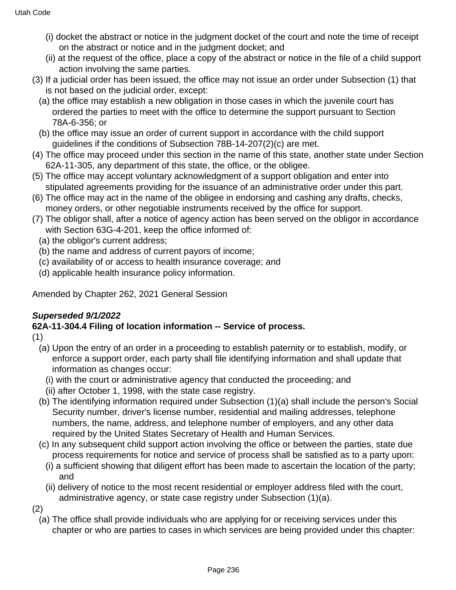- (i) docket the abstract or notice in the judgment docket of the court and note the time of receipt on the abstract or notice and in the judgment docket; and
- (ii) at the request of the office, place a copy of the abstract or notice in the file of a child support action involving the same parties.
- (3) If a judicial order has been issued, the office may not issue an order under Subsection (1) that is not based on the judicial order, except:
	- (a) the office may establish a new obligation in those cases in which the juvenile court has ordered the parties to meet with the office to determine the support pursuant to Section 78A-6-356; or
	- (b) the office may issue an order of current support in accordance with the child support guidelines if the conditions of Subsection 78B-14-207(2)(c) are met.
- (4) The office may proceed under this section in the name of this state, another state under Section 62A-11-305, any department of this state, the office, or the obligee.
- (5) The office may accept voluntary acknowledgment of a support obligation and enter into stipulated agreements providing for the issuance of an administrative order under this part.
- (6) The office may act in the name of the obligee in endorsing and cashing any drafts, checks, money orders, or other negotiable instruments received by the office for support.
- (7) The obligor shall, after a notice of agency action has been served on the obligor in accordance with Section 63G-4-201, keep the office informed of:
	- (a) the obligor's current address;
	- (b) the name and address of current payors of income;
	- (c) availability of or access to health insurance coverage; and
	- (d) applicable health insurance policy information.

Amended by Chapter 262, 2021 General Session

# **Superseded 9/1/2022**

# **62A-11-304.4 Filing of location information -- Service of process.**

(1)

- (a) Upon the entry of an order in a proceeding to establish paternity or to establish, modify, or enforce a support order, each party shall file identifying information and shall update that information as changes occur:
	- (i) with the court or administrative agency that conducted the proceeding; and
	- (ii) after October 1, 1998, with the state case registry.
- (b) The identifying information required under Subsection (1)(a) shall include the person's Social Security number, driver's license number, residential and mailing addresses, telephone numbers, the name, address, and telephone number of employers, and any other data required by the United States Secretary of Health and Human Services.
- (c) In any subsequent child support action involving the office or between the parties, state due process requirements for notice and service of process shall be satisfied as to a party upon:
	- (i) a sufficient showing that diligent effort has been made to ascertain the location of the party; and
	- (ii) delivery of notice to the most recent residential or employer address filed with the court, administrative agency, or state case registry under Subsection (1)(a).
- (2)
	- (a) The office shall provide individuals who are applying for or receiving services under this chapter or who are parties to cases in which services are being provided under this chapter: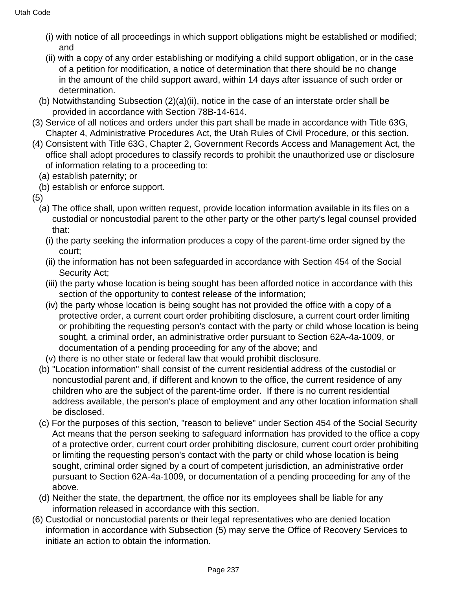- (i) with notice of all proceedings in which support obligations might be established or modified; and
- (ii) with a copy of any order establishing or modifying a child support obligation, or in the case of a petition for modification, a notice of determination that there should be no change in the amount of the child support award, within 14 days after issuance of such order or determination.
- (b) Notwithstanding Subsection (2)(a)(ii), notice in the case of an interstate order shall be provided in accordance with Section 78B-14-614.
- (3) Service of all notices and orders under this part shall be made in accordance with Title 63G, Chapter 4, Administrative Procedures Act, the Utah Rules of Civil Procedure, or this section.
- (4) Consistent with Title 63G, Chapter 2, Government Records Access and Management Act, the office shall adopt procedures to classify records to prohibit the unauthorized use or disclosure of information relating to a proceeding to:
	- (a) establish paternity; or
	- (b) establish or enforce support.
- (5)
	- (a) The office shall, upon written request, provide location information available in its files on a custodial or noncustodial parent to the other party or the other party's legal counsel provided that:
		- (i) the party seeking the information produces a copy of the parent-time order signed by the court;
		- (ii) the information has not been safeguarded in accordance with Section 454 of the Social Security Act;
		- (iii) the party whose location is being sought has been afforded notice in accordance with this section of the opportunity to contest release of the information;
		- (iv) the party whose location is being sought has not provided the office with a copy of a protective order, a current court order prohibiting disclosure, a current court order limiting or prohibiting the requesting person's contact with the party or child whose location is being sought, a criminal order, an administrative order pursuant to Section 62A-4a-1009, or documentation of a pending proceeding for any of the above; and
	- (v) there is no other state or federal law that would prohibit disclosure.
	- (b) "Location information" shall consist of the current residential address of the custodial or noncustodial parent and, if different and known to the office, the current residence of any children who are the subject of the parent-time order. If there is no current residential address available, the person's place of employment and any other location information shall be disclosed.
	- (c) For the purposes of this section, "reason to believe" under Section 454 of the Social Security Act means that the person seeking to safeguard information has provided to the office a copy of a protective order, current court order prohibiting disclosure, current court order prohibiting or limiting the requesting person's contact with the party or child whose location is being sought, criminal order signed by a court of competent jurisdiction, an administrative order pursuant to Section 62A-4a-1009, or documentation of a pending proceeding for any of the above.
	- (d) Neither the state, the department, the office nor its employees shall be liable for any information released in accordance with this section.
- (6) Custodial or noncustodial parents or their legal representatives who are denied location information in accordance with Subsection (5) may serve the Office of Recovery Services to initiate an action to obtain the information.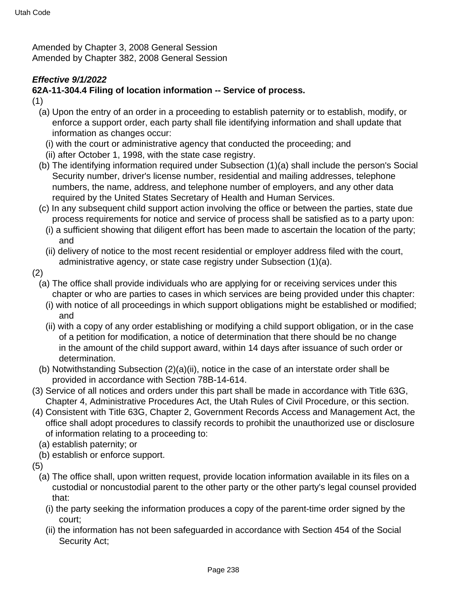Amended by Chapter 3, 2008 General Session Amended by Chapter 382, 2008 General Session

## **Effective 9/1/2022**

#### **62A-11-304.4 Filing of location information -- Service of process.**

(1)

- (a) Upon the entry of an order in a proceeding to establish paternity or to establish, modify, or enforce a support order, each party shall file identifying information and shall update that information as changes occur:
	- (i) with the court or administrative agency that conducted the proceeding; and
	- (ii) after October 1, 1998, with the state case registry.
- (b) The identifying information required under Subsection (1)(a) shall include the person's Social Security number, driver's license number, residential and mailing addresses, telephone numbers, the name, address, and telephone number of employers, and any other data required by the United States Secretary of Health and Human Services.
- (c) In any subsequent child support action involving the office or between the parties, state due process requirements for notice and service of process shall be satisfied as to a party upon:
	- (i) a sufficient showing that diligent effort has been made to ascertain the location of the party; and
	- (ii) delivery of notice to the most recent residential or employer address filed with the court, administrative agency, or state case registry under Subsection (1)(a).
- (2)
	- (a) The office shall provide individuals who are applying for or receiving services under this chapter or who are parties to cases in which services are being provided under this chapter:
		- (i) with notice of all proceedings in which support obligations might be established or modified; and
		- (ii) with a copy of any order establishing or modifying a child support obligation, or in the case of a petition for modification, a notice of determination that there should be no change in the amount of the child support award, within 14 days after issuance of such order or determination.
	- (b) Notwithstanding Subsection (2)(a)(ii), notice in the case of an interstate order shall be provided in accordance with Section 78B-14-614.
- (3) Service of all notices and orders under this part shall be made in accordance with Title 63G, Chapter 4, Administrative Procedures Act, the Utah Rules of Civil Procedure, or this section.
- (4) Consistent with Title 63G, Chapter 2, Government Records Access and Management Act, the office shall adopt procedures to classify records to prohibit the unauthorized use or disclosure of information relating to a proceeding to:
	- (a) establish paternity; or
	- (b) establish or enforce support.

(5)

- (a) The office shall, upon written request, provide location information available in its files on a custodial or noncustodial parent to the other party or the other party's legal counsel provided that:
	- (i) the party seeking the information produces a copy of the parent-time order signed by the court;
	- (ii) the information has not been safeguarded in accordance with Section 454 of the Social Security Act;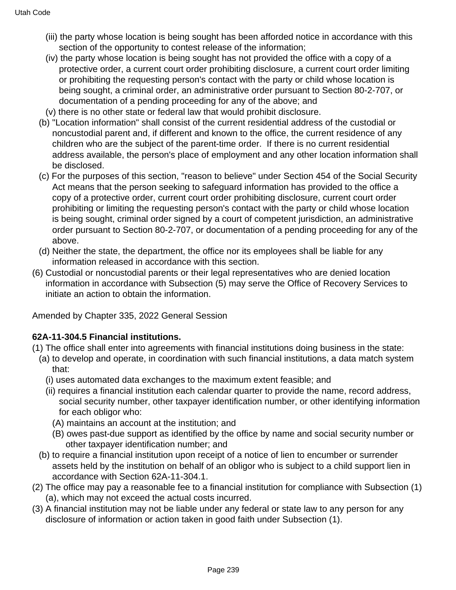- (iii) the party whose location is being sought has been afforded notice in accordance with this section of the opportunity to contest release of the information;
- (iv) the party whose location is being sought has not provided the office with a copy of a protective order, a current court order prohibiting disclosure, a current court order limiting or prohibiting the requesting person's contact with the party or child whose location is being sought, a criminal order, an administrative order pursuant to Section 80-2-707, or documentation of a pending proceeding for any of the above; and
- (v) there is no other state or federal law that would prohibit disclosure.
- (b) "Location information" shall consist of the current residential address of the custodial or noncustodial parent and, if different and known to the office, the current residence of any children who are the subject of the parent-time order. If there is no current residential address available, the person's place of employment and any other location information shall be disclosed.
- (c) For the purposes of this section, "reason to believe" under Section 454 of the Social Security Act means that the person seeking to safeguard information has provided to the office a copy of a protective order, current court order prohibiting disclosure, current court order prohibiting or limiting the requesting person's contact with the party or child whose location is being sought, criminal order signed by a court of competent jurisdiction, an administrative order pursuant to Section 80-2-707, or documentation of a pending proceeding for any of the above.
- (d) Neither the state, the department, the office nor its employees shall be liable for any information released in accordance with this section.
- (6) Custodial or noncustodial parents or their legal representatives who are denied location information in accordance with Subsection (5) may serve the Office of Recovery Services to initiate an action to obtain the information.

Amended by Chapter 335, 2022 General Session

#### **62A-11-304.5 Financial institutions.**

- (1) The office shall enter into agreements with financial institutions doing business in the state:
	- (a) to develop and operate, in coordination with such financial institutions, a data match system that:
		- (i) uses automated data exchanges to the maximum extent feasible; and
		- (ii) requires a financial institution each calendar quarter to provide the name, record address, social security number, other taxpayer identification number, or other identifying information for each obligor who:
			- (A) maintains an account at the institution; and
			- (B) owes past-due support as identified by the office by name and social security number or other taxpayer identification number; and
	- (b) to require a financial institution upon receipt of a notice of lien to encumber or surrender assets held by the institution on behalf of an obligor who is subject to a child support lien in accordance with Section 62A-11-304.1.
- (2) The office may pay a reasonable fee to a financial institution for compliance with Subsection (1) (a), which may not exceed the actual costs incurred.
- (3) A financial institution may not be liable under any federal or state law to any person for any disclosure of information or action taken in good faith under Subsection (1).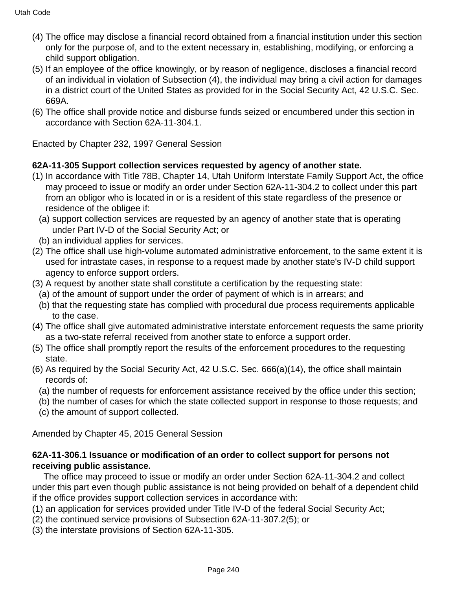- (4) The office may disclose a financial record obtained from a financial institution under this section only for the purpose of, and to the extent necessary in, establishing, modifying, or enforcing a child support obligation.
- (5) If an employee of the office knowingly, or by reason of negligence, discloses a financial record of an individual in violation of Subsection (4), the individual may bring a civil action for damages in a district court of the United States as provided for in the Social Security Act, 42 U.S.C. Sec. 669A.
- (6) The office shall provide notice and disburse funds seized or encumbered under this section in accordance with Section 62A-11-304.1.

Enacted by Chapter 232, 1997 General Session

## **62A-11-305 Support collection services requested by agency of another state.**

- (1) In accordance with Title 78B, Chapter 14, Utah Uniform Interstate Family Support Act, the office may proceed to issue or modify an order under Section 62A-11-304.2 to collect under this part from an obligor who is located in or is a resident of this state regardless of the presence or residence of the obligee if:
	- (a) support collection services are requested by an agency of another state that is operating under Part IV-D of the Social Security Act; or
	- (b) an individual applies for services.
- (2) The office shall use high-volume automated administrative enforcement, to the same extent it is used for intrastate cases, in response to a request made by another state's IV-D child support agency to enforce support orders.
- (3) A request by another state shall constitute a certification by the requesting state:
	- (a) of the amount of support under the order of payment of which is in arrears; and
	- (b) that the requesting state has complied with procedural due process requirements applicable to the case.
- (4) The office shall give automated administrative interstate enforcement requests the same priority as a two-state referral received from another state to enforce a support order.
- (5) The office shall promptly report the results of the enforcement procedures to the requesting state.
- (6) As required by the Social Security Act, 42 U.S.C. Sec. 666(a)(14), the office shall maintain records of:
	- (a) the number of requests for enforcement assistance received by the office under this section;
	- (b) the number of cases for which the state collected support in response to those requests; and
	- (c) the amount of support collected.

Amended by Chapter 45, 2015 General Session

## **62A-11-306.1 Issuance or modification of an order to collect support for persons not receiving public assistance.**

 The office may proceed to issue or modify an order under Section 62A-11-304.2 and collect under this part even though public assistance is not being provided on behalf of a dependent child if the office provides support collection services in accordance with:

- (1) an application for services provided under Title IV-D of the federal Social Security Act;
- (2) the continued service provisions of Subsection 62A-11-307.2(5); or
- (3) the interstate provisions of Section 62A-11-305.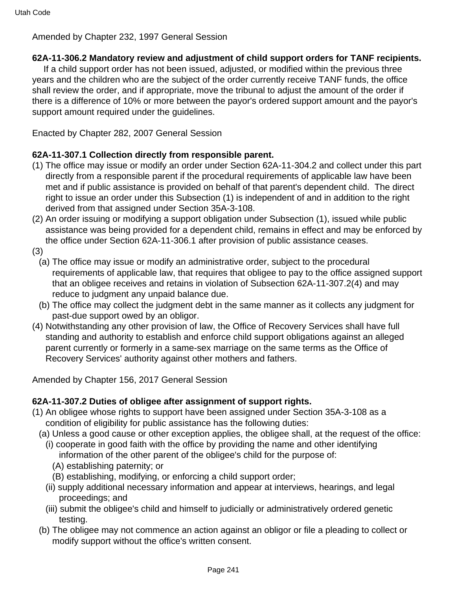Amended by Chapter 232, 1997 General Session

## **62A-11-306.2 Mandatory review and adjustment of child support orders for TANF recipients.**

 If a child support order has not been issued, adjusted, or modified within the previous three years and the children who are the subject of the order currently receive TANF funds, the office shall review the order, and if appropriate, move the tribunal to adjust the amount of the order if there is a difference of 10% or more between the payor's ordered support amount and the payor's support amount required under the guidelines.

Enacted by Chapter 282, 2007 General Session

## **62A-11-307.1 Collection directly from responsible parent.**

- (1) The office may issue or modify an order under Section 62A-11-304.2 and collect under this part directly from a responsible parent if the procedural requirements of applicable law have been met and if public assistance is provided on behalf of that parent's dependent child. The direct right to issue an order under this Subsection (1) is independent of and in addition to the right derived from that assigned under Section 35A-3-108.
- (2) An order issuing or modifying a support obligation under Subsection (1), issued while public assistance was being provided for a dependent child, remains in effect and may be enforced by the office under Section 62A-11-306.1 after provision of public assistance ceases.

(3)

- (a) The office may issue or modify an administrative order, subject to the procedural requirements of applicable law, that requires that obligee to pay to the office assigned support that an obligee receives and retains in violation of Subsection 62A-11-307.2(4) and may reduce to judgment any unpaid balance due.
- (b) The office may collect the judgment debt in the same manner as it collects any judgment for past-due support owed by an obligor.
- (4) Notwithstanding any other provision of law, the Office of Recovery Services shall have full standing and authority to establish and enforce child support obligations against an alleged parent currently or formerly in a same-sex marriage on the same terms as the Office of Recovery Services' authority against other mothers and fathers.

Amended by Chapter 156, 2017 General Session

#### **62A-11-307.2 Duties of obligee after assignment of support rights.**

- (1) An obligee whose rights to support have been assigned under Section 35A-3-108 as a condition of eligibility for public assistance has the following duties:
- (a) Unless a good cause or other exception applies, the obligee shall, at the request of the office:
	- (i) cooperate in good faith with the office by providing the name and other identifying information of the other parent of the obligee's child for the purpose of:
		- (A) establishing paternity; or
		- (B) establishing, modifying, or enforcing a child support order;
	- (ii) supply additional necessary information and appear at interviews, hearings, and legal proceedings; and
	- (iii) submit the obligee's child and himself to judicially or administratively ordered genetic testing.
- (b) The obligee may not commence an action against an obligor or file a pleading to collect or modify support without the office's written consent.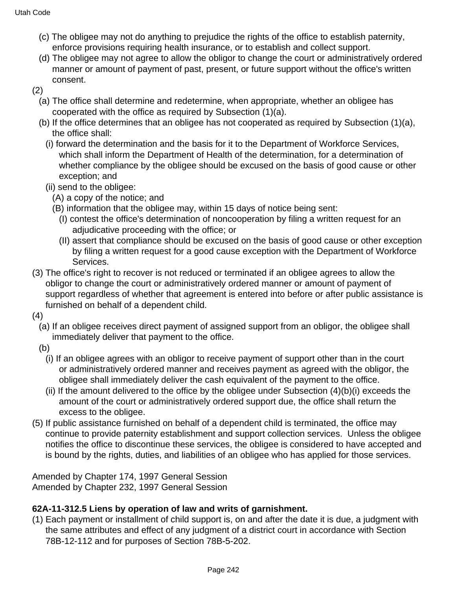- (c) The obligee may not do anything to prejudice the rights of the office to establish paternity, enforce provisions requiring health insurance, or to establish and collect support.
- (d) The obligee may not agree to allow the obligor to change the court or administratively ordered manner or amount of payment of past, present, or future support without the office's written consent.
- (2)
	- (a) The office shall determine and redetermine, when appropriate, whether an obligee has cooperated with the office as required by Subsection (1)(a).
	- (b) If the office determines that an obligee has not cooperated as required by Subsection (1)(a), the office shall:
		- (i) forward the determination and the basis for it to the Department of Workforce Services, which shall inform the Department of Health of the determination, for a determination of whether compliance by the obligee should be excused on the basis of good cause or other exception; and
		- (ii) send to the obligee:
			- (A) a copy of the notice; and
			- (B) information that the obligee may, within 15 days of notice being sent:
				- (I) contest the office's determination of noncooperation by filing a written request for an adjudicative proceeding with the office; or
				- (II) assert that compliance should be excused on the basis of good cause or other exception by filing a written request for a good cause exception with the Department of Workforce Services.
- (3) The office's right to recover is not reduced or terminated if an obligee agrees to allow the obligor to change the court or administratively ordered manner or amount of payment of support regardless of whether that agreement is entered into before or after public assistance is furnished on behalf of a dependent child.
- (4)
	- (a) If an obligee receives direct payment of assigned support from an obligor, the obligee shall immediately deliver that payment to the office.
	- (b)
		- (i) If an obligee agrees with an obligor to receive payment of support other than in the court or administratively ordered manner and receives payment as agreed with the obligor, the obligee shall immediately deliver the cash equivalent of the payment to the office.
		- (ii) If the amount delivered to the office by the obligee under Subsection (4)(b)(i) exceeds the amount of the court or administratively ordered support due, the office shall return the excess to the obligee.
- (5) If public assistance furnished on behalf of a dependent child is terminated, the office may continue to provide paternity establishment and support collection services. Unless the obligee notifies the office to discontinue these services, the obligee is considered to have accepted and is bound by the rights, duties, and liabilities of an obligee who has applied for those services.

Amended by Chapter 174, 1997 General Session Amended by Chapter 232, 1997 General Session

## **62A-11-312.5 Liens by operation of law and writs of garnishment.**

(1) Each payment or installment of child support is, on and after the date it is due, a judgment with the same attributes and effect of any judgment of a district court in accordance with Section 78B-12-112 and for purposes of Section 78B-5-202.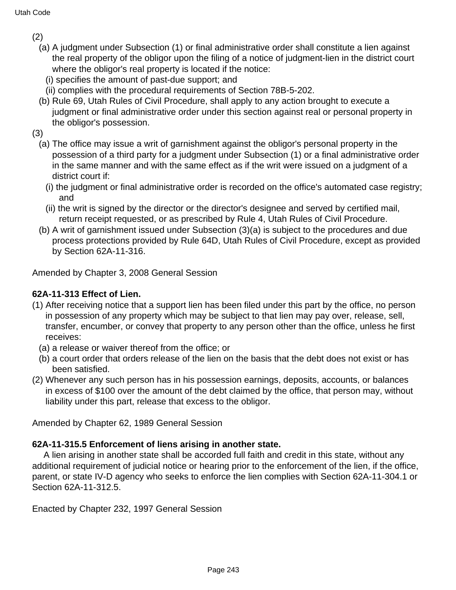(2)

- (a) A judgment under Subsection (1) or final administrative order shall constitute a lien against the real property of the obligor upon the filing of a notice of judgment-lien in the district court where the obligor's real property is located if the notice:
	- (i) specifies the amount of past-due support; and
	- (ii) complies with the procedural requirements of Section 78B-5-202.
- (b) Rule 69, Utah Rules of Civil Procedure, shall apply to any action brought to execute a judgment or final administrative order under this section against real or personal property in the obligor's possession.

(3)

- (a) The office may issue a writ of garnishment against the obligor's personal property in the possession of a third party for a judgment under Subsection (1) or a final administrative order in the same manner and with the same effect as if the writ were issued on a judgment of a district court if:
	- (i) the judgment or final administrative order is recorded on the office's automated case registry; and
	- (ii) the writ is signed by the director or the director's designee and served by certified mail, return receipt requested, or as prescribed by Rule 4, Utah Rules of Civil Procedure.
- (b) A writ of garnishment issued under Subsection (3)(a) is subject to the procedures and due process protections provided by Rule 64D, Utah Rules of Civil Procedure, except as provided by Section 62A-11-316.

Amended by Chapter 3, 2008 General Session

## **62A-11-313 Effect of Lien.**

- (1) After receiving notice that a support lien has been filed under this part by the office, no person in possession of any property which may be subject to that lien may pay over, release, sell, transfer, encumber, or convey that property to any person other than the office, unless he first receives:
	- (a) a release or waiver thereof from the office; or
	- (b) a court order that orders release of the lien on the basis that the debt does not exist or has been satisfied.
- (2) Whenever any such person has in his possession earnings, deposits, accounts, or balances in excess of \$100 over the amount of the debt claimed by the office, that person may, without liability under this part, release that excess to the obligor.

Amended by Chapter 62, 1989 General Session

#### **62A-11-315.5 Enforcement of liens arising in another state.**

 A lien arising in another state shall be accorded full faith and credit in this state, without any additional requirement of judicial notice or hearing prior to the enforcement of the lien, if the office, parent, or state IV-D agency who seeks to enforce the lien complies with Section 62A-11-304.1 or Section 62A-11-312.5.

Enacted by Chapter 232, 1997 General Session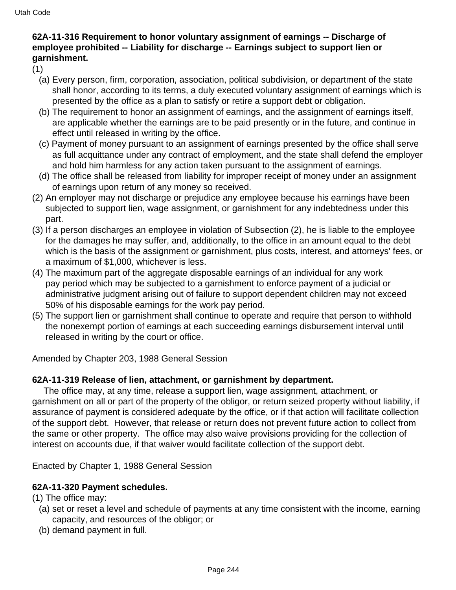## **62A-11-316 Requirement to honor voluntary assignment of earnings -- Discharge of employee prohibited -- Liability for discharge -- Earnings subject to support lien or garnishment.**

- (1)
	- (a) Every person, firm, corporation, association, political subdivision, or department of the state shall honor, according to its terms, a duly executed voluntary assignment of earnings which is presented by the office as a plan to satisfy or retire a support debt or obligation.
	- (b) The requirement to honor an assignment of earnings, and the assignment of earnings itself, are applicable whether the earnings are to be paid presently or in the future, and continue in effect until released in writing by the office.
	- (c) Payment of money pursuant to an assignment of earnings presented by the office shall serve as full acquittance under any contract of employment, and the state shall defend the employer and hold him harmless for any action taken pursuant to the assignment of earnings.
	- (d) The office shall be released from liability for improper receipt of money under an assignment of earnings upon return of any money so received.
- (2) An employer may not discharge or prejudice any employee because his earnings have been subjected to support lien, wage assignment, or garnishment for any indebtedness under this part.
- (3) If a person discharges an employee in violation of Subsection (2), he is liable to the employee for the damages he may suffer, and, additionally, to the office in an amount equal to the debt which is the basis of the assignment or garnishment, plus costs, interest, and attorneys' fees, or a maximum of \$1,000, whichever is less.
- (4) The maximum part of the aggregate disposable earnings of an individual for any work pay period which may be subjected to a garnishment to enforce payment of a judicial or administrative judgment arising out of failure to support dependent children may not exceed 50% of his disposable earnings for the work pay period.
- (5) The support lien or garnishment shall continue to operate and require that person to withhold the nonexempt portion of earnings at each succeeding earnings disbursement interval until released in writing by the court or office.

Amended by Chapter 203, 1988 General Session

#### **62A-11-319 Release of lien, attachment, or garnishment by department.**

 The office may, at any time, release a support lien, wage assignment, attachment, or garnishment on all or part of the property of the obligor, or return seized property without liability, if assurance of payment is considered adequate by the office, or if that action will facilitate collection of the support debt. However, that release or return does not prevent future action to collect from the same or other property. The office may also waive provisions providing for the collection of interest on accounts due, if that waiver would facilitate collection of the support debt.

Enacted by Chapter 1, 1988 General Session

#### **62A-11-320 Payment schedules.**

- (1) The office may:
	- (a) set or reset a level and schedule of payments at any time consistent with the income, earning capacity, and resources of the obligor; or
	- (b) demand payment in full.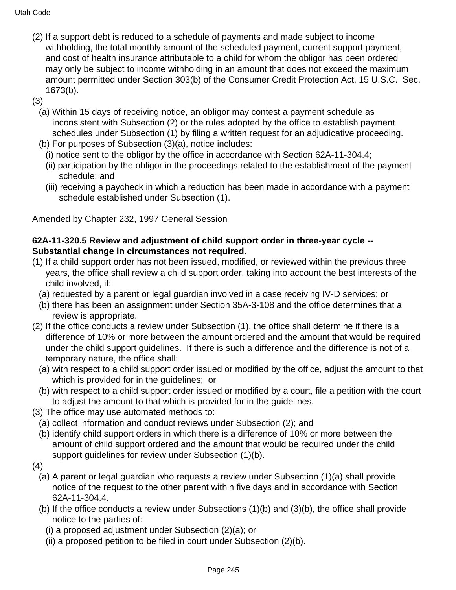- (2) If a support debt is reduced to a schedule of payments and made subject to income withholding, the total monthly amount of the scheduled payment, current support payment, and cost of health insurance attributable to a child for whom the obligor has been ordered may only be subject to income withholding in an amount that does not exceed the maximum amount permitted under Section 303(b) of the Consumer Credit Protection Act, 15 U.S.C. Sec. 1673(b).
- (3)
	- (a) Within 15 days of receiving notice, an obligor may contest a payment schedule as inconsistent with Subsection (2) or the rules adopted by the office to establish payment schedules under Subsection (1) by filing a written request for an adjudicative proceeding.
	- (b) For purposes of Subsection (3)(a), notice includes:
		- (i) notice sent to the obligor by the office in accordance with Section 62A-11-304.4;
		- (ii) participation by the obligor in the proceedings related to the establishment of the payment schedule; and
		- (iii) receiving a paycheck in which a reduction has been made in accordance with a payment schedule established under Subsection (1).

Amended by Chapter 232, 1997 General Session

#### **62A-11-320.5 Review and adjustment of child support order in three-year cycle -- Substantial change in circumstances not required.**

- (1) If a child support order has not been issued, modified, or reviewed within the previous three years, the office shall review a child support order, taking into account the best interests of the child involved, if:
	- (a) requested by a parent or legal guardian involved in a case receiving IV-D services; or
	- (b) there has been an assignment under Section 35A-3-108 and the office determines that a review is appropriate.
- (2) If the office conducts a review under Subsection (1), the office shall determine if there is a difference of 10% or more between the amount ordered and the amount that would be required under the child support guidelines. If there is such a difference and the difference is not of a temporary nature, the office shall:
	- (a) with respect to a child support order issued or modified by the office, adjust the amount to that which is provided for in the guidelines; or
	- (b) with respect to a child support order issued or modified by a court, file a petition with the court to adjust the amount to that which is provided for in the guidelines.
- (3) The office may use automated methods to:
	- (a) collect information and conduct reviews under Subsection (2); and
	- (b) identify child support orders in which there is a difference of 10% or more between the amount of child support ordered and the amount that would be required under the child support guidelines for review under Subsection (1)(b).
- (4)
	- (a) A parent or legal guardian who requests a review under Subsection (1)(a) shall provide notice of the request to the other parent within five days and in accordance with Section 62A-11-304.4.
	- (b) If the office conducts a review under Subsections (1)(b) and (3)(b), the office shall provide notice to the parties of:
		- (i) a proposed adjustment under Subsection (2)(a); or
		- (ii) a proposed petition to be filed in court under Subsection (2)(b).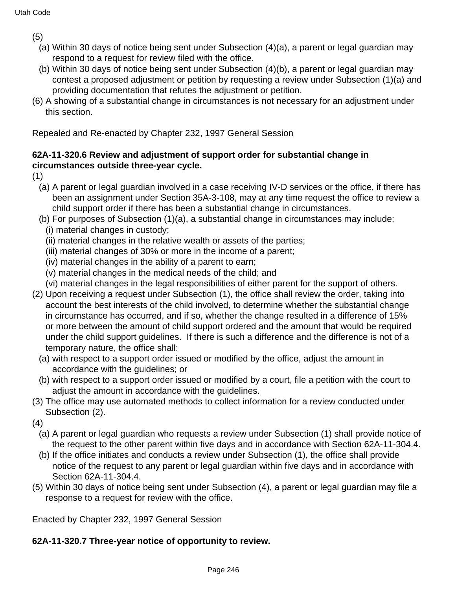(5)

- (a) Within 30 days of notice being sent under Subsection (4)(a), a parent or legal guardian may respond to a request for review filed with the office.
- (b) Within 30 days of notice being sent under Subsection (4)(b), a parent or legal guardian may contest a proposed adjustment or petition by requesting a review under Subsection (1)(a) and providing documentation that refutes the adjustment or petition.
- (6) A showing of a substantial change in circumstances is not necessary for an adjustment under this section.

Repealed and Re-enacted by Chapter 232, 1997 General Session

## **62A-11-320.6 Review and adjustment of support order for substantial change in circumstances outside three-year cycle.**

- (1)
	- (a) A parent or legal guardian involved in a case receiving IV-D services or the office, if there has been an assignment under Section 35A-3-108, may at any time request the office to review a child support order if there has been a substantial change in circumstances.
	- (b) For purposes of Subsection (1)(a), a substantial change in circumstances may include:
		- (i) material changes in custody;
		- (ii) material changes in the relative wealth or assets of the parties;
		- (iii) material changes of 30% or more in the income of a parent;
		- (iv) material changes in the ability of a parent to earn;
		- (v) material changes in the medical needs of the child; and
	- (vi) material changes in the legal responsibilities of either parent for the support of others.
- (2) Upon receiving a request under Subsection (1), the office shall review the order, taking into account the best interests of the child involved, to determine whether the substantial change in circumstance has occurred, and if so, whether the change resulted in a difference of 15% or more between the amount of child support ordered and the amount that would be required under the child support guidelines. If there is such a difference and the difference is not of a temporary nature, the office shall:
	- (a) with respect to a support order issued or modified by the office, adjust the amount in accordance with the guidelines; or
	- (b) with respect to a support order issued or modified by a court, file a petition with the court to adjust the amount in accordance with the guidelines.
- (3) The office may use automated methods to collect information for a review conducted under Subsection (2).
- (4)
	- (a) A parent or legal guardian who requests a review under Subsection (1) shall provide notice of the request to the other parent within five days and in accordance with Section 62A-11-304.4.
	- (b) If the office initiates and conducts a review under Subsection (1), the office shall provide notice of the request to any parent or legal guardian within five days and in accordance with Section 62A-11-304.4.
- (5) Within 30 days of notice being sent under Subsection (4), a parent or legal guardian may file a response to a request for review with the office.

Enacted by Chapter 232, 1997 General Session

## **62A-11-320.7 Three-year notice of opportunity to review.**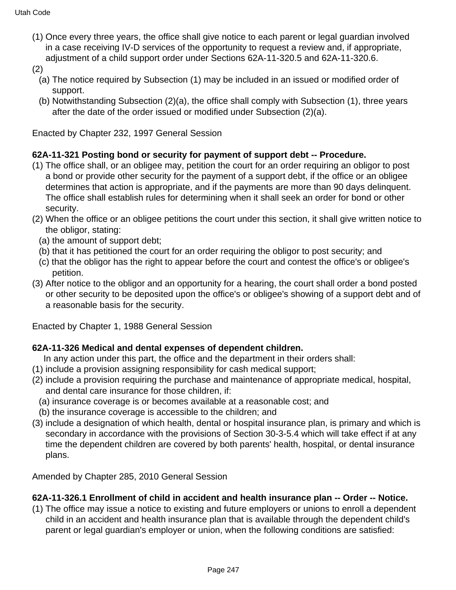- (1) Once every three years, the office shall give notice to each parent or legal guardian involved in a case receiving IV-D services of the opportunity to request a review and, if appropriate, adjustment of a child support order under Sections 62A-11-320.5 and 62A-11-320.6.
- (2)
	- (a) The notice required by Subsection (1) may be included in an issued or modified order of support.
	- (b) Notwithstanding Subsection (2)(a), the office shall comply with Subsection (1), three years after the date of the order issued or modified under Subsection (2)(a).

Enacted by Chapter 232, 1997 General Session

#### **62A-11-321 Posting bond or security for payment of support debt -- Procedure.**

- (1) The office shall, or an obligee may, petition the court for an order requiring an obligor to post a bond or provide other security for the payment of a support debt, if the office or an obligee determines that action is appropriate, and if the payments are more than 90 days delinquent. The office shall establish rules for determining when it shall seek an order for bond or other security.
- (2) When the office or an obligee petitions the court under this section, it shall give written notice to the obligor, stating:
	- (a) the amount of support debt;
	- (b) that it has petitioned the court for an order requiring the obligor to post security; and
	- (c) that the obligor has the right to appear before the court and contest the office's or obligee's petition.
- (3) After notice to the obligor and an opportunity for a hearing, the court shall order a bond posted or other security to be deposited upon the office's or obligee's showing of a support debt and of a reasonable basis for the security.

Enacted by Chapter 1, 1988 General Session

#### **62A-11-326 Medical and dental expenses of dependent children.**

In any action under this part, the office and the department in their orders shall:

- (1) include a provision assigning responsibility for cash medical support;
- (2) include a provision requiring the purchase and maintenance of appropriate medical, hospital, and dental care insurance for those children, if:
	- (a) insurance coverage is or becomes available at a reasonable cost; and
	- (b) the insurance coverage is accessible to the children; and
- (3) include a designation of which health, dental or hospital insurance plan, is primary and which is secondary in accordance with the provisions of Section 30-3-5.4 which will take effect if at any time the dependent children are covered by both parents' health, hospital, or dental insurance plans.

Amended by Chapter 285, 2010 General Session

#### **62A-11-326.1 Enrollment of child in accident and health insurance plan -- Order -- Notice.**

(1) The office may issue a notice to existing and future employers or unions to enroll a dependent child in an accident and health insurance plan that is available through the dependent child's parent or legal guardian's employer or union, when the following conditions are satisfied: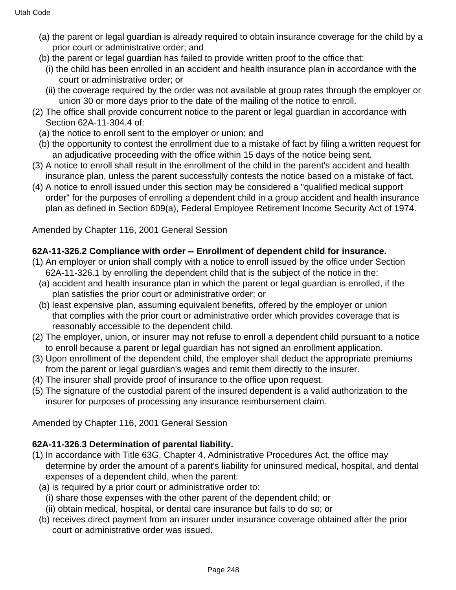- (a) the parent or legal guardian is already required to obtain insurance coverage for the child by a prior court or administrative order; and
- (b) the parent or legal guardian has failed to provide written proof to the office that:
- (i) the child has been enrolled in an accident and health insurance plan in accordance with the court or administrative order; or
- (ii) the coverage required by the order was not available at group rates through the employer or union 30 or more days prior to the date of the mailing of the notice to enroll.
- (2) The office shall provide concurrent notice to the parent or legal guardian in accordance with Section 62A-11-304.4 of:
	- (a) the notice to enroll sent to the employer or union; and
	- (b) the opportunity to contest the enrollment due to a mistake of fact by filing a written request for an adjudicative proceeding with the office within 15 days of the notice being sent.
- (3) A notice to enroll shall result in the enrollment of the child in the parent's accident and health insurance plan, unless the parent successfully contests the notice based on a mistake of fact.
- (4) A notice to enroll issued under this section may be considered a "qualified medical support order" for the purposes of enrolling a dependent child in a group accident and health insurance plan as defined in Section 609(a), Federal Employee Retirement Income Security Act of 1974.

Amended by Chapter 116, 2001 General Session

# **62A-11-326.2 Compliance with order -- Enrollment of dependent child for insurance.**

- (1) An employer or union shall comply with a notice to enroll issued by the office under Section 62A-11-326.1 by enrolling the dependent child that is the subject of the notice in the:
	- (a) accident and health insurance plan in which the parent or legal guardian is enrolled, if the plan satisfies the prior court or administrative order; or
	- (b) least expensive plan, assuming equivalent benefits, offered by the employer or union that complies with the prior court or administrative order which provides coverage that is reasonably accessible to the dependent child.
- (2) The employer, union, or insurer may not refuse to enroll a dependent child pursuant to a notice to enroll because a parent or legal guardian has not signed an enrollment application.
- (3) Upon enrollment of the dependent child, the employer shall deduct the appropriate premiums from the parent or legal guardian's wages and remit them directly to the insurer.
- (4) The insurer shall provide proof of insurance to the office upon request.
- (5) The signature of the custodial parent of the insured dependent is a valid authorization to the insurer for purposes of processing any insurance reimbursement claim.

Amended by Chapter 116, 2001 General Session

# **62A-11-326.3 Determination of parental liability.**

- (1) In accordance with Title 63G, Chapter 4, Administrative Procedures Act, the office may determine by order the amount of a parent's liability for uninsured medical, hospital, and dental expenses of a dependent child, when the parent:
	- (a) is required by a prior court or administrative order to:
		- (i) share those expenses with the other parent of the dependent child; or
		- (ii) obtain medical, hospital, or dental care insurance but fails to do so; or
	- (b) receives direct payment from an insurer under insurance coverage obtained after the prior court or administrative order was issued.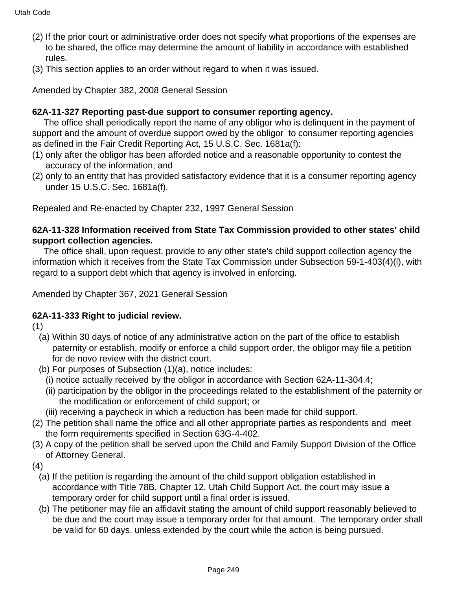- (2) If the prior court or administrative order does not specify what proportions of the expenses are to be shared, the office may determine the amount of liability in accordance with established rules.
- (3) This section applies to an order without regard to when it was issued.

Amended by Chapter 382, 2008 General Session

## **62A-11-327 Reporting past-due support to consumer reporting agency.**

 The office shall periodically report the name of any obligor who is delinquent in the payment of support and the amount of overdue support owed by the obligor to consumer reporting agencies as defined in the Fair Credit Reporting Act, 15 U.S.C. Sec. 1681a(f):

- (1) only after the obligor has been afforded notice and a reasonable opportunity to contest the accuracy of the information; and
- (2) only to an entity that has provided satisfactory evidence that it is a consumer reporting agency under 15 U.S.C. Sec. 1681a(f).

Repealed and Re-enacted by Chapter 232, 1997 General Session

## **62A-11-328 Information received from State Tax Commission provided to other states' child support collection agencies.**

 The office shall, upon request, provide to any other state's child support collection agency the information which it receives from the State Tax Commission under Subsection 59-1-403(4)(l), with regard to a support debt which that agency is involved in enforcing.

Amended by Chapter 367, 2021 General Session

## **62A-11-333 Right to judicial review.**

(1)

- (a) Within 30 days of notice of any administrative action on the part of the office to establish paternity or establish, modify or enforce a child support order, the obligor may file a petition for de novo review with the district court.
- (b) For purposes of Subsection (1)(a), notice includes:
	- (i) notice actually received by the obligor in accordance with Section 62A-11-304.4;
	- (ii) participation by the obligor in the proceedings related to the establishment of the paternity or the modification or enforcement of child support; or
	- (iii) receiving a paycheck in which a reduction has been made for child support.
- (2) The petition shall name the office and all other appropriate parties as respondents and meet the form requirements specified in Section 63G-4-402.
- (3) A copy of the petition shall be served upon the Child and Family Support Division of the Office of Attorney General.

(4)

- (a) If the petition is regarding the amount of the child support obligation established in accordance with Title 78B, Chapter 12, Utah Child Support Act, the court may issue a temporary order for child support until a final order is issued.
- (b) The petitioner may file an affidavit stating the amount of child support reasonably believed to be due and the court may issue a temporary order for that amount. The temporary order shall be valid for 60 days, unless extended by the court while the action is being pursued.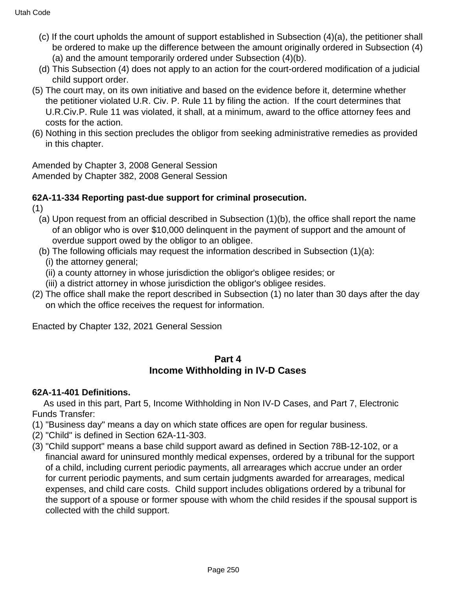- (c) If the court upholds the amount of support established in Subsection (4)(a), the petitioner shall be ordered to make up the difference between the amount originally ordered in Subsection (4) (a) and the amount temporarily ordered under Subsection (4)(b).
- (d) This Subsection (4) does not apply to an action for the court-ordered modification of a judicial child support order.
- (5) The court may, on its own initiative and based on the evidence before it, determine whether the petitioner violated U.R. Civ. P. Rule 11 by filing the action. If the court determines that U.R.Civ.P. Rule 11 was violated, it shall, at a minimum, award to the office attorney fees and costs for the action.
- (6) Nothing in this section precludes the obligor from seeking administrative remedies as provided in this chapter.

Amended by Chapter 3, 2008 General Session Amended by Chapter 382, 2008 General Session

## **62A-11-334 Reporting past-due support for criminal prosecution.**

- (1)
	- (a) Upon request from an official described in Subsection (1)(b), the office shall report the name of an obligor who is over \$10,000 delinquent in the payment of support and the amount of overdue support owed by the obligor to an obligee.
	- (b) The following officials may request the information described in Subsection (1)(a): (i) the attorney general;
		- (ii) a county attorney in whose jurisdiction the obligor's obligee resides; or
		- (iii) a district attorney in whose jurisdiction the obligor's obligee resides.
- (2) The office shall make the report described in Subsection (1) no later than 30 days after the day on which the office receives the request for information.

Enacted by Chapter 132, 2021 General Session

## **Part 4 Income Withholding in IV-D Cases**

#### **62A-11-401 Definitions.**

 As used in this part, Part 5, Income Withholding in Non IV-D Cases, and Part 7, Electronic Funds Transfer:

- (1) "Business day" means a day on which state offices are open for regular business.
- (2) "Child" is defined in Section 62A-11-303.
- (3) "Child support" means a base child support award as defined in Section 78B-12-102, or a financial award for uninsured monthly medical expenses, ordered by a tribunal for the support of a child, including current periodic payments, all arrearages which accrue under an order for current periodic payments, and sum certain judgments awarded for arrearages, medical expenses, and child care costs. Child support includes obligations ordered by a tribunal for the support of a spouse or former spouse with whom the child resides if the spousal support is collected with the child support.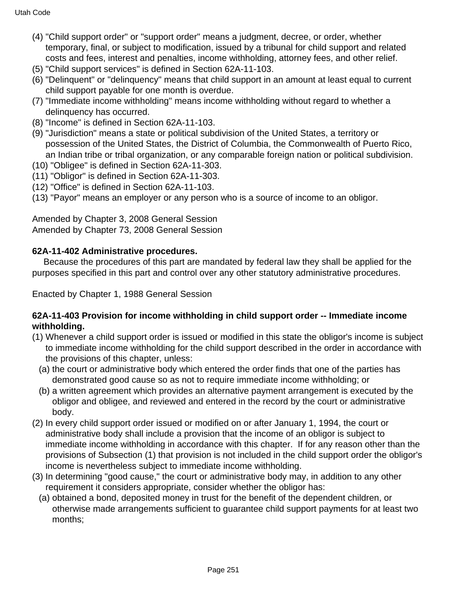- (4) "Child support order" or "support order" means a judgment, decree, or order, whether temporary, final, or subject to modification, issued by a tribunal for child support and related costs and fees, interest and penalties, income withholding, attorney fees, and other relief.
- (5) "Child support services" is defined in Section 62A-11-103.
- (6) "Delinquent" or "delinquency" means that child support in an amount at least equal to current child support payable for one month is overdue.
- (7) "Immediate income withholding" means income withholding without regard to whether a delinquency has occurred.
- (8) "Income" is defined in Section 62A-11-103.
- (9) "Jurisdiction" means a state or political subdivision of the United States, a territory or possession of the United States, the District of Columbia, the Commonwealth of Puerto Rico, an Indian tribe or tribal organization, or any comparable foreign nation or political subdivision.
- (10) "Obligee" is defined in Section 62A-11-303.
- (11) "Obligor" is defined in Section 62A-11-303.
- (12) "Office" is defined in Section 62A-11-103.
- (13) "Payor" means an employer or any person who is a source of income to an obligor.

Amended by Chapter 3, 2008 General Session Amended by Chapter 73, 2008 General Session

#### **62A-11-402 Administrative procedures.**

 Because the procedures of this part are mandated by federal law they shall be applied for the purposes specified in this part and control over any other statutory administrative procedures.

Enacted by Chapter 1, 1988 General Session

#### **62A-11-403 Provision for income withholding in child support order -- Immediate income withholding.**

- (1) Whenever a child support order is issued or modified in this state the obligor's income is subject to immediate income withholding for the child support described in the order in accordance with the provisions of this chapter, unless:
	- (a) the court or administrative body which entered the order finds that one of the parties has demonstrated good cause so as not to require immediate income withholding; or
	- (b) a written agreement which provides an alternative payment arrangement is executed by the obligor and obligee, and reviewed and entered in the record by the court or administrative body.
- (2) In every child support order issued or modified on or after January 1, 1994, the court or administrative body shall include a provision that the income of an obligor is subject to immediate income withholding in accordance with this chapter. If for any reason other than the provisions of Subsection (1) that provision is not included in the child support order the obligor's income is nevertheless subject to immediate income withholding.
- (3) In determining "good cause," the court or administrative body may, in addition to any other requirement it considers appropriate, consider whether the obligor has:
	- (a) obtained a bond, deposited money in trust for the benefit of the dependent children, or otherwise made arrangements sufficient to guarantee child support payments for at least two months;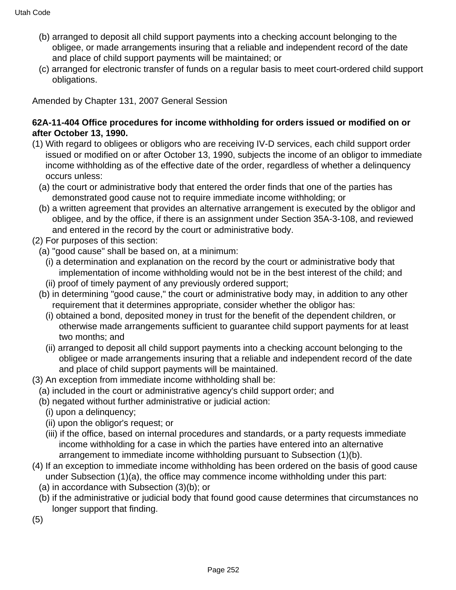- (b) arranged to deposit all child support payments into a checking account belonging to the obligee, or made arrangements insuring that a reliable and independent record of the date and place of child support payments will be maintained; or
- (c) arranged for electronic transfer of funds on a regular basis to meet court-ordered child support obligations.

Amended by Chapter 131, 2007 General Session

#### **62A-11-404 Office procedures for income withholding for orders issued or modified on or after October 13, 1990.**

- (1) With regard to obligees or obligors who are receiving IV-D services, each child support order issued or modified on or after October 13, 1990, subjects the income of an obligor to immediate income withholding as of the effective date of the order, regardless of whether a delinquency occurs unless:
	- (a) the court or administrative body that entered the order finds that one of the parties has demonstrated good cause not to require immediate income withholding; or
	- (b) a written agreement that provides an alternative arrangement is executed by the obligor and obligee, and by the office, if there is an assignment under Section 35A-3-108, and reviewed and entered in the record by the court or administrative body.
- (2) For purposes of this section:
	- (a) "good cause" shall be based on, at a minimum:
		- (i) a determination and explanation on the record by the court or administrative body that implementation of income withholding would not be in the best interest of the child; and (ii) proof of timely payment of any previously ordered support;
	- (b) in determining "good cause," the court or administrative body may, in addition to any other requirement that it determines appropriate, consider whether the obligor has:
		- (i) obtained a bond, deposited money in trust for the benefit of the dependent children, or otherwise made arrangements sufficient to guarantee child support payments for at least two months; and
		- (ii) arranged to deposit all child support payments into a checking account belonging to the obligee or made arrangements insuring that a reliable and independent record of the date and place of child support payments will be maintained.
- (3) An exception from immediate income withholding shall be:
- (a) included in the court or administrative agency's child support order; and
- (b) negated without further administrative or judicial action:
	- (i) upon a delinquency;
	- (ii) upon the obligor's request; or
	- (iii) if the office, based on internal procedures and standards, or a party requests immediate income withholding for a case in which the parties have entered into an alternative arrangement to immediate income withholding pursuant to Subsection (1)(b).
- (4) If an exception to immediate income withholding has been ordered on the basis of good cause under Subsection (1)(a), the office may commence income withholding under this part:
	- (a) in accordance with Subsection (3)(b); or
	- (b) if the administrative or judicial body that found good cause determines that circumstances no longer support that finding.
- (5)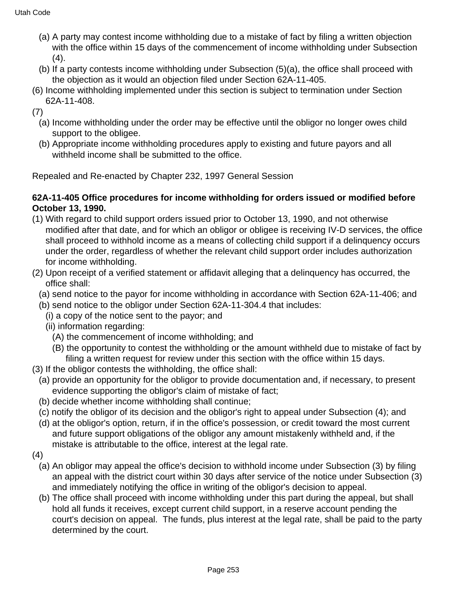- (a) A party may contest income withholding due to a mistake of fact by filing a written objection with the office within 15 days of the commencement of income withholding under Subsection  $(4).$
- (b) If a party contests income withholding under Subsection (5)(a), the office shall proceed with the objection as it would an objection filed under Section 62A-11-405.
- (6) Income withholding implemented under this section is subject to termination under Section 62A-11-408.
- (7)
	- (a) Income withholding under the order may be effective until the obligor no longer owes child support to the obligee.
	- (b) Appropriate income withholding procedures apply to existing and future payors and all withheld income shall be submitted to the office.

Repealed and Re-enacted by Chapter 232, 1997 General Session

#### **62A-11-405 Office procedures for income withholding for orders issued or modified before October 13, 1990.**

- (1) With regard to child support orders issued prior to October 13, 1990, and not otherwise modified after that date, and for which an obligor or obligee is receiving IV-D services, the office shall proceed to withhold income as a means of collecting child support if a delinquency occurs under the order, regardless of whether the relevant child support order includes authorization for income withholding.
- (2) Upon receipt of a verified statement or affidavit alleging that a delinquency has occurred, the office shall:
	- (a) send notice to the payor for income withholding in accordance with Section 62A-11-406; and
	- (b) send notice to the obligor under Section 62A-11-304.4 that includes:
		- (i) a copy of the notice sent to the payor; and
		- (ii) information regarding:
			- (A) the commencement of income withholding; and
			- (B) the opportunity to contest the withholding or the amount withheld due to mistake of fact by filing a written request for review under this section with the office within 15 days.
- (3) If the obligor contests the withholding, the office shall:
	- (a) provide an opportunity for the obligor to provide documentation and, if necessary, to present evidence supporting the obligor's claim of mistake of fact;
	- (b) decide whether income withholding shall continue;
	- (c) notify the obligor of its decision and the obligor's right to appeal under Subsection (4); and
	- (d) at the obligor's option, return, if in the office's possession, or credit toward the most current and future support obligations of the obligor any amount mistakenly withheld and, if the mistake is attributable to the office, interest at the legal rate.
- (4)
	- (a) An obligor may appeal the office's decision to withhold income under Subsection (3) by filing an appeal with the district court within 30 days after service of the notice under Subsection (3) and immediately notifying the office in writing of the obligor's decision to appeal.
	- (b) The office shall proceed with income withholding under this part during the appeal, but shall hold all funds it receives, except current child support, in a reserve account pending the court's decision on appeal. The funds, plus interest at the legal rate, shall be paid to the party determined by the court.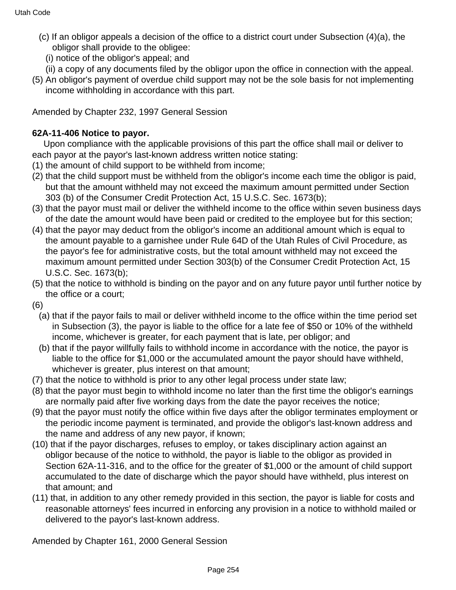- (c) If an obligor appeals a decision of the office to a district court under Subsection (4)(a), the obligor shall provide to the obligee:
	- (i) notice of the obligor's appeal; and
	- (ii) a copy of any documents filed by the obligor upon the office in connection with the appeal.
- (5) An obligor's payment of overdue child support may not be the sole basis for not implementing income withholding in accordance with this part.

Amended by Chapter 232, 1997 General Session

### **62A-11-406 Notice to payor.**

 Upon compliance with the applicable provisions of this part the office shall mail or deliver to each payor at the payor's last-known address written notice stating:

- (1) the amount of child support to be withheld from income;
- (2) that the child support must be withheld from the obligor's income each time the obligor is paid, but that the amount withheld may not exceed the maximum amount permitted under Section 303 (b) of the Consumer Credit Protection Act, 15 U.S.C. Sec. 1673(b);
- (3) that the payor must mail or deliver the withheld income to the office within seven business days of the date the amount would have been paid or credited to the employee but for this section;
- (4) that the payor may deduct from the obligor's income an additional amount which is equal to the amount payable to a garnishee under Rule 64D of the Utah Rules of Civil Procedure, as the payor's fee for administrative costs, but the total amount withheld may not exceed the maximum amount permitted under Section 303(b) of the Consumer Credit Protection Act, 15 U.S.C. Sec. 1673(b);
- (5) that the notice to withhold is binding on the payor and on any future payor until further notice by the office or a court;
- (6)
	- (a) that if the payor fails to mail or deliver withheld income to the office within the time period set in Subsection (3), the payor is liable to the office for a late fee of \$50 or 10% of the withheld income, whichever is greater, for each payment that is late, per obligor; and
	- (b) that if the payor willfully fails to withhold income in accordance with the notice, the payor is liable to the office for \$1,000 or the accumulated amount the payor should have withheld, whichever is greater, plus interest on that amount;
- (7) that the notice to withhold is prior to any other legal process under state law;
- (8) that the payor must begin to withhold income no later than the first time the obligor's earnings are normally paid after five working days from the date the payor receives the notice;
- (9) that the payor must notify the office within five days after the obligor terminates employment or the periodic income payment is terminated, and provide the obligor's last-known address and the name and address of any new payor, if known;
- (10) that if the payor discharges, refuses to employ, or takes disciplinary action against an obligor because of the notice to withhold, the payor is liable to the obligor as provided in Section 62A-11-316, and to the office for the greater of \$1,000 or the amount of child support accumulated to the date of discharge which the payor should have withheld, plus interest on that amount; and
- (11) that, in addition to any other remedy provided in this section, the payor is liable for costs and reasonable attorneys' fees incurred in enforcing any provision in a notice to withhold mailed or delivered to the payor's last-known address.

Amended by Chapter 161, 2000 General Session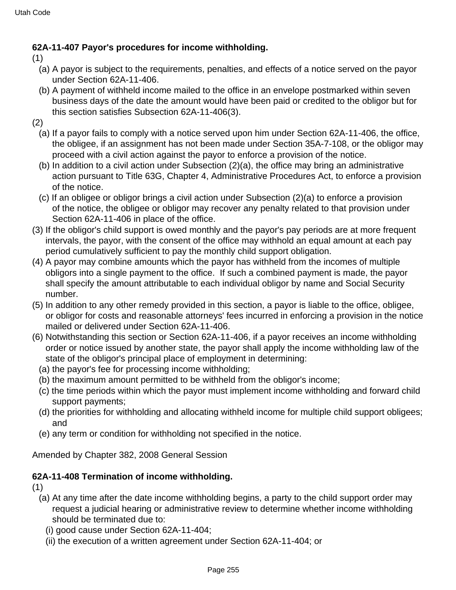## **62A-11-407 Payor's procedures for income withholding.**

(1)

- (a) A payor is subject to the requirements, penalties, and effects of a notice served on the payor under Section 62A-11-406.
- (b) A payment of withheld income mailed to the office in an envelope postmarked within seven business days of the date the amount would have been paid or credited to the obligor but for this section satisfies Subsection 62A-11-406(3).
- (2)
	- (a) If a payor fails to comply with a notice served upon him under Section 62A-11-406, the office, the obligee, if an assignment has not been made under Section 35A-7-108, or the obligor may proceed with a civil action against the payor to enforce a provision of the notice.
	- (b) In addition to a civil action under Subsection (2)(a), the office may bring an administrative action pursuant to Title 63G, Chapter 4, Administrative Procedures Act, to enforce a provision of the notice.
	- (c) If an obligee or obligor brings a civil action under Subsection (2)(a) to enforce a provision of the notice, the obligee or obligor may recover any penalty related to that provision under Section 62A-11-406 in place of the office.
- (3) If the obligor's child support is owed monthly and the payor's pay periods are at more frequent intervals, the payor, with the consent of the office may withhold an equal amount at each pay period cumulatively sufficient to pay the monthly child support obligation.
- (4) A payor may combine amounts which the payor has withheld from the incomes of multiple obligors into a single payment to the office. If such a combined payment is made, the payor shall specify the amount attributable to each individual obligor by name and Social Security number.
- (5) In addition to any other remedy provided in this section, a payor is liable to the office, obligee, or obligor for costs and reasonable attorneys' fees incurred in enforcing a provision in the notice mailed or delivered under Section 62A-11-406.
- (6) Notwithstanding this section or Section 62A-11-406, if a payor receives an income withholding order or notice issued by another state, the payor shall apply the income withholding law of the state of the obligor's principal place of employment in determining:
	- (a) the payor's fee for processing income withholding;
	- (b) the maximum amount permitted to be withheld from the obligor's income;
	- (c) the time periods within which the payor must implement income withholding and forward child support payments;
	- (d) the priorities for withholding and allocating withheld income for multiple child support obligees; and
	- (e) any term or condition for withholding not specified in the notice.

Amended by Chapter 382, 2008 General Session

## **62A-11-408 Termination of income withholding.**

(1)

- (a) At any time after the date income withholding begins, a party to the child support order may request a judicial hearing or administrative review to determine whether income withholding should be terminated due to:
	- (i) good cause under Section 62A-11-404;
	- (ii) the execution of a written agreement under Section 62A-11-404; or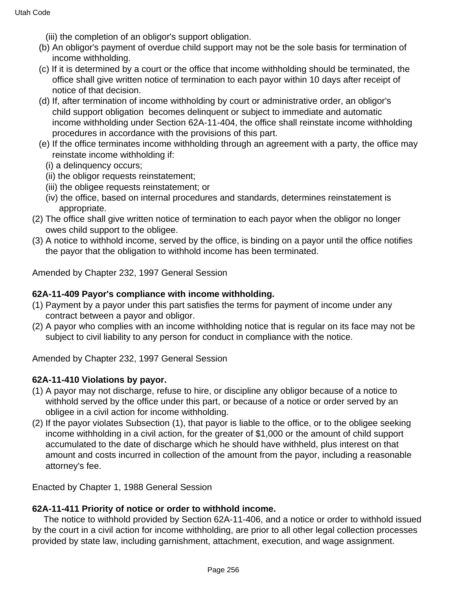(iii) the completion of an obligor's support obligation.

- (b) An obligor's payment of overdue child support may not be the sole basis for termination of income withholding.
- (c) If it is determined by a court or the office that income withholding should be terminated, the office shall give written notice of termination to each payor within 10 days after receipt of notice of that decision.
- (d) If, after termination of income withholding by court or administrative order, an obligor's child support obligation becomes delinquent or subject to immediate and automatic income withholding under Section 62A-11-404, the office shall reinstate income withholding procedures in accordance with the provisions of this part.
- (e) If the office terminates income withholding through an agreement with a party, the office may reinstate income withholding if:
	- (i) a delinquency occurs;
	- (ii) the obligor requests reinstatement;
	- (iii) the obligee requests reinstatement; or
	- (iv) the office, based on internal procedures and standards, determines reinstatement is appropriate.
- (2) The office shall give written notice of termination to each payor when the obligor no longer owes child support to the obligee.
- (3) A notice to withhold income, served by the office, is binding on a payor until the office notifies the payor that the obligation to withhold income has been terminated.

Amended by Chapter 232, 1997 General Session

#### **62A-11-409 Payor's compliance with income withholding.**

- (1) Payment by a payor under this part satisfies the terms for payment of income under any contract between a payor and obligor.
- (2) A payor who complies with an income withholding notice that is regular on its face may not be subject to civil liability to any person for conduct in compliance with the notice.

Amended by Chapter 232, 1997 General Session

## **62A-11-410 Violations by payor.**

- (1) A payor may not discharge, refuse to hire, or discipline any obligor because of a notice to withhold served by the office under this part, or because of a notice or order served by an obligee in a civil action for income withholding.
- (2) If the payor violates Subsection (1), that payor is liable to the office, or to the obligee seeking income withholding in a civil action, for the greater of \$1,000 or the amount of child support accumulated to the date of discharge which he should have withheld, plus interest on that amount and costs incurred in collection of the amount from the payor, including a reasonable attorney's fee.

Enacted by Chapter 1, 1988 General Session

## **62A-11-411 Priority of notice or order to withhold income.**

 The notice to withhold provided by Section 62A-11-406, and a notice or order to withhold issued by the court in a civil action for income withholding, are prior to all other legal collection processes provided by state law, including garnishment, attachment, execution, and wage assignment.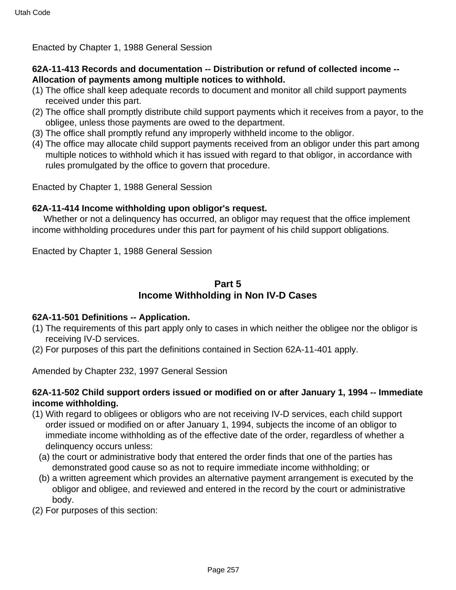Enacted by Chapter 1, 1988 General Session

#### **62A-11-413 Records and documentation -- Distribution or refund of collected income -- Allocation of payments among multiple notices to withhold.**

- (1) The office shall keep adequate records to document and monitor all child support payments received under this part.
- (2) The office shall promptly distribute child support payments which it receives from a payor, to the obligee, unless those payments are owed to the department.
- (3) The office shall promptly refund any improperly withheld income to the obligor.
- (4) The office may allocate child support payments received from an obligor under this part among multiple notices to withhold which it has issued with regard to that obligor, in accordance with rules promulgated by the office to govern that procedure.

Enacted by Chapter 1, 1988 General Session

#### **62A-11-414 Income withholding upon obligor's request.**

 Whether or not a delinquency has occurred, an obligor may request that the office implement income withholding procedures under this part for payment of his child support obligations.

Enacted by Chapter 1, 1988 General Session

## **Part 5 Income Withholding in Non IV-D Cases**

#### **62A-11-501 Definitions -- Application.**

- (1) The requirements of this part apply only to cases in which neither the obligee nor the obligor is receiving IV-D services.
- (2) For purposes of this part the definitions contained in Section 62A-11-401 apply.

Amended by Chapter 232, 1997 General Session

#### **62A-11-502 Child support orders issued or modified on or after January 1, 1994 -- Immediate income withholding.**

- (1) With regard to obligees or obligors who are not receiving IV-D services, each child support order issued or modified on or after January 1, 1994, subjects the income of an obligor to immediate income withholding as of the effective date of the order, regardless of whether a delinquency occurs unless:
	- (a) the court or administrative body that entered the order finds that one of the parties has demonstrated good cause so as not to require immediate income withholding; or
	- (b) a written agreement which provides an alternative payment arrangement is executed by the obligor and obligee, and reviewed and entered in the record by the court or administrative body.
- (2) For purposes of this section: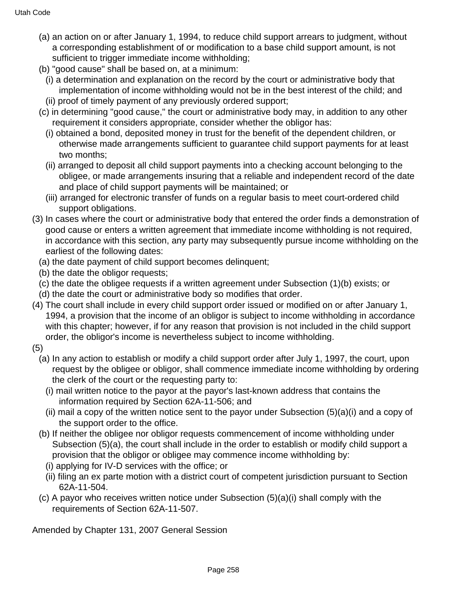- (a) an action on or after January 1, 1994, to reduce child support arrears to judgment, without a corresponding establishment of or modification to a base child support amount, is not sufficient to trigger immediate income withholding;
- (b) "good cause" shall be based on, at a minimum:
- (i) a determination and explanation on the record by the court or administrative body that implementation of income withholding would not be in the best interest of the child; and
- (ii) proof of timely payment of any previously ordered support;
- (c) in determining "good cause," the court or administrative body may, in addition to any other requirement it considers appropriate, consider whether the obligor has:
	- (i) obtained a bond, deposited money in trust for the benefit of the dependent children, or otherwise made arrangements sufficient to guarantee child support payments for at least two months;
	- (ii) arranged to deposit all child support payments into a checking account belonging to the obligee, or made arrangements insuring that a reliable and independent record of the date and place of child support payments will be maintained; or
	- (iii) arranged for electronic transfer of funds on a regular basis to meet court-ordered child support obligations.
- (3) In cases where the court or administrative body that entered the order finds a demonstration of good cause or enters a written agreement that immediate income withholding is not required, in accordance with this section, any party may subsequently pursue income withholding on the earliest of the following dates:
	- (a) the date payment of child support becomes delinquent;
	- (b) the date the obligor requests;
	- (c) the date the obligee requests if a written agreement under Subsection (1)(b) exists; or
- (d) the date the court or administrative body so modifies that order.
- (4) The court shall include in every child support order issued or modified on or after January 1, 1994, a provision that the income of an obligor is subject to income withholding in accordance with this chapter; however, if for any reason that provision is not included in the child support order, the obligor's income is nevertheless subject to income withholding.
- (5)
	- (a) In any action to establish or modify a child support order after July 1, 1997, the court, upon request by the obligee or obligor, shall commence immediate income withholding by ordering the clerk of the court or the requesting party to:
		- (i) mail written notice to the payor at the payor's last-known address that contains the information required by Section 62A-11-506; and
		- (ii) mail a copy of the written notice sent to the payor under Subsection (5)(a)(i) and a copy of the support order to the office.
	- (b) If neither the obligee nor obligor requests commencement of income withholding under Subsection (5)(a), the court shall include in the order to establish or modify child support a provision that the obligor or obligee may commence income withholding by:
		- (i) applying for IV-D services with the office; or
		- (ii) filing an ex parte motion with a district court of competent jurisdiction pursuant to Section 62A-11-504.
	- (c) A payor who receives written notice under Subsection (5)(a)(i) shall comply with the requirements of Section 62A-11-507.

Amended by Chapter 131, 2007 General Session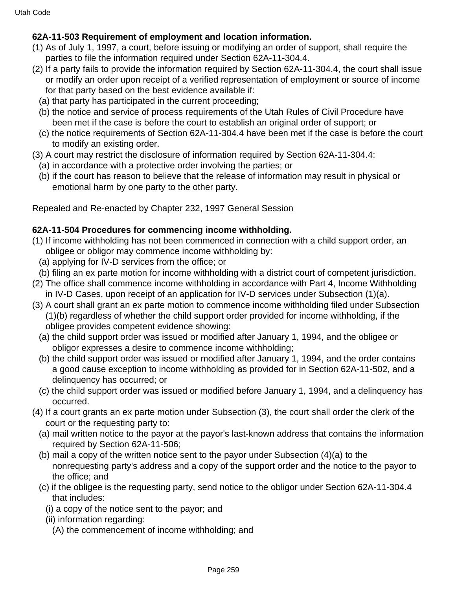## **62A-11-503 Requirement of employment and location information.**

- (1) As of July 1, 1997, a court, before issuing or modifying an order of support, shall require the parties to file the information required under Section 62A-11-304.4.
- (2) If a party fails to provide the information required by Section 62A-11-304.4, the court shall issue or modify an order upon receipt of a verified representation of employment or source of income for that party based on the best evidence available if:
	- (a) that party has participated in the current proceeding;
	- (b) the notice and service of process requirements of the Utah Rules of Civil Procedure have been met if the case is before the court to establish an original order of support; or
	- (c) the notice requirements of Section 62A-11-304.4 have been met if the case is before the court to modify an existing order.
- (3) A court may restrict the disclosure of information required by Section 62A-11-304.4:
	- (a) in accordance with a protective order involving the parties; or
	- (b) if the court has reason to believe that the release of information may result in physical or emotional harm by one party to the other party.

Repealed and Re-enacted by Chapter 232, 1997 General Session

#### **62A-11-504 Procedures for commencing income withholding.**

- (1) If income withholding has not been commenced in connection with a child support order, an obligee or obligor may commence income withholding by:
	- (a) applying for IV-D services from the office; or
- (b) filing an ex parte motion for income withholding with a district court of competent jurisdiction.
- (2) The office shall commence income withholding in accordance with Part 4, Income Withholding in IV-D Cases, upon receipt of an application for IV-D services under Subsection (1)(a).
- (3) A court shall grant an ex parte motion to commence income withholding filed under Subsection (1)(b) regardless of whether the child support order provided for income withholding, if the obligee provides competent evidence showing:
	- (a) the child support order was issued or modified after January 1, 1994, and the obligee or obligor expresses a desire to commence income withholding;
	- (b) the child support order was issued or modified after January 1, 1994, and the order contains a good cause exception to income withholding as provided for in Section 62A-11-502, and a delinquency has occurred; or
	- (c) the child support order was issued or modified before January 1, 1994, and a delinquency has occurred.
- (4) If a court grants an ex parte motion under Subsection (3), the court shall order the clerk of the court or the requesting party to:
	- (a) mail written notice to the payor at the payor's last-known address that contains the information required by Section 62A-11-506;
	- (b) mail a copy of the written notice sent to the payor under Subsection (4)(a) to the nonrequesting party's address and a copy of the support order and the notice to the payor to the office; and
	- (c) if the obligee is the requesting party, send notice to the obligor under Section 62A-11-304.4 that includes:
		- (i) a copy of the notice sent to the payor; and
		- (ii) information regarding:
			- (A) the commencement of income withholding; and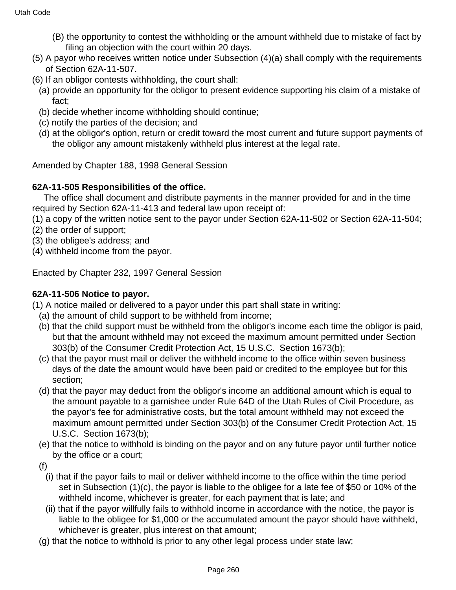- (B) the opportunity to contest the withholding or the amount withheld due to mistake of fact by filing an objection with the court within 20 days.
- (5) A payor who receives written notice under Subsection (4)(a) shall comply with the requirements of Section 62A-11-507.
- (6) If an obligor contests withholding, the court shall:
	- (a) provide an opportunity for the obligor to present evidence supporting his claim of a mistake of fact;
	- (b) decide whether income withholding should continue;
	- (c) notify the parties of the decision; and
	- (d) at the obligor's option, return or credit toward the most current and future support payments of the obligor any amount mistakenly withheld plus interest at the legal rate.

Amended by Chapter 188, 1998 General Session

# **62A-11-505 Responsibilities of the office.**

 The office shall document and distribute payments in the manner provided for and in the time required by Section 62A-11-413 and federal law upon receipt of:

(1) a copy of the written notice sent to the payor under Section 62A-11-502 or Section 62A-11-504;

- (2) the order of support;
- (3) the obligee's address; and
- (4) withheld income from the payor.

Enacted by Chapter 232, 1997 General Session

# **62A-11-506 Notice to payor.**

(1) A notice mailed or delivered to a payor under this part shall state in writing:

- (a) the amount of child support to be withheld from income;
- (b) that the child support must be withheld from the obligor's income each time the obligor is paid, but that the amount withheld may not exceed the maximum amount permitted under Section 303(b) of the Consumer Credit Protection Act, 15 U.S.C. Section 1673(b);
- (c) that the payor must mail or deliver the withheld income to the office within seven business days of the date the amount would have been paid or credited to the employee but for this section;
- (d) that the payor may deduct from the obligor's income an additional amount which is equal to the amount payable to a garnishee under Rule 64D of the Utah Rules of Civil Procedure, as the payor's fee for administrative costs, but the total amount withheld may not exceed the maximum amount permitted under Section 303(b) of the Consumer Credit Protection Act, 15 U.S.C. Section 1673(b);
- (e) that the notice to withhold is binding on the payor and on any future payor until further notice by the office or a court;
- (f)
	- (i) that if the payor fails to mail or deliver withheld income to the office within the time period set in Subsection (1)(c), the payor is liable to the obligee for a late fee of \$50 or 10% of the withheld income, whichever is greater, for each payment that is late; and
	- (ii) that if the payor willfully fails to withhold income in accordance with the notice, the payor is liable to the obligee for \$1,000 or the accumulated amount the payor should have withheld, whichever is greater, plus interest on that amount;
- (g) that the notice to withhold is prior to any other legal process under state law;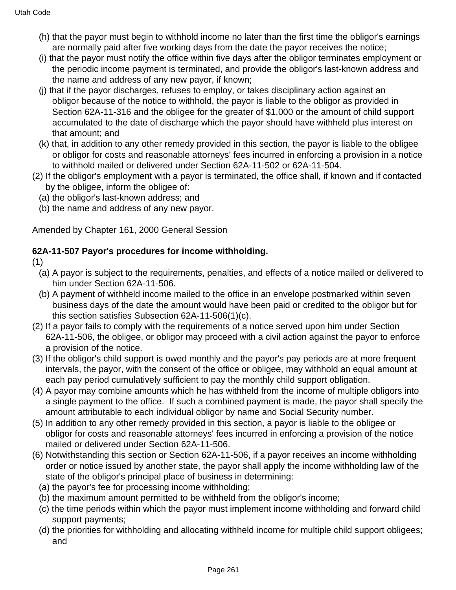- (h) that the payor must begin to withhold income no later than the first time the obligor's earnings are normally paid after five working days from the date the payor receives the notice;
- (i) that the payor must notify the office within five days after the obligor terminates employment or the periodic income payment is terminated, and provide the obligor's last-known address and the name and address of any new payor, if known;
- (j) that if the payor discharges, refuses to employ, or takes disciplinary action against an obligor because of the notice to withhold, the payor is liable to the obligor as provided in Section 62A-11-316 and the obligee for the greater of \$1,000 or the amount of child support accumulated to the date of discharge which the payor should have withheld plus interest on that amount; and
- (k) that, in addition to any other remedy provided in this section, the payor is liable to the obligee or obligor for costs and reasonable attorneys' fees incurred in enforcing a provision in a notice to withhold mailed or delivered under Section 62A-11-502 or 62A-11-504.
- (2) If the obligor's employment with a payor is terminated, the office shall, if known and if contacted by the obligee, inform the obligee of:
	- (a) the obligor's last-known address; and
	- (b) the name and address of any new payor.

Amended by Chapter 161, 2000 General Session

# **62A-11-507 Payor's procedures for income withholding.**

(1)

- (a) A payor is subject to the requirements, penalties, and effects of a notice mailed or delivered to him under Section 62A-11-506.
- (b) A payment of withheld income mailed to the office in an envelope postmarked within seven business days of the date the amount would have been paid or credited to the obligor but for this section satisfies Subsection 62A-11-506(1)(c).
- (2) If a payor fails to comply with the requirements of a notice served upon him under Section 62A-11-506, the obligee, or obligor may proceed with a civil action against the payor to enforce a provision of the notice.
- (3) If the obligor's child support is owed monthly and the payor's pay periods are at more frequent intervals, the payor, with the consent of the office or obligee, may withhold an equal amount at each pay period cumulatively sufficient to pay the monthly child support obligation.
- (4) A payor may combine amounts which he has withheld from the income of multiple obligors into a single payment to the office. If such a combined payment is made, the payor shall specify the amount attributable to each individual obligor by name and Social Security number.
- (5) In addition to any other remedy provided in this section, a payor is liable to the obligee or obligor for costs and reasonable attorneys' fees incurred in enforcing a provision of the notice mailed or delivered under Section 62A-11-506.
- (6) Notwithstanding this section or Section 62A-11-506, if a payor receives an income withholding order or notice issued by another state, the payor shall apply the income withholding law of the state of the obligor's principal place of business in determining:
	- (a) the payor's fee for processing income withholding;
	- (b) the maximum amount permitted to be withheld from the obligor's income;
	- (c) the time periods within which the payor must implement income withholding and forward child support payments;
	- (d) the priorities for withholding and allocating withheld income for multiple child support obligees; and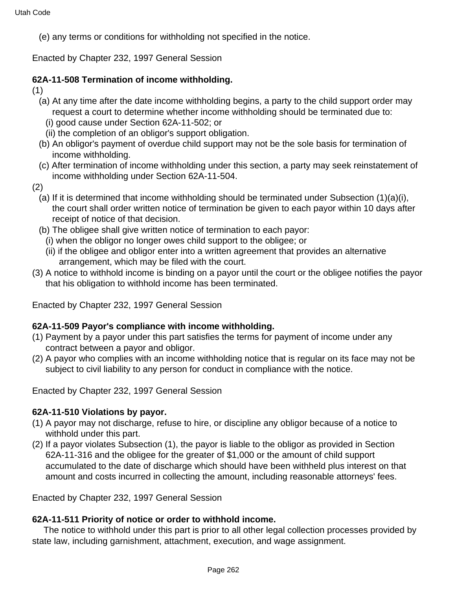(e) any terms or conditions for withholding not specified in the notice.

Enacted by Chapter 232, 1997 General Session

# **62A-11-508 Termination of income withholding.**

(1)

- (a) At any time after the date income withholding begins, a party to the child support order may request a court to determine whether income withholding should be terminated due to:
	- (i) good cause under Section 62A-11-502; or
	- (ii) the completion of an obligor's support obligation.
- (b) An obligor's payment of overdue child support may not be the sole basis for termination of income withholding.
- (c) After termination of income withholding under this section, a party may seek reinstatement of income withholding under Section 62A-11-504.
- (2)
	- (a) If it is determined that income withholding should be terminated under Subsection (1)(a)(i), the court shall order written notice of termination be given to each payor within 10 days after receipt of notice of that decision.
	- (b) The obligee shall give written notice of termination to each payor:
	- (i) when the obligor no longer owes child support to the obligee; or
	- (ii) if the obligee and obligor enter into a written agreement that provides an alternative arrangement, which may be filed with the court.
- (3) A notice to withhold income is binding on a payor until the court or the obligee notifies the payor that his obligation to withhold income has been terminated.

Enacted by Chapter 232, 1997 General Session

## **62A-11-509 Payor's compliance with income withholding.**

- (1) Payment by a payor under this part satisfies the terms for payment of income under any contract between a payor and obligor.
- (2) A payor who complies with an income withholding notice that is regular on its face may not be subject to civil liability to any person for conduct in compliance with the notice.

Enacted by Chapter 232, 1997 General Session

## **62A-11-510 Violations by payor.**

- (1) A payor may not discharge, refuse to hire, or discipline any obligor because of a notice to withhold under this part.
- (2) If a payor violates Subsection (1), the payor is liable to the obligor as provided in Section 62A-11-316 and the obligee for the greater of \$1,000 or the amount of child support accumulated to the date of discharge which should have been withheld plus interest on that amount and costs incurred in collecting the amount, including reasonable attorneys' fees.

Enacted by Chapter 232, 1997 General Session

## **62A-11-511 Priority of notice or order to withhold income.**

 The notice to withhold under this part is prior to all other legal collection processes provided by state law, including garnishment, attachment, execution, and wage assignment.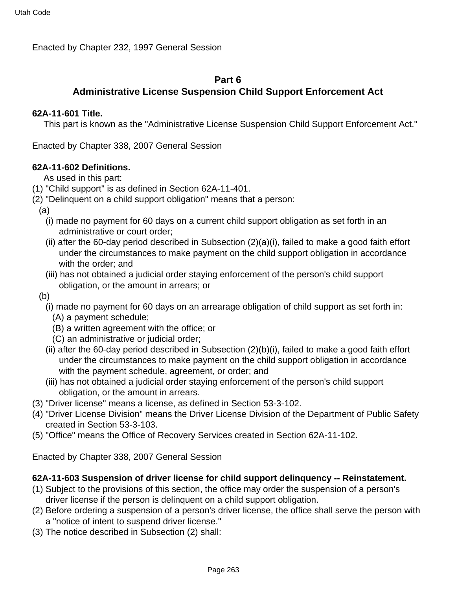Enacted by Chapter 232, 1997 General Session

## **Part 6**

## **Administrative License Suspension Child Support Enforcement Act**

#### **62A-11-601 Title.**

This part is known as the "Administrative License Suspension Child Support Enforcement Act."

Enacted by Chapter 338, 2007 General Session

#### **62A-11-602 Definitions.**

As used in this part:

- (1) "Child support" is as defined in Section 62A-11-401.
- (2) "Delinquent on a child support obligation" means that a person:

(a)

- (i) made no payment for 60 days on a current child support obligation as set forth in an administrative or court order;
- (ii) after the 60-day period described in Subsection (2)(a)(i), failed to make a good faith effort under the circumstances to make payment on the child support obligation in accordance with the order; and
- (iii) has not obtained a judicial order staying enforcement of the person's child support obligation, or the amount in arrears; or
- (b)

(i) made no payment for 60 days on an arrearage obligation of child support as set forth in:

- (A) a payment schedule;
- (B) a written agreement with the office; or
- (C) an administrative or judicial order;
- (ii) after the 60-day period described in Subsection (2)(b)(i), failed to make a good faith effort under the circumstances to make payment on the child support obligation in accordance with the payment schedule, agreement, or order; and
- (iii) has not obtained a judicial order staying enforcement of the person's child support obligation, or the amount in arrears.
- (3) "Driver license" means a license, as defined in Section 53-3-102.
- (4) "Driver License Division" means the Driver License Division of the Department of Public Safety created in Section 53-3-103.
- (5) "Office" means the Office of Recovery Services created in Section 62A-11-102.

Enacted by Chapter 338, 2007 General Session

#### **62A-11-603 Suspension of driver license for child support delinquency -- Reinstatement.**

- (1) Subject to the provisions of this section, the office may order the suspension of a person's driver license if the person is delinquent on a child support obligation.
- (2) Before ordering a suspension of a person's driver license, the office shall serve the person with a "notice of intent to suspend driver license."
- (3) The notice described in Subsection (2) shall: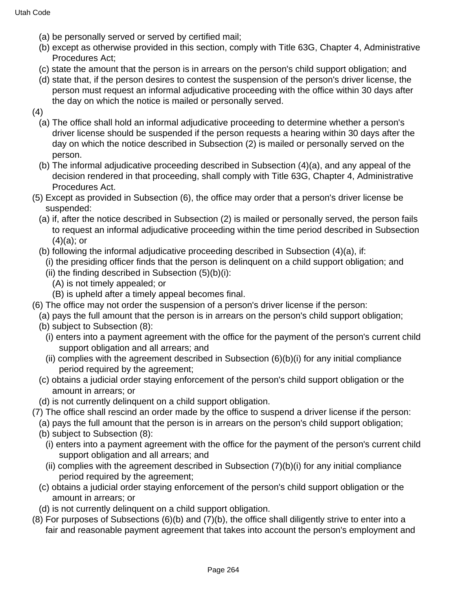- (a) be personally served or served by certified mail;
- (b) except as otherwise provided in this section, comply with Title 63G, Chapter 4, Administrative Procedures Act;
- (c) state the amount that the person is in arrears on the person's child support obligation; and
- (d) state that, if the person desires to contest the suspension of the person's driver license, the person must request an informal adjudicative proceeding with the office within 30 days after the day on which the notice is mailed or personally served.
- (4)
	- (a) The office shall hold an informal adjudicative proceeding to determine whether a person's driver license should be suspended if the person requests a hearing within 30 days after the day on which the notice described in Subsection (2) is mailed or personally served on the person.
	- (b) The informal adjudicative proceeding described in Subsection (4)(a), and any appeal of the decision rendered in that proceeding, shall comply with Title 63G, Chapter 4, Administrative Procedures Act.
- (5) Except as provided in Subsection (6), the office may order that a person's driver license be suspended:
	- (a) if, after the notice described in Subsection (2) is mailed or personally served, the person fails to request an informal adjudicative proceeding within the time period described in Subsection  $(4)(a)$ ; or
	- (b) following the informal adjudicative proceeding described in Subsection (4)(a), if:
		- (i) the presiding officer finds that the person is delinquent on a child support obligation; and
		- (ii) the finding described in Subsection  $(5)(b)(i)$ :
			- (A) is not timely appealed; or
			- (B) is upheld after a timely appeal becomes final.
- (6) The office may not order the suspension of a person's driver license if the person:
- (a) pays the full amount that the person is in arrears on the person's child support obligation;
- (b) subject to Subsection (8):
	- (i) enters into a payment agreement with the office for the payment of the person's current child support obligation and all arrears; and
	- (ii) complies with the agreement described in Subsection  $(6)(b)(i)$  for any initial compliance period required by the agreement;
- (c) obtains a judicial order staying enforcement of the person's child support obligation or the amount in arrears; or
- (d) is not currently delinquent on a child support obligation.
- (7) The office shall rescind an order made by the office to suspend a driver license if the person:
	- (a) pays the full amount that the person is in arrears on the person's child support obligation;
	- (b) subject to Subsection (8):
		- (i) enters into a payment agreement with the office for the payment of the person's current child support obligation and all arrears; and
		- (ii) complies with the agreement described in Subsection  $(7)(b)(i)$  for any initial compliance period required by the agreement;
	- (c) obtains a judicial order staying enforcement of the person's child support obligation or the amount in arrears; or
	- (d) is not currently delinquent on a child support obligation.
- (8) For purposes of Subsections (6)(b) and (7)(b), the office shall diligently strive to enter into a fair and reasonable payment agreement that takes into account the person's employment and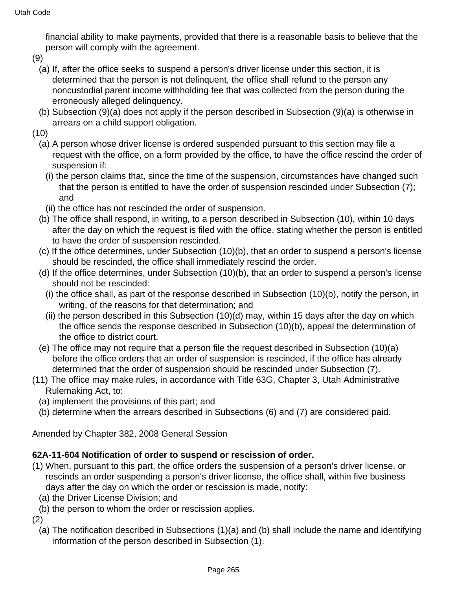financial ability to make payments, provided that there is a reasonable basis to believe that the person will comply with the agreement.

(9)

- (a) If, after the office seeks to suspend a person's driver license under this section, it is determined that the person is not delinquent, the office shall refund to the person any noncustodial parent income withholding fee that was collected from the person during the erroneously alleged delinquency.
- (b) Subsection (9)(a) does not apply if the person described in Subsection (9)(a) is otherwise in arrears on a child support obligation.

(10)

- (a) A person whose driver license is ordered suspended pursuant to this section may file a request with the office, on a form provided by the office, to have the office rescind the order of suspension if:
	- (i) the person claims that, since the time of the suspension, circumstances have changed such that the person is entitled to have the order of suspension rescinded under Subsection (7); and
- (ii) the office has not rescinded the order of suspension.
- (b) The office shall respond, in writing, to a person described in Subsection (10), within 10 days after the day on which the request is filed with the office, stating whether the person is entitled to have the order of suspension rescinded.
- (c) If the office determines, under Subsection (10)(b), that an order to suspend a person's license should be rescinded, the office shall immediately rescind the order.
- (d) If the office determines, under Subsection (10)(b), that an order to suspend a person's license should not be rescinded:
	- (i) the office shall, as part of the response described in Subsection (10)(b), notify the person, in writing, of the reasons for that determination; and
	- (ii) the person described in this Subsection (10)(d) may, within 15 days after the day on which the office sends the response described in Subsection (10)(b), appeal the determination of the office to district court.
- (e) The office may not require that a person file the request described in Subsection (10)(a) before the office orders that an order of suspension is rescinded, if the office has already determined that the order of suspension should be rescinded under Subsection (7).
- (11) The office may make rules, in accordance with Title 63G, Chapter 3, Utah Administrative Rulemaking Act, to:
	- (a) implement the provisions of this part; and
	- (b) determine when the arrears described in Subsections (6) and (7) are considered paid.

Amended by Chapter 382, 2008 General Session

## **62A-11-604 Notification of order to suspend or rescission of order.**

- (1) When, pursuant to this part, the office orders the suspension of a person's driver license, or rescinds an order suspending a person's driver license, the office shall, within five business days after the day on which the order or rescission is made, notify:
	- (a) the Driver License Division; and
	- (b) the person to whom the order or rescission applies.

(2)

(a) The notification described in Subsections (1)(a) and (b) shall include the name and identifying information of the person described in Subsection (1).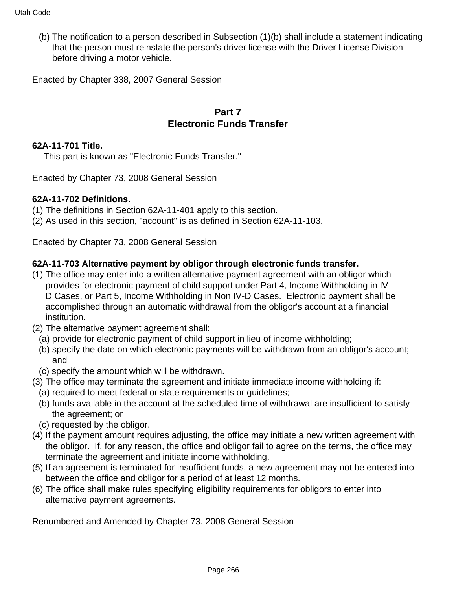(b) The notification to a person described in Subsection (1)(b) shall include a statement indicating that the person must reinstate the person's driver license with the Driver License Division before driving a motor vehicle.

Enacted by Chapter 338, 2007 General Session

## **Part 7 Electronic Funds Transfer**

#### **62A-11-701 Title.**

This part is known as "Electronic Funds Transfer."

Enacted by Chapter 73, 2008 General Session

#### **62A-11-702 Definitions.**

- (1) The definitions in Section 62A-11-401 apply to this section.
- (2) As used in this section, "account" is as defined in Section 62A-11-103.

Enacted by Chapter 73, 2008 General Session

#### **62A-11-703 Alternative payment by obligor through electronic funds transfer.**

- (1) The office may enter into a written alternative payment agreement with an obligor which provides for electronic payment of child support under Part 4, Income Withholding in IV-D Cases, or Part 5, Income Withholding in Non IV-D Cases. Electronic payment shall be accomplished through an automatic withdrawal from the obligor's account at a financial institution.
- (2) The alternative payment agreement shall:
	- (a) provide for electronic payment of child support in lieu of income withholding;
	- (b) specify the date on which electronic payments will be withdrawn from an obligor's account; and
	- (c) specify the amount which will be withdrawn.
- (3) The office may terminate the agreement and initiate immediate income withholding if:
	- (a) required to meet federal or state requirements or guidelines;
	- (b) funds available in the account at the scheduled time of withdrawal are insufficient to satisfy the agreement; or
	- (c) requested by the obligor.
- (4) If the payment amount requires adjusting, the office may initiate a new written agreement with the obligor. If, for any reason, the office and obligor fail to agree on the terms, the office may terminate the agreement and initiate income withholding.
- (5) If an agreement is terminated for insufficient funds, a new agreement may not be entered into between the office and obligor for a period of at least 12 months.
- (6) The office shall make rules specifying eligibility requirements for obligors to enter into alternative payment agreements.

Renumbered and Amended by Chapter 73, 2008 General Session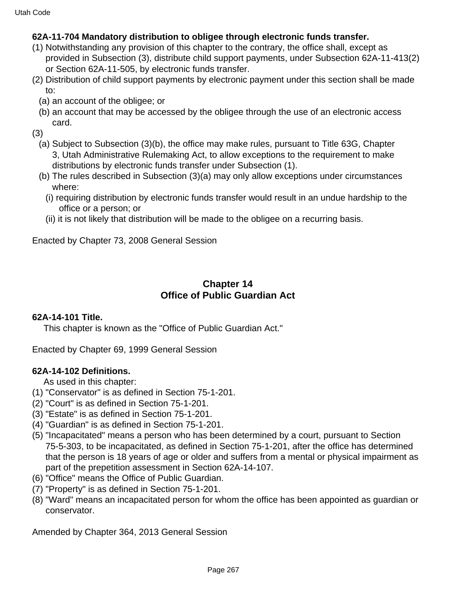## **62A-11-704 Mandatory distribution to obligee through electronic funds transfer.**

- (1) Notwithstanding any provision of this chapter to the contrary, the office shall, except as provided in Subsection (3), distribute child support payments, under Subsection 62A-11-413(2) or Section 62A-11-505, by electronic funds transfer.
- (2) Distribution of child support payments by electronic payment under this section shall be made to:
	- (a) an account of the obligee; or
	- (b) an account that may be accessed by the obligee through the use of an electronic access card.

(3)

- (a) Subject to Subsection (3)(b), the office may make rules, pursuant to Title 63G, Chapter 3, Utah Administrative Rulemaking Act, to allow exceptions to the requirement to make distributions by electronic funds transfer under Subsection (1).
- (b) The rules described in Subsection (3)(a) may only allow exceptions under circumstances where:
	- (i) requiring distribution by electronic funds transfer would result in an undue hardship to the office or a person; or
	- (ii) it is not likely that distribution will be made to the obligee on a recurring basis.

Enacted by Chapter 73, 2008 General Session

## **Chapter 14 Office of Public Guardian Act**

#### **62A-14-101 Title.**

This chapter is known as the "Office of Public Guardian Act."

Enacted by Chapter 69, 1999 General Session

## **62A-14-102 Definitions.**

As used in this chapter:

- (1) "Conservator" is as defined in Section 75-1-201.
- (2) "Court" is as defined in Section 75-1-201.
- (3) "Estate" is as defined in Section 75-1-201.
- (4) "Guardian" is as defined in Section 75-1-201.
- (5) "Incapacitated" means a person who has been determined by a court, pursuant to Section 75-5-303, to be incapacitated, as defined in Section 75-1-201, after the office has determined that the person is 18 years of age or older and suffers from a mental or physical impairment as part of the prepetition assessment in Section 62A-14-107.
- (6) "Office" means the Office of Public Guardian.
- (7) "Property" is as defined in Section 75-1-201.
- (8) "Ward" means an incapacitated person for whom the office has been appointed as guardian or conservator.

Amended by Chapter 364, 2013 General Session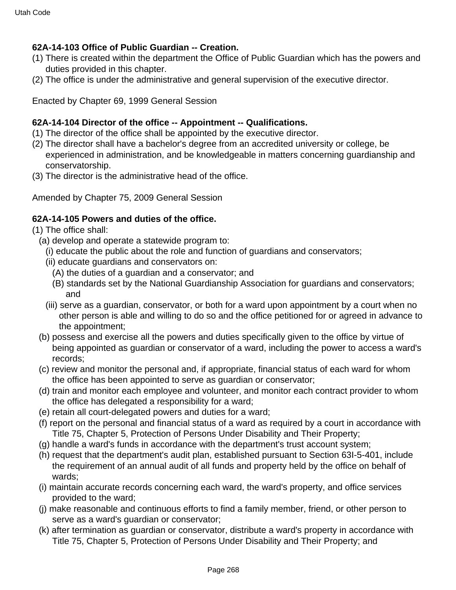## **62A-14-103 Office of Public Guardian -- Creation.**

- (1) There is created within the department the Office of Public Guardian which has the powers and duties provided in this chapter.
- (2) The office is under the administrative and general supervision of the executive director.

Enacted by Chapter 69, 1999 General Session

### **62A-14-104 Director of the office -- Appointment -- Qualifications.**

- (1) The director of the office shall be appointed by the executive director.
- (2) The director shall have a bachelor's degree from an accredited university or college, be experienced in administration, and be knowledgeable in matters concerning guardianship and conservatorship.
- (3) The director is the administrative head of the office.

Amended by Chapter 75, 2009 General Session

#### **62A-14-105 Powers and duties of the office.**

- (1) The office shall:
	- (a) develop and operate a statewide program to:
		- (i) educate the public about the role and function of guardians and conservators;
		- (ii) educate guardians and conservators on:
			- (A) the duties of a guardian and a conservator; and
			- (B) standards set by the National Guardianship Association for guardians and conservators; and
		- (iii) serve as a guardian, conservator, or both for a ward upon appointment by a court when no other person is able and willing to do so and the office petitioned for or agreed in advance to the appointment;
	- (b) possess and exercise all the powers and duties specifically given to the office by virtue of being appointed as guardian or conservator of a ward, including the power to access a ward's records;
	- (c) review and monitor the personal and, if appropriate, financial status of each ward for whom the office has been appointed to serve as guardian or conservator;
	- (d) train and monitor each employee and volunteer, and monitor each contract provider to whom the office has delegated a responsibility for a ward;
	- (e) retain all court-delegated powers and duties for a ward;
	- (f) report on the personal and financial status of a ward as required by a court in accordance with Title 75, Chapter 5, Protection of Persons Under Disability and Their Property;
	- (g) handle a ward's funds in accordance with the department's trust account system;
	- (h) request that the department's audit plan, established pursuant to Section 63I-5-401, include the requirement of an annual audit of all funds and property held by the office on behalf of wards;
	- (i) maintain accurate records concerning each ward, the ward's property, and office services provided to the ward;
	- (j) make reasonable and continuous efforts to find a family member, friend, or other person to serve as a ward's guardian or conservator;
	- (k) after termination as guardian or conservator, distribute a ward's property in accordance with Title 75, Chapter 5, Protection of Persons Under Disability and Their Property; and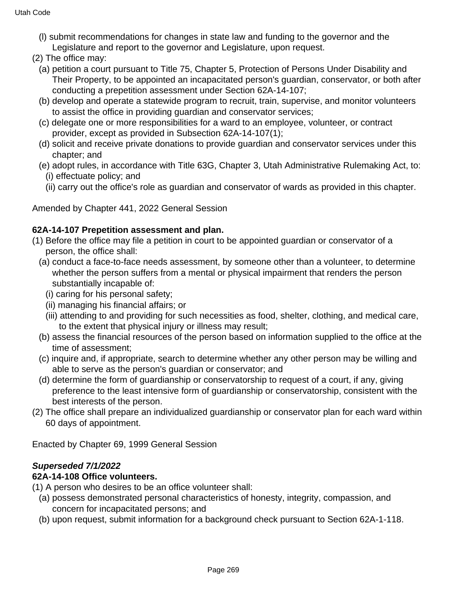- (l) submit recommendations for changes in state law and funding to the governor and the Legislature and report to the governor and Legislature, upon request.
- (2) The office may:
	- (a) petition a court pursuant to Title 75, Chapter 5, Protection of Persons Under Disability and Their Property, to be appointed an incapacitated person's guardian, conservator, or both after conducting a prepetition assessment under Section 62A-14-107;
	- (b) develop and operate a statewide program to recruit, train, supervise, and monitor volunteers to assist the office in providing guardian and conservator services;
	- (c) delegate one or more responsibilities for a ward to an employee, volunteer, or contract provider, except as provided in Subsection 62A-14-107(1);
	- (d) solicit and receive private donations to provide guardian and conservator services under this chapter; and
	- (e) adopt rules, in accordance with Title 63G, Chapter 3, Utah Administrative Rulemaking Act, to: (i) effectuate policy; and
	- (ii) carry out the office's role as guardian and conservator of wards as provided in this chapter.

Amended by Chapter 441, 2022 General Session

#### **62A-14-107 Prepetition assessment and plan.**

- (1) Before the office may file a petition in court to be appointed guardian or conservator of a person, the office shall:
	- (a) conduct a face-to-face needs assessment, by someone other than a volunteer, to determine whether the person suffers from a mental or physical impairment that renders the person substantially incapable of:
		- (i) caring for his personal safety;
		- (ii) managing his financial affairs; or
		- (iii) attending to and providing for such necessities as food, shelter, clothing, and medical care, to the extent that physical injury or illness may result;
	- (b) assess the financial resources of the person based on information supplied to the office at the time of assessment;
	- (c) inquire and, if appropriate, search to determine whether any other person may be willing and able to serve as the person's guardian or conservator; and
	- (d) determine the form of guardianship or conservatorship to request of a court, if any, giving preference to the least intensive form of guardianship or conservatorship, consistent with the best interests of the person.
- (2) The office shall prepare an individualized guardianship or conservator plan for each ward within 60 days of appointment.

Enacted by Chapter 69, 1999 General Session

## **Superseded 7/1/2022**

#### **62A-14-108 Office volunteers.**

- (1) A person who desires to be an office volunteer shall:
	- (a) possess demonstrated personal characteristics of honesty, integrity, compassion, and concern for incapacitated persons; and
	- (b) upon request, submit information for a background check pursuant to Section 62A-1-118.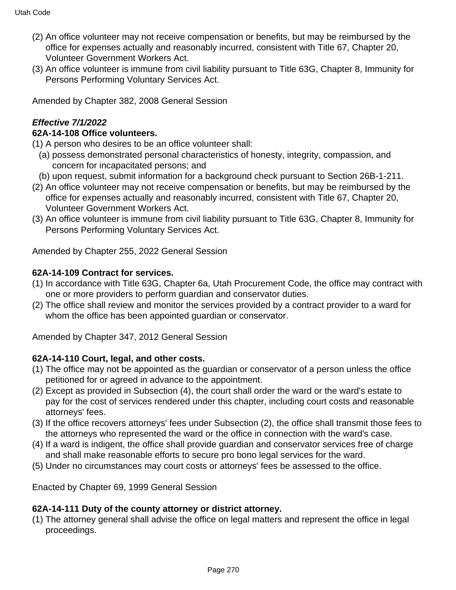- (2) An office volunteer may not receive compensation or benefits, but may be reimbursed by the office for expenses actually and reasonably incurred, consistent with Title 67, Chapter 20, Volunteer Government Workers Act.
- (3) An office volunteer is immune from civil liability pursuant to Title 63G, Chapter 8, Immunity for Persons Performing Voluntary Services Act.

Amended by Chapter 382, 2008 General Session

### **Effective 7/1/2022**

#### **62A-14-108 Office volunteers.**

- (1) A person who desires to be an office volunteer shall:
- (a) possess demonstrated personal characteristics of honesty, integrity, compassion, and concern for incapacitated persons; and
- (b) upon request, submit information for a background check pursuant to Section 26B-1-211.
- (2) An office volunteer may not receive compensation or benefits, but may be reimbursed by the office for expenses actually and reasonably incurred, consistent with Title 67, Chapter 20, Volunteer Government Workers Act.
- (3) An office volunteer is immune from civil liability pursuant to Title 63G, Chapter 8, Immunity for Persons Performing Voluntary Services Act.

Amended by Chapter 255, 2022 General Session

#### **62A-14-109 Contract for services.**

- (1) In accordance with Title 63G, Chapter 6a, Utah Procurement Code, the office may contract with one or more providers to perform guardian and conservator duties.
- (2) The office shall review and monitor the services provided by a contract provider to a ward for whom the office has been appointed guardian or conservator.

Amended by Chapter 347, 2012 General Session

#### **62A-14-110 Court, legal, and other costs.**

- (1) The office may not be appointed as the guardian or conservator of a person unless the office petitioned for or agreed in advance to the appointment.
- (2) Except as provided in Subsection (4), the court shall order the ward or the ward's estate to pay for the cost of services rendered under this chapter, including court costs and reasonable attorneys' fees.
- (3) If the office recovers attorneys' fees under Subsection (2), the office shall transmit those fees to the attorneys who represented the ward or the office in connection with the ward's case.
- (4) If a ward is indigent, the office shall provide guardian and conservator services free of charge and shall make reasonable efforts to secure pro bono legal services for the ward.
- (5) Under no circumstances may court costs or attorneys' fees be assessed to the office.

Enacted by Chapter 69, 1999 General Session

#### **62A-14-111 Duty of the county attorney or district attorney.**

(1) The attorney general shall advise the office on legal matters and represent the office in legal proceedings.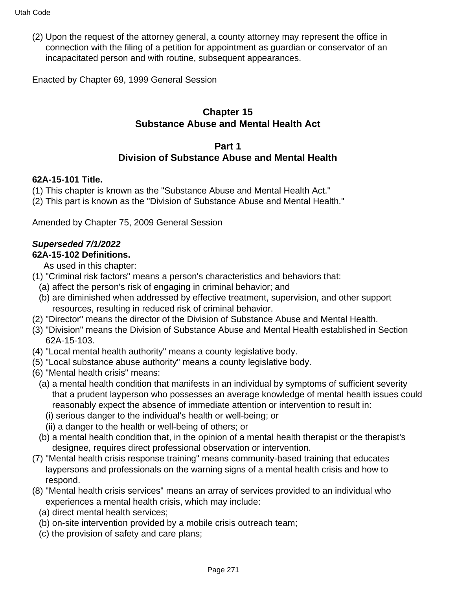(2) Upon the request of the attorney general, a county attorney may represent the office in connection with the filing of a petition for appointment as guardian or conservator of an incapacitated person and with routine, subsequent appearances.

Enacted by Chapter 69, 1999 General Session

## **Chapter 15 Substance Abuse and Mental Health Act**

## **Part 1 Division of Substance Abuse and Mental Health**

#### **62A-15-101 Title.**

- (1) This chapter is known as the "Substance Abuse and Mental Health Act."
- (2) This part is known as the "Division of Substance Abuse and Mental Health."

Amended by Chapter 75, 2009 General Session

## **Superseded 7/1/2022**

#### **62A-15-102 Definitions.**

As used in this chapter:

- (1) "Criminal risk factors" means a person's characteristics and behaviors that:
- (a) affect the person's risk of engaging in criminal behavior; and
- (b) are diminished when addressed by effective treatment, supervision, and other support resources, resulting in reduced risk of criminal behavior.
- (2) "Director" means the director of the Division of Substance Abuse and Mental Health.
- (3) "Division" means the Division of Substance Abuse and Mental Health established in Section 62A-15-103.
- (4) "Local mental health authority" means a county legislative body.
- (5) "Local substance abuse authority" means a county legislative body.
- (6) "Mental health crisis" means:
	- (a) a mental health condition that manifests in an individual by symptoms of sufficient severity that a prudent layperson who possesses an average knowledge of mental health issues could reasonably expect the absence of immediate attention or intervention to result in:
		- (i) serious danger to the individual's health or well-being; or
		- (ii) a danger to the health or well-being of others; or
	- (b) a mental health condition that, in the opinion of a mental health therapist or the therapist's designee, requires direct professional observation or intervention.
- (7) "Mental health crisis response training" means community-based training that educates laypersons and professionals on the warning signs of a mental health crisis and how to respond.
- (8) "Mental health crisis services" means an array of services provided to an individual who experiences a mental health crisis, which may include:
	- (a) direct mental health services;
	- (b) on-site intervention provided by a mobile crisis outreach team;
	- (c) the provision of safety and care plans;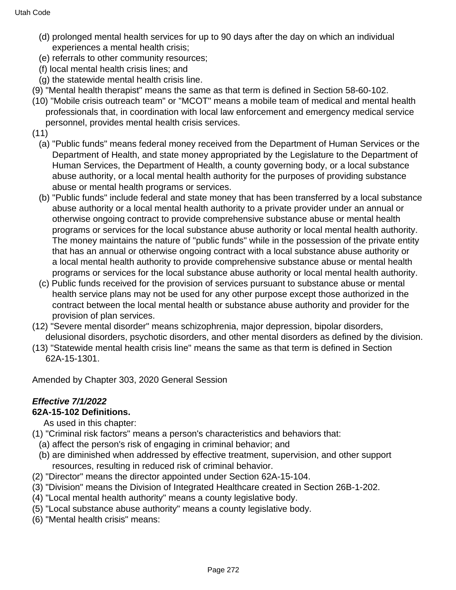- (d) prolonged mental health services for up to 90 days after the day on which an individual experiences a mental health crisis;
- (e) referrals to other community resources;
- (f) local mental health crisis lines; and
- (g) the statewide mental health crisis line.
- (9) "Mental health therapist" means the same as that term is defined in Section 58-60-102.
- (10) "Mobile crisis outreach team" or "MCOT" means a mobile team of medical and mental health professionals that, in coordination with local law enforcement and emergency medical service personnel, provides mental health crisis services.
- (11)
	- (a) "Public funds" means federal money received from the Department of Human Services or the Department of Health, and state money appropriated by the Legislature to the Department of Human Services, the Department of Health, a county governing body, or a local substance abuse authority, or a local mental health authority for the purposes of providing substance abuse or mental health programs or services.
	- (b) "Public funds" include federal and state money that has been transferred by a local substance abuse authority or a local mental health authority to a private provider under an annual or otherwise ongoing contract to provide comprehensive substance abuse or mental health programs or services for the local substance abuse authority or local mental health authority. The money maintains the nature of "public funds" while in the possession of the private entity that has an annual or otherwise ongoing contract with a local substance abuse authority or a local mental health authority to provide comprehensive substance abuse or mental health programs or services for the local substance abuse authority or local mental health authority.
	- (c) Public funds received for the provision of services pursuant to substance abuse or mental health service plans may not be used for any other purpose except those authorized in the contract between the local mental health or substance abuse authority and provider for the provision of plan services.
- (12) "Severe mental disorder" means schizophrenia, major depression, bipolar disorders, delusional disorders, psychotic disorders, and other mental disorders as defined by the division.
- (13) "Statewide mental health crisis line" means the same as that term is defined in Section 62A-15-1301.

Amended by Chapter 303, 2020 General Session

# **Effective 7/1/2022**

#### **62A-15-102 Definitions.**

As used in this chapter:

- (1) "Criminal risk factors" means a person's characteristics and behaviors that:
	- (a) affect the person's risk of engaging in criminal behavior; and
	- (b) are diminished when addressed by effective treatment, supervision, and other support resources, resulting in reduced risk of criminal behavior.
- (2) "Director" means the director appointed under Section 62A-15-104.
- (3) "Division" means the Division of Integrated Healthcare created in Section 26B-1-202.
- (4) "Local mental health authority" means a county legislative body.
- (5) "Local substance abuse authority" means a county legislative body.
- (6) "Mental health crisis" means: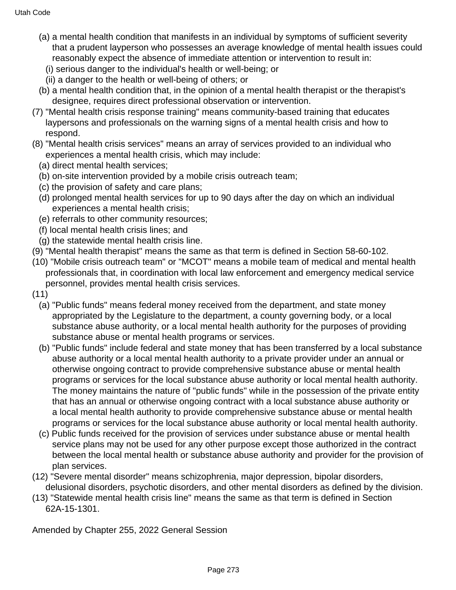- (a) a mental health condition that manifests in an individual by symptoms of sufficient severity that a prudent layperson who possesses an average knowledge of mental health issues could reasonably expect the absence of immediate attention or intervention to result in:
	- (i) serious danger to the individual's health or well-being; or
	- (ii) a danger to the health or well-being of others; or
- (b) a mental health condition that, in the opinion of a mental health therapist or the therapist's designee, requires direct professional observation or intervention.
- (7) "Mental health crisis response training" means community-based training that educates laypersons and professionals on the warning signs of a mental health crisis and how to respond.
- (8) "Mental health crisis services" means an array of services provided to an individual who experiences a mental health crisis, which may include:
	- (a) direct mental health services;
	- (b) on-site intervention provided by a mobile crisis outreach team;
	- (c) the provision of safety and care plans;
	- (d) prolonged mental health services for up to 90 days after the day on which an individual experiences a mental health crisis;
	- (e) referrals to other community resources;
	- (f) local mental health crisis lines; and
	- (g) the statewide mental health crisis line.
- (9) "Mental health therapist" means the same as that term is defined in Section 58-60-102.
- (10) "Mobile crisis outreach team" or "MCOT" means a mobile team of medical and mental health professionals that, in coordination with local law enforcement and emergency medical service personnel, provides mental health crisis services.
- (11)
	- (a) "Public funds" means federal money received from the department, and state money appropriated by the Legislature to the department, a county governing body, or a local substance abuse authority, or a local mental health authority for the purposes of providing substance abuse or mental health programs or services.
	- (b) "Public funds" include federal and state money that has been transferred by a local substance abuse authority or a local mental health authority to a private provider under an annual or otherwise ongoing contract to provide comprehensive substance abuse or mental health programs or services for the local substance abuse authority or local mental health authority. The money maintains the nature of "public funds" while in the possession of the private entity that has an annual or otherwise ongoing contract with a local substance abuse authority or a local mental health authority to provide comprehensive substance abuse or mental health programs or services for the local substance abuse authority or local mental health authority.
	- (c) Public funds received for the provision of services under substance abuse or mental health service plans may not be used for any other purpose except those authorized in the contract between the local mental health or substance abuse authority and provider for the provision of plan services.
- (12) "Severe mental disorder" means schizophrenia, major depression, bipolar disorders, delusional disorders, psychotic disorders, and other mental disorders as defined by the division.
- (13) "Statewide mental health crisis line" means the same as that term is defined in Section 62A-15-1301.

Amended by Chapter 255, 2022 General Session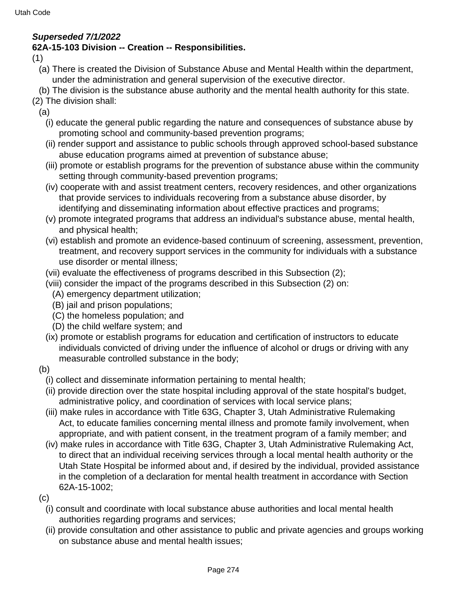## **Superseded 7/1/2022**

### **62A-15-103 Division -- Creation -- Responsibilities.**

- (1)
	- (a) There is created the Division of Substance Abuse and Mental Health within the department, under the administration and general supervision of the executive director.
	- (b) The division is the substance abuse authority and the mental health authority for this state.
- (2) The division shall:
	- (a)
		- (i) educate the general public regarding the nature and consequences of substance abuse by promoting school and community-based prevention programs;
		- (ii) render support and assistance to public schools through approved school-based substance abuse education programs aimed at prevention of substance abuse;
		- (iii) promote or establish programs for the prevention of substance abuse within the community setting through community-based prevention programs;
		- (iv) cooperate with and assist treatment centers, recovery residences, and other organizations that provide services to individuals recovering from a substance abuse disorder, by identifying and disseminating information about effective practices and programs;
		- (v) promote integrated programs that address an individual's substance abuse, mental health, and physical health;
		- (vi) establish and promote an evidence-based continuum of screening, assessment, prevention, treatment, and recovery support services in the community for individuals with a substance use disorder or mental illness;
		- (vii) evaluate the effectiveness of programs described in this Subsection (2);
		- (viii) consider the impact of the programs described in this Subsection (2) on:
			- (A) emergency department utilization;
			- (B) jail and prison populations;
			- (C) the homeless population; and
			- (D) the child welfare system; and
		- (ix) promote or establish programs for education and certification of instructors to educate individuals convicted of driving under the influence of alcohol or drugs or driving with any measurable controlled substance in the body;
	- (b)
		- (i) collect and disseminate information pertaining to mental health;
		- (ii) provide direction over the state hospital including approval of the state hospital's budget, administrative policy, and coordination of services with local service plans;
		- (iii) make rules in accordance with Title 63G, Chapter 3, Utah Administrative Rulemaking Act, to educate families concerning mental illness and promote family involvement, when appropriate, and with patient consent, in the treatment program of a family member; and
		- (iv) make rules in accordance with Title 63G, Chapter 3, Utah Administrative Rulemaking Act, to direct that an individual receiving services through a local mental health authority or the Utah State Hospital be informed about and, if desired by the individual, provided assistance in the completion of a declaration for mental health treatment in accordance with Section 62A-15-1002;
	- (c)
		- (i) consult and coordinate with local substance abuse authorities and local mental health authorities regarding programs and services;
		- (ii) provide consultation and other assistance to public and private agencies and groups working on substance abuse and mental health issues;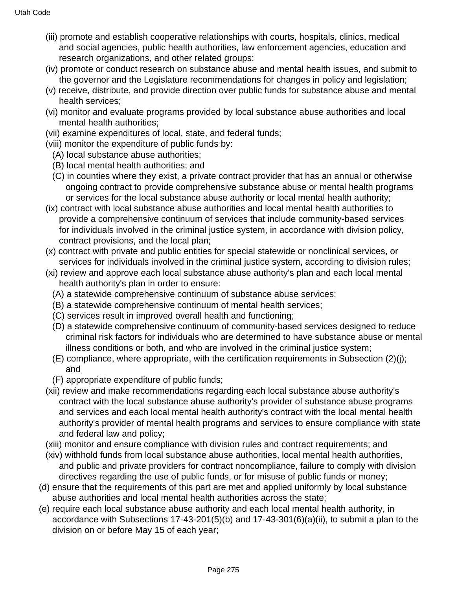- (iii) promote and establish cooperative relationships with courts, hospitals, clinics, medical and social agencies, public health authorities, law enforcement agencies, education and research organizations, and other related groups;
- (iv) promote or conduct research on substance abuse and mental health issues, and submit to the governor and the Legislature recommendations for changes in policy and legislation;
- (v) receive, distribute, and provide direction over public funds for substance abuse and mental health services;
- (vi) monitor and evaluate programs provided by local substance abuse authorities and local mental health authorities;
- (vii) examine expenditures of local, state, and federal funds;
- (viii) monitor the expenditure of public funds by:
	- (A) local substance abuse authorities;
	- (B) local mental health authorities; and
	- (C) in counties where they exist, a private contract provider that has an annual or otherwise ongoing contract to provide comprehensive substance abuse or mental health programs or services for the local substance abuse authority or local mental health authority;
- (ix) contract with local substance abuse authorities and local mental health authorities to provide a comprehensive continuum of services that include community-based services for individuals involved in the criminal justice system, in accordance with division policy, contract provisions, and the local plan;
- (x) contract with private and public entities for special statewide or nonclinical services, or services for individuals involved in the criminal justice system, according to division rules;
- (xi) review and approve each local substance abuse authority's plan and each local mental health authority's plan in order to ensure:
	- (A) a statewide comprehensive continuum of substance abuse services;
	- (B) a statewide comprehensive continuum of mental health services;
	- (C) services result in improved overall health and functioning;
	- (D) a statewide comprehensive continuum of community-based services designed to reduce criminal risk factors for individuals who are determined to have substance abuse or mental illness conditions or both, and who are involved in the criminal justice system;
	- (E) compliance, where appropriate, with the certification requirements in Subsection (2)(j); and
- (F) appropriate expenditure of public funds;
- (xii) review and make recommendations regarding each local substance abuse authority's contract with the local substance abuse authority's provider of substance abuse programs and services and each local mental health authority's contract with the local mental health authority's provider of mental health programs and services to ensure compliance with state and federal law and policy;
- (xiii) monitor and ensure compliance with division rules and contract requirements; and
- (xiv) withhold funds from local substance abuse authorities, local mental health authorities, and public and private providers for contract noncompliance, failure to comply with division directives regarding the use of public funds, or for misuse of public funds or money;
- (d) ensure that the requirements of this part are met and applied uniformly by local substance abuse authorities and local mental health authorities across the state;
- (e) require each local substance abuse authority and each local mental health authority, in accordance with Subsections 17-43-201(5)(b) and 17-43-301(6)(a)(ii), to submit a plan to the division on or before May 15 of each year;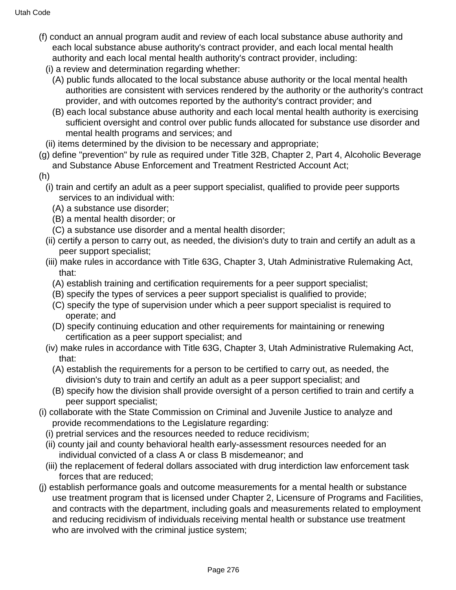- (f) conduct an annual program audit and review of each local substance abuse authority and each local substance abuse authority's contract provider, and each local mental health authority and each local mental health authority's contract provider, including:
	- (i) a review and determination regarding whether:
		- (A) public funds allocated to the local substance abuse authority or the local mental health authorities are consistent with services rendered by the authority or the authority's contract provider, and with outcomes reported by the authority's contract provider; and
		- (B) each local substance abuse authority and each local mental health authority is exercising sufficient oversight and control over public funds allocated for substance use disorder and mental health programs and services; and
- (ii) items determined by the division to be necessary and appropriate;
- (g) define "prevention" by rule as required under Title 32B, Chapter 2, Part 4, Alcoholic Beverage and Substance Abuse Enforcement and Treatment Restricted Account Act;
- (h)
	- (i) train and certify an adult as a peer support specialist, qualified to provide peer supports services to an individual with:
		- (A) a substance use disorder;
		- (B) a mental health disorder; or
		- (C) a substance use disorder and a mental health disorder;
	- (ii) certify a person to carry out, as needed, the division's duty to train and certify an adult as a peer support specialist;
	- (iii) make rules in accordance with Title 63G, Chapter 3, Utah Administrative Rulemaking Act, that:
		- (A) establish training and certification requirements for a peer support specialist;
		- (B) specify the types of services a peer support specialist is qualified to provide;
		- (C) specify the type of supervision under which a peer support specialist is required to operate; and
		- (D) specify continuing education and other requirements for maintaining or renewing certification as a peer support specialist; and
	- (iv) make rules in accordance with Title 63G, Chapter 3, Utah Administrative Rulemaking Act, that:
		- (A) establish the requirements for a person to be certified to carry out, as needed, the division's duty to train and certify an adult as a peer support specialist; and
		- (B) specify how the division shall provide oversight of a person certified to train and certify a peer support specialist;
- (i) collaborate with the State Commission on Criminal and Juvenile Justice to analyze and provide recommendations to the Legislature regarding:
	- (i) pretrial services and the resources needed to reduce recidivism;
	- (ii) county jail and county behavioral health early-assessment resources needed for an individual convicted of a class A or class B misdemeanor; and
	- (iii) the replacement of federal dollars associated with drug interdiction law enforcement task forces that are reduced;
- (j) establish performance goals and outcome measurements for a mental health or substance use treatment program that is licensed under Chapter 2, Licensure of Programs and Facilities, and contracts with the department, including goals and measurements related to employment and reducing recidivism of individuals receiving mental health or substance use treatment who are involved with the criminal justice system;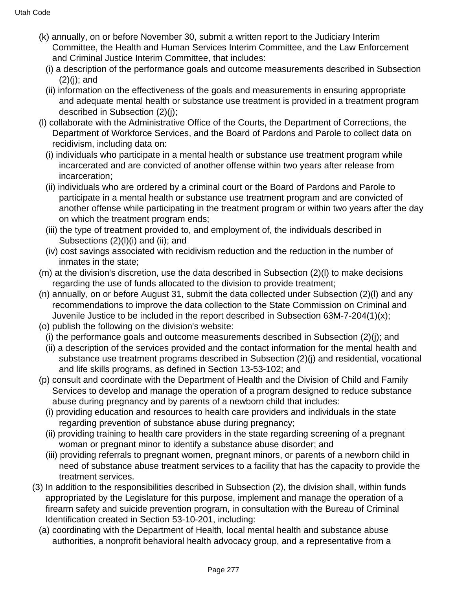- (k) annually, on or before November 30, submit a written report to the Judiciary Interim Committee, the Health and Human Services Interim Committee, and the Law Enforcement and Criminal Justice Interim Committee, that includes:
	- (i) a description of the performance goals and outcome measurements described in Subsection  $(2)(i)$ ; and
	- (ii) information on the effectiveness of the goals and measurements in ensuring appropriate and adequate mental health or substance use treatment is provided in a treatment program described in Subsection (2)(j);
- (l) collaborate with the Administrative Office of the Courts, the Department of Corrections, the Department of Workforce Services, and the Board of Pardons and Parole to collect data on recidivism, including data on:
	- (i) individuals who participate in a mental health or substance use treatment program while incarcerated and are convicted of another offense within two years after release from incarceration;
	- (ii) individuals who are ordered by a criminal court or the Board of Pardons and Parole to participate in a mental health or substance use treatment program and are convicted of another offense while participating in the treatment program or within two years after the day on which the treatment program ends;
	- (iii) the type of treatment provided to, and employment of, the individuals described in Subsections (2)(I)(i) and (ii); and
	- (iv) cost savings associated with recidivism reduction and the reduction in the number of inmates in the state;
- (m) at the division's discretion, use the data described in Subsection (2)(l) to make decisions regarding the use of funds allocated to the division to provide treatment;
- (n) annually, on or before August 31, submit the data collected under Subsection (2)(l) and any recommendations to improve the data collection to the State Commission on Criminal and Juvenile Justice to be included in the report described in Subsection 63M-7-204(1)(x);
- (o) publish the following on the division's website:
	- (i) the performance goals and outcome measurements described in Subsection (2)(j); and
	- (ii) a description of the services provided and the contact information for the mental health and substance use treatment programs described in Subsection (2)(j) and residential, vocational and life skills programs, as defined in Section 13-53-102; and
- (p) consult and coordinate with the Department of Health and the Division of Child and Family Services to develop and manage the operation of a program designed to reduce substance abuse during pregnancy and by parents of a newborn child that includes:
	- (i) providing education and resources to health care providers and individuals in the state regarding prevention of substance abuse during pregnancy;
	- (ii) providing training to health care providers in the state regarding screening of a pregnant woman or pregnant minor to identify a substance abuse disorder; and
	- (iii) providing referrals to pregnant women, pregnant minors, or parents of a newborn child in need of substance abuse treatment services to a facility that has the capacity to provide the treatment services.
- (3) In addition to the responsibilities described in Subsection (2), the division shall, within funds appropriated by the Legislature for this purpose, implement and manage the operation of a firearm safety and suicide prevention program, in consultation with the Bureau of Criminal Identification created in Section 53-10-201, including:
	- (a) coordinating with the Department of Health, local mental health and substance abuse authorities, a nonprofit behavioral health advocacy group, and a representative from a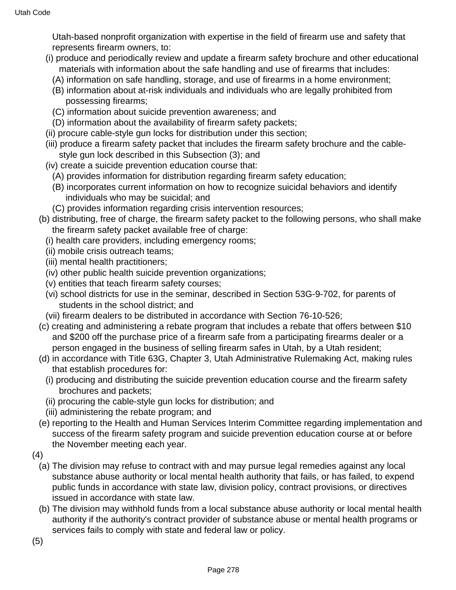Utah-based nonprofit organization with expertise in the field of firearm use and safety that represents firearm owners, to:

- (i) produce and periodically review and update a firearm safety brochure and other educational materials with information about the safe handling and use of firearms that includes:
	- (A) information on safe handling, storage, and use of firearms in a home environment;
	- (B) information about at-risk individuals and individuals who are legally prohibited from possessing firearms;
	- (C) information about suicide prevention awareness; and
	- (D) information about the availability of firearm safety packets;
- (ii) procure cable-style gun locks for distribution under this section;
- (iii) produce a firearm safety packet that includes the firearm safety brochure and the cablestyle gun lock described in this Subsection (3); and
- (iv) create a suicide prevention education course that:
	- (A) provides information for distribution regarding firearm safety education;
	- (B) incorporates current information on how to recognize suicidal behaviors and identify individuals who may be suicidal; and
- (C) provides information regarding crisis intervention resources;
- (b) distributing, free of charge, the firearm safety packet to the following persons, who shall make the firearm safety packet available free of charge:
	- (i) health care providers, including emergency rooms;
	- (ii) mobile crisis outreach teams;
	- (iii) mental health practitioners;
	- (iv) other public health suicide prevention organizations;
	- (v) entities that teach firearm safety courses;
	- (vi) school districts for use in the seminar, described in Section 53G-9-702, for parents of students in the school district; and
	- (vii) firearm dealers to be distributed in accordance with Section 76-10-526;
- (c) creating and administering a rebate program that includes a rebate that offers between \$10 and \$200 off the purchase price of a firearm safe from a participating firearms dealer or a person engaged in the business of selling firearm safes in Utah, by a Utah resident;
- (d) in accordance with Title 63G, Chapter 3, Utah Administrative Rulemaking Act, making rules that establish procedures for:
	- (i) producing and distributing the suicide prevention education course and the firearm safety brochures and packets;
	- (ii) procuring the cable-style gun locks for distribution; and
	- (iii) administering the rebate program; and
- (e) reporting to the Health and Human Services Interim Committee regarding implementation and success of the firearm safety program and suicide prevention education course at or before the November meeting each year.
- (4)
	- (a) The division may refuse to contract with and may pursue legal remedies against any local substance abuse authority or local mental health authority that fails, or has failed, to expend public funds in accordance with state law, division policy, contract provisions, or directives issued in accordance with state law.
	- (b) The division may withhold funds from a local substance abuse authority or local mental health authority if the authority's contract provider of substance abuse or mental health programs or services fails to comply with state and federal law or policy.
- (5)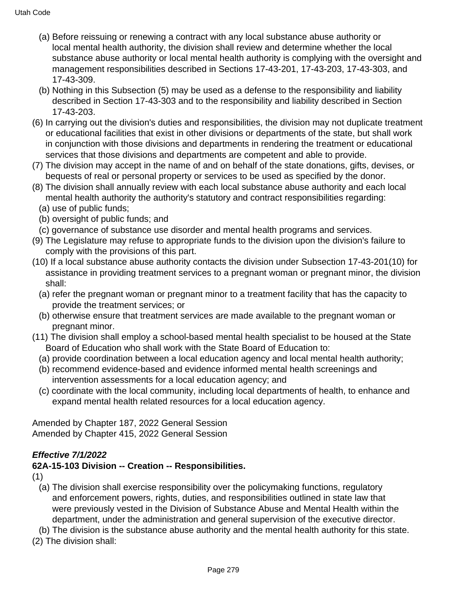- (a) Before reissuing or renewing a contract with any local substance abuse authority or local mental health authority, the division shall review and determine whether the local substance abuse authority or local mental health authority is complying with the oversight and management responsibilities described in Sections 17-43-201, 17-43-203, 17-43-303, and 17-43-309.
- (b) Nothing in this Subsection (5) may be used as a defense to the responsibility and liability described in Section 17-43-303 and to the responsibility and liability described in Section 17-43-203.
- (6) In carrying out the division's duties and responsibilities, the division may not duplicate treatment or educational facilities that exist in other divisions or departments of the state, but shall work in conjunction with those divisions and departments in rendering the treatment or educational services that those divisions and departments are competent and able to provide.
- (7) The division may accept in the name of and on behalf of the state donations, gifts, devises, or bequests of real or personal property or services to be used as specified by the donor.
- (8) The division shall annually review with each local substance abuse authority and each local mental health authority the authority's statutory and contract responsibilities regarding:
	- (a) use of public funds;
	- (b) oversight of public funds; and
	- (c) governance of substance use disorder and mental health programs and services.
- (9) The Legislature may refuse to appropriate funds to the division upon the division's failure to comply with the provisions of this part.
- (10) If a local substance abuse authority contacts the division under Subsection 17-43-201(10) for assistance in providing treatment services to a pregnant woman or pregnant minor, the division shall:
	- (a) refer the pregnant woman or pregnant minor to a treatment facility that has the capacity to provide the treatment services; or
	- (b) otherwise ensure that treatment services are made available to the pregnant woman or pregnant minor.
- (11) The division shall employ a school-based mental health specialist to be housed at the State Board of Education who shall work with the State Board of Education to:
	- (a) provide coordination between a local education agency and local mental health authority;
	- (b) recommend evidence-based and evidence informed mental health screenings and intervention assessments for a local education agency; and
	- (c) coordinate with the local community, including local departments of health, to enhance and expand mental health related resources for a local education agency.

Amended by Chapter 187, 2022 General Session Amended by Chapter 415, 2022 General Session

## **Effective 7/1/2022**

## **62A-15-103 Division -- Creation -- Responsibilities.**

- (1)
	- (a) The division shall exercise responsibility over the policymaking functions, regulatory and enforcement powers, rights, duties, and responsibilities outlined in state law that were previously vested in the Division of Substance Abuse and Mental Health within the department, under the administration and general supervision of the executive director.

(b) The division is the substance abuse authority and the mental health authority for this state.

(2) The division shall: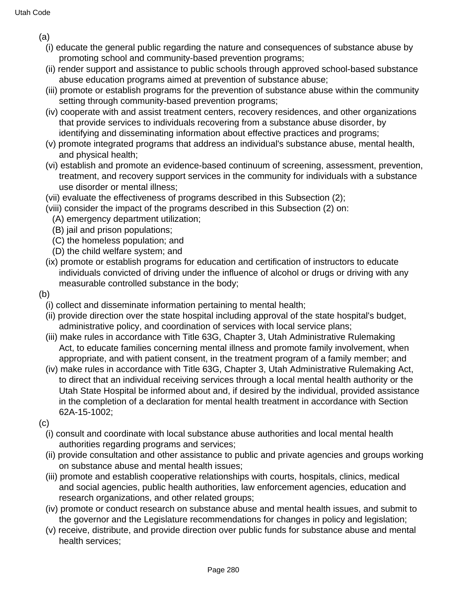(a)

- (i) educate the general public regarding the nature and consequences of substance abuse by promoting school and community-based prevention programs;
- (ii) render support and assistance to public schools through approved school-based substance abuse education programs aimed at prevention of substance abuse;
- (iii) promote or establish programs for the prevention of substance abuse within the community setting through community-based prevention programs;
- (iv) cooperate with and assist treatment centers, recovery residences, and other organizations that provide services to individuals recovering from a substance abuse disorder, by identifying and disseminating information about effective practices and programs;
- (v) promote integrated programs that address an individual's substance abuse, mental health, and physical health;
- (vi) establish and promote an evidence-based continuum of screening, assessment, prevention, treatment, and recovery support services in the community for individuals with a substance use disorder or mental illness;
- (vii) evaluate the effectiveness of programs described in this Subsection (2);
- (viii) consider the impact of the programs described in this Subsection (2) on:
	- (A) emergency department utilization;
	- (B) jail and prison populations;
	- (C) the homeless population; and
	- (D) the child welfare system; and
- (ix) promote or establish programs for education and certification of instructors to educate individuals convicted of driving under the influence of alcohol or drugs or driving with any measurable controlled substance in the body;
- (b)
	- (i) collect and disseminate information pertaining to mental health;
	- (ii) provide direction over the state hospital including approval of the state hospital's budget, administrative policy, and coordination of services with local service plans;
	- (iii) make rules in accordance with Title 63G, Chapter 3, Utah Administrative Rulemaking Act, to educate families concerning mental illness and promote family involvement, when appropriate, and with patient consent, in the treatment program of a family member; and
	- (iv) make rules in accordance with Title 63G, Chapter 3, Utah Administrative Rulemaking Act, to direct that an individual receiving services through a local mental health authority or the Utah State Hospital be informed about and, if desired by the individual, provided assistance in the completion of a declaration for mental health treatment in accordance with Section 62A-15-1002;
- $(c)$ 
	- (i) consult and coordinate with local substance abuse authorities and local mental health authorities regarding programs and services;
	- (ii) provide consultation and other assistance to public and private agencies and groups working on substance abuse and mental health issues;
	- (iii) promote and establish cooperative relationships with courts, hospitals, clinics, medical and social agencies, public health authorities, law enforcement agencies, education and research organizations, and other related groups;
	- (iv) promote or conduct research on substance abuse and mental health issues, and submit to the governor and the Legislature recommendations for changes in policy and legislation;
	- (v) receive, distribute, and provide direction over public funds for substance abuse and mental health services;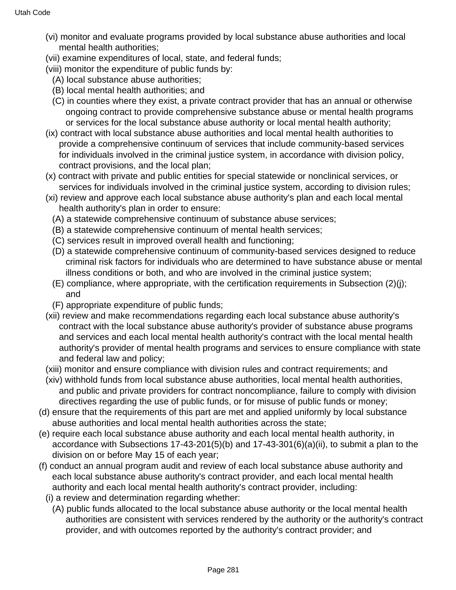- (vi) monitor and evaluate programs provided by local substance abuse authorities and local mental health authorities;
- (vii) examine expenditures of local, state, and federal funds;
- (viii) monitor the expenditure of public funds by:
	- (A) local substance abuse authorities;
	- (B) local mental health authorities; and
	- (C) in counties where they exist, a private contract provider that has an annual or otherwise ongoing contract to provide comprehensive substance abuse or mental health programs or services for the local substance abuse authority or local mental health authority;
- (ix) contract with local substance abuse authorities and local mental health authorities to provide a comprehensive continuum of services that include community-based services for individuals involved in the criminal justice system, in accordance with division policy, contract provisions, and the local plan;
- (x) contract with private and public entities for special statewide or nonclinical services, or services for individuals involved in the criminal justice system, according to division rules;
- (xi) review and approve each local substance abuse authority's plan and each local mental health authority's plan in order to ensure:
	- (A) a statewide comprehensive continuum of substance abuse services;
	- (B) a statewide comprehensive continuum of mental health services;
	- (C) services result in improved overall health and functioning;
	- (D) a statewide comprehensive continuum of community-based services designed to reduce criminal risk factors for individuals who are determined to have substance abuse or mental illness conditions or both, and who are involved in the criminal justice system;
	- (E) compliance, where appropriate, with the certification requirements in Subsection (2)(j); and
	- (F) appropriate expenditure of public funds;
- (xii) review and make recommendations regarding each local substance abuse authority's contract with the local substance abuse authority's provider of substance abuse programs and services and each local mental health authority's contract with the local mental health authority's provider of mental health programs and services to ensure compliance with state and federal law and policy;
- (xiii) monitor and ensure compliance with division rules and contract requirements; and
- (xiv) withhold funds from local substance abuse authorities, local mental health authorities, and public and private providers for contract noncompliance, failure to comply with division directives regarding the use of public funds, or for misuse of public funds or money;
- (d) ensure that the requirements of this part are met and applied uniformly by local substance abuse authorities and local mental health authorities across the state;
- (e) require each local substance abuse authority and each local mental health authority, in accordance with Subsections 17-43-201(5)(b) and 17-43-301(6)(a)(ii), to submit a plan to the division on or before May 15 of each year;
- (f) conduct an annual program audit and review of each local substance abuse authority and each local substance abuse authority's contract provider, and each local mental health authority and each local mental health authority's contract provider, including:
	- (i) a review and determination regarding whether:
		- (A) public funds allocated to the local substance abuse authority or the local mental health authorities are consistent with services rendered by the authority or the authority's contract provider, and with outcomes reported by the authority's contract provider; and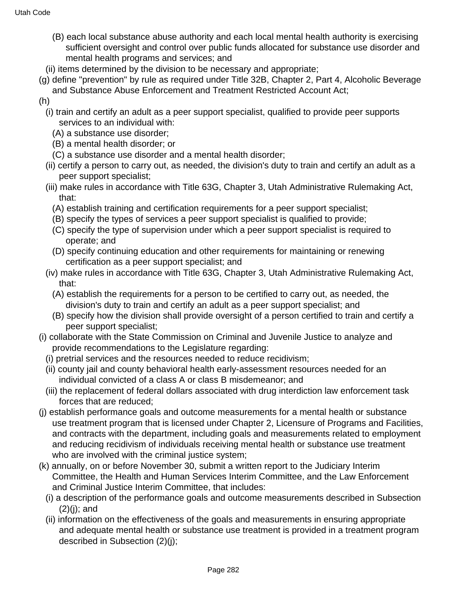- (B) each local substance abuse authority and each local mental health authority is exercising sufficient oversight and control over public funds allocated for substance use disorder and mental health programs and services; and
- (ii) items determined by the division to be necessary and appropriate;
- (g) define "prevention" by rule as required under Title 32B, Chapter 2, Part 4, Alcoholic Beverage and Substance Abuse Enforcement and Treatment Restricted Account Act;
- (h)
	- (i) train and certify an adult as a peer support specialist, qualified to provide peer supports services to an individual with:
		- (A) a substance use disorder;
		- (B) a mental health disorder; or
		- (C) a substance use disorder and a mental health disorder;
	- (ii) certify a person to carry out, as needed, the division's duty to train and certify an adult as a peer support specialist;
	- (iii) make rules in accordance with Title 63G, Chapter 3, Utah Administrative Rulemaking Act, that:
		- (A) establish training and certification requirements for a peer support specialist;
		- (B) specify the types of services a peer support specialist is qualified to provide;
		- (C) specify the type of supervision under which a peer support specialist is required to operate; and
		- (D) specify continuing education and other requirements for maintaining or renewing certification as a peer support specialist; and
	- (iv) make rules in accordance with Title 63G, Chapter 3, Utah Administrative Rulemaking Act, that:
		- (A) establish the requirements for a person to be certified to carry out, as needed, the division's duty to train and certify an adult as a peer support specialist; and
		- (B) specify how the division shall provide oversight of a person certified to train and certify a peer support specialist;
- (i) collaborate with the State Commission on Criminal and Juvenile Justice to analyze and provide recommendations to the Legislature regarding:
	- (i) pretrial services and the resources needed to reduce recidivism;
	- (ii) county jail and county behavioral health early-assessment resources needed for an individual convicted of a class A or class B misdemeanor; and
	- (iii) the replacement of federal dollars associated with drug interdiction law enforcement task forces that are reduced;
- (j) establish performance goals and outcome measurements for a mental health or substance use treatment program that is licensed under Chapter 2, Licensure of Programs and Facilities, and contracts with the department, including goals and measurements related to employment and reducing recidivism of individuals receiving mental health or substance use treatment who are involved with the criminal justice system;
- (k) annually, on or before November 30, submit a written report to the Judiciary Interim Committee, the Health and Human Services Interim Committee, and the Law Enforcement and Criminal Justice Interim Committee, that includes:
	- (i) a description of the performance goals and outcome measurements described in Subsection  $(2)(i)$ ; and
	- (ii) information on the effectiveness of the goals and measurements in ensuring appropriate and adequate mental health or substance use treatment is provided in a treatment program described in Subsection (2)(j);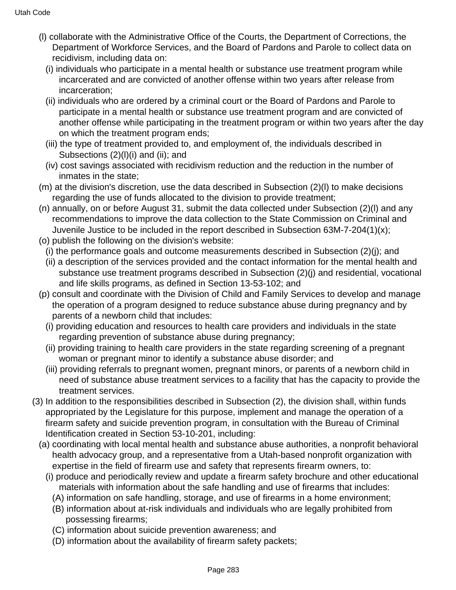- (l) collaborate with the Administrative Office of the Courts, the Department of Corrections, the Department of Workforce Services, and the Board of Pardons and Parole to collect data on recidivism, including data on:
	- (i) individuals who participate in a mental health or substance use treatment program while incarcerated and are convicted of another offense within two years after release from incarceration;
	- (ii) individuals who are ordered by a criminal court or the Board of Pardons and Parole to participate in a mental health or substance use treatment program and are convicted of another offense while participating in the treatment program or within two years after the day on which the treatment program ends;
	- (iii) the type of treatment provided to, and employment of, the individuals described in Subsections (2)(I)(i) and (ii); and
	- (iv) cost savings associated with recidivism reduction and the reduction in the number of inmates in the state;
- (m) at the division's discretion, use the data described in Subsection (2)(l) to make decisions regarding the use of funds allocated to the division to provide treatment;
- (n) annually, on or before August 31, submit the data collected under Subsection (2)(l) and any recommendations to improve the data collection to the State Commission on Criminal and Juvenile Justice to be included in the report described in Subsection 63M-7-204(1)(x);
- (o) publish the following on the division's website:
	- (i) the performance goals and outcome measurements described in Subsection (2)(j); and
	- (ii) a description of the services provided and the contact information for the mental health and substance use treatment programs described in Subsection (2)(j) and residential, vocational and life skills programs, as defined in Section 13-53-102; and
- (p) consult and coordinate with the Division of Child and Family Services to develop and manage the operation of a program designed to reduce substance abuse during pregnancy and by parents of a newborn child that includes:
	- (i) providing education and resources to health care providers and individuals in the state regarding prevention of substance abuse during pregnancy;
	- (ii) providing training to health care providers in the state regarding screening of a pregnant woman or pregnant minor to identify a substance abuse disorder; and
	- (iii) providing referrals to pregnant women, pregnant minors, or parents of a newborn child in need of substance abuse treatment services to a facility that has the capacity to provide the treatment services.
- (3) In addition to the responsibilities described in Subsection (2), the division shall, within funds appropriated by the Legislature for this purpose, implement and manage the operation of a firearm safety and suicide prevention program, in consultation with the Bureau of Criminal Identification created in Section 53-10-201, including:
	- (a) coordinating with local mental health and substance abuse authorities, a nonprofit behavioral health advocacy group, and a representative from a Utah-based nonprofit organization with expertise in the field of firearm use and safety that represents firearm owners, to:
		- (i) produce and periodically review and update a firearm safety brochure and other educational materials with information about the safe handling and use of firearms that includes:
			- (A) information on safe handling, storage, and use of firearms in a home environment;
			- (B) information about at-risk individuals and individuals who are legally prohibited from possessing firearms;
			- (C) information about suicide prevention awareness; and
			- (D) information about the availability of firearm safety packets;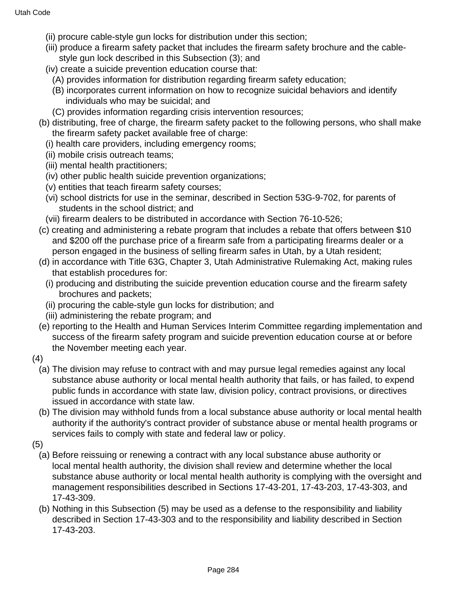- (ii) procure cable-style gun locks for distribution under this section;
- (iii) produce a firearm safety packet that includes the firearm safety brochure and the cablestyle gun lock described in this Subsection (3); and
- (iv) create a suicide prevention education course that:
- (A) provides information for distribution regarding firearm safety education;
- (B) incorporates current information on how to recognize suicidal behaviors and identify individuals who may be suicidal; and
- (C) provides information regarding crisis intervention resources;
- (b) distributing, free of charge, the firearm safety packet to the following persons, who shall make the firearm safety packet available free of charge:
	- (i) health care providers, including emergency rooms;
	- (ii) mobile crisis outreach teams;
	- (iii) mental health practitioners;
	- (iv) other public health suicide prevention organizations;
	- (v) entities that teach firearm safety courses;
	- (vi) school districts for use in the seminar, described in Section 53G-9-702, for parents of students in the school district; and
	- (vii) firearm dealers to be distributed in accordance with Section 76-10-526;
- (c) creating and administering a rebate program that includes a rebate that offers between \$10 and \$200 off the purchase price of a firearm safe from a participating firearms dealer or a person engaged in the business of selling firearm safes in Utah, by a Utah resident;
- (d) in accordance with Title 63G, Chapter 3, Utah Administrative Rulemaking Act, making rules that establish procedures for:
	- (i) producing and distributing the suicide prevention education course and the firearm safety brochures and packets;
	- (ii) procuring the cable-style gun locks for distribution; and
	- (iii) administering the rebate program; and
- (e) reporting to the Health and Human Services Interim Committee regarding implementation and success of the firearm safety program and suicide prevention education course at or before the November meeting each year.
- (4)
	- (a) The division may refuse to contract with and may pursue legal remedies against any local substance abuse authority or local mental health authority that fails, or has failed, to expend public funds in accordance with state law, division policy, contract provisions, or directives issued in accordance with state law.
	- (b) The division may withhold funds from a local substance abuse authority or local mental health authority if the authority's contract provider of substance abuse or mental health programs or services fails to comply with state and federal law or policy.
- (5)
	- (a) Before reissuing or renewing a contract with any local substance abuse authority or local mental health authority, the division shall review and determine whether the local substance abuse authority or local mental health authority is complying with the oversight and management responsibilities described in Sections 17-43-201, 17-43-203, 17-43-303, and 17-43-309.
	- (b) Nothing in this Subsection (5) may be used as a defense to the responsibility and liability described in Section 17-43-303 and to the responsibility and liability described in Section 17-43-203.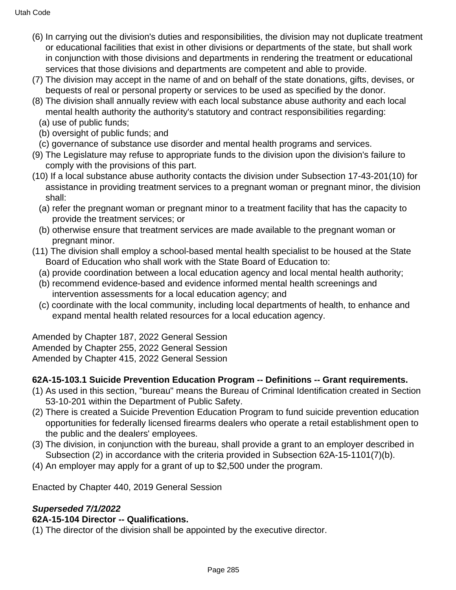- (6) In carrying out the division's duties and responsibilities, the division may not duplicate treatment or educational facilities that exist in other divisions or departments of the state, but shall work in conjunction with those divisions and departments in rendering the treatment or educational services that those divisions and departments are competent and able to provide.
- (7) The division may accept in the name of and on behalf of the state donations, gifts, devises, or bequests of real or personal property or services to be used as specified by the donor.
- (8) The division shall annually review with each local substance abuse authority and each local mental health authority the authority's statutory and contract responsibilities regarding:
	- (a) use of public funds;
	- (b) oversight of public funds; and
- (c) governance of substance use disorder and mental health programs and services.
- (9) The Legislature may refuse to appropriate funds to the division upon the division's failure to comply with the provisions of this part.
- (10) If a local substance abuse authority contacts the division under Subsection 17-43-201(10) for assistance in providing treatment services to a pregnant woman or pregnant minor, the division shall:
	- (a) refer the pregnant woman or pregnant minor to a treatment facility that has the capacity to provide the treatment services; or
	- (b) otherwise ensure that treatment services are made available to the pregnant woman or pregnant minor.
- (11) The division shall employ a school-based mental health specialist to be housed at the State Board of Education who shall work with the State Board of Education to:
	- (a) provide coordination between a local education agency and local mental health authority;
	- (b) recommend evidence-based and evidence informed mental health screenings and intervention assessments for a local education agency; and
	- (c) coordinate with the local community, including local departments of health, to enhance and expand mental health related resources for a local education agency.

Amended by Chapter 187, 2022 General Session Amended by Chapter 255, 2022 General Session Amended by Chapter 415, 2022 General Session

# **62A-15-103.1 Suicide Prevention Education Program -- Definitions -- Grant requirements.**

- (1) As used in this section, "bureau" means the Bureau of Criminal Identification created in Section 53-10-201 within the Department of Public Safety.
- (2) There is created a Suicide Prevention Education Program to fund suicide prevention education opportunities for federally licensed firearms dealers who operate a retail establishment open to the public and the dealers' employees.
- (3) The division, in conjunction with the bureau, shall provide a grant to an employer described in Subsection (2) in accordance with the criteria provided in Subsection 62A-15-1101(7)(b).
- (4) An employer may apply for a grant of up to \$2,500 under the program.

Enacted by Chapter 440, 2019 General Session

# **Superseded 7/1/2022**

# **62A-15-104 Director -- Qualifications.**

(1) The director of the division shall be appointed by the executive director.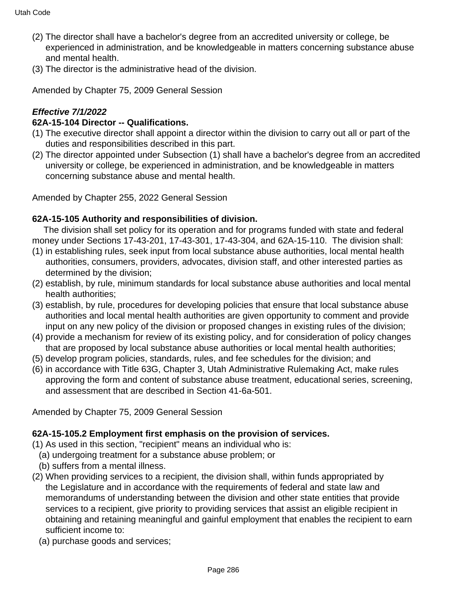- (2) The director shall have a bachelor's degree from an accredited university or college, be experienced in administration, and be knowledgeable in matters concerning substance abuse and mental health.
- (3) The director is the administrative head of the division.

Amended by Chapter 75, 2009 General Session

# **Effective 7/1/2022**

# **62A-15-104 Director -- Qualifications.**

- (1) The executive director shall appoint a director within the division to carry out all or part of the duties and responsibilities described in this part.
- (2) The director appointed under Subsection (1) shall have a bachelor's degree from an accredited university or college, be experienced in administration, and be knowledgeable in matters concerning substance abuse and mental health.

Amended by Chapter 255, 2022 General Session

# **62A-15-105 Authority and responsibilities of division.**

 The division shall set policy for its operation and for programs funded with state and federal money under Sections 17-43-201, 17-43-301, 17-43-304, and 62A-15-110. The division shall:

- (1) in establishing rules, seek input from local substance abuse authorities, local mental health authorities, consumers, providers, advocates, division staff, and other interested parties as determined by the division;
- (2) establish, by rule, minimum standards for local substance abuse authorities and local mental health authorities;
- (3) establish, by rule, procedures for developing policies that ensure that local substance abuse authorities and local mental health authorities are given opportunity to comment and provide input on any new policy of the division or proposed changes in existing rules of the division;
- (4) provide a mechanism for review of its existing policy, and for consideration of policy changes that are proposed by local substance abuse authorities or local mental health authorities;
- (5) develop program policies, standards, rules, and fee schedules for the division; and
- (6) in accordance with Title 63G, Chapter 3, Utah Administrative Rulemaking Act, make rules approving the form and content of substance abuse treatment, educational series, screening, and assessment that are described in Section 41-6a-501.

Amended by Chapter 75, 2009 General Session

# **62A-15-105.2 Employment first emphasis on the provision of services.**

- (1) As used in this section, "recipient" means an individual who is:
	- (a) undergoing treatment for a substance abuse problem; or
	- (b) suffers from a mental illness.
- (2) When providing services to a recipient, the division shall, within funds appropriated by the Legislature and in accordance with the requirements of federal and state law and memorandums of understanding between the division and other state entities that provide services to a recipient, give priority to providing services that assist an eligible recipient in obtaining and retaining meaningful and gainful employment that enables the recipient to earn sufficient income to:
	- (a) purchase goods and services;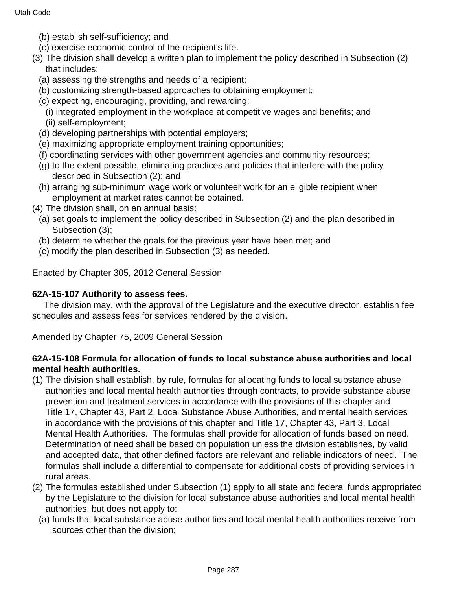- (b) establish self-sufficiency; and
- (c) exercise economic control of the recipient's life.
- (3) The division shall develop a written plan to implement the policy described in Subsection (2) that includes:
	- (a) assessing the strengths and needs of a recipient;
	- (b) customizing strength-based approaches to obtaining employment;
	- (c) expecting, encouraging, providing, and rewarding:
		- (i) integrated employment in the workplace at competitive wages and benefits; and (ii) self-employment;
	- (d) developing partnerships with potential employers;
	- (e) maximizing appropriate employment training opportunities;
	- (f) coordinating services with other government agencies and community resources;
	- (g) to the extent possible, eliminating practices and policies that interfere with the policy described in Subsection (2); and
	- (h) arranging sub-minimum wage work or volunteer work for an eligible recipient when employment at market rates cannot be obtained.
- (4) The division shall, on an annual basis:
	- (a) set goals to implement the policy described in Subsection (2) and the plan described in Subsection (3);
	- (b) determine whether the goals for the previous year have been met; and
	- (c) modify the plan described in Subsection (3) as needed.

Enacted by Chapter 305, 2012 General Session

## **62A-15-107 Authority to assess fees.**

 The division may, with the approval of the Legislature and the executive director, establish fee schedules and assess fees for services rendered by the division.

Amended by Chapter 75, 2009 General Session

## **62A-15-108 Formula for allocation of funds to local substance abuse authorities and local mental health authorities.**

- (1) The division shall establish, by rule, formulas for allocating funds to local substance abuse authorities and local mental health authorities through contracts, to provide substance abuse prevention and treatment services in accordance with the provisions of this chapter and Title 17, Chapter 43, Part 2, Local Substance Abuse Authorities, and mental health services in accordance with the provisions of this chapter and Title 17, Chapter 43, Part 3, Local Mental Health Authorities. The formulas shall provide for allocation of funds based on need. Determination of need shall be based on population unless the division establishes, by valid and accepted data, that other defined factors are relevant and reliable indicators of need. The formulas shall include a differential to compensate for additional costs of providing services in rural areas.
- (2) The formulas established under Subsection (1) apply to all state and federal funds appropriated by the Legislature to the division for local substance abuse authorities and local mental health authorities, but does not apply to:
	- (a) funds that local substance abuse authorities and local mental health authorities receive from sources other than the division;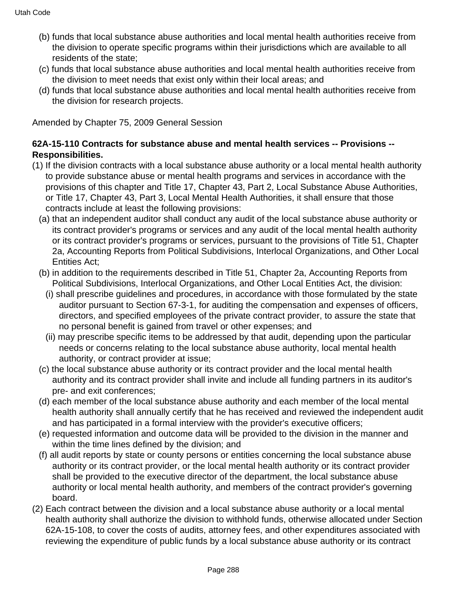- (b) funds that local substance abuse authorities and local mental health authorities receive from the division to operate specific programs within their jurisdictions which are available to all residents of the state;
- (c) funds that local substance abuse authorities and local mental health authorities receive from the division to meet needs that exist only within their local areas; and
- (d) funds that local substance abuse authorities and local mental health authorities receive from the division for research projects.

Amended by Chapter 75, 2009 General Session

## **62A-15-110 Contracts for substance abuse and mental health services -- Provisions -- Responsibilities.**

- (1) If the division contracts with a local substance abuse authority or a local mental health authority to provide substance abuse or mental health programs and services in accordance with the provisions of this chapter and Title 17, Chapter 43, Part 2, Local Substance Abuse Authorities, or Title 17, Chapter 43, Part 3, Local Mental Health Authorities, it shall ensure that those contracts include at least the following provisions:
	- (a) that an independent auditor shall conduct any audit of the local substance abuse authority or its contract provider's programs or services and any audit of the local mental health authority or its contract provider's programs or services, pursuant to the provisions of Title 51, Chapter 2a, Accounting Reports from Political Subdivisions, Interlocal Organizations, and Other Local Entities Act;
	- (b) in addition to the requirements described in Title 51, Chapter 2a, Accounting Reports from Political Subdivisions, Interlocal Organizations, and Other Local Entities Act, the division:
		- (i) shall prescribe guidelines and procedures, in accordance with those formulated by the state auditor pursuant to Section 67-3-1, for auditing the compensation and expenses of officers, directors, and specified employees of the private contract provider, to assure the state that no personal benefit is gained from travel or other expenses; and
		- (ii) may prescribe specific items to be addressed by that audit, depending upon the particular needs or concerns relating to the local substance abuse authority, local mental health authority, or contract provider at issue;
	- (c) the local substance abuse authority or its contract provider and the local mental health authority and its contract provider shall invite and include all funding partners in its auditor's pre- and exit conferences;
	- (d) each member of the local substance abuse authority and each member of the local mental health authority shall annually certify that he has received and reviewed the independent audit and has participated in a formal interview with the provider's executive officers;
	- (e) requested information and outcome data will be provided to the division in the manner and within the time lines defined by the division; and
	- (f) all audit reports by state or county persons or entities concerning the local substance abuse authority or its contract provider, or the local mental health authority or its contract provider shall be provided to the executive director of the department, the local substance abuse authority or local mental health authority, and members of the contract provider's governing board.
- (2) Each contract between the division and a local substance abuse authority or a local mental health authority shall authorize the division to withhold funds, otherwise allocated under Section 62A-15-108, to cover the costs of audits, attorney fees, and other expenditures associated with reviewing the expenditure of public funds by a local substance abuse authority or its contract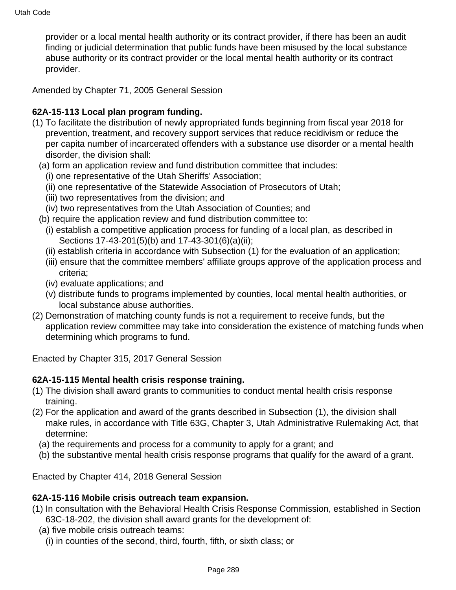provider or a local mental health authority or its contract provider, if there has been an audit finding or judicial determination that public funds have been misused by the local substance abuse authority or its contract provider or the local mental health authority or its contract provider.

Amended by Chapter 71, 2005 General Session

### **62A-15-113 Local plan program funding.**

- (1) To facilitate the distribution of newly appropriated funds beginning from fiscal year 2018 for prevention, treatment, and recovery support services that reduce recidivism or reduce the per capita number of incarcerated offenders with a substance use disorder or a mental health disorder, the division shall:
	- (a) form an application review and fund distribution committee that includes:
		- (i) one representative of the Utah Sheriffs' Association;
		- (ii) one representative of the Statewide Association of Prosecutors of Utah;
		- (iii) two representatives from the division; and
	- (iv) two representatives from the Utah Association of Counties; and
	- (b) require the application review and fund distribution committee to:
	- (i) establish a competitive application process for funding of a local plan, as described in Sections 17-43-201(5)(b) and 17-43-301(6)(a)(ii);
	- (ii) establish criteria in accordance with Subsection (1) for the evaluation of an application;
	- (iii) ensure that the committee members' affiliate groups approve of the application process and criteria;
	- (iv) evaluate applications; and
	- (v) distribute funds to programs implemented by counties, local mental health authorities, or local substance abuse authorities.
- (2) Demonstration of matching county funds is not a requirement to receive funds, but the application review committee may take into consideration the existence of matching funds when determining which programs to fund.

Enacted by Chapter 315, 2017 General Session

### **62A-15-115 Mental health crisis response training.**

- (1) The division shall award grants to communities to conduct mental health crisis response training.
- (2) For the application and award of the grants described in Subsection (1), the division shall make rules, in accordance with Title 63G, Chapter 3, Utah Administrative Rulemaking Act, that determine:
	- (a) the requirements and process for a community to apply for a grant; and
	- (b) the substantive mental health crisis response programs that qualify for the award of a grant.

Enacted by Chapter 414, 2018 General Session

#### **62A-15-116 Mobile crisis outreach team expansion.**

- (1) In consultation with the Behavioral Health Crisis Response Commission, established in Section 63C-18-202, the division shall award grants for the development of:
	- (a) five mobile crisis outreach teams:
		- (i) in counties of the second, third, fourth, fifth, or sixth class; or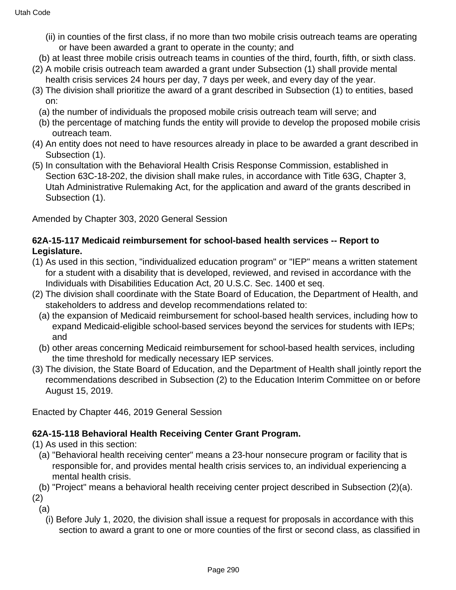- (ii) in counties of the first class, if no more than two mobile crisis outreach teams are operating or have been awarded a grant to operate in the county; and
- (b) at least three mobile crisis outreach teams in counties of the third, fourth, fifth, or sixth class.
- (2) A mobile crisis outreach team awarded a grant under Subsection (1) shall provide mental health crisis services 24 hours per day, 7 days per week, and every day of the year.
- (3) The division shall prioritize the award of a grant described in Subsection (1) to entities, based on:
	- (a) the number of individuals the proposed mobile crisis outreach team will serve; and
	- (b) the percentage of matching funds the entity will provide to develop the proposed mobile crisis outreach team.
- (4) An entity does not need to have resources already in place to be awarded a grant described in Subsection (1).
- (5) In consultation with the Behavioral Health Crisis Response Commission, established in Section 63C-18-202, the division shall make rules, in accordance with Title 63G, Chapter 3, Utah Administrative Rulemaking Act, for the application and award of the grants described in Subsection (1).

Amended by Chapter 303, 2020 General Session

## **62A-15-117 Medicaid reimbursement for school-based health services -- Report to Legislature.**

- (1) As used in this section, "individualized education program" or "IEP" means a written statement for a student with a disability that is developed, reviewed, and revised in accordance with the Individuals with Disabilities Education Act, 20 U.S.C. Sec. 1400 et seq.
- (2) The division shall coordinate with the State Board of Education, the Department of Health, and stakeholders to address and develop recommendations related to:
	- (a) the expansion of Medicaid reimbursement for school-based health services, including how to expand Medicaid-eligible school-based services beyond the services for students with IEPs; and
	- (b) other areas concerning Medicaid reimbursement for school-based health services, including the time threshold for medically necessary IEP services.
- (3) The division, the State Board of Education, and the Department of Health shall jointly report the recommendations described in Subsection (2) to the Education Interim Committee on or before August 15, 2019.

Enacted by Chapter 446, 2019 General Session

# **62A-15-118 Behavioral Health Receiving Center Grant Program.**

(1) As used in this section:

- (a) "Behavioral health receiving center" means a 23-hour nonsecure program or facility that is responsible for, and provides mental health crisis services to, an individual experiencing a mental health crisis.
- (b) "Project" means a behavioral health receiving center project described in Subsection (2)(a).

(2)

(a)

(i) Before July 1, 2020, the division shall issue a request for proposals in accordance with this section to award a grant to one or more counties of the first or second class, as classified in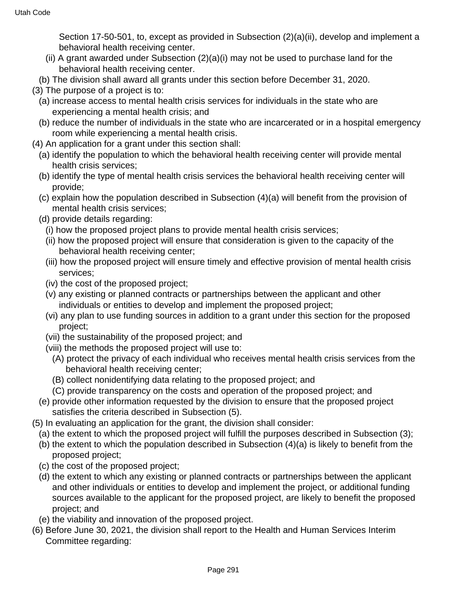Section 17-50-501, to, except as provided in Subsection (2)(a)(ii), develop and implement a behavioral health receiving center.

- (ii) A grant awarded under Subsection (2)(a)(i) may not be used to purchase land for the behavioral health receiving center.
- (b) The division shall award all grants under this section before December 31, 2020.
- (3) The purpose of a project is to:
	- (a) increase access to mental health crisis services for individuals in the state who are experiencing a mental health crisis; and
	- (b) reduce the number of individuals in the state who are incarcerated or in a hospital emergency room while experiencing a mental health crisis.
- (4) An application for a grant under this section shall:
	- (a) identify the population to which the behavioral health receiving center will provide mental health crisis services;
	- (b) identify the type of mental health crisis services the behavioral health receiving center will provide;
	- (c) explain how the population described in Subsection (4)(a) will benefit from the provision of mental health crisis services;
	- (d) provide details regarding:
		- (i) how the proposed project plans to provide mental health crisis services;
		- (ii) how the proposed project will ensure that consideration is given to the capacity of the behavioral health receiving center;
		- (iii) how the proposed project will ensure timely and effective provision of mental health crisis services;
		- (iv) the cost of the proposed project;
		- (v) any existing or planned contracts or partnerships between the applicant and other individuals or entities to develop and implement the proposed project;
		- (vi) any plan to use funding sources in addition to a grant under this section for the proposed project;
		- (vii) the sustainability of the proposed project; and
		- (viii) the methods the proposed project will use to:
			- (A) protect the privacy of each individual who receives mental health crisis services from the behavioral health receiving center;
			- (B) collect nonidentifying data relating to the proposed project; and
			- (C) provide transparency on the costs and operation of the proposed project; and
	- (e) provide other information requested by the division to ensure that the proposed project satisfies the criteria described in Subsection (5).
- (5) In evaluating an application for the grant, the division shall consider:
	- (a) the extent to which the proposed project will fulfill the purposes described in Subsection (3);
	- (b) the extent to which the population described in Subsection (4)(a) is likely to benefit from the proposed project;
	- (c) the cost of the proposed project;
	- (d) the extent to which any existing or planned contracts or partnerships between the applicant and other individuals or entities to develop and implement the project, or additional funding sources available to the applicant for the proposed project, are likely to benefit the proposed project; and
	- (e) the viability and innovation of the proposed project.
- (6) Before June 30, 2021, the division shall report to the Health and Human Services Interim Committee regarding: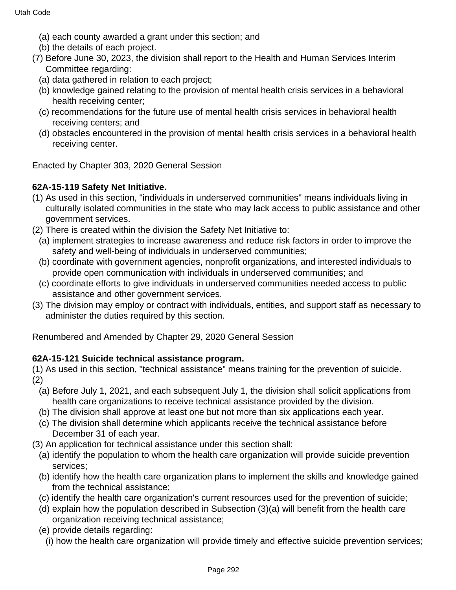- (a) each county awarded a grant under this section; and
- (b) the details of each project.
- (7) Before June 30, 2023, the division shall report to the Health and Human Services Interim Committee regarding:
	- (a) data gathered in relation to each project;
	- (b) knowledge gained relating to the provision of mental health crisis services in a behavioral health receiving center;
	- (c) recommendations for the future use of mental health crisis services in behavioral health receiving centers; and
	- (d) obstacles encountered in the provision of mental health crisis services in a behavioral health receiving center.

Enacted by Chapter 303, 2020 General Session

## **62A-15-119 Safety Net Initiative.**

- (1) As used in this section, "individuals in underserved communities" means individuals living in culturally isolated communities in the state who may lack access to public assistance and other government services.
- (2) There is created within the division the Safety Net Initiative to:
	- (a) implement strategies to increase awareness and reduce risk factors in order to improve the safety and well-being of individuals in underserved communities;
	- (b) coordinate with government agencies, nonprofit organizations, and interested individuals to provide open communication with individuals in underserved communities; and
	- (c) coordinate efforts to give individuals in underserved communities needed access to public assistance and other government services.
- (3) The division may employ or contract with individuals, entities, and support staff as necessary to administer the duties required by this section.

Renumbered and Amended by Chapter 29, 2020 General Session

## **62A-15-121 Suicide technical assistance program.**

(1) As used in this section, "technical assistance" means training for the prevention of suicide. (2)

- (a) Before July 1, 2021, and each subsequent July 1, the division shall solicit applications from health care organizations to receive technical assistance provided by the division.
- (b) The division shall approve at least one but not more than six applications each year.
- (c) The division shall determine which applicants receive the technical assistance before December 31 of each year.
- (3) An application for technical assistance under this section shall:
	- (a) identify the population to whom the health care organization will provide suicide prevention services;
	- (b) identify how the health care organization plans to implement the skills and knowledge gained from the technical assistance;
	- (c) identify the health care organization's current resources used for the prevention of suicide;
	- (d) explain how the population described in Subsection (3)(a) will benefit from the health care organization receiving technical assistance;
	- (e) provide details regarding:
		- (i) how the health care organization will provide timely and effective suicide prevention services;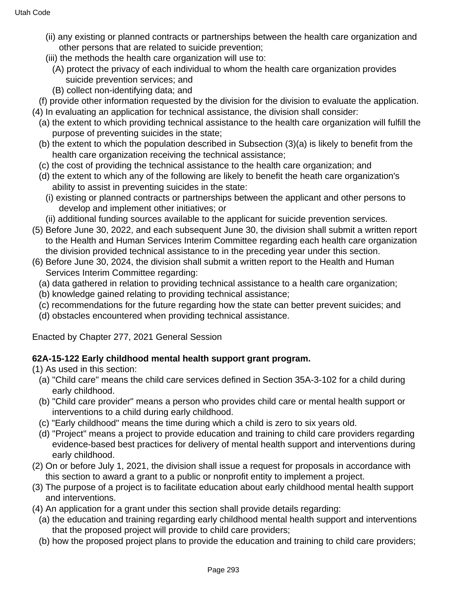- (ii) any existing or planned contracts or partnerships between the health care organization and other persons that are related to suicide prevention;
- (iii) the methods the health care organization will use to:
- (A) protect the privacy of each individual to whom the health care organization provides suicide prevention services; and
- (B) collect non-identifying data; and
- (f) provide other information requested by the division for the division to evaluate the application.
- (4) In evaluating an application for technical assistance, the division shall consider:
	- (a) the extent to which providing technical assistance to the health care organization will fulfill the purpose of preventing suicides in the state;
	- (b) the extent to which the population described in Subsection (3)(a) is likely to benefit from the health care organization receiving the technical assistance;
	- (c) the cost of providing the technical assistance to the health care organization; and
	- (d) the extent to which any of the following are likely to benefit the heath care organization's ability to assist in preventing suicides in the state:
		- (i) existing or planned contracts or partnerships between the applicant and other persons to develop and implement other initiatives; or
	- (ii) additional funding sources available to the applicant for suicide prevention services.
- (5) Before June 30, 2022, and each subsequent June 30, the division shall submit a written report to the Health and Human Services Interim Committee regarding each health care organization the division provided technical assistance to in the preceding year under this section.
- (6) Before June 30, 2024, the division shall submit a written report to the Health and Human Services Interim Committee regarding:
	- (a) data gathered in relation to providing technical assistance to a health care organization;
	- (b) knowledge gained relating to providing technical assistance;
	- (c) recommendations for the future regarding how the state can better prevent suicides; and
	- (d) obstacles encountered when providing technical assistance.

Enacted by Chapter 277, 2021 General Session

## **62A-15-122 Early childhood mental health support grant program.**

(1) As used in this section:

- (a) "Child care" means the child care services defined in Section 35A-3-102 for a child during early childhood.
- (b) "Child care provider" means a person who provides child care or mental health support or interventions to a child during early childhood.
- (c) "Early childhood" means the time during which a child is zero to six years old.
- (d) "Project" means a project to provide education and training to child care providers regarding evidence-based best practices for delivery of mental health support and interventions during early childhood.
- (2) On or before July 1, 2021, the division shall issue a request for proposals in accordance with this section to award a grant to a public or nonprofit entity to implement a project.
- (3) The purpose of a project is to facilitate education about early childhood mental health support and interventions.
- (4) An application for a grant under this section shall provide details regarding:
	- (a) the education and training regarding early childhood mental health support and interventions that the proposed project will provide to child care providers;
	- (b) how the proposed project plans to provide the education and training to child care providers;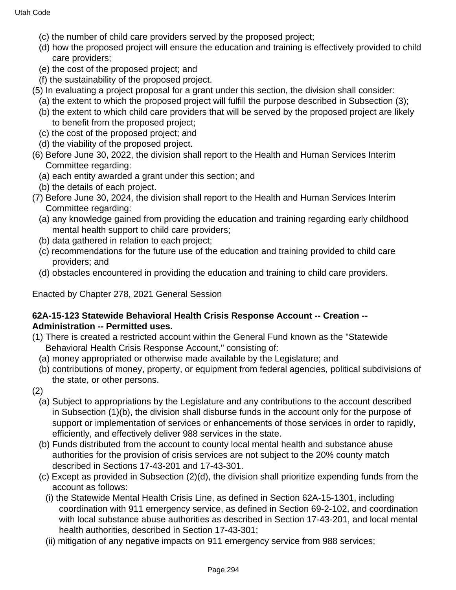- (c) the number of child care providers served by the proposed project;
- (d) how the proposed project will ensure the education and training is effectively provided to child care providers;
- (e) the cost of the proposed project; and
- (f) the sustainability of the proposed project.
- (5) In evaluating a project proposal for a grant under this section, the division shall consider:
	- (a) the extent to which the proposed project will fulfill the purpose described in Subsection (3);
	- (b) the extent to which child care providers that will be served by the proposed project are likely to benefit from the proposed project;
	- (c) the cost of the proposed project; and
	- (d) the viability of the proposed project.
- (6) Before June 30, 2022, the division shall report to the Health and Human Services Interim Committee regarding:
	- (a) each entity awarded a grant under this section; and
	- (b) the details of each project.
- (7) Before June 30, 2024, the division shall report to the Health and Human Services Interim Committee regarding:
	- (a) any knowledge gained from providing the education and training regarding early childhood mental health support to child care providers;
	- (b) data gathered in relation to each project;
	- (c) recommendations for the future use of the education and training provided to child care providers; and
	- (d) obstacles encountered in providing the education and training to child care providers.

Enacted by Chapter 278, 2021 General Session

## **62A-15-123 Statewide Behavioral Health Crisis Response Account -- Creation -- Administration -- Permitted uses.**

- (1) There is created a restricted account within the General Fund known as the "Statewide Behavioral Health Crisis Response Account," consisting of:
	- (a) money appropriated or otherwise made available by the Legislature; and
	- (b) contributions of money, property, or equipment from federal agencies, political subdivisions of the state, or other persons.
- (2)
	- (a) Subject to appropriations by the Legislature and any contributions to the account described in Subsection (1)(b), the division shall disburse funds in the account only for the purpose of support or implementation of services or enhancements of those services in order to rapidly, efficiently, and effectively deliver 988 services in the state.
	- (b) Funds distributed from the account to county local mental health and substance abuse authorities for the provision of crisis services are not subject to the 20% county match described in Sections 17-43-201 and 17-43-301.
	- (c) Except as provided in Subsection (2)(d), the division shall prioritize expending funds from the account as follows:
		- (i) the Statewide Mental Health Crisis Line, as defined in Section 62A-15-1301, including coordination with 911 emergency service, as defined in Section 69-2-102, and coordination with local substance abuse authorities as described in Section 17-43-201, and local mental health authorities, described in Section 17-43-301;
		- (ii) mitigation of any negative impacts on 911 emergency service from 988 services;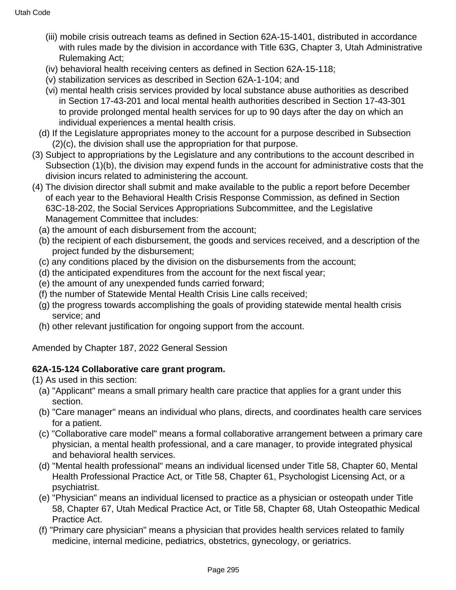- (iii) mobile crisis outreach teams as defined in Section 62A-15-1401, distributed in accordance with rules made by the division in accordance with Title 63G, Chapter 3, Utah Administrative Rulemaking Act;
- (iv) behavioral health receiving centers as defined in Section 62A-15-118;
- (v) stabilization services as described in Section 62A-1-104; and
- (vi) mental health crisis services provided by local substance abuse authorities as described in Section 17-43-201 and local mental health authorities described in Section 17-43-301 to provide prolonged mental health services for up to 90 days after the day on which an individual experiences a mental health crisis.
- (d) If the Legislature appropriates money to the account for a purpose described in Subsection (2)(c), the division shall use the appropriation for that purpose.
- (3) Subject to appropriations by the Legislature and any contributions to the account described in Subsection (1)(b), the division may expend funds in the account for administrative costs that the division incurs related to administering the account.
- (4) The division director shall submit and make available to the public a report before December of each year to the Behavioral Health Crisis Response Commission, as defined in Section 63C-18-202, the Social Services Appropriations Subcommittee, and the Legislative Management Committee that includes:
	- (a) the amount of each disbursement from the account;
	- (b) the recipient of each disbursement, the goods and services received, and a description of the project funded by the disbursement;
	- (c) any conditions placed by the division on the disbursements from the account;
	- (d) the anticipated expenditures from the account for the next fiscal year;
	- (e) the amount of any unexpended funds carried forward;
	- (f) the number of Statewide Mental Health Crisis Line calls received;
	- (g) the progress towards accomplishing the goals of providing statewide mental health crisis service; and
	- (h) other relevant justification for ongoing support from the account.

Amended by Chapter 187, 2022 General Session

# **62A-15-124 Collaborative care grant program.**

(1) As used in this section:

- (a) "Applicant" means a small primary health care practice that applies for a grant under this section.
- (b) "Care manager" means an individual who plans, directs, and coordinates health care services for a patient.
- (c) "Collaborative care model" means a formal collaborative arrangement between a primary care physician, a mental health professional, and a care manager, to provide integrated physical and behavioral health services.
- (d) "Mental health professional" means an individual licensed under Title 58, Chapter 60, Mental Health Professional Practice Act, or Title 58, Chapter 61, Psychologist Licensing Act, or a psychiatrist.
- (e) "Physician" means an individual licensed to practice as a physician or osteopath under Title 58, Chapter 67, Utah Medical Practice Act, or Title 58, Chapter 68, Utah Osteopathic Medical Practice Act.
- (f) "Primary care physician" means a physician that provides health services related to family medicine, internal medicine, pediatrics, obstetrics, gynecology, or geriatrics.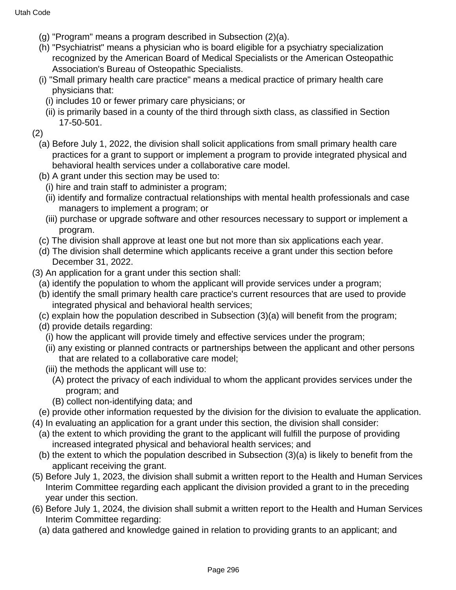- (g) "Program" means a program described in Subsection (2)(a).
- (h) "Psychiatrist" means a physician who is board eligible for a psychiatry specialization recognized by the American Board of Medical Specialists or the American Osteopathic Association's Bureau of Osteopathic Specialists.
- (i) "Small primary health care practice" means a medical practice of primary health care physicians that:
	- (i) includes 10 or fewer primary care physicians; or
	- (ii) is primarily based in a county of the third through sixth class, as classified in Section 17-50-501.

(2)

- (a) Before July 1, 2022, the division shall solicit applications from small primary health care practices for a grant to support or implement a program to provide integrated physical and behavioral health services under a collaborative care model.
- (b) A grant under this section may be used to:
	- (i) hire and train staff to administer a program;
	- (ii) identify and formalize contractual relationships with mental health professionals and case managers to implement a program; or
	- (iii) purchase or upgrade software and other resources necessary to support or implement a program.
- (c) The division shall approve at least one but not more than six applications each year.
- (d) The division shall determine which applicants receive a grant under this section before December 31, 2022.
- (3) An application for a grant under this section shall:
	- (a) identify the population to whom the applicant will provide services under a program;
	- (b) identify the small primary health care practice's current resources that are used to provide integrated physical and behavioral health services;
	- (c) explain how the population described in Subsection (3)(a) will benefit from the program;
	- (d) provide details regarding:
		- (i) how the applicant will provide timely and effective services under the program;
		- (ii) any existing or planned contracts or partnerships between the applicant and other persons that are related to a collaborative care model;
		- (iii) the methods the applicant will use to:
		- (A) protect the privacy of each individual to whom the applicant provides services under the program; and
		- (B) collect non-identifying data; and
- (e) provide other information requested by the division for the division to evaluate the application.
- (4) In evaluating an application for a grant under this section, the division shall consider:
	- (a) the extent to which providing the grant to the applicant will fulfill the purpose of providing increased integrated physical and behavioral health services; and
	- (b) the extent to which the population described in Subsection (3)(a) is likely to benefit from the applicant receiving the grant.
- (5) Before July 1, 2023, the division shall submit a written report to the Health and Human Services Interim Committee regarding each applicant the division provided a grant to in the preceding year under this section.
- (6) Before July 1, 2024, the division shall submit a written report to the Health and Human Services Interim Committee regarding:
	- (a) data gathered and knowledge gained in relation to providing grants to an applicant; and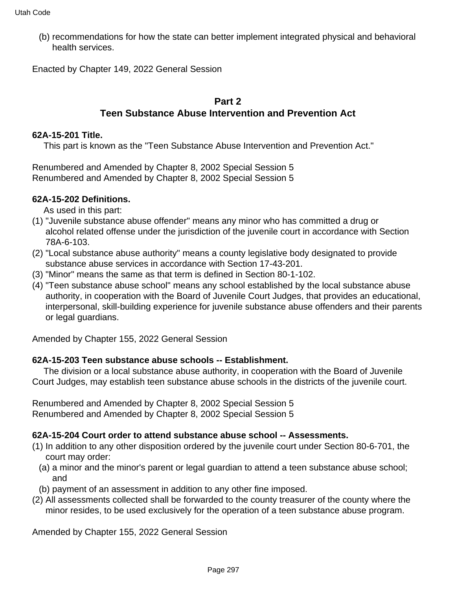(b) recommendations for how the state can better implement integrated physical and behavioral health services.

Enacted by Chapter 149, 2022 General Session

### **Part 2 Teen Substance Abuse Intervention and Prevention Act**

#### **62A-15-201 Title.**

This part is known as the "Teen Substance Abuse Intervention and Prevention Act."

Renumbered and Amended by Chapter 8, 2002 Special Session 5 Renumbered and Amended by Chapter 8, 2002 Special Session 5

#### **62A-15-202 Definitions.**

As used in this part:

- (1) "Juvenile substance abuse offender" means any minor who has committed a drug or alcohol related offense under the jurisdiction of the juvenile court in accordance with Section 78A-6-103.
- (2) "Local substance abuse authority" means a county legislative body designated to provide substance abuse services in accordance with Section 17-43-201.
- (3) "Minor" means the same as that term is defined in Section 80-1-102.
- (4) "Teen substance abuse school" means any school established by the local substance abuse authority, in cooperation with the Board of Juvenile Court Judges, that provides an educational, interpersonal, skill-building experience for juvenile substance abuse offenders and their parents or legal guardians.

Amended by Chapter 155, 2022 General Session

#### **62A-15-203 Teen substance abuse schools -- Establishment.**

 The division or a local substance abuse authority, in cooperation with the Board of Juvenile Court Judges, may establish teen substance abuse schools in the districts of the juvenile court.

Renumbered and Amended by Chapter 8, 2002 Special Session 5 Renumbered and Amended by Chapter 8, 2002 Special Session 5

#### **62A-15-204 Court order to attend substance abuse school -- Assessments.**

- (1) In addition to any other disposition ordered by the juvenile court under Section 80-6-701, the court may order:
	- (a) a minor and the minor's parent or legal guardian to attend a teen substance abuse school; and
- (b) payment of an assessment in addition to any other fine imposed.
- (2) All assessments collected shall be forwarded to the county treasurer of the county where the minor resides, to be used exclusively for the operation of a teen substance abuse program.

Amended by Chapter 155, 2022 General Session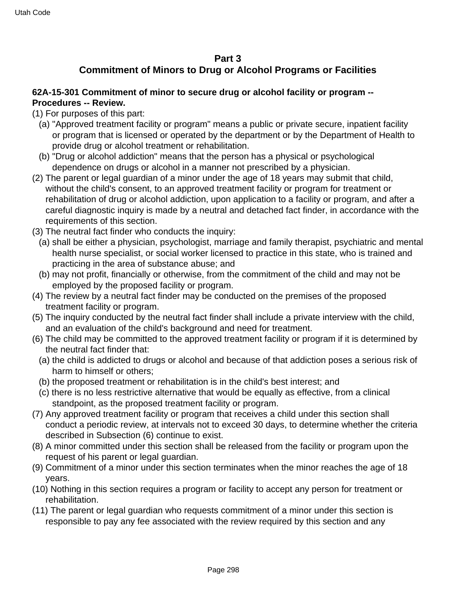## **Part 3**

# **Commitment of Minors to Drug or Alcohol Programs or Facilities**

### **62A-15-301 Commitment of minor to secure drug or alcohol facility or program -- Procedures -- Review.**

(1) For purposes of this part:

- (a) "Approved treatment facility or program" means a public or private secure, inpatient facility or program that is licensed or operated by the department or by the Department of Health to provide drug or alcohol treatment or rehabilitation.
- (b) "Drug or alcohol addiction" means that the person has a physical or psychological dependence on drugs or alcohol in a manner not prescribed by a physician.
- (2) The parent or legal guardian of a minor under the age of 18 years may submit that child, without the child's consent, to an approved treatment facility or program for treatment or rehabilitation of drug or alcohol addiction, upon application to a facility or program, and after a careful diagnostic inquiry is made by a neutral and detached fact finder, in accordance with the requirements of this section.
- (3) The neutral fact finder who conducts the inquiry:
	- (a) shall be either a physician, psychologist, marriage and family therapist, psychiatric and mental health nurse specialist, or social worker licensed to practice in this state, who is trained and practicing in the area of substance abuse; and
	- (b) may not profit, financially or otherwise, from the commitment of the child and may not be employed by the proposed facility or program.
- (4) The review by a neutral fact finder may be conducted on the premises of the proposed treatment facility or program.
- (5) The inquiry conducted by the neutral fact finder shall include a private interview with the child, and an evaluation of the child's background and need for treatment.
- (6) The child may be committed to the approved treatment facility or program if it is determined by the neutral fact finder that:
	- (a) the child is addicted to drugs or alcohol and because of that addiction poses a serious risk of harm to himself or others;
	- (b) the proposed treatment or rehabilitation is in the child's best interest; and
	- (c) there is no less restrictive alternative that would be equally as effective, from a clinical standpoint, as the proposed treatment facility or program.
- (7) Any approved treatment facility or program that receives a child under this section shall conduct a periodic review, at intervals not to exceed 30 days, to determine whether the criteria described in Subsection (6) continue to exist.
- (8) A minor committed under this section shall be released from the facility or program upon the request of his parent or legal guardian.
- (9) Commitment of a minor under this section terminates when the minor reaches the age of 18 years.
- (10) Nothing in this section requires a program or facility to accept any person for treatment or rehabilitation.
- (11) The parent or legal guardian who requests commitment of a minor under this section is responsible to pay any fee associated with the review required by this section and any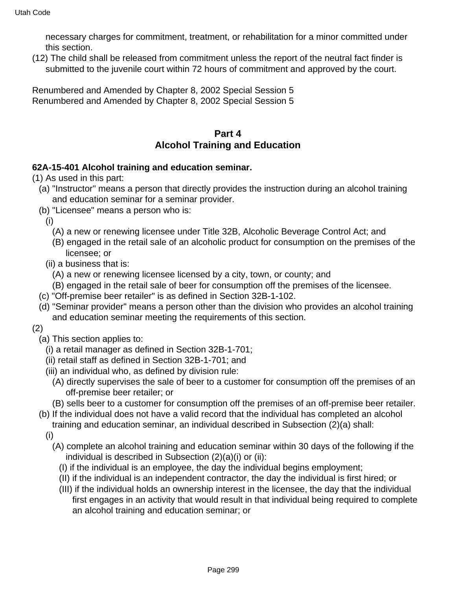necessary charges for commitment, treatment, or rehabilitation for a minor committed under this section.

(12) The child shall be released from commitment unless the report of the neutral fact finder is submitted to the juvenile court within 72 hours of commitment and approved by the court.

Renumbered and Amended by Chapter 8, 2002 Special Session 5 Renumbered and Amended by Chapter 8, 2002 Special Session 5

## **Part 4 Alcohol Training and Education**

### **62A-15-401 Alcohol training and education seminar.**

(1) As used in this part:

- (a) "Instructor" means a person that directly provides the instruction during an alcohol training and education seminar for a seminar provider.
- (b) "Licensee" means a person who is:

(i)

- (A) a new or renewing licensee under Title 32B, Alcoholic Beverage Control Act; and
- (B) engaged in the retail sale of an alcoholic product for consumption on the premises of the licensee; or
- (ii) a business that is:
	- (A) a new or renewing licensee licensed by a city, town, or county; and
	- (B) engaged in the retail sale of beer for consumption off the premises of the licensee.
- (c) "Off-premise beer retailer" is as defined in Section 32B-1-102.
- (d) "Seminar provider" means a person other than the division who provides an alcohol training and education seminar meeting the requirements of this section.
- (2)
	- (a) This section applies to:
		- (i) a retail manager as defined in Section 32B-1-701;
		- (ii) retail staff as defined in Section 32B-1-701; and
		- (iii) an individual who, as defined by division rule:
			- (A) directly supervises the sale of beer to a customer for consumption off the premises of an off-premise beer retailer; or
		- (B) sells beer to a customer for consumption off the premises of an off-premise beer retailer.
	- (b) If the individual does not have a valid record that the individual has completed an alcohol training and education seminar, an individual described in Subsection (2)(a) shall:

(i)

- (A) complete an alcohol training and education seminar within 30 days of the following if the individual is described in Subsection (2)(a)(i) or (ii):
	- (I) if the individual is an employee, the day the individual begins employment;
	- (II) if the individual is an independent contractor, the day the individual is first hired; or
	- (III) if the individual holds an ownership interest in the licensee, the day that the individual first engages in an activity that would result in that individual being required to complete an alcohol training and education seminar; or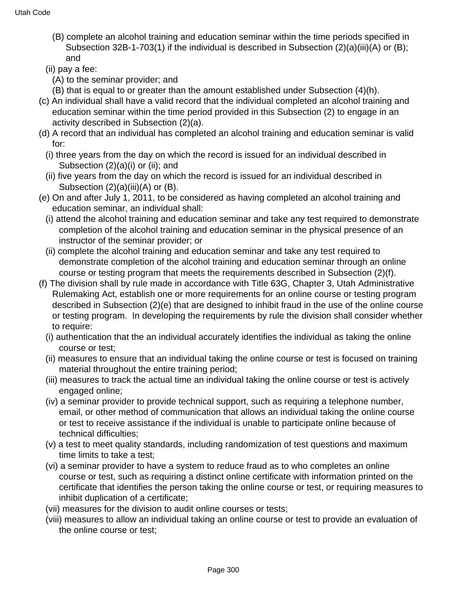- (B) complete an alcohol training and education seminar within the time periods specified in Subsection 32B-1-703(1) if the individual is described in Subsection (2)(a)(iii)(A) or (B); and
- (ii) pay a fee:
	- (A) to the seminar provider; and
	- (B) that is equal to or greater than the amount established under Subsection (4)(h).
- (c) An individual shall have a valid record that the individual completed an alcohol training and education seminar within the time period provided in this Subsection (2) to engage in an activity described in Subsection (2)(a).
- (d) A record that an individual has completed an alcohol training and education seminar is valid for:
	- (i) three years from the day on which the record is issued for an individual described in Subsection (2)(a)(i) or (ii); and
	- (ii) five years from the day on which the record is issued for an individual described in Subsection  $(2)(a)(iii)(A)$  or  $(B)$ .
- (e) On and after July 1, 2011, to be considered as having completed an alcohol training and education seminar, an individual shall:
	- (i) attend the alcohol training and education seminar and take any test required to demonstrate completion of the alcohol training and education seminar in the physical presence of an instructor of the seminar provider; or
	- (ii) complete the alcohol training and education seminar and take any test required to demonstrate completion of the alcohol training and education seminar through an online course or testing program that meets the requirements described in Subsection (2)(f).
- (f) The division shall by rule made in accordance with Title 63G, Chapter 3, Utah Administrative Rulemaking Act, establish one or more requirements for an online course or testing program described in Subsection (2)(e) that are designed to inhibit fraud in the use of the online course or testing program. In developing the requirements by rule the division shall consider whether to require:
	- (i) authentication that the an individual accurately identifies the individual as taking the online course or test;
	- (ii) measures to ensure that an individual taking the online course or test is focused on training material throughout the entire training period;
	- (iii) measures to track the actual time an individual taking the online course or test is actively engaged online;
	- (iv) a seminar provider to provide technical support, such as requiring a telephone number, email, or other method of communication that allows an individual taking the online course or test to receive assistance if the individual is unable to participate online because of technical difficulties;
	- (v) a test to meet quality standards, including randomization of test questions and maximum time limits to take a test;
	- (vi) a seminar provider to have a system to reduce fraud as to who completes an online course or test, such as requiring a distinct online certificate with information printed on the certificate that identifies the person taking the online course or test, or requiring measures to inhibit duplication of a certificate;
	- (vii) measures for the division to audit online courses or tests;
	- (viii) measures to allow an individual taking an online course or test to provide an evaluation of the online course or test;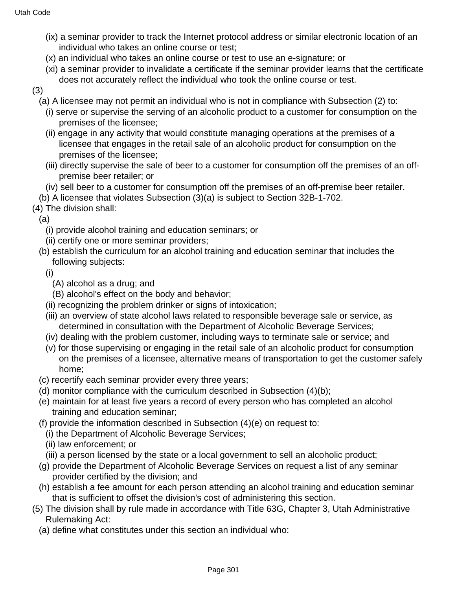- (ix) a seminar provider to track the Internet protocol address or similar electronic location of an individual who takes an online course or test;
- (x) an individual who takes an online course or test to use an e-signature; or
- (xi) a seminar provider to invalidate a certificate if the seminar provider learns that the certificate does not accurately reflect the individual who took the online course or test.
- (3)
	- (a) A licensee may not permit an individual who is not in compliance with Subsection (2) to:
		- (i) serve or supervise the serving of an alcoholic product to a customer for consumption on the premises of the licensee;
		- (ii) engage in any activity that would constitute managing operations at the premises of a licensee that engages in the retail sale of an alcoholic product for consumption on the premises of the licensee;
		- (iii) directly supervise the sale of beer to a customer for consumption off the premises of an offpremise beer retailer; or
		- (iv) sell beer to a customer for consumption off the premises of an off-premise beer retailer.
	- (b) A licensee that violates Subsection (3)(a) is subject to Section 32B-1-702.
- (4) The division shall:

(a)

- (i) provide alcohol training and education seminars; or
- (ii) certify one or more seminar providers;
- (b) establish the curriculum for an alcohol training and education seminar that includes the following subjects:
	- (i)
		- (A) alcohol as a drug; and
		- (B) alcohol's effect on the body and behavior;
	- (ii) recognizing the problem drinker or signs of intoxication;
	- (iii) an overview of state alcohol laws related to responsible beverage sale or service, as determined in consultation with the Department of Alcoholic Beverage Services;
	- (iv) dealing with the problem customer, including ways to terminate sale or service; and
	- (v) for those supervising or engaging in the retail sale of an alcoholic product for consumption on the premises of a licensee, alternative means of transportation to get the customer safely home;
- (c) recertify each seminar provider every three years;
- (d) monitor compliance with the curriculum described in Subsection (4)(b);
- (e) maintain for at least five years a record of every person who has completed an alcohol training and education seminar;
- (f) provide the information described in Subsection (4)(e) on request to:
	- (i) the Department of Alcoholic Beverage Services;
	- (ii) law enforcement; or
	- (iii) a person licensed by the state or a local government to sell an alcoholic product;
- (g) provide the Department of Alcoholic Beverage Services on request a list of any seminar provider certified by the division; and
- (h) establish a fee amount for each person attending an alcohol training and education seminar that is sufficient to offset the division's cost of administering this section.
- (5) The division shall by rule made in accordance with Title 63G, Chapter 3, Utah Administrative Rulemaking Act:
	- (a) define what constitutes under this section an individual who: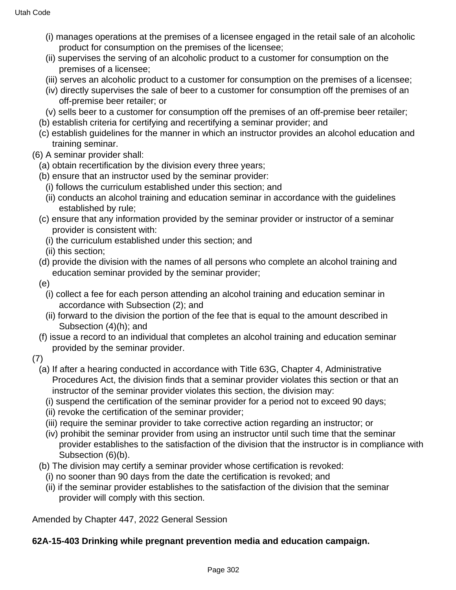- (i) manages operations at the premises of a licensee engaged in the retail sale of an alcoholic product for consumption on the premises of the licensee;
- (ii) supervises the serving of an alcoholic product to a customer for consumption on the premises of a licensee;
- (iii) serves an alcoholic product to a customer for consumption on the premises of a licensee;
- (iv) directly supervises the sale of beer to a customer for consumption off the premises of an off-premise beer retailer; or
- (v) sells beer to a customer for consumption off the premises of an off-premise beer retailer;
- (b) establish criteria for certifying and recertifying a seminar provider; and
- (c) establish guidelines for the manner in which an instructor provides an alcohol education and training seminar.
- (6) A seminar provider shall:
	- (a) obtain recertification by the division every three years;
	- (b) ensure that an instructor used by the seminar provider:
		- (i) follows the curriculum established under this section; and
		- (ii) conducts an alcohol training and education seminar in accordance with the guidelines established by rule;
	- (c) ensure that any information provided by the seminar provider or instructor of a seminar provider is consistent with:
		- (i) the curriculum established under this section; and
		- (ii) this section;
	- (d) provide the division with the names of all persons who complete an alcohol training and education seminar provided by the seminar provider;
	- (e)
		- (i) collect a fee for each person attending an alcohol training and education seminar in accordance with Subsection (2); and
		- (ii) forward to the division the portion of the fee that is equal to the amount described in Subsection (4)(h); and
	- (f) issue a record to an individual that completes an alcohol training and education seminar provided by the seminar provider.
- (7)
	- (a) If after a hearing conducted in accordance with Title 63G, Chapter 4, Administrative Procedures Act, the division finds that a seminar provider violates this section or that an instructor of the seminar provider violates this section, the division may:
		- (i) suspend the certification of the seminar provider for a period not to exceed 90 days;
		- (ii) revoke the certification of the seminar provider;
		- (iii) require the seminar provider to take corrective action regarding an instructor; or
		- (iv) prohibit the seminar provider from using an instructor until such time that the seminar provider establishes to the satisfaction of the division that the instructor is in compliance with Subsection (6)(b).
	- (b) The division may certify a seminar provider whose certification is revoked:
		- (i) no sooner than 90 days from the date the certification is revoked; and
		- (ii) if the seminar provider establishes to the satisfaction of the division that the seminar provider will comply with this section.

Amended by Chapter 447, 2022 General Session

## **62A-15-403 Drinking while pregnant prevention media and education campaign.**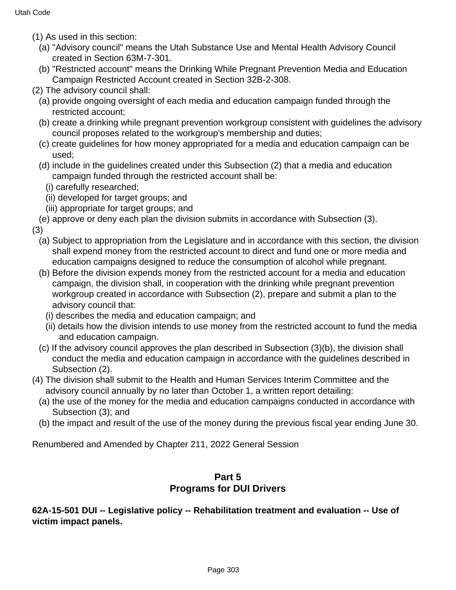- (1) As used in this section:
	- (a) "Advisory council" means the Utah Substance Use and Mental Health Advisory Council created in Section 63M-7-301.
	- (b) "Restricted account" means the Drinking While Pregnant Prevention Media and Education Campaign Restricted Account created in Section 32B-2-308.
- (2) The advisory council shall:
	- (a) provide ongoing oversight of each media and education campaign funded through the restricted account;
	- (b) create a drinking while pregnant prevention workgroup consistent with guidelines the advisory council proposes related to the workgroup's membership and duties;
	- (c) create guidelines for how money appropriated for a media and education campaign can be used;
	- (d) include in the guidelines created under this Subsection (2) that a media and education campaign funded through the restricted account shall be:
		- (i) carefully researched;
		- (ii) developed for target groups; and
		- (iii) appropriate for target groups; and
	- (e) approve or deny each plan the division submits in accordance with Subsection (3).

(3)

- (a) Subject to appropriation from the Legislature and in accordance with this section, the division shall expend money from the restricted account to direct and fund one or more media and education campaigns designed to reduce the consumption of alcohol while pregnant.
- (b) Before the division expends money from the restricted account for a media and education campaign, the division shall, in cooperation with the drinking while pregnant prevention workgroup created in accordance with Subsection (2), prepare and submit a plan to the advisory council that:
	- (i) describes the media and education campaign; and
	- (ii) details how the division intends to use money from the restricted account to fund the media and education campaign.
- (c) If the advisory council approves the plan described in Subsection (3)(b), the division shall conduct the media and education campaign in accordance with the guidelines described in Subsection (2).
- (4) The division shall submit to the Health and Human Services Interim Committee and the advisory council annually by no later than October 1, a written report detailing:
	- (a) the use of the money for the media and education campaigns conducted in accordance with Subsection (3); and
	- (b) the impact and result of the use of the money during the previous fiscal year ending June 30.

Renumbered and Amended by Chapter 211, 2022 General Session

### **Part 5 Programs for DUI Drivers**

**62A-15-501 DUI -- Legislative policy -- Rehabilitation treatment and evaluation -- Use of victim impact panels.**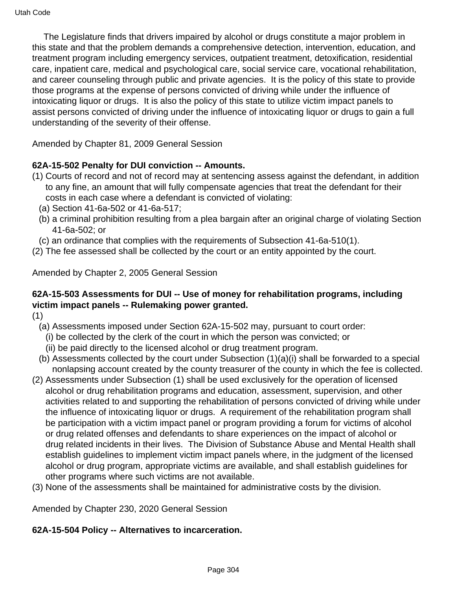The Legislature finds that drivers impaired by alcohol or drugs constitute a major problem in this state and that the problem demands a comprehensive detection, intervention, education, and treatment program including emergency services, outpatient treatment, detoxification, residential care, inpatient care, medical and psychological care, social service care, vocational rehabilitation, and career counseling through public and private agencies. It is the policy of this state to provide those programs at the expense of persons convicted of driving while under the influence of intoxicating liquor or drugs. It is also the policy of this state to utilize victim impact panels to assist persons convicted of driving under the influence of intoxicating liquor or drugs to gain a full understanding of the severity of their offense.

Amended by Chapter 81, 2009 General Session

#### **62A-15-502 Penalty for DUI conviction -- Amounts.**

- (1) Courts of record and not of record may at sentencing assess against the defendant, in addition to any fine, an amount that will fully compensate agencies that treat the defendant for their costs in each case where a defendant is convicted of violating:
	- (a) Section 41-6a-502 or 41-6a-517;
	- (b) a criminal prohibition resulting from a plea bargain after an original charge of violating Section 41-6a-502; or
	- (c) an ordinance that complies with the requirements of Subsection 41-6a-510(1).
- (2) The fee assessed shall be collected by the court or an entity appointed by the court.

Amended by Chapter 2, 2005 General Session

## **62A-15-503 Assessments for DUI -- Use of money for rehabilitation programs, including victim impact panels -- Rulemaking power granted.**

(1)

- (a) Assessments imposed under Section 62A-15-502 may, pursuant to court order:
- (i) be collected by the clerk of the court in which the person was convicted; or
- (ii) be paid directly to the licensed alcohol or drug treatment program.
- (b) Assessments collected by the court under Subsection (1)(a)(i) shall be forwarded to a special nonlapsing account created by the county treasurer of the county in which the fee is collected.
- (2) Assessments under Subsection (1) shall be used exclusively for the operation of licensed alcohol or drug rehabilitation programs and education, assessment, supervision, and other activities related to and supporting the rehabilitation of persons convicted of driving while under the influence of intoxicating liquor or drugs. A requirement of the rehabilitation program shall be participation with a victim impact panel or program providing a forum for victims of alcohol or drug related offenses and defendants to share experiences on the impact of alcohol or drug related incidents in their lives. The Division of Substance Abuse and Mental Health shall establish guidelines to implement victim impact panels where, in the judgment of the licensed alcohol or drug program, appropriate victims are available, and shall establish guidelines for other programs where such victims are not available.
- (3) None of the assessments shall be maintained for administrative costs by the division.

Amended by Chapter 230, 2020 General Session

#### **62A-15-504 Policy -- Alternatives to incarceration.**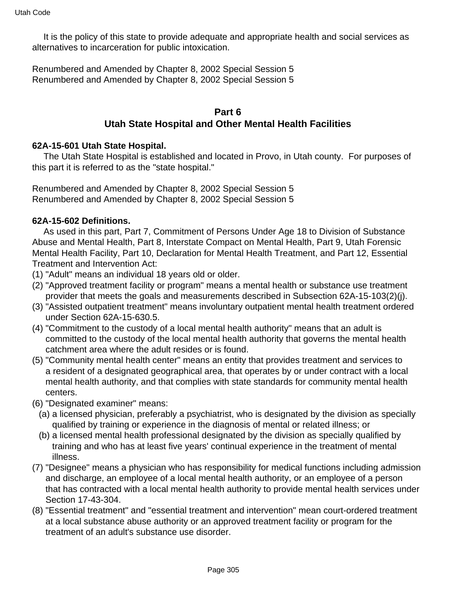It is the policy of this state to provide adequate and appropriate health and social services as alternatives to incarceration for public intoxication.

Renumbered and Amended by Chapter 8, 2002 Special Session 5 Renumbered and Amended by Chapter 8, 2002 Special Session 5

### **Part 6 Utah State Hospital and Other Mental Health Facilities**

#### **62A-15-601 Utah State Hospital.**

 The Utah State Hospital is established and located in Provo, in Utah county. For purposes of this part it is referred to as the "state hospital."

Renumbered and Amended by Chapter 8, 2002 Special Session 5 Renumbered and Amended by Chapter 8, 2002 Special Session 5

#### **62A-15-602 Definitions.**

 As used in this part, Part 7, Commitment of Persons Under Age 18 to Division of Substance Abuse and Mental Health, Part 8, Interstate Compact on Mental Health, Part 9, Utah Forensic Mental Health Facility, Part 10, Declaration for Mental Health Treatment, and Part 12, Essential Treatment and Intervention Act:

- (1) "Adult" means an individual 18 years old or older.
- (2) "Approved treatment facility or program" means a mental health or substance use treatment provider that meets the goals and measurements described in Subsection 62A-15-103(2)(j).
- (3) "Assisted outpatient treatment" means involuntary outpatient mental health treatment ordered under Section 62A-15-630.5.
- (4) "Commitment to the custody of a local mental health authority" means that an adult is committed to the custody of the local mental health authority that governs the mental health catchment area where the adult resides or is found.
- (5) "Community mental health center" means an entity that provides treatment and services to a resident of a designated geographical area, that operates by or under contract with a local mental health authority, and that complies with state standards for community mental health centers.
- (6) "Designated examiner" means:
	- (a) a licensed physician, preferably a psychiatrist, who is designated by the division as specially qualified by training or experience in the diagnosis of mental or related illness; or
	- (b) a licensed mental health professional designated by the division as specially qualified by training and who has at least five years' continual experience in the treatment of mental illness.
- (7) "Designee" means a physician who has responsibility for medical functions including admission and discharge, an employee of a local mental health authority, or an employee of a person that has contracted with a local mental health authority to provide mental health services under Section 17-43-304.
- (8) "Essential treatment" and "essential treatment and intervention" mean court-ordered treatment at a local substance abuse authority or an approved treatment facility or program for the treatment of an adult's substance use disorder.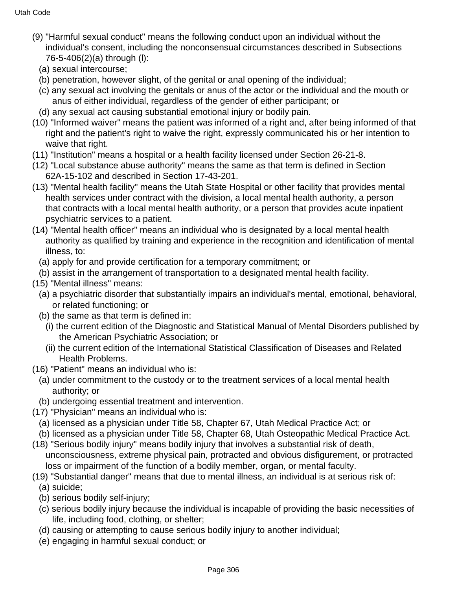- (9) "Harmful sexual conduct" means the following conduct upon an individual without the individual's consent, including the nonconsensual circumstances described in Subsections 76-5-406(2)(a) through (l):
	- (a) sexual intercourse;
	- (b) penetration, however slight, of the genital or anal opening of the individual;
	- (c) any sexual act involving the genitals or anus of the actor or the individual and the mouth or anus of either individual, regardless of the gender of either participant; or
	- (d) any sexual act causing substantial emotional injury or bodily pain.
- (10) "Informed waiver" means the patient was informed of a right and, after being informed of that right and the patient's right to waive the right, expressly communicated his or her intention to waive that right.
- (11) "Institution" means a hospital or a health facility licensed under Section 26-21-8.
- (12) "Local substance abuse authority" means the same as that term is defined in Section 62A-15-102 and described in Section 17-43-201.
- (13) "Mental health facility" means the Utah State Hospital or other facility that provides mental health services under contract with the division, a local mental health authority, a person that contracts with a local mental health authority, or a person that provides acute inpatient psychiatric services to a patient.
- (14) "Mental health officer" means an individual who is designated by a local mental health authority as qualified by training and experience in the recognition and identification of mental illness, to:
	- (a) apply for and provide certification for a temporary commitment; or
	- (b) assist in the arrangement of transportation to a designated mental health facility.
- (15) "Mental illness" means:
	- (a) a psychiatric disorder that substantially impairs an individual's mental, emotional, behavioral, or related functioning; or
	- (b) the same as that term is defined in:
		- (i) the current edition of the Diagnostic and Statistical Manual of Mental Disorders published by the American Psychiatric Association; or
		- (ii) the current edition of the International Statistical Classification of Diseases and Related Health Problems.
- (16) "Patient" means an individual who is:
	- (a) under commitment to the custody or to the treatment services of a local mental health authority; or
	- (b) undergoing essential treatment and intervention.
- (17) "Physician" means an individual who is:
	- (a) licensed as a physician under Title 58, Chapter 67, Utah Medical Practice Act; or
	- (b) licensed as a physician under Title 58, Chapter 68, Utah Osteopathic Medical Practice Act.
- (18) "Serious bodily injury" means bodily injury that involves a substantial risk of death, unconsciousness, extreme physical pain, protracted and obvious disfigurement, or protracted loss or impairment of the function of a bodily member, organ, or mental faculty.
- (19) "Substantial danger" means that due to mental illness, an individual is at serious risk of: (a) suicide;
	- (b) serious bodily self-injury;
	- (c) serious bodily injury because the individual is incapable of providing the basic necessities of life, including food, clothing, or shelter;
	- (d) causing or attempting to cause serious bodily injury to another individual;
	- (e) engaging in harmful sexual conduct; or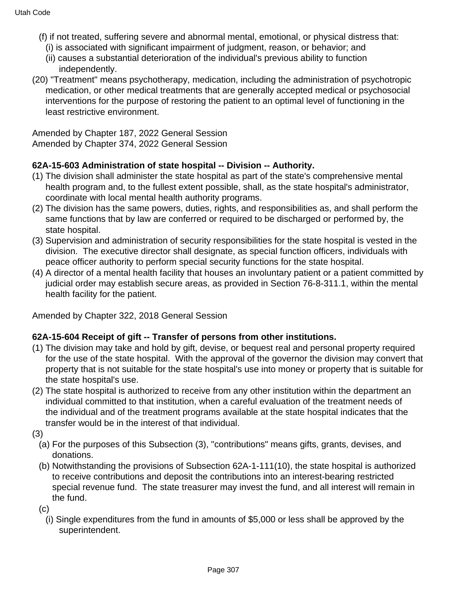- (f) if not treated, suffering severe and abnormal mental, emotional, or physical distress that:
	- (i) is associated with significant impairment of judgment, reason, or behavior; and
	- (ii) causes a substantial deterioration of the individual's previous ability to function independently.
- (20) "Treatment" means psychotherapy, medication, including the administration of psychotropic medication, or other medical treatments that are generally accepted medical or psychosocial interventions for the purpose of restoring the patient to an optimal level of functioning in the least restrictive environment.

Amended by Chapter 187, 2022 General Session Amended by Chapter 374, 2022 General Session

### **62A-15-603 Administration of state hospital -- Division -- Authority.**

- (1) The division shall administer the state hospital as part of the state's comprehensive mental health program and, to the fullest extent possible, shall, as the state hospital's administrator, coordinate with local mental health authority programs.
- (2) The division has the same powers, duties, rights, and responsibilities as, and shall perform the same functions that by law are conferred or required to be discharged or performed by, the state hospital.
- (3) Supervision and administration of security responsibilities for the state hospital is vested in the division. The executive director shall designate, as special function officers, individuals with peace officer authority to perform special security functions for the state hospital.
- (4) A director of a mental health facility that houses an involuntary patient or a patient committed by judicial order may establish secure areas, as provided in Section 76-8-311.1, within the mental health facility for the patient.

Amended by Chapter 322, 2018 General Session

## **62A-15-604 Receipt of gift -- Transfer of persons from other institutions.**

- (1) The division may take and hold by gift, devise, or bequest real and personal property required for the use of the state hospital. With the approval of the governor the division may convert that property that is not suitable for the state hospital's use into money or property that is suitable for the state hospital's use.
- (2) The state hospital is authorized to receive from any other institution within the department an individual committed to that institution, when a careful evaluation of the treatment needs of the individual and of the treatment programs available at the state hospital indicates that the transfer would be in the interest of that individual.
- (3)
	- (a) For the purposes of this Subsection (3), "contributions" means gifts, grants, devises, and donations.
	- (b) Notwithstanding the provisions of Subsection 62A-1-111(10), the state hospital is authorized to receive contributions and deposit the contributions into an interest-bearing restricted special revenue fund. The state treasurer may invest the fund, and all interest will remain in the fund.
	- $(c)$ 
		- (i) Single expenditures from the fund in amounts of \$5,000 or less shall be approved by the superintendent.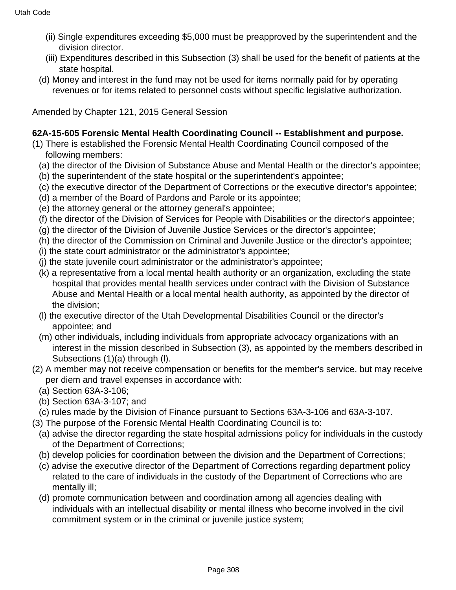- (ii) Single expenditures exceeding \$5,000 must be preapproved by the superintendent and the division director.
- (iii) Expenditures described in this Subsection (3) shall be used for the benefit of patients at the state hospital.
- (d) Money and interest in the fund may not be used for items normally paid for by operating revenues or for items related to personnel costs without specific legislative authorization.

Amended by Chapter 121, 2015 General Session

### **62A-15-605 Forensic Mental Health Coordinating Council -- Establishment and purpose.**

- (1) There is established the Forensic Mental Health Coordinating Council composed of the following members:
	- (a) the director of the Division of Substance Abuse and Mental Health or the director's appointee;
	- (b) the superintendent of the state hospital or the superintendent's appointee;
	- (c) the executive director of the Department of Corrections or the executive director's appointee;
	- (d) a member of the Board of Pardons and Parole or its appointee;
	- (e) the attorney general or the attorney general's appointee;
	- (f) the director of the Division of Services for People with Disabilities or the director's appointee;
	- (g) the director of the Division of Juvenile Justice Services or the director's appointee;
	- (h) the director of the Commission on Criminal and Juvenile Justice or the director's appointee;
	- (i) the state court administrator or the administrator's appointee;
	- (j) the state juvenile court administrator or the administrator's appointee;
	- (k) a representative from a local mental health authority or an organization, excluding the state hospital that provides mental health services under contract with the Division of Substance Abuse and Mental Health or a local mental health authority, as appointed by the director of the division;
	- (l) the executive director of the Utah Developmental Disabilities Council or the director's appointee; and
	- (m) other individuals, including individuals from appropriate advocacy organizations with an interest in the mission described in Subsection (3), as appointed by the members described in Subsections (1)(a) through (l).
- (2) A member may not receive compensation or benefits for the member's service, but may receive per diem and travel expenses in accordance with:
	- (a) Section 63A-3-106;
	- (b) Section 63A-3-107; and
	- (c) rules made by the Division of Finance pursuant to Sections 63A-3-106 and 63A-3-107.
- (3) The purpose of the Forensic Mental Health Coordinating Council is to:
	- (a) advise the director regarding the state hospital admissions policy for individuals in the custody of the Department of Corrections;
	- (b) develop policies for coordination between the division and the Department of Corrections;
	- (c) advise the executive director of the Department of Corrections regarding department policy related to the care of individuals in the custody of the Department of Corrections who are mentally ill;
	- (d) promote communication between and coordination among all agencies dealing with individuals with an intellectual disability or mental illness who become involved in the civil commitment system or in the criminal or juvenile justice system;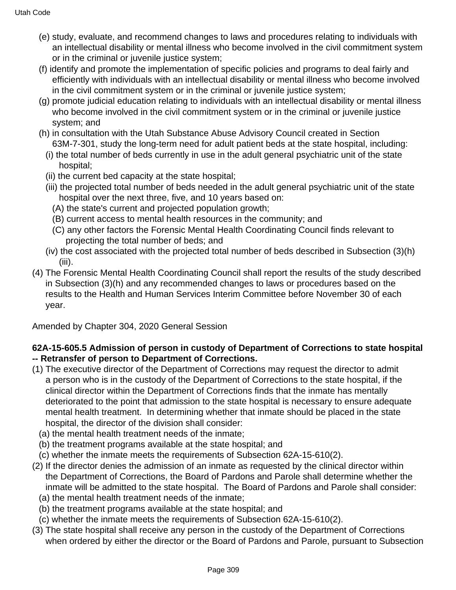- (e) study, evaluate, and recommend changes to laws and procedures relating to individuals with an intellectual disability or mental illness who become involved in the civil commitment system or in the criminal or juvenile justice system;
- (f) identify and promote the implementation of specific policies and programs to deal fairly and efficiently with individuals with an intellectual disability or mental illness who become involved in the civil commitment system or in the criminal or juvenile justice system;
- (g) promote judicial education relating to individuals with an intellectual disability or mental illness who become involved in the civil commitment system or in the criminal or juvenile justice system; and
- (h) in consultation with the Utah Substance Abuse Advisory Council created in Section 63M-7-301, study the long-term need for adult patient beds at the state hospital, including:
	- (i) the total number of beds currently in use in the adult general psychiatric unit of the state hospital;
	- (ii) the current bed capacity at the state hospital;
	- (iii) the projected total number of beds needed in the adult general psychiatric unit of the state hospital over the next three, five, and 10 years based on:
		- (A) the state's current and projected population growth;
		- (B) current access to mental health resources in the community; and
		- (C) any other factors the Forensic Mental Health Coordinating Council finds relevant to projecting the total number of beds; and
	- (iv) the cost associated with the projected total number of beds described in Subsection (3)(h) (iii).
- (4) The Forensic Mental Health Coordinating Council shall report the results of the study described in Subsection (3)(h) and any recommended changes to laws or procedures based on the results to the Health and Human Services Interim Committee before November 30 of each year.

Amended by Chapter 304, 2020 General Session

## **62A-15-605.5 Admission of person in custody of Department of Corrections to state hospital -- Retransfer of person to Department of Corrections.**

- (1) The executive director of the Department of Corrections may request the director to admit a person who is in the custody of the Department of Corrections to the state hospital, if the clinical director within the Department of Corrections finds that the inmate has mentally deteriorated to the point that admission to the state hospital is necessary to ensure adequate mental health treatment. In determining whether that inmate should be placed in the state hospital, the director of the division shall consider:
	- (a) the mental health treatment needs of the inmate;
	- (b) the treatment programs available at the state hospital; and
	- (c) whether the inmate meets the requirements of Subsection 62A-15-610(2).
- (2) If the director denies the admission of an inmate as requested by the clinical director within the Department of Corrections, the Board of Pardons and Parole shall determine whether the inmate will be admitted to the state hospital. The Board of Pardons and Parole shall consider:
	- (a) the mental health treatment needs of the inmate;
	- (b) the treatment programs available at the state hospital; and
	- (c) whether the inmate meets the requirements of Subsection 62A-15-610(2).
- (3) The state hospital shall receive any person in the custody of the Department of Corrections when ordered by either the director or the Board of Pardons and Parole, pursuant to Subsection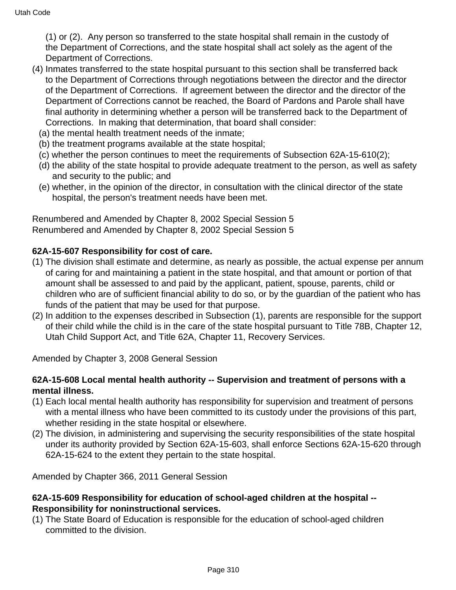(1) or (2). Any person so transferred to the state hospital shall remain in the custody of the Department of Corrections, and the state hospital shall act solely as the agent of the Department of Corrections.

- (4) Inmates transferred to the state hospital pursuant to this section shall be transferred back to the Department of Corrections through negotiations between the director and the director of the Department of Corrections. If agreement between the director and the director of the Department of Corrections cannot be reached, the Board of Pardons and Parole shall have final authority in determining whether a person will be transferred back to the Department of Corrections. In making that determination, that board shall consider:
	- (a) the mental health treatment needs of the inmate;
	- (b) the treatment programs available at the state hospital;
	- (c) whether the person continues to meet the requirements of Subsection 62A-15-610(2);
	- (d) the ability of the state hospital to provide adequate treatment to the person, as well as safety and security to the public; and
	- (e) whether, in the opinion of the director, in consultation with the clinical director of the state hospital, the person's treatment needs have been met.

Renumbered and Amended by Chapter 8, 2002 Special Session 5 Renumbered and Amended by Chapter 8, 2002 Special Session 5

### **62A-15-607 Responsibility for cost of care.**

- (1) The division shall estimate and determine, as nearly as possible, the actual expense per annum of caring for and maintaining a patient in the state hospital, and that amount or portion of that amount shall be assessed to and paid by the applicant, patient, spouse, parents, child or children who are of sufficient financial ability to do so, or by the guardian of the patient who has funds of the patient that may be used for that purpose.
- (2) In addition to the expenses described in Subsection (1), parents are responsible for the support of their child while the child is in the care of the state hospital pursuant to Title 78B, Chapter 12, Utah Child Support Act, and Title 62A, Chapter 11, Recovery Services.

Amended by Chapter 3, 2008 General Session

### **62A-15-608 Local mental health authority -- Supervision and treatment of persons with a mental illness.**

- (1) Each local mental health authority has responsibility for supervision and treatment of persons with a mental illness who have been committed to its custody under the provisions of this part, whether residing in the state hospital or elsewhere.
- (2) The division, in administering and supervising the security responsibilities of the state hospital under its authority provided by Section 62A-15-603, shall enforce Sections 62A-15-620 through 62A-15-624 to the extent they pertain to the state hospital.

Amended by Chapter 366, 2011 General Session

#### **62A-15-609 Responsibility for education of school-aged children at the hospital -- Responsibility for noninstructional services.**

(1) The State Board of Education is responsible for the education of school-aged children committed to the division.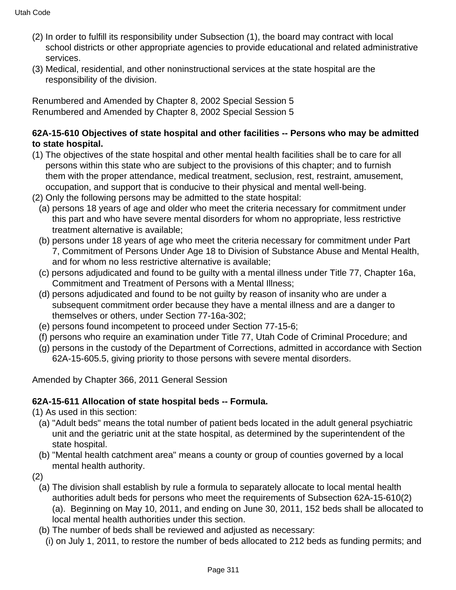- (2) In order to fulfill its responsibility under Subsection (1), the board may contract with local school districts or other appropriate agencies to provide educational and related administrative services.
- (3) Medical, residential, and other noninstructional services at the state hospital are the responsibility of the division.

Renumbered and Amended by Chapter 8, 2002 Special Session 5 Renumbered and Amended by Chapter 8, 2002 Special Session 5

## **62A-15-610 Objectives of state hospital and other facilities -- Persons who may be admitted to state hospital.**

- (1) The objectives of the state hospital and other mental health facilities shall be to care for all persons within this state who are subject to the provisions of this chapter; and to furnish them with the proper attendance, medical treatment, seclusion, rest, restraint, amusement, occupation, and support that is conducive to their physical and mental well-being.
- (2) Only the following persons may be admitted to the state hospital:
	- (a) persons 18 years of age and older who meet the criteria necessary for commitment under this part and who have severe mental disorders for whom no appropriate, less restrictive treatment alternative is available;
	- (b) persons under 18 years of age who meet the criteria necessary for commitment under Part 7, Commitment of Persons Under Age 18 to Division of Substance Abuse and Mental Health, and for whom no less restrictive alternative is available;
	- (c) persons adjudicated and found to be guilty with a mental illness under Title 77, Chapter 16a, Commitment and Treatment of Persons with a Mental Illness;
	- (d) persons adjudicated and found to be not guilty by reason of insanity who are under a subsequent commitment order because they have a mental illness and are a danger to themselves or others, under Section 77-16a-302;
	- (e) persons found incompetent to proceed under Section 77-15-6;
	- (f) persons who require an examination under Title 77, Utah Code of Criminal Procedure; and
	- (g) persons in the custody of the Department of Corrections, admitted in accordance with Section 62A-15-605.5, giving priority to those persons with severe mental disorders.

Amended by Chapter 366, 2011 General Session

# **62A-15-611 Allocation of state hospital beds -- Formula.**

(1) As used in this section:

- (a) "Adult beds" means the total number of patient beds located in the adult general psychiatric unit and the geriatric unit at the state hospital, as determined by the superintendent of the state hospital.
- (b) "Mental health catchment area" means a county or group of counties governed by a local mental health authority.
- (2)
	- (a) The division shall establish by rule a formula to separately allocate to local mental health authorities adult beds for persons who meet the requirements of Subsection 62A-15-610(2) (a). Beginning on May 10, 2011, and ending on June 30, 2011, 152 beds shall be allocated to local mental health authorities under this section.
	- (b) The number of beds shall be reviewed and adjusted as necessary:
		- (i) on July 1, 2011, to restore the number of beds allocated to 212 beds as funding permits; and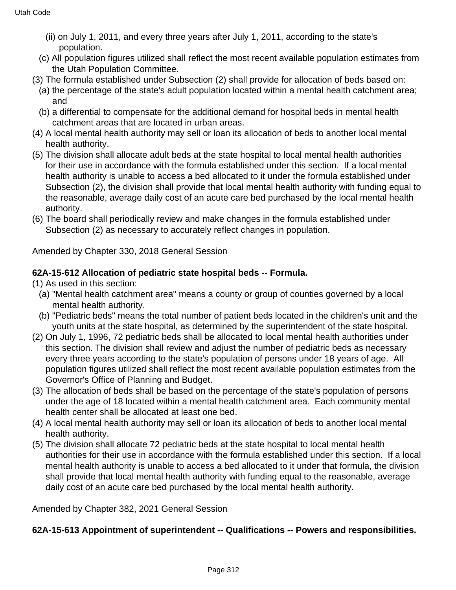- (ii) on July 1, 2011, and every three years after July 1, 2011, according to the state's population.
- (c) All population figures utilized shall reflect the most recent available population estimates from the Utah Population Committee.
- (3) The formula established under Subsection (2) shall provide for allocation of beds based on:
	- (a) the percentage of the state's adult population located within a mental health catchment area; and
	- (b) a differential to compensate for the additional demand for hospital beds in mental health catchment areas that are located in urban areas.
- (4) A local mental health authority may sell or loan its allocation of beds to another local mental health authority.
- (5) The division shall allocate adult beds at the state hospital to local mental health authorities for their use in accordance with the formula established under this section. If a local mental health authority is unable to access a bed allocated to it under the formula established under Subsection (2), the division shall provide that local mental health authority with funding equal to the reasonable, average daily cost of an acute care bed purchased by the local mental health authority.
- (6) The board shall periodically review and make changes in the formula established under Subsection (2) as necessary to accurately reflect changes in population.

Amended by Chapter 330, 2018 General Session

## **62A-15-612 Allocation of pediatric state hospital beds -- Formula.**

(1) As used in this section:

- (a) "Mental health catchment area" means a county or group of counties governed by a local mental health authority.
- (b) "Pediatric beds" means the total number of patient beds located in the children's unit and the youth units at the state hospital, as determined by the superintendent of the state hospital.
- (2) On July 1, 1996, 72 pediatric beds shall be allocated to local mental health authorities under this section. The division shall review and adjust the number of pediatric beds as necessary every three years according to the state's population of persons under 18 years of age. All population figures utilized shall reflect the most recent available population estimates from the Governor's Office of Planning and Budget.
- (3) The allocation of beds shall be based on the percentage of the state's population of persons under the age of 18 located within a mental health catchment area. Each community mental health center shall be allocated at least one bed.
- (4) A local mental health authority may sell or loan its allocation of beds to another local mental health authority.
- (5) The division shall allocate 72 pediatric beds at the state hospital to local mental health authorities for their use in accordance with the formula established under this section. If a local mental health authority is unable to access a bed allocated to it under that formula, the division shall provide that local mental health authority with funding equal to the reasonable, average daily cost of an acute care bed purchased by the local mental health authority.

Amended by Chapter 382, 2021 General Session

### **62A-15-613 Appointment of superintendent -- Qualifications -- Powers and responsibilities.**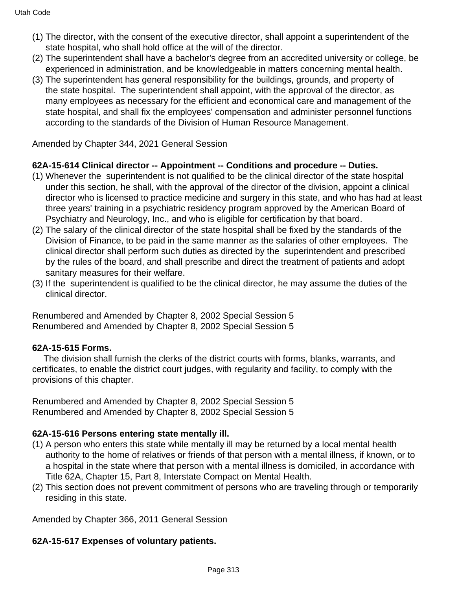- (1) The director, with the consent of the executive director, shall appoint a superintendent of the state hospital, who shall hold office at the will of the director.
- (2) The superintendent shall have a bachelor's degree from an accredited university or college, be experienced in administration, and be knowledgeable in matters concerning mental health.
- (3) The superintendent has general responsibility for the buildings, grounds, and property of the state hospital. The superintendent shall appoint, with the approval of the director, as many employees as necessary for the efficient and economical care and management of the state hospital, and shall fix the employees' compensation and administer personnel functions according to the standards of the Division of Human Resource Management.

Amended by Chapter 344, 2021 General Session

#### **62A-15-614 Clinical director -- Appointment -- Conditions and procedure -- Duties.**

- (1) Whenever the superintendent is not qualified to be the clinical director of the state hospital under this section, he shall, with the approval of the director of the division, appoint a clinical director who is licensed to practice medicine and surgery in this state, and who has had at least three years' training in a psychiatric residency program approved by the American Board of Psychiatry and Neurology, Inc., and who is eligible for certification by that board.
- (2) The salary of the clinical director of the state hospital shall be fixed by the standards of the Division of Finance, to be paid in the same manner as the salaries of other employees. The clinical director shall perform such duties as directed by the superintendent and prescribed by the rules of the board, and shall prescribe and direct the treatment of patients and adopt sanitary measures for their welfare.
- (3) If the superintendent is qualified to be the clinical director, he may assume the duties of the clinical director.

Renumbered and Amended by Chapter 8, 2002 Special Session 5 Renumbered and Amended by Chapter 8, 2002 Special Session 5

#### **62A-15-615 Forms.**

 The division shall furnish the clerks of the district courts with forms, blanks, warrants, and certificates, to enable the district court judges, with regularity and facility, to comply with the provisions of this chapter.

Renumbered and Amended by Chapter 8, 2002 Special Session 5 Renumbered and Amended by Chapter 8, 2002 Special Session 5

#### **62A-15-616 Persons entering state mentally ill.**

- (1) A person who enters this state while mentally ill may be returned by a local mental health authority to the home of relatives or friends of that person with a mental illness, if known, or to a hospital in the state where that person with a mental illness is domiciled, in accordance with Title 62A, Chapter 15, Part 8, Interstate Compact on Mental Health.
- (2) This section does not prevent commitment of persons who are traveling through or temporarily residing in this state.

Amended by Chapter 366, 2011 General Session

#### **62A-15-617 Expenses of voluntary patients.**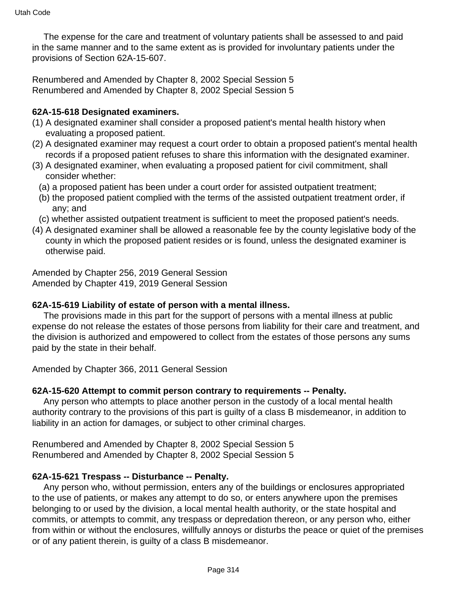The expense for the care and treatment of voluntary patients shall be assessed to and paid in the same manner and to the same extent as is provided for involuntary patients under the provisions of Section 62A-15-607.

Renumbered and Amended by Chapter 8, 2002 Special Session 5 Renumbered and Amended by Chapter 8, 2002 Special Session 5

### **62A-15-618 Designated examiners.**

- (1) A designated examiner shall consider a proposed patient's mental health history when evaluating a proposed patient.
- (2) A designated examiner may request a court order to obtain a proposed patient's mental health records if a proposed patient refuses to share this information with the designated examiner.
- (3) A designated examiner, when evaluating a proposed patient for civil commitment, shall consider whether:
	- (a) a proposed patient has been under a court order for assisted outpatient treatment;
	- (b) the proposed patient complied with the terms of the assisted outpatient treatment order, if any; and
- (c) whether assisted outpatient treatment is sufficient to meet the proposed patient's needs.
- (4) A designated examiner shall be allowed a reasonable fee by the county legislative body of the county in which the proposed patient resides or is found, unless the designated examiner is otherwise paid.

Amended by Chapter 256, 2019 General Session Amended by Chapter 419, 2019 General Session

#### **62A-15-619 Liability of estate of person with a mental illness.**

 The provisions made in this part for the support of persons with a mental illness at public expense do not release the estates of those persons from liability for their care and treatment, and the division is authorized and empowered to collect from the estates of those persons any sums paid by the state in their behalf.

Amended by Chapter 366, 2011 General Session

#### **62A-15-620 Attempt to commit person contrary to requirements -- Penalty.**

 Any person who attempts to place another person in the custody of a local mental health authority contrary to the provisions of this part is guilty of a class B misdemeanor, in addition to liability in an action for damages, or subject to other criminal charges.

Renumbered and Amended by Chapter 8, 2002 Special Session 5 Renumbered and Amended by Chapter 8, 2002 Special Session 5

#### **62A-15-621 Trespass -- Disturbance -- Penalty.**

 Any person who, without permission, enters any of the buildings or enclosures appropriated to the use of patients, or makes any attempt to do so, or enters anywhere upon the premises belonging to or used by the division, a local mental health authority, or the state hospital and commits, or attempts to commit, any trespass or depredation thereon, or any person who, either from within or without the enclosures, willfully annoys or disturbs the peace or quiet of the premises or of any patient therein, is guilty of a class B misdemeanor.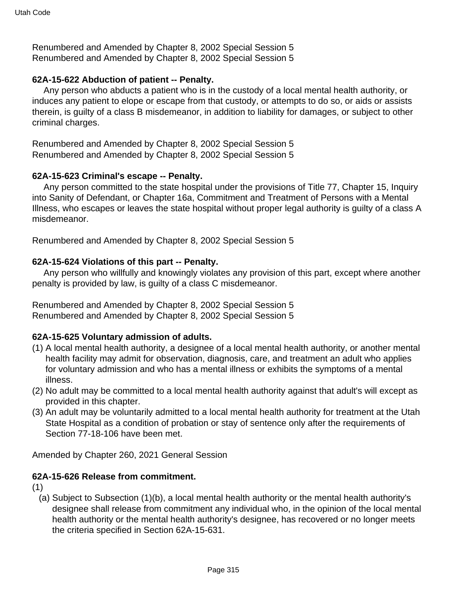Renumbered and Amended by Chapter 8, 2002 Special Session 5 Renumbered and Amended by Chapter 8, 2002 Special Session 5

#### **62A-15-622 Abduction of patient -- Penalty.**

 Any person who abducts a patient who is in the custody of a local mental health authority, or induces any patient to elope or escape from that custody, or attempts to do so, or aids or assists therein, is guilty of a class B misdemeanor, in addition to liability for damages, or subject to other criminal charges.

Renumbered and Amended by Chapter 8, 2002 Special Session 5 Renumbered and Amended by Chapter 8, 2002 Special Session 5

#### **62A-15-623 Criminal's escape -- Penalty.**

 Any person committed to the state hospital under the provisions of Title 77, Chapter 15, Inquiry into Sanity of Defendant, or Chapter 16a, Commitment and Treatment of Persons with a Mental Illness, who escapes or leaves the state hospital without proper legal authority is guilty of a class A misdemeanor.

Renumbered and Amended by Chapter 8, 2002 Special Session 5

#### **62A-15-624 Violations of this part -- Penalty.**

 Any person who willfully and knowingly violates any provision of this part, except where another penalty is provided by law, is guilty of a class C misdemeanor.

Renumbered and Amended by Chapter 8, 2002 Special Session 5 Renumbered and Amended by Chapter 8, 2002 Special Session 5

#### **62A-15-625 Voluntary admission of adults.**

- (1) A local mental health authority, a designee of a local mental health authority, or another mental health facility may admit for observation, diagnosis, care, and treatment an adult who applies for voluntary admission and who has a mental illness or exhibits the symptoms of a mental illness.
- (2) No adult may be committed to a local mental health authority against that adult's will except as provided in this chapter.
- (3) An adult may be voluntarily admitted to a local mental health authority for treatment at the Utah State Hospital as a condition of probation or stay of sentence only after the requirements of Section 77-18-106 have been met.

Amended by Chapter 260, 2021 General Session

#### **62A-15-626 Release from commitment.**

(1)

(a) Subject to Subsection (1)(b), a local mental health authority or the mental health authority's designee shall release from commitment any individual who, in the opinion of the local mental health authority or the mental health authority's designee, has recovered or no longer meets the criteria specified in Section 62A-15-631.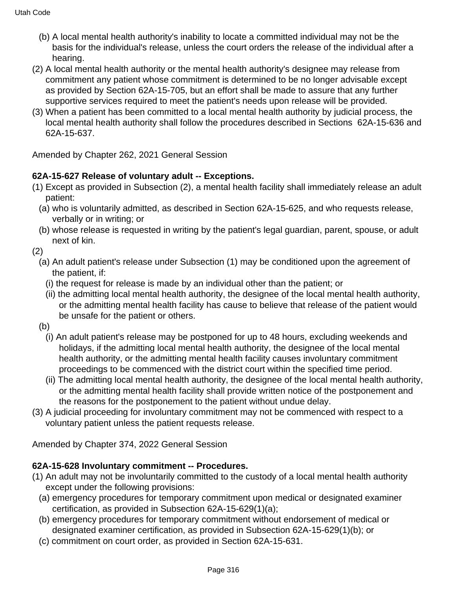- (b) A local mental health authority's inability to locate a committed individual may not be the basis for the individual's release, unless the court orders the release of the individual after a hearing.
- (2) A local mental health authority or the mental health authority's designee may release from commitment any patient whose commitment is determined to be no longer advisable except as provided by Section 62A-15-705, but an effort shall be made to assure that any further supportive services required to meet the patient's needs upon release will be provided.
- (3) When a patient has been committed to a local mental health authority by judicial process, the local mental health authority shall follow the procedures described in Sections 62A-15-636 and 62A-15-637.

Amended by Chapter 262, 2021 General Session

### **62A-15-627 Release of voluntary adult -- Exceptions.**

- (1) Except as provided in Subsection (2), a mental health facility shall immediately release an adult patient:
	- (a) who is voluntarily admitted, as described in Section 62A-15-625, and who requests release, verbally or in writing; or
	- (b) whose release is requested in writing by the patient's legal guardian, parent, spouse, or adult next of kin.

(2)

- (a) An adult patient's release under Subsection (1) may be conditioned upon the agreement of the patient, if:
	- (i) the request for release is made by an individual other than the patient; or
	- (ii) the admitting local mental health authority, the designee of the local mental health authority, or the admitting mental health facility has cause to believe that release of the patient would be unsafe for the patient or others.
- (b)
	- (i) An adult patient's release may be postponed for up to 48 hours, excluding weekends and holidays, if the admitting local mental health authority, the designee of the local mental health authority, or the admitting mental health facility causes involuntary commitment proceedings to be commenced with the district court within the specified time period.
	- (ii) The admitting local mental health authority, the designee of the local mental health authority, or the admitting mental health facility shall provide written notice of the postponement and the reasons for the postponement to the patient without undue delay.
- (3) A judicial proceeding for involuntary commitment may not be commenced with respect to a voluntary patient unless the patient requests release.

Amended by Chapter 374, 2022 General Session

### **62A-15-628 Involuntary commitment -- Procedures.**

- (1) An adult may not be involuntarily committed to the custody of a local mental health authority except under the following provisions:
	- (a) emergency procedures for temporary commitment upon medical or designated examiner certification, as provided in Subsection 62A-15-629(1)(a);
	- (b) emergency procedures for temporary commitment without endorsement of medical or designated examiner certification, as provided in Subsection 62A-15-629(1)(b); or
	- (c) commitment on court order, as provided in Section 62A-15-631.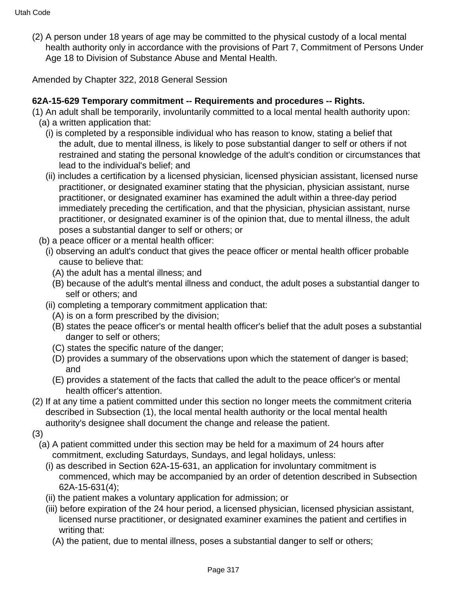(2) A person under 18 years of age may be committed to the physical custody of a local mental health authority only in accordance with the provisions of Part 7, Commitment of Persons Under Age 18 to Division of Substance Abuse and Mental Health.

Amended by Chapter 322, 2018 General Session

# **62A-15-629 Temporary commitment -- Requirements and procedures -- Rights.**

- (1) An adult shall be temporarily, involuntarily committed to a local mental health authority upon:
	- (a) a written application that:
		- (i) is completed by a responsible individual who has reason to know, stating a belief that the adult, due to mental illness, is likely to pose substantial danger to self or others if not restrained and stating the personal knowledge of the adult's condition or circumstances that lead to the individual's belief; and
		- (ii) includes a certification by a licensed physician, licensed physician assistant, licensed nurse practitioner, or designated examiner stating that the physician, physician assistant, nurse practitioner, or designated examiner has examined the adult within a three-day period immediately preceding the certification, and that the physician, physician assistant, nurse practitioner, or designated examiner is of the opinion that, due to mental illness, the adult poses a substantial danger to self or others; or
	- (b) a peace officer or a mental health officer:
		- (i) observing an adult's conduct that gives the peace officer or mental health officer probable cause to believe that:
			- (A) the adult has a mental illness; and
			- (B) because of the adult's mental illness and conduct, the adult poses a substantial danger to self or others; and
		- (ii) completing a temporary commitment application that:
			- (A) is on a form prescribed by the division;
			- (B) states the peace officer's or mental health officer's belief that the adult poses a substantial danger to self or others;
			- (C) states the specific nature of the danger;
			- (D) provides a summary of the observations upon which the statement of danger is based; and
			- (E) provides a statement of the facts that called the adult to the peace officer's or mental health officer's attention.
- (2) If at any time a patient committed under this section no longer meets the commitment criteria described in Subsection (1), the local mental health authority or the local mental health authority's designee shall document the change and release the patient.
- (3)
	- (a) A patient committed under this section may be held for a maximum of 24 hours after commitment, excluding Saturdays, Sundays, and legal holidays, unless:
		- (i) as described in Section 62A-15-631, an application for involuntary commitment is commenced, which may be accompanied by an order of detention described in Subsection 62A-15-631(4);
		- (ii) the patient makes a voluntary application for admission; or
		- (iii) before expiration of the 24 hour period, a licensed physician, licensed physician assistant, licensed nurse practitioner, or designated examiner examines the patient and certifies in writing that:
			- (A) the patient, due to mental illness, poses a substantial danger to self or others;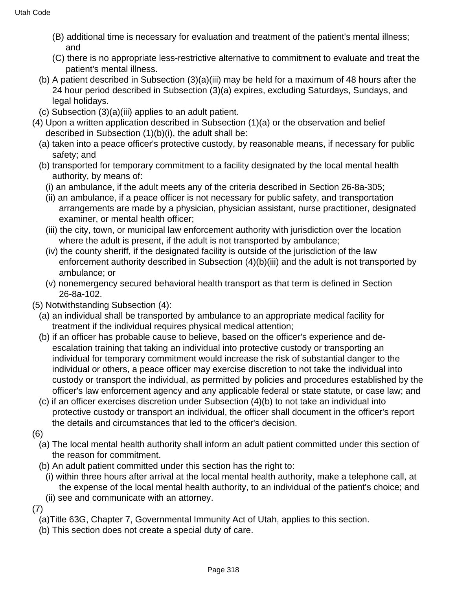- (B) additional time is necessary for evaluation and treatment of the patient's mental illness; and
- (C) there is no appropriate less-restrictive alternative to commitment to evaluate and treat the patient's mental illness.
- (b) A patient described in Subsection (3)(a)(iii) may be held for a maximum of 48 hours after the 24 hour period described in Subsection (3)(a) expires, excluding Saturdays, Sundays, and legal holidays.
- (c) Subsection (3)(a)(iii) applies to an adult patient.
- (4) Upon a written application described in Subsection (1)(a) or the observation and belief described in Subsection (1)(b)(i), the adult shall be:
	- (a) taken into a peace officer's protective custody, by reasonable means, if necessary for public safety; and
	- (b) transported for temporary commitment to a facility designated by the local mental health authority, by means of:
		- (i) an ambulance, if the adult meets any of the criteria described in Section 26-8a-305;
		- (ii) an ambulance, if a peace officer is not necessary for public safety, and transportation arrangements are made by a physician, physician assistant, nurse practitioner, designated examiner, or mental health officer;
		- (iii) the city, town, or municipal law enforcement authority with jurisdiction over the location where the adult is present, if the adult is not transported by ambulance;
		- (iv) the county sheriff, if the designated facility is outside of the jurisdiction of the law enforcement authority described in Subsection (4)(b)(iii) and the adult is not transported by ambulance; or
		- (v) nonemergency secured behavioral health transport as that term is defined in Section 26-8a-102.
- (5) Notwithstanding Subsection (4):
	- (a) an individual shall be transported by ambulance to an appropriate medical facility for treatment if the individual requires physical medical attention;
	- (b) if an officer has probable cause to believe, based on the officer's experience and deescalation training that taking an individual into protective custody or transporting an individual for temporary commitment would increase the risk of substantial danger to the individual or others, a peace officer may exercise discretion to not take the individual into custody or transport the individual, as permitted by policies and procedures established by the officer's law enforcement agency and any applicable federal or state statute, or case law; and
	- (c) if an officer exercises discretion under Subsection (4)(b) to not take an individual into protective custody or transport an individual, the officer shall document in the officer's report the details and circumstances that led to the officer's decision.
- (6)
	- (a) The local mental health authority shall inform an adult patient committed under this section of the reason for commitment.
	- (b) An adult patient committed under this section has the right to:
	- (i) within three hours after arrival at the local mental health authority, make a telephone call, at the expense of the local mental health authority, to an individual of the patient's choice; and
	- (ii) see and communicate with an attorney.
- (7)

(a)Title 63G, Chapter 7, Governmental Immunity Act of Utah, applies to this section.

(b) This section does not create a special duty of care.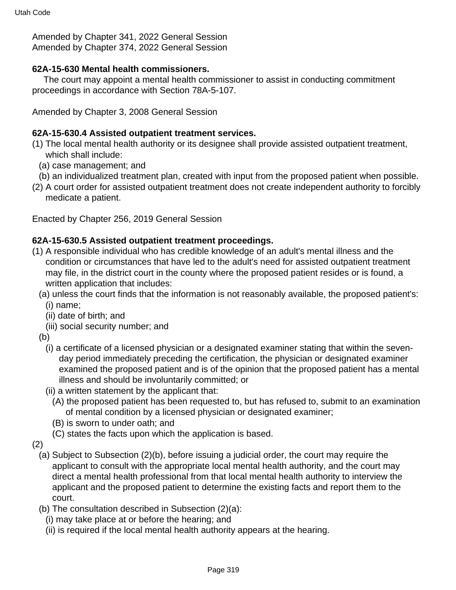Amended by Chapter 341, 2022 General Session Amended by Chapter 374, 2022 General Session

### **62A-15-630 Mental health commissioners.**

 The court may appoint a mental health commissioner to assist in conducting commitment proceedings in accordance with Section 78A-5-107.

Amended by Chapter 3, 2008 General Session

#### **62A-15-630.4 Assisted outpatient treatment services.**

- (1) The local mental health authority or its designee shall provide assisted outpatient treatment, which shall include:
	- (a) case management; and
	- (b) an individualized treatment plan, created with input from the proposed patient when possible.
- (2) A court order for assisted outpatient treatment does not create independent authority to forcibly medicate a patient.

Enacted by Chapter 256, 2019 General Session

#### **62A-15-630.5 Assisted outpatient treatment proceedings.**

(1) A responsible individual who has credible knowledge of an adult's mental illness and the condition or circumstances that have led to the adult's need for assisted outpatient treatment may file, in the district court in the county where the proposed patient resides or is found, a written application that includes:

#### (a) unless the court finds that the information is not reasonably available, the proposed patient's: (i) name;

- (ii) date of birth; and
- (iii) social security number; and
- (b)
	- (i) a certificate of a licensed physician or a designated examiner stating that within the sevenday period immediately preceding the certification, the physician or designated examiner examined the proposed patient and is of the opinion that the proposed patient has a mental illness and should be involuntarily committed; or
	- (ii) a written statement by the applicant that:
		- (A) the proposed patient has been requested to, but has refused to, submit to an examination of mental condition by a licensed physician or designated examiner;
		- (B) is sworn to under oath; and
		- (C) states the facts upon which the application is based.
- (2)
	- (a) Subject to Subsection (2)(b), before issuing a judicial order, the court may require the applicant to consult with the appropriate local mental health authority, and the court may direct a mental health professional from that local mental health authority to interview the applicant and the proposed patient to determine the existing facts and report them to the court.
	- (b) The consultation described in Subsection (2)(a):
		- (i) may take place at or before the hearing; and
		- (ii) is required if the local mental health authority appears at the hearing.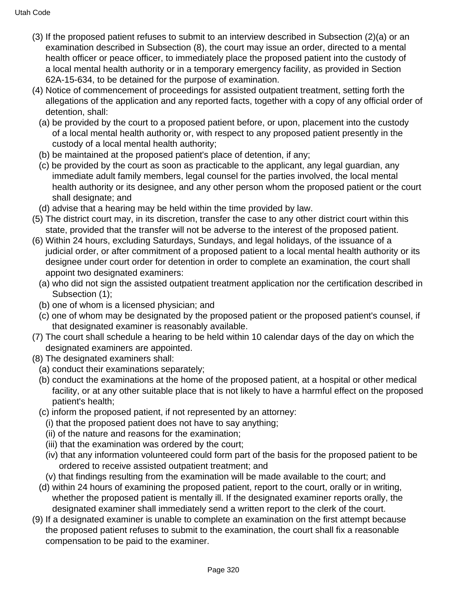- (3) If the proposed patient refuses to submit to an interview described in Subsection (2)(a) or an examination described in Subsection (8), the court may issue an order, directed to a mental health officer or peace officer, to immediately place the proposed patient into the custody of a local mental health authority or in a temporary emergency facility, as provided in Section 62A-15-634, to be detained for the purpose of examination.
- (4) Notice of commencement of proceedings for assisted outpatient treatment, setting forth the allegations of the application and any reported facts, together with a copy of any official order of detention, shall:
	- (a) be provided by the court to a proposed patient before, or upon, placement into the custody of a local mental health authority or, with respect to any proposed patient presently in the custody of a local mental health authority;
	- (b) be maintained at the proposed patient's place of detention, if any;
	- (c) be provided by the court as soon as practicable to the applicant, any legal guardian, any immediate adult family members, legal counsel for the parties involved, the local mental health authority or its designee, and any other person whom the proposed patient or the court shall designate; and
- (d) advise that a hearing may be held within the time provided by law.
- (5) The district court may, in its discretion, transfer the case to any other district court within this state, provided that the transfer will not be adverse to the interest of the proposed patient.
- (6) Within 24 hours, excluding Saturdays, Sundays, and legal holidays, of the issuance of a judicial order, or after commitment of a proposed patient to a local mental health authority or its designee under court order for detention in order to complete an examination, the court shall appoint two designated examiners:
	- (a) who did not sign the assisted outpatient treatment application nor the certification described in Subsection (1);
	- (b) one of whom is a licensed physician; and
	- (c) one of whom may be designated by the proposed patient or the proposed patient's counsel, if that designated examiner is reasonably available.
- (7) The court shall schedule a hearing to be held within 10 calendar days of the day on which the designated examiners are appointed.
- (8) The designated examiners shall:
	- (a) conduct their examinations separately;
	- (b) conduct the examinations at the home of the proposed patient, at a hospital or other medical facility, or at any other suitable place that is not likely to have a harmful effect on the proposed patient's health;
	- (c) inform the proposed patient, if not represented by an attorney:
		- (i) that the proposed patient does not have to say anything;
		- (ii) of the nature and reasons for the examination;
		- (iii) that the examination was ordered by the court;
		- (iv) that any information volunteered could form part of the basis for the proposed patient to be ordered to receive assisted outpatient treatment; and
		- (v) that findings resulting from the examination will be made available to the court; and
	- (d) within 24 hours of examining the proposed patient, report to the court, orally or in writing, whether the proposed patient is mentally ill. If the designated examiner reports orally, the designated examiner shall immediately send a written report to the clerk of the court.
- (9) If a designated examiner is unable to complete an examination on the first attempt because the proposed patient refuses to submit to the examination, the court shall fix a reasonable compensation to be paid to the examiner.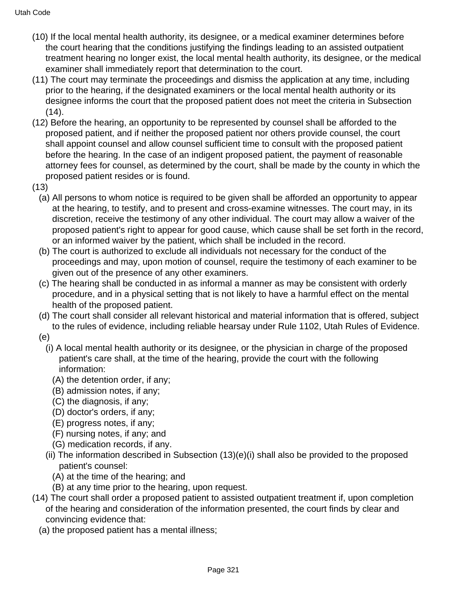- (10) If the local mental health authority, its designee, or a medical examiner determines before the court hearing that the conditions justifying the findings leading to an assisted outpatient treatment hearing no longer exist, the local mental health authority, its designee, or the medical examiner shall immediately report that determination to the court.
- (11) The court may terminate the proceedings and dismiss the application at any time, including prior to the hearing, if the designated examiners or the local mental health authority or its designee informs the court that the proposed patient does not meet the criteria in Subsection  $(14).$
- (12) Before the hearing, an opportunity to be represented by counsel shall be afforded to the proposed patient, and if neither the proposed patient nor others provide counsel, the court shall appoint counsel and allow counsel sufficient time to consult with the proposed patient before the hearing. In the case of an indigent proposed patient, the payment of reasonable attorney fees for counsel, as determined by the court, shall be made by the county in which the proposed patient resides or is found.
- (13)
	- (a) All persons to whom notice is required to be given shall be afforded an opportunity to appear at the hearing, to testify, and to present and cross-examine witnesses. The court may, in its discretion, receive the testimony of any other individual. The court may allow a waiver of the proposed patient's right to appear for good cause, which cause shall be set forth in the record, or an informed waiver by the patient, which shall be included in the record.
	- (b) The court is authorized to exclude all individuals not necessary for the conduct of the proceedings and may, upon motion of counsel, require the testimony of each examiner to be given out of the presence of any other examiners.
	- (c) The hearing shall be conducted in as informal a manner as may be consistent with orderly procedure, and in a physical setting that is not likely to have a harmful effect on the mental health of the proposed patient.
	- (d) The court shall consider all relevant historical and material information that is offered, subject to the rules of evidence, including reliable hearsay under Rule 1102, Utah Rules of Evidence.
	- (e)
		- (i) A local mental health authority or its designee, or the physician in charge of the proposed patient's care shall, at the time of the hearing, provide the court with the following information:
			- (A) the detention order, if any;
			- (B) admission notes, if any;
			- (C) the diagnosis, if any;
			- (D) doctor's orders, if any;
			- (E) progress notes, if any;
			- (F) nursing notes, if any; and
			- (G) medication records, if any.
		- (ii) The information described in Subsection (13)(e)(i) shall also be provided to the proposed patient's counsel:
			- (A) at the time of the hearing; and
			- (B) at any time prior to the hearing, upon request.
- (14) The court shall order a proposed patient to assisted outpatient treatment if, upon completion of the hearing and consideration of the information presented, the court finds by clear and convincing evidence that:
	- (a) the proposed patient has a mental illness;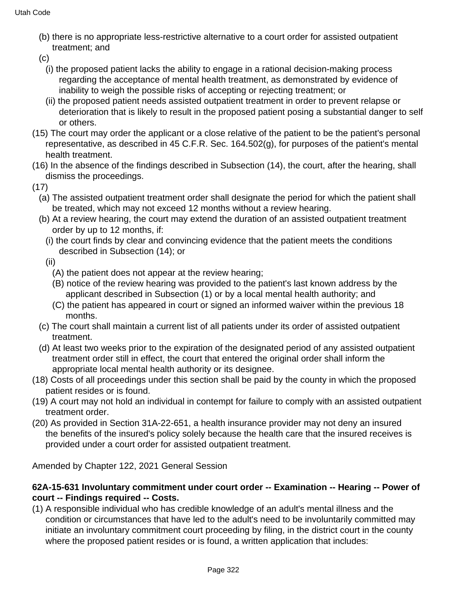- (b) there is no appropriate less-restrictive alternative to a court order for assisted outpatient treatment; and
- (c)
	- (i) the proposed patient lacks the ability to engage in a rational decision-making process regarding the acceptance of mental health treatment, as demonstrated by evidence of inability to weigh the possible risks of accepting or rejecting treatment; or
	- (ii) the proposed patient needs assisted outpatient treatment in order to prevent relapse or deterioration that is likely to result in the proposed patient posing a substantial danger to self or others.
- (15) The court may order the applicant or a close relative of the patient to be the patient's personal representative, as described in 45 C.F.R. Sec. 164.502(g), for purposes of the patient's mental health treatment.
- (16) In the absence of the findings described in Subsection (14), the court, after the hearing, shall dismiss the proceedings.
- (17)
	- (a) The assisted outpatient treatment order shall designate the period for which the patient shall be treated, which may not exceed 12 months without a review hearing.
	- (b) At a review hearing, the court may extend the duration of an assisted outpatient treatment order by up to 12 months, if:
		- (i) the court finds by clear and convincing evidence that the patient meets the conditions described in Subsection (14); or
		- (ii)
			- (A) the patient does not appear at the review hearing;
			- (B) notice of the review hearing was provided to the patient's last known address by the applicant described in Subsection (1) or by a local mental health authority; and
			- (C) the patient has appeared in court or signed an informed waiver within the previous 18 months.
	- (c) The court shall maintain a current list of all patients under its order of assisted outpatient treatment.
	- (d) At least two weeks prior to the expiration of the designated period of any assisted outpatient treatment order still in effect, the court that entered the original order shall inform the appropriate local mental health authority or its designee.
- (18) Costs of all proceedings under this section shall be paid by the county in which the proposed patient resides or is found.
- (19) A court may not hold an individual in contempt for failure to comply with an assisted outpatient treatment order.
- (20) As provided in Section 31A-22-651, a health insurance provider may not deny an insured the benefits of the insured's policy solely because the health care that the insured receives is provided under a court order for assisted outpatient treatment.

Amended by Chapter 122, 2021 General Session

### **62A-15-631 Involuntary commitment under court order -- Examination -- Hearing -- Power of court -- Findings required -- Costs.**

(1) A responsible individual who has credible knowledge of an adult's mental illness and the condition or circumstances that have led to the adult's need to be involuntarily committed may initiate an involuntary commitment court proceeding by filing, in the district court in the county where the proposed patient resides or is found, a written application that includes: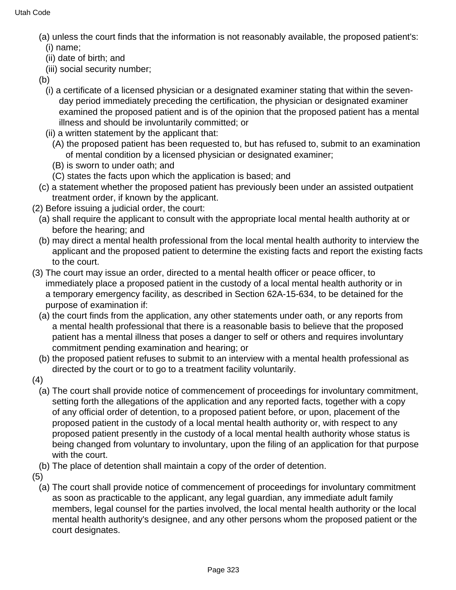- (a) unless the court finds that the information is not reasonably available, the proposed patient's: (i) name;
	- (ii) date of birth; and
	- (iii) social security number;
- (b)
	- (i) a certificate of a licensed physician or a designated examiner stating that within the sevenday period immediately preceding the certification, the physician or designated examiner examined the proposed patient and is of the opinion that the proposed patient has a mental illness and should be involuntarily committed; or
	- (ii) a written statement by the applicant that:
		- (A) the proposed patient has been requested to, but has refused to, submit to an examination of mental condition by a licensed physician or designated examiner;
		- (B) is sworn to under oath; and
		- (C) states the facts upon which the application is based; and
- (c) a statement whether the proposed patient has previously been under an assisted outpatient treatment order, if known by the applicant.
- (2) Before issuing a judicial order, the court:
	- (a) shall require the applicant to consult with the appropriate local mental health authority at or before the hearing; and
	- (b) may direct a mental health professional from the local mental health authority to interview the applicant and the proposed patient to determine the existing facts and report the existing facts to the court.
- (3) The court may issue an order, directed to a mental health officer or peace officer, to immediately place a proposed patient in the custody of a local mental health authority or in a temporary emergency facility, as described in Section 62A-15-634, to be detained for the purpose of examination if:
	- (a) the court finds from the application, any other statements under oath, or any reports from a mental health professional that there is a reasonable basis to believe that the proposed patient has a mental illness that poses a danger to self or others and requires involuntary commitment pending examination and hearing; or
	- (b) the proposed patient refuses to submit to an interview with a mental health professional as directed by the court or to go to a treatment facility voluntarily.
- (4)
	- (a) The court shall provide notice of commencement of proceedings for involuntary commitment, setting forth the allegations of the application and any reported facts, together with a copy of any official order of detention, to a proposed patient before, or upon, placement of the proposed patient in the custody of a local mental health authority or, with respect to any proposed patient presently in the custody of a local mental health authority whose status is being changed from voluntary to involuntary, upon the filing of an application for that purpose with the court.
	- (b) The place of detention shall maintain a copy of the order of detention.
- (5)
	- (a) The court shall provide notice of commencement of proceedings for involuntary commitment as soon as practicable to the applicant, any legal guardian, any immediate adult family members, legal counsel for the parties involved, the local mental health authority or the local mental health authority's designee, and any other persons whom the proposed patient or the court designates.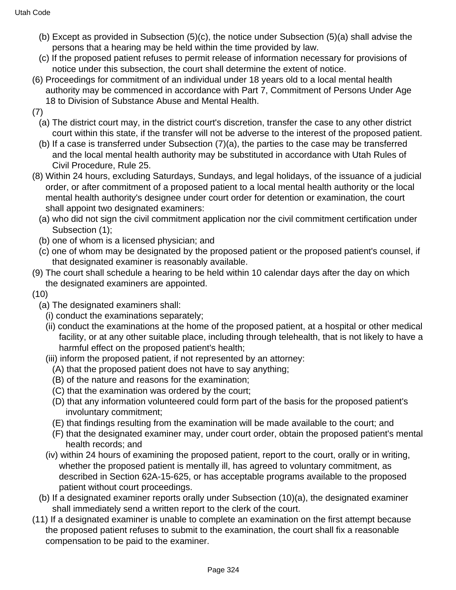- (b) Except as provided in Subsection (5)(c), the notice under Subsection (5)(a) shall advise the persons that a hearing may be held within the time provided by law.
- (c) If the proposed patient refuses to permit release of information necessary for provisions of notice under this subsection, the court shall determine the extent of notice.
- (6) Proceedings for commitment of an individual under 18 years old to a local mental health authority may be commenced in accordance with Part 7, Commitment of Persons Under Age 18 to Division of Substance Abuse and Mental Health.
- (7)
	- (a) The district court may, in the district court's discretion, transfer the case to any other district court within this state, if the transfer will not be adverse to the interest of the proposed patient.
	- (b) If a case is transferred under Subsection (7)(a), the parties to the case may be transferred and the local mental health authority may be substituted in accordance with Utah Rules of Civil Procedure, Rule 25.
- (8) Within 24 hours, excluding Saturdays, Sundays, and legal holidays, of the issuance of a judicial order, or after commitment of a proposed patient to a local mental health authority or the local mental health authority's designee under court order for detention or examination, the court shall appoint two designated examiners:
	- (a) who did not sign the civil commitment application nor the civil commitment certification under Subsection (1);
	- (b) one of whom is a licensed physician; and
	- (c) one of whom may be designated by the proposed patient or the proposed patient's counsel, if that designated examiner is reasonably available.
- (9) The court shall schedule a hearing to be held within 10 calendar days after the day on which the designated examiners are appointed.
- (10)
	- (a) The designated examiners shall:
		- (i) conduct the examinations separately;
		- (ii) conduct the examinations at the home of the proposed patient, at a hospital or other medical facility, or at any other suitable place, including through telehealth, that is not likely to have a harmful effect on the proposed patient's health;
		- (iii) inform the proposed patient, if not represented by an attorney:
			- (A) that the proposed patient does not have to say anything;
			- (B) of the nature and reasons for the examination;
			- (C) that the examination was ordered by the court;
			- (D) that any information volunteered could form part of the basis for the proposed patient's involuntary commitment;
			- (E) that findings resulting from the examination will be made available to the court; and
			- (F) that the designated examiner may, under court order, obtain the proposed patient's mental health records; and
		- (iv) within 24 hours of examining the proposed patient, report to the court, orally or in writing, whether the proposed patient is mentally ill, has agreed to voluntary commitment, as described in Section 62A-15-625, or has acceptable programs available to the proposed patient without court proceedings.
	- (b) If a designated examiner reports orally under Subsection (10)(a), the designated examiner shall immediately send a written report to the clerk of the court.
- (11) If a designated examiner is unable to complete an examination on the first attempt because the proposed patient refuses to submit to the examination, the court shall fix a reasonable compensation to be paid to the examiner.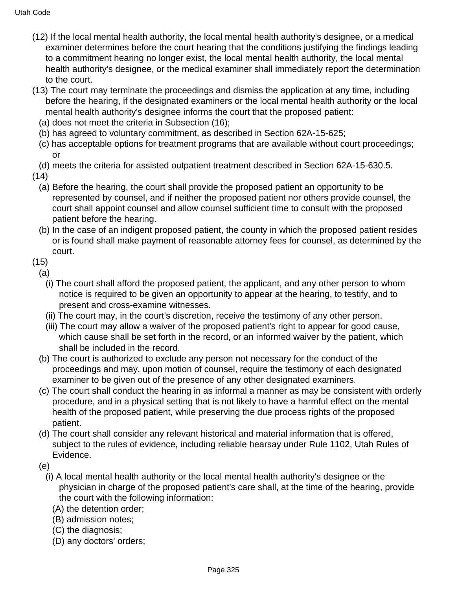- (12) If the local mental health authority, the local mental health authority's designee, or a medical examiner determines before the court hearing that the conditions justifying the findings leading to a commitment hearing no longer exist, the local mental health authority, the local mental health authority's designee, or the medical examiner shall immediately report the determination to the court.
- (13) The court may terminate the proceedings and dismiss the application at any time, including before the hearing, if the designated examiners or the local mental health authority or the local mental health authority's designee informs the court that the proposed patient:
	- (a) does not meet the criteria in Subsection (16);
	- (b) has agreed to voluntary commitment, as described in Section 62A-15-625;
	- (c) has acceptable options for treatment programs that are available without court proceedings; or
	- (d) meets the criteria for assisted outpatient treatment described in Section 62A-15-630.5.
- (14)
	- (a) Before the hearing, the court shall provide the proposed patient an opportunity to be represented by counsel, and if neither the proposed patient nor others provide counsel, the court shall appoint counsel and allow counsel sufficient time to consult with the proposed patient before the hearing.
	- (b) In the case of an indigent proposed patient, the county in which the proposed patient resides or is found shall make payment of reasonable attorney fees for counsel, as determined by the court.

## (15)

(a)

- (i) The court shall afford the proposed patient, the applicant, and any other person to whom notice is required to be given an opportunity to appear at the hearing, to testify, and to present and cross-examine witnesses.
- (ii) The court may, in the court's discretion, receive the testimony of any other person.
- (iii) The court may allow a waiver of the proposed patient's right to appear for good cause, which cause shall be set forth in the record, or an informed waiver by the patient, which shall be included in the record.
- (b) The court is authorized to exclude any person not necessary for the conduct of the proceedings and may, upon motion of counsel, require the testimony of each designated examiner to be given out of the presence of any other designated examiners.
- (c) The court shall conduct the hearing in as informal a manner as may be consistent with orderly procedure, and in a physical setting that is not likely to have a harmful effect on the mental health of the proposed patient, while preserving the due process rights of the proposed patient.
- (d) The court shall consider any relevant historical and material information that is offered, subject to the rules of evidence, including reliable hearsay under Rule 1102, Utah Rules of Evidence.
- (e)
	- (i) A local mental health authority or the local mental health authority's designee or the physician in charge of the proposed patient's care shall, at the time of the hearing, provide the court with the following information:
		- (A) the detention order;
		- (B) admission notes;
		- (C) the diagnosis;
		- (D) any doctors' orders;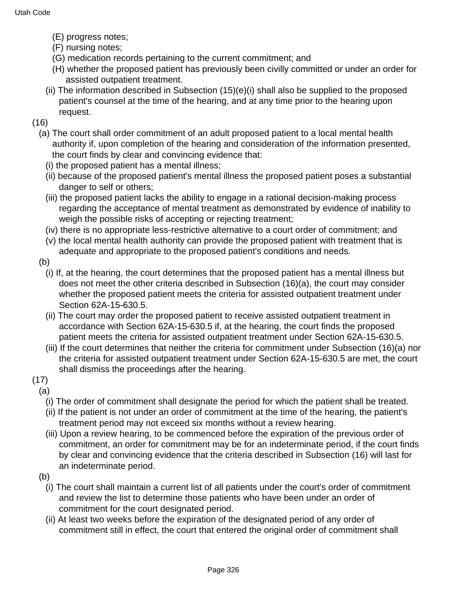- (E) progress notes;
- (F) nursing notes;
- (G) medication records pertaining to the current commitment; and
- (H) whether the proposed patient has previously been civilly committed or under an order for assisted outpatient treatment.
- (ii) The information described in Subsection (15)(e)(i) shall also be supplied to the proposed patient's counsel at the time of the hearing, and at any time prior to the hearing upon request.
- (16)
	- (a) The court shall order commitment of an adult proposed patient to a local mental health authority if, upon completion of the hearing and consideration of the information presented, the court finds by clear and convincing evidence that:
		- (i) the proposed patient has a mental illness;
		- (ii) because of the proposed patient's mental illness the proposed patient poses a substantial danger to self or others;
		- (iii) the proposed patient lacks the ability to engage in a rational decision-making process regarding the acceptance of mental treatment as demonstrated by evidence of inability to weigh the possible risks of accepting or rejecting treatment;
		- (iv) there is no appropriate less-restrictive alternative to a court order of commitment; and
		- (v) the local mental health authority can provide the proposed patient with treatment that is adequate and appropriate to the proposed patient's conditions and needs.
	- (b)
		- (i) If, at the hearing, the court determines that the proposed patient has a mental illness but does not meet the other criteria described in Subsection (16)(a), the court may consider whether the proposed patient meets the criteria for assisted outpatient treatment under Section 62A-15-630.5.
		- (ii) The court may order the proposed patient to receive assisted outpatient treatment in accordance with Section 62A-15-630.5 if, at the hearing, the court finds the proposed patient meets the criteria for assisted outpatient treatment under Section 62A-15-630.5.
		- (iii) If the court determines that neither the criteria for commitment under Subsection (16)(a) nor the criteria for assisted outpatient treatment under Section 62A-15-630.5 are met, the court shall dismiss the proceedings after the hearing.

# (17)

- (a)
	- (i) The order of commitment shall designate the period for which the patient shall be treated.
	- (ii) If the patient is not under an order of commitment at the time of the hearing, the patient's treatment period may not exceed six months without a review hearing.
	- (iii) Upon a review hearing, to be commenced before the expiration of the previous order of commitment, an order for commitment may be for an indeterminate period, if the court finds by clear and convincing evidence that the criteria described in Subsection (16) will last for an indeterminate period.
- (b)
	- (i) The court shall maintain a current list of all patients under the court's order of commitment and review the list to determine those patients who have been under an order of commitment for the court designated period.
	- (ii) At least two weeks before the expiration of the designated period of any order of commitment still in effect, the court that entered the original order of commitment shall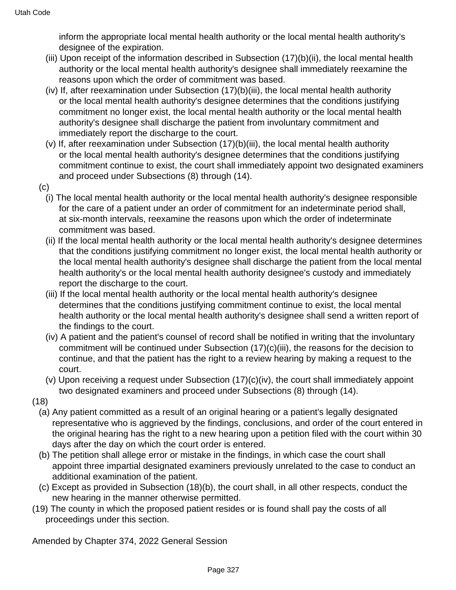inform the appropriate local mental health authority or the local mental health authority's designee of the expiration.

- (iii) Upon receipt of the information described in Subsection (17)(b)(ii), the local mental health authority or the local mental health authority's designee shall immediately reexamine the reasons upon which the order of commitment was based.
- (iv) If, after reexamination under Subsection (17)(b)(iii), the local mental health authority or the local mental health authority's designee determines that the conditions justifying commitment no longer exist, the local mental health authority or the local mental health authority's designee shall discharge the patient from involuntary commitment and immediately report the discharge to the court.
- (v) If, after reexamination under Subsection (17)(b)(iii), the local mental health authority or the local mental health authority's designee determines that the conditions justifying commitment continue to exist, the court shall immediately appoint two designated examiners and proceed under Subsections (8) through (14).
- (c)
	- (i) The local mental health authority or the local mental health authority's designee responsible for the care of a patient under an order of commitment for an indeterminate period shall, at six-month intervals, reexamine the reasons upon which the order of indeterminate commitment was based.
	- (ii) If the local mental health authority or the local mental health authority's designee determines that the conditions justifying commitment no longer exist, the local mental health authority or the local mental health authority's designee shall discharge the patient from the local mental health authority's or the local mental health authority designee's custody and immediately report the discharge to the court.
	- (iii) If the local mental health authority or the local mental health authority's designee determines that the conditions justifying commitment continue to exist, the local mental health authority or the local mental health authority's designee shall send a written report of the findings to the court.
	- (iv) A patient and the patient's counsel of record shall be notified in writing that the involuntary commitment will be continued under Subsection (17)(c)(iii), the reasons for the decision to continue, and that the patient has the right to a review hearing by making a request to the court.
	- (v) Upon receiving a request under Subsection (17)(c)(iv), the court shall immediately appoint two designated examiners and proceed under Subsections (8) through (14).
- (18)
	- (a) Any patient committed as a result of an original hearing or a patient's legally designated representative who is aggrieved by the findings, conclusions, and order of the court entered in the original hearing has the right to a new hearing upon a petition filed with the court within 30 days after the day on which the court order is entered.
	- (b) The petition shall allege error or mistake in the findings, in which case the court shall appoint three impartial designated examiners previously unrelated to the case to conduct an additional examination of the patient.
	- (c) Except as provided in Subsection (18)(b), the court shall, in all other respects, conduct the new hearing in the manner otherwise permitted.
- (19) The county in which the proposed patient resides or is found shall pay the costs of all proceedings under this section.

Amended by Chapter 374, 2022 General Session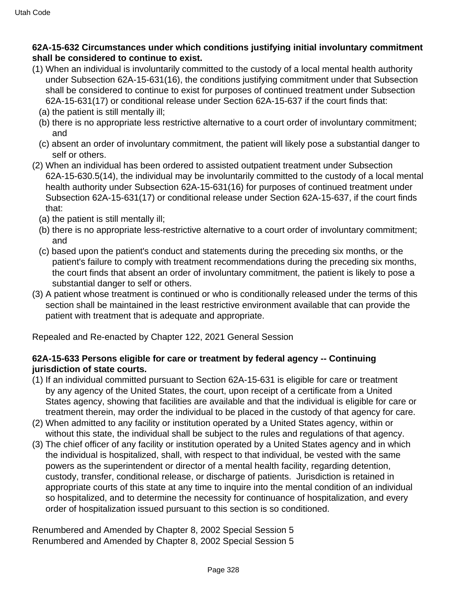## **62A-15-632 Circumstances under which conditions justifying initial involuntary commitment shall be considered to continue to exist.**

- (1) When an individual is involuntarily committed to the custody of a local mental health authority under Subsection 62A-15-631(16), the conditions justifying commitment under that Subsection shall be considered to continue to exist for purposes of continued treatment under Subsection 62A-15-631(17) or conditional release under Section 62A-15-637 if the court finds that:
	- (a) the patient is still mentally ill;
	- (b) there is no appropriate less restrictive alternative to a court order of involuntary commitment; and
	- (c) absent an order of involuntary commitment, the patient will likely pose a substantial danger to self or others.
- (2) When an individual has been ordered to assisted outpatient treatment under Subsection 62A-15-630.5(14), the individual may be involuntarily committed to the custody of a local mental health authority under Subsection 62A-15-631(16) for purposes of continued treatment under Subsection 62A-15-631(17) or conditional release under Section 62A-15-637, if the court finds that:
	- (a) the patient is still mentally ill;
	- (b) there is no appropriate less-restrictive alternative to a court order of involuntary commitment; and
	- (c) based upon the patient's conduct and statements during the preceding six months, or the patient's failure to comply with treatment recommendations during the preceding six months, the court finds that absent an order of involuntary commitment, the patient is likely to pose a substantial danger to self or others.
- (3) A patient whose treatment is continued or who is conditionally released under the terms of this section shall be maintained in the least restrictive environment available that can provide the patient with treatment that is adequate and appropriate.

Repealed and Re-enacted by Chapter 122, 2021 General Session

## **62A-15-633 Persons eligible for care or treatment by federal agency -- Continuing jurisdiction of state courts.**

- (1) If an individual committed pursuant to Section 62A-15-631 is eligible for care or treatment by any agency of the United States, the court, upon receipt of a certificate from a United States agency, showing that facilities are available and that the individual is eligible for care or treatment therein, may order the individual to be placed in the custody of that agency for care.
- (2) When admitted to any facility or institution operated by a United States agency, within or without this state, the individual shall be subject to the rules and regulations of that agency.
- (3) The chief officer of any facility or institution operated by a United States agency and in which the individual is hospitalized, shall, with respect to that individual, be vested with the same powers as the superintendent or director of a mental health facility, regarding detention, custody, transfer, conditional release, or discharge of patients. Jurisdiction is retained in appropriate courts of this state at any time to inquire into the mental condition of an individual so hospitalized, and to determine the necessity for continuance of hospitalization, and every order of hospitalization issued pursuant to this section is so conditioned.

Renumbered and Amended by Chapter 8, 2002 Special Session 5 Renumbered and Amended by Chapter 8, 2002 Special Session 5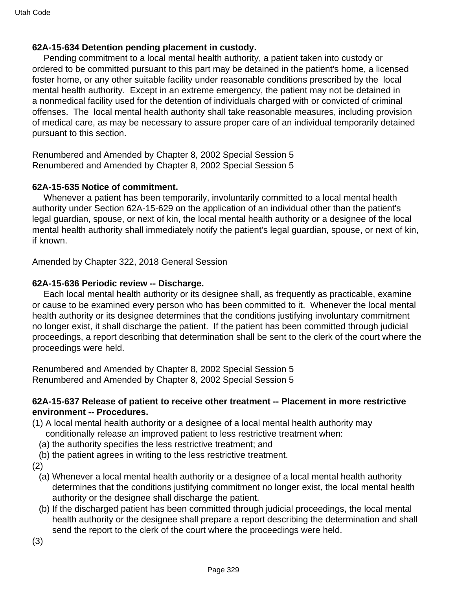## **62A-15-634 Detention pending placement in custody.**

 Pending commitment to a local mental health authority, a patient taken into custody or ordered to be committed pursuant to this part may be detained in the patient's home, a licensed foster home, or any other suitable facility under reasonable conditions prescribed by the local mental health authority. Except in an extreme emergency, the patient may not be detained in a nonmedical facility used for the detention of individuals charged with or convicted of criminal offenses. The local mental health authority shall take reasonable measures, including provision of medical care, as may be necessary to assure proper care of an individual temporarily detained pursuant to this section.

Renumbered and Amended by Chapter 8, 2002 Special Session 5 Renumbered and Amended by Chapter 8, 2002 Special Session 5

### **62A-15-635 Notice of commitment.**

 Whenever a patient has been temporarily, involuntarily committed to a local mental health authority under Section 62A-15-629 on the application of an individual other than the patient's legal guardian, spouse, or next of kin, the local mental health authority or a designee of the local mental health authority shall immediately notify the patient's legal guardian, spouse, or next of kin, if known.

Amended by Chapter 322, 2018 General Session

### **62A-15-636 Periodic review -- Discharge.**

 Each local mental health authority or its designee shall, as frequently as practicable, examine or cause to be examined every person who has been committed to it. Whenever the local mental health authority or its designee determines that the conditions justifying involuntary commitment no longer exist, it shall discharge the patient. If the patient has been committed through judicial proceedings, a report describing that determination shall be sent to the clerk of the court where the proceedings were held.

Renumbered and Amended by Chapter 8, 2002 Special Session 5 Renumbered and Amended by Chapter 8, 2002 Special Session 5

#### **62A-15-637 Release of patient to receive other treatment -- Placement in more restrictive environment -- Procedures.**

- (1) A local mental health authority or a designee of a local mental health authority may conditionally release an improved patient to less restrictive treatment when:
	- (a) the authority specifies the less restrictive treatment; and
- (b) the patient agrees in writing to the less restrictive treatment.

(2)

- (a) Whenever a local mental health authority or a designee of a local mental health authority determines that the conditions justifying commitment no longer exist, the local mental health authority or the designee shall discharge the patient.
- (b) If the discharged patient has been committed through judicial proceedings, the local mental health authority or the designee shall prepare a report describing the determination and shall send the report to the clerk of the court where the proceedings were held.

(3)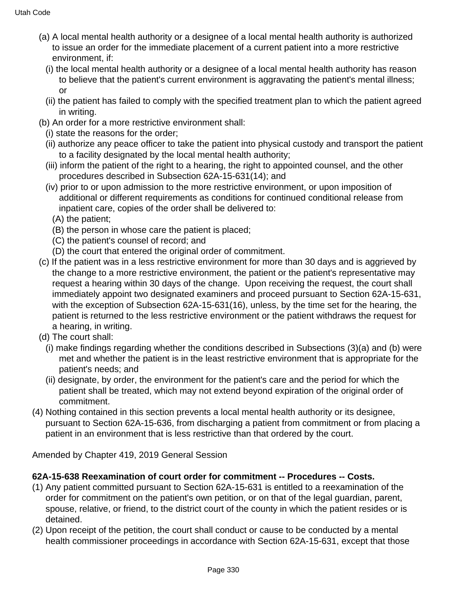- (a) A local mental health authority or a designee of a local mental health authority is authorized to issue an order for the immediate placement of a current patient into a more restrictive environment, if:
	- (i) the local mental health authority or a designee of a local mental health authority has reason to believe that the patient's current environment is aggravating the patient's mental illness; or
	- (ii) the patient has failed to comply with the specified treatment plan to which the patient agreed in writing.
- (b) An order for a more restrictive environment shall:
	- (i) state the reasons for the order;
	- (ii) authorize any peace officer to take the patient into physical custody and transport the patient to a facility designated by the local mental health authority;
	- (iii) inform the patient of the right to a hearing, the right to appointed counsel, and the other procedures described in Subsection 62A-15-631(14); and
	- (iv) prior to or upon admission to the more restrictive environment, or upon imposition of additional or different requirements as conditions for continued conditional release from inpatient care, copies of the order shall be delivered to:
		- (A) the patient;
		- (B) the person in whose care the patient is placed;
		- (C) the patient's counsel of record; and
		- (D) the court that entered the original order of commitment.
- (c) If the patient was in a less restrictive environment for more than 30 days and is aggrieved by the change to a more restrictive environment, the patient or the patient's representative may request a hearing within 30 days of the change. Upon receiving the request, the court shall immediately appoint two designated examiners and proceed pursuant to Section 62A-15-631, with the exception of Subsection 62A-15-631(16), unless, by the time set for the hearing, the patient is returned to the less restrictive environment or the patient withdraws the request for a hearing, in writing.
- (d) The court shall:
	- (i) make findings regarding whether the conditions described in Subsections (3)(a) and (b) were met and whether the patient is in the least restrictive environment that is appropriate for the patient's needs; and
	- (ii) designate, by order, the environment for the patient's care and the period for which the patient shall be treated, which may not extend beyond expiration of the original order of commitment.
- (4) Nothing contained in this section prevents a local mental health authority or its designee, pursuant to Section 62A-15-636, from discharging a patient from commitment or from placing a patient in an environment that is less restrictive than that ordered by the court.

Amended by Chapter 419, 2019 General Session

# **62A-15-638 Reexamination of court order for commitment -- Procedures -- Costs.**

- (1) Any patient committed pursuant to Section 62A-15-631 is entitled to a reexamination of the order for commitment on the patient's own petition, or on that of the legal guardian, parent, spouse, relative, or friend, to the district court of the county in which the patient resides or is detained.
- (2) Upon receipt of the petition, the court shall conduct or cause to be conducted by a mental health commissioner proceedings in accordance with Section 62A-15-631, except that those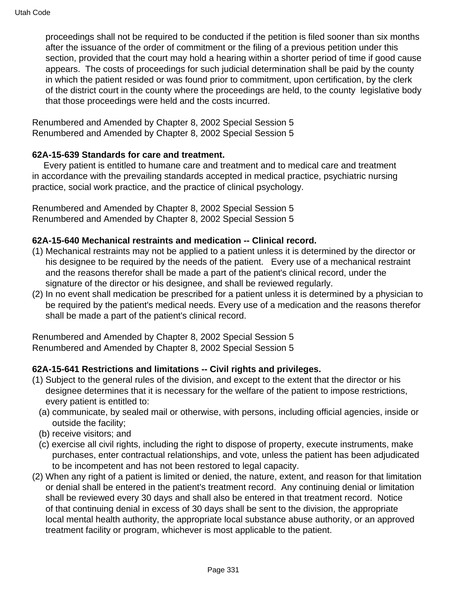proceedings shall not be required to be conducted if the petition is filed sooner than six months after the issuance of the order of commitment or the filing of a previous petition under this section, provided that the court may hold a hearing within a shorter period of time if good cause appears. The costs of proceedings for such judicial determination shall be paid by the county in which the patient resided or was found prior to commitment, upon certification, by the clerk of the district court in the county where the proceedings are held, to the county legislative body that those proceedings were held and the costs incurred.

Renumbered and Amended by Chapter 8, 2002 Special Session 5 Renumbered and Amended by Chapter 8, 2002 Special Session 5

### **62A-15-639 Standards for care and treatment.**

 Every patient is entitled to humane care and treatment and to medical care and treatment in accordance with the prevailing standards accepted in medical practice, psychiatric nursing practice, social work practice, and the practice of clinical psychology.

Renumbered and Amended by Chapter 8, 2002 Special Session 5 Renumbered and Amended by Chapter 8, 2002 Special Session 5

#### **62A-15-640 Mechanical restraints and medication -- Clinical record.**

- (1) Mechanical restraints may not be applied to a patient unless it is determined by the director or his designee to be required by the needs of the patient. Every use of a mechanical restraint and the reasons therefor shall be made a part of the patient's clinical record, under the signature of the director or his designee, and shall be reviewed regularly.
- (2) In no event shall medication be prescribed for a patient unless it is determined by a physician to be required by the patient's medical needs. Every use of a medication and the reasons therefor shall be made a part of the patient's clinical record.

Renumbered and Amended by Chapter 8, 2002 Special Session 5 Renumbered and Amended by Chapter 8, 2002 Special Session 5

#### **62A-15-641 Restrictions and limitations -- Civil rights and privileges.**

- (1) Subject to the general rules of the division, and except to the extent that the director or his designee determines that it is necessary for the welfare of the patient to impose restrictions, every patient is entitled to:
	- (a) communicate, by sealed mail or otherwise, with persons, including official agencies, inside or outside the facility;
	- (b) receive visitors; and
	- (c) exercise all civil rights, including the right to dispose of property, execute instruments, make purchases, enter contractual relationships, and vote, unless the patient has been adjudicated to be incompetent and has not been restored to legal capacity.
- (2) When any right of a patient is limited or denied, the nature, extent, and reason for that limitation or denial shall be entered in the patient's treatment record. Any continuing denial or limitation shall be reviewed every 30 days and shall also be entered in that treatment record. Notice of that continuing denial in excess of 30 days shall be sent to the division, the appropriate local mental health authority, the appropriate local substance abuse authority, or an approved treatment facility or program, whichever is most applicable to the patient.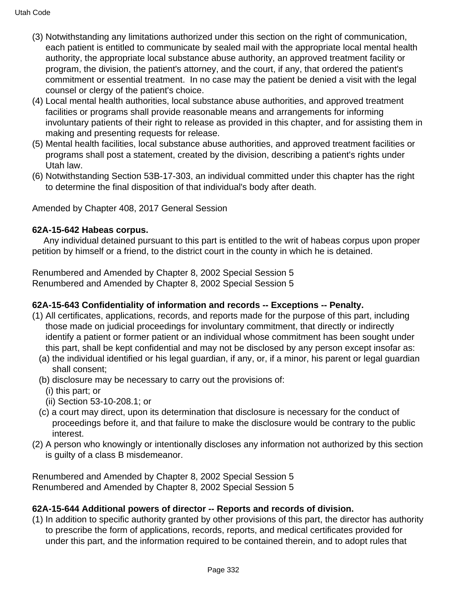- (3) Notwithstanding any limitations authorized under this section on the right of communication, each patient is entitled to communicate by sealed mail with the appropriate local mental health authority, the appropriate local substance abuse authority, an approved treatment facility or program, the division, the patient's attorney, and the court, if any, that ordered the patient's commitment or essential treatment. In no case may the patient be denied a visit with the legal counsel or clergy of the patient's choice.
- (4) Local mental health authorities, local substance abuse authorities, and approved treatment facilities or programs shall provide reasonable means and arrangements for informing involuntary patients of their right to release as provided in this chapter, and for assisting them in making and presenting requests for release.
- (5) Mental health facilities, local substance abuse authorities, and approved treatment facilities or programs shall post a statement, created by the division, describing a patient's rights under Utah law.
- (6) Notwithstanding Section 53B-17-303, an individual committed under this chapter has the right to determine the final disposition of that individual's body after death.

Amended by Chapter 408, 2017 General Session

# **62A-15-642 Habeas corpus.**

 Any individual detained pursuant to this part is entitled to the writ of habeas corpus upon proper petition by himself or a friend, to the district court in the county in which he is detained.

Renumbered and Amended by Chapter 8, 2002 Special Session 5 Renumbered and Amended by Chapter 8, 2002 Special Session 5

## **62A-15-643 Confidentiality of information and records -- Exceptions -- Penalty.**

- (1) All certificates, applications, records, and reports made for the purpose of this part, including those made on judicial proceedings for involuntary commitment, that directly or indirectly identify a patient or former patient or an individual whose commitment has been sought under this part, shall be kept confidential and may not be disclosed by any person except insofar as:
	- (a) the individual identified or his legal guardian, if any, or, if a minor, his parent or legal guardian shall consent;
	- (b) disclosure may be necessary to carry out the provisions of:
		- (i) this part; or
		- (ii) Section 53-10-208.1; or
	- (c) a court may direct, upon its determination that disclosure is necessary for the conduct of proceedings before it, and that failure to make the disclosure would be contrary to the public interest.
- (2) A person who knowingly or intentionally discloses any information not authorized by this section is guilty of a class B misdemeanor.

Renumbered and Amended by Chapter 8, 2002 Special Session 5 Renumbered and Amended by Chapter 8, 2002 Special Session 5

## **62A-15-644 Additional powers of director -- Reports and records of division.**

(1) In addition to specific authority granted by other provisions of this part, the director has authority to prescribe the form of applications, records, reports, and medical certificates provided for under this part, and the information required to be contained therein, and to adopt rules that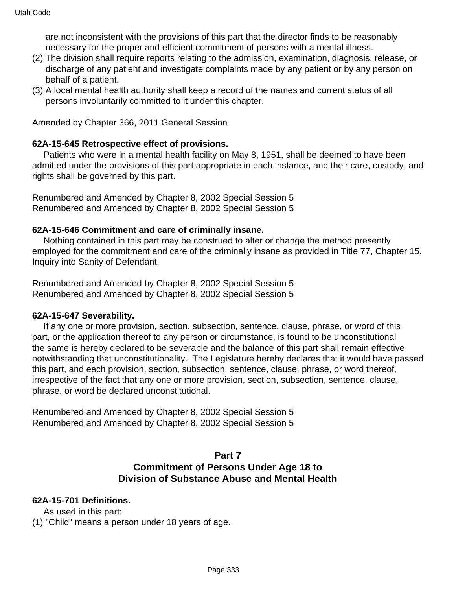are not inconsistent with the provisions of this part that the director finds to be reasonably necessary for the proper and efficient commitment of persons with a mental illness.

- (2) The division shall require reports relating to the admission, examination, diagnosis, release, or discharge of any patient and investigate complaints made by any patient or by any person on behalf of a patient.
- (3) A local mental health authority shall keep a record of the names and current status of all persons involuntarily committed to it under this chapter.

Amended by Chapter 366, 2011 General Session

#### **62A-15-645 Retrospective effect of provisions.**

 Patients who were in a mental health facility on May 8, 1951, shall be deemed to have been admitted under the provisions of this part appropriate in each instance, and their care, custody, and rights shall be governed by this part.

Renumbered and Amended by Chapter 8, 2002 Special Session 5 Renumbered and Amended by Chapter 8, 2002 Special Session 5

#### **62A-15-646 Commitment and care of criminally insane.**

 Nothing contained in this part may be construed to alter or change the method presently employed for the commitment and care of the criminally insane as provided in Title 77, Chapter 15, Inquiry into Sanity of Defendant.

Renumbered and Amended by Chapter 8, 2002 Special Session 5 Renumbered and Amended by Chapter 8, 2002 Special Session 5

#### **62A-15-647 Severability.**

 If any one or more provision, section, subsection, sentence, clause, phrase, or word of this part, or the application thereof to any person or circumstance, is found to be unconstitutional the same is hereby declared to be severable and the balance of this part shall remain effective notwithstanding that unconstitutionality. The Legislature hereby declares that it would have passed this part, and each provision, section, subsection, sentence, clause, phrase, or word thereof, irrespective of the fact that any one or more provision, section, subsection, sentence, clause, phrase, or word be declared unconstitutional.

Renumbered and Amended by Chapter 8, 2002 Special Session 5 Renumbered and Amended by Chapter 8, 2002 Special Session 5

## **Part 7 Commitment of Persons Under Age 18 to Division of Substance Abuse and Mental Health**

#### **62A-15-701 Definitions.**

As used in this part:

(1) "Child" means a person under 18 years of age.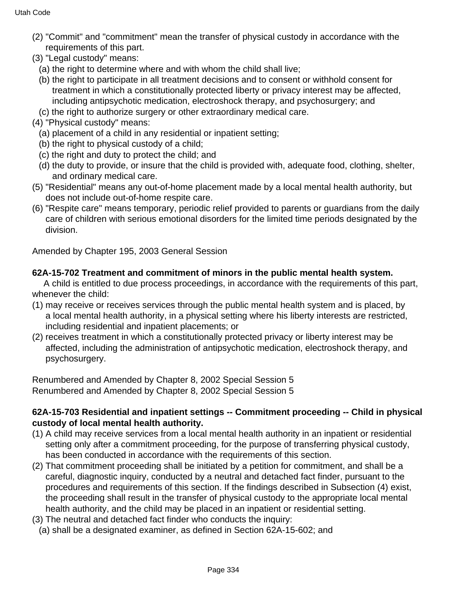- (2) "Commit" and "commitment" mean the transfer of physical custody in accordance with the requirements of this part.
- (3) "Legal custody" means:
- (a) the right to determine where and with whom the child shall live;
- (b) the right to participate in all treatment decisions and to consent or withhold consent for treatment in which a constitutionally protected liberty or privacy interest may be affected, including antipsychotic medication, electroshock therapy, and psychosurgery; and
- (c) the right to authorize surgery or other extraordinary medical care.
- (4) "Physical custody" means:
	- (a) placement of a child in any residential or inpatient setting;
	- (b) the right to physical custody of a child;
	- (c) the right and duty to protect the child; and
	- (d) the duty to provide, or insure that the child is provided with, adequate food, clothing, shelter, and ordinary medical care.
- (5) "Residential" means any out-of-home placement made by a local mental health authority, but does not include out-of-home respite care.
- (6) "Respite care" means temporary, periodic relief provided to parents or guardians from the daily care of children with serious emotional disorders for the limited time periods designated by the division.

Amended by Chapter 195, 2003 General Session

#### **62A-15-702 Treatment and commitment of minors in the public mental health system.**

 A child is entitled to due process proceedings, in accordance with the requirements of this part, whenever the child:

- (1) may receive or receives services through the public mental health system and is placed, by a local mental health authority, in a physical setting where his liberty interests are restricted, including residential and inpatient placements; or
- (2) receives treatment in which a constitutionally protected privacy or liberty interest may be affected, including the administration of antipsychotic medication, electroshock therapy, and psychosurgery.

Renumbered and Amended by Chapter 8, 2002 Special Session 5 Renumbered and Amended by Chapter 8, 2002 Special Session 5

### **62A-15-703 Residential and inpatient settings -- Commitment proceeding -- Child in physical custody of local mental health authority.**

- (1) A child may receive services from a local mental health authority in an inpatient or residential setting only after a commitment proceeding, for the purpose of transferring physical custody, has been conducted in accordance with the requirements of this section.
- (2) That commitment proceeding shall be initiated by a petition for commitment, and shall be a careful, diagnostic inquiry, conducted by a neutral and detached fact finder, pursuant to the procedures and requirements of this section. If the findings described in Subsection (4) exist, the proceeding shall result in the transfer of physical custody to the appropriate local mental health authority, and the child may be placed in an inpatient or residential setting.
- (3) The neutral and detached fact finder who conducts the inquiry:
- (a) shall be a designated examiner, as defined in Section 62A-15-602; and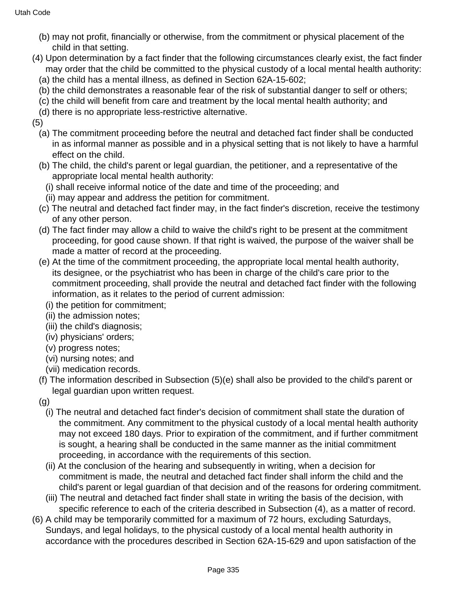- (b) may not profit, financially or otherwise, from the commitment or physical placement of the child in that setting.
- (4) Upon determination by a fact finder that the following circumstances clearly exist, the fact finder may order that the child be committed to the physical custody of a local mental health authority: (a) the child has a mental illness, as defined in Section 62A-15-602;
	- (b) the child demonstrates a reasonable fear of the risk of substantial danger to self or others;
	- (c) the child will benefit from care and treatment by the local mental health authority; and
	- (d) there is no appropriate less-restrictive alternative.

(5)

- (a) The commitment proceeding before the neutral and detached fact finder shall be conducted in as informal manner as possible and in a physical setting that is not likely to have a harmful effect on the child.
- (b) The child, the child's parent or legal guardian, the petitioner, and a representative of the appropriate local mental health authority:
	- (i) shall receive informal notice of the date and time of the proceeding; and
	- (ii) may appear and address the petition for commitment.
- (c) The neutral and detached fact finder may, in the fact finder's discretion, receive the testimony of any other person.
- (d) The fact finder may allow a child to waive the child's right to be present at the commitment proceeding, for good cause shown. If that right is waived, the purpose of the waiver shall be made a matter of record at the proceeding.
- (e) At the time of the commitment proceeding, the appropriate local mental health authority, its designee, or the psychiatrist who has been in charge of the child's care prior to the commitment proceeding, shall provide the neutral and detached fact finder with the following information, as it relates to the period of current admission:
	- (i) the petition for commitment;
	- (ii) the admission notes;
	- (iii) the child's diagnosis;
	- (iv) physicians' orders;
	- (v) progress notes;
	- (vi) nursing notes; and
	- (vii) medication records.
- (f) The information described in Subsection (5)(e) shall also be provided to the child's parent or legal guardian upon written request.
- (g)
	- (i) The neutral and detached fact finder's decision of commitment shall state the duration of the commitment. Any commitment to the physical custody of a local mental health authority may not exceed 180 days. Prior to expiration of the commitment, and if further commitment is sought, a hearing shall be conducted in the same manner as the initial commitment proceeding, in accordance with the requirements of this section.
	- (ii) At the conclusion of the hearing and subsequently in writing, when a decision for commitment is made, the neutral and detached fact finder shall inform the child and the child's parent or legal guardian of that decision and of the reasons for ordering commitment.
	- (iii) The neutral and detached fact finder shall state in writing the basis of the decision, with specific reference to each of the criteria described in Subsection (4), as a matter of record.
- (6) A child may be temporarily committed for a maximum of 72 hours, excluding Saturdays, Sundays, and legal holidays, to the physical custody of a local mental health authority in accordance with the procedures described in Section 62A-15-629 and upon satisfaction of the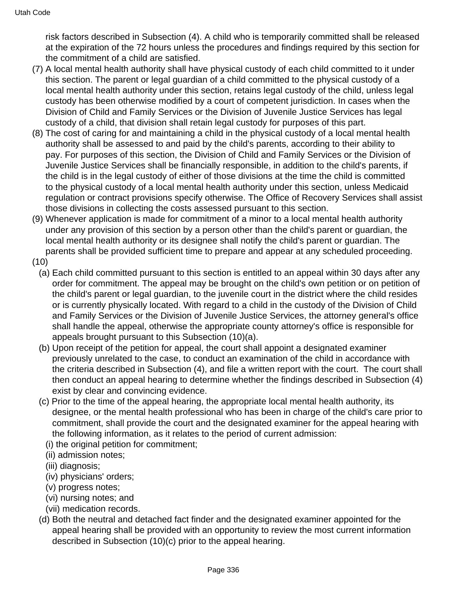risk factors described in Subsection (4). A child who is temporarily committed shall be released at the expiration of the 72 hours unless the procedures and findings required by this section for the commitment of a child are satisfied.

- (7) A local mental health authority shall have physical custody of each child committed to it under this section. The parent or legal guardian of a child committed to the physical custody of a local mental health authority under this section, retains legal custody of the child, unless legal custody has been otherwise modified by a court of competent jurisdiction. In cases when the Division of Child and Family Services or the Division of Juvenile Justice Services has legal custody of a child, that division shall retain legal custody for purposes of this part.
- (8) The cost of caring for and maintaining a child in the physical custody of a local mental health authority shall be assessed to and paid by the child's parents, according to their ability to pay. For purposes of this section, the Division of Child and Family Services or the Division of Juvenile Justice Services shall be financially responsible, in addition to the child's parents, if the child is in the legal custody of either of those divisions at the time the child is committed to the physical custody of a local mental health authority under this section, unless Medicaid regulation or contract provisions specify otherwise. The Office of Recovery Services shall assist those divisions in collecting the costs assessed pursuant to this section.
- (9) Whenever application is made for commitment of a minor to a local mental health authority under any provision of this section by a person other than the child's parent or guardian, the local mental health authority or its designee shall notify the child's parent or guardian. The parents shall be provided sufficient time to prepare and appear at any scheduled proceeding.
- (10)
	- (a) Each child committed pursuant to this section is entitled to an appeal within 30 days after any order for commitment. The appeal may be brought on the child's own petition or on petition of the child's parent or legal guardian, to the juvenile court in the district where the child resides or is currently physically located. With regard to a child in the custody of the Division of Child and Family Services or the Division of Juvenile Justice Services, the attorney general's office shall handle the appeal, otherwise the appropriate county attorney's office is responsible for appeals brought pursuant to this Subsection (10)(a).
	- (b) Upon receipt of the petition for appeal, the court shall appoint a designated examiner previously unrelated to the case, to conduct an examination of the child in accordance with the criteria described in Subsection (4), and file a written report with the court. The court shall then conduct an appeal hearing to determine whether the findings described in Subsection (4) exist by clear and convincing evidence.
	- (c) Prior to the time of the appeal hearing, the appropriate local mental health authority, its designee, or the mental health professional who has been in charge of the child's care prior to commitment, shall provide the court and the designated examiner for the appeal hearing with the following information, as it relates to the period of current admission:
		- (i) the original petition for commitment;
		- (ii) admission notes;
		- (iii) diagnosis;
		- (iv) physicians' orders;
		- (v) progress notes;
		- (vi) nursing notes; and
		- (vii) medication records.
	- (d) Both the neutral and detached fact finder and the designated examiner appointed for the appeal hearing shall be provided with an opportunity to review the most current information described in Subsection (10)(c) prior to the appeal hearing.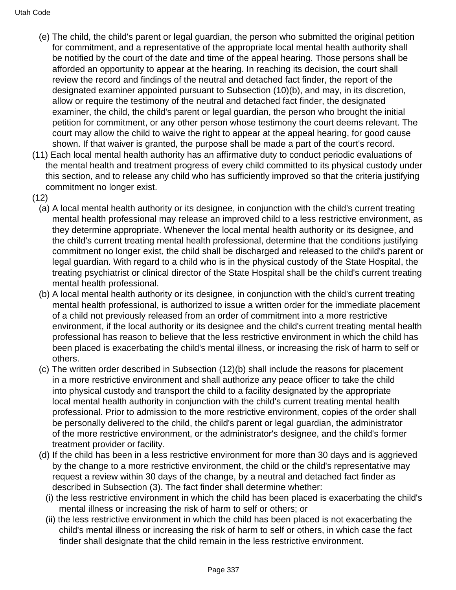- (e) The child, the child's parent or legal guardian, the person who submitted the original petition for commitment, and a representative of the appropriate local mental health authority shall be notified by the court of the date and time of the appeal hearing. Those persons shall be afforded an opportunity to appear at the hearing. In reaching its decision, the court shall review the record and findings of the neutral and detached fact finder, the report of the designated examiner appointed pursuant to Subsection (10)(b), and may, in its discretion, allow or require the testimony of the neutral and detached fact finder, the designated examiner, the child, the child's parent or legal guardian, the person who brought the initial petition for commitment, or any other person whose testimony the court deems relevant. The court may allow the child to waive the right to appear at the appeal hearing, for good cause shown. If that waiver is granted, the purpose shall be made a part of the court's record.
- (11) Each local mental health authority has an affirmative duty to conduct periodic evaluations of the mental health and treatment progress of every child committed to its physical custody under this section, and to release any child who has sufficiently improved so that the criteria justifying commitment no longer exist.
- (12)
	- (a) A local mental health authority or its designee, in conjunction with the child's current treating mental health professional may release an improved child to a less restrictive environment, as they determine appropriate. Whenever the local mental health authority or its designee, and the child's current treating mental health professional, determine that the conditions justifying commitment no longer exist, the child shall be discharged and released to the child's parent or legal guardian. With regard to a child who is in the physical custody of the State Hospital, the treating psychiatrist or clinical director of the State Hospital shall be the child's current treating mental health professional.
	- (b) A local mental health authority or its designee, in conjunction with the child's current treating mental health professional, is authorized to issue a written order for the immediate placement of a child not previously released from an order of commitment into a more restrictive environment, if the local authority or its designee and the child's current treating mental health professional has reason to believe that the less restrictive environment in which the child has been placed is exacerbating the child's mental illness, or increasing the risk of harm to self or others.
	- (c) The written order described in Subsection (12)(b) shall include the reasons for placement in a more restrictive environment and shall authorize any peace officer to take the child into physical custody and transport the child to a facility designated by the appropriate local mental health authority in conjunction with the child's current treating mental health professional. Prior to admission to the more restrictive environment, copies of the order shall be personally delivered to the child, the child's parent or legal guardian, the administrator of the more restrictive environment, or the administrator's designee, and the child's former treatment provider or facility.
	- (d) If the child has been in a less restrictive environment for more than 30 days and is aggrieved by the change to a more restrictive environment, the child or the child's representative may request a review within 30 days of the change, by a neutral and detached fact finder as described in Subsection (3). The fact finder shall determine whether:
		- (i) the less restrictive environment in which the child has been placed is exacerbating the child's mental illness or increasing the risk of harm to self or others; or
		- (ii) the less restrictive environment in which the child has been placed is not exacerbating the child's mental illness or increasing the risk of harm to self or others, in which case the fact finder shall designate that the child remain in the less restrictive environment.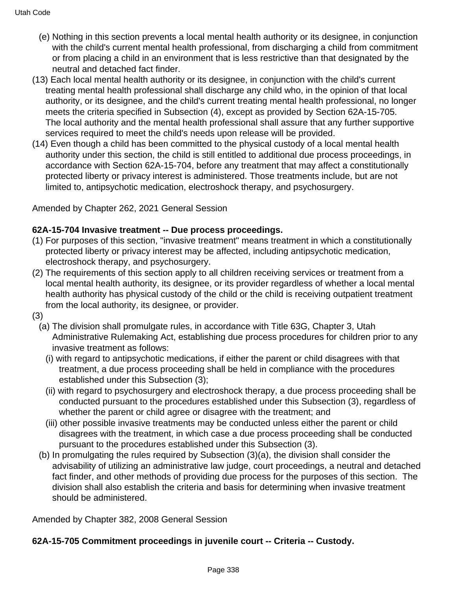- (e) Nothing in this section prevents a local mental health authority or its designee, in conjunction with the child's current mental health professional, from discharging a child from commitment or from placing a child in an environment that is less restrictive than that designated by the neutral and detached fact finder.
- (13) Each local mental health authority or its designee, in conjunction with the child's current treating mental health professional shall discharge any child who, in the opinion of that local authority, or its designee, and the child's current treating mental health professional, no longer meets the criteria specified in Subsection (4), except as provided by Section 62A-15-705. The local authority and the mental health professional shall assure that any further supportive services required to meet the child's needs upon release will be provided.
- (14) Even though a child has been committed to the physical custody of a local mental health authority under this section, the child is still entitled to additional due process proceedings, in accordance with Section 62A-15-704, before any treatment that may affect a constitutionally protected liberty or privacy interest is administered. Those treatments include, but are not limited to, antipsychotic medication, electroshock therapy, and psychosurgery.

Amended by Chapter 262, 2021 General Session

# **62A-15-704 Invasive treatment -- Due process proceedings.**

- (1) For purposes of this section, "invasive treatment" means treatment in which a constitutionally protected liberty or privacy interest may be affected, including antipsychotic medication, electroshock therapy, and psychosurgery.
- (2) The requirements of this section apply to all children receiving services or treatment from a local mental health authority, its designee, or its provider regardless of whether a local mental health authority has physical custody of the child or the child is receiving outpatient treatment from the local authority, its designee, or provider.
- (3)
	- (a) The division shall promulgate rules, in accordance with Title 63G, Chapter 3, Utah Administrative Rulemaking Act, establishing due process procedures for children prior to any invasive treatment as follows:
		- (i) with regard to antipsychotic medications, if either the parent or child disagrees with that treatment, a due process proceeding shall be held in compliance with the procedures established under this Subsection (3);
		- (ii) with regard to psychosurgery and electroshock therapy, a due process proceeding shall be conducted pursuant to the procedures established under this Subsection (3), regardless of whether the parent or child agree or disagree with the treatment; and
		- (iii) other possible invasive treatments may be conducted unless either the parent or child disagrees with the treatment, in which case a due process proceeding shall be conducted pursuant to the procedures established under this Subsection (3).
	- (b) In promulgating the rules required by Subsection (3)(a), the division shall consider the advisability of utilizing an administrative law judge, court proceedings, a neutral and detached fact finder, and other methods of providing due process for the purposes of this section. The division shall also establish the criteria and basis for determining when invasive treatment should be administered.

Amended by Chapter 382, 2008 General Session

## **62A-15-705 Commitment proceedings in juvenile court -- Criteria -- Custody.**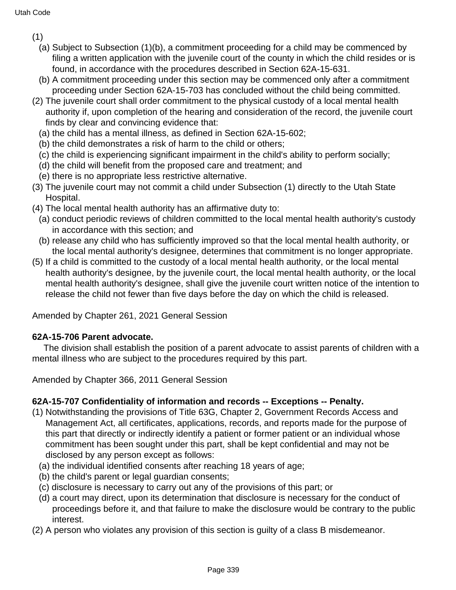(1)

- (a) Subject to Subsection (1)(b), a commitment proceeding for a child may be commenced by filing a written application with the juvenile court of the county in which the child resides or is found, in accordance with the procedures described in Section 62A-15-631.
- (b) A commitment proceeding under this section may be commenced only after a commitment proceeding under Section 62A-15-703 has concluded without the child being committed.
- (2) The juvenile court shall order commitment to the physical custody of a local mental health authority if, upon completion of the hearing and consideration of the record, the juvenile court finds by clear and convincing evidence that:
	- (a) the child has a mental illness, as defined in Section 62A-15-602;
	- (b) the child demonstrates a risk of harm to the child or others;
	- (c) the child is experiencing significant impairment in the child's ability to perform socially;
	- (d) the child will benefit from the proposed care and treatment; and
	- (e) there is no appropriate less restrictive alternative.
- (3) The juvenile court may not commit a child under Subsection (1) directly to the Utah State Hospital.
- (4) The local mental health authority has an affirmative duty to:
	- (a) conduct periodic reviews of children committed to the local mental health authority's custody in accordance with this section; and
	- (b) release any child who has sufficiently improved so that the local mental health authority, or the local mental authority's designee, determines that commitment is no longer appropriate.
- (5) If a child is committed to the custody of a local mental health authority, or the local mental health authority's designee, by the juvenile court, the local mental health authority, or the local mental health authority's designee, shall give the juvenile court written notice of the intention to release the child not fewer than five days before the day on which the child is released.

Amended by Chapter 261, 2021 General Session

# **62A-15-706 Parent advocate.**

 The division shall establish the position of a parent advocate to assist parents of children with a mental illness who are subject to the procedures required by this part.

Amended by Chapter 366, 2011 General Session

# **62A-15-707 Confidentiality of information and records -- Exceptions -- Penalty.**

- (1) Notwithstanding the provisions of Title 63G, Chapter 2, Government Records Access and Management Act, all certificates, applications, records, and reports made for the purpose of this part that directly or indirectly identify a patient or former patient or an individual whose commitment has been sought under this part, shall be kept confidential and may not be disclosed by any person except as follows:
	- (a) the individual identified consents after reaching 18 years of age;
	- (b) the child's parent or legal guardian consents;
	- (c) disclosure is necessary to carry out any of the provisions of this part; or
	- (d) a court may direct, upon its determination that disclosure is necessary for the conduct of proceedings before it, and that failure to make the disclosure would be contrary to the public interest.
- (2) A person who violates any provision of this section is guilty of a class B misdemeanor.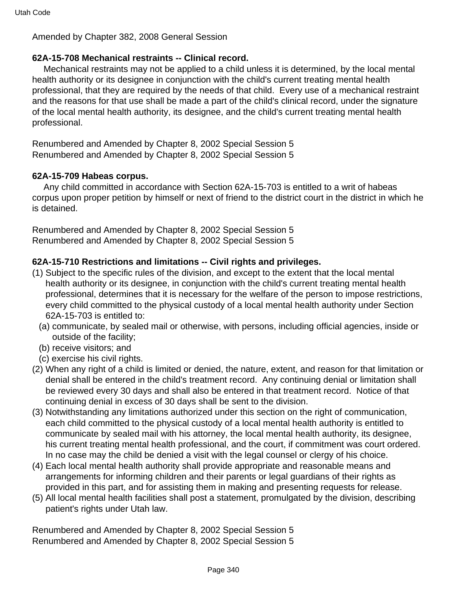Amended by Chapter 382, 2008 General Session

## **62A-15-708 Mechanical restraints -- Clinical record.**

 Mechanical restraints may not be applied to a child unless it is determined, by the local mental health authority or its designee in conjunction with the child's current treating mental health professional, that they are required by the needs of that child. Every use of a mechanical restraint and the reasons for that use shall be made a part of the child's clinical record, under the signature of the local mental health authority, its designee, and the child's current treating mental health professional.

Renumbered and Amended by Chapter 8, 2002 Special Session 5 Renumbered and Amended by Chapter 8, 2002 Special Session 5

### **62A-15-709 Habeas corpus.**

 Any child committed in accordance with Section 62A-15-703 is entitled to a writ of habeas corpus upon proper petition by himself or next of friend to the district court in the district in which he is detained.

Renumbered and Amended by Chapter 8, 2002 Special Session 5 Renumbered and Amended by Chapter 8, 2002 Special Session 5

## **62A-15-710 Restrictions and limitations -- Civil rights and privileges.**

- (1) Subject to the specific rules of the division, and except to the extent that the local mental health authority or its designee, in conjunction with the child's current treating mental health professional, determines that it is necessary for the welfare of the person to impose restrictions, every child committed to the physical custody of a local mental health authority under Section 62A-15-703 is entitled to:
	- (a) communicate, by sealed mail or otherwise, with persons, including official agencies, inside or outside of the facility;
	- (b) receive visitors; and
	- (c) exercise his civil rights.
- (2) When any right of a child is limited or denied, the nature, extent, and reason for that limitation or denial shall be entered in the child's treatment record. Any continuing denial or limitation shall be reviewed every 30 days and shall also be entered in that treatment record. Notice of that continuing denial in excess of 30 days shall be sent to the division.
- (3) Notwithstanding any limitations authorized under this section on the right of communication, each child committed to the physical custody of a local mental health authority is entitled to communicate by sealed mail with his attorney, the local mental health authority, its designee, his current treating mental health professional, and the court, if commitment was court ordered. In no case may the child be denied a visit with the legal counsel or clergy of his choice.
- (4) Each local mental health authority shall provide appropriate and reasonable means and arrangements for informing children and their parents or legal guardians of their rights as provided in this part, and for assisting them in making and presenting requests for release.
- (5) All local mental health facilities shall post a statement, promulgated by the division, describing patient's rights under Utah law.

Renumbered and Amended by Chapter 8, 2002 Special Session 5 Renumbered and Amended by Chapter 8, 2002 Special Session 5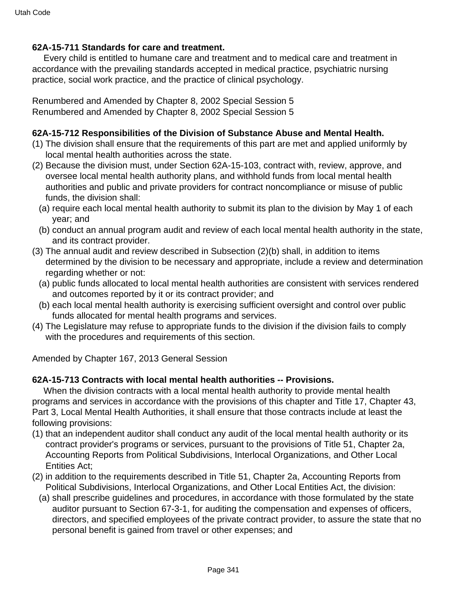### **62A-15-711 Standards for care and treatment.**

 Every child is entitled to humane care and treatment and to medical care and treatment in accordance with the prevailing standards accepted in medical practice, psychiatric nursing practice, social work practice, and the practice of clinical psychology.

Renumbered and Amended by Chapter 8, 2002 Special Session 5 Renumbered and Amended by Chapter 8, 2002 Special Session 5

#### **62A-15-712 Responsibilities of the Division of Substance Abuse and Mental Health.**

- (1) The division shall ensure that the requirements of this part are met and applied uniformly by local mental health authorities across the state.
- (2) Because the division must, under Section 62A-15-103, contract with, review, approve, and oversee local mental health authority plans, and withhold funds from local mental health authorities and public and private providers for contract noncompliance or misuse of public funds, the division shall:
	- (a) require each local mental health authority to submit its plan to the division by May 1 of each year; and
	- (b) conduct an annual program audit and review of each local mental health authority in the state, and its contract provider.
- (3) The annual audit and review described in Subsection (2)(b) shall, in addition to items determined by the division to be necessary and appropriate, include a review and determination regarding whether or not:
	- (a) public funds allocated to local mental health authorities are consistent with services rendered and outcomes reported by it or its contract provider; and
	- (b) each local mental health authority is exercising sufficient oversight and control over public funds allocated for mental health programs and services.
- (4) The Legislature may refuse to appropriate funds to the division if the division fails to comply with the procedures and requirements of this section.

Amended by Chapter 167, 2013 General Session

## **62A-15-713 Contracts with local mental health authorities -- Provisions.**

 When the division contracts with a local mental health authority to provide mental health programs and services in accordance with the provisions of this chapter and Title 17, Chapter 43, Part 3, Local Mental Health Authorities, it shall ensure that those contracts include at least the following provisions:

- (1) that an independent auditor shall conduct any audit of the local mental health authority or its contract provider's programs or services, pursuant to the provisions of Title 51, Chapter 2a, Accounting Reports from Political Subdivisions, Interlocal Organizations, and Other Local Entities Act;
- (2) in addition to the requirements described in Title 51, Chapter 2a, Accounting Reports from Political Subdivisions, Interlocal Organizations, and Other Local Entities Act, the division:
	- (a) shall prescribe guidelines and procedures, in accordance with those formulated by the state auditor pursuant to Section 67-3-1, for auditing the compensation and expenses of officers, directors, and specified employees of the private contract provider, to assure the state that no personal benefit is gained from travel or other expenses; and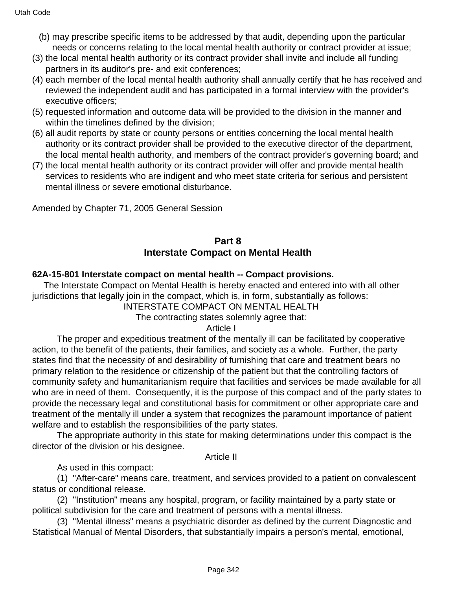- (b) may prescribe specific items to be addressed by that audit, depending upon the particular needs or concerns relating to the local mental health authority or contract provider at issue;
- (3) the local mental health authority or its contract provider shall invite and include all funding partners in its auditor's pre- and exit conferences;
- (4) each member of the local mental health authority shall annually certify that he has received and reviewed the independent audit and has participated in a formal interview with the provider's executive officers;
- (5) requested information and outcome data will be provided to the division in the manner and within the timelines defined by the division;
- (6) all audit reports by state or county persons or entities concerning the local mental health authority or its contract provider shall be provided to the executive director of the department, the local mental health authority, and members of the contract provider's governing board; and
- (7) the local mental health authority or its contract provider will offer and provide mental health services to residents who are indigent and who meet state criteria for serious and persistent mental illness or severe emotional disturbance.

Amended by Chapter 71, 2005 General Session

## **Part 8 Interstate Compact on Mental Health**

### **62A-15-801 Interstate compact on mental health -- Compact provisions.**

 The Interstate Compact on Mental Health is hereby enacted and entered into with all other jurisdictions that legally join in the compact, which is, in form, substantially as follows:

INTERSTATE COMPACT ON MENTAL HEALTH

The contracting states solemnly agree that:

### Article I

 The proper and expeditious treatment of the mentally ill can be facilitated by cooperative action, to the benefit of the patients, their families, and society as a whole. Further, the party states find that the necessity of and desirability of furnishing that care and treatment bears no primary relation to the residence or citizenship of the patient but that the controlling factors of community safety and humanitarianism require that facilities and services be made available for all who are in need of them. Consequently, it is the purpose of this compact and of the party states to provide the necessary legal and constitutional basis for commitment or other appropriate care and treatment of the mentally ill under a system that recognizes the paramount importance of patient welfare and to establish the responsibilities of the party states.

 The appropriate authority in this state for making determinations under this compact is the director of the division or his designee.

#### Article II

As used in this compact:

 (1) "After-care" means care, treatment, and services provided to a patient on convalescent status or conditional release.

 (2) "Institution" means any hospital, program, or facility maintained by a party state or political subdivision for the care and treatment of persons with a mental illness.

 (3) "Mental illness" means a psychiatric disorder as defined by the current Diagnostic and Statistical Manual of Mental Disorders, that substantially impairs a person's mental, emotional,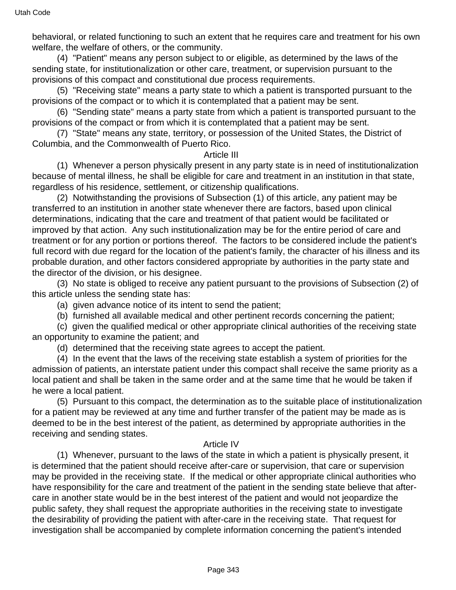behavioral, or related functioning to such an extent that he requires care and treatment for his own welfare, the welfare of others, or the community.

 (4) "Patient" means any person subject to or eligible, as determined by the laws of the sending state, for institutionalization or other care, treatment, or supervision pursuant to the provisions of this compact and constitutional due process requirements.

 (5) "Receiving state" means a party state to which a patient is transported pursuant to the provisions of the compact or to which it is contemplated that a patient may be sent.

 (6) "Sending state" means a party state from which a patient is transported pursuant to the provisions of the compact or from which it is contemplated that a patient may be sent.

 (7) "State" means any state, territory, or possession of the United States, the District of Columbia, and the Commonwealth of Puerto Rico.

#### Article III

 (1) Whenever a person physically present in any party state is in need of institutionalization because of mental illness, he shall be eligible for care and treatment in an institution in that state, regardless of his residence, settlement, or citizenship qualifications.

 (2) Notwithstanding the provisions of Subsection (1) of this article, any patient may be transferred to an institution in another state whenever there are factors, based upon clinical determinations, indicating that the care and treatment of that patient would be facilitated or improved by that action. Any such institutionalization may be for the entire period of care and treatment or for any portion or portions thereof. The factors to be considered include the patient's full record with due regard for the location of the patient's family, the character of his illness and its probable duration, and other factors considered appropriate by authorities in the party state and the director of the division, or his designee.

 (3) No state is obliged to receive any patient pursuant to the provisions of Subsection (2) of this article unless the sending state has:

(a) given advance notice of its intent to send the patient;

(b) furnished all available medical and other pertinent records concerning the patient;

 (c) given the qualified medical or other appropriate clinical authorities of the receiving state an opportunity to examine the patient; and

(d) determined that the receiving state agrees to accept the patient.

 (4) In the event that the laws of the receiving state establish a system of priorities for the admission of patients, an interstate patient under this compact shall receive the same priority as a local patient and shall be taken in the same order and at the same time that he would be taken if he were a local patient.

 (5) Pursuant to this compact, the determination as to the suitable place of institutionalization for a patient may be reviewed at any time and further transfer of the patient may be made as is deemed to be in the best interest of the patient, as determined by appropriate authorities in the receiving and sending states.

#### Article IV

 (1) Whenever, pursuant to the laws of the state in which a patient is physically present, it is determined that the patient should receive after-care or supervision, that care or supervision may be provided in the receiving state. If the medical or other appropriate clinical authorities who have responsibility for the care and treatment of the patient in the sending state believe that aftercare in another state would be in the best interest of the patient and would not jeopardize the public safety, they shall request the appropriate authorities in the receiving state to investigate the desirability of providing the patient with after-care in the receiving state. That request for investigation shall be accompanied by complete information concerning the patient's intended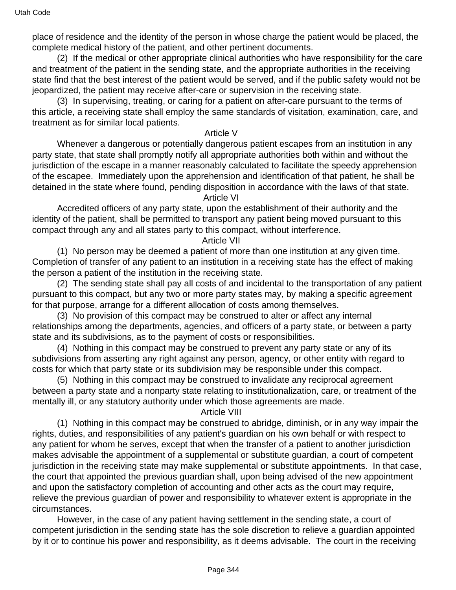place of residence and the identity of the person in whose charge the patient would be placed, the complete medical history of the patient, and other pertinent documents.

 (2) If the medical or other appropriate clinical authorities who have responsibility for the care and treatment of the patient in the sending state, and the appropriate authorities in the receiving state find that the best interest of the patient would be served, and if the public safety would not be jeopardized, the patient may receive after-care or supervision in the receiving state.

 (3) In supervising, treating, or caring for a patient on after-care pursuant to the terms of this article, a receiving state shall employ the same standards of visitation, examination, care, and treatment as for similar local patients.

#### Article V

 Whenever a dangerous or potentially dangerous patient escapes from an institution in any party state, that state shall promptly notify all appropriate authorities both within and without the jurisdiction of the escape in a manner reasonably calculated to facilitate the speedy apprehension of the escapee. Immediately upon the apprehension and identification of that patient, he shall be detained in the state where found, pending disposition in accordance with the laws of that state.

#### Article VI

 Accredited officers of any party state, upon the establishment of their authority and the identity of the patient, shall be permitted to transport any patient being moved pursuant to this compact through any and all states party to this compact, without interference.

#### Article VII

 (1) No person may be deemed a patient of more than one institution at any given time. Completion of transfer of any patient to an institution in a receiving state has the effect of making the person a patient of the institution in the receiving state.

 (2) The sending state shall pay all costs of and incidental to the transportation of any patient pursuant to this compact, but any two or more party states may, by making a specific agreement for that purpose, arrange for a different allocation of costs among themselves.

 (3) No provision of this compact may be construed to alter or affect any internal relationships among the departments, agencies, and officers of a party state, or between a party state and its subdivisions, as to the payment of costs or responsibilities.

 (4) Nothing in this compact may be construed to prevent any party state or any of its subdivisions from asserting any right against any person, agency, or other entity with regard to costs for which that party state or its subdivision may be responsible under this compact.

 (5) Nothing in this compact may be construed to invalidate any reciprocal agreement between a party state and a nonparty state relating to institutionalization, care, or treatment of the mentally ill, or any statutory authority under which those agreements are made.

#### Article VIII

 (1) Nothing in this compact may be construed to abridge, diminish, or in any way impair the rights, duties, and responsibilities of any patient's guardian on his own behalf or with respect to any patient for whom he serves, except that when the transfer of a patient to another jurisdiction makes advisable the appointment of a supplemental or substitute guardian, a court of competent jurisdiction in the receiving state may make supplemental or substitute appointments. In that case, the court that appointed the previous guardian shall, upon being advised of the new appointment and upon the satisfactory completion of accounting and other acts as the court may require, relieve the previous guardian of power and responsibility to whatever extent is appropriate in the circumstances.

 However, in the case of any patient having settlement in the sending state, a court of competent jurisdiction in the sending state has the sole discretion to relieve a guardian appointed by it or to continue his power and responsibility, as it deems advisable. The court in the receiving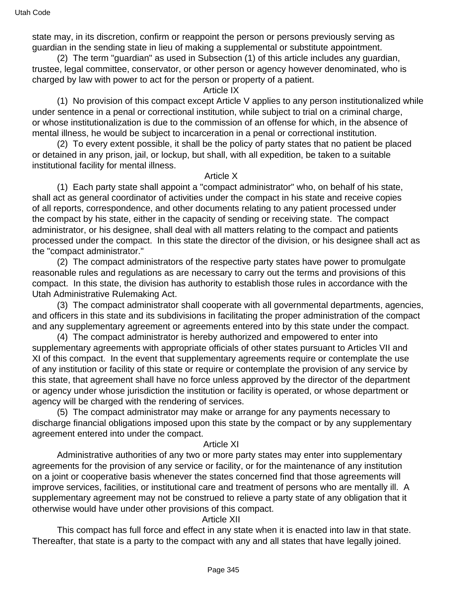state may, in its discretion, confirm or reappoint the person or persons previously serving as guardian in the sending state in lieu of making a supplemental or substitute appointment.

 (2) The term "guardian" as used in Subsection (1) of this article includes any guardian, trustee, legal committee, conservator, or other person or agency however denominated, who is charged by law with power to act for the person or property of a patient.

### Article IX

 (1) No provision of this compact except Article V applies to any person institutionalized while under sentence in a penal or correctional institution, while subject to trial on a criminal charge, or whose institutionalization is due to the commission of an offense for which, in the absence of mental illness, he would be subject to incarceration in a penal or correctional institution.

 (2) To every extent possible, it shall be the policy of party states that no patient be placed or detained in any prison, jail, or lockup, but shall, with all expedition, be taken to a suitable institutional facility for mental illness.

#### Article X

 (1) Each party state shall appoint a "compact administrator" who, on behalf of his state, shall act as general coordinator of activities under the compact in his state and receive copies of all reports, correspondence, and other documents relating to any patient processed under the compact by his state, either in the capacity of sending or receiving state. The compact administrator, or his designee, shall deal with all matters relating to the compact and patients processed under the compact. In this state the director of the division, or his designee shall act as the "compact administrator."

 (2) The compact administrators of the respective party states have power to promulgate reasonable rules and regulations as are necessary to carry out the terms and provisions of this compact. In this state, the division has authority to establish those rules in accordance with the Utah Administrative Rulemaking Act.

 (3) The compact administrator shall cooperate with all governmental departments, agencies, and officers in this state and its subdivisions in facilitating the proper administration of the compact and any supplementary agreement or agreements entered into by this state under the compact.

 (4) The compact administrator is hereby authorized and empowered to enter into supplementary agreements with appropriate officials of other states pursuant to Articles VII and XI of this compact. In the event that supplementary agreements require or contemplate the use of any institution or facility of this state or require or contemplate the provision of any service by this state, that agreement shall have no force unless approved by the director of the department or agency under whose jurisdiction the institution or facility is operated, or whose department or agency will be charged with the rendering of services.

 (5) The compact administrator may make or arrange for any payments necessary to discharge financial obligations imposed upon this state by the compact or by any supplementary agreement entered into under the compact.

#### Article XI

 Administrative authorities of any two or more party states may enter into supplementary agreements for the provision of any service or facility, or for the maintenance of any institution on a joint or cooperative basis whenever the states concerned find that those agreements will improve services, facilities, or institutional care and treatment of persons who are mentally ill. A supplementary agreement may not be construed to relieve a party state of any obligation that it otherwise would have under other provisions of this compact.

## Article XII

 This compact has full force and effect in any state when it is enacted into law in that state. Thereafter, that state is a party to the compact with any and all states that have legally joined.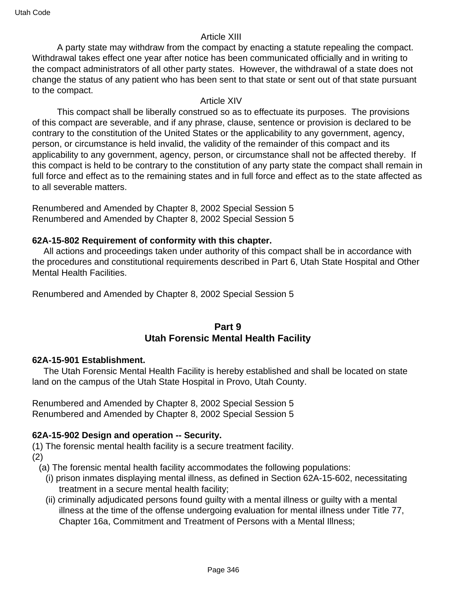## Article XIII

 A party state may withdraw from the compact by enacting a statute repealing the compact. Withdrawal takes effect one year after notice has been communicated officially and in writing to the compact administrators of all other party states. However, the withdrawal of a state does not change the status of any patient who has been sent to that state or sent out of that state pursuant to the compact.

#### Article XIV

 This compact shall be liberally construed so as to effectuate its purposes. The provisions of this compact are severable, and if any phrase, clause, sentence or provision is declared to be contrary to the constitution of the United States or the applicability to any government, agency, person, or circumstance is held invalid, the validity of the remainder of this compact and its applicability to any government, agency, person, or circumstance shall not be affected thereby. If this compact is held to be contrary to the constitution of any party state the compact shall remain in full force and effect as to the remaining states and in full force and effect as to the state affected as to all severable matters.

Renumbered and Amended by Chapter 8, 2002 Special Session 5 Renumbered and Amended by Chapter 8, 2002 Special Session 5

#### **62A-15-802 Requirement of conformity with this chapter.**

 All actions and proceedings taken under authority of this compact shall be in accordance with the procedures and constitutional requirements described in Part 6, Utah State Hospital and Other Mental Health Facilities.

Renumbered and Amended by Chapter 8, 2002 Special Session 5

## **Part 9 Utah Forensic Mental Health Facility**

#### **62A-15-901 Establishment.**

 The Utah Forensic Mental Health Facility is hereby established and shall be located on state land on the campus of the Utah State Hospital in Provo, Utah County.

Renumbered and Amended by Chapter 8, 2002 Special Session 5 Renumbered and Amended by Chapter 8, 2002 Special Session 5

## **62A-15-902 Design and operation -- Security.**

(1) The forensic mental health facility is a secure treatment facility.

(2)

- (a) The forensic mental health facility accommodates the following populations:
	- (i) prison inmates displaying mental illness, as defined in Section 62A-15-602, necessitating treatment in a secure mental health facility;
	- (ii) criminally adjudicated persons found guilty with a mental illness or guilty with a mental illness at the time of the offense undergoing evaluation for mental illness under Title 77, Chapter 16a, Commitment and Treatment of Persons with a Mental Illness;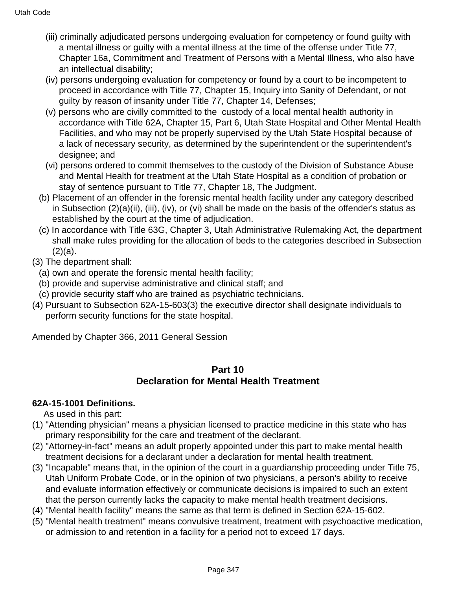- (iii) criminally adjudicated persons undergoing evaluation for competency or found guilty with a mental illness or guilty with a mental illness at the time of the offense under Title 77, Chapter 16a, Commitment and Treatment of Persons with a Mental Illness, who also have an intellectual disability;
- (iv) persons undergoing evaluation for competency or found by a court to be incompetent to proceed in accordance with Title 77, Chapter 15, Inquiry into Sanity of Defendant, or not guilty by reason of insanity under Title 77, Chapter 14, Defenses;
- (v) persons who are civilly committed to the custody of a local mental health authority in accordance with Title 62A, Chapter 15, Part 6, Utah State Hospital and Other Mental Health Facilities, and who may not be properly supervised by the Utah State Hospital because of a lack of necessary security, as determined by the superintendent or the superintendent's designee; and
- (vi) persons ordered to commit themselves to the custody of the Division of Substance Abuse and Mental Health for treatment at the Utah State Hospital as a condition of probation or stay of sentence pursuant to Title 77, Chapter 18, The Judgment.
- (b) Placement of an offender in the forensic mental health facility under any category described in Subsection (2)(a)(ii), (iii), (iv), or (vi) shall be made on the basis of the offender's status as established by the court at the time of adjudication.
- (c) In accordance with Title 63G, Chapter 3, Utah Administrative Rulemaking Act, the department shall make rules providing for the allocation of beds to the categories described in Subsection  $(2)(a)$ .
- (3) The department shall:
	- (a) own and operate the forensic mental health facility;
	- (b) provide and supervise administrative and clinical staff; and
- (c) provide security staff who are trained as psychiatric technicians.
- (4) Pursuant to Subsection 62A-15-603(3) the executive director shall designate individuals to perform security functions for the state hospital.

Amended by Chapter 366, 2011 General Session

### **Part 10 Declaration for Mental Health Treatment**

## **62A-15-1001 Definitions.**

As used in this part:

- (1) "Attending physician" means a physician licensed to practice medicine in this state who has primary responsibility for the care and treatment of the declarant.
- (2) "Attorney-in-fact" means an adult properly appointed under this part to make mental health treatment decisions for a declarant under a declaration for mental health treatment.
- (3) "Incapable" means that, in the opinion of the court in a guardianship proceeding under Title 75, Utah Uniform Probate Code, or in the opinion of two physicians, a person's ability to receive and evaluate information effectively or communicate decisions is impaired to such an extent that the person currently lacks the capacity to make mental health treatment decisions.
- (4) "Mental health facility" means the same as that term is defined in Section 62A-15-602.
- (5) "Mental health treatment" means convulsive treatment, treatment with psychoactive medication, or admission to and retention in a facility for a period not to exceed 17 days.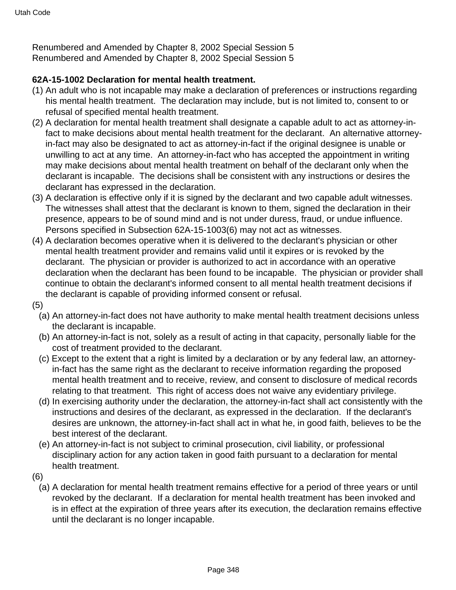Renumbered and Amended by Chapter 8, 2002 Special Session 5 Renumbered and Amended by Chapter 8, 2002 Special Session 5

#### **62A-15-1002 Declaration for mental health treatment.**

- (1) An adult who is not incapable may make a declaration of preferences or instructions regarding his mental health treatment. The declaration may include, but is not limited to, consent to or refusal of specified mental health treatment.
- (2) A declaration for mental health treatment shall designate a capable adult to act as attorney-infact to make decisions about mental health treatment for the declarant. An alternative attorneyin-fact may also be designated to act as attorney-in-fact if the original designee is unable or unwilling to act at any time. An attorney-in-fact who has accepted the appointment in writing may make decisions about mental health treatment on behalf of the declarant only when the declarant is incapable. The decisions shall be consistent with any instructions or desires the declarant has expressed in the declaration.
- (3) A declaration is effective only if it is signed by the declarant and two capable adult witnesses. The witnesses shall attest that the declarant is known to them, signed the declaration in their presence, appears to be of sound mind and is not under duress, fraud, or undue influence. Persons specified in Subsection 62A-15-1003(6) may not act as witnesses.
- (4) A declaration becomes operative when it is delivered to the declarant's physician or other mental health treatment provider and remains valid until it expires or is revoked by the declarant. The physician or provider is authorized to act in accordance with an operative declaration when the declarant has been found to be incapable. The physician or provider shall continue to obtain the declarant's informed consent to all mental health treatment decisions if the declarant is capable of providing informed consent or refusal.
- (5)
	- (a) An attorney-in-fact does not have authority to make mental health treatment decisions unless the declarant is incapable.
	- (b) An attorney-in-fact is not, solely as a result of acting in that capacity, personally liable for the cost of treatment provided to the declarant.
	- (c) Except to the extent that a right is limited by a declaration or by any federal law, an attorneyin-fact has the same right as the declarant to receive information regarding the proposed mental health treatment and to receive, review, and consent to disclosure of medical records relating to that treatment. This right of access does not waive any evidentiary privilege.
	- (d) In exercising authority under the declaration, the attorney-in-fact shall act consistently with the instructions and desires of the declarant, as expressed in the declaration. If the declarant's desires are unknown, the attorney-in-fact shall act in what he, in good faith, believes to be the best interest of the declarant.
	- (e) An attorney-in-fact is not subject to criminal prosecution, civil liability, or professional disciplinary action for any action taken in good faith pursuant to a declaration for mental health treatment.
- (6)
	- (a) A declaration for mental health treatment remains effective for a period of three years or until revoked by the declarant. If a declaration for mental health treatment has been invoked and is in effect at the expiration of three years after its execution, the declaration remains effective until the declarant is no longer incapable.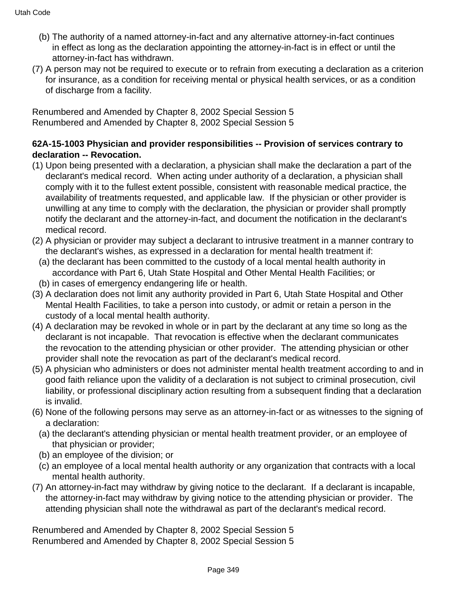- (b) The authority of a named attorney-in-fact and any alternative attorney-in-fact continues in effect as long as the declaration appointing the attorney-in-fact is in effect or until the attorney-in-fact has withdrawn.
- (7) A person may not be required to execute or to refrain from executing a declaration as a criterion for insurance, as a condition for receiving mental or physical health services, or as a condition of discharge from a facility.

Renumbered and Amended by Chapter 8, 2002 Special Session 5 Renumbered and Amended by Chapter 8, 2002 Special Session 5

### **62A-15-1003 Physician and provider responsibilities -- Provision of services contrary to declaration -- Revocation.**

- (1) Upon being presented with a declaration, a physician shall make the declaration a part of the declarant's medical record. When acting under authority of a declaration, a physician shall comply with it to the fullest extent possible, consistent with reasonable medical practice, the availability of treatments requested, and applicable law. If the physician or other provider is unwilling at any time to comply with the declaration, the physician or provider shall promptly notify the declarant and the attorney-in-fact, and document the notification in the declarant's medical record.
- (2) A physician or provider may subject a declarant to intrusive treatment in a manner contrary to the declarant's wishes, as expressed in a declaration for mental health treatment if:
	- (a) the declarant has been committed to the custody of a local mental health authority in accordance with Part 6, Utah State Hospital and Other Mental Health Facilities; or (b) in cases of emergency endangering life or health.
- (3) A declaration does not limit any authority provided in Part 6, Utah State Hospital and Other Mental Health Facilities, to take a person into custody, or admit or retain a person in the custody of a local mental health authority.
- (4) A declaration may be revoked in whole or in part by the declarant at any time so long as the declarant is not incapable. That revocation is effective when the declarant communicates the revocation to the attending physician or other provider. The attending physician or other provider shall note the revocation as part of the declarant's medical record.
- (5) A physician who administers or does not administer mental health treatment according to and in good faith reliance upon the validity of a declaration is not subject to criminal prosecution, civil liability, or professional disciplinary action resulting from a subsequent finding that a declaration is invalid.
- (6) None of the following persons may serve as an attorney-in-fact or as witnesses to the signing of a declaration:
	- (a) the declarant's attending physician or mental health treatment provider, or an employee of that physician or provider;
	- (b) an employee of the division; or
	- (c) an employee of a local mental health authority or any organization that contracts with a local mental health authority.
- (7) An attorney-in-fact may withdraw by giving notice to the declarant. If a declarant is incapable, the attorney-in-fact may withdraw by giving notice to the attending physician or provider. The attending physician shall note the withdrawal as part of the declarant's medical record.

Renumbered and Amended by Chapter 8, 2002 Special Session 5 Renumbered and Amended by Chapter 8, 2002 Special Session 5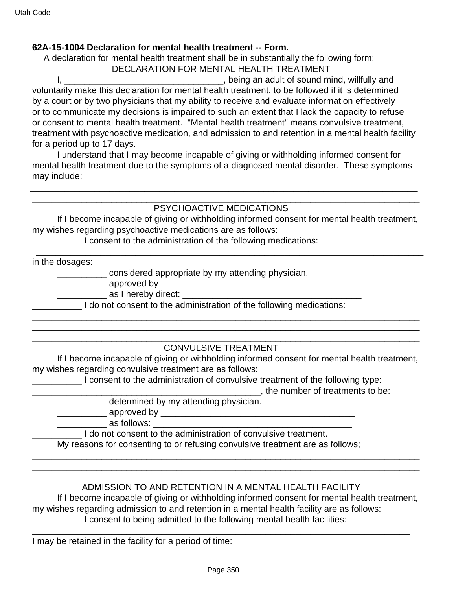## **62A-15-1004 Declaration for mental health treatment -- Form.**

 A declaration for mental health treatment shall be in substantially the following form: DECLARATION FOR MENTAL HEALTH TREATMENT

 I, \_\_\_\_\_\_\_\_\_\_\_\_\_\_\_\_\_\_\_\_\_\_\_\_\_\_\_\_\_\_\_\_, being an adult of sound mind, willfully and voluntarily make this declaration for mental health treatment, to be followed if it is determined by a court or by two physicians that my ability to receive and evaluate information effectively or to communicate my decisions is impaired to such an extent that I lack the capacity to refuse or consent to mental health treatment. "Mental health treatment" means convulsive treatment, treatment with psychoactive medication, and admission to and retention in a mental health facility for a period up to 17 days.

 I understand that I may become incapable of giving or withholding informed consent for mental health treatment due to the symptoms of a diagnosed mental disorder. These symptoms may include:

\_\_\_\_\_\_\_\_\_\_\_\_\_\_\_\_\_\_\_\_\_\_\_\_\_\_\_\_\_\_\_\_\_\_\_\_\_\_\_\_\_\_\_\_\_\_\_\_\_\_\_\_\_\_\_\_\_\_\_\_\_\_\_\_\_\_\_\_\_\_\_\_\_\_\_\_\_\_

#### \_\_\_\_\_\_\_\_\_\_\_\_\_\_\_\_\_\_\_\_\_\_\_\_\_\_\_\_\_\_\_\_\_\_\_\_\_\_\_\_\_\_\_\_\_\_\_\_\_\_\_\_\_\_\_\_\_\_\_\_\_\_\_\_\_\_\_\_\_\_\_\_\_\_\_\_\_\_ PSYCHOACTIVE MEDICATIONS

 If I become incapable of giving or withholding informed consent for mental health treatment, my wishes regarding psychoactive medications are as follows:

\_\_\_\_\_\_\_\_\_\_\_\_\_\_\_\_\_\_\_\_\_\_\_\_\_\_\_\_\_\_\_\_\_\_\_\_\_\_\_\_\_\_\_\_\_\_\_\_\_\_\_\_\_\_\_\_\_\_\_\_\_\_\_\_\_\_\_\_\_\_\_\_\_\_\_\_\_\_

\_\_\_\_\_\_\_\_\_\_ I consent to the administration of the following medications:

#### in the dosages:

\_\_\_\_\_\_\_\_\_\_ considered appropriate by my attending physician.

\_\_\_\_\_\_\_\_\_\_ approved by \_\_\_\_\_\_\_\_\_\_\_\_\_\_\_\_\_\_\_\_\_\_\_\_\_\_\_\_\_\_\_\_\_\_\_\_\_\_\_\_

as I hereby direct:  $\blacksquare$ 

I do not consent to the administration of the following medications:

#### \_\_\_\_\_\_\_\_\_\_\_\_\_\_\_\_\_\_\_\_\_\_\_\_\_\_\_\_\_\_\_\_\_\_\_\_\_\_\_\_\_\_\_\_\_\_\_\_\_\_\_\_\_\_\_\_\_\_\_\_\_\_\_\_\_\_\_\_\_\_\_\_\_\_\_\_\_\_ CONVULSIVE TREATMENT

 If I become incapable of giving or withholding informed consent for mental health treatment, my wishes regarding convulsive treatment are as follows:

\_\_\_\_\_\_\_\_\_\_\_\_\_\_\_\_\_\_\_\_\_\_\_\_\_\_\_\_\_\_\_\_\_\_\_\_\_\_\_\_\_\_\_\_\_\_\_\_\_\_\_\_\_\_\_\_\_\_\_\_\_\_\_\_\_\_\_\_\_\_\_\_\_\_\_\_\_\_ \_\_\_\_\_\_\_\_\_\_\_\_\_\_\_\_\_\_\_\_\_\_\_\_\_\_\_\_\_\_\_\_\_\_\_\_\_\_\_\_\_\_\_\_\_\_\_\_\_\_\_\_\_\_\_\_\_\_\_\_\_\_\_\_\_\_\_\_\_\_\_\_\_\_\_\_\_\_

\_\_\_\_\_\_\_\_\_\_ I consent to the administration of convulsive treatment of the following type:

\_\_\_\_\_\_\_\_\_\_\_\_\_\_\_\_\_\_\_\_\_\_\_\_\_\_\_\_\_\_\_\_\_\_\_\_\_\_\_\_\_\_\_\_\_\_, the number of treatments to be:

\_\_\_\_\_\_\_\_\_\_ determined by my attending physician.

\_\_\_\_\_\_\_\_\_\_ approved by \_\_\_\_\_\_\_\_\_\_\_\_\_\_\_\_\_\_\_\_\_\_\_\_\_\_\_\_\_\_\_\_\_\_\_\_\_\_\_

 $\mathsf{as}$  follows:

\_\_\_\_\_\_\_\_\_\_ I do not consent to the administration of convulsive treatment.

My reasons for consenting to or refusing convulsive treatment are as follows;

\_\_\_\_\_\_\_\_\_\_\_\_\_\_\_\_\_\_\_\_\_\_\_\_\_\_\_\_\_\_\_\_\_\_\_\_\_\_\_\_\_\_\_\_\_\_\_\_\_\_\_\_\_\_\_\_\_\_\_\_\_\_\_\_\_\_\_\_\_\_\_\_\_

#### ADMISSION TO AND RETENTION IN A MENTAL HEALTH FACILITY

\_\_\_\_\_\_\_\_\_\_\_\_\_\_\_\_\_\_\_\_\_\_\_\_\_\_\_\_\_\_\_\_\_\_\_\_\_\_\_\_\_\_\_\_\_\_\_\_\_\_\_\_\_\_\_\_\_\_\_\_\_\_\_\_\_\_\_\_\_\_\_\_\_\_\_\_\_\_ \_\_\_\_\_\_\_\_\_\_\_\_\_\_\_\_\_\_\_\_\_\_\_\_\_\_\_\_\_\_\_\_\_\_\_\_\_\_\_\_\_\_\_\_\_\_\_\_\_\_\_\_\_\_\_\_\_\_\_\_\_\_\_\_\_\_\_\_\_\_\_\_\_\_\_\_\_\_

 If I become incapable of giving or withholding informed consent for mental health treatment, my wishes regarding admission to and retention in a mental health facility are as follows: \_\_\_\_\_\_\_\_\_\_ I consent to being admitted to the following mental health facilities:

\_\_\_\_\_\_\_\_\_\_\_\_\_\_\_\_\_\_\_\_\_\_\_\_\_\_\_\_\_\_\_\_\_\_\_\_\_\_\_\_\_\_\_\_\_\_\_\_\_\_\_\_\_\_\_\_\_\_\_\_\_\_\_\_\_\_\_\_\_\_\_\_\_\_\_\_

I may be retained in the facility for a period of time: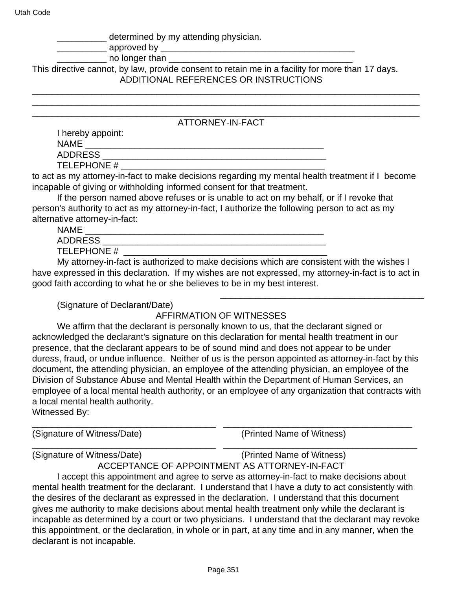determined by my attending physician.

\_\_\_\_\_\_\_\_\_\_ approved by \_\_\_\_\_\_\_\_\_\_\_\_\_\_\_\_\_\_\_\_\_\_\_\_\_\_\_\_\_\_\_\_\_\_\_\_\_\_\_

\_\_\_\_\_\_\_\_\_\_ no longer than \_\_\_\_\_\_\_\_\_\_\_\_\_\_\_\_\_\_\_\_\_\_\_\_\_\_\_\_\_\_\_\_\_\_\_\_\_

This directive cannot, by law, provide consent to retain me in a facility for more than 17 days. ADDITIONAL REFERENCES OR INSTRUCTIONS

#### ATTORNEY-IN-FACT

\_\_\_\_\_\_\_\_\_\_\_\_\_\_\_\_\_\_\_\_\_\_\_\_\_\_\_\_\_\_\_\_\_\_\_\_\_\_\_\_\_\_\_\_\_\_\_\_\_\_\_\_\_\_\_\_\_\_\_\_\_\_\_\_\_\_\_\_\_\_\_\_\_\_\_\_\_\_ \_\_\_\_\_\_\_\_\_\_\_\_\_\_\_\_\_\_\_\_\_\_\_\_\_\_\_\_\_\_\_\_\_\_\_\_\_\_\_\_\_\_\_\_\_\_\_\_\_\_\_\_\_\_\_\_\_\_\_\_\_\_\_\_\_\_\_\_\_\_\_\_\_\_\_\_\_\_ \_\_\_\_\_\_\_\_\_\_\_\_\_\_\_\_\_\_\_\_\_\_\_\_\_\_\_\_\_\_\_\_\_\_\_\_\_\_\_\_\_\_\_\_\_\_\_\_\_\_\_\_\_\_\_\_\_\_\_\_\_\_\_\_\_\_\_\_\_\_\_\_\_\_\_\_\_\_

 I hereby appoint:  $NAME$  ADDRESS \_\_\_\_\_\_\_\_\_\_\_\_\_\_\_\_\_\_\_\_\_\_\_\_\_\_\_\_\_\_\_\_\_\_\_\_\_\_\_\_\_\_\_\_\_ TELEPHONE #  $\blacksquare$ 

to act as my attorney-in-fact to make decisions regarding my mental health treatment if I become incapable of giving or withholding informed consent for that treatment.

 If the person named above refuses or is unable to act on my behalf, or if I revoke that person's authority to act as my attorney-in-fact, I authorize the following person to act as my alternative attorney-in-fact:

| NAME           |  |   |   |  |
|----------------|--|---|---|--|
| <b>ADDRESS</b> |  |   |   |  |
| TELEPHONE #    |  |   |   |  |
| .              |  | . | . |  |

 My attorney-in-fact is authorized to make decisions which are consistent with the wishes I have expressed in this declaration. If my wishes are not expressed, my attorney-in-fact is to act in good faith according to what he or she believes to be in my best interest.

\_\_\_\_\_\_\_\_\_\_\_\_\_\_\_\_\_\_\_\_\_\_\_\_\_\_\_\_\_\_\_\_\_\_\_\_\_\_\_\_\_

(Signature of Declarant/Date)

## AFFIRMATION OF WITNESSES

 We affirm that the declarant is personally known to us, that the declarant signed or acknowledged the declarant's signature on this declaration for mental health treatment in our presence, that the declarant appears to be of sound mind and does not appear to be under duress, fraud, or undue influence. Neither of us is the person appointed as attorney-in-fact by this document, the attending physician, an employee of the attending physician, an employee of the Division of Substance Abuse and Mental Health within the Department of Human Services, an employee of a local mental health authority, or an employee of any organization that contracts with a local mental health authority.

Witnessed By:

| (Signature of Witness/Date) | (Printed Name of Witness) |  |  |
|-----------------------------|---------------------------|--|--|
|                             |                           |  |  |

(Signature of Witness/Date) (Printed Name of Witness)

ACCEPTANCE OF APPOINTMENT AS ATTORNEY-IN-FACT

 I accept this appointment and agree to serve as attorney-in-fact to make decisions about mental health treatment for the declarant. I understand that I have a duty to act consistently with the desires of the declarant as expressed in the declaration. I understand that this document gives me authority to make decisions about mental health treatment only while the declarant is incapable as determined by a court or two physicians. I understand that the declarant may revoke this appointment, or the declaration, in whole or in part, at any time and in any manner, when the declarant is not incapable.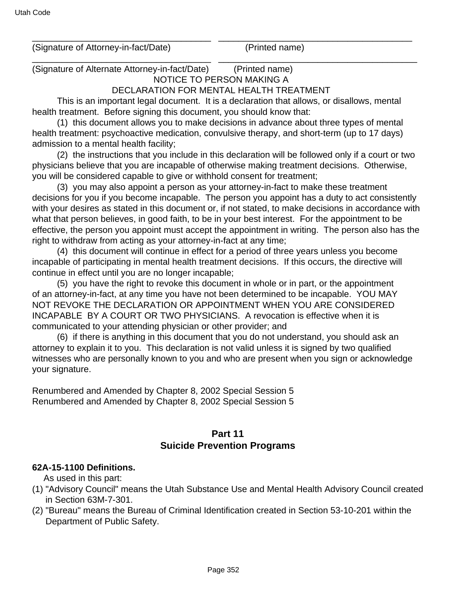(Signature of Attorney-in-fact/Date) (Printed name)

\_\_\_\_\_\_\_\_\_\_\_\_\_\_\_\_\_\_\_\_\_\_\_\_\_\_\_\_\_\_\_\_\_\_\_\_ \_\_\_\_\_\_\_\_\_\_\_\_\_\_\_\_\_\_\_\_\_\_\_\_\_\_\_\_\_\_\_\_\_\_\_\_\_\_\_\_ (Signature of Alternate Attorney-in-fact/Date) (Printed name) NOTICE TO PERSON MAKING A DECLARATION FOR MENTAL HEALTH TREATMENT

 This is an important legal document. It is a declaration that allows, or disallows, mental health treatment. Before signing this document, you should know that:

\_\_\_\_\_\_\_\_\_\_\_\_\_\_\_\_\_\_\_\_\_\_\_\_\_\_\_\_\_\_\_\_\_\_\_\_ \_\_\_\_\_\_\_\_\_\_\_\_\_\_\_\_\_\_\_\_\_\_\_\_\_\_\_\_\_\_\_\_\_\_\_\_\_\_\_

 (1) this document allows you to make decisions in advance about three types of mental health treatment: psychoactive medication, convulsive therapy, and short-term (up to 17 days) admission to a mental health facility;

 (2) the instructions that you include in this declaration will be followed only if a court or two physicians believe that you are incapable of otherwise making treatment decisions. Otherwise, you will be considered capable to give or withhold consent for treatment;

 (3) you may also appoint a person as your attorney-in-fact to make these treatment decisions for you if you become incapable. The person you appoint has a duty to act consistently with your desires as stated in this document or, if not stated, to make decisions in accordance with what that person believes, in good faith, to be in your best interest. For the appointment to be effective, the person you appoint must accept the appointment in writing. The person also has the right to withdraw from acting as your attorney-in-fact at any time;

 (4) this document will continue in effect for a period of three years unless you become incapable of participating in mental health treatment decisions. If this occurs, the directive will continue in effect until you are no longer incapable;

 (5) you have the right to revoke this document in whole or in part, or the appointment of an attorney-in-fact, at any time you have not been determined to be incapable. YOU MAY NOT REVOKE THE DECLARATION OR APPOINTMENT WHEN YOU ARE CONSIDERED INCAPABLE BY A COURT OR TWO PHYSICIANS. A revocation is effective when it is communicated to your attending physician or other provider; and

 (6) if there is anything in this document that you do not understand, you should ask an attorney to explain it to you. This declaration is not valid unless it is signed by two qualified witnesses who are personally known to you and who are present when you sign or acknowledge your signature.

Renumbered and Amended by Chapter 8, 2002 Special Session 5 Renumbered and Amended by Chapter 8, 2002 Special Session 5

## **Part 11 Suicide Prevention Programs**

## **62A-15-1100 Definitions.**

As used in this part:

- (1) "Advisory Council" means the Utah Substance Use and Mental Health Advisory Council created in Section 63M-7-301.
- (2) "Bureau" means the Bureau of Criminal Identification created in Section 53-10-201 within the Department of Public Safety.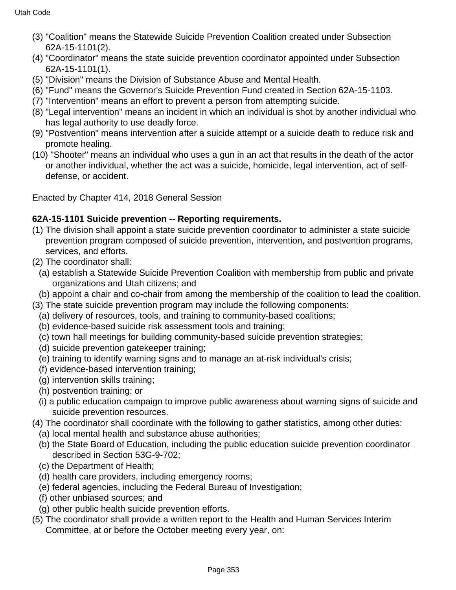- (3) "Coalition" means the Statewide Suicide Prevention Coalition created under Subsection 62A-15-1101(2).
- (4) "Coordinator" means the state suicide prevention coordinator appointed under Subsection 62A-15-1101(1).
- (5) "Division" means the Division of Substance Abuse and Mental Health.
- (6) "Fund" means the Governor's Suicide Prevention Fund created in Section 62A-15-1103.
- (7) "Intervention" means an effort to prevent a person from attempting suicide.
- (8) "Legal intervention" means an incident in which an individual is shot by another individual who has legal authority to use deadly force.
- (9) "Postvention" means intervention after a suicide attempt or a suicide death to reduce risk and promote healing.
- (10) "Shooter" means an individual who uses a gun in an act that results in the death of the actor or another individual, whether the act was a suicide, homicide, legal intervention, act of selfdefense, or accident.

Enacted by Chapter 414, 2018 General Session

## **62A-15-1101 Suicide prevention -- Reporting requirements.**

- (1) The division shall appoint a state suicide prevention coordinator to administer a state suicide prevention program composed of suicide prevention, intervention, and postvention programs, services, and efforts.
- (2) The coordinator shall:
	- (a) establish a Statewide Suicide Prevention Coalition with membership from public and private organizations and Utah citizens; and
- (b) appoint a chair and co-chair from among the membership of the coalition to lead the coalition.
- (3) The state suicide prevention program may include the following components:
- (a) delivery of resources, tools, and training to community-based coalitions;
- (b) evidence-based suicide risk assessment tools and training;
- (c) town hall meetings for building community-based suicide prevention strategies;
- (d) suicide prevention gatekeeper training;
- (e) training to identify warning signs and to manage an at-risk individual's crisis;
- (f) evidence-based intervention training;
- (g) intervention skills training;
- (h) postvention training; or
- (i) a public education campaign to improve public awareness about warning signs of suicide and suicide prevention resources.
- (4) The coordinator shall coordinate with the following to gather statistics, among other duties:
	- (a) local mental health and substance abuse authorities;
	- (b) the State Board of Education, including the public education suicide prevention coordinator described in Section 53G-9-702;
	- (c) the Department of Health;
	- (d) health care providers, including emergency rooms;
	- (e) federal agencies, including the Federal Bureau of Investigation;
	- (f) other unbiased sources; and
	- (g) other public health suicide prevention efforts.
- (5) The coordinator shall provide a written report to the Health and Human Services Interim Committee, at or before the October meeting every year, on: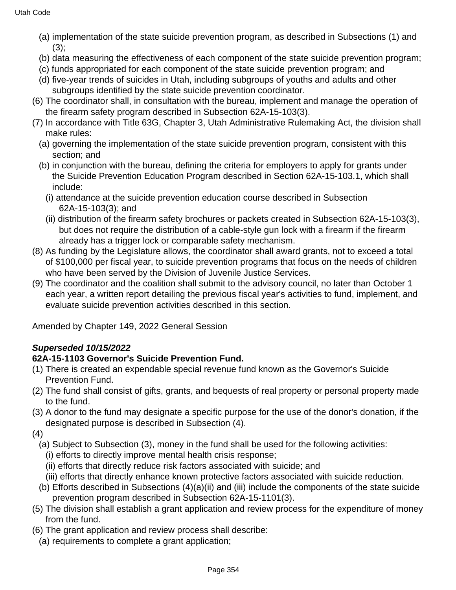- (a) implementation of the state suicide prevention program, as described in Subsections (1) and  $(3)$ ;
- (b) data measuring the effectiveness of each component of the state suicide prevention program;
- (c) funds appropriated for each component of the state suicide prevention program; and
- (d) five-year trends of suicides in Utah, including subgroups of youths and adults and other subgroups identified by the state suicide prevention coordinator.
- (6) The coordinator shall, in consultation with the bureau, implement and manage the operation of the firearm safety program described in Subsection 62A-15-103(3).
- (7) In accordance with Title 63G, Chapter 3, Utah Administrative Rulemaking Act, the division shall make rules:
	- (a) governing the implementation of the state suicide prevention program, consistent with this section; and
	- (b) in conjunction with the bureau, defining the criteria for employers to apply for grants under the Suicide Prevention Education Program described in Section 62A-15-103.1, which shall include:
		- (i) attendance at the suicide prevention education course described in Subsection 62A-15-103(3); and
		- (ii) distribution of the firearm safety brochures or packets created in Subsection 62A-15-103(3), but does not require the distribution of a cable-style gun lock with a firearm if the firearm already has a trigger lock or comparable safety mechanism.
- (8) As funding by the Legislature allows, the coordinator shall award grants, not to exceed a total of \$100,000 per fiscal year, to suicide prevention programs that focus on the needs of children who have been served by the Division of Juvenile Justice Services.
- (9) The coordinator and the coalition shall submit to the advisory council, no later than October 1 each year, a written report detailing the previous fiscal year's activities to fund, implement, and evaluate suicide prevention activities described in this section.

Amended by Chapter 149, 2022 General Session

# **Superseded 10/15/2022**

# **62A-15-1103 Governor's Suicide Prevention Fund.**

- (1) There is created an expendable special revenue fund known as the Governor's Suicide Prevention Fund.
- (2) The fund shall consist of gifts, grants, and bequests of real property or personal property made to the fund.
- (3) A donor to the fund may designate a specific purpose for the use of the donor's donation, if the designated purpose is described in Subsection (4).
- (4)
	- (a) Subject to Subsection (3), money in the fund shall be used for the following activities:
		- (i) efforts to directly improve mental health crisis response;
		- (ii) efforts that directly reduce risk factors associated with suicide; and
		- (iii) efforts that directly enhance known protective factors associated with suicide reduction.
	- (b) Efforts described in Subsections (4)(a)(ii) and (iii) include the components of the state suicide prevention program described in Subsection 62A-15-1101(3).
- (5) The division shall establish a grant application and review process for the expenditure of money from the fund.
- (6) The grant application and review process shall describe:
	- (a) requirements to complete a grant application;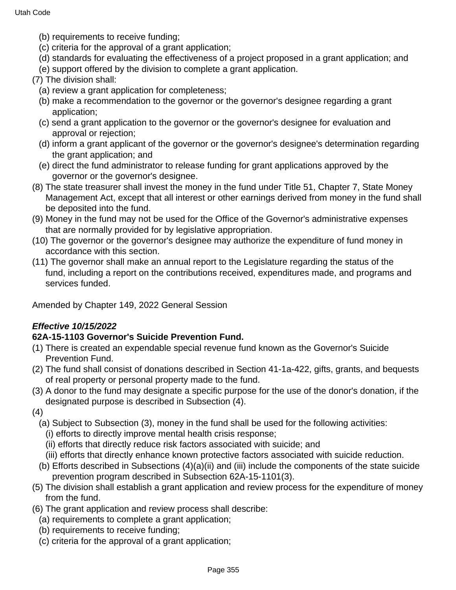- (b) requirements to receive funding;
- (c) criteria for the approval of a grant application;
- (d) standards for evaluating the effectiveness of a project proposed in a grant application; and
- (e) support offered by the division to complete a grant application.

(7) The division shall:

- (a) review a grant application for completeness;
- (b) make a recommendation to the governor or the governor's designee regarding a grant application;
- (c) send a grant application to the governor or the governor's designee for evaluation and approval or rejection;
- (d) inform a grant applicant of the governor or the governor's designee's determination regarding the grant application; and
- (e) direct the fund administrator to release funding for grant applications approved by the governor or the governor's designee.
- (8) The state treasurer shall invest the money in the fund under Title 51, Chapter 7, State Money Management Act, except that all interest or other earnings derived from money in the fund shall be deposited into the fund.
- (9) Money in the fund may not be used for the Office of the Governor's administrative expenses that are normally provided for by legislative appropriation.
- (10) The governor or the governor's designee may authorize the expenditure of fund money in accordance with this section.
- (11) The governor shall make an annual report to the Legislature regarding the status of the fund, including a report on the contributions received, expenditures made, and programs and services funded.

Amended by Chapter 149, 2022 General Session

## **Effective 10/15/2022**

## **62A-15-1103 Governor's Suicide Prevention Fund.**

- (1) There is created an expendable special revenue fund known as the Governor's Suicide Prevention Fund.
- (2) The fund shall consist of donations described in Section 41-1a-422, gifts, grants, and bequests of real property or personal property made to the fund.
- (3) A donor to the fund may designate a specific purpose for the use of the donor's donation, if the designated purpose is described in Subsection (4).

(4)

- (a) Subject to Subsection (3), money in the fund shall be used for the following activities:
	- (i) efforts to directly improve mental health crisis response;
	- (ii) efforts that directly reduce risk factors associated with suicide; and
	- (iii) efforts that directly enhance known protective factors associated with suicide reduction.
- (b) Efforts described in Subsections (4)(a)(ii) and (iii) include the components of the state suicide prevention program described in Subsection 62A-15-1101(3).
- (5) The division shall establish a grant application and review process for the expenditure of money from the fund.
- (6) The grant application and review process shall describe:
	- (a) requirements to complete a grant application;
	- (b) requirements to receive funding;
	- (c) criteria for the approval of a grant application;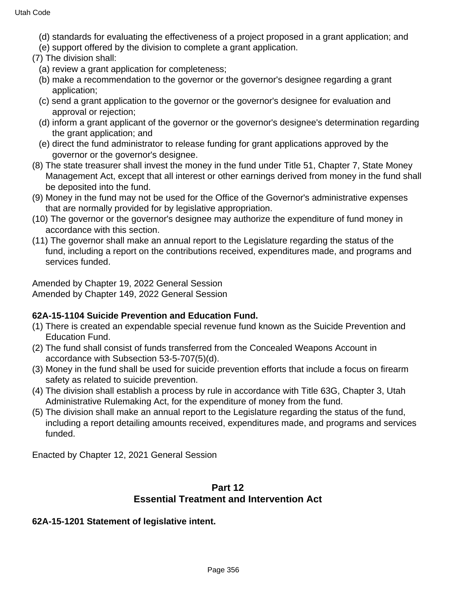- (d) standards for evaluating the effectiveness of a project proposed in a grant application; and
- (e) support offered by the division to complete a grant application.
- (7) The division shall:
	- (a) review a grant application for completeness;
	- (b) make a recommendation to the governor or the governor's designee regarding a grant application;
	- (c) send a grant application to the governor or the governor's designee for evaluation and approval or rejection;
	- (d) inform a grant applicant of the governor or the governor's designee's determination regarding the grant application; and
	- (e) direct the fund administrator to release funding for grant applications approved by the governor or the governor's designee.
- (8) The state treasurer shall invest the money in the fund under Title 51, Chapter 7, State Money Management Act, except that all interest or other earnings derived from money in the fund shall be deposited into the fund.
- (9) Money in the fund may not be used for the Office of the Governor's administrative expenses that are normally provided for by legislative appropriation.
- (10) The governor or the governor's designee may authorize the expenditure of fund money in accordance with this section.
- (11) The governor shall make an annual report to the Legislature regarding the status of the fund, including a report on the contributions received, expenditures made, and programs and services funded.

Amended by Chapter 19, 2022 General Session Amended by Chapter 149, 2022 General Session

## **62A-15-1104 Suicide Prevention and Education Fund.**

- (1) There is created an expendable special revenue fund known as the Suicide Prevention and Education Fund.
- (2) The fund shall consist of funds transferred from the Concealed Weapons Account in accordance with Subsection 53-5-707(5)(d).
- (3) Money in the fund shall be used for suicide prevention efforts that include a focus on firearm safety as related to suicide prevention.
- (4) The division shall establish a process by rule in accordance with Title 63G, Chapter 3, Utah Administrative Rulemaking Act, for the expenditure of money from the fund.
- (5) The division shall make an annual report to the Legislature regarding the status of the fund, including a report detailing amounts received, expenditures made, and programs and services funded.

Enacted by Chapter 12, 2021 General Session

## **Part 12 Essential Treatment and Intervention Act**

#### **62A-15-1201 Statement of legislative intent.**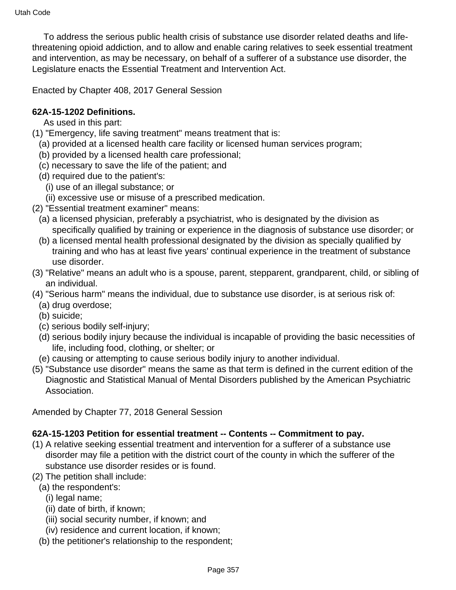To address the serious public health crisis of substance use disorder related deaths and lifethreatening opioid addiction, and to allow and enable caring relatives to seek essential treatment and intervention, as may be necessary, on behalf of a sufferer of a substance use disorder, the Legislature enacts the Essential Treatment and Intervention Act.

Enacted by Chapter 408, 2017 General Session

### **62A-15-1202 Definitions.**

As used in this part:

- (1) "Emergency, life saving treatment" means treatment that is:
	- (a) provided at a licensed health care facility or licensed human services program;
	- (b) provided by a licensed health care professional;
	- (c) necessary to save the life of the patient; and
	- (d) required due to the patient's:
		- (i) use of an illegal substance; or
	- (ii) excessive use or misuse of a prescribed medication.
- (2) "Essential treatment examiner" means:
	- (a) a licensed physician, preferably a psychiatrist, who is designated by the division as specifically qualified by training or experience in the diagnosis of substance use disorder; or
	- (b) a licensed mental health professional designated by the division as specially qualified by training and who has at least five years' continual experience in the treatment of substance use disorder.
- (3) "Relative" means an adult who is a spouse, parent, stepparent, grandparent, child, or sibling of an individual.
- (4) "Serious harm" means the individual, due to substance use disorder, is at serious risk of:
	- (a) drug overdose;
	- (b) suicide;
	- (c) serious bodily self-injury;
	- (d) serious bodily injury because the individual is incapable of providing the basic necessities of life, including food, clothing, or shelter; or
	- (e) causing or attempting to cause serious bodily injury to another individual.
- (5) "Substance use disorder" means the same as that term is defined in the current edition of the Diagnostic and Statistical Manual of Mental Disorders published by the American Psychiatric Association.

Amended by Chapter 77, 2018 General Session

#### **62A-15-1203 Petition for essential treatment -- Contents -- Commitment to pay.**

- (1) A relative seeking essential treatment and intervention for a sufferer of a substance use disorder may file a petition with the district court of the county in which the sufferer of the substance use disorder resides or is found.
- (2) The petition shall include:
	- (a) the respondent's:
		- (i) legal name;
		- (ii) date of birth, if known;
		- (iii) social security number, if known; and
		- (iv) residence and current location, if known;
	- (b) the petitioner's relationship to the respondent;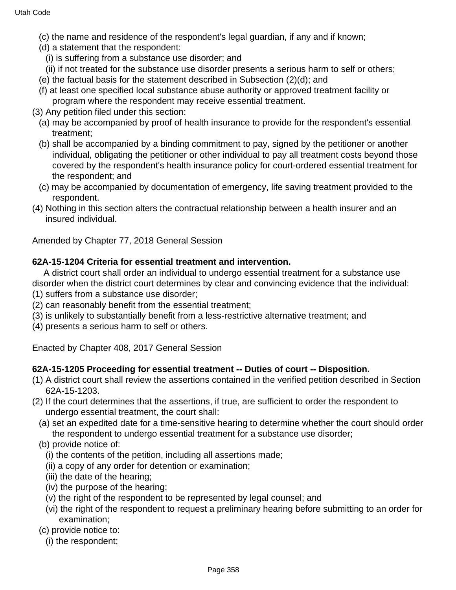- (c) the name and residence of the respondent's legal guardian, if any and if known;
- (d) a statement that the respondent:
	- (i) is suffering from a substance use disorder; and
	- (ii) if not treated for the substance use disorder presents a serious harm to self or others;
- (e) the factual basis for the statement described in Subsection (2)(d); and
- (f) at least one specified local substance abuse authority or approved treatment facility or program where the respondent may receive essential treatment.
- (3) Any petition filed under this section:
	- (a) may be accompanied by proof of health insurance to provide for the respondent's essential treatment;
	- (b) shall be accompanied by a binding commitment to pay, signed by the petitioner or another individual, obligating the petitioner or other individual to pay all treatment costs beyond those covered by the respondent's health insurance policy for court-ordered essential treatment for the respondent; and
	- (c) may be accompanied by documentation of emergency, life saving treatment provided to the respondent.
- (4) Nothing in this section alters the contractual relationship between a health insurer and an insured individual.

Amended by Chapter 77, 2018 General Session

### **62A-15-1204 Criteria for essential treatment and intervention.**

 A district court shall order an individual to undergo essential treatment for a substance use disorder when the district court determines by clear and convincing evidence that the individual: (1) suffers from a substance use disorder;

- (2) can reasonably benefit from the essential treatment;
- (3) is unlikely to substantially benefit from a less-restrictive alternative treatment; and
- (4) presents a serious harm to self or others.

Enacted by Chapter 408, 2017 General Session

#### **62A-15-1205 Proceeding for essential treatment -- Duties of court -- Disposition.**

- (1) A district court shall review the assertions contained in the verified petition described in Section 62A-15-1203.
- (2) If the court determines that the assertions, if true, are sufficient to order the respondent to undergo essential treatment, the court shall:
	- (a) set an expedited date for a time-sensitive hearing to determine whether the court should order the respondent to undergo essential treatment for a substance use disorder;
	- (b) provide notice of:
		- (i) the contents of the petition, including all assertions made;
		- (ii) a copy of any order for detention or examination;
		- (iii) the date of the hearing;
		- (iv) the purpose of the hearing;
		- (v) the right of the respondent to be represented by legal counsel; and
		- (vi) the right of the respondent to request a preliminary hearing before submitting to an order for examination;
	- (c) provide notice to:
		- (i) the respondent;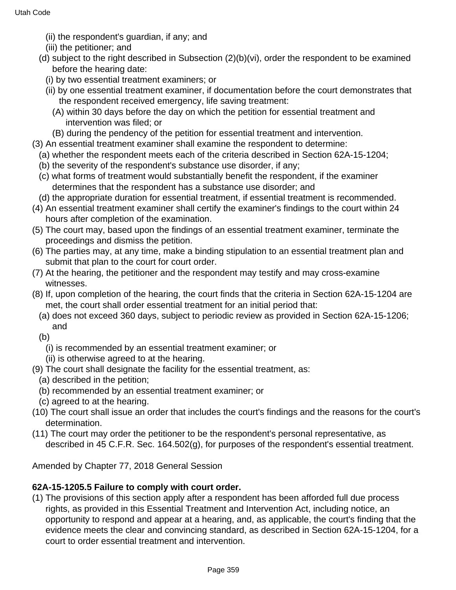- (ii) the respondent's guardian, if any; and
- (iii) the petitioner; and
- (d) subject to the right described in Subsection (2)(b)(vi), order the respondent to be examined before the hearing date:
	- (i) by two essential treatment examiners; or
	- (ii) by one essential treatment examiner, if documentation before the court demonstrates that the respondent received emergency, life saving treatment:
		- (A) within 30 days before the day on which the petition for essential treatment and intervention was filed; or
		- (B) during the pendency of the petition for essential treatment and intervention.
- (3) An essential treatment examiner shall examine the respondent to determine:
- (a) whether the respondent meets each of the criteria described in Section 62A-15-1204;
- (b) the severity of the respondent's substance use disorder, if any;
- (c) what forms of treatment would substantially benefit the respondent, if the examiner determines that the respondent has a substance use disorder; and
- (d) the appropriate duration for essential treatment, if essential treatment is recommended.
- (4) An essential treatment examiner shall certify the examiner's findings to the court within 24 hours after completion of the examination.
- (5) The court may, based upon the findings of an essential treatment examiner, terminate the proceedings and dismiss the petition.
- (6) The parties may, at any time, make a binding stipulation to an essential treatment plan and submit that plan to the court for court order.
- (7) At the hearing, the petitioner and the respondent may testify and may cross-examine witnesses.
- (8) If, upon completion of the hearing, the court finds that the criteria in Section 62A-15-1204 are met, the court shall order essential treatment for an initial period that:
	- (a) does not exceed 360 days, subject to periodic review as provided in Section 62A-15-1206; and
	- (b)
		- (i) is recommended by an essential treatment examiner; or
		- (ii) is otherwise agreed to at the hearing.
- (9) The court shall designate the facility for the essential treatment, as:
	- (a) described in the petition;
	- (b) recommended by an essential treatment examiner; or
	- (c) agreed to at the hearing.
- (10) The court shall issue an order that includes the court's findings and the reasons for the court's determination.
- (11) The court may order the petitioner to be the respondent's personal representative, as described in 45 C.F.R. Sec. 164.502(g), for purposes of the respondent's essential treatment.

Amended by Chapter 77, 2018 General Session

# **62A-15-1205.5 Failure to comply with court order.**

(1) The provisions of this section apply after a respondent has been afforded full due process rights, as provided in this Essential Treatment and Intervention Act, including notice, an opportunity to respond and appear at a hearing, and, as applicable, the court's finding that the evidence meets the clear and convincing standard, as described in Section 62A-15-1204, for a court to order essential treatment and intervention.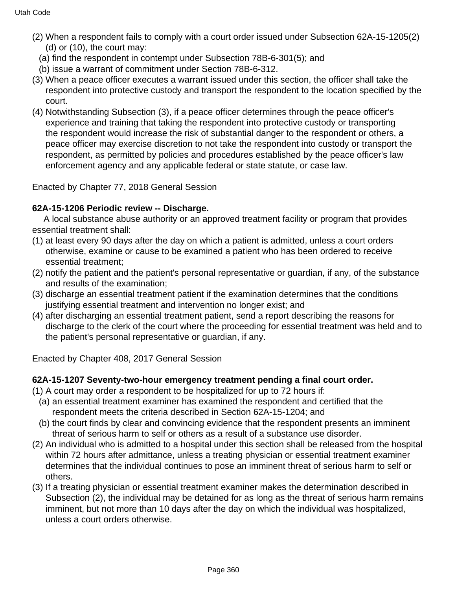- (2) When a respondent fails to comply with a court order issued under Subsection 62A-15-1205(2) (d) or (10), the court may:
	- (a) find the respondent in contempt under Subsection 78B-6-301(5); and
	- (b) issue a warrant of commitment under Section 78B-6-312.
- (3) When a peace officer executes a warrant issued under this section, the officer shall take the respondent into protective custody and transport the respondent to the location specified by the court.
- (4) Notwithstanding Subsection (3), if a peace officer determines through the peace officer's experience and training that taking the respondent into protective custody or transporting the respondent would increase the risk of substantial danger to the respondent or others, a peace officer may exercise discretion to not take the respondent into custody or transport the respondent, as permitted by policies and procedures established by the peace officer's law enforcement agency and any applicable federal or state statute, or case law.

Enacted by Chapter 77, 2018 General Session

# **62A-15-1206 Periodic review -- Discharge.**

 A local substance abuse authority or an approved treatment facility or program that provides essential treatment shall:

- (1) at least every 90 days after the day on which a patient is admitted, unless a court orders otherwise, examine or cause to be examined a patient who has been ordered to receive essential treatment;
- (2) notify the patient and the patient's personal representative or guardian, if any, of the substance and results of the examination;
- (3) discharge an essential treatment patient if the examination determines that the conditions justifying essential treatment and intervention no longer exist; and
- (4) after discharging an essential treatment patient, send a report describing the reasons for discharge to the clerk of the court where the proceeding for essential treatment was held and to the patient's personal representative or guardian, if any.

Enacted by Chapter 408, 2017 General Session

# **62A-15-1207 Seventy-two-hour emergency treatment pending a final court order.**

- (1) A court may order a respondent to be hospitalized for up to 72 hours if:
- (a) an essential treatment examiner has examined the respondent and certified that the respondent meets the criteria described in Section 62A-15-1204; and
- (b) the court finds by clear and convincing evidence that the respondent presents an imminent threat of serious harm to self or others as a result of a substance use disorder.
- (2) An individual who is admitted to a hospital under this section shall be released from the hospital within 72 hours after admittance, unless a treating physician or essential treatment examiner determines that the individual continues to pose an imminent threat of serious harm to self or others.
- (3) If a treating physician or essential treatment examiner makes the determination described in Subsection (2), the individual may be detained for as long as the threat of serious harm remains imminent, but not more than 10 days after the day on which the individual was hospitalized, unless a court orders otherwise.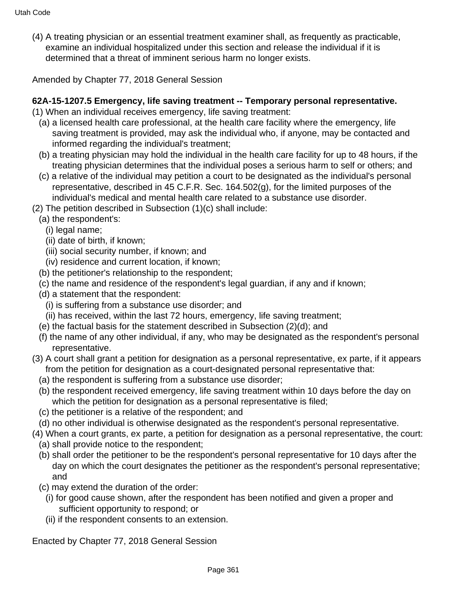(4) A treating physician or an essential treatment examiner shall, as frequently as practicable, examine an individual hospitalized under this section and release the individual if it is determined that a threat of imminent serious harm no longer exists.

Amended by Chapter 77, 2018 General Session

# **62A-15-1207.5 Emergency, life saving treatment -- Temporary personal representative.**

- (1) When an individual receives emergency, life saving treatment:
	- (a) a licensed health care professional, at the health care facility where the emergency, life saving treatment is provided, may ask the individual who, if anyone, may be contacted and informed regarding the individual's treatment;
	- (b) a treating physician may hold the individual in the health care facility for up to 48 hours, if the treating physician determines that the individual poses a serious harm to self or others; and
	- (c) a relative of the individual may petition a court to be designated as the individual's personal representative, described in 45 C.F.R. Sec. 164.502(g), for the limited purposes of the individual's medical and mental health care related to a substance use disorder.
- (2) The petition described in Subsection (1)(c) shall include:
	- (a) the respondent's:
		- (i) legal name;
		- (ii) date of birth, if known;
		- (iii) social security number, if known; and
		- (iv) residence and current location, if known;
	- (b) the petitioner's relationship to the respondent;
	- (c) the name and residence of the respondent's legal guardian, if any and if known;
	- (d) a statement that the respondent:
		- (i) is suffering from a substance use disorder; and
		- (ii) has received, within the last 72 hours, emergency, life saving treatment;
	- (e) the factual basis for the statement described in Subsection (2)(d); and
	- (f) the name of any other individual, if any, who may be designated as the respondent's personal representative.
- (3) A court shall grant a petition for designation as a personal representative, ex parte, if it appears from the petition for designation as a court-designated personal representative that:
	- (a) the respondent is suffering from a substance use disorder;
	- (b) the respondent received emergency, life saving treatment within 10 days before the day on which the petition for designation as a personal representative is filed;
	- (c) the petitioner is a relative of the respondent; and
	- (d) no other individual is otherwise designated as the respondent's personal representative.
- (4) When a court grants, ex parte, a petition for designation as a personal representative, the court:
	- (a) shall provide notice to the respondent;
	- (b) shall order the petitioner to be the respondent's personal representative for 10 days after the day on which the court designates the petitioner as the respondent's personal representative; and
	- (c) may extend the duration of the order:
		- (i) for good cause shown, after the respondent has been notified and given a proper and sufficient opportunity to respond; or
		- (ii) if the respondent consents to an extension.

Enacted by Chapter 77, 2018 General Session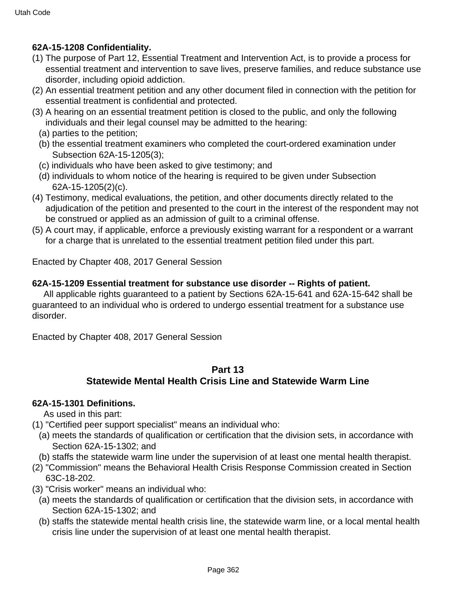# **62A-15-1208 Confidentiality.**

- (1) The purpose of Part 12, Essential Treatment and Intervention Act, is to provide a process for essential treatment and intervention to save lives, preserve families, and reduce substance use disorder, including opioid addiction.
- (2) An essential treatment petition and any other document filed in connection with the petition for essential treatment is confidential and protected.
- (3) A hearing on an essential treatment petition is closed to the public, and only the following individuals and their legal counsel may be admitted to the hearing:
	- (a) parties to the petition;
	- (b) the essential treatment examiners who completed the court-ordered examination under Subsection 62A-15-1205(3);
	- (c) individuals who have been asked to give testimony; and
	- (d) individuals to whom notice of the hearing is required to be given under Subsection 62A-15-1205(2)(c).
- (4) Testimony, medical evaluations, the petition, and other documents directly related to the adjudication of the petition and presented to the court in the interest of the respondent may not be construed or applied as an admission of guilt to a criminal offense.
- (5) A court may, if applicable, enforce a previously existing warrant for a respondent or a warrant for a charge that is unrelated to the essential treatment petition filed under this part.

Enacted by Chapter 408, 2017 General Session

# **62A-15-1209 Essential treatment for substance use disorder -- Rights of patient.**

 All applicable rights guaranteed to a patient by Sections 62A-15-641 and 62A-15-642 shall be guaranteed to an individual who is ordered to undergo essential treatment for a substance use disorder.

Enacted by Chapter 408, 2017 General Session

# **Part 13 Statewide Mental Health Crisis Line and Statewide Warm Line**

## **62A-15-1301 Definitions.**

As used in this part:

- (1) "Certified peer support specialist" means an individual who:
	- (a) meets the standards of qualification or certification that the division sets, in accordance with Section 62A-15-1302; and
	- (b) staffs the statewide warm line under the supervision of at least one mental health therapist.
- (2) "Commission" means the Behavioral Health Crisis Response Commission created in Section 63C-18-202.
- (3) "Crisis worker" means an individual who:
- (a) meets the standards of qualification or certification that the division sets, in accordance with Section 62A-15-1302; and
- (b) staffs the statewide mental health crisis line, the statewide warm line, or a local mental health crisis line under the supervision of at least one mental health therapist.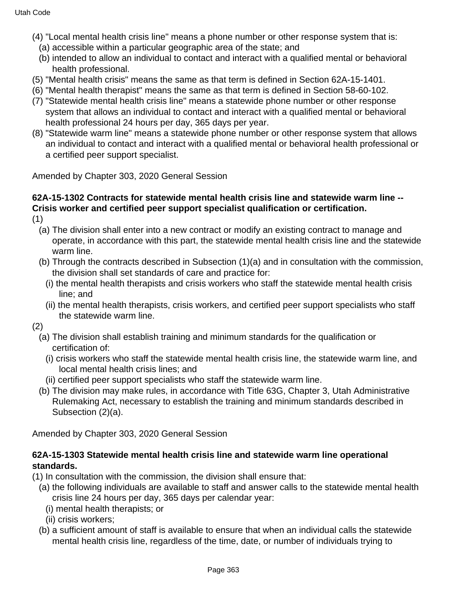- (4) "Local mental health crisis line" means a phone number or other response system that is:
	- (a) accessible within a particular geographic area of the state; and
	- (b) intended to allow an individual to contact and interact with a qualified mental or behavioral health professional.
- (5) "Mental health crisis" means the same as that term is defined in Section 62A-15-1401.
- (6) "Mental health therapist" means the same as that term is defined in Section 58-60-102.
- (7) "Statewide mental health crisis line" means a statewide phone number or other response system that allows an individual to contact and interact with a qualified mental or behavioral health professional 24 hours per day, 365 days per year.
- (8) "Statewide warm line" means a statewide phone number or other response system that allows an individual to contact and interact with a qualified mental or behavioral health professional or a certified peer support specialist.

Amended by Chapter 303, 2020 General Session

# **62A-15-1302 Contracts for statewide mental health crisis line and statewide warm line -- Crisis worker and certified peer support specialist qualification or certification.**

- (1)
	- (a) The division shall enter into a new contract or modify an existing contract to manage and operate, in accordance with this part, the statewide mental health crisis line and the statewide warm line.
	- (b) Through the contracts described in Subsection (1)(a) and in consultation with the commission, the division shall set standards of care and practice for:
		- (i) the mental health therapists and crisis workers who staff the statewide mental health crisis line; and
		- (ii) the mental health therapists, crisis workers, and certified peer support specialists who staff the statewide warm line.
- (2)
	- (a) The division shall establish training and minimum standards for the qualification or certification of:
		- (i) crisis workers who staff the statewide mental health crisis line, the statewide warm line, and local mental health crisis lines; and
	- (ii) certified peer support specialists who staff the statewide warm line.
	- (b) The division may make rules, in accordance with Title 63G, Chapter 3, Utah Administrative Rulemaking Act, necessary to establish the training and minimum standards described in Subsection (2)(a).

Amended by Chapter 303, 2020 General Session

## **62A-15-1303 Statewide mental health crisis line and statewide warm line operational standards.**

- (1) In consultation with the commission, the division shall ensure that:
	- (a) the following individuals are available to staff and answer calls to the statewide mental health crisis line 24 hours per day, 365 days per calendar year:
		- (i) mental health therapists; or
		- (ii) crisis workers;
	- (b) a sufficient amount of staff is available to ensure that when an individual calls the statewide mental health crisis line, regardless of the time, date, or number of individuals trying to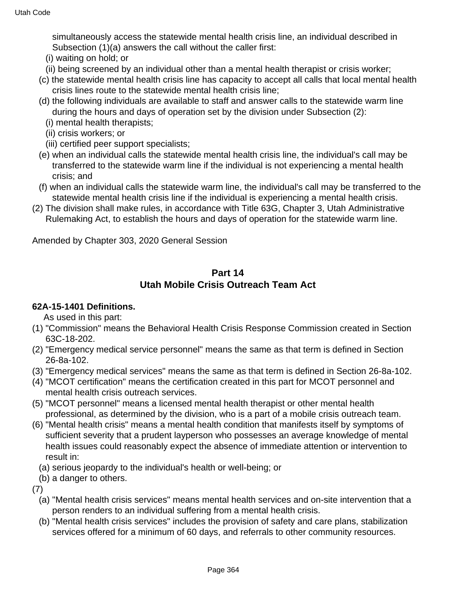simultaneously access the statewide mental health crisis line, an individual described in Subsection (1)(a) answers the call without the caller first:

- (i) waiting on hold; or
- (ii) being screened by an individual other than a mental health therapist or crisis worker;
- (c) the statewide mental health crisis line has capacity to accept all calls that local mental health crisis lines route to the statewide mental health crisis line;
- (d) the following individuals are available to staff and answer calls to the statewide warm line during the hours and days of operation set by the division under Subsection (2):
	- (i) mental health therapists;
	- (ii) crisis workers; or
	- (iii) certified peer support specialists;
- (e) when an individual calls the statewide mental health crisis line, the individual's call may be transferred to the statewide warm line if the individual is not experiencing a mental health crisis; and
- (f) when an individual calls the statewide warm line, the individual's call may be transferred to the statewide mental health crisis line if the individual is experiencing a mental health crisis.
- (2) The division shall make rules, in accordance with Title 63G, Chapter 3, Utah Administrative Rulemaking Act, to establish the hours and days of operation for the statewide warm line.

Amended by Chapter 303, 2020 General Session

## **Part 14 Utah Mobile Crisis Outreach Team Act**

## **62A-15-1401 Definitions.**

As used in this part:

- (1) "Commission" means the Behavioral Health Crisis Response Commission created in Section 63C-18-202.
- (2) "Emergency medical service personnel" means the same as that term is defined in Section 26-8a-102.
- (3) "Emergency medical services" means the same as that term is defined in Section 26-8a-102.
- (4) "MCOT certification" means the certification created in this part for MCOT personnel and mental health crisis outreach services.
- (5) "MCOT personnel" means a licensed mental health therapist or other mental health professional, as determined by the division, who is a part of a mobile crisis outreach team.
- (6) "Mental health crisis" means a mental health condition that manifests itself by symptoms of sufficient severity that a prudent layperson who possesses an average knowledge of mental health issues could reasonably expect the absence of immediate attention or intervention to result in:
	- (a) serious jeopardy to the individual's health or well-being; or
	- (b) a danger to others.

(7)

- (a) "Mental health crisis services" means mental health services and on-site intervention that a person renders to an individual suffering from a mental health crisis.
- (b) "Mental health crisis services" includes the provision of safety and care plans, stabilization services offered for a minimum of 60 days, and referrals to other community resources.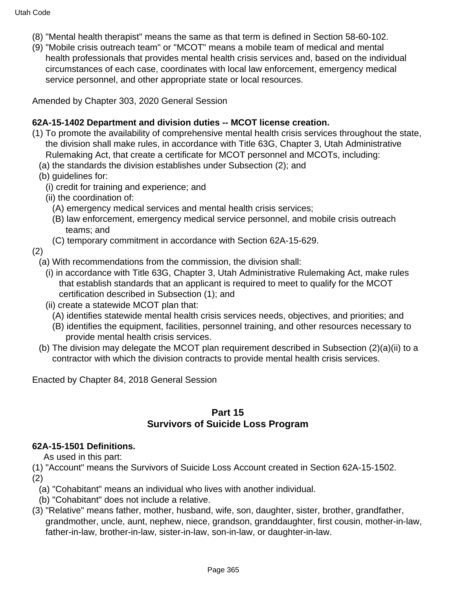- (8) "Mental health therapist" means the same as that term is defined in Section 58-60-102.
- (9) "Mobile crisis outreach team" or "MCOT" means a mobile team of medical and mental health professionals that provides mental health crisis services and, based on the individual circumstances of each case, coordinates with local law enforcement, emergency medical service personnel, and other appropriate state or local resources.

Amended by Chapter 303, 2020 General Session

### **62A-15-1402 Department and division duties -- MCOT license creation.**

- (1) To promote the availability of comprehensive mental health crisis services throughout the state, the division shall make rules, in accordance with Title 63G, Chapter 3, Utah Administrative Rulemaking Act, that create a certificate for MCOT personnel and MCOTs, including:
	- (a) the standards the division establishes under Subsection (2); and
	- (b) guidelines for:
		- (i) credit for training and experience; and
		- (ii) the coordination of:
			- (A) emergency medical services and mental health crisis services;
			- (B) law enforcement, emergency medical service personnel, and mobile crisis outreach teams; and
			- (C) temporary commitment in accordance with Section 62A-15-629.
- (2)

(a) With recommendations from the commission, the division shall:

- (i) in accordance with Title 63G, Chapter 3, Utah Administrative Rulemaking Act, make rules that establish standards that an applicant is required to meet to qualify for the MCOT certification described in Subsection (1); and
- (ii) create a statewide MCOT plan that:
	- (A) identifies statewide mental health crisis services needs, objectives, and priorities; and
	- (B) identifies the equipment, facilities, personnel training, and other resources necessary to provide mental health crisis services.
- (b) The division may delegate the MCOT plan requirement described in Subsection (2)(a)(ii) to a contractor with which the division contracts to provide mental health crisis services.

Enacted by Chapter 84, 2018 General Session

### **Part 15 Survivors of Suicide Loss Program**

## **62A-15-1501 Definitions.**

As used in this part:

- (1) "Account" means the Survivors of Suicide Loss Account created in Section 62A-15-1502.
- (2)
	- (a) "Cohabitant" means an individual who lives with another individual.
	- (b) "Cohabitant" does not include a relative.
- (3) "Relative" means father, mother, husband, wife, son, daughter, sister, brother, grandfather, grandmother, uncle, aunt, nephew, niece, grandson, granddaughter, first cousin, mother-in-law, father-in-law, brother-in-law, sister-in-law, son-in-law, or daughter-in-law.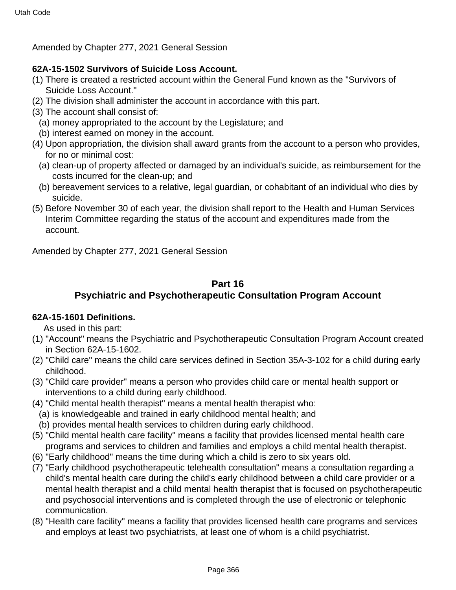Amended by Chapter 277, 2021 General Session

#### **62A-15-1502 Survivors of Suicide Loss Account.**

- (1) There is created a restricted account within the General Fund known as the "Survivors of Suicide Loss Account."
- (2) The division shall administer the account in accordance with this part.
- (3) The account shall consist of:
	- (a) money appropriated to the account by the Legislature; and
	- (b) interest earned on money in the account.
- (4) Upon appropriation, the division shall award grants from the account to a person who provides, for no or minimal cost:
	- (a) clean-up of property affected or damaged by an individual's suicide, as reimbursement for the costs incurred for the clean-up; and
	- (b) bereavement services to a relative, legal guardian, or cohabitant of an individual who dies by suicide.
- (5) Before November 30 of each year, the division shall report to the Health and Human Services Interim Committee regarding the status of the account and expenditures made from the account.

Amended by Chapter 277, 2021 General Session

# **Part 16 Psychiatric and Psychotherapeutic Consultation Program Account**

#### **62A-15-1601 Definitions.**

As used in this part:

- (1) "Account" means the Psychiatric and Psychotherapeutic Consultation Program Account created in Section 62A-15-1602.
- (2) "Child care" means the child care services defined in Section 35A-3-102 for a child during early childhood.
- (3) "Child care provider" means a person who provides child care or mental health support or interventions to a child during early childhood.
- (4) "Child mental health therapist" means a mental health therapist who:
	- (a) is knowledgeable and trained in early childhood mental health; and
	- (b) provides mental health services to children during early childhood.
- (5) "Child mental health care facility" means a facility that provides licensed mental health care programs and services to children and families and employs a child mental health therapist.
- (6) "Early childhood" means the time during which a child is zero to six years old.
- (7) "Early childhood psychotherapeutic telehealth consultation" means a consultation regarding a child's mental health care during the child's early childhood between a child care provider or a mental health therapist and a child mental health therapist that is focused on psychotherapeutic and psychosocial interventions and is completed through the use of electronic or telephonic communication.
- (8) "Health care facility" means a facility that provides licensed health care programs and services and employs at least two psychiatrists, at least one of whom is a child psychiatrist.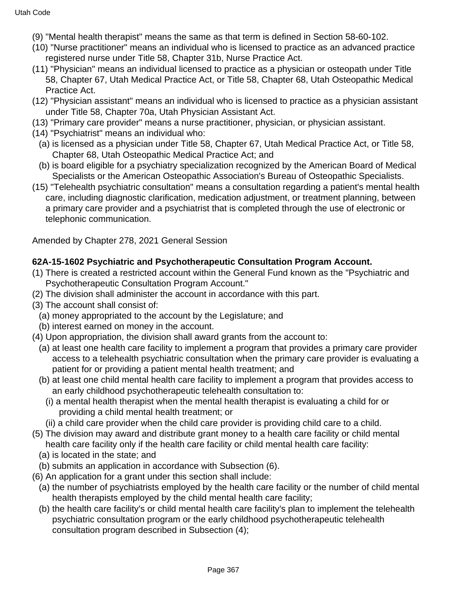- (9) "Mental health therapist" means the same as that term is defined in Section 58-60-102.
- (10) "Nurse practitioner" means an individual who is licensed to practice as an advanced practice registered nurse under Title 58, Chapter 31b, Nurse Practice Act.
- (11) "Physician" means an individual licensed to practice as a physician or osteopath under Title 58, Chapter 67, Utah Medical Practice Act, or Title 58, Chapter 68, Utah Osteopathic Medical Practice Act.
- (12) "Physician assistant" means an individual who is licensed to practice as a physician assistant under Title 58, Chapter 70a, Utah Physician Assistant Act.
- (13) "Primary care provider" means a nurse practitioner, physician, or physician assistant.
- (14) "Psychiatrist" means an individual who:
	- (a) is licensed as a physician under Title 58, Chapter 67, Utah Medical Practice Act, or Title 58, Chapter 68, Utah Osteopathic Medical Practice Act; and
	- (b) is board eligible for a psychiatry specialization recognized by the American Board of Medical Specialists or the American Osteopathic Association's Bureau of Osteopathic Specialists.
- (15) "Telehealth psychiatric consultation" means a consultation regarding a patient's mental health care, including diagnostic clarification, medication adjustment, or treatment planning, between a primary care provider and a psychiatrist that is completed through the use of electronic or telephonic communication.

Amended by Chapter 278, 2021 General Session

## **62A-15-1602 Psychiatric and Psychotherapeutic Consultation Program Account.**

- (1) There is created a restricted account within the General Fund known as the "Psychiatric and Psychotherapeutic Consultation Program Account."
- (2) The division shall administer the account in accordance with this part.
- (3) The account shall consist of:
	- (a) money appropriated to the account by the Legislature; and
	- (b) interest earned on money in the account.
- (4) Upon appropriation, the division shall award grants from the account to:
	- (a) at least one health care facility to implement a program that provides a primary care provider access to a telehealth psychiatric consultation when the primary care provider is evaluating a patient for or providing a patient mental health treatment; and
	- (b) at least one child mental health care facility to implement a program that provides access to an early childhood psychotherapeutic telehealth consultation to:
		- (i) a mental health therapist when the mental health therapist is evaluating a child for or providing a child mental health treatment; or
	- (ii) a child care provider when the child care provider is providing child care to a child.
- (5) The division may award and distribute grant money to a health care facility or child mental health care facility only if the health care facility or child mental health care facility:
	- (a) is located in the state; and
- (b) submits an application in accordance with Subsection (6).
- (6) An application for a grant under this section shall include:
	- (a) the number of psychiatrists employed by the health care facility or the number of child mental health therapists employed by the child mental health care facility;
	- (b) the health care facility's or child mental health care facility's plan to implement the telehealth psychiatric consultation program or the early childhood psychotherapeutic telehealth consultation program described in Subsection (4);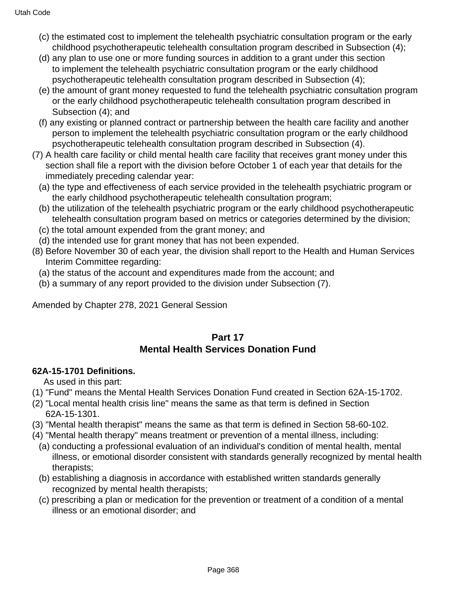- (c) the estimated cost to implement the telehealth psychiatric consultation program or the early childhood psychotherapeutic telehealth consultation program described in Subsection (4);
- (d) any plan to use one or more funding sources in addition to a grant under this section to implement the telehealth psychiatric consultation program or the early childhood psychotherapeutic telehealth consultation program described in Subsection (4);
- (e) the amount of grant money requested to fund the telehealth psychiatric consultation program or the early childhood psychotherapeutic telehealth consultation program described in Subsection (4); and
- (f) any existing or planned contract or partnership between the health care facility and another person to implement the telehealth psychiatric consultation program or the early childhood psychotherapeutic telehealth consultation program described in Subsection (4).
- (7) A health care facility or child mental health care facility that receives grant money under this section shall file a report with the division before October 1 of each year that details for the immediately preceding calendar year:
	- (a) the type and effectiveness of each service provided in the telehealth psychiatric program or the early childhood psychotherapeutic telehealth consultation program;
	- (b) the utilization of the telehealth psychiatric program or the early childhood psychotherapeutic telehealth consultation program based on metrics or categories determined by the division;
	- (c) the total amount expended from the grant money; and
	- (d) the intended use for grant money that has not been expended.
- (8) Before November 30 of each year, the division shall report to the Health and Human Services Interim Committee regarding:
	- (a) the status of the account and expenditures made from the account; and
	- (b) a summary of any report provided to the division under Subsection (7).

Amended by Chapter 278, 2021 General Session

# **Part 17 Mental Health Services Donation Fund**

# **62A-15-1701 Definitions.**

As used in this part:

- (1) "Fund" means the Mental Health Services Donation Fund created in Section 62A-15-1702.
- (2) "Local mental health crisis line" means the same as that term is defined in Section 62A-15-1301.
- (3) "Mental health therapist" means the same as that term is defined in Section 58-60-102.
- (4) "Mental health therapy" means treatment or prevention of a mental illness, including:
	- (a) conducting a professional evaluation of an individual's condition of mental health, mental illness, or emotional disorder consistent with standards generally recognized by mental health therapists;
	- (b) establishing a diagnosis in accordance with established written standards generally recognized by mental health therapists;
	- (c) prescribing a plan or medication for the prevention or treatment of a condition of a mental illness or an emotional disorder; and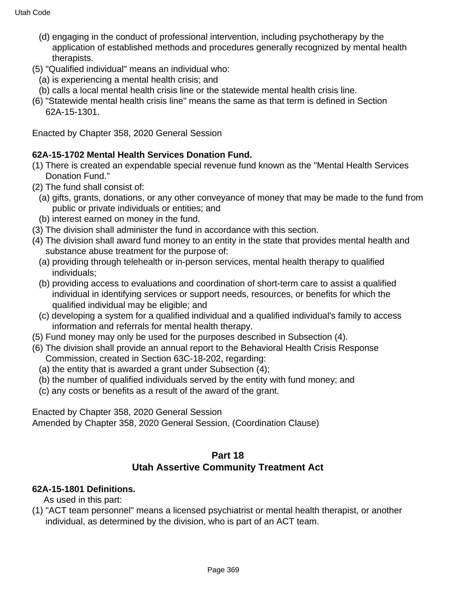- (d) engaging in the conduct of professional intervention, including psychotherapy by the application of established methods and procedures generally recognized by mental health therapists.
- (5) "Qualified individual" means an individual who:
	- (a) is experiencing a mental health crisis; and
	- (b) calls a local mental health crisis line or the statewide mental health crisis line.
- (6) "Statewide mental health crisis line" means the same as that term is defined in Section 62A-15-1301.

Enacted by Chapter 358, 2020 General Session

### **62A-15-1702 Mental Health Services Donation Fund.**

- (1) There is created an expendable special revenue fund known as the "Mental Health Services Donation Fund."
- (2) The fund shall consist of:
	- (a) gifts, grants, donations, or any other conveyance of money that may be made to the fund from public or private individuals or entities; and
	- (b) interest earned on money in the fund.
- (3) The division shall administer the fund in accordance with this section.
- (4) The division shall award fund money to an entity in the state that provides mental health and substance abuse treatment for the purpose of:
	- (a) providing through telehealth or in-person services, mental health therapy to qualified individuals;
	- (b) providing access to evaluations and coordination of short-term care to assist a qualified individual in identifying services or support needs, resources, or benefits for which the qualified individual may be eligible; and
	- (c) developing a system for a qualified individual and a qualified individual's family to access information and referrals for mental health therapy.
- (5) Fund money may only be used for the purposes described in Subsection (4).
- (6) The division shall provide an annual report to the Behavioral Health Crisis Response Commission, created in Section 63C-18-202, regarding:
	- (a) the entity that is awarded a grant under Subsection (4);
	- (b) the number of qualified individuals served by the entity with fund money; and
	- (c) any costs or benefits as a result of the award of the grant.

Enacted by Chapter 358, 2020 General Session Amended by Chapter 358, 2020 General Session, (Coordination Clause)

# **Part 18**

## **Utah Assertive Community Treatment Act**

#### **62A-15-1801 Definitions.**

As used in this part:

(1) "ACT team personnel" means a licensed psychiatrist or mental health therapist, or another individual, as determined by the division, who is part of an ACT team.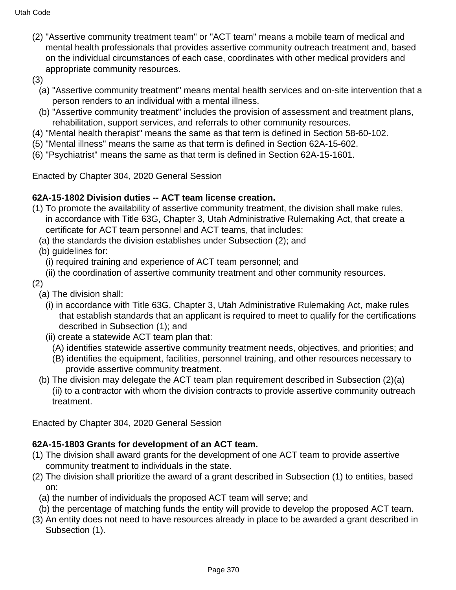- (2) "Assertive community treatment team" or "ACT team" means a mobile team of medical and mental health professionals that provides assertive community outreach treatment and, based on the individual circumstances of each case, coordinates with other medical providers and appropriate community resources.
- (3)
	- (a) "Assertive community treatment" means mental health services and on-site intervention that a person renders to an individual with a mental illness.
	- (b) "Assertive community treatment" includes the provision of assessment and treatment plans, rehabilitation, support services, and referrals to other community resources.
- (4) "Mental health therapist" means the same as that term is defined in Section 58-60-102.
- (5) "Mental illness" means the same as that term is defined in Section 62A-15-602.
- (6) "Psychiatrist" means the same as that term is defined in Section 62A-15-1601.

Enacted by Chapter 304, 2020 General Session

## **62A-15-1802 Division duties -- ACT team license creation.**

- (1) To promote the availability of assertive community treatment, the division shall make rules, in accordance with Title 63G, Chapter 3, Utah Administrative Rulemaking Act, that create a certificate for ACT team personnel and ACT teams, that includes:
	- (a) the standards the division establishes under Subsection (2); and
	- (b) guidelines for:
		- (i) required training and experience of ACT team personnel; and
	- (ii) the coordination of assertive community treatment and other community resources.
- (2)
	- (a) The division shall:
		- (i) in accordance with Title 63G, Chapter 3, Utah Administrative Rulemaking Act, make rules that establish standards that an applicant is required to meet to qualify for the certifications described in Subsection (1); and
		- (ii) create a statewide ACT team plan that:
			- (A) identifies statewide assertive community treatment needs, objectives, and priorities; and
			- (B) identifies the equipment, facilities, personnel training, and other resources necessary to provide assertive community treatment.
	- (b) The division may delegate the ACT team plan requirement described in Subsection (2)(a) (ii) to a contractor with whom the division contracts to provide assertive community outreach treatment.

Enacted by Chapter 304, 2020 General Session

# **62A-15-1803 Grants for development of an ACT team.**

- (1) The division shall award grants for the development of one ACT team to provide assertive community treatment to individuals in the state.
- (2) The division shall prioritize the award of a grant described in Subsection (1) to entities, based on:
	- (a) the number of individuals the proposed ACT team will serve; and
	- (b) the percentage of matching funds the entity will provide to develop the proposed ACT team.
- (3) An entity does not need to have resources already in place to be awarded a grant described in Subsection (1).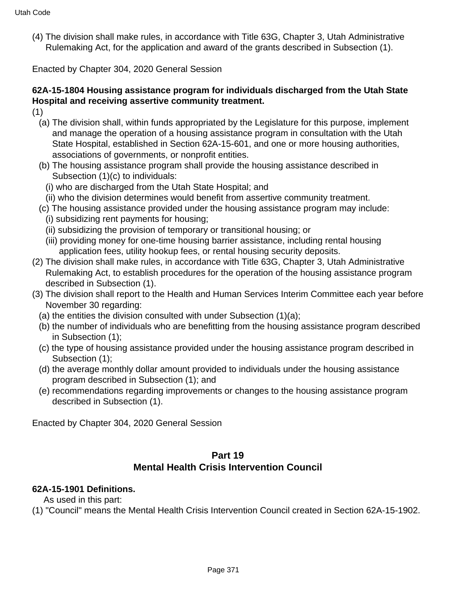(4) The division shall make rules, in accordance with Title 63G, Chapter 3, Utah Administrative Rulemaking Act, for the application and award of the grants described in Subsection (1).

Enacted by Chapter 304, 2020 General Session

### **62A-15-1804 Housing assistance program for individuals discharged from the Utah State Hospital and receiving assertive community treatment.**

- (1)
	- (a) The division shall, within funds appropriated by the Legislature for this purpose, implement and manage the operation of a housing assistance program in consultation with the Utah State Hospital, established in Section 62A-15-601, and one or more housing authorities, associations of governments, or nonprofit entities.
	- (b) The housing assistance program shall provide the housing assistance described in Subsection (1)(c) to individuals:
		- (i) who are discharged from the Utah State Hospital; and
		- (ii) who the division determines would benefit from assertive community treatment.
	- (c) The housing assistance provided under the housing assistance program may include:
		- (i) subsidizing rent payments for housing;
		- (ii) subsidizing the provision of temporary or transitional housing; or
		- (iii) providing money for one-time housing barrier assistance, including rental housing application fees, utility hookup fees, or rental housing security deposits.
- (2) The division shall make rules, in accordance with Title 63G, Chapter 3, Utah Administrative Rulemaking Act, to establish procedures for the operation of the housing assistance program described in Subsection (1).
- (3) The division shall report to the Health and Human Services Interim Committee each year before November 30 regarding:
	- (a) the entities the division consulted with under Subsection (1)(a);
	- (b) the number of individuals who are benefitting from the housing assistance program described in Subsection (1);
	- (c) the type of housing assistance provided under the housing assistance program described in Subsection (1);
	- (d) the average monthly dollar amount provided to individuals under the housing assistance program described in Subsection (1); and
	- (e) recommendations regarding improvements or changes to the housing assistance program described in Subsection (1).

Enacted by Chapter 304, 2020 General Session

# **Part 19 Mental Health Crisis Intervention Council**

## **62A-15-1901 Definitions.**

As used in this part:

(1) "Council" means the Mental Health Crisis Intervention Council created in Section 62A-15-1902.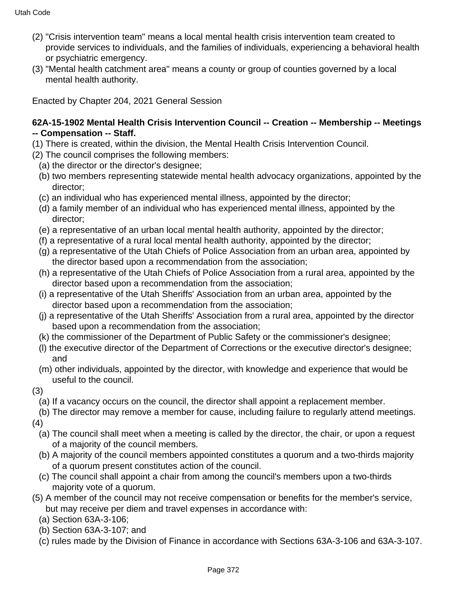- (2) "Crisis intervention team" means a local mental health crisis intervention team created to provide services to individuals, and the families of individuals, experiencing a behavioral health or psychiatric emergency.
- (3) "Mental health catchment area" means a county or group of counties governed by a local mental health authority.

Enacted by Chapter 204, 2021 General Session

# **62A-15-1902 Mental Health Crisis Intervention Council -- Creation -- Membership -- Meetings -- Compensation -- Staff.**

- (1) There is created, within the division, the Mental Health Crisis Intervention Council.
- (2) The council comprises the following members:
	- (a) the director or the director's designee;
	- (b) two members representing statewide mental health advocacy organizations, appointed by the director;
	- (c) an individual who has experienced mental illness, appointed by the director;
	- (d) a family member of an individual who has experienced mental illness, appointed by the director;
	- (e) a representative of an urban local mental health authority, appointed by the director;
	- (f) a representative of a rural local mental health authority, appointed by the director;
	- (g) a representative of the Utah Chiefs of Police Association from an urban area, appointed by the director based upon a recommendation from the association;
	- (h) a representative of the Utah Chiefs of Police Association from a rural area, appointed by the director based upon a recommendation from the association;
	- (i) a representative of the Utah Sheriffs' Association from an urban area, appointed by the director based upon a recommendation from the association;
	- (j) a representative of the Utah Sheriffs' Association from a rural area, appointed by the director based upon a recommendation from the association;
	- (k) the commissioner of the Department of Public Safety or the commissioner's designee;
	- (l) the executive director of the Department of Corrections or the executive director's designee; and
	- (m) other individuals, appointed by the director, with knowledge and experience that would be useful to the council.
- (3)
	- (a) If a vacancy occurs on the council, the director shall appoint a replacement member.
- (b) The director may remove a member for cause, including failure to regularly attend meetings. (4)
	- (a) The council shall meet when a meeting is called by the director, the chair, or upon a request of a majority of the council members.
	- (b) A majority of the council members appointed constitutes a quorum and a two-thirds majority of a quorum present constitutes action of the council.
	- (c) The council shall appoint a chair from among the council's members upon a two-thirds majority vote of a quorum.
- (5) A member of the council may not receive compensation or benefits for the member's service, but may receive per diem and travel expenses in accordance with:
	- (a) Section 63A-3-106;
	- (b) Section 63A-3-107; and
	- (c) rules made by the Division of Finance in accordance with Sections 63A-3-106 and 63A-3-107.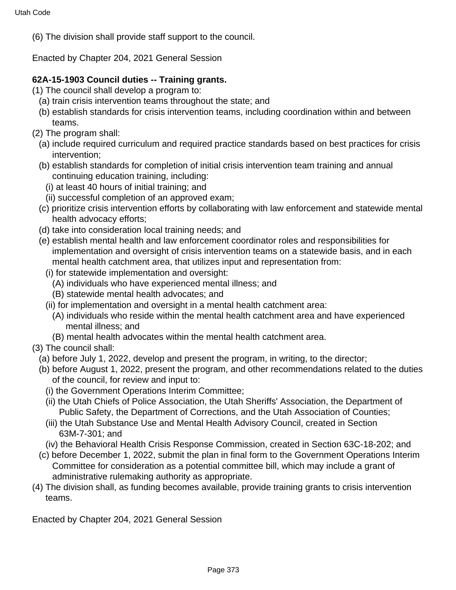(6) The division shall provide staff support to the council.

Enacted by Chapter 204, 2021 General Session

# **62A-15-1903 Council duties -- Training grants.**

- (1) The council shall develop a program to:
	- (a) train crisis intervention teams throughout the state; and
	- (b) establish standards for crisis intervention teams, including coordination within and between teams.
- (2) The program shall:
	- (a) include required curriculum and required practice standards based on best practices for crisis intervention;
	- (b) establish standards for completion of initial crisis intervention team training and annual continuing education training, including:
		- (i) at least 40 hours of initial training; and
		- (ii) successful completion of an approved exam;
	- (c) prioritize crisis intervention efforts by collaborating with law enforcement and statewide mental health advocacy efforts;
	- (d) take into consideration local training needs; and
	- (e) establish mental health and law enforcement coordinator roles and responsibilities for implementation and oversight of crisis intervention teams on a statewide basis, and in each mental health catchment area, that utilizes input and representation from:
		- (i) for statewide implementation and oversight:
			- (A) individuals who have experienced mental illness; and
			- (B) statewide mental health advocates; and
		- (ii) for implementation and oversight in a mental health catchment area:
			- (A) individuals who reside within the mental health catchment area and have experienced mental illness; and
			- (B) mental health advocates within the mental health catchment area.
- (3) The council shall:
	- (a) before July 1, 2022, develop and present the program, in writing, to the director;
	- (b) before August 1, 2022, present the program, and other recommendations related to the duties of the council, for review and input to:
		- (i) the Government Operations Interim Committee;
		- (ii) the Utah Chiefs of Police Association, the Utah Sheriffs' Association, the Department of Public Safety, the Department of Corrections, and the Utah Association of Counties;
		- (iii) the Utah Substance Use and Mental Health Advisory Council, created in Section 63M-7-301; and
		- (iv) the Behavioral Health Crisis Response Commission, created in Section 63C-18-202; and
	- (c) before December 1, 2022, submit the plan in final form to the Government Operations Interim Committee for consideration as a potential committee bill, which may include a grant of administrative rulemaking authority as appropriate.
- (4) The division shall, as funding becomes available, provide training grants to crisis intervention teams.

Enacted by Chapter 204, 2021 General Session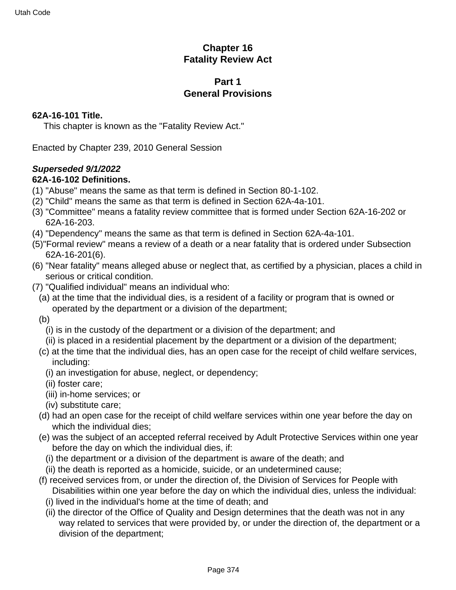# **Chapter 16 Fatality Review Act**

# **Part 1 General Provisions**

#### **62A-16-101 Title.**

This chapter is known as the "Fatality Review Act."

Enacted by Chapter 239, 2010 General Session

# **Superseded 9/1/2022**

### **62A-16-102 Definitions.**

- (1) "Abuse" means the same as that term is defined in Section 80-1-102.
- (2) "Child" means the same as that term is defined in Section 62A-4a-101.
- (3) "Committee" means a fatality review committee that is formed under Section 62A-16-202 or 62A-16-203.
- (4) "Dependency" means the same as that term is defined in Section 62A-4a-101.
- (5)"Formal review" means a review of a death or a near fatality that is ordered under Subsection 62A-16-201(6).
- (6) "Near fatality" means alleged abuse or neglect that, as certified by a physician, places a child in serious or critical condition.
- (7) "Qualified individual" means an individual who:
	- (a) at the time that the individual dies, is a resident of a facility or program that is owned or operated by the department or a division of the department;
	- (b)
		- (i) is in the custody of the department or a division of the department; and
	- (ii) is placed in a residential placement by the department or a division of the department;
	- (c) at the time that the individual dies, has an open case for the receipt of child welfare services, including:
		- (i) an investigation for abuse, neglect, or dependency;
		- (ii) foster care;
		- (iii) in-home services; or
		- (iv) substitute care;
	- (d) had an open case for the receipt of child welfare services within one year before the day on which the individual dies;
	- (e) was the subject of an accepted referral received by Adult Protective Services within one year before the day on which the individual dies, if:
		- (i) the department or a division of the department is aware of the death; and
		- (ii) the death is reported as a homicide, suicide, or an undetermined cause;
	- (f) received services from, or under the direction of, the Division of Services for People with Disabilities within one year before the day on which the individual dies, unless the individual:
		- (i) lived in the individual's home at the time of death; and
		- (ii) the director of the Office of Quality and Design determines that the death was not in any way related to services that were provided by, or under the direction of, the department or a division of the department;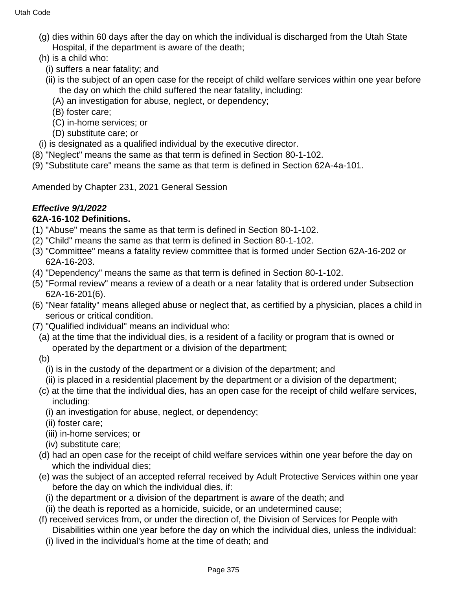- (g) dies within 60 days after the day on which the individual is discharged from the Utah State Hospital, if the department is aware of the death;
- (h) is a child who:
	- (i) suffers a near fatality; and
	- (ii) is the subject of an open case for the receipt of child welfare services within one year before the day on which the child suffered the near fatality, including:
		- (A) an investigation for abuse, neglect, or dependency;
		- (B) foster care;
		- (C) in-home services; or
		- (D) substitute care; or
- (i) is designated as a qualified individual by the executive director.
- (8) "Neglect" means the same as that term is defined in Section 80-1-102.
- (9) "Substitute care" means the same as that term is defined in Section 62A-4a-101.

Amended by Chapter 231, 2021 General Session

# **Effective 9/1/2022**

# **62A-16-102 Definitions.**

- (1) "Abuse" means the same as that term is defined in Section 80-1-102.
- (2) "Child" means the same as that term is defined in Section 80-1-102.
- (3) "Committee" means a fatality review committee that is formed under Section 62A-16-202 or 62A-16-203.
- (4) "Dependency" means the same as that term is defined in Section 80-1-102.
- (5) "Formal review" means a review of a death or a near fatality that is ordered under Subsection 62A-16-201(6).
- (6) "Near fatality" means alleged abuse or neglect that, as certified by a physician, places a child in serious or critical condition.
- (7) "Qualified individual" means an individual who:
	- (a) at the time that the individual dies, is a resident of a facility or program that is owned or operated by the department or a division of the department;
	- (b)
		- (i) is in the custody of the department or a division of the department; and
	- (ii) is placed in a residential placement by the department or a division of the department;
	- (c) at the time that the individual dies, has an open case for the receipt of child welfare services, including:
		- (i) an investigation for abuse, neglect, or dependency;
		- (ii) foster care;
		- (iii) in-home services; or
		- (iv) substitute care;
	- (d) had an open case for the receipt of child welfare services within one year before the day on which the individual dies;
	- (e) was the subject of an accepted referral received by Adult Protective Services within one year before the day on which the individual dies, if:
		- (i) the department or a division of the department is aware of the death; and
		- (ii) the death is reported as a homicide, suicide, or an undetermined cause;
	- (f) received services from, or under the direction of, the Division of Services for People with Disabilities within one year before the day on which the individual dies, unless the individual:
		- (i) lived in the individual's home at the time of death; and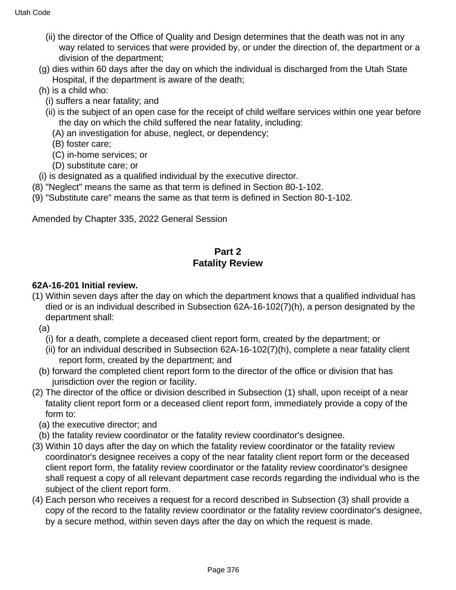- (ii) the director of the Office of Quality and Design determines that the death was not in any way related to services that were provided by, or under the direction of, the department or a division of the department;
- (g) dies within 60 days after the day on which the individual is discharged from the Utah State Hospital, if the department is aware of the death;
- (h) is a child who:
	- (i) suffers a near fatality; and
	- (ii) is the subject of an open case for the receipt of child welfare services within one year before the day on which the child suffered the near fatality, including:
		- (A) an investigation for abuse, neglect, or dependency;
		- (B) foster care;
		- (C) in-home services; or
		- (D) substitute care; or
- (i) is designated as a qualified individual by the executive director.
- (8) "Neglect" means the same as that term is defined in Section 80-1-102.
- (9) "Substitute care" means the same as that term is defined in Section 80-1-102.

Amended by Chapter 335, 2022 General Session

# **Part 2 Fatality Review**

## **62A-16-201 Initial review.**

- (1) Within seven days after the day on which the department knows that a qualified individual has died or is an individual described in Subsection 62A-16-102(7)(h), a person designated by the department shall:
	- (a)
		- (i) for a death, complete a deceased client report form, created by the department; or
		- (ii) for an individual described in Subsection 62A-16-102(7)(h), complete a near fatality client report form, created by the department; and
	- (b) forward the completed client report form to the director of the office or division that has jurisdiction over the region or facility.
- (2) The director of the office or division described in Subsection (1) shall, upon receipt of a near fatality client report form or a deceased client report form, immediately provide a copy of the form to:
	- (a) the executive director; and
	- (b) the fatality review coordinator or the fatality review coordinator's designee.
- (3) Within 10 days after the day on which the fatality review coordinator or the fatality review coordinator's designee receives a copy of the near fatality client report form or the deceased client report form, the fatality review coordinator or the fatality review coordinator's designee shall request a copy of all relevant department case records regarding the individual who is the subject of the client report form.
- (4) Each person who receives a request for a record described in Subsection (3) shall provide a copy of the record to the fatality review coordinator or the fatality review coordinator's designee, by a secure method, within seven days after the day on which the request is made.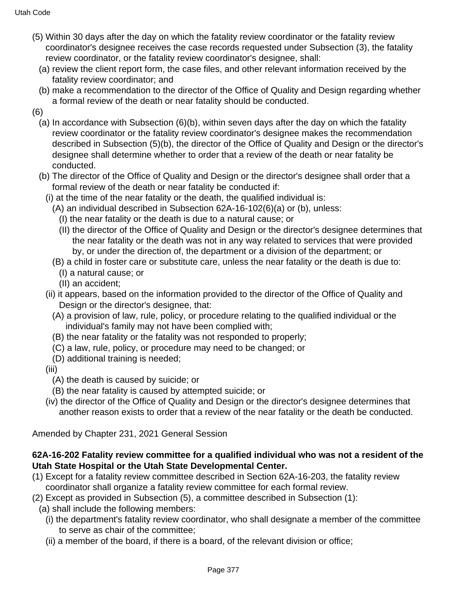- (5) Within 30 days after the day on which the fatality review coordinator or the fatality review coordinator's designee receives the case records requested under Subsection (3), the fatality review coordinator, or the fatality review coordinator's designee, shall:
	- (a) review the client report form, the case files, and other relevant information received by the fatality review coordinator; and
	- (b) make a recommendation to the director of the Office of Quality and Design regarding whether a formal review of the death or near fatality should be conducted.
- (6)
	- (a) In accordance with Subsection (6)(b), within seven days after the day on which the fatality review coordinator or the fatality review coordinator's designee makes the recommendation described in Subsection (5)(b), the director of the Office of Quality and Design or the director's designee shall determine whether to order that a review of the death or near fatality be conducted.
	- (b) The director of the Office of Quality and Design or the director's designee shall order that a formal review of the death or near fatality be conducted if:
	- (i) at the time of the near fatality or the death, the qualified individual is:
		- (A) an individual described in Subsection 62A-16-102(6)(a) or (b), unless:
			- (I) the near fatality or the death is due to a natural cause; or
			- (II) the director of the Office of Quality and Design or the director's designee determines that the near fatality or the death was not in any way related to services that were provided by, or under the direction of, the department or a division of the department; or
		- (B) a child in foster care or substitute care, unless the near fatality or the death is due to:
			- (I) a natural cause; or
		- (II) an accident;
	- (ii) it appears, based on the information provided to the director of the Office of Quality and Design or the director's designee, that:
		- (A) a provision of law, rule, policy, or procedure relating to the qualified individual or the individual's family may not have been complied with;
		- (B) the near fatality or the fatality was not responded to properly;
		- (C) a law, rule, policy, or procedure may need to be changed; or
		- (D) additional training is needed;
	- (iii)
		- (A) the death is caused by suicide; or
		- (B) the near fatality is caused by attempted suicide; or
	- (iv) the director of the Office of Quality and Design or the director's designee determines that another reason exists to order that a review of the near fatality or the death be conducted.

Amended by Chapter 231, 2021 General Session

## **62A-16-202 Fatality review committee for a qualified individual who was not a resident of the Utah State Hospital or the Utah State Developmental Center.**

- (1) Except for a fatality review committee described in Section 62A-16-203, the fatality review coordinator shall organize a fatality review committee for each formal review.
- (2) Except as provided in Subsection (5), a committee described in Subsection (1):
	- (a) shall include the following members:
		- (i) the department's fatality review coordinator, who shall designate a member of the committee to serve as chair of the committee;
		- (ii) a member of the board, if there is a board, of the relevant division or office;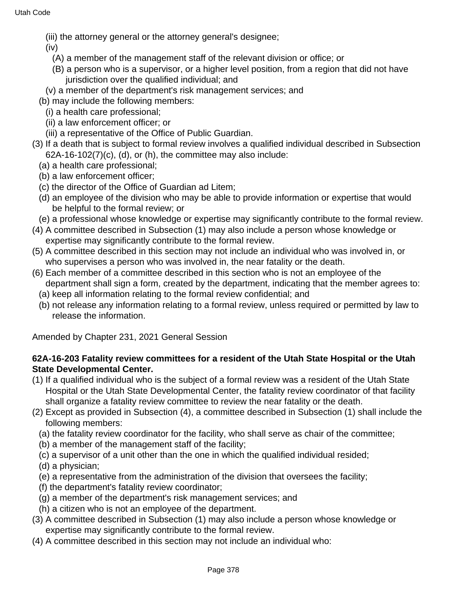(iii) the attorney general or the attorney general's designee;

(iv)

- (A) a member of the management staff of the relevant division or office; or
- (B) a person who is a supervisor, or a higher level position, from a region that did not have jurisdiction over the qualified individual; and
- (v) a member of the department's risk management services; and
- (b) may include the following members:
	- (i) a health care professional;
	- (ii) a law enforcement officer; or
- (iii) a representative of the Office of Public Guardian.
- (3) If a death that is subject to formal review involves a qualified individual described in Subsection  $62A-16-102(7)(c)$ , (d), or (h), the committee may also include:
	- (a) a health care professional;
	- (b) a law enforcement officer;
	- (c) the director of the Office of Guardian ad Litem;
	- (d) an employee of the division who may be able to provide information or expertise that would be helpful to the formal review; or
- (e) a professional whose knowledge or expertise may significantly contribute to the formal review.
- (4) A committee described in Subsection (1) may also include a person whose knowledge or expertise may significantly contribute to the formal review.
- (5) A committee described in this section may not include an individual who was involved in, or who supervises a person who was involved in, the near fatality or the death.
- (6) Each member of a committee described in this section who is not an employee of the department shall sign a form, created by the department, indicating that the member agrees to:
	- (a) keep all information relating to the formal review confidential; and
	- (b) not release any information relating to a formal review, unless required or permitted by law to release the information.

Amended by Chapter 231, 2021 General Session

## **62A-16-203 Fatality review committees for a resident of the Utah State Hospital or the Utah State Developmental Center.**

- (1) If a qualified individual who is the subject of a formal review was a resident of the Utah State Hospital or the Utah State Developmental Center, the fatality review coordinator of that facility shall organize a fatality review committee to review the near fatality or the death.
- (2) Except as provided in Subsection (4), a committee described in Subsection (1) shall include the following members:
	- (a) the fatality review coordinator for the facility, who shall serve as chair of the committee;
	- (b) a member of the management staff of the facility;
	- (c) a supervisor of a unit other than the one in which the qualified individual resided;
	- (d) a physician;
	- (e) a representative from the administration of the division that oversees the facility;
	- (f) the department's fatality review coordinator;
	- (g) a member of the department's risk management services; and
	- (h) a citizen who is not an employee of the department.
- (3) A committee described in Subsection (1) may also include a person whose knowledge or expertise may significantly contribute to the formal review.
- (4) A committee described in this section may not include an individual who: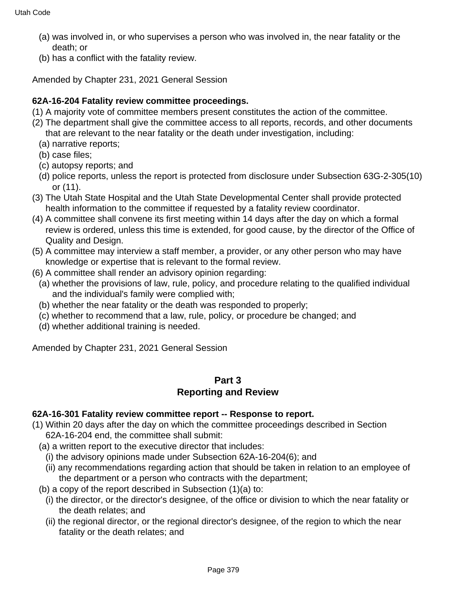- (a) was involved in, or who supervises a person who was involved in, the near fatality or the death; or
- (b) has a conflict with the fatality review.

Amended by Chapter 231, 2021 General Session

### **62A-16-204 Fatality review committee proceedings.**

- (1) A majority vote of committee members present constitutes the action of the committee.
- (2) The department shall give the committee access to all reports, records, and other documents that are relevant to the near fatality or the death under investigation, including:
	- (a) narrative reports;
	- (b) case files;
	- (c) autopsy reports; and
	- (d) police reports, unless the report is protected from disclosure under Subsection 63G-2-305(10) or (11).
- (3) The Utah State Hospital and the Utah State Developmental Center shall provide protected health information to the committee if requested by a fatality review coordinator.
- (4) A committee shall convene its first meeting within 14 days after the day on which a formal review is ordered, unless this time is extended, for good cause, by the director of the Office of Quality and Design.
- (5) A committee may interview a staff member, a provider, or any other person who may have knowledge or expertise that is relevant to the formal review.
- (6) A committee shall render an advisory opinion regarding:
	- (a) whether the provisions of law, rule, policy, and procedure relating to the qualified individual and the individual's family were complied with;
	- (b) whether the near fatality or the death was responded to properly;
	- (c) whether to recommend that a law, rule, policy, or procedure be changed; and
	- (d) whether additional training is needed.

Amended by Chapter 231, 2021 General Session

# **Part 3 Reporting and Review**

#### **62A-16-301 Fatality review committee report -- Response to report.**

- (1) Within 20 days after the day on which the committee proceedings described in Section 62A-16-204 end, the committee shall submit:
	- (a) a written report to the executive director that includes:
		- (i) the advisory opinions made under Subsection 62A-16-204(6); and
		- (ii) any recommendations regarding action that should be taken in relation to an employee of the department or a person who contracts with the department;
	- (b) a copy of the report described in Subsection (1)(a) to:
		- (i) the director, or the director's designee, of the office or division to which the near fatality or the death relates; and
		- (ii) the regional director, or the regional director's designee, of the region to which the near fatality or the death relates; and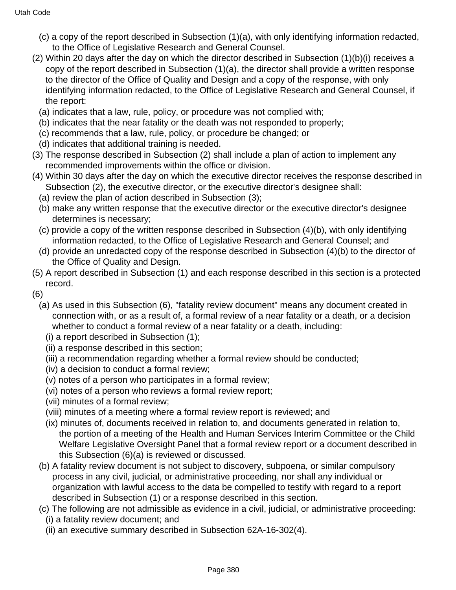- (c) a copy of the report described in Subsection (1)(a), with only identifying information redacted, to the Office of Legislative Research and General Counsel.
- (2) Within 20 days after the day on which the director described in Subsection (1)(b)(i) receives a copy of the report described in Subsection (1)(a), the director shall provide a written response to the director of the Office of Quality and Design and a copy of the response, with only identifying information redacted, to the Office of Legislative Research and General Counsel, if the report:
	- (a) indicates that a law, rule, policy, or procedure was not complied with;
	- (b) indicates that the near fatality or the death was not responded to properly;
	- (c) recommends that a law, rule, policy, or procedure be changed; or
	- (d) indicates that additional training is needed.
- (3) The response described in Subsection (2) shall include a plan of action to implement any recommended improvements within the office or division.
- (4) Within 30 days after the day on which the executive director receives the response described in Subsection (2), the executive director, or the executive director's designee shall:
	- (a) review the plan of action described in Subsection (3);
	- (b) make any written response that the executive director or the executive director's designee determines is necessary;
	- (c) provide a copy of the written response described in Subsection (4)(b), with only identifying information redacted, to the Office of Legislative Research and General Counsel; and
	- (d) provide an unredacted copy of the response described in Subsection (4)(b) to the director of the Office of Quality and Design.
- (5) A report described in Subsection (1) and each response described in this section is a protected record.

(6)

- (a) As used in this Subsection (6), "fatality review document" means any document created in connection with, or as a result of, a formal review of a near fatality or a death, or a decision whether to conduct a formal review of a near fatality or a death, including:
	- (i) a report described in Subsection (1);
	- (ii) a response described in this section;
	- (iii) a recommendation regarding whether a formal review should be conducted;
	- (iv) a decision to conduct a formal review;
	- (v) notes of a person who participates in a formal review;
	- (vi) notes of a person who reviews a formal review report;
	- (vii) minutes of a formal review;
	- (viii) minutes of a meeting where a formal review report is reviewed; and
	- (ix) minutes of, documents received in relation to, and documents generated in relation to, the portion of a meeting of the Health and Human Services Interim Committee or the Child Welfare Legislative Oversight Panel that a formal review report or a document described in this Subsection (6)(a) is reviewed or discussed.
- (b) A fatality review document is not subject to discovery, subpoena, or similar compulsory process in any civil, judicial, or administrative proceeding, nor shall any individual or organization with lawful access to the data be compelled to testify with regard to a report described in Subsection (1) or a response described in this section.
- (c) The following are not admissible as evidence in a civil, judicial, or administrative proceeding:
	- (i) a fatality review document; and
	- (ii) an executive summary described in Subsection 62A-16-302(4).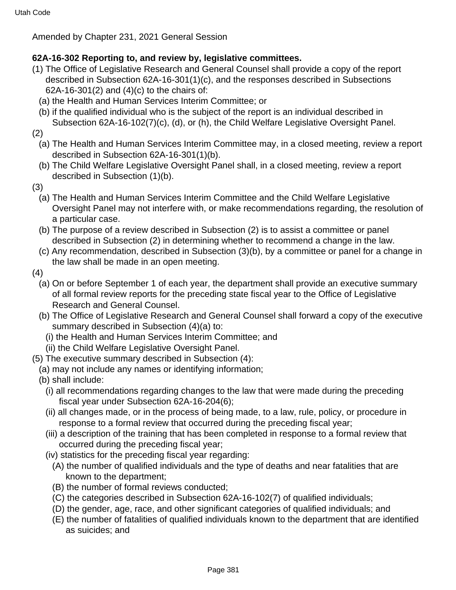Amended by Chapter 231, 2021 General Session

# **62A-16-302 Reporting to, and review by, legislative committees.**

- (1) The Office of Legislative Research and General Counsel shall provide a copy of the report described in Subsection 62A-16-301(1)(c), and the responses described in Subsections 62A-16-301(2) and (4)(c) to the chairs of:
	- (a) the Health and Human Services Interim Committee; or
	- (b) if the qualified individual who is the subject of the report is an individual described in Subsection 62A-16-102(7)(c), (d), or (h), the Child Welfare Legislative Oversight Panel.

(2)

- (a) The Health and Human Services Interim Committee may, in a closed meeting, review a report described in Subsection 62A-16-301(1)(b).
- (b) The Child Welfare Legislative Oversight Panel shall, in a closed meeting, review a report described in Subsection (1)(b).
- (3)
	- (a) The Health and Human Services Interim Committee and the Child Welfare Legislative Oversight Panel may not interfere with, or make recommendations regarding, the resolution of a particular case.
	- (b) The purpose of a review described in Subsection (2) is to assist a committee or panel described in Subsection (2) in determining whether to recommend a change in the law.
	- (c) Any recommendation, described in Subsection (3)(b), by a committee or panel for a change in the law shall be made in an open meeting.
- (4)
	- (a) On or before September 1 of each year, the department shall provide an executive summary of all formal review reports for the preceding state fiscal year to the Office of Legislative Research and General Counsel.
	- (b) The Office of Legislative Research and General Counsel shall forward a copy of the executive summary described in Subsection (4)(a) to:
		- (i) the Health and Human Services Interim Committee; and
		- (ii) the Child Welfare Legislative Oversight Panel.
- (5) The executive summary described in Subsection (4):
	- (a) may not include any names or identifying information;
	- (b) shall include:
		- (i) all recommendations regarding changes to the law that were made during the preceding fiscal year under Subsection 62A-16-204(6);
		- (ii) all changes made, or in the process of being made, to a law, rule, policy, or procedure in response to a formal review that occurred during the preceding fiscal year;
		- (iii) a description of the training that has been completed in response to a formal review that occurred during the preceding fiscal year;
		- (iv) statistics for the preceding fiscal year regarding:
			- (A) the number of qualified individuals and the type of deaths and near fatalities that are known to the department;
			- (B) the number of formal reviews conducted;
			- (C) the categories described in Subsection 62A-16-102(7) of qualified individuals;
			- (D) the gender, age, race, and other significant categories of qualified individuals; and
			- (E) the number of fatalities of qualified individuals known to the department that are identified as suicides; and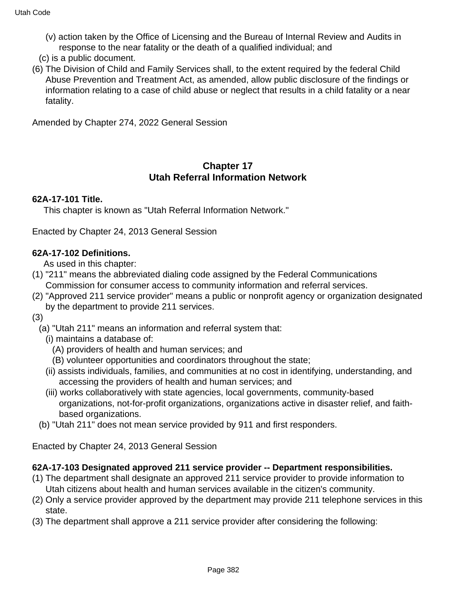- (v) action taken by the Office of Licensing and the Bureau of Internal Review and Audits in response to the near fatality or the death of a qualified individual; and
- (c) is a public document.
- (6) The Division of Child and Family Services shall, to the extent required by the federal Child Abuse Prevention and Treatment Act, as amended, allow public disclosure of the findings or information relating to a case of child abuse or neglect that results in a child fatality or a near fatality.

Amended by Chapter 274, 2022 General Session

# **Chapter 17 Utah Referral Information Network**

#### **62A-17-101 Title.**

This chapter is known as "Utah Referral Information Network."

Enacted by Chapter 24, 2013 General Session

### **62A-17-102 Definitions.**

As used in this chapter:

- (1) "211" means the abbreviated dialing code assigned by the Federal Communications Commission for consumer access to community information and referral services.
- (2) "Approved 211 service provider" means a public or nonprofit agency or organization designated by the department to provide 211 services.

(3)

- (a) "Utah 211" means an information and referral system that:
	- (i) maintains a database of:
		- (A) providers of health and human services; and
		- (B) volunteer opportunities and coordinators throughout the state;
	- (ii) assists individuals, families, and communities at no cost in identifying, understanding, and accessing the providers of health and human services; and
	- (iii) works collaboratively with state agencies, local governments, community-based organizations, not-for-profit organizations, organizations active in disaster relief, and faithbased organizations.
- (b) "Utah 211" does not mean service provided by 911 and first responders.

Enacted by Chapter 24, 2013 General Session

#### **62A-17-103 Designated approved 211 service provider -- Department responsibilities.**

- (1) The department shall designate an approved 211 service provider to provide information to Utah citizens about health and human services available in the citizen's community.
- (2) Only a service provider approved by the department may provide 211 telephone services in this state.
- (3) The department shall approve a 211 service provider after considering the following: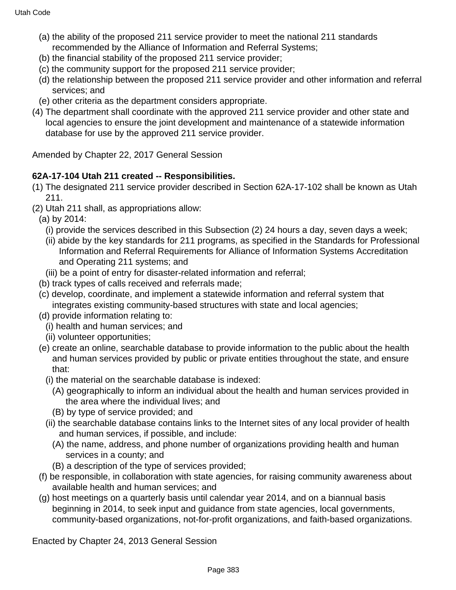- (a) the ability of the proposed 211 service provider to meet the national 211 standards recommended by the Alliance of Information and Referral Systems;
- (b) the financial stability of the proposed 211 service provider;
- (c) the community support for the proposed 211 service provider;
- (d) the relationship between the proposed 211 service provider and other information and referral services; and
- (e) other criteria as the department considers appropriate.
- (4) The department shall coordinate with the approved 211 service provider and other state and local agencies to ensure the joint development and maintenance of a statewide information database for use by the approved 211 service provider.

Amended by Chapter 22, 2017 General Session

## **62A-17-104 Utah 211 created -- Responsibilities.**

- (1) The designated 211 service provider described in Section 62A-17-102 shall be known as Utah 211.
- (2) Utah 211 shall, as appropriations allow:
	- (a) by 2014:
		- (i) provide the services described in this Subsection (2) 24 hours a day, seven days a week;
		- (ii) abide by the key standards for 211 programs, as specified in the Standards for Professional Information and Referral Requirements for Alliance of Information Systems Accreditation and Operating 211 systems; and
		- (iii) be a point of entry for disaster-related information and referral;
	- (b) track types of calls received and referrals made;
	- (c) develop, coordinate, and implement a statewide information and referral system that integrates existing community-based structures with state and local agencies;
	- (d) provide information relating to:
		- (i) health and human services; and
		- (ii) volunteer opportunities;
	- (e) create an online, searchable database to provide information to the public about the health and human services provided by public or private entities throughout the state, and ensure that:
		- (i) the material on the searchable database is indexed:
			- (A) geographically to inform an individual about the health and human services provided in the area where the individual lives; and
			- (B) by type of service provided; and
		- (ii) the searchable database contains links to the Internet sites of any local provider of health and human services, if possible, and include:
			- (A) the name, address, and phone number of organizations providing health and human services in a county; and
			- (B) a description of the type of services provided;
	- (f) be responsible, in collaboration with state agencies, for raising community awareness about available health and human services; and
	- (g) host meetings on a quarterly basis until calendar year 2014, and on a biannual basis beginning in 2014, to seek input and guidance from state agencies, local governments, community-based organizations, not-for-profit organizations, and faith-based organizations.

Enacted by Chapter 24, 2013 General Session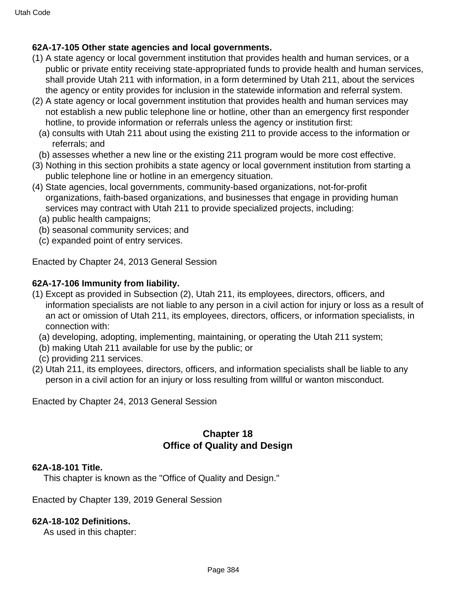## **62A-17-105 Other state agencies and local governments.**

- (1) A state agency or local government institution that provides health and human services, or a public or private entity receiving state-appropriated funds to provide health and human services, shall provide Utah 211 with information, in a form determined by Utah 211, about the services the agency or entity provides for inclusion in the statewide information and referral system.
- (2) A state agency or local government institution that provides health and human services may not establish a new public telephone line or hotline, other than an emergency first responder hotline, to provide information or referrals unless the agency or institution first:
	- (a) consults with Utah 211 about using the existing 211 to provide access to the information or referrals; and
	- (b) assesses whether a new line or the existing 211 program would be more cost effective.
- (3) Nothing in this section prohibits a state agency or local government institution from starting a public telephone line or hotline in an emergency situation.
- (4) State agencies, local governments, community-based organizations, not-for-profit organizations, faith-based organizations, and businesses that engage in providing human services may contract with Utah 211 to provide specialized projects, including:
	- (a) public health campaigns;
	- (b) seasonal community services; and
	- (c) expanded point of entry services.

Enacted by Chapter 24, 2013 General Session

### **62A-17-106 Immunity from liability.**

- (1) Except as provided in Subsection (2), Utah 211, its employees, directors, officers, and information specialists are not liable to any person in a civil action for injury or loss as a result of an act or omission of Utah 211, its employees, directors, officers, or information specialists, in connection with:
	- (a) developing, adopting, implementing, maintaining, or operating the Utah 211 system;
	- (b) making Utah 211 available for use by the public; or
	- (c) providing 211 services.
- (2) Utah 211, its employees, directors, officers, and information specialists shall be liable to any person in a civil action for an injury or loss resulting from willful or wanton misconduct.

Enacted by Chapter 24, 2013 General Session

# **Chapter 18 Office of Quality and Design**

#### **62A-18-101 Title.**

This chapter is known as the "Office of Quality and Design."

Enacted by Chapter 139, 2019 General Session

## **62A-18-102 Definitions.**

As used in this chapter: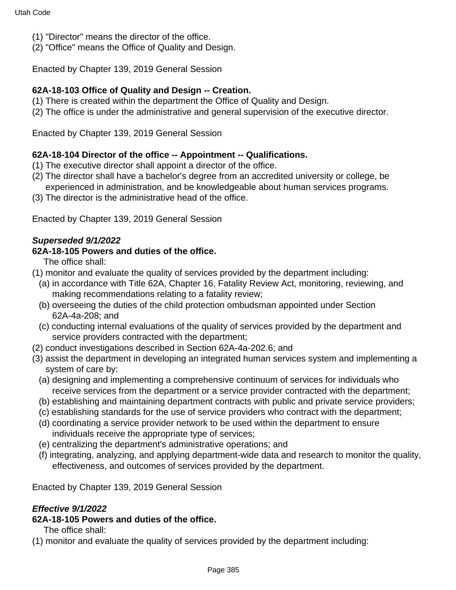- (1) "Director" means the director of the office.
- (2) "Office" means the Office of Quality and Design.

Enacted by Chapter 139, 2019 General Session

#### **62A-18-103 Office of Quality and Design -- Creation.**

- (1) There is created within the department the Office of Quality and Design.
- (2) The office is under the administrative and general supervision of the executive director.

Enacted by Chapter 139, 2019 General Session

### **62A-18-104 Director of the office -- Appointment -- Qualifications.**

- (1) The executive director shall appoint a director of the office.
- (2) The director shall have a bachelor's degree from an accredited university or college, be experienced in administration, and be knowledgeable about human services programs.
- (3) The director is the administrative head of the office.

Enacted by Chapter 139, 2019 General Session

### **Superseded 9/1/2022**

### **62A-18-105 Powers and duties of the office.**

The office shall:

- (1) monitor and evaluate the quality of services provided by the department including:
	- (a) in accordance with Title 62A, Chapter 16, Fatality Review Act, monitoring, reviewing, and making recommendations relating to a fatality review;
	- (b) overseeing the duties of the child protection ombudsman appointed under Section 62A-4a-208; and
	- (c) conducting internal evaluations of the quality of services provided by the department and service providers contracted with the department;
- (2) conduct investigations described in Section 62A-4a-202.6; and
- (3) assist the department in developing an integrated human services system and implementing a system of care by:
	- (a) designing and implementing a comprehensive continuum of services for individuals who receive services from the department or a service provider contracted with the department;
	- (b) establishing and maintaining department contracts with public and private service providers;
	- (c) establishing standards for the use of service providers who contract with the department;
	- (d) coordinating a service provider network to be used within the department to ensure individuals receive the appropriate type of services;
	- (e) centralizing the department's administrative operations; and
	- (f) integrating, analyzing, and applying department-wide data and research to monitor the quality, effectiveness, and outcomes of services provided by the department.

Enacted by Chapter 139, 2019 General Session

## **Effective 9/1/2022**

## **62A-18-105 Powers and duties of the office.**

The office shall:

(1) monitor and evaluate the quality of services provided by the department including: